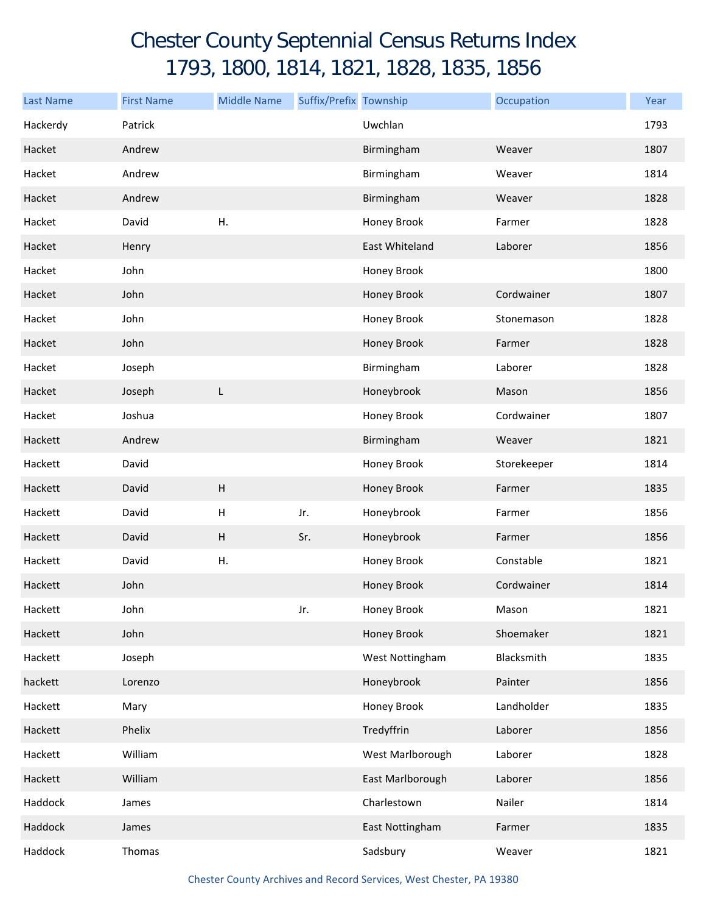## Chester County Septennial Census Returns Index 1793, 1800, 1814, 1821, 1828, 1835, 1856

| <b>Last Name</b> | <b>First Name</b> | <b>Middle Name</b>        | Suffix/Prefix Township |                  | Occupation  | Year |
|------------------|-------------------|---------------------------|------------------------|------------------|-------------|------|
| Hackerdy         | Patrick           |                           |                        | Uwchlan          |             | 1793 |
| Hacket           | Andrew            |                           |                        | Birmingham       | Weaver      | 1807 |
| Hacket           | Andrew            |                           |                        | Birmingham       | Weaver      | 1814 |
| Hacket           | Andrew            |                           |                        | Birmingham       | Weaver      | 1828 |
| Hacket           | David             | Η.                        |                        | Honey Brook      | Farmer      | 1828 |
| Hacket           | Henry             |                           |                        | East Whiteland   | Laborer     | 1856 |
| Hacket           | John              |                           |                        | Honey Brook      |             | 1800 |
| Hacket           | John              |                           |                        | Honey Brook      | Cordwainer  | 1807 |
| Hacket           | John              |                           |                        | Honey Brook      | Stonemason  | 1828 |
| Hacket           | John              |                           |                        | Honey Brook      | Farmer      | 1828 |
| Hacket           | Joseph            |                           |                        | Birmingham       | Laborer     | 1828 |
| Hacket           | Joseph            | L                         |                        | Honeybrook       | Mason       | 1856 |
| Hacket           | Joshua            |                           |                        | Honey Brook      | Cordwainer  | 1807 |
| Hackett          | Andrew            |                           |                        | Birmingham       | Weaver      | 1821 |
| Hackett          | David             |                           |                        | Honey Brook      | Storekeeper | 1814 |
| Hackett          | David             | H                         |                        | Honey Brook      | Farmer      | 1835 |
| Hackett          | David             | $\boldsymbol{\mathsf{H}}$ | Jr.                    | Honeybrook       | Farmer      | 1856 |
| Hackett          | David             | $\boldsymbol{\mathsf{H}}$ | Sr.                    | Honeybrook       | Farmer      | 1856 |
| Hackett          | David             | Η.                        |                        | Honey Brook      | Constable   | 1821 |
| Hackett          | John              |                           |                        | Honey Brook      | Cordwainer  | 1814 |
| Hackett          | John              |                           | Jr.                    | Honey Brook      | Mason       | 1821 |
| Hackett          | John              |                           |                        | Honey Brook      | Shoemaker   | 1821 |
| Hackett          | Joseph            |                           |                        | West Nottingham  | Blacksmith  | 1835 |
| hackett          | Lorenzo           |                           |                        | Honeybrook       | Painter     | 1856 |
| Hackett          | Mary              |                           |                        | Honey Brook      | Landholder  | 1835 |
| Hackett          | Phelix            |                           |                        | Tredyffrin       | Laborer     | 1856 |
| Hackett          | William           |                           |                        | West Marlborough | Laborer     | 1828 |
| Hackett          | William           |                           |                        | East Marlborough | Laborer     | 1856 |
| Haddock          | James             |                           |                        | Charlestown      | Nailer      | 1814 |
| Haddock          | James             |                           |                        | East Nottingham  | Farmer      | 1835 |
| Haddock          | Thomas            |                           |                        | Sadsbury         | Weaver      | 1821 |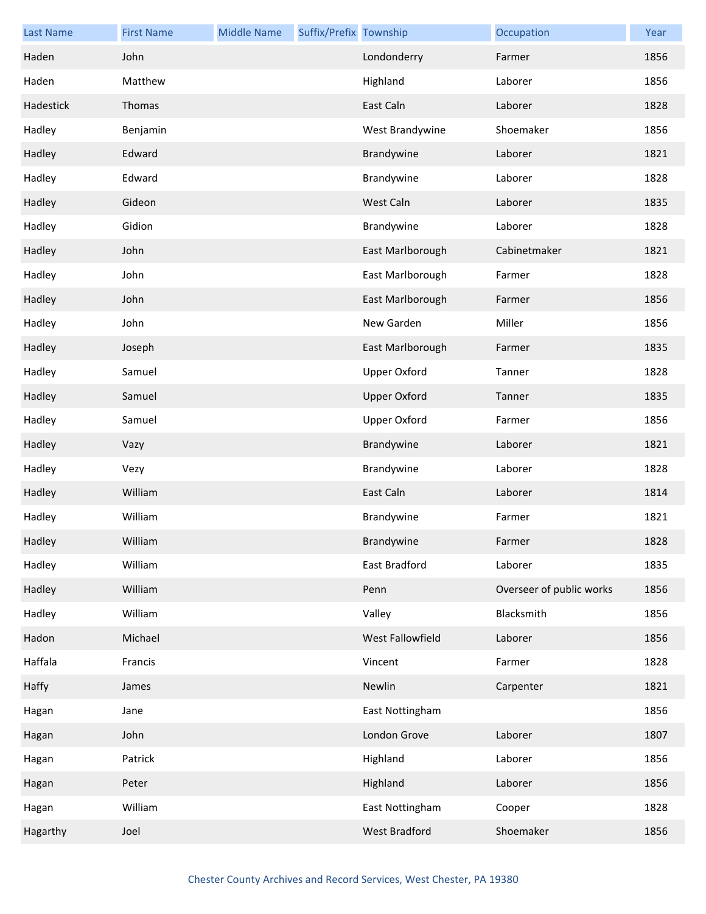| <b>Last Name</b> | <b>First Name</b> | <b>Middle Name</b> | Suffix/Prefix Township |                     | Occupation               | Year |
|------------------|-------------------|--------------------|------------------------|---------------------|--------------------------|------|
| Haden            | John              |                    |                        | Londonderry         | Farmer                   | 1856 |
| Haden            | Matthew           |                    |                        | Highland            | Laborer                  | 1856 |
| Hadestick        | Thomas            |                    |                        | East Caln           | Laborer                  | 1828 |
| Hadley           | Benjamin          |                    |                        | West Brandywine     | Shoemaker                | 1856 |
| Hadley           | Edward            |                    |                        | Brandywine          | Laborer                  | 1821 |
| Hadley           | Edward            |                    |                        | Brandywine          | Laborer                  | 1828 |
| Hadley           | Gideon            |                    |                        | West Caln           | Laborer                  | 1835 |
| Hadley           | Gidion            |                    |                        | Brandywine          | Laborer                  | 1828 |
| Hadley           | John              |                    |                        | East Marlborough    | Cabinetmaker             | 1821 |
| Hadley           | John              |                    |                        | East Marlborough    | Farmer                   | 1828 |
| Hadley           | John              |                    |                        | East Marlborough    | Farmer                   | 1856 |
| Hadley           | John              |                    |                        | New Garden          | Miller                   | 1856 |
| Hadley           | Joseph            |                    |                        | East Marlborough    | Farmer                   | 1835 |
| Hadley           | Samuel            |                    |                        | <b>Upper Oxford</b> | Tanner                   | 1828 |
| Hadley           | Samuel            |                    |                        | <b>Upper Oxford</b> | Tanner                   | 1835 |
| Hadley           | Samuel            |                    |                        | <b>Upper Oxford</b> | Farmer                   | 1856 |
| Hadley           | Vazy              |                    |                        | Brandywine          | Laborer                  | 1821 |
| Hadley           | Vezy              |                    |                        | Brandywine          | Laborer                  | 1828 |
| Hadley           | William           |                    |                        | East Caln           | Laborer                  | 1814 |
| Hadley           | William           |                    |                        | Brandywine          | Farmer                   | 1821 |
| Hadley           | William           |                    |                        | Brandywine          | Farmer                   | 1828 |
| Hadley           | William           |                    |                        | East Bradford       | Laborer                  | 1835 |
| Hadley           | William           |                    |                        | Penn                | Overseer of public works | 1856 |
| Hadley           | William           |                    |                        | Valley              | Blacksmith               | 1856 |
| Hadon            | Michael           |                    |                        | West Fallowfield    | Laborer                  | 1856 |
| Haffala          | Francis           |                    |                        | Vincent             | Farmer                   | 1828 |
| Haffy            | James             |                    |                        | Newlin              | Carpenter                | 1821 |
| Hagan            | Jane              |                    |                        | East Nottingham     |                          | 1856 |
| Hagan            | John              |                    |                        | London Grove        | Laborer                  | 1807 |
| Hagan            | Patrick           |                    |                        | Highland            | Laborer                  | 1856 |
| Hagan            | Peter             |                    |                        | Highland            | Laborer                  | 1856 |
| Hagan            | William           |                    |                        | East Nottingham     | Cooper                   | 1828 |
| Hagarthy         | Joel              |                    |                        | West Bradford       | Shoemaker                | 1856 |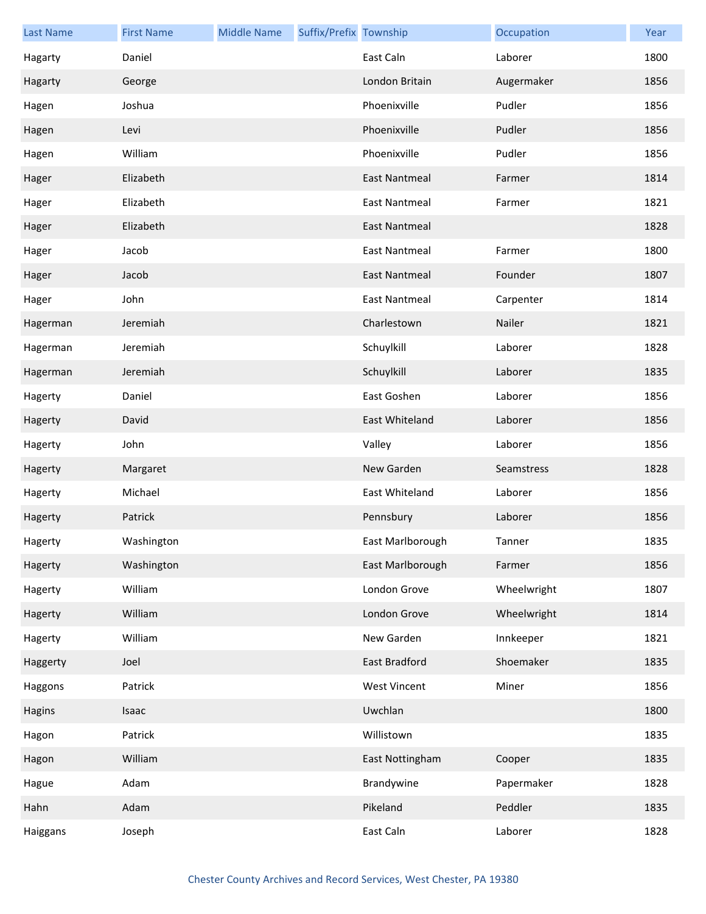| <b>Last Name</b> | <b>First Name</b> | <b>Middle Name</b> | Suffix/Prefix Township |                      | Occupation  | Year |
|------------------|-------------------|--------------------|------------------------|----------------------|-------------|------|
| Hagarty          | Daniel            |                    |                        | East Caln            | Laborer     | 1800 |
| Hagarty          | George            |                    |                        | London Britain       | Augermaker  | 1856 |
| Hagen            | Joshua            |                    |                        | Phoenixville         | Pudler      | 1856 |
| Hagen            | Levi              |                    |                        | Phoenixville         | Pudler      | 1856 |
| Hagen            | William           |                    |                        | Phoenixville         | Pudler      | 1856 |
| Hager            | Elizabeth         |                    |                        | <b>East Nantmeal</b> | Farmer      | 1814 |
| Hager            | Elizabeth         |                    |                        | <b>East Nantmeal</b> | Farmer      | 1821 |
| Hager            | Elizabeth         |                    |                        | <b>East Nantmeal</b> |             | 1828 |
| Hager            | Jacob             |                    |                        | <b>East Nantmeal</b> | Farmer      | 1800 |
| Hager            | Jacob             |                    |                        | <b>East Nantmeal</b> | Founder     | 1807 |
| Hager            | John              |                    |                        | <b>East Nantmeal</b> | Carpenter   | 1814 |
| Hagerman         | Jeremiah          |                    |                        | Charlestown          | Nailer      | 1821 |
| Hagerman         | Jeremiah          |                    |                        | Schuylkill           | Laborer     | 1828 |
| Hagerman         | Jeremiah          |                    |                        | Schuylkill           | Laborer     | 1835 |
| Hagerty          | Daniel            |                    |                        | East Goshen          | Laborer     | 1856 |
| Hagerty          | David             |                    |                        | East Whiteland       | Laborer     | 1856 |
| Hagerty          | John              |                    |                        | Valley               | Laborer     | 1856 |
| Hagerty          | Margaret          |                    |                        | New Garden           | Seamstress  | 1828 |
| Hagerty          | Michael           |                    |                        | East Whiteland       | Laborer     | 1856 |
| Hagerty          | Patrick           |                    |                        | Pennsbury            | Laborer     | 1856 |
| Hagerty          | Washington        |                    |                        | East Marlborough     | Tanner      | 1835 |
| Hagerty          | Washington        |                    |                        | East Marlborough     | Farmer      | 1856 |
| Hagerty          | William           |                    |                        | London Grove         | Wheelwright | 1807 |
| Hagerty          | William           |                    |                        | London Grove         | Wheelwright | 1814 |
| Hagerty          | William           |                    |                        | New Garden           | Innkeeper   | 1821 |
| Haggerty         | Joel              |                    |                        | East Bradford        | Shoemaker   | 1835 |
| Haggons          | Patrick           |                    |                        | <b>West Vincent</b>  | Miner       | 1856 |
| Hagins           | Isaac             |                    |                        | Uwchlan              |             | 1800 |
| Hagon            | Patrick           |                    |                        | Willistown           |             | 1835 |
| Hagon            | William           |                    |                        | East Nottingham      | Cooper      | 1835 |
| Hague            | Adam              |                    |                        | Brandywine           | Papermaker  | 1828 |
| Hahn             | Adam              |                    |                        | Pikeland             | Peddler     | 1835 |
| Haiggans         | Joseph            |                    |                        | East Caln            | Laborer     | 1828 |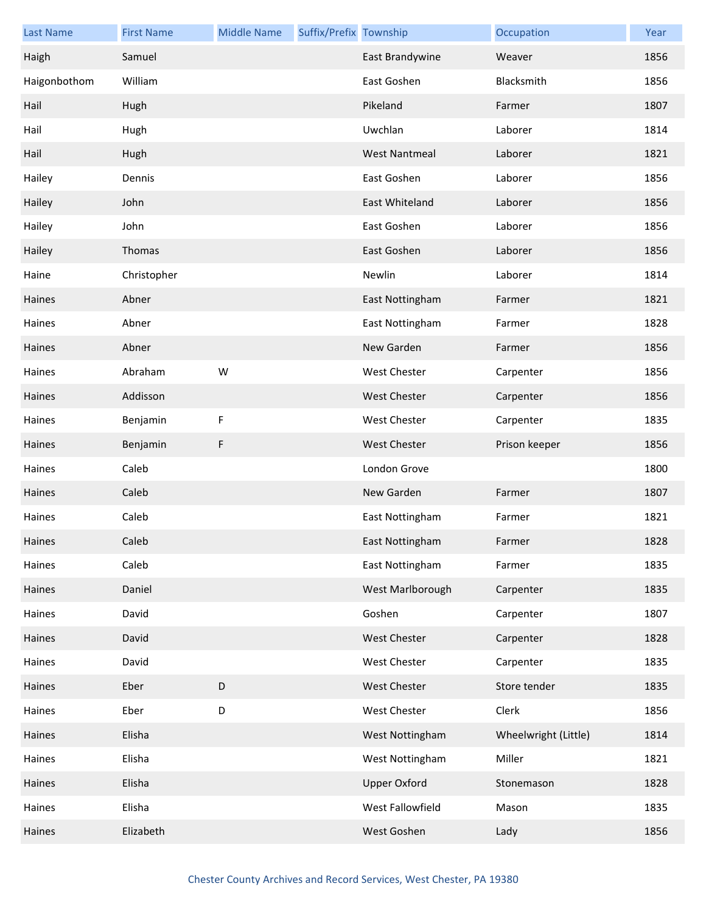| <b>Last Name</b> | <b>First Name</b> | <b>Middle Name</b> | Suffix/Prefix Township |                      | Occupation           | Year |
|------------------|-------------------|--------------------|------------------------|----------------------|----------------------|------|
| Haigh            | Samuel            |                    |                        | East Brandywine      | Weaver               | 1856 |
| Haigonbothom     | William           |                    |                        | East Goshen          | Blacksmith           | 1856 |
| Hail             | Hugh              |                    |                        | Pikeland             | Farmer               | 1807 |
| Hail             | Hugh              |                    |                        | Uwchlan              | Laborer              | 1814 |
| Hail             | Hugh              |                    |                        | <b>West Nantmeal</b> | Laborer              | 1821 |
| Hailey           | Dennis            |                    |                        | East Goshen          | Laborer              | 1856 |
| Hailey           | John              |                    |                        | East Whiteland       | Laborer              | 1856 |
| Hailey           | John              |                    |                        | East Goshen          | Laborer              | 1856 |
| Hailey           | Thomas            |                    |                        | East Goshen          | Laborer              | 1856 |
| Haine            | Christopher       |                    |                        | Newlin               | Laborer              | 1814 |
| Haines           | Abner             |                    |                        | East Nottingham      | Farmer               | 1821 |
| Haines           | Abner             |                    |                        | East Nottingham      | Farmer               | 1828 |
| Haines           | Abner             |                    |                        | New Garden           | Farmer               | 1856 |
| Haines           | Abraham           | W                  |                        | <b>West Chester</b>  | Carpenter            | 1856 |
| Haines           | Addisson          |                    |                        | <b>West Chester</b>  | Carpenter            | 1856 |
| Haines           | Benjamin          | F                  |                        | West Chester         | Carpenter            | 1835 |
| Haines           | Benjamin          | F                  |                        | <b>West Chester</b>  | Prison keeper        | 1856 |
| Haines           | Caleb             |                    |                        | London Grove         |                      | 1800 |
| Haines           | Caleb             |                    |                        | New Garden           | Farmer               | 1807 |
| Haines           | Caleb             |                    |                        | East Nottingham      | Farmer               | 1821 |
| Haines           | Caleb             |                    |                        | East Nottingham      | Farmer               | 1828 |
| Haines           | Caleb             |                    |                        | East Nottingham      | Farmer               | 1835 |
| Haines           | Daniel            |                    |                        | West Marlborough     | Carpenter            | 1835 |
| Haines           | David             |                    |                        | Goshen               | Carpenter            | 1807 |
| Haines           | David             |                    |                        | West Chester         | Carpenter            | 1828 |
| Haines           | David             |                    |                        | West Chester         | Carpenter            | 1835 |
| Haines           | Eber              | $\mathsf D$        |                        | West Chester         | Store tender         | 1835 |
| Haines           | Eber              | D                  |                        | West Chester         | Clerk                | 1856 |
| Haines           | Elisha            |                    |                        | West Nottingham      | Wheelwright (Little) | 1814 |
| Haines           | Elisha            |                    |                        | West Nottingham      | Miller               | 1821 |
| Haines           | Elisha            |                    |                        | <b>Upper Oxford</b>  | Stonemason           | 1828 |
| Haines           | Elisha            |                    |                        | West Fallowfield     | Mason                | 1835 |
| Haines           | Elizabeth         |                    |                        | West Goshen          | Lady                 | 1856 |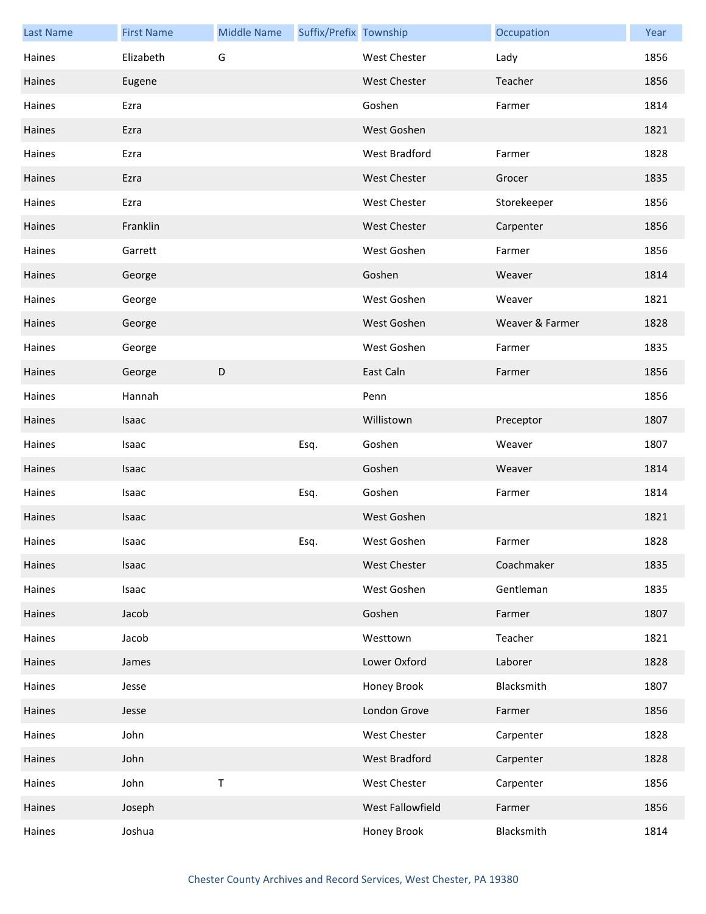| <b>Last Name</b> | <b>First Name</b> | <b>Middle Name</b> | Suffix/Prefix Township |                     | Occupation      | Year |
|------------------|-------------------|--------------------|------------------------|---------------------|-----------------|------|
| Haines           | Elizabeth         | G                  |                        | <b>West Chester</b> | Lady            | 1856 |
| Haines           | Eugene            |                    |                        | <b>West Chester</b> | Teacher         | 1856 |
| Haines           | Ezra              |                    |                        | Goshen              | Farmer          | 1814 |
| Haines           | Ezra              |                    |                        | West Goshen         |                 | 1821 |
| Haines           | Ezra              |                    |                        | West Bradford       | Farmer          | 1828 |
| Haines           | Ezra              |                    |                        | <b>West Chester</b> | Grocer          | 1835 |
| Haines           | Ezra              |                    |                        | <b>West Chester</b> | Storekeeper     | 1856 |
| Haines           | Franklin          |                    |                        | <b>West Chester</b> | Carpenter       | 1856 |
| Haines           | Garrett           |                    |                        | West Goshen         | Farmer          | 1856 |
| Haines           | George            |                    |                        | Goshen              | Weaver          | 1814 |
| Haines           | George            |                    |                        | West Goshen         | Weaver          | 1821 |
| Haines           | George            |                    |                        | West Goshen         | Weaver & Farmer | 1828 |
| Haines           | George            |                    |                        | West Goshen         | Farmer          | 1835 |
| Haines           | George            | D                  |                        | East Caln           | Farmer          | 1856 |
| Haines           | Hannah            |                    |                        | Penn                |                 | 1856 |
| Haines           | Isaac             |                    |                        | Willistown          | Preceptor       | 1807 |
| Haines           | Isaac             |                    | Esq.                   | Goshen              | Weaver          | 1807 |
| Haines           | Isaac             |                    |                        | Goshen              | Weaver          | 1814 |
| Haines           | Isaac             |                    | Esq.                   | Goshen              | Farmer          | 1814 |
| Haines           | Isaac             |                    |                        | West Goshen         |                 | 1821 |
| Haines           | Isaac             |                    | Esq.                   | West Goshen         | Farmer          | 1828 |
| Haines           | Isaac             |                    |                        | West Chester        | Coachmaker      | 1835 |
| Haines           | Isaac             |                    |                        | West Goshen         | Gentleman       | 1835 |
| Haines           | Jacob             |                    |                        | Goshen              | Farmer          | 1807 |
| Haines           | Jacob             |                    |                        | Westtown            | Teacher         | 1821 |
| Haines           | James             |                    |                        | Lower Oxford        | Laborer         | 1828 |
| Haines           | Jesse             |                    |                        | Honey Brook         | Blacksmith      | 1807 |
| Haines           | Jesse             |                    |                        | London Grove        | Farmer          | 1856 |
| Haines           | John              |                    |                        | West Chester        | Carpenter       | 1828 |
| Haines           | John              |                    |                        | West Bradford       | Carpenter       | 1828 |
| Haines           | John              | $\sf T$            |                        | West Chester        | Carpenter       | 1856 |
| Haines           | Joseph            |                    |                        | West Fallowfield    | Farmer          | 1856 |
| Haines           | Joshua            |                    |                        | Honey Brook         | Blacksmith      | 1814 |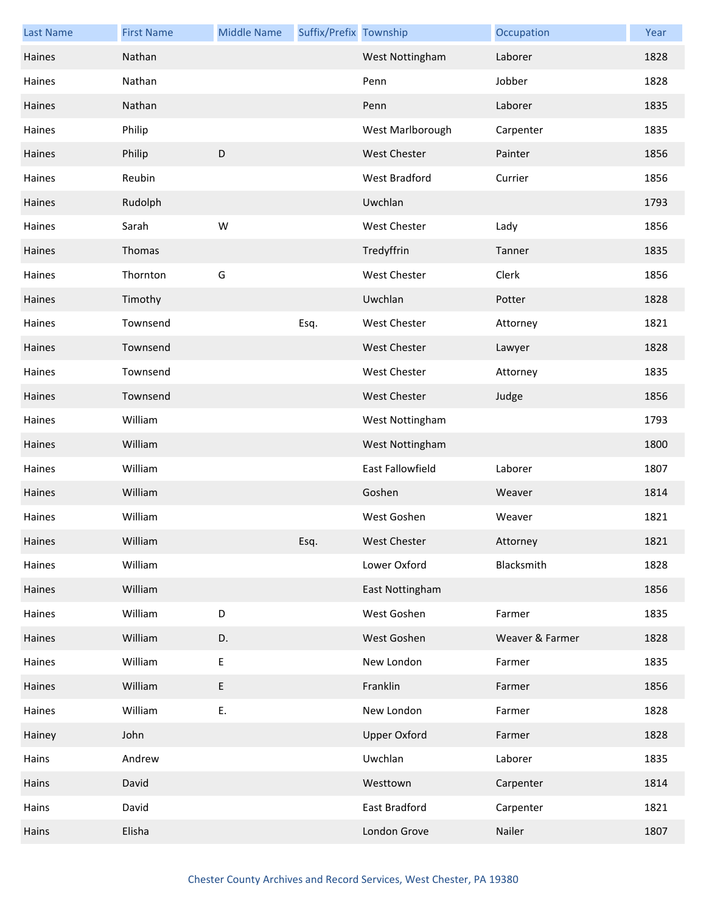| <b>Last Name</b> | <b>First Name</b> | <b>Middle Name</b> | Suffix/Prefix Township |                      | Occupation      | Year |
|------------------|-------------------|--------------------|------------------------|----------------------|-----------------|------|
| Haines           | Nathan            |                    |                        | West Nottingham      | Laborer         | 1828 |
| Haines           | Nathan            |                    |                        | Penn                 | Jobber          | 1828 |
| Haines           | Nathan            |                    |                        | Penn                 | Laborer         | 1835 |
| Haines           | Philip            |                    |                        | West Marlborough     | Carpenter       | 1835 |
| Haines           | Philip            | D                  |                        | <b>West Chester</b>  | Painter         | 1856 |
| Haines           | Reubin            |                    |                        | <b>West Bradford</b> | Currier         | 1856 |
| Haines           | Rudolph           |                    |                        | Uwchlan              |                 | 1793 |
| Haines           | Sarah             | W                  |                        | West Chester         | Lady            | 1856 |
| Haines           | Thomas            |                    |                        | Tredyffrin           | Tanner          | 1835 |
| Haines           | Thornton          | G                  |                        | <b>West Chester</b>  | Clerk           | 1856 |
| Haines           | Timothy           |                    |                        | Uwchlan              | Potter          | 1828 |
| Haines           | Townsend          |                    | Esq.                   | West Chester         | Attorney        | 1821 |
| Haines           | Townsend          |                    |                        | <b>West Chester</b>  | Lawyer          | 1828 |
| Haines           | Townsend          |                    |                        | West Chester         | Attorney        | 1835 |
| Haines           | Townsend          |                    |                        | <b>West Chester</b>  | Judge           | 1856 |
| Haines           | William           |                    |                        | West Nottingham      |                 | 1793 |
| Haines           | William           |                    |                        | West Nottingham      |                 | 1800 |
| Haines           | William           |                    |                        | East Fallowfield     | Laborer         | 1807 |
| Haines           | William           |                    |                        | Goshen               | Weaver          | 1814 |
| Haines           | William           |                    |                        | West Goshen          | Weaver          | 1821 |
| Haines           | William           |                    | Esq.                   | West Chester         | Attorney        | 1821 |
| Haines           | William           |                    |                        | Lower Oxford         | Blacksmith      | 1828 |
| Haines           | William           |                    |                        | East Nottingham      |                 | 1856 |
| Haines           | William           | $\mathsf D$        |                        | West Goshen          | Farmer          | 1835 |
| Haines           | William           | D.                 |                        | West Goshen          | Weaver & Farmer | 1828 |
| Haines           | William           | Ε                  |                        | New London           | Farmer          | 1835 |
| Haines           | William           | $\mathsf E$        |                        | Franklin             | Farmer          | 1856 |
| Haines           | William           | Ε.                 |                        | New London           | Farmer          | 1828 |
| Hainey           | John              |                    |                        | <b>Upper Oxford</b>  | Farmer          | 1828 |
| Hains            | Andrew            |                    |                        | Uwchlan              | Laborer         | 1835 |
| Hains            | David             |                    |                        | Westtown             | Carpenter       | 1814 |
| Hains            | David             |                    |                        | East Bradford        | Carpenter       | 1821 |
| Hains            | Elisha            |                    |                        | London Grove         | Nailer          | 1807 |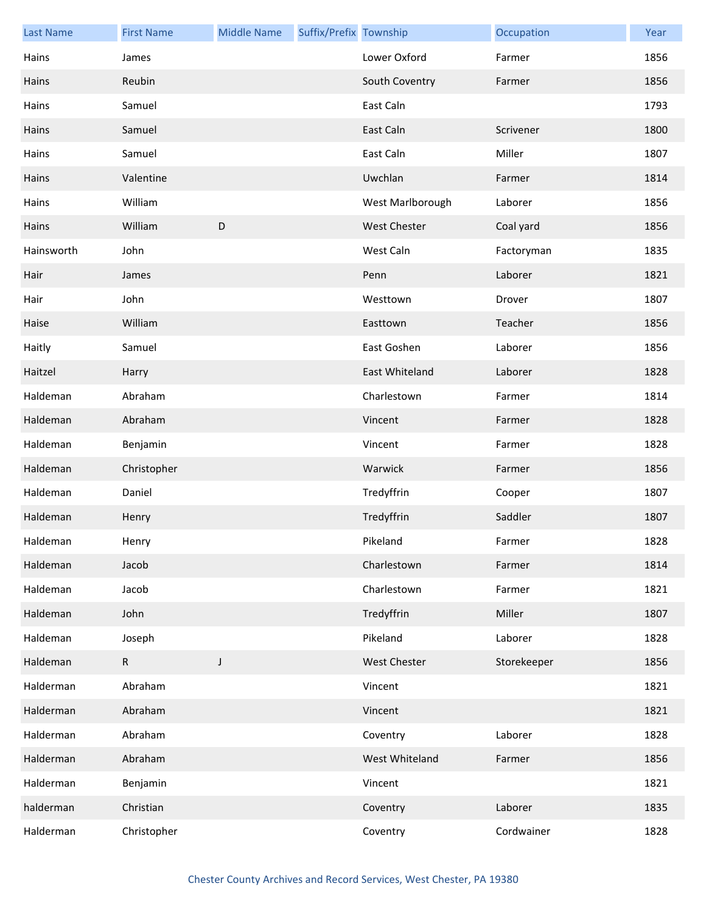| <b>Last Name</b> | <b>First Name</b> | <b>Middle Name</b> | Suffix/Prefix Township |                     | Occupation  | Year |
|------------------|-------------------|--------------------|------------------------|---------------------|-------------|------|
| Hains            | James             |                    |                        | Lower Oxford        | Farmer      | 1856 |
| Hains            | Reubin            |                    |                        | South Coventry      | Farmer      | 1856 |
| Hains            | Samuel            |                    |                        | East Caln           |             | 1793 |
| Hains            | Samuel            |                    |                        | East Caln           | Scrivener   | 1800 |
| Hains            | Samuel            |                    |                        | East Caln           | Miller      | 1807 |
| Hains            | Valentine         |                    |                        | Uwchlan             | Farmer      | 1814 |
| Hains            | William           |                    |                        | West Marlborough    | Laborer     | 1856 |
| Hains            | William           | $\mathsf D$        |                        | <b>West Chester</b> | Coal yard   | 1856 |
| Hainsworth       | John              |                    |                        | West Caln           | Factoryman  | 1835 |
| Hair             | James             |                    |                        | Penn                | Laborer     | 1821 |
| Hair             | John              |                    |                        | Westtown            | Drover      | 1807 |
| Haise            | William           |                    |                        | Easttown            | Teacher     | 1856 |
| Haitly           | Samuel            |                    |                        | East Goshen         | Laborer     | 1856 |
| Haitzel          | Harry             |                    |                        | East Whiteland      | Laborer     | 1828 |
| Haldeman         | Abraham           |                    |                        | Charlestown         | Farmer      | 1814 |
| Haldeman         | Abraham           |                    |                        | Vincent             | Farmer      | 1828 |
| Haldeman         | Benjamin          |                    |                        | Vincent             | Farmer      | 1828 |
| Haldeman         | Christopher       |                    |                        | Warwick             | Farmer      | 1856 |
| Haldeman         | Daniel            |                    |                        | Tredyffrin          | Cooper      | 1807 |
| Haldeman         | Henry             |                    |                        | Tredyffrin          | Saddler     | 1807 |
| Haldeman         | Henry             |                    |                        | Pikeland            | Farmer      | 1828 |
| Haldeman         | Jacob             |                    |                        | Charlestown         | Farmer      | 1814 |
| Haldeman         | Jacob             |                    |                        | Charlestown         | Farmer      | 1821 |
| Haldeman         | John              |                    |                        | Tredyffrin          | Miller      | 1807 |
| Haldeman         | Joseph            |                    |                        | Pikeland            | Laborer     | 1828 |
| Haldeman         | $\mathsf{R}$      | J                  |                        | <b>West Chester</b> | Storekeeper | 1856 |
| Halderman        | Abraham           |                    |                        | Vincent             |             | 1821 |
| Halderman        | Abraham           |                    |                        | Vincent             |             | 1821 |
| Halderman        | Abraham           |                    |                        | Coventry            | Laborer     | 1828 |
| Halderman        | Abraham           |                    |                        | West Whiteland      | Farmer      | 1856 |
| Halderman        | Benjamin          |                    |                        | Vincent             |             | 1821 |
| halderman        | Christian         |                    |                        | Coventry            | Laborer     | 1835 |
| Halderman        | Christopher       |                    |                        | Coventry            | Cordwainer  | 1828 |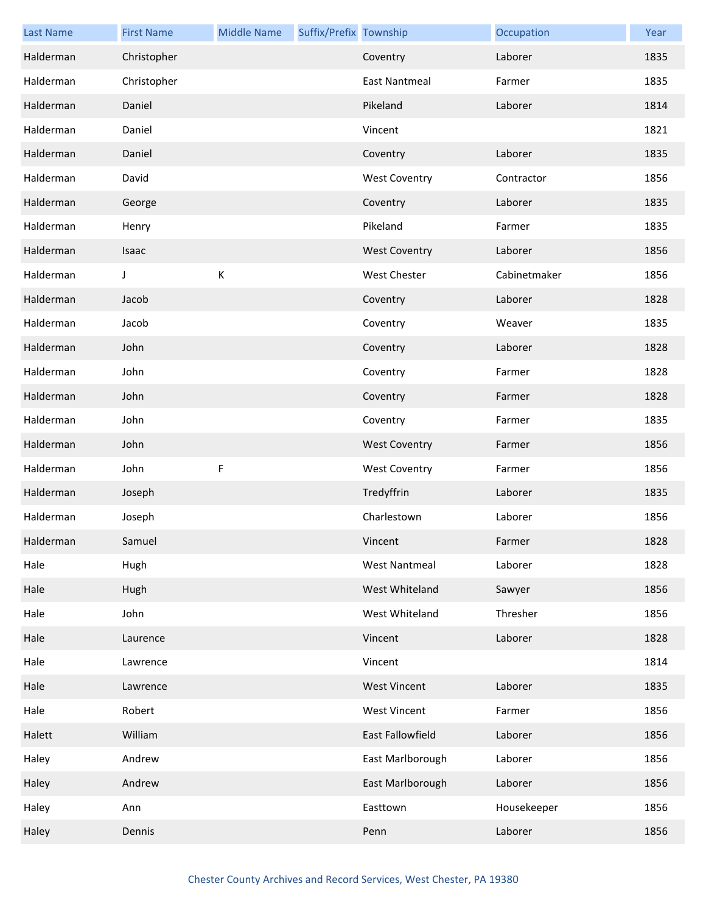| <b>Last Name</b> | <b>First Name</b> | <b>Middle Name</b> | Suffix/Prefix Township |                      | Occupation   | Year |
|------------------|-------------------|--------------------|------------------------|----------------------|--------------|------|
| Halderman        | Christopher       |                    |                        | Coventry             | Laborer      | 1835 |
| Halderman        | Christopher       |                    |                        | <b>East Nantmeal</b> | Farmer       | 1835 |
| Halderman        | Daniel            |                    |                        | Pikeland             | Laborer      | 1814 |
| Halderman        | Daniel            |                    |                        | Vincent              |              | 1821 |
| Halderman        | Daniel            |                    |                        | Coventry             | Laborer      | 1835 |
| Halderman        | David             |                    |                        | <b>West Coventry</b> | Contractor   | 1856 |
| Halderman        | George            |                    |                        | Coventry             | Laborer      | 1835 |
| Halderman        | Henry             |                    |                        | Pikeland             | Farmer       | 1835 |
| Halderman        | Isaac             |                    |                        | <b>West Coventry</b> | Laborer      | 1856 |
| Halderman        | J                 | К                  |                        | West Chester         | Cabinetmaker | 1856 |
| Halderman        | Jacob             |                    |                        | Coventry             | Laborer      | 1828 |
| Halderman        | Jacob             |                    |                        | Coventry             | Weaver       | 1835 |
| Halderman        | John              |                    |                        | Coventry             | Laborer      | 1828 |
| Halderman        | John              |                    |                        | Coventry             | Farmer       | 1828 |
| Halderman        | John              |                    |                        | Coventry             | Farmer       | 1828 |
| Halderman        | John              |                    |                        | Coventry             | Farmer       | 1835 |
| Halderman        | John              |                    |                        | <b>West Coventry</b> | Farmer       | 1856 |
| Halderman        | John              | $\mathsf F$        |                        | <b>West Coventry</b> | Farmer       | 1856 |
| Halderman        | Joseph            |                    |                        | Tredyffrin           | Laborer      | 1835 |
| Halderman        | Joseph            |                    |                        | Charlestown          | Laborer      | 1856 |
| Halderman        | Samuel            |                    |                        | Vincent              | Farmer       | 1828 |
| Hale             | Hugh              |                    |                        | <b>West Nantmeal</b> | Laborer      | 1828 |
| Hale             | Hugh              |                    |                        | West Whiteland       | Sawyer       | 1856 |
| Hale             | John              |                    |                        | West Whiteland       | Thresher     | 1856 |
| Hale             | Laurence          |                    |                        | Vincent              | Laborer      | 1828 |
| Hale             | Lawrence          |                    |                        | Vincent              |              | 1814 |
| Hale             | Lawrence          |                    |                        | <b>West Vincent</b>  | Laborer      | 1835 |
| Hale             | Robert            |                    |                        | <b>West Vincent</b>  | Farmer       | 1856 |
| Halett           | William           |                    |                        | East Fallowfield     | Laborer      | 1856 |
| Haley            | Andrew            |                    |                        | East Marlborough     | Laborer      | 1856 |
| Haley            | Andrew            |                    |                        | East Marlborough     | Laborer      | 1856 |
| Haley            | Ann               |                    |                        | Easttown             | Housekeeper  | 1856 |
| Haley            | Dennis            |                    |                        | Penn                 | Laborer      | 1856 |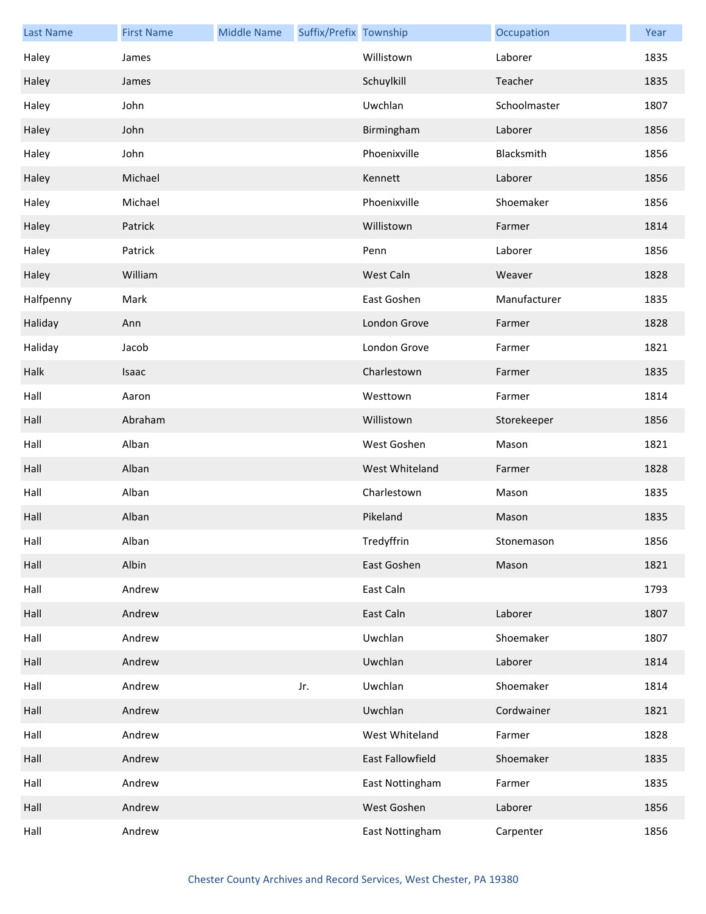| <b>Last Name</b> | <b>First Name</b> | <b>Middle Name</b> | Suffix/Prefix Township |                  | Occupation   | Year |
|------------------|-------------------|--------------------|------------------------|------------------|--------------|------|
| Haley            | James             |                    |                        | Willistown       | Laborer      | 1835 |
| Haley            | James             |                    |                        | Schuylkill       | Teacher      | 1835 |
| Haley            | John              |                    |                        | Uwchlan          | Schoolmaster | 1807 |
| Haley            | John              |                    |                        | Birmingham       | Laborer      | 1856 |
| Haley            | John              |                    |                        | Phoenixville     | Blacksmith   | 1856 |
| Haley            | Michael           |                    |                        | Kennett          | Laborer      | 1856 |
| Haley            | Michael           |                    |                        | Phoenixville     | Shoemaker    | 1856 |
| Haley            | Patrick           |                    |                        | Willistown       | Farmer       | 1814 |
| Haley            | Patrick           |                    |                        | Penn             | Laborer      | 1856 |
| Haley            | William           |                    |                        | West Caln        | Weaver       | 1828 |
| Halfpenny        | Mark              |                    |                        | East Goshen      | Manufacturer | 1835 |
| Haliday          | Ann               |                    |                        | London Grove     | Farmer       | 1828 |
| Haliday          | Jacob             |                    |                        | London Grove     | Farmer       | 1821 |
| Halk             | Isaac             |                    |                        | Charlestown      | Farmer       | 1835 |
| Hall             | Aaron             |                    |                        | Westtown         | Farmer       | 1814 |
| Hall             | Abraham           |                    |                        | Willistown       | Storekeeper  | 1856 |
| Hall             | Alban             |                    |                        | West Goshen      | Mason        | 1821 |
| Hall             | Alban             |                    |                        | West Whiteland   | Farmer       | 1828 |
| Hall             | Alban             |                    |                        | Charlestown      | Mason        | 1835 |
| Hall             | Alban             |                    |                        | Pikeland         | Mason        | 1835 |
| Hall             | Alban             |                    |                        | Tredyffrin       | Stonemason   | 1856 |
| Hall             | Albin             |                    |                        | East Goshen      | Mason        | 1821 |
| Hall             | Andrew            |                    |                        | East Caln        |              | 1793 |
| Hall             | Andrew            |                    |                        | East Caln        | Laborer      | 1807 |
| Hall             | Andrew            |                    |                        | Uwchlan          | Shoemaker    | 1807 |
| Hall             | Andrew            |                    |                        | Uwchlan          | Laborer      | 1814 |
| Hall             | Andrew            |                    | Jr.                    | Uwchlan          | Shoemaker    | 1814 |
| Hall             | Andrew            |                    |                        | Uwchlan          | Cordwainer   | 1821 |
| Hall             | Andrew            |                    |                        | West Whiteland   | Farmer       | 1828 |
| Hall             | Andrew            |                    |                        | East Fallowfield | Shoemaker    | 1835 |
| Hall             | Andrew            |                    |                        | East Nottingham  | Farmer       | 1835 |
| Hall             | Andrew            |                    |                        | West Goshen      | Laborer      | 1856 |
| Hall             | Andrew            |                    |                        | East Nottingham  | Carpenter    | 1856 |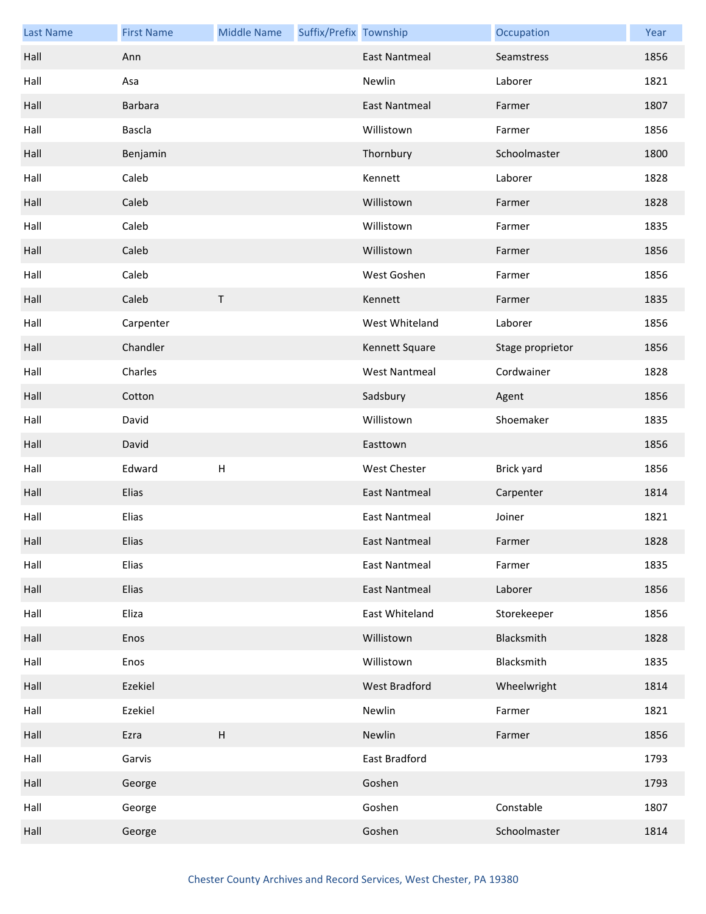| <b>Last Name</b> | <b>First Name</b> | <b>Middle Name</b> | Suffix/Prefix Township |                      | Occupation       | Year |
|------------------|-------------------|--------------------|------------------------|----------------------|------------------|------|
| Hall             | Ann               |                    |                        | <b>East Nantmeal</b> | Seamstress       | 1856 |
| Hall             | Asa               |                    |                        | Newlin               | Laborer          | 1821 |
| Hall             | Barbara           |                    |                        | <b>East Nantmeal</b> | Farmer           | 1807 |
| Hall             | <b>Bascla</b>     |                    |                        | Willistown           | Farmer           | 1856 |
| Hall             | Benjamin          |                    |                        | Thornbury            | Schoolmaster     | 1800 |
| Hall             | Caleb             |                    |                        | Kennett              | Laborer          | 1828 |
| Hall             | Caleb             |                    |                        | Willistown           | Farmer           | 1828 |
| Hall             | Caleb             |                    |                        | Willistown           | Farmer           | 1835 |
| Hall             | Caleb             |                    |                        | Willistown           | Farmer           | 1856 |
| Hall             | Caleb             |                    |                        | West Goshen          | Farmer           | 1856 |
| Hall             | Caleb             | $\mathsf T$        |                        | Kennett              | Farmer           | 1835 |
| Hall             | Carpenter         |                    |                        | West Whiteland       | Laborer          | 1856 |
| Hall             | Chandler          |                    |                        | Kennett Square       | Stage proprietor | 1856 |
| Hall             | Charles           |                    |                        | <b>West Nantmeal</b> | Cordwainer       | 1828 |
| Hall             | Cotton            |                    |                        | Sadsbury             | Agent            | 1856 |
| Hall             | David             |                    |                        | Willistown           | Shoemaker        | 1835 |
| Hall             | David             |                    |                        | Easttown             |                  | 1856 |
| Hall             | Edward            | $\sf H$            |                        | West Chester         | Brick yard       | 1856 |
| Hall             | Elias             |                    |                        | <b>East Nantmeal</b> | Carpenter        | 1814 |
| Hall             | Elias             |                    |                        | <b>East Nantmeal</b> | Joiner           | 1821 |
| Hall             | Elias             |                    |                        | East Nantmeal        | Farmer           | 1828 |
| Hall             | Elias             |                    |                        | <b>East Nantmeal</b> | Farmer           | 1835 |
| Hall             | Elias             |                    |                        | East Nantmeal        | Laborer          | 1856 |
| Hall             | Eliza             |                    |                        | East Whiteland       | Storekeeper      | 1856 |
| Hall             | Enos              |                    |                        | Willistown           | Blacksmith       | 1828 |
| Hall             | Enos              |                    |                        | Willistown           | Blacksmith       | 1835 |
| Hall             | Ezekiel           |                    |                        | West Bradford        | Wheelwright      | 1814 |
| Hall             | Ezekiel           |                    |                        | Newlin               | Farmer           | 1821 |
| Hall             | Ezra              | $\sf H$            |                        | Newlin               | Farmer           | 1856 |
| Hall             | Garvis            |                    |                        | East Bradford        |                  | 1793 |
| Hall             | George            |                    |                        | Goshen               |                  | 1793 |
| Hall             | George            |                    |                        | Goshen               | Constable        | 1807 |
| Hall             | George            |                    |                        | Goshen               | Schoolmaster     | 1814 |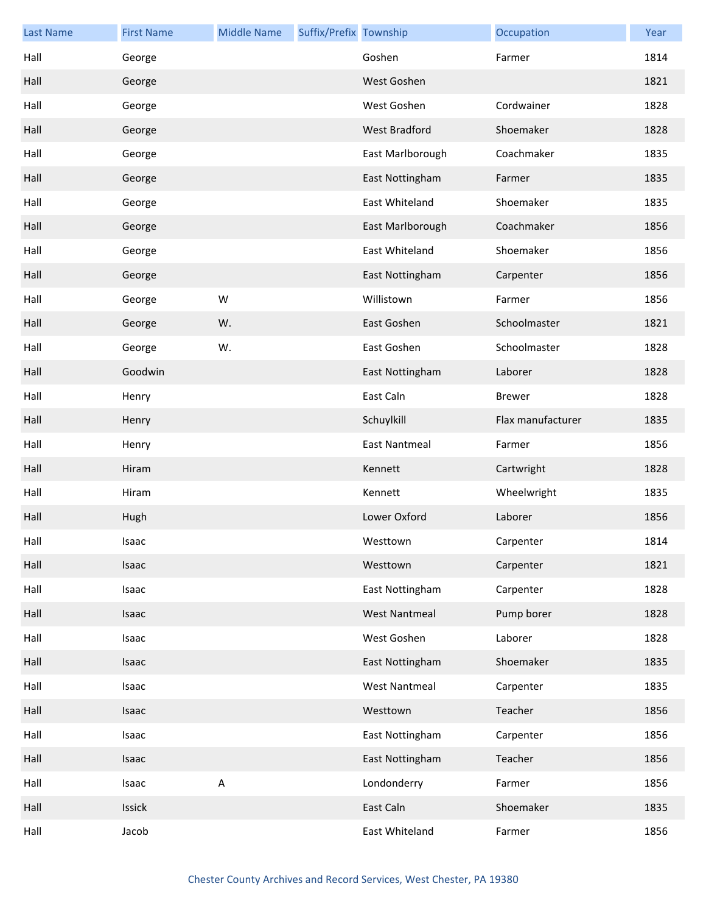| <b>Last Name</b> | <b>First Name</b> | <b>Middle Name</b> | Suffix/Prefix Township |                      | Occupation        | Year |
|------------------|-------------------|--------------------|------------------------|----------------------|-------------------|------|
| Hall             | George            |                    |                        | Goshen               | Farmer            | 1814 |
| Hall             | George            |                    |                        | West Goshen          |                   | 1821 |
| Hall             | George            |                    |                        | West Goshen          | Cordwainer        | 1828 |
| Hall             | George            |                    |                        | <b>West Bradford</b> | Shoemaker         | 1828 |
| Hall             | George            |                    |                        | East Marlborough     | Coachmaker        | 1835 |
| Hall             | George            |                    |                        | East Nottingham      | Farmer            | 1835 |
| Hall             | George            |                    |                        | East Whiteland       | Shoemaker         | 1835 |
| Hall             | George            |                    |                        | East Marlborough     | Coachmaker        | 1856 |
| Hall             | George            |                    |                        | East Whiteland       | Shoemaker         | 1856 |
| Hall             | George            |                    |                        | East Nottingham      | Carpenter         | 1856 |
| Hall             | George            | W                  |                        | Willistown           | Farmer            | 1856 |
| Hall             | George            | W.                 |                        | East Goshen          | Schoolmaster      | 1821 |
| Hall             | George            | W.                 |                        | East Goshen          | Schoolmaster      | 1828 |
| Hall             | Goodwin           |                    |                        | East Nottingham      | Laborer           | 1828 |
| Hall             | Henry             |                    |                        | East Caln            | <b>Brewer</b>     | 1828 |
| Hall             | Henry             |                    |                        | Schuylkill           | Flax manufacturer | 1835 |
| Hall             | Henry             |                    |                        | <b>East Nantmeal</b> | Farmer            | 1856 |
| Hall             | Hiram             |                    |                        | Kennett              | Cartwright        | 1828 |
| Hall             | Hiram             |                    |                        | Kennett              | Wheelwright       | 1835 |
| Hall             | Hugh              |                    |                        | Lower Oxford         | Laborer           | 1856 |
| Hall             | Isaac             |                    |                        | Westtown             | Carpenter         | 1814 |
| Hall             | Isaac             |                    |                        | Westtown             | Carpenter         | 1821 |
| Hall             | Isaac             |                    |                        | East Nottingham      | Carpenter         | 1828 |
| Hall             | Isaac             |                    |                        | <b>West Nantmeal</b> | Pump borer        | 1828 |
| Hall             | Isaac             |                    |                        | West Goshen          | Laborer           | 1828 |
| Hall             | Isaac             |                    |                        | East Nottingham      | Shoemaker         | 1835 |
| Hall             | Isaac             |                    |                        | West Nantmeal        | Carpenter         | 1835 |
| Hall             | Isaac             |                    |                        | Westtown             | Teacher           | 1856 |
| Hall             | Isaac             |                    |                        | East Nottingham      | Carpenter         | 1856 |
| Hall             | Isaac             |                    |                        | East Nottingham      | Teacher           | 1856 |
| Hall             | Isaac             | $\sf A$            |                        | Londonderry          | Farmer            | 1856 |
| Hall             | Issick            |                    |                        | East Caln            | Shoemaker         | 1835 |
| Hall             | Jacob             |                    |                        | East Whiteland       | Farmer            | 1856 |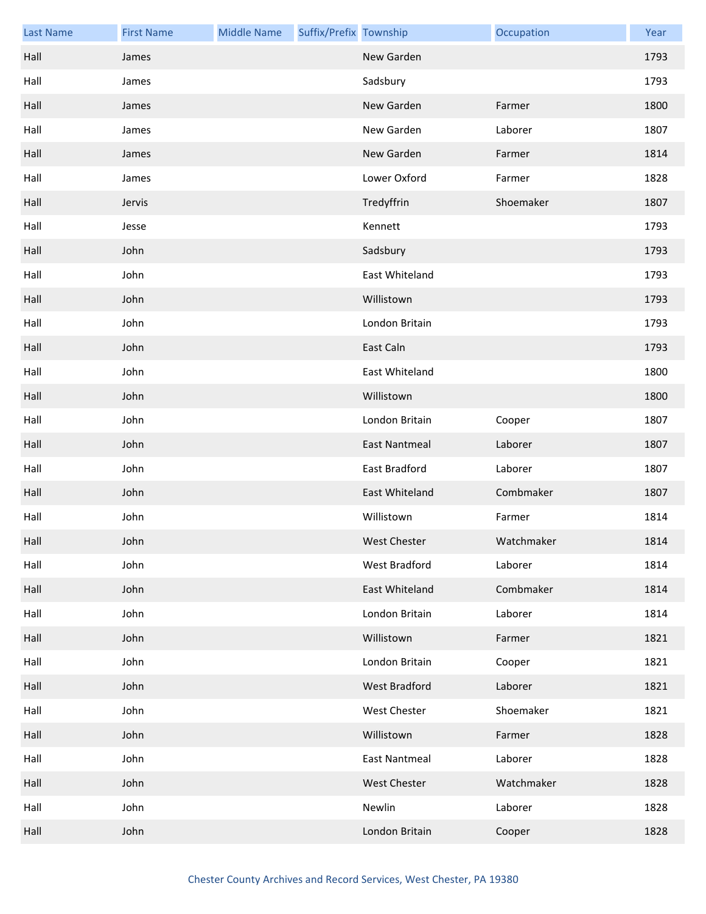| <b>Last Name</b> | <b>First Name</b> | <b>Middle Name</b> | Suffix/Prefix Township |                      | Occupation | Year |
|------------------|-------------------|--------------------|------------------------|----------------------|------------|------|
| Hall             | James             |                    |                        | New Garden           |            | 1793 |
| Hall             | James             |                    |                        | Sadsbury             |            | 1793 |
| Hall             | James             |                    |                        | New Garden           | Farmer     | 1800 |
| Hall             | James             |                    |                        | New Garden           | Laborer    | 1807 |
| Hall             | James             |                    |                        | New Garden           | Farmer     | 1814 |
| Hall             | James             |                    |                        | Lower Oxford         | Farmer     | 1828 |
| Hall             | Jervis            |                    |                        | Tredyffrin           | Shoemaker  | 1807 |
| Hall             | Jesse             |                    |                        | Kennett              |            | 1793 |
| Hall             | John              |                    |                        | Sadsbury             |            | 1793 |
| Hall             | John              |                    |                        | East Whiteland       |            | 1793 |
| Hall             | John              |                    |                        | Willistown           |            | 1793 |
| Hall             | John              |                    |                        | London Britain       |            | 1793 |
| Hall             | John              |                    |                        | East Caln            |            | 1793 |
| Hall             | John              |                    |                        | East Whiteland       |            | 1800 |
| Hall             | John              |                    |                        | Willistown           |            | 1800 |
| Hall             | John              |                    |                        | London Britain       | Cooper     | 1807 |
| Hall             | John              |                    |                        | East Nantmeal        | Laborer    | 1807 |
| Hall             | John              |                    |                        | East Bradford        | Laborer    | 1807 |
| Hall             | John              |                    |                        | East Whiteland       | Combmaker  | 1807 |
| Hall             | John              |                    |                        | Willistown           | Farmer     | 1814 |
| Hall             | John              |                    |                        | <b>West Chester</b>  | Watchmaker | 1814 |
| Hall             | John              |                    |                        | West Bradford        | Laborer    | 1814 |
| Hall             | John              |                    |                        | East Whiteland       | Combmaker  | 1814 |
| Hall             | John              |                    |                        | London Britain       | Laborer    | 1814 |
| Hall             | John              |                    |                        | Willistown           | Farmer     | 1821 |
| Hall             | John              |                    |                        | London Britain       | Cooper     | 1821 |
| Hall             | John              |                    |                        | West Bradford        | Laborer    | 1821 |
| Hall             | John              |                    |                        | West Chester         | Shoemaker  | 1821 |
| Hall             | John              |                    |                        | Willistown           | Farmer     | 1828 |
| Hall             | John              |                    |                        | <b>East Nantmeal</b> | Laborer    | 1828 |
| Hall             | John              |                    |                        | West Chester         | Watchmaker | 1828 |
| Hall             | John              |                    |                        | Newlin               | Laborer    | 1828 |
| Hall             | John              |                    |                        | London Britain       | Cooper     | 1828 |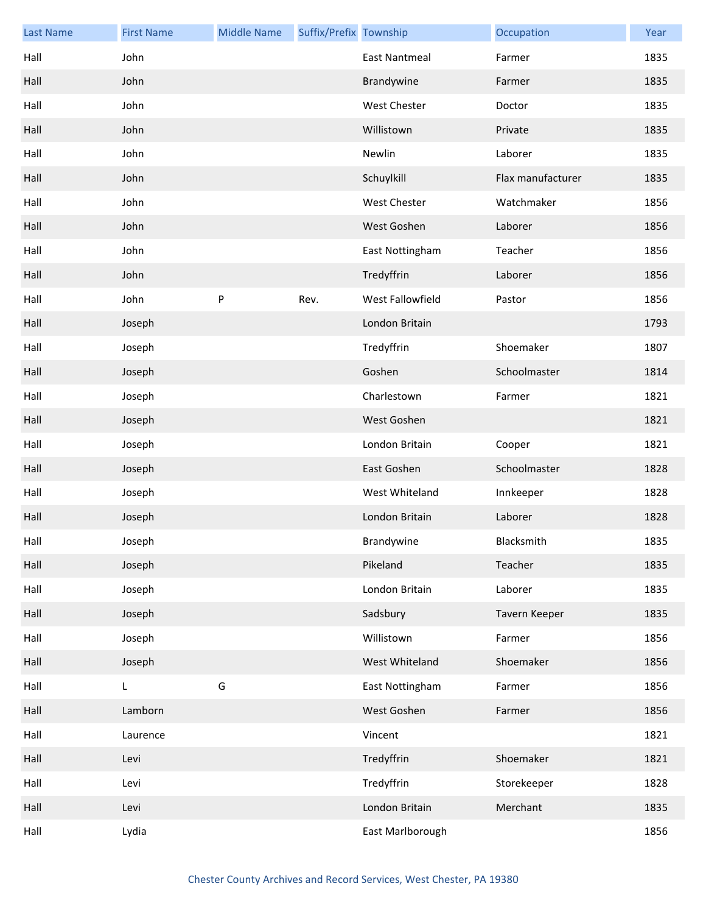| <b>Last Name</b> | <b>First Name</b> | <b>Middle Name</b> | Suffix/Prefix Township |                      | Occupation        | Year |
|------------------|-------------------|--------------------|------------------------|----------------------|-------------------|------|
| Hall             | John              |                    |                        | <b>East Nantmeal</b> | Farmer            | 1835 |
| Hall             | John              |                    |                        | Brandywine           | Farmer            | 1835 |
| Hall             | John              |                    |                        | <b>West Chester</b>  | Doctor            | 1835 |
| Hall             | John              |                    |                        | Willistown           | Private           | 1835 |
| Hall             | John              |                    |                        | Newlin               | Laborer           | 1835 |
| Hall             | John              |                    |                        | Schuylkill           | Flax manufacturer | 1835 |
| Hall             | John              |                    |                        | <b>West Chester</b>  | Watchmaker        | 1856 |
| Hall             | John              |                    |                        | West Goshen          | Laborer           | 1856 |
| Hall             | John              |                    |                        | East Nottingham      | Teacher           | 1856 |
| Hall             | John              |                    |                        | Tredyffrin           | Laborer           | 1856 |
| Hall             | John              | P                  | Rev.                   | West Fallowfield     | Pastor            | 1856 |
| Hall             | Joseph            |                    |                        | London Britain       |                   | 1793 |
| Hall             | Joseph            |                    |                        | Tredyffrin           | Shoemaker         | 1807 |
| Hall             | Joseph            |                    |                        | Goshen               | Schoolmaster      | 1814 |
| Hall             | Joseph            |                    |                        | Charlestown          | Farmer            | 1821 |
| Hall             | Joseph            |                    |                        | West Goshen          |                   | 1821 |
| Hall             | Joseph            |                    |                        | London Britain       | Cooper            | 1821 |
| Hall             | Joseph            |                    |                        | East Goshen          | Schoolmaster      | 1828 |
| Hall             | Joseph            |                    |                        | West Whiteland       | Innkeeper         | 1828 |
| Hall             | Joseph            |                    |                        | London Britain       | Laborer           | 1828 |
| Hall             | Joseph            |                    |                        | Brandywine           | Blacksmith        | 1835 |
| Hall             | Joseph            |                    |                        | Pikeland             | Teacher           | 1835 |
| Hall             | Joseph            |                    |                        | London Britain       | Laborer           | 1835 |
| Hall             | Joseph            |                    |                        | Sadsbury             | Tavern Keeper     | 1835 |
| Hall             | Joseph            |                    |                        | Willistown           | Farmer            | 1856 |
| Hall             | Joseph            |                    |                        | West Whiteland       | Shoemaker         | 1856 |
| Hall             | L                 | G                  |                        | East Nottingham      | Farmer            | 1856 |
| Hall             | Lamborn           |                    |                        | West Goshen          | Farmer            | 1856 |
| Hall             | Laurence          |                    |                        | Vincent              |                   | 1821 |
| Hall             | Levi              |                    |                        | Tredyffrin           | Shoemaker         | 1821 |
| Hall             | Levi              |                    |                        | Tredyffrin           | Storekeeper       | 1828 |
| Hall             | Levi              |                    |                        | London Britain       | Merchant          | 1835 |
| Hall             | Lydia             |                    |                        | East Marlborough     |                   | 1856 |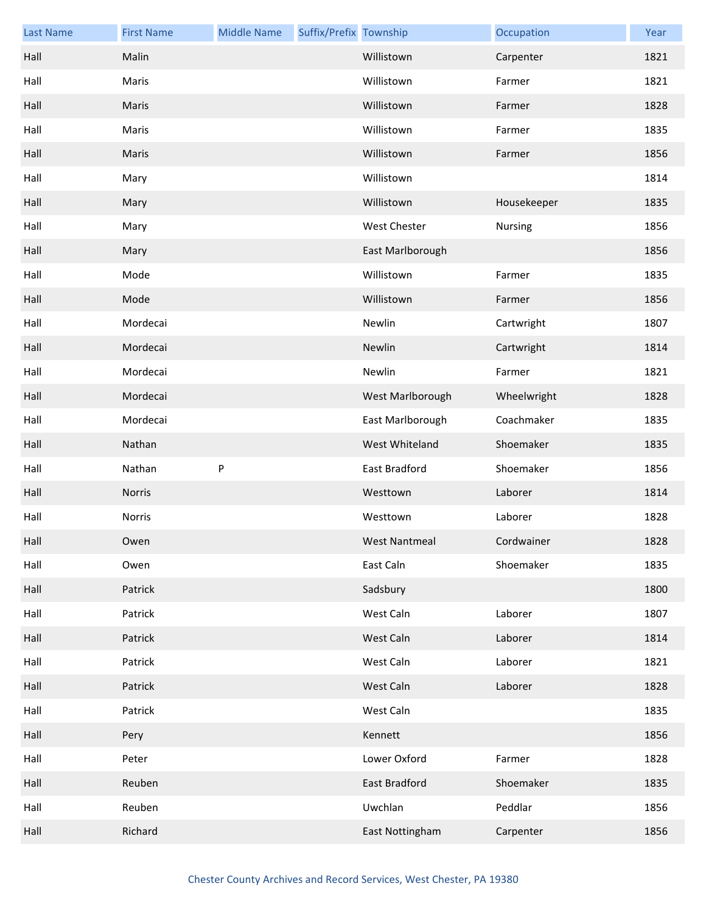| <b>Last Name</b> | <b>First Name</b> | <b>Middle Name</b> | Suffix/Prefix Township |                     | Occupation  | Year |
|------------------|-------------------|--------------------|------------------------|---------------------|-------------|------|
| Hall             | Malin             |                    |                        | Willistown          | Carpenter   | 1821 |
| Hall             | Maris             |                    |                        | Willistown          | Farmer      | 1821 |
| Hall             | Maris             |                    |                        | Willistown          | Farmer      | 1828 |
| Hall             | Maris             |                    |                        | Willistown          | Farmer      | 1835 |
| Hall             | Maris             |                    |                        | Willistown          | Farmer      | 1856 |
| Hall             | Mary              |                    |                        | Willistown          |             | 1814 |
| Hall             | Mary              |                    |                        | Willistown          | Housekeeper | 1835 |
| Hall             | Mary              |                    |                        | <b>West Chester</b> | Nursing     | 1856 |
| Hall             | Mary              |                    |                        | East Marlborough    |             | 1856 |
| Hall             | Mode              |                    |                        | Willistown          | Farmer      | 1835 |
| Hall             | Mode              |                    |                        | Willistown          | Farmer      | 1856 |
| Hall             | Mordecai          |                    |                        | Newlin              | Cartwright  | 1807 |
| Hall             | Mordecai          |                    |                        | Newlin              | Cartwright  | 1814 |
| Hall             | Mordecai          |                    |                        | Newlin              | Farmer      | 1821 |
| Hall             | Mordecai          |                    |                        | West Marlborough    | Wheelwright | 1828 |
| Hall             | Mordecai          |                    |                        | East Marlborough    | Coachmaker  | 1835 |
| Hall             | Nathan            |                    |                        | West Whiteland      | Shoemaker   | 1835 |
| Hall             | Nathan            | P                  |                        | East Bradford       | Shoemaker   | 1856 |
| Hall             | Norris            |                    |                        | Westtown            | Laborer     | 1814 |
| Hall             | Norris            |                    |                        | Westtown            | Laborer     | 1828 |
| Hall             | Owen              |                    |                        | West Nantmeal       | Cordwainer  | 1828 |
| Hall             | Owen              |                    |                        | East Caln           | Shoemaker   | 1835 |
| Hall             | Patrick           |                    |                        | Sadsbury            |             | 1800 |
| Hall             | Patrick           |                    |                        | West Caln           | Laborer     | 1807 |
| Hall             | Patrick           |                    |                        | West Caln           | Laborer     | 1814 |
| Hall             | Patrick           |                    |                        | West Caln           | Laborer     | 1821 |
| Hall             | Patrick           |                    |                        | West Caln           | Laborer     | 1828 |
| Hall             | Patrick           |                    |                        | West Caln           |             | 1835 |
| Hall             | Pery              |                    |                        | Kennett             |             | 1856 |
| Hall             | Peter             |                    |                        | Lower Oxford        | Farmer      | 1828 |
| Hall             | Reuben            |                    |                        | East Bradford       | Shoemaker   | 1835 |
| Hall             | Reuben            |                    |                        | Uwchlan             | Peddlar     | 1856 |
| Hall             | Richard           |                    |                        | East Nottingham     | Carpenter   | 1856 |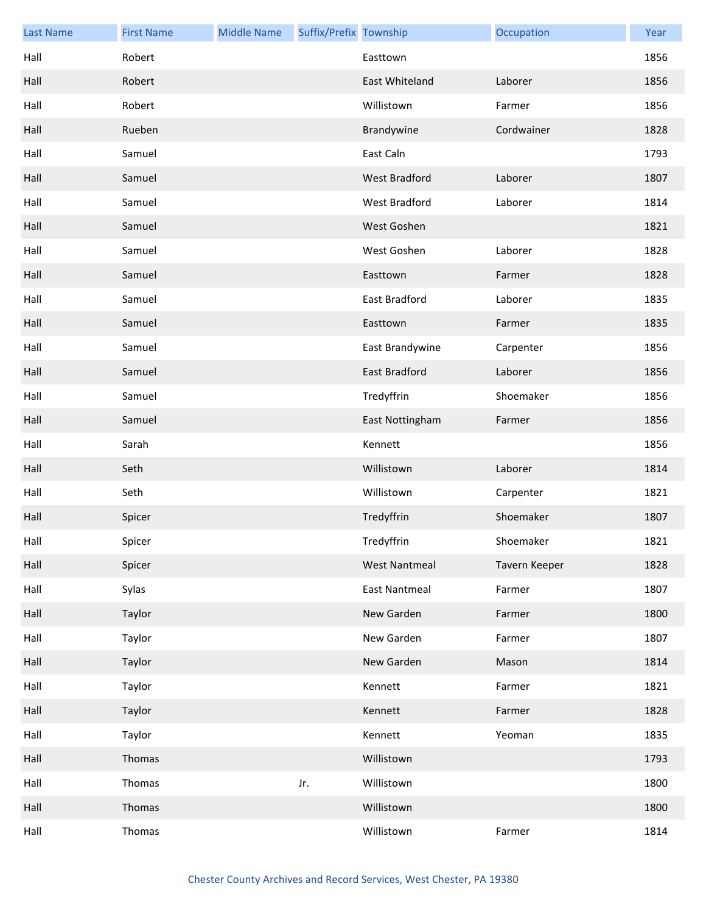| <b>Last Name</b> | <b>First Name</b> | <b>Middle Name</b> | Suffix/Prefix Township |                      | Occupation    | Year |
|------------------|-------------------|--------------------|------------------------|----------------------|---------------|------|
| Hall             | Robert            |                    |                        | Easttown             |               | 1856 |
| Hall             | Robert            |                    |                        | East Whiteland       | Laborer       | 1856 |
| Hall             | Robert            |                    |                        | Willistown           | Farmer        | 1856 |
| Hall             | Rueben            |                    |                        | Brandywine           | Cordwainer    | 1828 |
| Hall             | Samuel            |                    |                        | East Caln            |               | 1793 |
| Hall             | Samuel            |                    |                        | West Bradford        | Laborer       | 1807 |
| Hall             | Samuel            |                    |                        | West Bradford        | Laborer       | 1814 |
| Hall             | Samuel            |                    |                        | West Goshen          |               | 1821 |
| Hall             | Samuel            |                    |                        | West Goshen          | Laborer       | 1828 |
| Hall             | Samuel            |                    |                        | Easttown             | Farmer        | 1828 |
| Hall             | Samuel            |                    |                        | East Bradford        | Laborer       | 1835 |
| Hall             | Samuel            |                    |                        | Easttown             | Farmer        | 1835 |
| Hall             | Samuel            |                    |                        | East Brandywine      | Carpenter     | 1856 |
| Hall             | Samuel            |                    |                        | East Bradford        | Laborer       | 1856 |
| Hall             | Samuel            |                    |                        | Tredyffrin           | Shoemaker     | 1856 |
| Hall             | Samuel            |                    |                        | East Nottingham      | Farmer        | 1856 |
| Hall             | Sarah             |                    |                        | Kennett              |               | 1856 |
| Hall             | Seth              |                    |                        | Willistown           | Laborer       | 1814 |
| Hall             | Seth              |                    |                        | Willistown           | Carpenter     | 1821 |
| Hall             | Spicer            |                    |                        | Tredyffrin           | Shoemaker     | 1807 |
| Hall             | Spicer            |                    |                        | Tredyffrin           | Shoemaker     | 1821 |
| Hall             | Spicer            |                    |                        | <b>West Nantmeal</b> | Tavern Keeper | 1828 |
| Hall             | Sylas             |                    |                        | <b>East Nantmeal</b> | Farmer        | 1807 |
| Hall             | Taylor            |                    |                        | New Garden           | Farmer        | 1800 |
| Hall             | Taylor            |                    |                        | New Garden           | Farmer        | 1807 |
| Hall             | Taylor            |                    |                        | New Garden           | Mason         | 1814 |
| Hall             | Taylor            |                    |                        | Kennett              | Farmer        | 1821 |
| Hall             | Taylor            |                    |                        | Kennett              | Farmer        | 1828 |
| Hall             | Taylor            |                    |                        | Kennett              | Yeoman        | 1835 |
| Hall             | Thomas            |                    |                        | Willistown           |               | 1793 |
| Hall             | Thomas            |                    | Jr.                    | Willistown           |               | 1800 |
| Hall             | Thomas            |                    |                        | Willistown           |               | 1800 |
| Hall             | Thomas            |                    |                        | Willistown           | Farmer        | 1814 |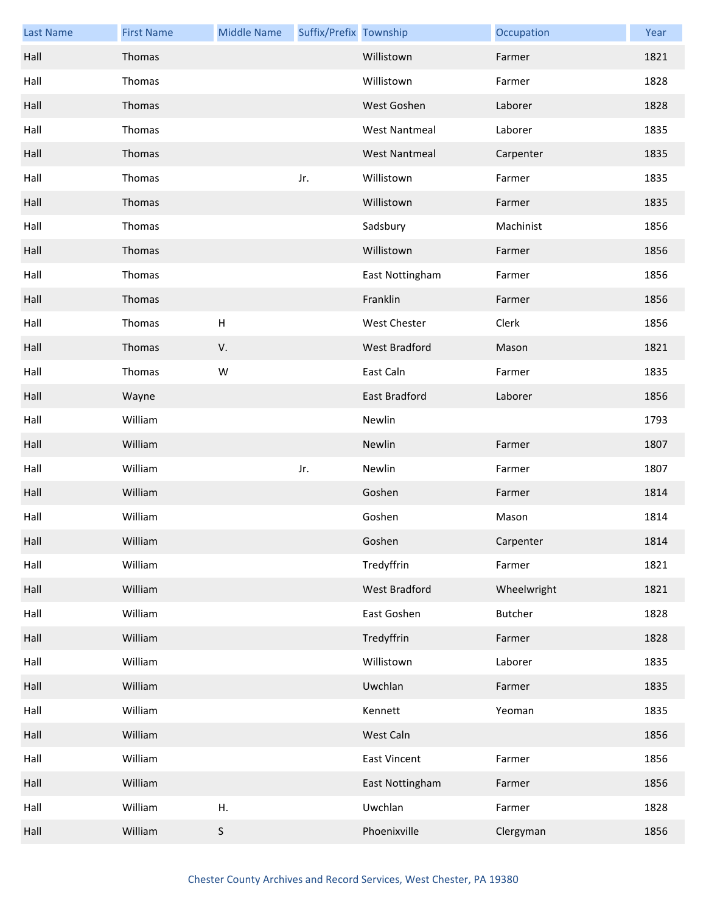| <b>Last Name</b> | <b>First Name</b> | <b>Middle Name</b> | Suffix/Prefix Township |                      | Occupation  | Year |
|------------------|-------------------|--------------------|------------------------|----------------------|-------------|------|
| Hall             | Thomas            |                    |                        | Willistown           | Farmer      | 1821 |
| Hall             | Thomas            |                    |                        | Willistown           | Farmer      | 1828 |
| Hall             | Thomas            |                    |                        | West Goshen          | Laborer     | 1828 |
| Hall             | Thomas            |                    |                        | <b>West Nantmeal</b> | Laborer     | 1835 |
| Hall             | Thomas            |                    |                        | <b>West Nantmeal</b> | Carpenter   | 1835 |
| Hall             | Thomas            |                    | Jr.                    | Willistown           | Farmer      | 1835 |
| Hall             | Thomas            |                    |                        | Willistown           | Farmer      | 1835 |
| Hall             | Thomas            |                    |                        | Sadsbury             | Machinist   | 1856 |
| Hall             | Thomas            |                    |                        | Willistown           | Farmer      | 1856 |
| Hall             | Thomas            |                    |                        | East Nottingham      | Farmer      | 1856 |
| Hall             | Thomas            |                    |                        | Franklin             | Farmer      | 1856 |
| Hall             | Thomas            | $\sf H$            |                        | <b>West Chester</b>  | Clerk       | 1856 |
| Hall             | Thomas            | V.                 |                        | <b>West Bradford</b> | Mason       | 1821 |
| Hall             | Thomas            | W                  |                        | East Caln            | Farmer      | 1835 |
| Hall             | Wayne             |                    |                        | East Bradford        | Laborer     | 1856 |
| Hall             | William           |                    |                        | Newlin               |             | 1793 |
| Hall             | William           |                    |                        | Newlin               | Farmer      | 1807 |
| Hall             | William           |                    | Jr.                    | Newlin               | Farmer      | 1807 |
| Hall             | William           |                    |                        | Goshen               | Farmer      | 1814 |
| Hall             | William           |                    |                        | Goshen               | Mason       | 1814 |
| Hall             | William           |                    |                        | Goshen               | Carpenter   | 1814 |
| Hall             | William           |                    |                        | Tredyffrin           | Farmer      | 1821 |
| Hall             | William           |                    |                        | West Bradford        | Wheelwright | 1821 |
| Hall             | William           |                    |                        | East Goshen          | Butcher     | 1828 |
| Hall             | William           |                    |                        | Tredyffrin           | Farmer      | 1828 |
| Hall             | William           |                    |                        | Willistown           | Laborer     | 1835 |
| Hall             | William           |                    |                        | Uwchlan              | Farmer      | 1835 |
| Hall             | William           |                    |                        | Kennett              | Yeoman      | 1835 |
| Hall             | William           |                    |                        | West Caln            |             | 1856 |
| Hall             | William           |                    |                        | <b>East Vincent</b>  | Farmer      | 1856 |
| Hall             | William           |                    |                        | East Nottingham      | Farmer      | 1856 |
| Hall             | William           | Η.                 |                        | Uwchlan              | Farmer      | 1828 |
| Hall             | William           | S                  |                        | Phoenixville         | Clergyman   | 1856 |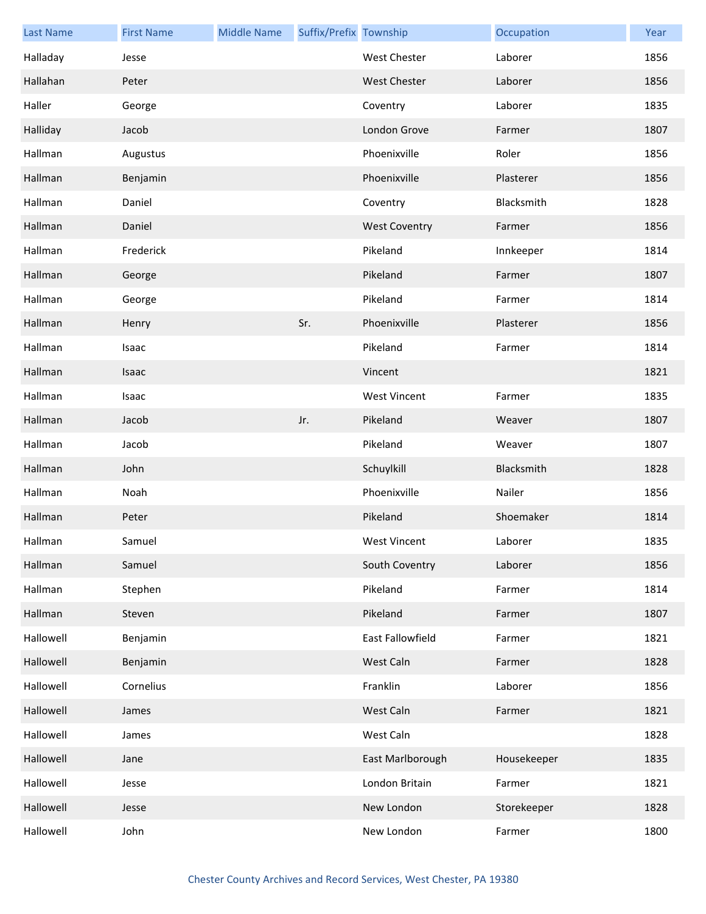| <b>Last Name</b> | <b>First Name</b> | <b>Middle Name</b> | Suffix/Prefix Township |                      | Occupation  | Year |
|------------------|-------------------|--------------------|------------------------|----------------------|-------------|------|
| Halladay         | Jesse             |                    |                        | West Chester         | Laborer     | 1856 |
| Hallahan         | Peter             |                    |                        | <b>West Chester</b>  | Laborer     | 1856 |
| Haller           | George            |                    |                        | Coventry             | Laborer     | 1835 |
| Halliday         | Jacob             |                    |                        | London Grove         | Farmer      | 1807 |
| Hallman          | Augustus          |                    |                        | Phoenixville         | Roler       | 1856 |
| Hallman          | Benjamin          |                    |                        | Phoenixville         | Plasterer   | 1856 |
| Hallman          | Daniel            |                    |                        | Coventry             | Blacksmith  | 1828 |
| Hallman          | Daniel            |                    |                        | <b>West Coventry</b> | Farmer      | 1856 |
| Hallman          | Frederick         |                    |                        | Pikeland             | Innkeeper   | 1814 |
| Hallman          | George            |                    |                        | Pikeland             | Farmer      | 1807 |
| Hallman          | George            |                    |                        | Pikeland             | Farmer      | 1814 |
| Hallman          | Henry             |                    | Sr.                    | Phoenixville         | Plasterer   | 1856 |
| Hallman          | Isaac             |                    |                        | Pikeland             | Farmer      | 1814 |
| Hallman          | Isaac             |                    |                        | Vincent              |             | 1821 |
| Hallman          | Isaac             |                    |                        | <b>West Vincent</b>  | Farmer      | 1835 |
| Hallman          | Jacob             |                    | Jr.                    | Pikeland             | Weaver      | 1807 |
| Hallman          | Jacob             |                    |                        | Pikeland             | Weaver      | 1807 |
| Hallman          | John              |                    |                        | Schuylkill           | Blacksmith  | 1828 |
| Hallman          | Noah              |                    |                        | Phoenixville         | Nailer      | 1856 |
| Hallman          | Peter             |                    |                        | Pikeland             | Shoemaker   | 1814 |
| Hallman          | Samuel            |                    |                        | West Vincent         | Laborer     | 1835 |
| Hallman          | Samuel            |                    |                        | South Coventry       | Laborer     | 1856 |
| Hallman          | Stephen           |                    |                        | Pikeland             | Farmer      | 1814 |
| Hallman          | Steven            |                    |                        | Pikeland             | Farmer      | 1807 |
| Hallowell        | Benjamin          |                    |                        | East Fallowfield     | Farmer      | 1821 |
| Hallowell        | Benjamin          |                    |                        | West Caln            | Farmer      | 1828 |
| Hallowell        | Cornelius         |                    |                        | Franklin             | Laborer     | 1856 |
| Hallowell        | James             |                    |                        | West Caln            | Farmer      | 1821 |
| Hallowell        | James             |                    |                        | West Caln            |             | 1828 |
| Hallowell        | Jane              |                    |                        | East Marlborough     | Housekeeper | 1835 |
| Hallowell        | Jesse             |                    |                        | London Britain       | Farmer      | 1821 |
| Hallowell        | Jesse             |                    |                        | New London           | Storekeeper | 1828 |
| Hallowell        | John              |                    |                        | New London           | Farmer      | 1800 |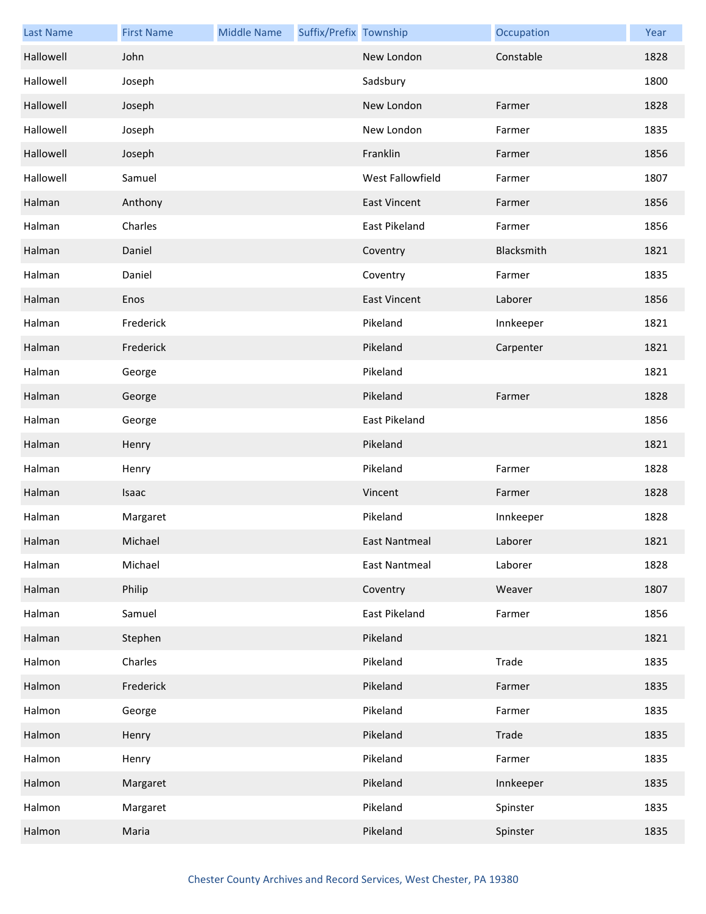| <b>Last Name</b> | <b>First Name</b> | <b>Middle Name</b> | Suffix/Prefix Township |                      | Occupation | Year |
|------------------|-------------------|--------------------|------------------------|----------------------|------------|------|
| Hallowell        | John              |                    |                        | New London           | Constable  | 1828 |
| Hallowell        | Joseph            |                    |                        | Sadsbury             |            | 1800 |
| Hallowell        | Joseph            |                    |                        | New London           | Farmer     | 1828 |
| Hallowell        | Joseph            |                    |                        | New London           | Farmer     | 1835 |
| Hallowell        | Joseph            |                    |                        | Franklin             | Farmer     | 1856 |
| Hallowell        | Samuel            |                    |                        | West Fallowfield     | Farmer     | 1807 |
| Halman           | Anthony           |                    |                        | <b>East Vincent</b>  | Farmer     | 1856 |
| Halman           | Charles           |                    |                        | East Pikeland        | Farmer     | 1856 |
| Halman           | Daniel            |                    |                        | Coventry             | Blacksmith | 1821 |
| Halman           | Daniel            |                    |                        | Coventry             | Farmer     | 1835 |
| Halman           | Enos              |                    |                        | <b>East Vincent</b>  | Laborer    | 1856 |
| Halman           | Frederick         |                    |                        | Pikeland             | Innkeeper  | 1821 |
| Halman           | Frederick         |                    |                        | Pikeland             | Carpenter  | 1821 |
| Halman           | George            |                    |                        | Pikeland             |            | 1821 |
| Halman           | George            |                    |                        | Pikeland             | Farmer     | 1828 |
| Halman           | George            |                    |                        | East Pikeland        |            | 1856 |
| Halman           | Henry             |                    |                        | Pikeland             |            | 1821 |
| Halman           | Henry             |                    |                        | Pikeland             | Farmer     | 1828 |
| Halman           | Isaac             |                    |                        | Vincent              | Farmer     | 1828 |
| Halman           | Margaret          |                    |                        | Pikeland             | Innkeeper  | 1828 |
| Halman           | Michael           |                    |                        | East Nantmeal        | Laborer    | 1821 |
| Halman           | Michael           |                    |                        | <b>East Nantmeal</b> | Laborer    | 1828 |
| Halman           | Philip            |                    |                        | Coventry             | Weaver     | 1807 |
| Halman           | Samuel            |                    |                        | East Pikeland        | Farmer     | 1856 |
| Halman           | Stephen           |                    |                        | Pikeland             |            | 1821 |
| Halmon           | Charles           |                    |                        | Pikeland             | Trade      | 1835 |
| Halmon           | Frederick         |                    |                        | Pikeland             | Farmer     | 1835 |
| Halmon           | George            |                    |                        | Pikeland             | Farmer     | 1835 |
| Halmon           | Henry             |                    |                        | Pikeland             | Trade      | 1835 |
| Halmon           | Henry             |                    |                        | Pikeland             | Farmer     | 1835 |
| Halmon           | Margaret          |                    |                        | Pikeland             | Innkeeper  | 1835 |
| Halmon           | Margaret          |                    |                        | Pikeland             | Spinster   | 1835 |
| Halmon           | Maria             |                    |                        | Pikeland             | Spinster   | 1835 |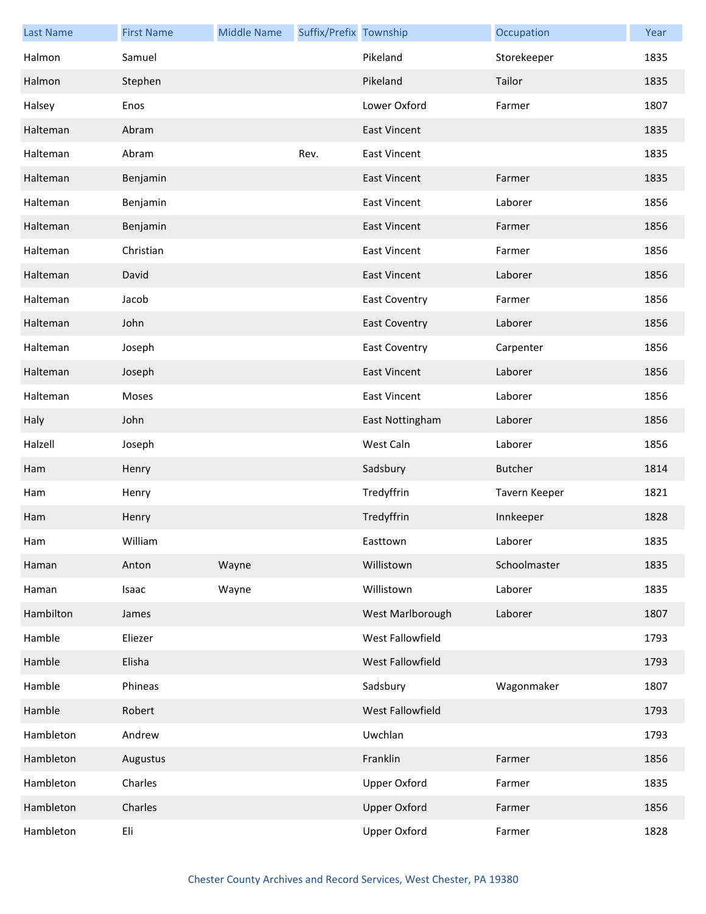| <b>Last Name</b> | <b>First Name</b> | <b>Middle Name</b> | Suffix/Prefix Township |                      | Occupation     | Year |
|------------------|-------------------|--------------------|------------------------|----------------------|----------------|------|
| Halmon           | Samuel            |                    |                        | Pikeland             | Storekeeper    | 1835 |
| Halmon           | Stephen           |                    |                        | Pikeland             | Tailor         | 1835 |
| Halsey           | Enos              |                    |                        | Lower Oxford         | Farmer         | 1807 |
| Halteman         | Abram             |                    |                        | <b>East Vincent</b>  |                | 1835 |
| Halteman         | Abram             |                    | Rev.                   | <b>East Vincent</b>  |                | 1835 |
| Halteman         | Benjamin          |                    |                        | <b>East Vincent</b>  | Farmer         | 1835 |
| Halteman         | Benjamin          |                    |                        | <b>East Vincent</b>  | Laborer        | 1856 |
| Halteman         | Benjamin          |                    |                        | <b>East Vincent</b>  | Farmer         | 1856 |
| Halteman         | Christian         |                    |                        | <b>East Vincent</b>  | Farmer         | 1856 |
| Halteman         | David             |                    |                        | <b>East Vincent</b>  | Laborer        | 1856 |
| Halteman         | Jacob             |                    |                        | <b>East Coventry</b> | Farmer         | 1856 |
| Halteman         | John              |                    |                        | <b>East Coventry</b> | Laborer        | 1856 |
| Halteman         | Joseph            |                    |                        | <b>East Coventry</b> | Carpenter      | 1856 |
| Halteman         | Joseph            |                    |                        | <b>East Vincent</b>  | Laborer        | 1856 |
| Halteman         | Moses             |                    |                        | <b>East Vincent</b>  | Laborer        | 1856 |
| Haly             | John              |                    |                        | East Nottingham      | Laborer        | 1856 |
| Halzell          | Joseph            |                    |                        | West Caln            | Laborer        | 1856 |
| Ham              | Henry             |                    |                        | Sadsbury             | <b>Butcher</b> | 1814 |
| Ham              | Henry             |                    |                        | Tredyffrin           | Tavern Keeper  | 1821 |
| Ham              | Henry             |                    |                        | Tredyffrin           | Innkeeper      | 1828 |
| Ham              | William           |                    |                        | Easttown             | Laborer        | 1835 |
| Haman            | Anton             | Wayne              |                        | Willistown           | Schoolmaster   | 1835 |
| Haman            | Isaac             | Wayne              |                        | Willistown           | Laborer        | 1835 |
| Hambilton        | James             |                    |                        | West Marlborough     | Laborer        | 1807 |
| Hamble           | Eliezer           |                    |                        | West Fallowfield     |                | 1793 |
| Hamble           | Elisha            |                    |                        | West Fallowfield     |                | 1793 |
| Hamble           | Phineas           |                    |                        | Sadsbury             | Wagonmaker     | 1807 |
| Hamble           | Robert            |                    |                        | West Fallowfield     |                | 1793 |
| Hambleton        | Andrew            |                    |                        | Uwchlan              |                | 1793 |
| Hambleton        | Augustus          |                    |                        | Franklin             | Farmer         | 1856 |
| Hambleton        | Charles           |                    |                        | <b>Upper Oxford</b>  | Farmer         | 1835 |
| Hambleton        | Charles           |                    |                        | <b>Upper Oxford</b>  | Farmer         | 1856 |
| Hambleton        | Eli               |                    |                        | <b>Upper Oxford</b>  | Farmer         | 1828 |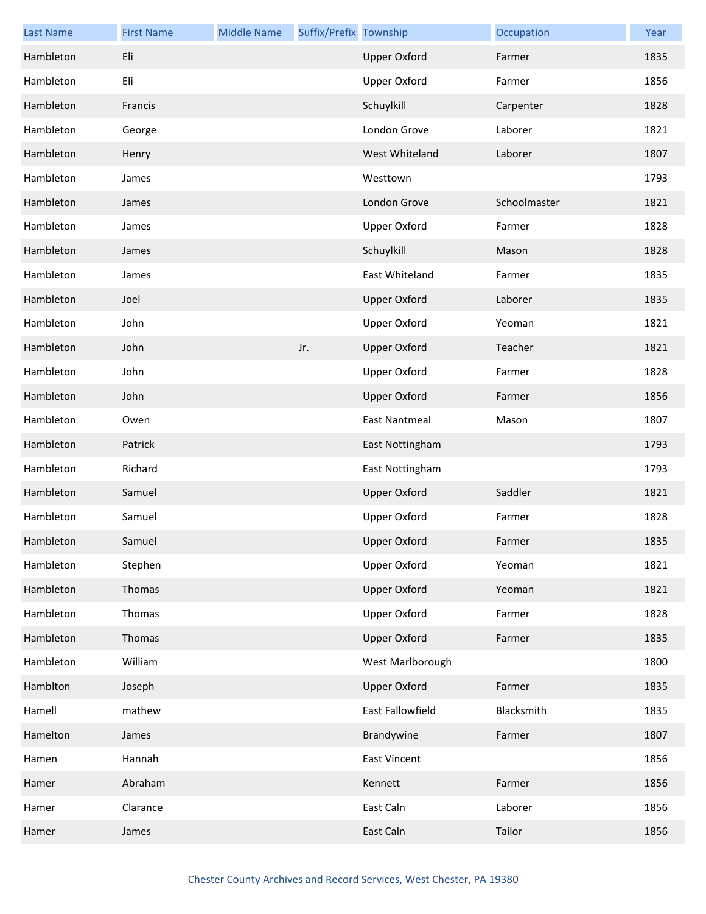| <b>Last Name</b> | <b>First Name</b> | <b>Middle Name</b> | Suffix/Prefix Township |                      | Occupation   | Year |
|------------------|-------------------|--------------------|------------------------|----------------------|--------------|------|
| Hambleton        | Eli               |                    |                        | <b>Upper Oxford</b>  | Farmer       | 1835 |
| Hambleton        | Eli               |                    |                        | <b>Upper Oxford</b>  | Farmer       | 1856 |
| Hambleton        | Francis           |                    |                        | Schuylkill           | Carpenter    | 1828 |
| Hambleton        | George            |                    |                        | London Grove         | Laborer      | 1821 |
| Hambleton        | Henry             |                    |                        | West Whiteland       | Laborer      | 1807 |
| Hambleton        | James             |                    |                        | Westtown             |              | 1793 |
| Hambleton        | James             |                    |                        | London Grove         | Schoolmaster | 1821 |
| Hambleton        | James             |                    |                        | <b>Upper Oxford</b>  | Farmer       | 1828 |
| Hambleton        | James             |                    |                        | Schuylkill           | Mason        | 1828 |
| Hambleton        | James             |                    |                        | East Whiteland       | Farmer       | 1835 |
| Hambleton        | Joel              |                    |                        | <b>Upper Oxford</b>  | Laborer      | 1835 |
| Hambleton        | John              |                    |                        | <b>Upper Oxford</b>  | Yeoman       | 1821 |
| Hambleton        | John              |                    | Jr.                    | <b>Upper Oxford</b>  | Teacher      | 1821 |
| Hambleton        | John              |                    |                        | <b>Upper Oxford</b>  | Farmer       | 1828 |
| Hambleton        | John              |                    |                        | <b>Upper Oxford</b>  | Farmer       | 1856 |
| Hambleton        | Owen              |                    |                        | <b>East Nantmeal</b> | Mason        | 1807 |
| Hambleton        | Patrick           |                    |                        | East Nottingham      |              | 1793 |
| Hambleton        | Richard           |                    |                        | East Nottingham      |              | 1793 |
| Hambleton        | Samuel            |                    |                        | <b>Upper Oxford</b>  | Saddler      | 1821 |
| Hambleton        | Samuel            |                    |                        | <b>Upper Oxford</b>  | Farmer       | 1828 |
| Hambleton        | Samuel            |                    |                        | <b>Upper Oxford</b>  | Farmer       | 1835 |
| Hambleton        | Stephen           |                    |                        | <b>Upper Oxford</b>  | Yeoman       | 1821 |
| Hambleton        | Thomas            |                    |                        | <b>Upper Oxford</b>  | Yeoman       | 1821 |
| Hambleton        | Thomas            |                    |                        | Upper Oxford         | Farmer       | 1828 |
| Hambleton        | Thomas            |                    |                        | <b>Upper Oxford</b>  | Farmer       | 1835 |
| Hambleton        | William           |                    |                        | West Marlborough     |              | 1800 |
| Hamblton         | Joseph            |                    |                        | <b>Upper Oxford</b>  | Farmer       | 1835 |
| Hamell           | mathew            |                    |                        | East Fallowfield     | Blacksmith   | 1835 |
| Hamelton         | James             |                    |                        | Brandywine           | Farmer       | 1807 |
| Hamen            | Hannah            |                    |                        | <b>East Vincent</b>  |              | 1856 |
| Hamer            | Abraham           |                    |                        | Kennett              | Farmer       | 1856 |
| Hamer            | Clarance          |                    |                        | East Caln            | Laborer      | 1856 |
| Hamer            | James             |                    |                        | East Caln            | Tailor       | 1856 |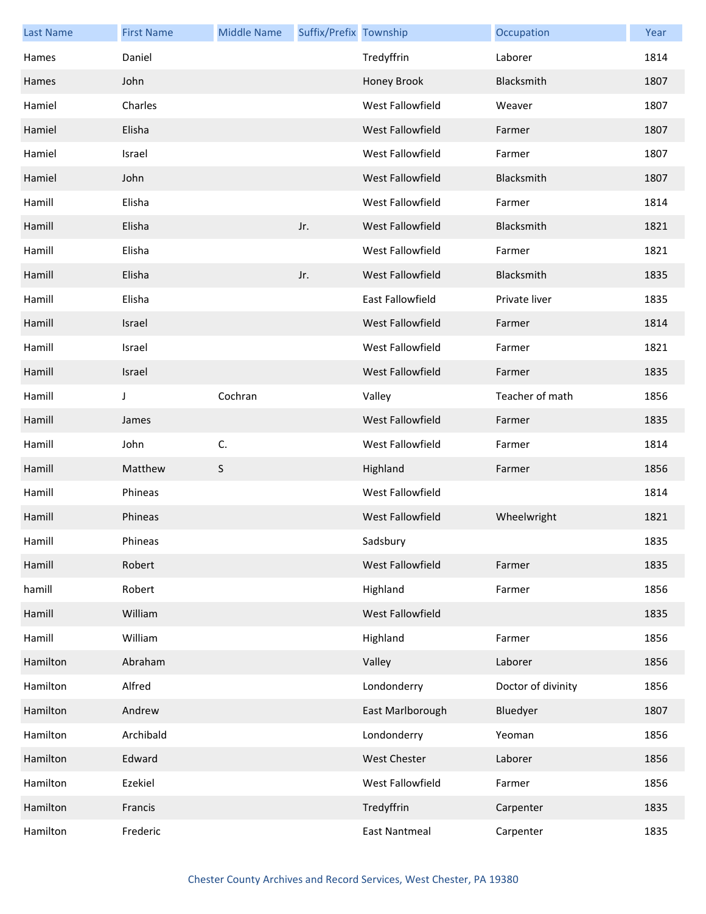| <b>Last Name</b> | <b>First Name</b> | <b>Middle Name</b> | Suffix/Prefix Township |                         | Occupation         | Year |
|------------------|-------------------|--------------------|------------------------|-------------------------|--------------------|------|
| Hames            | Daniel            |                    |                        | Tredyffrin              | Laborer            | 1814 |
| Hames            | John              |                    |                        | Honey Brook             | Blacksmith         | 1807 |
| Hamiel           | Charles           |                    |                        | West Fallowfield        | Weaver             | 1807 |
| Hamiel           | Elisha            |                    |                        | West Fallowfield        | Farmer             | 1807 |
| Hamiel           | Israel            |                    |                        | West Fallowfield        | Farmer             | 1807 |
| Hamiel           | John              |                    |                        | West Fallowfield        | Blacksmith         | 1807 |
| Hamill           | Elisha            |                    |                        | West Fallowfield        | Farmer             | 1814 |
| Hamill           | Elisha            |                    | Jr.                    | West Fallowfield        | Blacksmith         | 1821 |
| Hamill           | Elisha            |                    |                        | West Fallowfield        | Farmer             | 1821 |
| Hamill           | Elisha            |                    | Jr.                    | <b>West Fallowfield</b> | Blacksmith         | 1835 |
| Hamill           | Elisha            |                    |                        | <b>East Fallowfield</b> | Private liver      | 1835 |
| Hamill           | Israel            |                    |                        | West Fallowfield        | Farmer             | 1814 |
| Hamill           | Israel            |                    |                        | West Fallowfield        | Farmer             | 1821 |
| Hamill           | Israel            |                    |                        | West Fallowfield        | Farmer             | 1835 |
| Hamill           | J                 | Cochran            |                        | Valley                  | Teacher of math    | 1856 |
| Hamill           | James             |                    |                        | West Fallowfield        | Farmer             | 1835 |
| Hamill           | John              | C.                 |                        | West Fallowfield        | Farmer             | 1814 |
| Hamill           | Matthew           | S                  |                        | Highland                | Farmer             | 1856 |
| Hamill           | Phineas           |                    |                        | West Fallowfield        |                    | 1814 |
| Hamill           | Phineas           |                    |                        | West Fallowfield        | Wheelwright        | 1821 |
| Hamill           | Phineas           |                    |                        | Sadsbury                |                    | 1835 |
| Hamill           | Robert            |                    |                        | West Fallowfield        | Farmer             | 1835 |
| hamill           | Robert            |                    |                        | Highland                | Farmer             | 1856 |
| Hamill           | William           |                    |                        | <b>West Fallowfield</b> |                    | 1835 |
| Hamill           | William           |                    |                        | Highland                | Farmer             | 1856 |
| Hamilton         | Abraham           |                    |                        | Valley                  | Laborer            | 1856 |
| Hamilton         | Alfred            |                    |                        | Londonderry             | Doctor of divinity | 1856 |
| Hamilton         | Andrew            |                    |                        | East Marlborough        | Bluedyer           | 1807 |
| Hamilton         | Archibald         |                    |                        | Londonderry             | Yeoman             | 1856 |
| Hamilton         | Edward            |                    |                        | <b>West Chester</b>     | Laborer            | 1856 |
| Hamilton         | Ezekiel           |                    |                        | West Fallowfield        | Farmer             | 1856 |
| Hamilton         | Francis           |                    |                        | Tredyffrin              | Carpenter          | 1835 |
| Hamilton         | Frederic          |                    |                        | <b>East Nantmeal</b>    | Carpenter          | 1835 |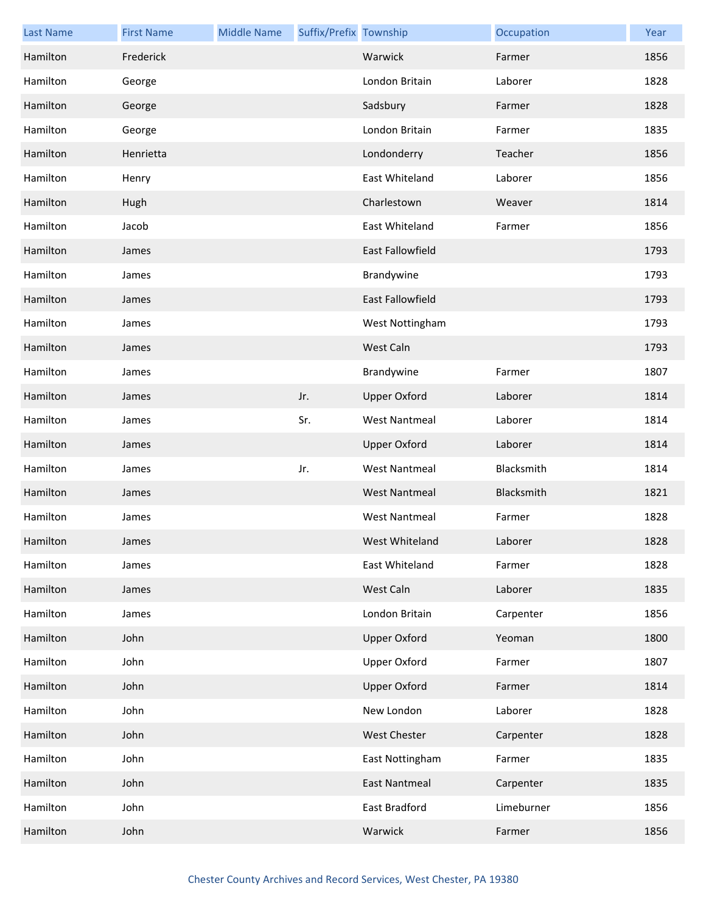| <b>Last Name</b> | <b>First Name</b> | <b>Middle Name</b> | Suffix/Prefix Township |                         | Occupation | Year |
|------------------|-------------------|--------------------|------------------------|-------------------------|------------|------|
| Hamilton         | Frederick         |                    |                        | Warwick                 | Farmer     | 1856 |
| Hamilton         | George            |                    |                        | London Britain          | Laborer    | 1828 |
| Hamilton         | George            |                    |                        | Sadsbury                | Farmer     | 1828 |
| Hamilton         | George            |                    |                        | London Britain          | Farmer     | 1835 |
| Hamilton         | Henrietta         |                    |                        | Londonderry             | Teacher    | 1856 |
| Hamilton         | Henry             |                    |                        | East Whiteland          | Laborer    | 1856 |
| Hamilton         | Hugh              |                    |                        | Charlestown             | Weaver     | 1814 |
| Hamilton         | Jacob             |                    |                        | East Whiteland          | Farmer     | 1856 |
| Hamilton         | James             |                    |                        | <b>East Fallowfield</b> |            | 1793 |
| Hamilton         | James             |                    |                        | Brandywine              |            | 1793 |
| Hamilton         | James             |                    |                        | <b>East Fallowfield</b> |            | 1793 |
| Hamilton         | James             |                    |                        | West Nottingham         |            | 1793 |
| Hamilton         | James             |                    |                        | West Caln               |            | 1793 |
| Hamilton         | James             |                    |                        | Brandywine              | Farmer     | 1807 |
| Hamilton         | James             |                    | Jr.                    | <b>Upper Oxford</b>     | Laborer    | 1814 |
| Hamilton         | James             |                    | Sr.                    | <b>West Nantmeal</b>    | Laborer    | 1814 |
| Hamilton         | James             |                    |                        | <b>Upper Oxford</b>     | Laborer    | 1814 |
| Hamilton         | James             |                    | Jr.                    | <b>West Nantmeal</b>    | Blacksmith | 1814 |
| Hamilton         | James             |                    |                        | <b>West Nantmeal</b>    | Blacksmith | 1821 |
| Hamilton         | James             |                    |                        | <b>West Nantmeal</b>    | Farmer     | 1828 |
| Hamilton         | James             |                    |                        | West Whiteland          | Laborer    | 1828 |
| Hamilton         | James             |                    |                        | East Whiteland          | Farmer     | 1828 |
| Hamilton         | James             |                    |                        | West Caln               | Laborer    | 1835 |
| Hamilton         | James             |                    |                        | London Britain          | Carpenter  | 1856 |
| Hamilton         | John              |                    |                        | <b>Upper Oxford</b>     | Yeoman     | 1800 |
| Hamilton         | John              |                    |                        | <b>Upper Oxford</b>     | Farmer     | 1807 |
| Hamilton         | John              |                    |                        | <b>Upper Oxford</b>     | Farmer     | 1814 |
| Hamilton         | John              |                    |                        | New London              | Laborer    | 1828 |
| Hamilton         | John              |                    |                        | <b>West Chester</b>     | Carpenter  | 1828 |
| Hamilton         | John              |                    |                        | East Nottingham         | Farmer     | 1835 |
| Hamilton         | John              |                    |                        | <b>East Nantmeal</b>    | Carpenter  | 1835 |
| Hamilton         | John              |                    |                        | East Bradford           | Limeburner | 1856 |
| Hamilton         | John              |                    |                        | Warwick                 | Farmer     | 1856 |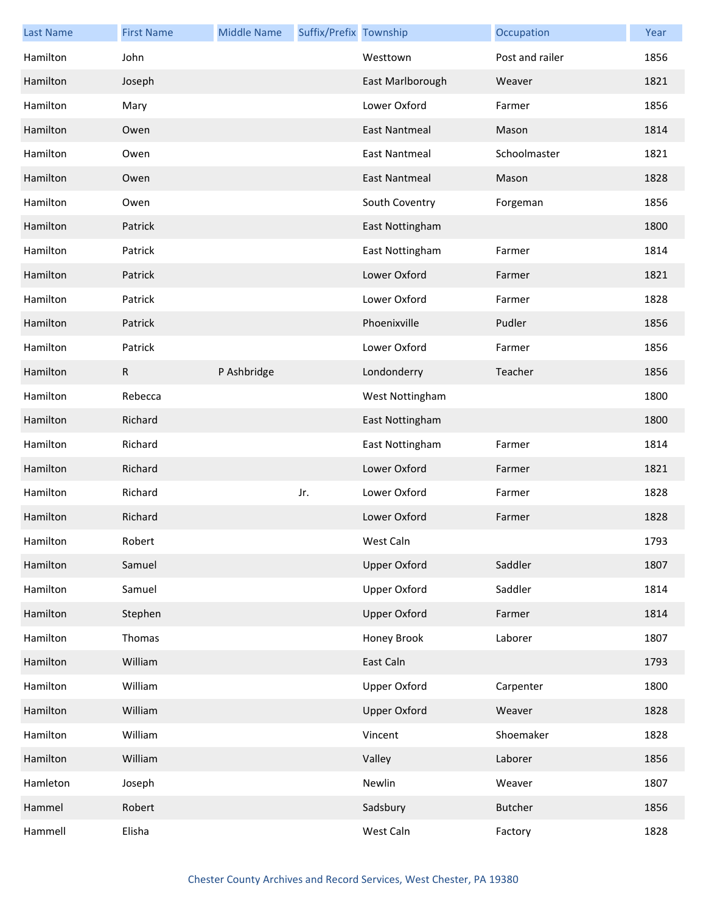| <b>Last Name</b> | <b>First Name</b> | <b>Middle Name</b> | Suffix/Prefix Township |                      | Occupation      | Year |
|------------------|-------------------|--------------------|------------------------|----------------------|-----------------|------|
| Hamilton         | John              |                    |                        | Westtown             | Post and railer | 1856 |
| Hamilton         | Joseph            |                    |                        | East Marlborough     | Weaver          | 1821 |
| Hamilton         | Mary              |                    |                        | Lower Oxford         | Farmer          | 1856 |
| Hamilton         | Owen              |                    |                        | East Nantmeal        | Mason           | 1814 |
| Hamilton         | Owen              |                    |                        | <b>East Nantmeal</b> | Schoolmaster    | 1821 |
| Hamilton         | Owen              |                    |                        | East Nantmeal        | Mason           | 1828 |
| Hamilton         | Owen              |                    |                        | South Coventry       | Forgeman        | 1856 |
| Hamilton         | Patrick           |                    |                        | East Nottingham      |                 | 1800 |
| Hamilton         | Patrick           |                    |                        | East Nottingham      | Farmer          | 1814 |
| Hamilton         | Patrick           |                    |                        | Lower Oxford         | Farmer          | 1821 |
| Hamilton         | Patrick           |                    |                        | Lower Oxford         | Farmer          | 1828 |
| Hamilton         | Patrick           |                    |                        | Phoenixville         | Pudler          | 1856 |
| Hamilton         | Patrick           |                    |                        | Lower Oxford         | Farmer          | 1856 |
| Hamilton         | $\mathsf{R}$      | P Ashbridge        |                        | Londonderry          | Teacher         | 1856 |
| Hamilton         | Rebecca           |                    |                        | West Nottingham      |                 | 1800 |
| Hamilton         | Richard           |                    |                        | East Nottingham      |                 | 1800 |
| Hamilton         | Richard           |                    |                        | East Nottingham      | Farmer          | 1814 |
| Hamilton         | Richard           |                    |                        | Lower Oxford         | Farmer          | 1821 |
| Hamilton         | Richard           |                    | Jr.                    | Lower Oxford         | Farmer          | 1828 |
| Hamilton         | Richard           |                    |                        | Lower Oxford         | Farmer          | 1828 |
| Hamilton         | Robert            |                    |                        | West Caln            |                 | 1793 |
| Hamilton         | Samuel            |                    |                        | <b>Upper Oxford</b>  | Saddler         | 1807 |
| Hamilton         | Samuel            |                    |                        | <b>Upper Oxford</b>  | Saddler         | 1814 |
| Hamilton         | Stephen           |                    |                        | <b>Upper Oxford</b>  | Farmer          | 1814 |
| Hamilton         | Thomas            |                    |                        | Honey Brook          | Laborer         | 1807 |
| Hamilton         | William           |                    |                        | East Caln            |                 | 1793 |
| Hamilton         | William           |                    |                        | <b>Upper Oxford</b>  | Carpenter       | 1800 |
| Hamilton         | William           |                    |                        | <b>Upper Oxford</b>  | Weaver          | 1828 |
| Hamilton         | William           |                    |                        | Vincent              | Shoemaker       | 1828 |
| Hamilton         | William           |                    |                        | Valley               | Laborer         | 1856 |
| Hamleton         | Joseph            |                    |                        | Newlin               | Weaver          | 1807 |
| Hammel           | Robert            |                    |                        | Sadsbury             | <b>Butcher</b>  | 1856 |
| Hammell          | Elisha            |                    |                        | West Caln            | Factory         | 1828 |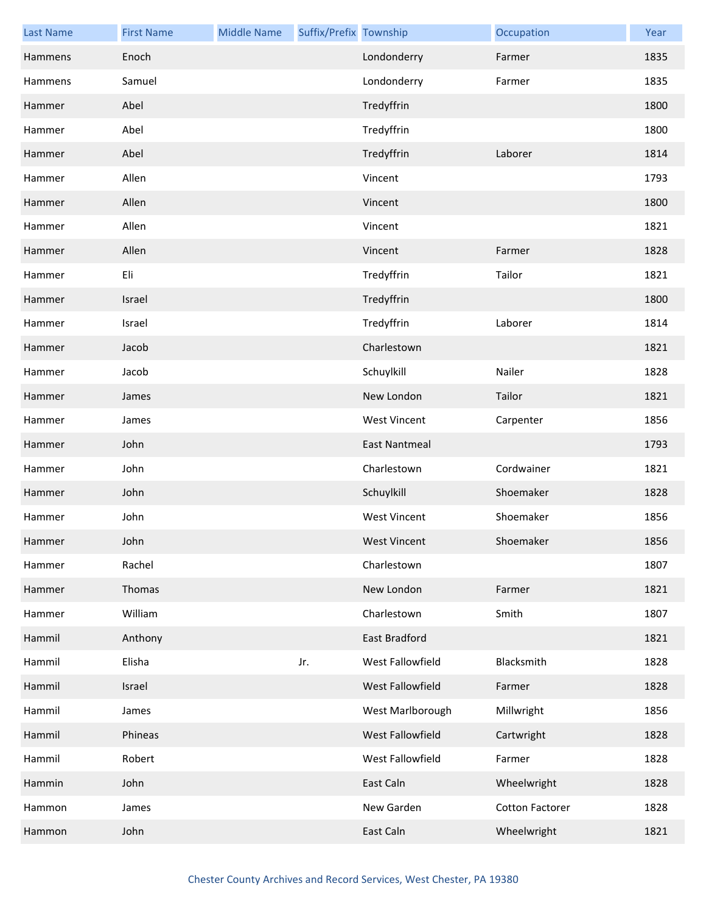| <b>Last Name</b> | <b>First Name</b> | <b>Middle Name</b> | Suffix/Prefix Township |                      | Occupation             | Year |
|------------------|-------------------|--------------------|------------------------|----------------------|------------------------|------|
| Hammens          | Enoch             |                    |                        | Londonderry          | Farmer                 | 1835 |
| Hammens          | Samuel            |                    |                        | Londonderry          | Farmer                 | 1835 |
| Hammer           | Abel              |                    |                        | Tredyffrin           |                        | 1800 |
| Hammer           | Abel              |                    |                        | Tredyffrin           |                        | 1800 |
| Hammer           | Abel              |                    |                        | Tredyffrin           | Laborer                | 1814 |
| Hammer           | Allen             |                    |                        | Vincent              |                        | 1793 |
| Hammer           | Allen             |                    |                        | Vincent              |                        | 1800 |
| Hammer           | Allen             |                    |                        | Vincent              |                        | 1821 |
| Hammer           | Allen             |                    |                        | Vincent              | Farmer                 | 1828 |
| Hammer           | Eli               |                    |                        | Tredyffrin           | Tailor                 | 1821 |
| Hammer           | Israel            |                    |                        | Tredyffrin           |                        | 1800 |
| Hammer           | Israel            |                    |                        | Tredyffrin           | Laborer                | 1814 |
| Hammer           | Jacob             |                    |                        | Charlestown          |                        | 1821 |
| Hammer           | Jacob             |                    |                        | Schuylkill           | Nailer                 | 1828 |
| Hammer           | James             |                    |                        | New London           | Tailor                 | 1821 |
| Hammer           | James             |                    |                        | <b>West Vincent</b>  | Carpenter              | 1856 |
| Hammer           | John              |                    |                        | <b>East Nantmeal</b> |                        | 1793 |
| Hammer           | John              |                    |                        | Charlestown          | Cordwainer             | 1821 |
| Hammer           | John              |                    |                        | Schuylkill           | Shoemaker              | 1828 |
| Hammer           | John              |                    |                        | <b>West Vincent</b>  | Shoemaker              | 1856 |
| Hammer           | John              |                    |                        | <b>West Vincent</b>  | Shoemaker              | 1856 |
| Hammer           | Rachel            |                    |                        | Charlestown          |                        | 1807 |
| Hammer           | Thomas            |                    |                        | New London           | Farmer                 | 1821 |
| Hammer           | William           |                    |                        | Charlestown          | Smith                  | 1807 |
| Hammil           | Anthony           |                    |                        | East Bradford        |                        | 1821 |
| Hammil           | Elisha            |                    | Jr.                    | West Fallowfield     | Blacksmith             | 1828 |
| Hammil           | Israel            |                    |                        | West Fallowfield     | Farmer                 | 1828 |
| Hammil           | James             |                    |                        | West Marlborough     | Millwright             | 1856 |
| Hammil           | Phineas           |                    |                        | West Fallowfield     | Cartwright             | 1828 |
| Hammil           | Robert            |                    |                        | West Fallowfield     | Farmer                 | 1828 |
| Hammin           | John              |                    |                        | East Caln            | Wheelwright            | 1828 |
| Hammon           | James             |                    |                        | New Garden           | <b>Cotton Factorer</b> | 1828 |
| Hammon           | John              |                    |                        | East Caln            | Wheelwright            | 1821 |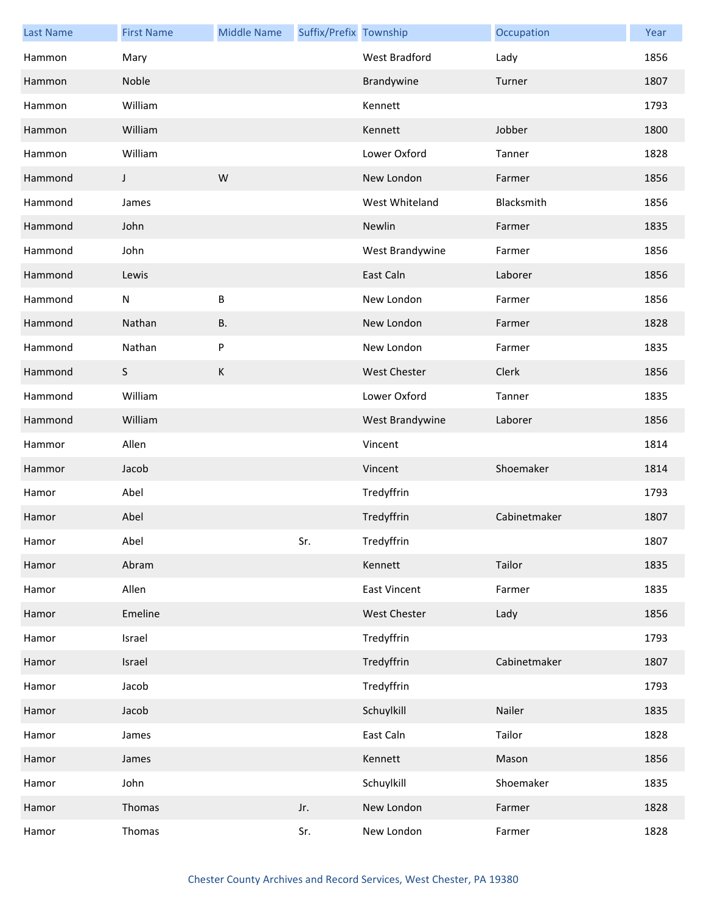| <b>Last Name</b> | <b>First Name</b> | <b>Middle Name</b> | Suffix/Prefix Township |                      | Occupation   | Year |
|------------------|-------------------|--------------------|------------------------|----------------------|--------------|------|
| Hammon           | Mary              |                    |                        | <b>West Bradford</b> | Lady         | 1856 |
| Hammon           | Noble             |                    |                        | Brandywine           | Turner       | 1807 |
| Hammon           | William           |                    |                        | Kennett              |              | 1793 |
| Hammon           | William           |                    |                        | Kennett              | Jobber       | 1800 |
| Hammon           | William           |                    |                        | Lower Oxford         | Tanner       | 1828 |
| Hammond          | J                 | W                  |                        | New London           | Farmer       | 1856 |
| Hammond          | James             |                    |                        | West Whiteland       | Blacksmith   | 1856 |
| Hammond          | John              |                    |                        | Newlin               | Farmer       | 1835 |
| Hammond          | John              |                    |                        | West Brandywine      | Farmer       | 1856 |
| Hammond          | Lewis             |                    |                        | East Caln            | Laborer      | 1856 |
| Hammond          | ${\sf N}$         | B                  |                        | New London           | Farmer       | 1856 |
| Hammond          | Nathan            | <b>B.</b>          |                        | New London           | Farmer       | 1828 |
| Hammond          | Nathan            | P                  |                        | New London           | Farmer       | 1835 |
| Hammond          | S                 | К                  |                        | <b>West Chester</b>  | Clerk        | 1856 |
| Hammond          | William           |                    |                        | Lower Oxford         | Tanner       | 1835 |
| Hammond          | William           |                    |                        | West Brandywine      | Laborer      | 1856 |
| Hammor           | Allen             |                    |                        | Vincent              |              | 1814 |
| Hammor           | Jacob             |                    |                        | Vincent              | Shoemaker    | 1814 |
| Hamor            | Abel              |                    |                        | Tredyffrin           |              | 1793 |
| Hamor            | Abel              |                    |                        | Tredyffrin           | Cabinetmaker | 1807 |
| Hamor            | Abel              |                    | Sr.                    | Tredyffrin           |              | 1807 |
| Hamor            | Abram             |                    |                        | Kennett              | Tailor       | 1835 |
| Hamor            | Allen             |                    |                        | <b>East Vincent</b>  | Farmer       | 1835 |
| Hamor            | Emeline           |                    |                        | West Chester         | Lady         | 1856 |
| Hamor            | Israel            |                    |                        | Tredyffrin           |              | 1793 |
| Hamor            | Israel            |                    |                        | Tredyffrin           | Cabinetmaker | 1807 |
| Hamor            | Jacob             |                    |                        | Tredyffrin           |              | 1793 |
| Hamor            | Jacob             |                    |                        | Schuylkill           | Nailer       | 1835 |
| Hamor            | James             |                    |                        | East Caln            | Tailor       | 1828 |
| Hamor            | James             |                    |                        | Kennett              | Mason        | 1856 |
| Hamor            | John              |                    |                        | Schuylkill           | Shoemaker    | 1835 |
| Hamor            | Thomas            |                    | Jr.                    | New London           | Farmer       | 1828 |
| Hamor            | Thomas            |                    | Sr.                    | New London           | Farmer       | 1828 |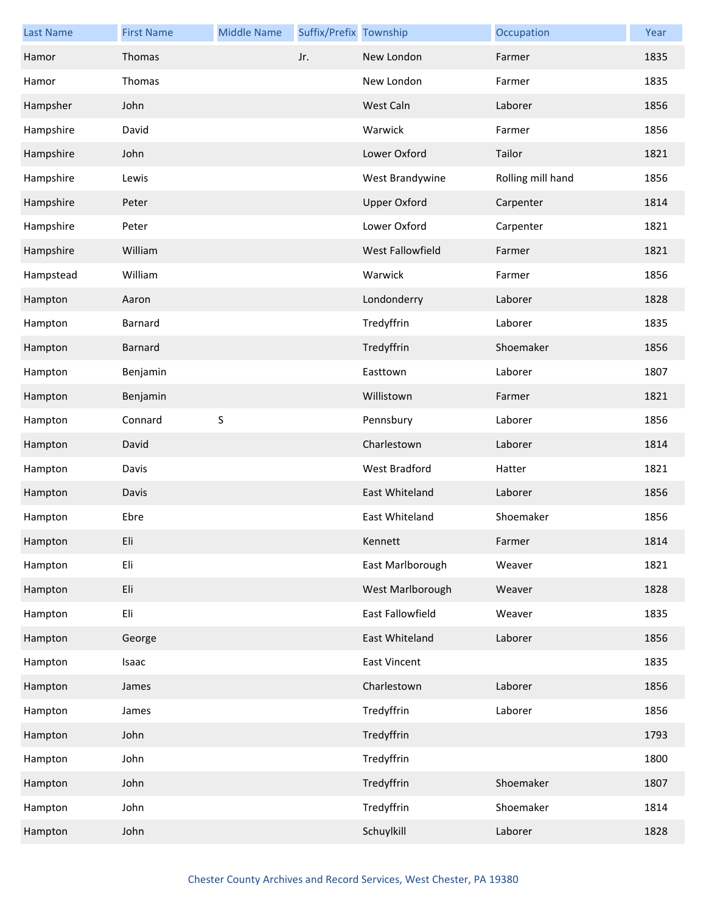| <b>Last Name</b> | <b>First Name</b> | <b>Middle Name</b> | Suffix/Prefix Township |                     | Occupation        | Year |
|------------------|-------------------|--------------------|------------------------|---------------------|-------------------|------|
| Hamor            | Thomas            |                    | Jr.                    | New London          | Farmer            | 1835 |
| Hamor            | Thomas            |                    |                        | New London          | Farmer            | 1835 |
| Hampsher         | John              |                    |                        | West Caln           | Laborer           | 1856 |
| Hampshire        | David             |                    |                        | Warwick             | Farmer            | 1856 |
| Hampshire        | John              |                    |                        | Lower Oxford        | Tailor            | 1821 |
| Hampshire        | Lewis             |                    |                        | West Brandywine     | Rolling mill hand | 1856 |
| Hampshire        | Peter             |                    |                        | <b>Upper Oxford</b> | Carpenter         | 1814 |
| Hampshire        | Peter             |                    |                        | Lower Oxford        | Carpenter         | 1821 |
| Hampshire        | William           |                    |                        | West Fallowfield    | Farmer            | 1821 |
| Hampstead        | William           |                    |                        | Warwick             | Farmer            | 1856 |
| Hampton          | Aaron             |                    |                        | Londonderry         | Laborer           | 1828 |
| Hampton          | Barnard           |                    |                        | Tredyffrin          | Laborer           | 1835 |
| Hampton          | Barnard           |                    |                        | Tredyffrin          | Shoemaker         | 1856 |
| Hampton          | Benjamin          |                    |                        | Easttown            | Laborer           | 1807 |
| Hampton          | Benjamin          |                    |                        | Willistown          | Farmer            | 1821 |
| Hampton          | Connard           | $\sf S$            |                        | Pennsbury           | Laborer           | 1856 |
| Hampton          | David             |                    |                        | Charlestown         | Laborer           | 1814 |
| Hampton          | Davis             |                    |                        | West Bradford       | Hatter            | 1821 |
| Hampton          | Davis             |                    |                        | East Whiteland      | Laborer           | 1856 |
| Hampton          | Ebre              |                    |                        | East Whiteland      | Shoemaker         | 1856 |
| Hampton          | Eli               |                    |                        | Kennett             | Farmer            | 1814 |
| Hampton          | Eli               |                    |                        | East Marlborough    | Weaver            | 1821 |
| Hampton          | Eli               |                    |                        | West Marlborough    | Weaver            | 1828 |
| Hampton          | Eli               |                    |                        | East Fallowfield    | Weaver            | 1835 |
| Hampton          | George            |                    |                        | East Whiteland      | Laborer           | 1856 |
| Hampton          | Isaac             |                    |                        | <b>East Vincent</b> |                   | 1835 |
| Hampton          | James             |                    |                        | Charlestown         | Laborer           | 1856 |
| Hampton          | James             |                    |                        | Tredyffrin          | Laborer           | 1856 |
| Hampton          | John              |                    |                        | Tredyffrin          |                   | 1793 |
| Hampton          | John              |                    |                        | Tredyffrin          |                   | 1800 |
| Hampton          | John              |                    |                        | Tredyffrin          | Shoemaker         | 1807 |
| Hampton          | John              |                    |                        | Tredyffrin          | Shoemaker         | 1814 |
| Hampton          | John              |                    |                        | Schuylkill          | Laborer           | 1828 |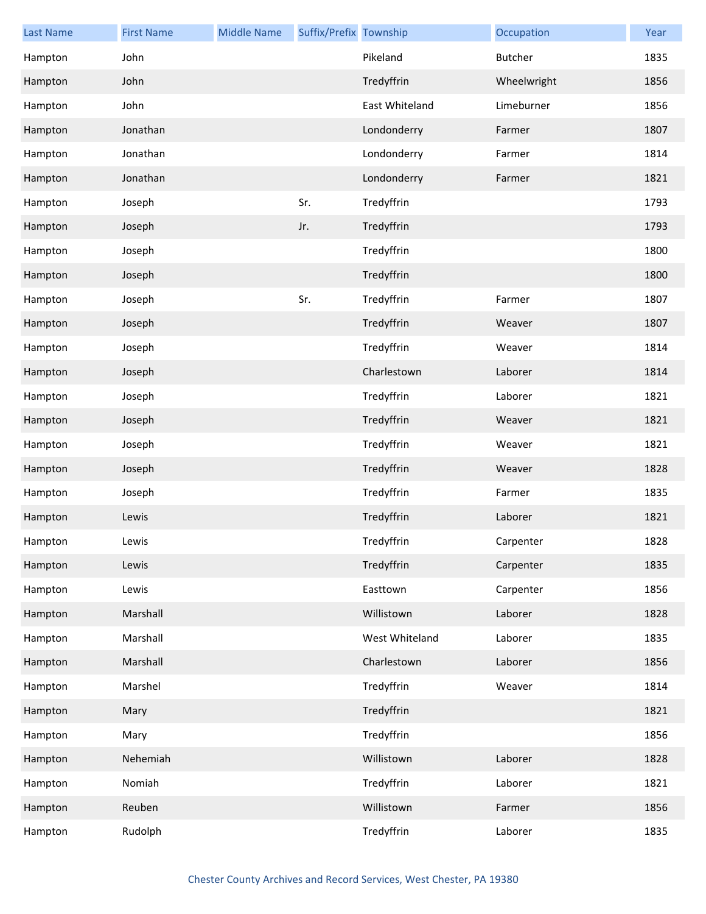| <b>Last Name</b> | <b>First Name</b> | <b>Middle Name</b> | Suffix/Prefix Township |                | Occupation     | Year |
|------------------|-------------------|--------------------|------------------------|----------------|----------------|------|
| Hampton          | John              |                    |                        | Pikeland       | <b>Butcher</b> | 1835 |
| Hampton          | John              |                    |                        | Tredyffrin     | Wheelwright    | 1856 |
| Hampton          | John              |                    |                        | East Whiteland | Limeburner     | 1856 |
| Hampton          | Jonathan          |                    |                        | Londonderry    | Farmer         | 1807 |
| Hampton          | Jonathan          |                    |                        | Londonderry    | Farmer         | 1814 |
| Hampton          | Jonathan          |                    |                        | Londonderry    | Farmer         | 1821 |
| Hampton          | Joseph            |                    | Sr.                    | Tredyffrin     |                | 1793 |
| Hampton          | Joseph            |                    | Jr.                    | Tredyffrin     |                | 1793 |
| Hampton          | Joseph            |                    |                        | Tredyffrin     |                | 1800 |
| Hampton          | Joseph            |                    |                        | Tredyffrin     |                | 1800 |
| Hampton          | Joseph            |                    | Sr.                    | Tredyffrin     | Farmer         | 1807 |
| Hampton          | Joseph            |                    |                        | Tredyffrin     | Weaver         | 1807 |
| Hampton          | Joseph            |                    |                        | Tredyffrin     | Weaver         | 1814 |
| Hampton          | Joseph            |                    |                        | Charlestown    | Laborer        | 1814 |
| Hampton          | Joseph            |                    |                        | Tredyffrin     | Laborer        | 1821 |
| Hampton          | Joseph            |                    |                        | Tredyffrin     | Weaver         | 1821 |
| Hampton          | Joseph            |                    |                        | Tredyffrin     | Weaver         | 1821 |
| Hampton          | Joseph            |                    |                        | Tredyffrin     | Weaver         | 1828 |
| Hampton          | Joseph            |                    |                        | Tredyffrin     | Farmer         | 1835 |
| Hampton          | Lewis             |                    |                        | Tredyffrin     | Laborer        | 1821 |
| Hampton          | Lewis             |                    |                        | Tredyffrin     | Carpenter      | 1828 |
| Hampton          | Lewis             |                    |                        | Tredyffrin     | Carpenter      | 1835 |
| Hampton          | Lewis             |                    |                        | Easttown       | Carpenter      | 1856 |
| Hampton          | Marshall          |                    |                        | Willistown     | Laborer        | 1828 |
| Hampton          | Marshall          |                    |                        | West Whiteland | Laborer        | 1835 |
| Hampton          | Marshall          |                    |                        | Charlestown    | Laborer        | 1856 |
| Hampton          | Marshel           |                    |                        | Tredyffrin     | Weaver         | 1814 |
| Hampton          | Mary              |                    |                        | Tredyffrin     |                | 1821 |
| Hampton          | Mary              |                    |                        | Tredyffrin     |                | 1856 |
| Hampton          | Nehemiah          |                    |                        | Willistown     | Laborer        | 1828 |
| Hampton          | Nomiah            |                    |                        | Tredyffrin     | Laborer        | 1821 |
| Hampton          | Reuben            |                    |                        | Willistown     | Farmer         | 1856 |
| Hampton          | Rudolph           |                    |                        | Tredyffrin     | Laborer        | 1835 |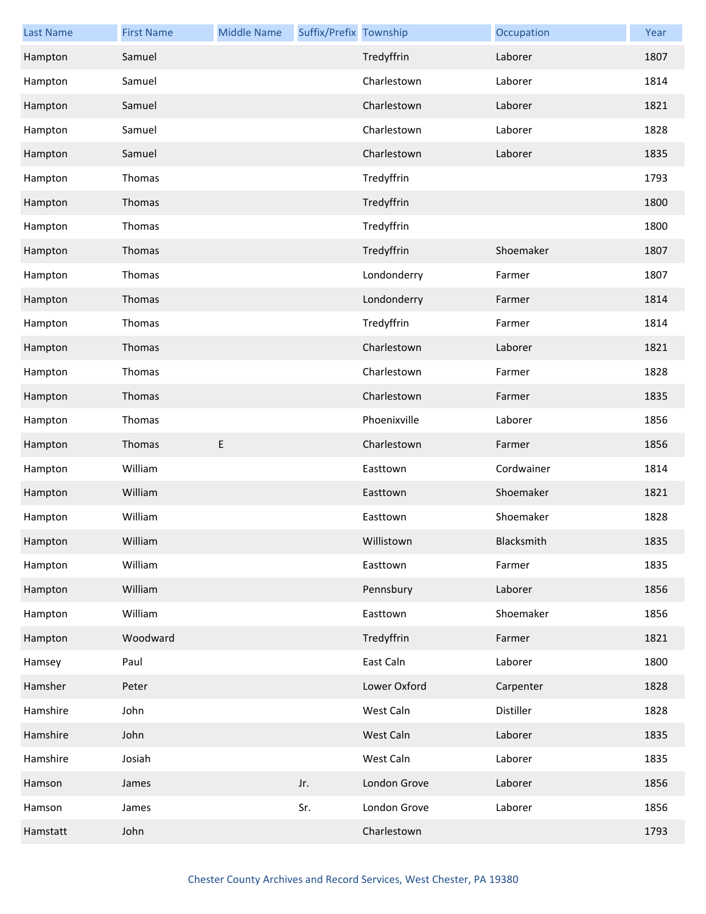| <b>Last Name</b> | <b>First Name</b> | <b>Middle Name</b> | Suffix/Prefix Township |              | Occupation | Year |
|------------------|-------------------|--------------------|------------------------|--------------|------------|------|
| Hampton          | Samuel            |                    |                        | Tredyffrin   | Laborer    | 1807 |
| Hampton          | Samuel            |                    |                        | Charlestown  | Laborer    | 1814 |
| Hampton          | Samuel            |                    |                        | Charlestown  | Laborer    | 1821 |
| Hampton          | Samuel            |                    |                        | Charlestown  | Laborer    | 1828 |
| Hampton          | Samuel            |                    |                        | Charlestown  | Laborer    | 1835 |
| Hampton          | Thomas            |                    |                        | Tredyffrin   |            | 1793 |
| Hampton          | Thomas            |                    |                        | Tredyffrin   |            | 1800 |
| Hampton          | Thomas            |                    |                        | Tredyffrin   |            | 1800 |
| Hampton          | Thomas            |                    |                        | Tredyffrin   | Shoemaker  | 1807 |
| Hampton          | Thomas            |                    |                        | Londonderry  | Farmer     | 1807 |
| Hampton          | Thomas            |                    |                        | Londonderry  | Farmer     | 1814 |
| Hampton          | Thomas            |                    |                        | Tredyffrin   | Farmer     | 1814 |
| Hampton          | Thomas            |                    |                        | Charlestown  | Laborer    | 1821 |
| Hampton          | Thomas            |                    |                        | Charlestown  | Farmer     | 1828 |
| Hampton          | Thomas            |                    |                        | Charlestown  | Farmer     | 1835 |
| Hampton          | Thomas            |                    |                        | Phoenixville | Laborer    | 1856 |
| Hampton          | Thomas            | E                  |                        | Charlestown  | Farmer     | 1856 |
| Hampton          | William           |                    |                        | Easttown     | Cordwainer | 1814 |
| Hampton          | William           |                    |                        | Easttown     | Shoemaker  | 1821 |
| Hampton          | William           |                    |                        | Easttown     | Shoemaker  | 1828 |
| Hampton          | William           |                    |                        | Willistown   | Blacksmith | 1835 |
| Hampton          | William           |                    |                        | Easttown     | Farmer     | 1835 |
| Hampton          | William           |                    |                        | Pennsbury    | Laborer    | 1856 |
| Hampton          | William           |                    |                        | Easttown     | Shoemaker  | 1856 |
| Hampton          | Woodward          |                    |                        | Tredyffrin   | Farmer     | 1821 |
| Hamsey           | Paul              |                    |                        | East Caln    | Laborer    | 1800 |
| Hamsher          | Peter             |                    |                        | Lower Oxford | Carpenter  | 1828 |
| Hamshire         | John              |                    |                        | West Caln    | Distiller  | 1828 |
| Hamshire         | John              |                    |                        | West Caln    | Laborer    | 1835 |
| Hamshire         | Josiah            |                    |                        | West Caln    | Laborer    | 1835 |
| Hamson           | James             |                    | Jr.                    | London Grove | Laborer    | 1856 |
| Hamson           | James             |                    | Sr.                    | London Grove | Laborer    | 1856 |
| Hamstatt         | John              |                    |                        | Charlestown  |            | 1793 |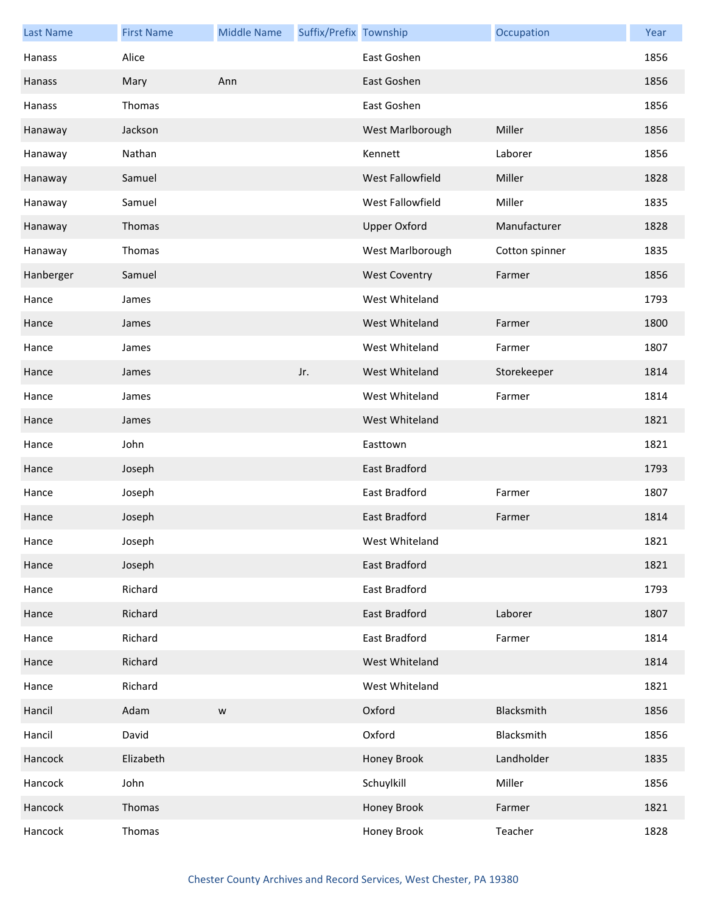| <b>Last Name</b> | <b>First Name</b> | <b>Middle Name</b> | Suffix/Prefix Township |                      | Occupation     | Year |
|------------------|-------------------|--------------------|------------------------|----------------------|----------------|------|
| Hanass           | Alice             |                    |                        | East Goshen          |                | 1856 |
| Hanass           | Mary              | Ann                |                        | East Goshen          |                | 1856 |
| Hanass           | Thomas            |                    |                        | East Goshen          |                | 1856 |
| Hanaway          | Jackson           |                    |                        | West Marlborough     | Miller         | 1856 |
| Hanaway          | Nathan            |                    |                        | Kennett              | Laborer        | 1856 |
| Hanaway          | Samuel            |                    |                        | West Fallowfield     | Miller         | 1828 |
| Hanaway          | Samuel            |                    |                        | West Fallowfield     | Miller         | 1835 |
| Hanaway          | Thomas            |                    |                        | <b>Upper Oxford</b>  | Manufacturer   | 1828 |
| Hanaway          | Thomas            |                    |                        | West Marlborough     | Cotton spinner | 1835 |
| Hanberger        | Samuel            |                    |                        | <b>West Coventry</b> | Farmer         | 1856 |
| Hance            | James             |                    |                        | West Whiteland       |                | 1793 |
| Hance            | James             |                    |                        | West Whiteland       | Farmer         | 1800 |
| Hance            | James             |                    |                        | West Whiteland       | Farmer         | 1807 |
| Hance            | James             |                    | Jr.                    | West Whiteland       | Storekeeper    | 1814 |
| Hance            | James             |                    |                        | West Whiteland       | Farmer         | 1814 |
| Hance            | James             |                    |                        | West Whiteland       |                | 1821 |
| Hance            | John              |                    |                        | Easttown             |                | 1821 |
| Hance            | Joseph            |                    |                        | <b>East Bradford</b> |                | 1793 |
| Hance            | Joseph            |                    |                        | <b>East Bradford</b> | Farmer         | 1807 |
| Hance            | Joseph            |                    |                        | East Bradford        | Farmer         | 1814 |
| Hance            | Joseph            |                    |                        | West Whiteland       |                | 1821 |
| Hance            | Joseph            |                    |                        | East Bradford        |                | 1821 |
| Hance            | Richard           |                    |                        | East Bradford        |                | 1793 |
| Hance            | Richard           |                    |                        | East Bradford        | Laborer        | 1807 |
| Hance            | Richard           |                    |                        | East Bradford        | Farmer         | 1814 |
| Hance            | Richard           |                    |                        | West Whiteland       |                | 1814 |
| Hance            | Richard           |                    |                        | West Whiteland       |                | 1821 |
| Hancil           | Adam              | ${\mathsf W}$      |                        | Oxford               | Blacksmith     | 1856 |
| Hancil           | David             |                    |                        | Oxford               | Blacksmith     | 1856 |
| Hancock          | Elizabeth         |                    |                        | Honey Brook          | Landholder     | 1835 |
| Hancock          | John              |                    |                        | Schuylkill           | Miller         | 1856 |
| Hancock          | Thomas            |                    |                        | Honey Brook          | Farmer         | 1821 |
| Hancock          | Thomas            |                    |                        | Honey Brook          | Teacher        | 1828 |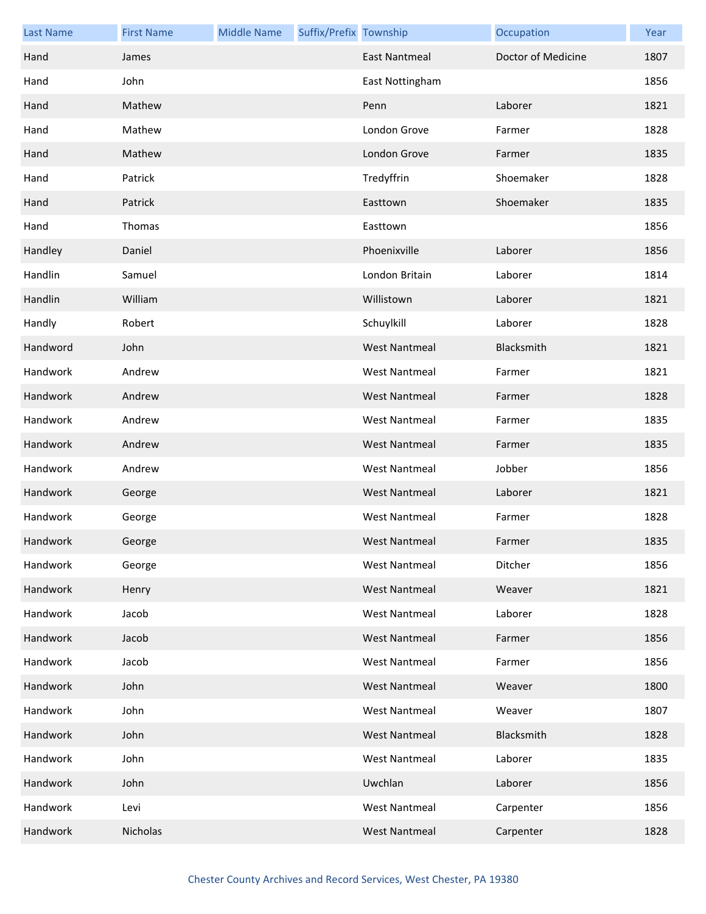| <b>Last Name</b> | <b>First Name</b> | <b>Middle Name</b> | Suffix/Prefix Township |                      | Occupation         | Year |
|------------------|-------------------|--------------------|------------------------|----------------------|--------------------|------|
| Hand             | James             |                    |                        | <b>East Nantmeal</b> | Doctor of Medicine | 1807 |
| Hand             | John              |                    |                        | East Nottingham      |                    | 1856 |
| Hand             | Mathew            |                    |                        | Penn                 | Laborer            | 1821 |
| Hand             | Mathew            |                    |                        | London Grove         | Farmer             | 1828 |
| Hand             | Mathew            |                    |                        | London Grove         | Farmer             | 1835 |
| Hand             | Patrick           |                    |                        | Tredyffrin           | Shoemaker          | 1828 |
| Hand             | Patrick           |                    |                        | Easttown             | Shoemaker          | 1835 |
| Hand             | Thomas            |                    |                        | Easttown             |                    | 1856 |
| Handley          | Daniel            |                    |                        | Phoenixville         | Laborer            | 1856 |
| Handlin          | Samuel            |                    |                        | London Britain       | Laborer            | 1814 |
| Handlin          | William           |                    |                        | Willistown           | Laborer            | 1821 |
| Handly           | Robert            |                    |                        | Schuylkill           | Laborer            | 1828 |
| Handword         | John              |                    |                        | <b>West Nantmeal</b> | Blacksmith         | 1821 |
| Handwork         | Andrew            |                    |                        | <b>West Nantmeal</b> | Farmer             | 1821 |
| Handwork         | Andrew            |                    |                        | <b>West Nantmeal</b> | Farmer             | 1828 |
| Handwork         | Andrew            |                    |                        | <b>West Nantmeal</b> | Farmer             | 1835 |
| Handwork         | Andrew            |                    |                        | <b>West Nantmeal</b> | Farmer             | 1835 |
| Handwork         | Andrew            |                    |                        | <b>West Nantmeal</b> | Jobber             | 1856 |
| Handwork         | George            |                    |                        | <b>West Nantmeal</b> | Laborer            | 1821 |
| Handwork         | George            |                    |                        | <b>West Nantmeal</b> | Farmer             | 1828 |
| Handwork         | George            |                    |                        | West Nantmeal        | Farmer             | 1835 |
| Handwork         | George            |                    |                        | <b>West Nantmeal</b> | Ditcher            | 1856 |
| Handwork         | Henry             |                    |                        | <b>West Nantmeal</b> | Weaver             | 1821 |
| Handwork         | Jacob             |                    |                        | <b>West Nantmeal</b> | Laborer            | 1828 |
| Handwork         | Jacob             |                    |                        | <b>West Nantmeal</b> | Farmer             | 1856 |
| Handwork         | Jacob             |                    |                        | <b>West Nantmeal</b> | Farmer             | 1856 |
| Handwork         | John              |                    |                        | <b>West Nantmeal</b> | Weaver             | 1800 |
| Handwork         | John              |                    |                        | <b>West Nantmeal</b> | Weaver             | 1807 |
| Handwork         | John              |                    |                        | <b>West Nantmeal</b> | Blacksmith         | 1828 |
| Handwork         | John              |                    |                        | <b>West Nantmeal</b> | Laborer            | 1835 |
| Handwork         | John              |                    |                        | Uwchlan              | Laborer            | 1856 |
| Handwork         | Levi              |                    |                        | <b>West Nantmeal</b> | Carpenter          | 1856 |
| Handwork         | Nicholas          |                    |                        | <b>West Nantmeal</b> | Carpenter          | 1828 |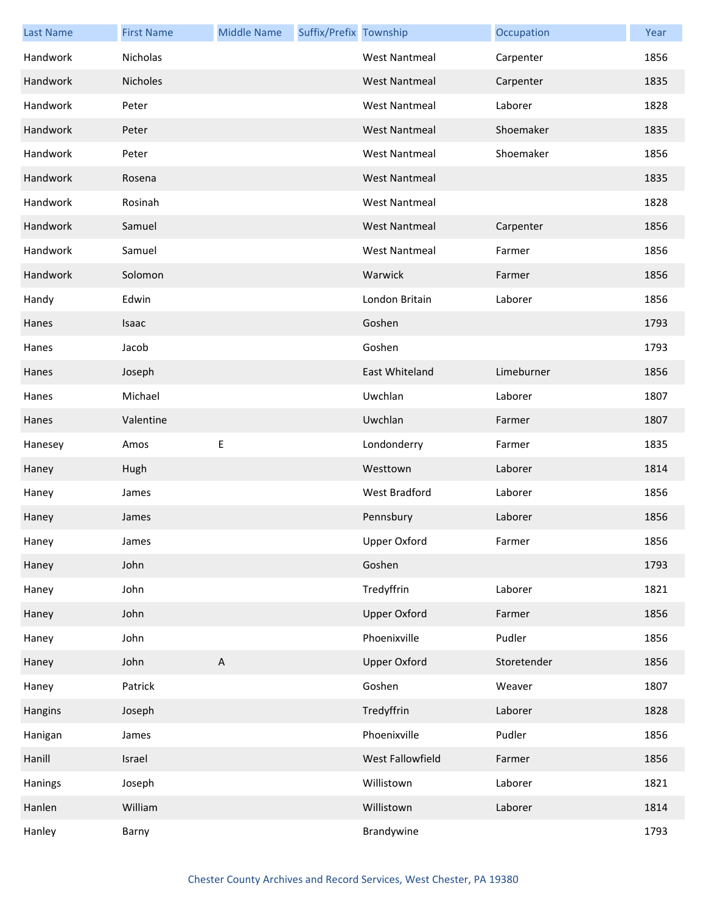| <b>Last Name</b> | <b>First Name</b> | <b>Middle Name</b>        | Suffix/Prefix Township |                      | Occupation  | Year |
|------------------|-------------------|---------------------------|------------------------|----------------------|-------------|------|
| Handwork         | Nicholas          |                           |                        | <b>West Nantmeal</b> | Carpenter   | 1856 |
| Handwork         | Nicholes          |                           |                        | <b>West Nantmeal</b> | Carpenter   | 1835 |
| Handwork         | Peter             |                           |                        | <b>West Nantmeal</b> | Laborer     | 1828 |
| Handwork         | Peter             |                           |                        | <b>West Nantmeal</b> | Shoemaker   | 1835 |
| Handwork         | Peter             |                           |                        | <b>West Nantmeal</b> | Shoemaker   | 1856 |
| Handwork         | Rosena            |                           |                        | <b>West Nantmeal</b> |             | 1835 |
| Handwork         | Rosinah           |                           |                        | <b>West Nantmeal</b> |             | 1828 |
| Handwork         | Samuel            |                           |                        | <b>West Nantmeal</b> | Carpenter   | 1856 |
| Handwork         | Samuel            |                           |                        | <b>West Nantmeal</b> | Farmer      | 1856 |
| Handwork         | Solomon           |                           |                        | Warwick              | Farmer      | 1856 |
| Handy            | Edwin             |                           |                        | London Britain       | Laborer     | 1856 |
| Hanes            | Isaac             |                           |                        | Goshen               |             | 1793 |
| Hanes            | Jacob             |                           |                        | Goshen               |             | 1793 |
| Hanes            | Joseph            |                           |                        | East Whiteland       | Limeburner  | 1856 |
| Hanes            | Michael           |                           |                        | Uwchlan              | Laborer     | 1807 |
| Hanes            | Valentine         |                           |                        | Uwchlan              | Farmer      | 1807 |
| Hanesey          | Amos              | E                         |                        | Londonderry          | Farmer      | 1835 |
| Haney            | Hugh              |                           |                        | Westtown             | Laborer     | 1814 |
| Haney            | James             |                           |                        | West Bradford        | Laborer     | 1856 |
| Haney            | James             |                           |                        | Pennsbury            | Laborer     | 1856 |
| Haney            | James             |                           |                        | Upper Oxford         | Farmer      | 1856 |
| Haney            | John              |                           |                        | Goshen               |             | 1793 |
| Haney            | John              |                           |                        | Tredyffrin           | Laborer     | 1821 |
| Haney            | John              |                           |                        | <b>Upper Oxford</b>  | Farmer      | 1856 |
| Haney            | John              |                           |                        | Phoenixville         | Pudler      | 1856 |
| Haney            | John              | $\boldsymbol{\mathsf{A}}$ |                        | <b>Upper Oxford</b>  | Storetender | 1856 |
| Haney            | Patrick           |                           |                        | Goshen               | Weaver      | 1807 |
| Hangins          | Joseph            |                           |                        | Tredyffrin           | Laborer     | 1828 |
| Hanigan          | James             |                           |                        | Phoenixville         | Pudler      | 1856 |
| Hanill           | Israel            |                           |                        | West Fallowfield     | Farmer      | 1856 |
| Hanings          | Joseph            |                           |                        | Willistown           | Laborer     | 1821 |
| Hanlen           | William           |                           |                        | Willistown           | Laborer     | 1814 |
| Hanley           | Barny             |                           |                        | Brandywine           |             | 1793 |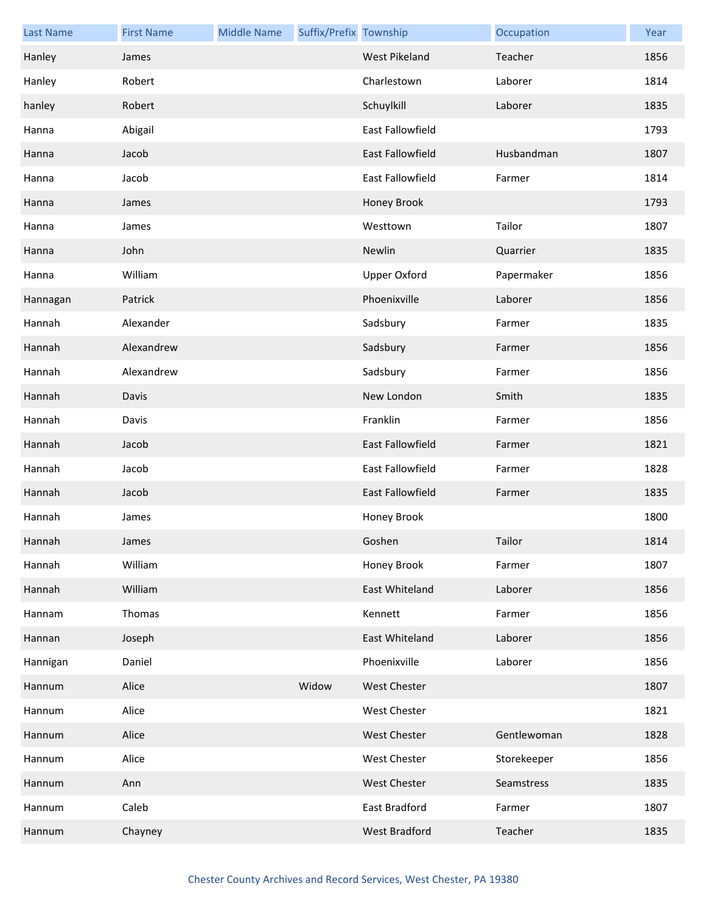| <b>Last Name</b> | <b>First Name</b> | <b>Middle Name</b> | Suffix/Prefix Township |                      | Occupation  | Year |
|------------------|-------------------|--------------------|------------------------|----------------------|-------------|------|
| Hanley           | James             |                    |                        | <b>West Pikeland</b> | Teacher     | 1856 |
| Hanley           | Robert            |                    |                        | Charlestown          | Laborer     | 1814 |
| hanley           | Robert            |                    |                        | Schuylkill           | Laborer     | 1835 |
| Hanna            | Abigail           |                    |                        | East Fallowfield     |             | 1793 |
| Hanna            | Jacob             |                    |                        | East Fallowfield     | Husbandman  | 1807 |
| Hanna            | Jacob             |                    |                        | East Fallowfield     | Farmer      | 1814 |
| Hanna            | James             |                    |                        | Honey Brook          |             | 1793 |
| Hanna            | James             |                    |                        | Westtown             | Tailor      | 1807 |
| Hanna            | John              |                    |                        | Newlin               | Quarrier    | 1835 |
| Hanna            | William           |                    |                        | <b>Upper Oxford</b>  | Papermaker  | 1856 |
| Hannagan         | Patrick           |                    |                        | Phoenixville         | Laborer     | 1856 |
| Hannah           | Alexander         |                    |                        | Sadsbury             | Farmer      | 1835 |
| Hannah           | Alexandrew        |                    |                        | Sadsbury             | Farmer      | 1856 |
| Hannah           | Alexandrew        |                    |                        | Sadsbury             | Farmer      | 1856 |
| Hannah           | Davis             |                    |                        | New London           | Smith       | 1835 |
| Hannah           | Davis             |                    |                        | Franklin             | Farmer      | 1856 |
| Hannah           | Jacob             |                    |                        | East Fallowfield     | Farmer      | 1821 |
| Hannah           | Jacob             |                    |                        | East Fallowfield     | Farmer      | 1828 |
| Hannah           | Jacob             |                    |                        | East Fallowfield     | Farmer      | 1835 |
| Hannah           | James             |                    |                        | Honey Brook          |             | 1800 |
| Hannah           | James             |                    |                        | Goshen               | Tailor      | 1814 |
| Hannah           | William           |                    |                        | Honey Brook          | Farmer      | 1807 |
| Hannah           | William           |                    |                        | East Whiteland       | Laborer     | 1856 |
| Hannam           | Thomas            |                    |                        | Kennett              | Farmer      | 1856 |
| Hannan           | Joseph            |                    |                        | East Whiteland       | Laborer     | 1856 |
| Hannigan         | Daniel            |                    |                        | Phoenixville         | Laborer     | 1856 |
| Hannum           | Alice             |                    | Widow                  | <b>West Chester</b>  |             | 1807 |
| Hannum           | Alice             |                    |                        | <b>West Chester</b>  |             | 1821 |
| Hannum           | Alice             |                    |                        | <b>West Chester</b>  | Gentlewoman | 1828 |
| Hannum           | Alice             |                    |                        | <b>West Chester</b>  | Storekeeper | 1856 |
| Hannum           | Ann               |                    |                        | West Chester         | Seamstress  | 1835 |
| Hannum           | Caleb             |                    |                        | East Bradford        | Farmer      | 1807 |
| Hannum           | Chayney           |                    |                        | West Bradford        | Teacher     | 1835 |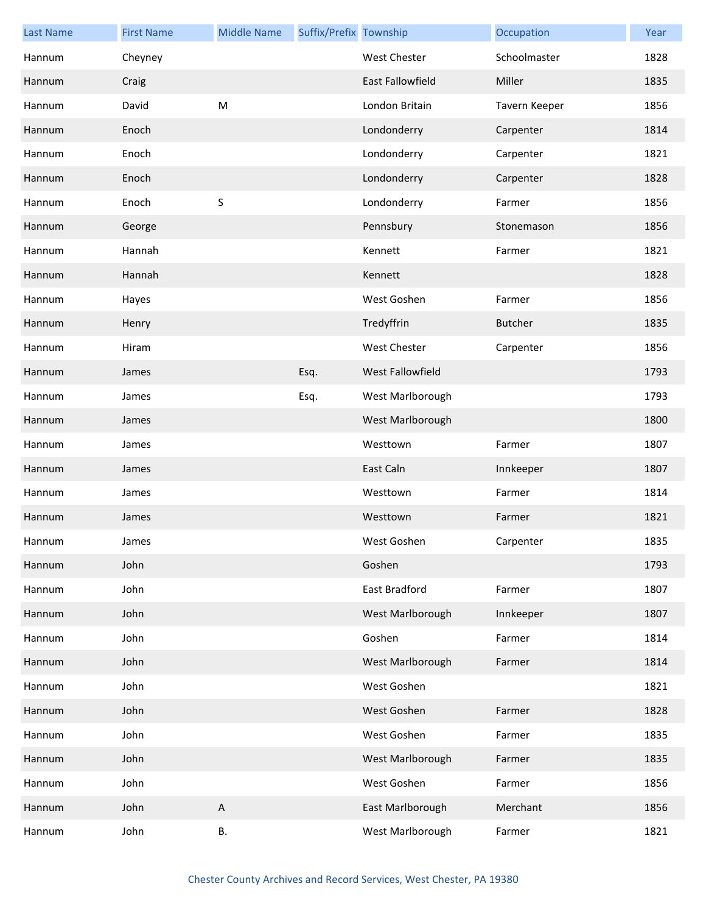| <b>Last Name</b> | <b>First Name</b> | <b>Middle Name</b>        | Suffix/Prefix Township |                         | Occupation     | Year |
|------------------|-------------------|---------------------------|------------------------|-------------------------|----------------|------|
| Hannum           | Cheyney           |                           |                        | <b>West Chester</b>     | Schoolmaster   | 1828 |
| Hannum           | Craig             |                           |                        | <b>East Fallowfield</b> | Miller         | 1835 |
| Hannum           | David             | ${\sf M}$                 |                        | London Britain          | Tavern Keeper  | 1856 |
| Hannum           | Enoch             |                           |                        | Londonderry             | Carpenter      | 1814 |
| Hannum           | Enoch             |                           |                        | Londonderry             | Carpenter      | 1821 |
| Hannum           | Enoch             |                           |                        | Londonderry             | Carpenter      | 1828 |
| Hannum           | Enoch             | $\sf S$                   |                        | Londonderry             | Farmer         | 1856 |
| Hannum           | George            |                           |                        | Pennsbury               | Stonemason     | 1856 |
| Hannum           | Hannah            |                           |                        | Kennett                 | Farmer         | 1821 |
| Hannum           | Hannah            |                           |                        | Kennett                 |                | 1828 |
| Hannum           | Hayes             |                           |                        | West Goshen             | Farmer         | 1856 |
| Hannum           | Henry             |                           |                        | Tredyffrin              | <b>Butcher</b> | 1835 |
| Hannum           | Hiram             |                           |                        | West Chester            | Carpenter      | 1856 |
| Hannum           | James             |                           | Esq.                   | West Fallowfield        |                | 1793 |
| Hannum           | James             |                           | Esq.                   | West Marlborough        |                | 1793 |
| Hannum           | James             |                           |                        | West Marlborough        |                | 1800 |
| Hannum           | James             |                           |                        | Westtown                | Farmer         | 1807 |
| Hannum           | James             |                           |                        | East Caln               | Innkeeper      | 1807 |
| Hannum           | James             |                           |                        | Westtown                | Farmer         | 1814 |
| Hannum           | James             |                           |                        | Westtown                | Farmer         | 1821 |
| Hannum           | James             |                           |                        | West Goshen             | Carpenter      | 1835 |
| Hannum           | John              |                           |                        | Goshen                  |                | 1793 |
| Hannum           | John              |                           |                        | East Bradford           | Farmer         | 1807 |
| Hannum           | John              |                           |                        | West Marlborough        | Innkeeper      | 1807 |
| Hannum           | John              |                           |                        | Goshen                  | Farmer         | 1814 |
| Hannum           | John              |                           |                        | West Marlborough        | Farmer         | 1814 |
| Hannum           | John              |                           |                        | West Goshen             |                | 1821 |
| Hannum           | John              |                           |                        | West Goshen             | Farmer         | 1828 |
| Hannum           | John              |                           |                        | West Goshen             | Farmer         | 1835 |
| Hannum           | John              |                           |                        | West Marlborough        | Farmer         | 1835 |
| Hannum           | John              |                           |                        | West Goshen             | Farmer         | 1856 |
| Hannum           | John              | $\boldsymbol{\mathsf{A}}$ |                        | East Marlborough        | Merchant       | 1856 |
| Hannum           | John              | В.                        |                        | West Marlborough        | Farmer         | 1821 |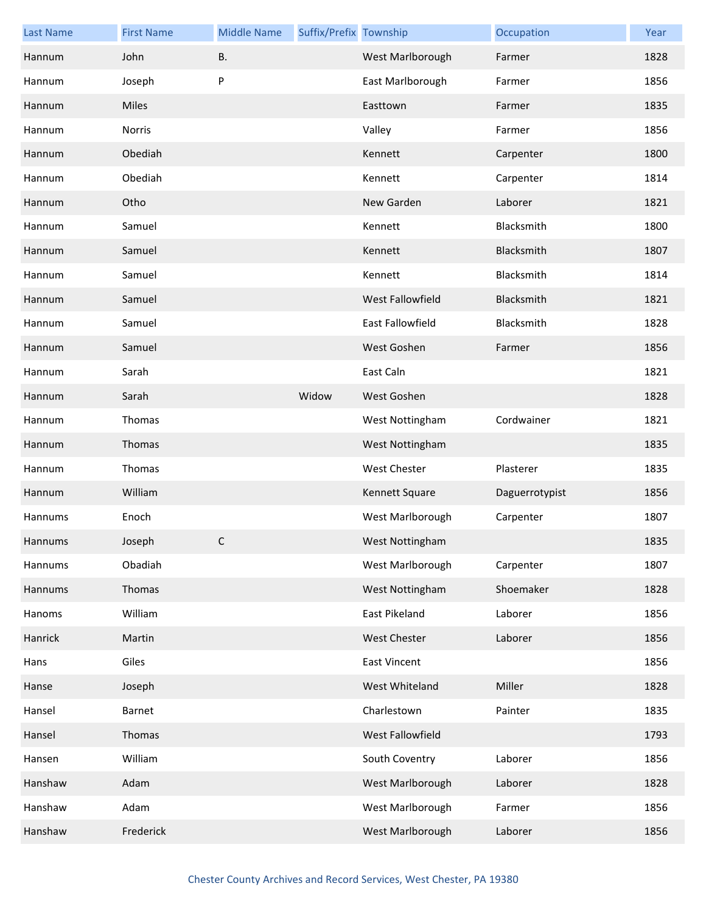| <b>Last Name</b> | <b>First Name</b> | <b>Middle Name</b> | Suffix/Prefix Township |                     | Occupation     | Year |
|------------------|-------------------|--------------------|------------------------|---------------------|----------------|------|
| Hannum           | John              | <b>B.</b>          |                        | West Marlborough    | Farmer         | 1828 |
| Hannum           | Joseph            | P                  |                        | East Marlborough    | Farmer         | 1856 |
| Hannum           | <b>Miles</b>      |                    |                        | Easttown            | Farmer         | 1835 |
| Hannum           | Norris            |                    |                        | Valley              | Farmer         | 1856 |
| Hannum           | Obediah           |                    |                        | Kennett             | Carpenter      | 1800 |
| Hannum           | Obediah           |                    |                        | Kennett             | Carpenter      | 1814 |
| Hannum           | Otho              |                    |                        | New Garden          | Laborer        | 1821 |
| Hannum           | Samuel            |                    |                        | Kennett             | Blacksmith     | 1800 |
| Hannum           | Samuel            |                    |                        | Kennett             | Blacksmith     | 1807 |
| Hannum           | Samuel            |                    |                        | Kennett             | Blacksmith     | 1814 |
| Hannum           | Samuel            |                    |                        | West Fallowfield    | Blacksmith     | 1821 |
| Hannum           | Samuel            |                    |                        | East Fallowfield    | Blacksmith     | 1828 |
| Hannum           | Samuel            |                    |                        | West Goshen         | Farmer         | 1856 |
| Hannum           | Sarah             |                    |                        | East Caln           |                | 1821 |
| Hannum           | Sarah             |                    | Widow                  | West Goshen         |                | 1828 |
| Hannum           | Thomas            |                    |                        | West Nottingham     | Cordwainer     | 1821 |
| Hannum           | Thomas            |                    |                        | West Nottingham     |                | 1835 |
| Hannum           | Thomas            |                    |                        | West Chester        | Plasterer      | 1835 |
| Hannum           | William           |                    |                        | Kennett Square      | Daguerrotypist | 1856 |
| Hannums          | Enoch             |                    |                        | West Marlborough    | Carpenter      | 1807 |
| Hannums          | Joseph            | C                  |                        | West Nottingham     |                | 1835 |
| Hannums          | Obadiah           |                    |                        | West Marlborough    | Carpenter      | 1807 |
| Hannums          | Thomas            |                    |                        | West Nottingham     | Shoemaker      | 1828 |
| Hanoms           | William           |                    |                        | East Pikeland       | Laborer        | 1856 |
| Hanrick          | Martin            |                    |                        | <b>West Chester</b> | Laborer        | 1856 |
| Hans             | Giles             |                    |                        | <b>East Vincent</b> |                | 1856 |
| Hanse            | Joseph            |                    |                        | West Whiteland      | Miller         | 1828 |
| Hansel           | Barnet            |                    |                        | Charlestown         | Painter        | 1835 |
| Hansel           | Thomas            |                    |                        | West Fallowfield    |                | 1793 |
| Hansen           | William           |                    |                        | South Coventry      | Laborer        | 1856 |
| Hanshaw          | Adam              |                    |                        | West Marlborough    | Laborer        | 1828 |
| Hanshaw          | Adam              |                    |                        | West Marlborough    | Farmer         | 1856 |
| Hanshaw          | Frederick         |                    |                        | West Marlborough    | Laborer        | 1856 |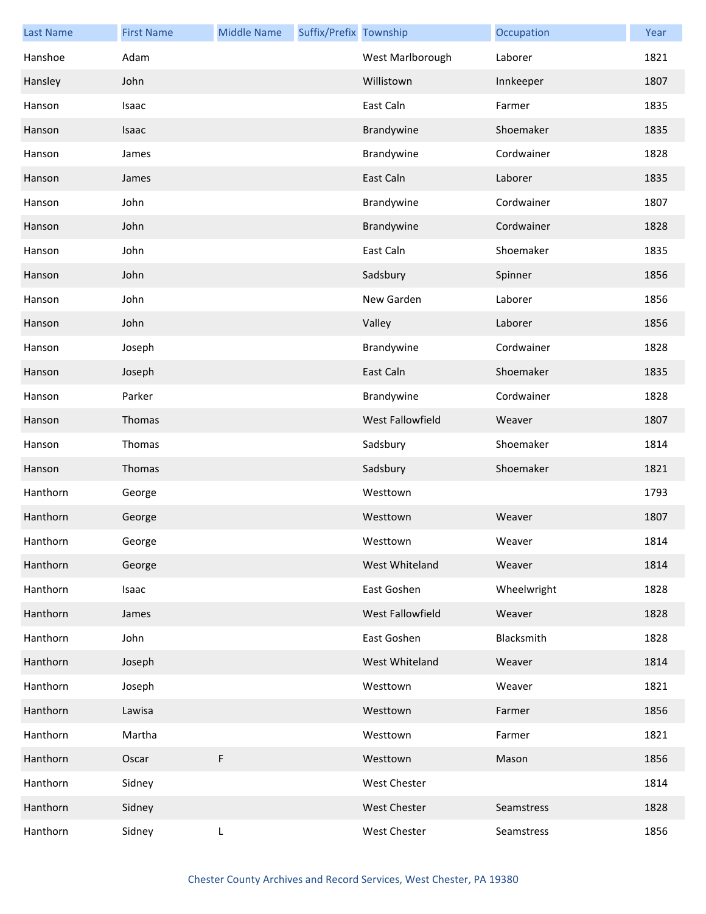| <b>Last Name</b> | <b>First Name</b> | <b>Middle Name</b> | Suffix/Prefix Township |                     | Occupation  | Year |
|------------------|-------------------|--------------------|------------------------|---------------------|-------------|------|
| Hanshoe          | Adam              |                    |                        | West Marlborough    | Laborer     | 1821 |
| Hansley          | John              |                    |                        | Willistown          | Innkeeper   | 1807 |
| Hanson           | Isaac             |                    |                        | East Caln           | Farmer      | 1835 |
| Hanson           | Isaac             |                    |                        | Brandywine          | Shoemaker   | 1835 |
| Hanson           | James             |                    |                        | Brandywine          | Cordwainer  | 1828 |
| Hanson           | James             |                    |                        | East Caln           | Laborer     | 1835 |
| Hanson           | John              |                    |                        | Brandywine          | Cordwainer  | 1807 |
| Hanson           | John              |                    |                        | Brandywine          | Cordwainer  | 1828 |
| Hanson           | John              |                    |                        | East Caln           | Shoemaker   | 1835 |
| Hanson           | John              |                    |                        | Sadsbury            | Spinner     | 1856 |
| Hanson           | John              |                    |                        | New Garden          | Laborer     | 1856 |
| Hanson           | John              |                    |                        | Valley              | Laborer     | 1856 |
| Hanson           | Joseph            |                    |                        | Brandywine          | Cordwainer  | 1828 |
| Hanson           | Joseph            |                    |                        | East Caln           | Shoemaker   | 1835 |
| Hanson           | Parker            |                    |                        | Brandywine          | Cordwainer  | 1828 |
| Hanson           | Thomas            |                    |                        | West Fallowfield    | Weaver      | 1807 |
| Hanson           | Thomas            |                    |                        | Sadsbury            | Shoemaker   | 1814 |
| Hanson           | Thomas            |                    |                        | Sadsbury            | Shoemaker   | 1821 |
| Hanthorn         | George            |                    |                        | Westtown            |             | 1793 |
| Hanthorn         | George            |                    |                        | Westtown            | Weaver      | 1807 |
| Hanthorn         | George            |                    |                        | Westtown            | Weaver      | 1814 |
| Hanthorn         | George            |                    |                        | West Whiteland      | Weaver      | 1814 |
| Hanthorn         | Isaac             |                    |                        | East Goshen         | Wheelwright | 1828 |
| Hanthorn         | James             |                    |                        | West Fallowfield    | Weaver      | 1828 |
| Hanthorn         | John              |                    |                        | East Goshen         | Blacksmith  | 1828 |
| Hanthorn         | Joseph            |                    |                        | West Whiteland      | Weaver      | 1814 |
| Hanthorn         | Joseph            |                    |                        | Westtown            | Weaver      | 1821 |
| Hanthorn         | Lawisa            |                    |                        | Westtown            | Farmer      | 1856 |
| Hanthorn         | Martha            |                    |                        | Westtown            | Farmer      | 1821 |
| Hanthorn         | Oscar             | F                  |                        | Westtown            | Mason       | 1856 |
| Hanthorn         | Sidney            |                    |                        | <b>West Chester</b> |             | 1814 |
| Hanthorn         | Sidney            |                    |                        | West Chester        | Seamstress  | 1828 |
| Hanthorn         | Sidney            | L                  |                        | West Chester        | Seamstress  | 1856 |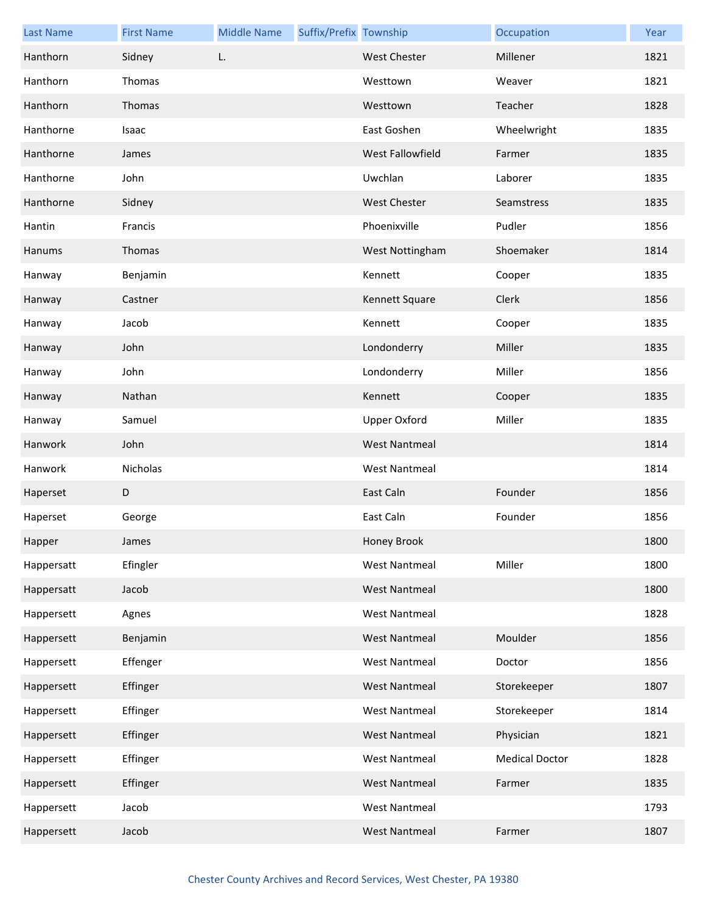| <b>Last Name</b> | <b>First Name</b> | <b>Middle Name</b> | Suffix/Prefix Township |                      | Occupation            | Year |
|------------------|-------------------|--------------------|------------------------|----------------------|-----------------------|------|
| Hanthorn         | Sidney            | L.                 |                        | <b>West Chester</b>  | Millener              | 1821 |
| Hanthorn         | Thomas            |                    |                        | Westtown             | Weaver                | 1821 |
| Hanthorn         | Thomas            |                    |                        | Westtown             | Teacher               | 1828 |
| Hanthorne        | Isaac             |                    |                        | East Goshen          | Wheelwright           | 1835 |
| Hanthorne        | James             |                    |                        | West Fallowfield     | Farmer                | 1835 |
| Hanthorne        | John              |                    |                        | Uwchlan              | Laborer               | 1835 |
| Hanthorne        | Sidney            |                    |                        | <b>West Chester</b>  | Seamstress            | 1835 |
| Hantin           | Francis           |                    |                        | Phoenixville         | Pudler                | 1856 |
| Hanums           | Thomas            |                    |                        | West Nottingham      | Shoemaker             | 1814 |
| Hanway           | Benjamin          |                    |                        | Kennett              | Cooper                | 1835 |
| Hanway           | Castner           |                    |                        | Kennett Square       | Clerk                 | 1856 |
| Hanway           | Jacob             |                    |                        | Kennett              | Cooper                | 1835 |
| Hanway           | John              |                    |                        | Londonderry          | Miller                | 1835 |
| Hanway           | John              |                    |                        | Londonderry          | Miller                | 1856 |
| Hanway           | Nathan            |                    |                        | Kennett              | Cooper                | 1835 |
| Hanway           | Samuel            |                    |                        | <b>Upper Oxford</b>  | Miller                | 1835 |
| Hanwork          | John              |                    |                        | <b>West Nantmeal</b> |                       | 1814 |
| Hanwork          | Nicholas          |                    |                        | <b>West Nantmeal</b> |                       | 1814 |
| Haperset         | D                 |                    |                        | East Caln            | Founder               | 1856 |
| Haperset         | George            |                    |                        | East Caln            | Founder               | 1856 |
| Happer           | James             |                    |                        | Honey Brook          |                       | 1800 |
| Happersatt       | Efingler          |                    |                        | <b>West Nantmeal</b> | Miller                | 1800 |
| Happersatt       | Jacob             |                    |                        | <b>West Nantmeal</b> |                       | 1800 |
| Happersett       | Agnes             |                    |                        | <b>West Nantmeal</b> |                       | 1828 |
| Happersett       | Benjamin          |                    |                        | <b>West Nantmeal</b> | Moulder               | 1856 |
| Happersett       | Effenger          |                    |                        | <b>West Nantmeal</b> | Doctor                | 1856 |
| Happersett       | Effinger          |                    |                        | <b>West Nantmeal</b> | Storekeeper           | 1807 |
| Happersett       | Effinger          |                    |                        | <b>West Nantmeal</b> | Storekeeper           | 1814 |
| Happersett       | Effinger          |                    |                        | <b>West Nantmeal</b> | Physician             | 1821 |
| Happersett       | Effinger          |                    |                        | <b>West Nantmeal</b> | <b>Medical Doctor</b> | 1828 |
| Happersett       | Effinger          |                    |                        | <b>West Nantmeal</b> | Farmer                | 1835 |
| Happersett       | Jacob             |                    |                        | <b>West Nantmeal</b> |                       | 1793 |
| Happersett       | Jacob             |                    |                        | <b>West Nantmeal</b> | Farmer                | 1807 |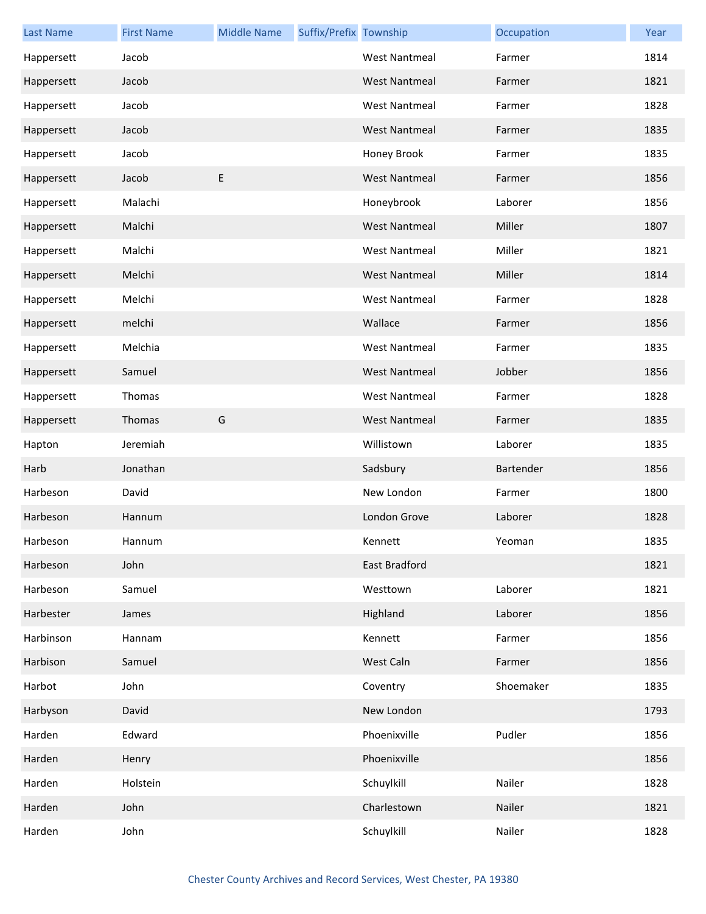| <b>Last Name</b> | <b>First Name</b> | <b>Middle Name</b> | Suffix/Prefix Township |                      | Occupation | Year |
|------------------|-------------------|--------------------|------------------------|----------------------|------------|------|
| Happersett       | Jacob             |                    |                        | <b>West Nantmeal</b> | Farmer     | 1814 |
| Happersett       | Jacob             |                    |                        | <b>West Nantmeal</b> | Farmer     | 1821 |
| Happersett       | Jacob             |                    |                        | <b>West Nantmeal</b> | Farmer     | 1828 |
| Happersett       | Jacob             |                    |                        | <b>West Nantmeal</b> | Farmer     | 1835 |
| Happersett       | Jacob             |                    |                        | Honey Brook          | Farmer     | 1835 |
| Happersett       | Jacob             | E                  |                        | <b>West Nantmeal</b> | Farmer     | 1856 |
| Happersett       | Malachi           |                    |                        | Honeybrook           | Laborer    | 1856 |
| Happersett       | Malchi            |                    |                        | <b>West Nantmeal</b> | Miller     | 1807 |
| Happersett       | Malchi            |                    |                        | <b>West Nantmeal</b> | Miller     | 1821 |
| Happersett       | Melchi            |                    |                        | <b>West Nantmeal</b> | Miller     | 1814 |
| Happersett       | Melchi            |                    |                        | <b>West Nantmeal</b> | Farmer     | 1828 |
| Happersett       | melchi            |                    |                        | Wallace              | Farmer     | 1856 |
| Happersett       | Melchia           |                    |                        | <b>West Nantmeal</b> | Farmer     | 1835 |
| Happersett       | Samuel            |                    |                        | <b>West Nantmeal</b> | Jobber     | 1856 |
| Happersett       | Thomas            |                    |                        | <b>West Nantmeal</b> | Farmer     | 1828 |
| Happersett       | Thomas            | G                  |                        | <b>West Nantmeal</b> | Farmer     | 1835 |
| Hapton           | Jeremiah          |                    |                        | Willistown           | Laborer    | 1835 |
| Harb             | Jonathan          |                    |                        | Sadsbury             | Bartender  | 1856 |
| Harbeson         | David             |                    |                        | New London           | Farmer     | 1800 |
| Harbeson         | Hannum            |                    |                        | London Grove         | Laborer    | 1828 |
| Harbeson         | Hannum            |                    |                        | Kennett              | Yeoman     | 1835 |
| Harbeson         | John              |                    |                        | East Bradford        |            | 1821 |
| Harbeson         | Samuel            |                    |                        | Westtown             | Laborer    | 1821 |
| Harbester        | James             |                    |                        | Highland             | Laborer    | 1856 |
| Harbinson        | Hannam            |                    |                        | Kennett              | Farmer     | 1856 |
| Harbison         | Samuel            |                    |                        | West Caln            | Farmer     | 1856 |
| Harbot           | John              |                    |                        | Coventry             | Shoemaker  | 1835 |
| Harbyson         | David             |                    |                        | New London           |            | 1793 |
| Harden           | Edward            |                    |                        | Phoenixville         | Pudler     | 1856 |
| Harden           | Henry             |                    |                        | Phoenixville         |            | 1856 |
| Harden           | Holstein          |                    |                        | Schuylkill           | Nailer     | 1828 |
| Harden           | John              |                    |                        | Charlestown          | Nailer     | 1821 |
|                  |                   |                    |                        |                      |            |      |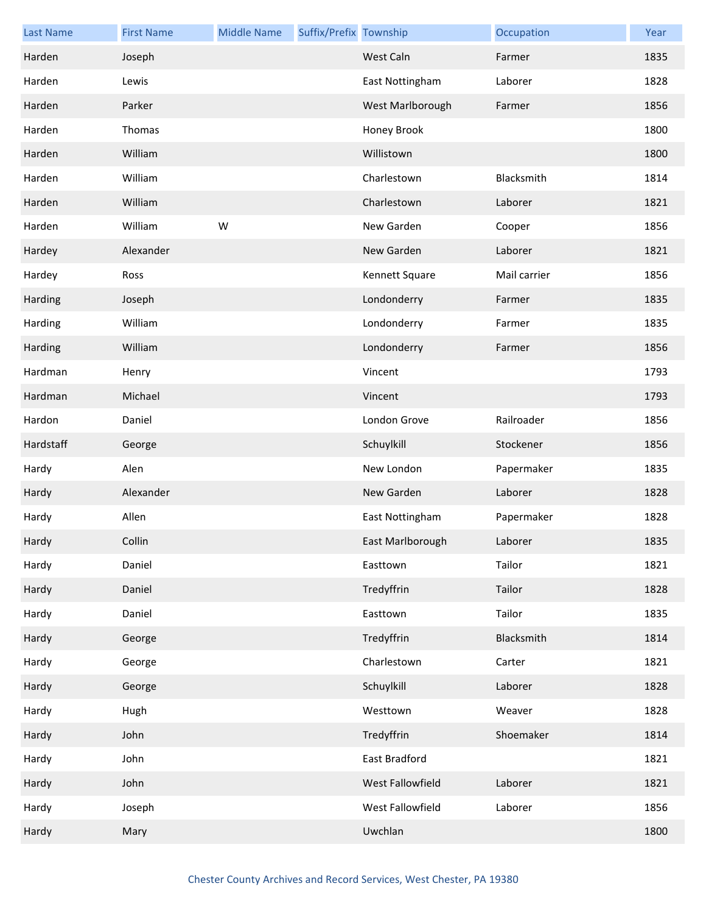| <b>Last Name</b> | <b>First Name</b> | <b>Middle Name</b> | Suffix/Prefix Township |                  | Occupation   | Year |
|------------------|-------------------|--------------------|------------------------|------------------|--------------|------|
| Harden           | Joseph            |                    |                        | West Caln        | Farmer       | 1835 |
| Harden           | Lewis             |                    |                        | East Nottingham  | Laborer      | 1828 |
| Harden           | Parker            |                    |                        | West Marlborough | Farmer       | 1856 |
| Harden           | Thomas            |                    |                        | Honey Brook      |              | 1800 |
| Harden           | William           |                    |                        | Willistown       |              | 1800 |
| Harden           | William           |                    |                        | Charlestown      | Blacksmith   | 1814 |
| Harden           | William           |                    |                        | Charlestown      | Laborer      | 1821 |
| Harden           | William           | W                  |                        | New Garden       | Cooper       | 1856 |
| Hardey           | Alexander         |                    |                        | New Garden       | Laborer      | 1821 |
| Hardey           | Ross              |                    |                        | Kennett Square   | Mail carrier | 1856 |
| Harding          | Joseph            |                    |                        | Londonderry      | Farmer       | 1835 |
| Harding          | William           |                    |                        | Londonderry      | Farmer       | 1835 |
| Harding          | William           |                    |                        | Londonderry      | Farmer       | 1856 |
| Hardman          | Henry             |                    |                        | Vincent          |              | 1793 |
| Hardman          | Michael           |                    |                        | Vincent          |              | 1793 |
| Hardon           | Daniel            |                    |                        | London Grove     | Railroader   | 1856 |
| Hardstaff        | George            |                    |                        | Schuylkill       | Stockener    | 1856 |
| Hardy            | Alen              |                    |                        | New London       | Papermaker   | 1835 |
| Hardy            | Alexander         |                    |                        | New Garden       | Laborer      | 1828 |
| Hardy            | Allen             |                    |                        | East Nottingham  | Papermaker   | 1828 |
| Hardy            | Collin            |                    |                        | East Marlborough | Laborer      | 1835 |
| Hardy            | Daniel            |                    |                        | Easttown         | Tailor       | 1821 |
| Hardy            | Daniel            |                    |                        | Tredyffrin       | Tailor       | 1828 |
| Hardy            | Daniel            |                    |                        | Easttown         | Tailor       | 1835 |
| Hardy            | George            |                    |                        | Tredyffrin       | Blacksmith   | 1814 |
| Hardy            | George            |                    |                        | Charlestown      | Carter       | 1821 |
| Hardy            | George            |                    |                        | Schuylkill       | Laborer      | 1828 |
| Hardy            | Hugh              |                    |                        | Westtown         | Weaver       | 1828 |
| Hardy            | John              |                    |                        | Tredyffrin       | Shoemaker    | 1814 |
| Hardy            | John              |                    |                        | East Bradford    |              | 1821 |
| Hardy            | John              |                    |                        | West Fallowfield | Laborer      | 1821 |
| Hardy            | Joseph            |                    |                        | West Fallowfield | Laborer      | 1856 |
| Hardy            | Mary              |                    |                        | Uwchlan          |              | 1800 |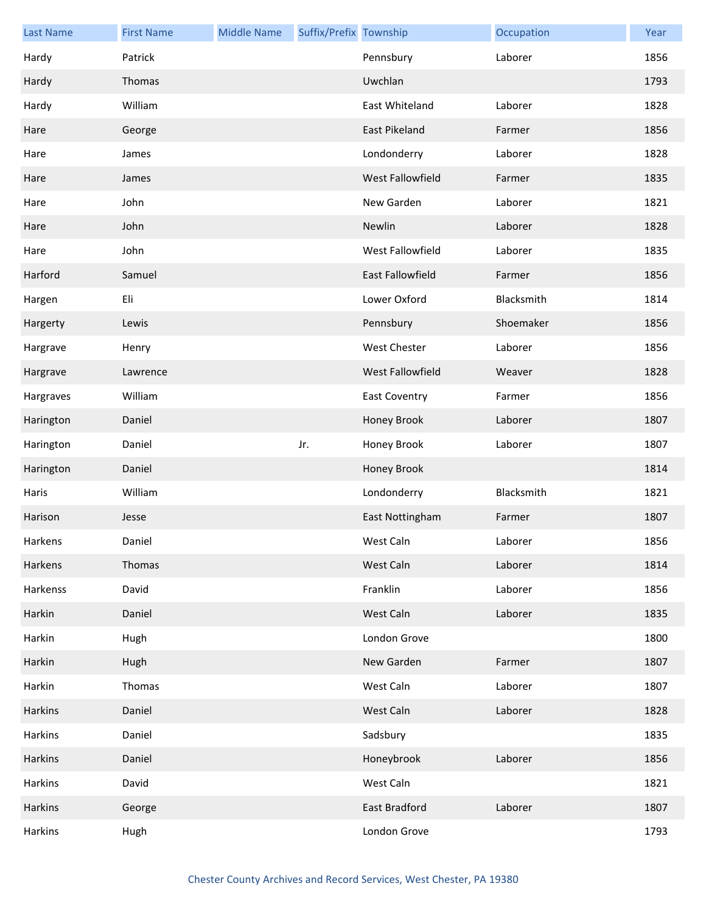| <b>Last Name</b> | <b>First Name</b> | <b>Middle Name</b> | Suffix/Prefix Township |                         | Occupation | Year |
|------------------|-------------------|--------------------|------------------------|-------------------------|------------|------|
| Hardy            | Patrick           |                    |                        | Pennsbury               | Laborer    | 1856 |
| Hardy            | Thomas            |                    |                        | Uwchlan                 |            | 1793 |
| Hardy            | William           |                    |                        | East Whiteland          | Laborer    | 1828 |
| Hare             | George            |                    |                        | <b>East Pikeland</b>    | Farmer     | 1856 |
| Hare             | James             |                    |                        | Londonderry             | Laborer    | 1828 |
| Hare             | James             |                    |                        | West Fallowfield        | Farmer     | 1835 |
| Hare             | John              |                    |                        | New Garden              | Laborer    | 1821 |
| Hare             | John              |                    |                        | Newlin                  | Laborer    | 1828 |
| Hare             | John              |                    |                        | West Fallowfield        | Laborer    | 1835 |
| Harford          | Samuel            |                    |                        | <b>East Fallowfield</b> | Farmer     | 1856 |
| Hargen           | Eli               |                    |                        | Lower Oxford            | Blacksmith | 1814 |
| Hargerty         | Lewis             |                    |                        | Pennsbury               | Shoemaker  | 1856 |
| Hargrave         | Henry             |                    |                        | West Chester            | Laborer    | 1856 |
| Hargrave         | Lawrence          |                    |                        | West Fallowfield        | Weaver     | 1828 |
| Hargraves        | William           |                    |                        | East Coventry           | Farmer     | 1856 |
| Harington        | Daniel            |                    |                        | Honey Brook             | Laborer    | 1807 |
| Harington        | Daniel            |                    | Jr.                    | Honey Brook             | Laborer    | 1807 |
| Harington        | Daniel            |                    |                        | Honey Brook             |            | 1814 |
| Haris            | William           |                    |                        | Londonderry             | Blacksmith | 1821 |
| Harison          | Jesse             |                    |                        | East Nottingham         | Farmer     | 1807 |
| Harkens          | Daniel            |                    |                        | West Caln               | Laborer    | 1856 |
| Harkens          | Thomas            |                    |                        | West Caln               | Laborer    | 1814 |
| Harkenss         | David             |                    |                        | Franklin                | Laborer    | 1856 |
| Harkin           | Daniel            |                    |                        | West Caln               | Laborer    | 1835 |
| Harkin           | Hugh              |                    |                        | London Grove            |            | 1800 |
| Harkin           | Hugh              |                    |                        | New Garden              | Farmer     | 1807 |
| Harkin           | Thomas            |                    |                        | West Caln               | Laborer    | 1807 |
| Harkins          | Daniel            |                    |                        | West Caln               | Laborer    | 1828 |
| Harkins          | Daniel            |                    |                        | Sadsbury                |            | 1835 |
| Harkins          | Daniel            |                    |                        | Honeybrook              | Laborer    | 1856 |
| Harkins          | David             |                    |                        | West Caln               |            | 1821 |
| Harkins          | George            |                    |                        | <b>East Bradford</b>    | Laborer    | 1807 |
| Harkins          | Hugh              |                    |                        | London Grove            |            | 1793 |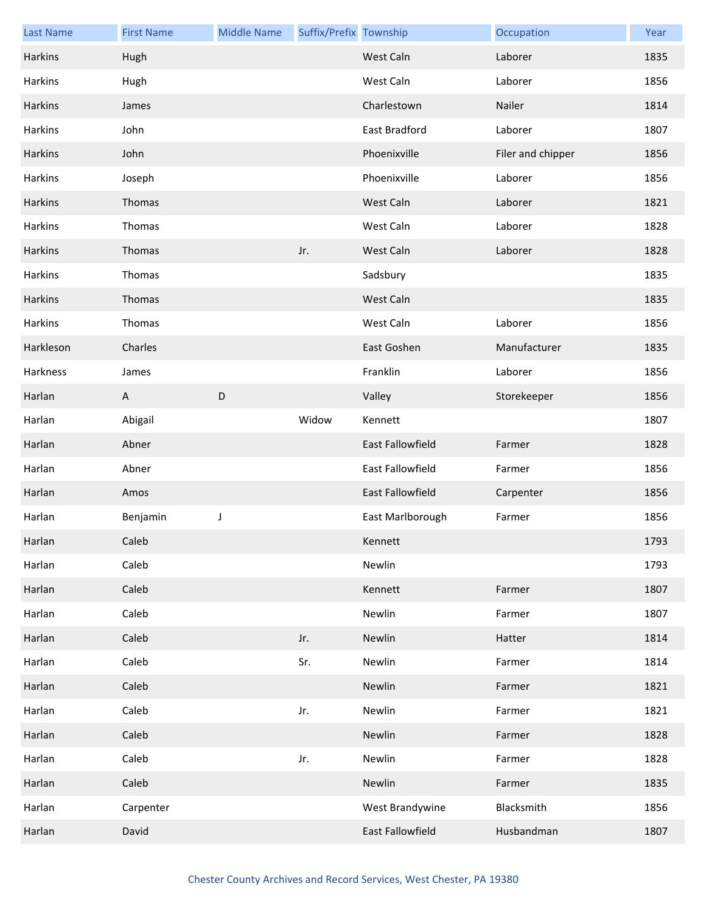| <b>Last Name</b> | <b>First Name</b> | <b>Middle Name</b> | Suffix/Prefix Township |                  | Occupation        | Year |
|------------------|-------------------|--------------------|------------------------|------------------|-------------------|------|
| Harkins          | Hugh              |                    |                        | West Caln        | Laborer           | 1835 |
| Harkins          | Hugh              |                    |                        | West Caln        | Laborer           | 1856 |
| Harkins          | James             |                    |                        | Charlestown      | Nailer            | 1814 |
| Harkins          | John              |                    |                        | East Bradford    | Laborer           | 1807 |
| Harkins          | John              |                    |                        | Phoenixville     | Filer and chipper | 1856 |
| Harkins          | Joseph            |                    |                        | Phoenixville     | Laborer           | 1856 |
| Harkins          | Thomas            |                    |                        | West Caln        | Laborer           | 1821 |
| Harkins          | Thomas            |                    |                        | West Caln        | Laborer           | 1828 |
| Harkins          | Thomas            |                    | Jr.                    | West Caln        | Laborer           | 1828 |
| Harkins          | Thomas            |                    |                        | Sadsbury         |                   | 1835 |
| Harkins          | Thomas            |                    |                        | West Caln        |                   | 1835 |
| Harkins          | Thomas            |                    |                        | West Caln        | Laborer           | 1856 |
| Harkleson        | Charles           |                    |                        | East Goshen      | Manufacturer      | 1835 |
| Harkness         | James             |                    |                        | Franklin         | Laborer           | 1856 |
| Harlan           | A                 | D                  |                        | Valley           | Storekeeper       | 1856 |
| Harlan           | Abigail           |                    | Widow                  | Kennett          |                   | 1807 |
| Harlan           | Abner             |                    |                        | East Fallowfield | Farmer            | 1828 |
| Harlan           | Abner             |                    |                        | East Fallowfield | Farmer            | 1856 |
| Harlan           | Amos              |                    |                        | East Fallowfield | Carpenter         | 1856 |
| Harlan           | Benjamin          | J                  |                        | East Marlborough | Farmer            | 1856 |
| Harlan           | Caleb             |                    |                        | Kennett          |                   | 1793 |
| Harlan           | Caleb             |                    |                        | Newlin           |                   | 1793 |
| Harlan           | Caleb             |                    |                        | Kennett          | Farmer            | 1807 |
| Harlan           | Caleb             |                    |                        | Newlin           | Farmer            | 1807 |
| Harlan           | Caleb             |                    | Jr.                    | Newlin           | Hatter            | 1814 |
| Harlan           | Caleb             |                    | Sr.                    | Newlin           | Farmer            | 1814 |
| Harlan           | Caleb             |                    |                        | Newlin           | Farmer            | 1821 |
| Harlan           | Caleb             |                    | Jr.                    | Newlin           | Farmer            | 1821 |
| Harlan           | Caleb             |                    |                        | Newlin           | Farmer            | 1828 |
| Harlan           | Caleb             |                    | Jr.                    | Newlin           | Farmer            | 1828 |
| Harlan           | Caleb             |                    |                        | Newlin           | Farmer            | 1835 |
| Harlan           | Carpenter         |                    |                        | West Brandywine  | Blacksmith        | 1856 |
| Harlan           | David             |                    |                        | East Fallowfield | Husbandman        | 1807 |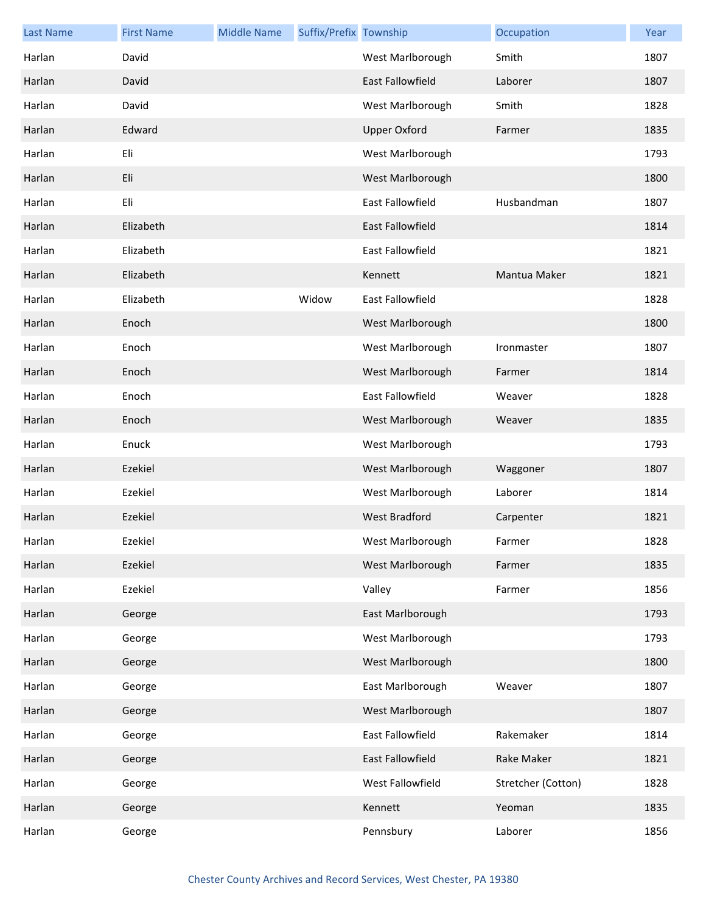| <b>Last Name</b> | <b>First Name</b> | <b>Middle Name</b> | Suffix/Prefix Township |                         | Occupation         | Year |
|------------------|-------------------|--------------------|------------------------|-------------------------|--------------------|------|
| Harlan           | David             |                    |                        | West Marlborough        | Smith              | 1807 |
| Harlan           | David             |                    |                        | <b>East Fallowfield</b> | Laborer            | 1807 |
| Harlan           | David             |                    |                        | West Marlborough        | Smith              | 1828 |
| Harlan           | Edward            |                    |                        | <b>Upper Oxford</b>     | Farmer             | 1835 |
| Harlan           | Eli               |                    |                        | West Marlborough        |                    | 1793 |
| Harlan           | Eli               |                    |                        | West Marlborough        |                    | 1800 |
| Harlan           | Eli               |                    |                        | East Fallowfield        | Husbandman         | 1807 |
| Harlan           | Elizabeth         |                    |                        | East Fallowfield        |                    | 1814 |
| Harlan           | Elizabeth         |                    |                        | East Fallowfield        |                    | 1821 |
| Harlan           | Elizabeth         |                    |                        | Kennett                 | Mantua Maker       | 1821 |
| Harlan           | Elizabeth         |                    | Widow                  | East Fallowfield        |                    | 1828 |
| Harlan           | Enoch             |                    |                        | West Marlborough        |                    | 1800 |
| Harlan           | Enoch             |                    |                        | West Marlborough        | Ironmaster         | 1807 |
| Harlan           | Enoch             |                    |                        | West Marlborough        | Farmer             | 1814 |
| Harlan           | Enoch             |                    |                        | East Fallowfield        | Weaver             | 1828 |
| Harlan           | Enoch             |                    |                        | West Marlborough        | Weaver             | 1835 |
| Harlan           | Enuck             |                    |                        | West Marlborough        |                    | 1793 |
| Harlan           | Ezekiel           |                    |                        | West Marlborough        | Waggoner           | 1807 |
| Harlan           | Ezekiel           |                    |                        | West Marlborough        | Laborer            | 1814 |
| Harlan           | Ezekiel           |                    |                        | <b>West Bradford</b>    | Carpenter          | 1821 |
| Harlan           | Ezekiel           |                    |                        | West Marlborough        | Farmer             | 1828 |
| Harlan           | Ezekiel           |                    |                        | West Marlborough        | Farmer             | 1835 |
| Harlan           | Ezekiel           |                    |                        | Valley                  | Farmer             | 1856 |
| Harlan           | George            |                    |                        | East Marlborough        |                    | 1793 |
| Harlan           | George            |                    |                        | West Marlborough        |                    | 1793 |
| Harlan           | George            |                    |                        | West Marlborough        |                    | 1800 |
| Harlan           | George            |                    |                        | East Marlborough        | Weaver             | 1807 |
| Harlan           | George            |                    |                        | West Marlborough        |                    | 1807 |
| Harlan           | George            |                    |                        | East Fallowfield        | Rakemaker          | 1814 |
| Harlan           | George            |                    |                        | East Fallowfield        | Rake Maker         | 1821 |
| Harlan           | George            |                    |                        | West Fallowfield        | Stretcher (Cotton) | 1828 |
| Harlan           | George            |                    |                        | Kennett                 | Yeoman             | 1835 |
| Harlan           | George            |                    |                        | Pennsbury               | Laborer            | 1856 |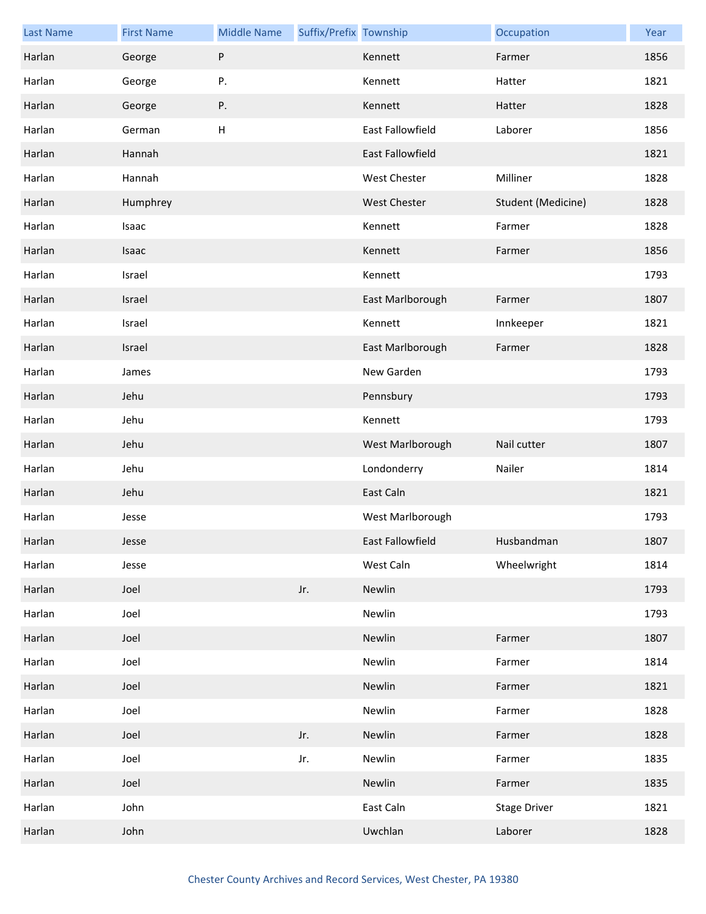| <b>Last Name</b> | <b>First Name</b> | <b>Middle Name</b> | Suffix/Prefix Township |                  | Occupation          | Year |
|------------------|-------------------|--------------------|------------------------|------------------|---------------------|------|
| Harlan           | George            | P                  |                        | Kennett          | Farmer              | 1856 |
| Harlan           | George            | Ρ.                 |                        | Kennett          | Hatter              | 1821 |
| Harlan           | George            | Ρ.                 |                        | Kennett          | Hatter              | 1828 |
| Harlan           | German            | H                  |                        | East Fallowfield | Laborer             | 1856 |
| Harlan           | Hannah            |                    |                        | East Fallowfield |                     | 1821 |
| Harlan           | Hannah            |                    |                        | West Chester     | Milliner            | 1828 |
| Harlan           | Humphrey          |                    |                        | West Chester     | Student (Medicine)  | 1828 |
| Harlan           | Isaac             |                    |                        | Kennett          | Farmer              | 1828 |
| Harlan           | Isaac             |                    |                        | Kennett          | Farmer              | 1856 |
| Harlan           | Israel            |                    |                        | Kennett          |                     | 1793 |
| Harlan           | Israel            |                    |                        | East Marlborough | Farmer              | 1807 |
| Harlan           | Israel            |                    |                        | Kennett          | Innkeeper           | 1821 |
| Harlan           | Israel            |                    |                        | East Marlborough | Farmer              | 1828 |
| Harlan           | James             |                    |                        | New Garden       |                     | 1793 |
| Harlan           | Jehu              |                    |                        | Pennsbury        |                     | 1793 |
| Harlan           | Jehu              |                    |                        | Kennett          |                     | 1793 |
| Harlan           | Jehu              |                    |                        | West Marlborough | Nail cutter         | 1807 |
| Harlan           | Jehu              |                    |                        | Londonderry      | Nailer              | 1814 |
| Harlan           | Jehu              |                    |                        | East Caln        |                     | 1821 |
| Harlan           | Jesse             |                    |                        | West Marlborough |                     | 1793 |
| Harlan           | Jesse             |                    |                        | East Fallowfield | Husbandman          | 1807 |
| Harlan           | Jesse             |                    |                        | West Caln        | Wheelwright         | 1814 |
| Harlan           | Joel              |                    | Jr.                    | Newlin           |                     | 1793 |
| Harlan           | Joel              |                    |                        | Newlin           |                     | 1793 |
| Harlan           | Joel              |                    |                        | Newlin           | Farmer              | 1807 |
| Harlan           | Joel              |                    |                        | Newlin           | Farmer              | 1814 |
| Harlan           | Joel              |                    |                        | Newlin           | Farmer              | 1821 |
| Harlan           | Joel              |                    |                        | Newlin           | Farmer              | 1828 |
| Harlan           | Joel              |                    | Jr.                    | Newlin           | Farmer              | 1828 |
| Harlan           | Joel              |                    | Jr.                    | Newlin           | Farmer              | 1835 |
| Harlan           | Joel              |                    |                        | Newlin           | Farmer              | 1835 |
| Harlan           | John              |                    |                        | East Caln        | <b>Stage Driver</b> | 1821 |
| Harlan           | John              |                    |                        | Uwchlan          | Laborer             | 1828 |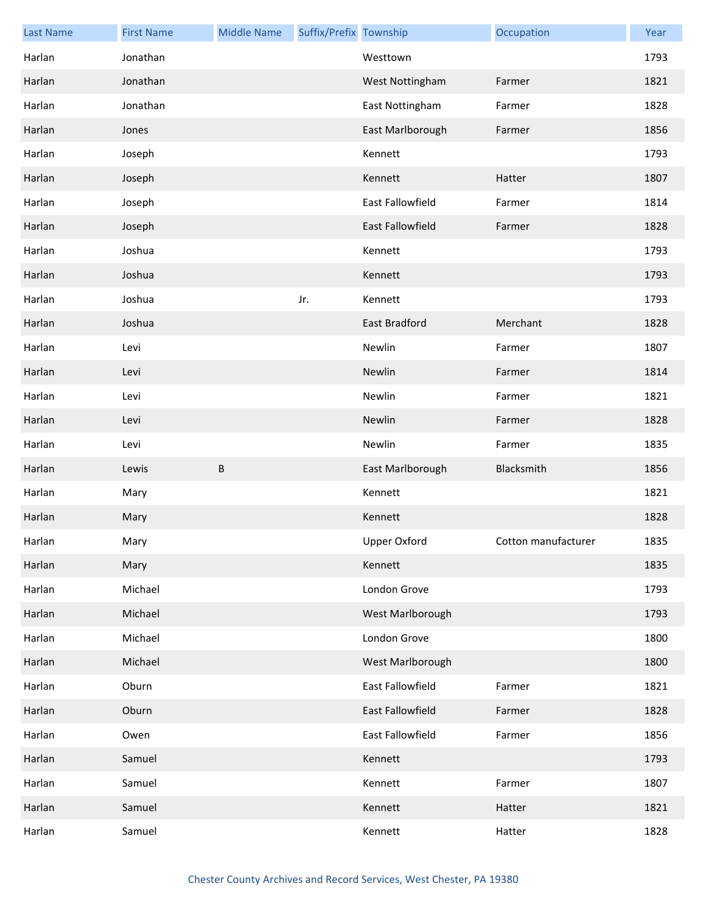| <b>Last Name</b> | <b>First Name</b> | <b>Middle Name</b> | Suffix/Prefix Township |                      | Occupation          | Year |
|------------------|-------------------|--------------------|------------------------|----------------------|---------------------|------|
| Harlan           | Jonathan          |                    |                        | Westtown             |                     | 1793 |
| Harlan           | Jonathan          |                    |                        | West Nottingham      | Farmer              | 1821 |
| Harlan           | Jonathan          |                    |                        | East Nottingham      | Farmer              | 1828 |
| Harlan           | Jones             |                    |                        | East Marlborough     | Farmer              | 1856 |
| Harlan           | Joseph            |                    |                        | Kennett              |                     | 1793 |
| Harlan           | Joseph            |                    |                        | Kennett              | Hatter              | 1807 |
| Harlan           | Joseph            |                    |                        | East Fallowfield     | Farmer              | 1814 |
| Harlan           | Joseph            |                    |                        | East Fallowfield     | Farmer              | 1828 |
| Harlan           | Joshua            |                    |                        | Kennett              |                     | 1793 |
| Harlan           | Joshua            |                    |                        | Kennett              |                     | 1793 |
| Harlan           | Joshua            |                    | Jr.                    | Kennett              |                     | 1793 |
| Harlan           | Joshua            |                    |                        | <b>East Bradford</b> | Merchant            | 1828 |
| Harlan           | Levi              |                    |                        | Newlin               | Farmer              | 1807 |
| Harlan           | Levi              |                    |                        | Newlin               | Farmer              | 1814 |
| Harlan           | Levi              |                    |                        | Newlin               | Farmer              | 1821 |
| Harlan           | Levi              |                    |                        | Newlin               | Farmer              | 1828 |
| Harlan           | Levi              |                    |                        | Newlin               | Farmer              | 1835 |
| Harlan           | Lewis             | В                  |                        | East Marlborough     | Blacksmith          | 1856 |
| Harlan           | Mary              |                    |                        | Kennett              |                     | 1821 |
| Harlan           | Mary              |                    |                        | Kennett              |                     | 1828 |
| Harlan           | Mary              |                    |                        | Upper Oxford         | Cotton manufacturer | 1835 |
| Harlan           | Mary              |                    |                        | Kennett              |                     | 1835 |
| Harlan           | Michael           |                    |                        | London Grove         |                     | 1793 |
| Harlan           | Michael           |                    |                        | West Marlborough     |                     | 1793 |
| Harlan           | Michael           |                    |                        | London Grove         |                     | 1800 |
| Harlan           | Michael           |                    |                        | West Marlborough     |                     | 1800 |
| Harlan           | Oburn             |                    |                        | East Fallowfield     | Farmer              | 1821 |
| Harlan           | Oburn             |                    |                        | East Fallowfield     | Farmer              | 1828 |
| Harlan           | Owen              |                    |                        | East Fallowfield     | Farmer              | 1856 |
| Harlan           | Samuel            |                    |                        | Kennett              |                     | 1793 |
| Harlan           | Samuel            |                    |                        | Kennett              | Farmer              | 1807 |
| Harlan           | Samuel            |                    |                        | Kennett              | Hatter              | 1821 |
| Harlan           | Samuel            |                    |                        | Kennett              | Hatter              | 1828 |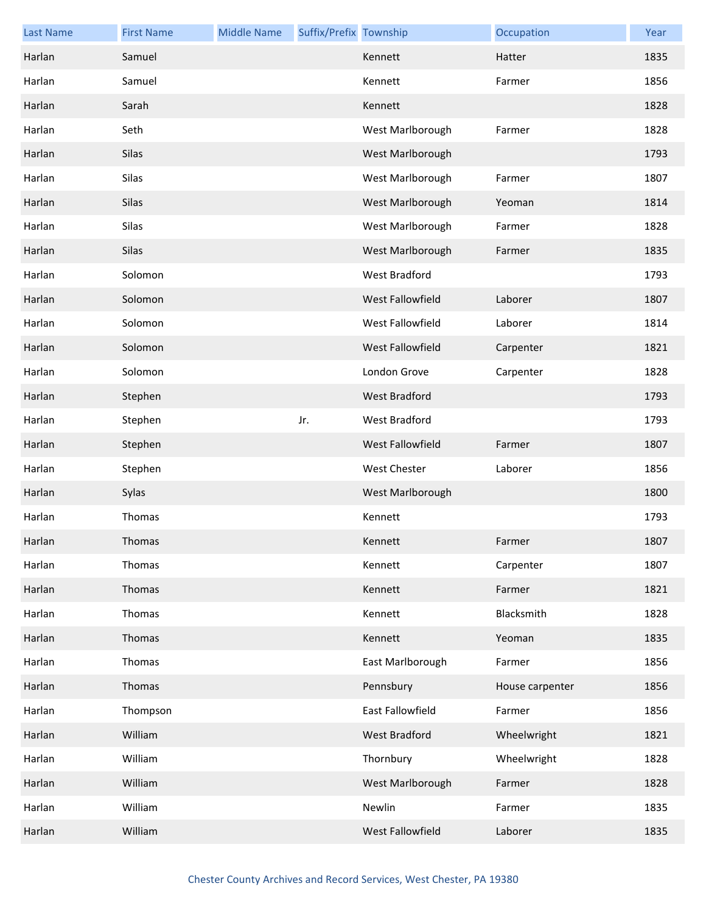| <b>Last Name</b> | <b>First Name</b> | <b>Middle Name</b> | Suffix/Prefix Township |                         | Occupation      | Year |
|------------------|-------------------|--------------------|------------------------|-------------------------|-----------------|------|
| Harlan           | Samuel            |                    |                        | Kennett                 | Hatter          | 1835 |
| Harlan           | Samuel            |                    |                        | Kennett                 | Farmer          | 1856 |
| Harlan           | Sarah             |                    |                        | Kennett                 |                 | 1828 |
| Harlan           | Seth              |                    |                        | West Marlborough        | Farmer          | 1828 |
| Harlan           | Silas             |                    |                        | West Marlborough        |                 | 1793 |
| Harlan           | Silas             |                    |                        | West Marlborough        | Farmer          | 1807 |
| Harlan           | Silas             |                    |                        | West Marlborough        | Yeoman          | 1814 |
| Harlan           | Silas             |                    |                        | West Marlborough        | Farmer          | 1828 |
| Harlan           | Silas             |                    |                        | West Marlborough        | Farmer          | 1835 |
| Harlan           | Solomon           |                    |                        | <b>West Bradford</b>    |                 | 1793 |
| Harlan           | Solomon           |                    |                        | <b>West Fallowfield</b> | Laborer         | 1807 |
| Harlan           | Solomon           |                    |                        | West Fallowfield        | Laborer         | 1814 |
| Harlan           | Solomon           |                    |                        | West Fallowfield        | Carpenter       | 1821 |
| Harlan           | Solomon           |                    |                        | London Grove            | Carpenter       | 1828 |
| Harlan           | Stephen           |                    |                        | West Bradford           |                 | 1793 |
| Harlan           | Stephen           |                    | Jr.                    | West Bradford           |                 | 1793 |
| Harlan           | Stephen           |                    |                        | West Fallowfield        | Farmer          | 1807 |
| Harlan           | Stephen           |                    |                        | <b>West Chester</b>     | Laborer         | 1856 |
| Harlan           | Sylas             |                    |                        | West Marlborough        |                 | 1800 |
| Harlan           | Thomas            |                    |                        | Kennett                 |                 | 1793 |
| Harlan           | <b>Thomas</b>     |                    |                        | Kennett                 | Farmer          | 1807 |
| Harlan           | Thomas            |                    |                        | Kennett                 | Carpenter       | 1807 |
| Harlan           | Thomas            |                    |                        | Kennett                 | Farmer          | 1821 |
| Harlan           | Thomas            |                    |                        | Kennett                 | Blacksmith      | 1828 |
| Harlan           | Thomas            |                    |                        | Kennett                 | Yeoman          | 1835 |
| Harlan           | Thomas            |                    |                        | East Marlborough        | Farmer          | 1856 |
| Harlan           | Thomas            |                    |                        | Pennsbury               | House carpenter | 1856 |
| Harlan           | Thompson          |                    |                        | East Fallowfield        | Farmer          | 1856 |
| Harlan           | William           |                    |                        | West Bradford           | Wheelwright     | 1821 |
| Harlan           | William           |                    |                        | Thornbury               | Wheelwright     | 1828 |
| Harlan           | William           |                    |                        | West Marlborough        | Farmer          | 1828 |
| Harlan           | William           |                    |                        | Newlin                  | Farmer          | 1835 |
| Harlan           | William           |                    |                        | West Fallowfield        | Laborer         | 1835 |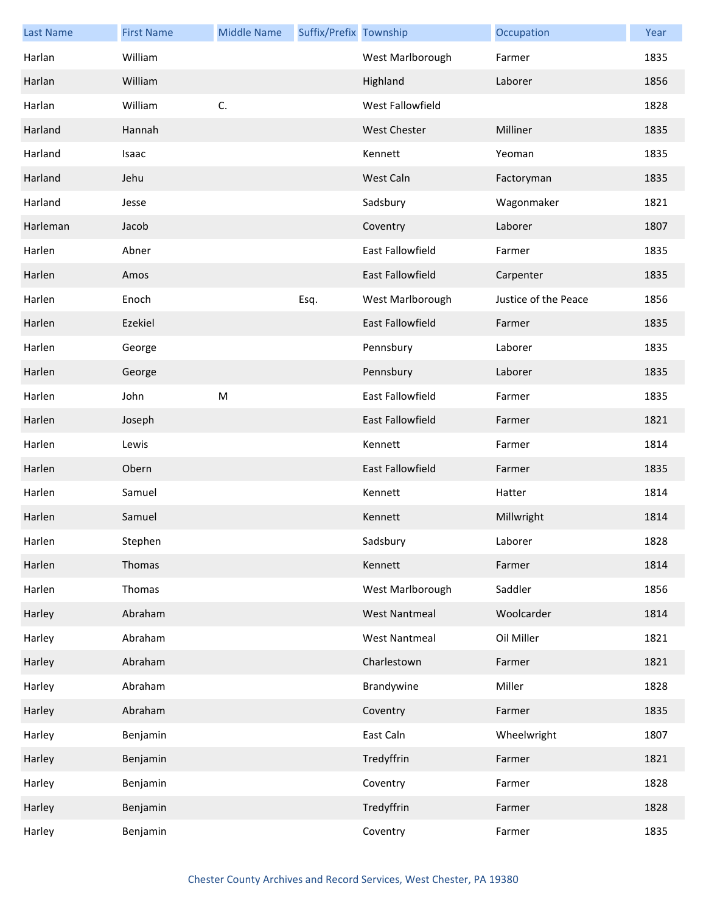| <b>Last Name</b> | <b>First Name</b> | <b>Middle Name</b> | Suffix/Prefix Township |                         | Occupation           | Year |
|------------------|-------------------|--------------------|------------------------|-------------------------|----------------------|------|
| Harlan           | William           |                    |                        | West Marlborough        | Farmer               | 1835 |
| Harlan           | William           |                    |                        | Highland                | Laborer              | 1856 |
| Harlan           | William           | C.                 |                        | West Fallowfield        |                      | 1828 |
| Harland          | Hannah            |                    |                        | <b>West Chester</b>     | Milliner             | 1835 |
| Harland          | Isaac             |                    |                        | Kennett                 | Yeoman               | 1835 |
| Harland          | Jehu              |                    |                        | West Caln               | Factoryman           | 1835 |
| Harland          | Jesse             |                    |                        | Sadsbury                | Wagonmaker           | 1821 |
| Harleman         | Jacob             |                    |                        | Coventry                | Laborer              | 1807 |
| Harlen           | Abner             |                    |                        | East Fallowfield        | Farmer               | 1835 |
| Harlen           | Amos              |                    |                        | <b>East Fallowfield</b> | Carpenter            | 1835 |
| Harlen           | Enoch             |                    | Esq.                   | West Marlborough        | Justice of the Peace | 1856 |
| Harlen           | Ezekiel           |                    |                        | <b>East Fallowfield</b> | Farmer               | 1835 |
| Harlen           | George            |                    |                        | Pennsbury               | Laborer              | 1835 |
| Harlen           | George            |                    |                        | Pennsbury               | Laborer              | 1835 |
| Harlen           | John              | M                  |                        | East Fallowfield        | Farmer               | 1835 |
| Harlen           | Joseph            |                    |                        | <b>East Fallowfield</b> | Farmer               | 1821 |
| Harlen           | Lewis             |                    |                        | Kennett                 | Farmer               | 1814 |
| Harlen           | Obern             |                    |                        | <b>East Fallowfield</b> | Farmer               | 1835 |
| Harlen           | Samuel            |                    |                        | Kennett                 | Hatter               | 1814 |
| Harlen           | Samuel            |                    |                        | Kennett                 | Millwright           | 1814 |
| Harlen           | Stephen           |                    |                        | Sadsbury                | Laborer              | 1828 |
| Harlen           | Thomas            |                    |                        | Kennett                 | Farmer               | 1814 |
| Harlen           | Thomas            |                    |                        | West Marlborough        | Saddler              | 1856 |
| Harley           | Abraham           |                    |                        | <b>West Nantmeal</b>    | Woolcarder           | 1814 |
| Harley           | Abraham           |                    |                        | <b>West Nantmeal</b>    | Oil Miller           | 1821 |
| Harley           | Abraham           |                    |                        | Charlestown             | Farmer               | 1821 |
| Harley           | Abraham           |                    |                        | Brandywine              | Miller               | 1828 |
| Harley           | Abraham           |                    |                        | Coventry                | Farmer               | 1835 |
| Harley           | Benjamin          |                    |                        | East Caln               | Wheelwright          | 1807 |
| Harley           | Benjamin          |                    |                        | Tredyffrin              | Farmer               | 1821 |
| Harley           | Benjamin          |                    |                        | Coventry                | Farmer               | 1828 |
| Harley           | Benjamin          |                    |                        | Tredyffrin              | Farmer               | 1828 |
| Harley           | Benjamin          |                    |                        | Coventry                | Farmer               | 1835 |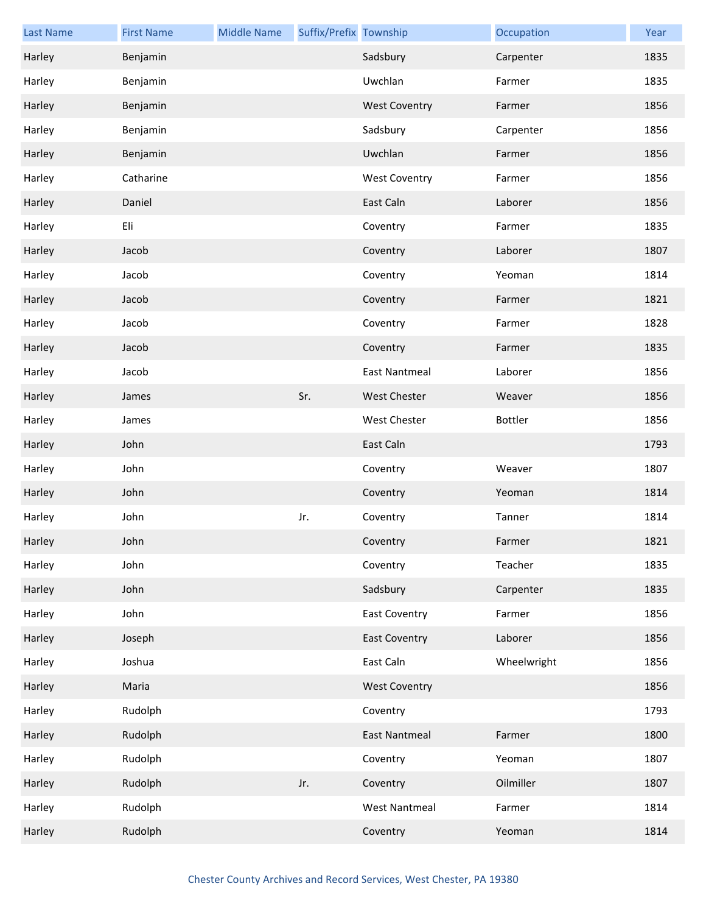| <b>Last Name</b> | <b>First Name</b> | <b>Middle Name</b> | Suffix/Prefix Township |                      | Occupation  | Year |
|------------------|-------------------|--------------------|------------------------|----------------------|-------------|------|
| Harley           | Benjamin          |                    |                        | Sadsbury             | Carpenter   | 1835 |
| Harley           | Benjamin          |                    |                        | Uwchlan              | Farmer      | 1835 |
| Harley           | Benjamin          |                    |                        | <b>West Coventry</b> | Farmer      | 1856 |
| Harley           | Benjamin          |                    |                        | Sadsbury             | Carpenter   | 1856 |
| Harley           | Benjamin          |                    |                        | Uwchlan              | Farmer      | 1856 |
| Harley           | Catharine         |                    |                        | <b>West Coventry</b> | Farmer      | 1856 |
| Harley           | Daniel            |                    |                        | East Caln            | Laborer     | 1856 |
| Harley           | Eli               |                    |                        | Coventry             | Farmer      | 1835 |
| Harley           | Jacob             |                    |                        | Coventry             | Laborer     | 1807 |
| Harley           | Jacob             |                    |                        | Coventry             | Yeoman      | 1814 |
| Harley           | Jacob             |                    |                        | Coventry             | Farmer      | 1821 |
| Harley           | Jacob             |                    |                        | Coventry             | Farmer      | 1828 |
| Harley           | Jacob             |                    |                        | Coventry             | Farmer      | 1835 |
| Harley           | Jacob             |                    |                        | <b>East Nantmeal</b> | Laborer     | 1856 |
| Harley           | James             |                    | Sr.                    | <b>West Chester</b>  | Weaver      | 1856 |
| Harley           | James             |                    |                        | <b>West Chester</b>  | Bottler     | 1856 |
| Harley           | John              |                    |                        | East Caln            |             | 1793 |
| Harley           | John              |                    |                        | Coventry             | Weaver      | 1807 |
| Harley           | John              |                    |                        | Coventry             | Yeoman      | 1814 |
| Harley           | John              |                    | Jr.                    | Coventry             | Tanner      | 1814 |
| Harley           | John              |                    |                        | Coventry             | Farmer      | 1821 |
| Harley           | John              |                    |                        | Coventry             | Teacher     | 1835 |
| Harley           | John              |                    |                        | Sadsbury             | Carpenter   | 1835 |
| Harley           | John              |                    |                        | <b>East Coventry</b> | Farmer      | 1856 |
| Harley           | Joseph            |                    |                        | <b>East Coventry</b> | Laborer     | 1856 |
| Harley           | Joshua            |                    |                        | East Caln            | Wheelwright | 1856 |
| Harley           | Maria             |                    |                        | <b>West Coventry</b> |             | 1856 |
| Harley           | Rudolph           |                    |                        | Coventry             |             | 1793 |
| Harley           | Rudolph           |                    |                        | <b>East Nantmeal</b> | Farmer      | 1800 |
| Harley           | Rudolph           |                    |                        | Coventry             | Yeoman      | 1807 |
| Harley           | Rudolph           |                    | Jr.                    | Coventry             | Oilmiller   | 1807 |
| Harley           | Rudolph           |                    |                        | <b>West Nantmeal</b> | Farmer      | 1814 |
| Harley           | Rudolph           |                    |                        | Coventry             | Yeoman      | 1814 |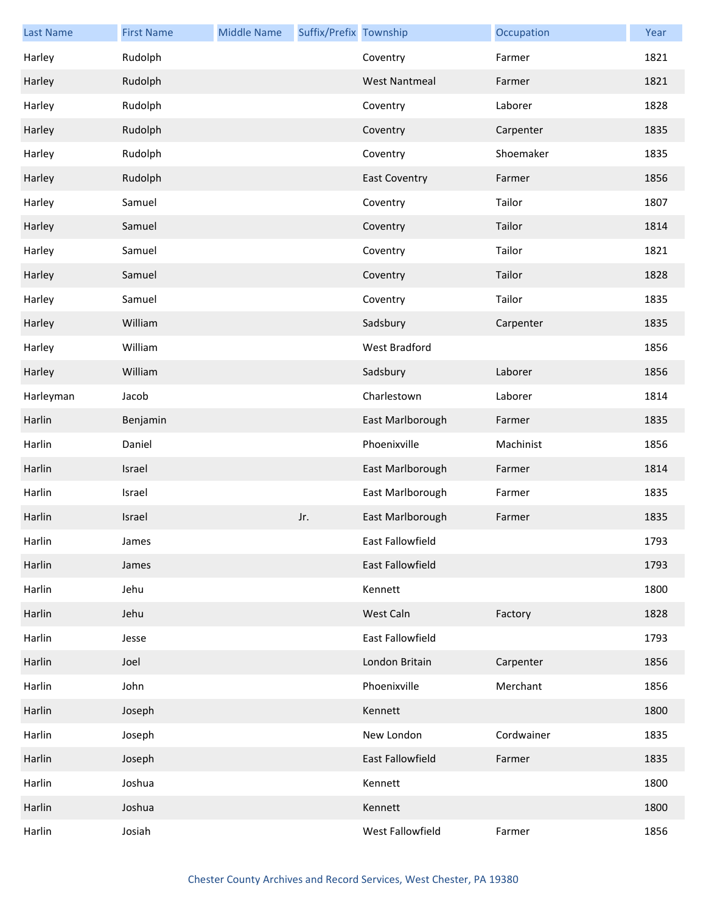| <b>Last Name</b> | <b>First Name</b> | <b>Middle Name</b> | Suffix/Prefix Township |                         | Occupation | Year |
|------------------|-------------------|--------------------|------------------------|-------------------------|------------|------|
| Harley           | Rudolph           |                    |                        | Coventry                | Farmer     | 1821 |
| Harley           | Rudolph           |                    |                        | <b>West Nantmeal</b>    | Farmer     | 1821 |
| Harley           | Rudolph           |                    |                        | Coventry                | Laborer    | 1828 |
| Harley           | Rudolph           |                    |                        | Coventry                | Carpenter  | 1835 |
| Harley           | Rudolph           |                    |                        | Coventry                | Shoemaker  | 1835 |
| Harley           | Rudolph           |                    |                        | <b>East Coventry</b>    | Farmer     | 1856 |
| Harley           | Samuel            |                    |                        | Coventry                | Tailor     | 1807 |
| Harley           | Samuel            |                    |                        | Coventry                | Tailor     | 1814 |
| Harley           | Samuel            |                    |                        | Coventry                | Tailor     | 1821 |
| Harley           | Samuel            |                    |                        | Coventry                | Tailor     | 1828 |
| Harley           | Samuel            |                    |                        | Coventry                | Tailor     | 1835 |
| Harley           | William           |                    |                        | Sadsbury                | Carpenter  | 1835 |
| Harley           | William           |                    |                        | West Bradford           |            | 1856 |
| Harley           | William           |                    |                        | Sadsbury                | Laborer    | 1856 |
| Harleyman        | Jacob             |                    |                        | Charlestown             | Laborer    | 1814 |
| Harlin           | Benjamin          |                    |                        | East Marlborough        | Farmer     | 1835 |
| Harlin           | Daniel            |                    |                        | Phoenixville            | Machinist  | 1856 |
| Harlin           | Israel            |                    |                        | East Marlborough        | Farmer     | 1814 |
| Harlin           | Israel            |                    |                        | East Marlborough        | Farmer     | 1835 |
| Harlin           | Israel            |                    | Jr.                    | East Marlborough        | Farmer     | 1835 |
| Harlin           | James             |                    |                        | East Fallowfield        |            | 1793 |
| Harlin           | James             |                    |                        | East Fallowfield        |            | 1793 |
| Harlin           | Jehu              |                    |                        | Kennett                 |            | 1800 |
| Harlin           | Jehu              |                    |                        | West Caln               | Factory    | 1828 |
| Harlin           | Jesse             |                    |                        | East Fallowfield        |            | 1793 |
| Harlin           | Joel              |                    |                        | London Britain          | Carpenter  | 1856 |
| Harlin           | John              |                    |                        | Phoenixville            | Merchant   | 1856 |
| Harlin           | Joseph            |                    |                        | Kennett                 |            | 1800 |
| Harlin           | Joseph            |                    |                        | New London              | Cordwainer | 1835 |
| Harlin           | Joseph            |                    |                        | <b>East Fallowfield</b> | Farmer     | 1835 |
| Harlin           | Joshua            |                    |                        | Kennett                 |            | 1800 |
| Harlin           | Joshua            |                    |                        | Kennett                 |            | 1800 |
| Harlin           | Josiah            |                    |                        | West Fallowfield        | Farmer     | 1856 |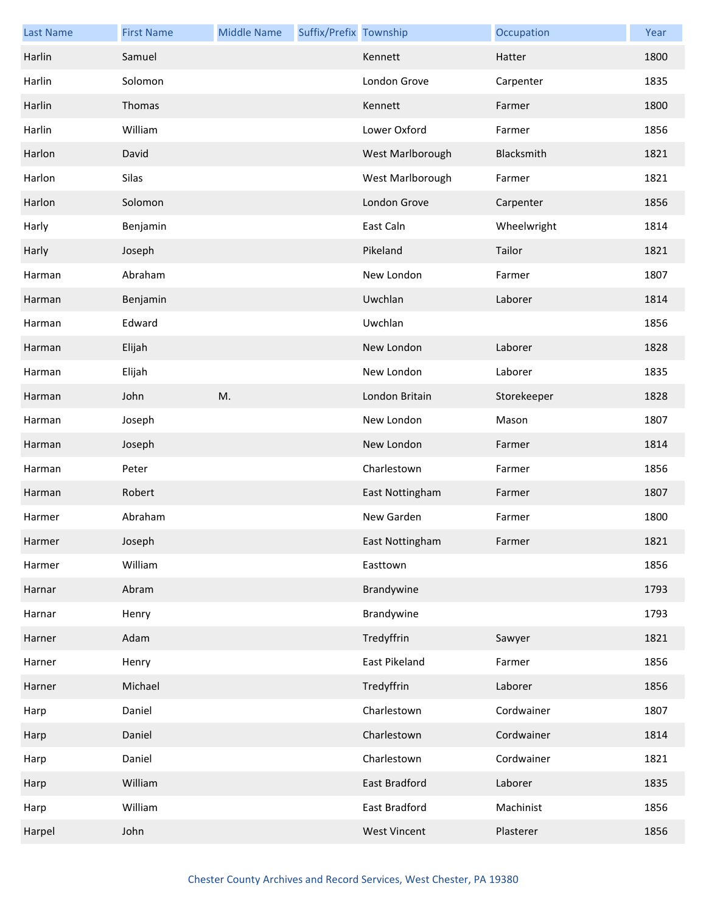| <b>Last Name</b> | <b>First Name</b> | <b>Middle Name</b> | Suffix/Prefix Township |                     | Occupation  | Year |
|------------------|-------------------|--------------------|------------------------|---------------------|-------------|------|
| Harlin           | Samuel            |                    |                        | Kennett             | Hatter      | 1800 |
| Harlin           | Solomon           |                    |                        | London Grove        | Carpenter   | 1835 |
| Harlin           | Thomas            |                    |                        | Kennett             | Farmer      | 1800 |
| Harlin           | William           |                    |                        | Lower Oxford        | Farmer      | 1856 |
| Harlon           | David             |                    |                        | West Marlborough    | Blacksmith  | 1821 |
| Harlon           | Silas             |                    |                        | West Marlborough    | Farmer      | 1821 |
| Harlon           | Solomon           |                    |                        | London Grove        | Carpenter   | 1856 |
| Harly            | Benjamin          |                    |                        | East Caln           | Wheelwright | 1814 |
| Harly            | Joseph            |                    |                        | Pikeland            | Tailor      | 1821 |
| Harman           | Abraham           |                    |                        | New London          | Farmer      | 1807 |
| Harman           | Benjamin          |                    |                        | Uwchlan             | Laborer     | 1814 |
| Harman           | Edward            |                    |                        | Uwchlan             |             | 1856 |
| Harman           | Elijah            |                    |                        | New London          | Laborer     | 1828 |
| Harman           | Elijah            |                    |                        | New London          | Laborer     | 1835 |
| Harman           | John              | M.                 |                        | London Britain      | Storekeeper | 1828 |
| Harman           | Joseph            |                    |                        | New London          | Mason       | 1807 |
| Harman           | Joseph            |                    |                        | New London          | Farmer      | 1814 |
| Harman           | Peter             |                    |                        | Charlestown         | Farmer      | 1856 |
| Harman           | Robert            |                    |                        | East Nottingham     | Farmer      | 1807 |
| Harmer           | Abraham           |                    |                        | New Garden          | Farmer      | 1800 |
| Harmer           | Joseph            |                    |                        | East Nottingham     | Farmer      | 1821 |
| Harmer           | William           |                    |                        | Easttown            |             | 1856 |
| Harnar           | Abram             |                    |                        | Brandywine          |             | 1793 |
| Harnar           | Henry             |                    |                        | Brandywine          |             | 1793 |
| Harner           | Adam              |                    |                        | Tredyffrin          | Sawyer      | 1821 |
| Harner           | Henry             |                    |                        | East Pikeland       | Farmer      | 1856 |
| Harner           | Michael           |                    |                        | Tredyffrin          | Laborer     | 1856 |
| Harp             | Daniel            |                    |                        | Charlestown         | Cordwainer  | 1807 |
| Harp             | Daniel            |                    |                        | Charlestown         | Cordwainer  | 1814 |
| Harp             | Daniel            |                    |                        | Charlestown         | Cordwainer  | 1821 |
| Harp             | William           |                    |                        | East Bradford       | Laborer     | 1835 |
| Harp             | William           |                    |                        | East Bradford       | Machinist   | 1856 |
| Harpel           | John              |                    |                        | <b>West Vincent</b> | Plasterer   | 1856 |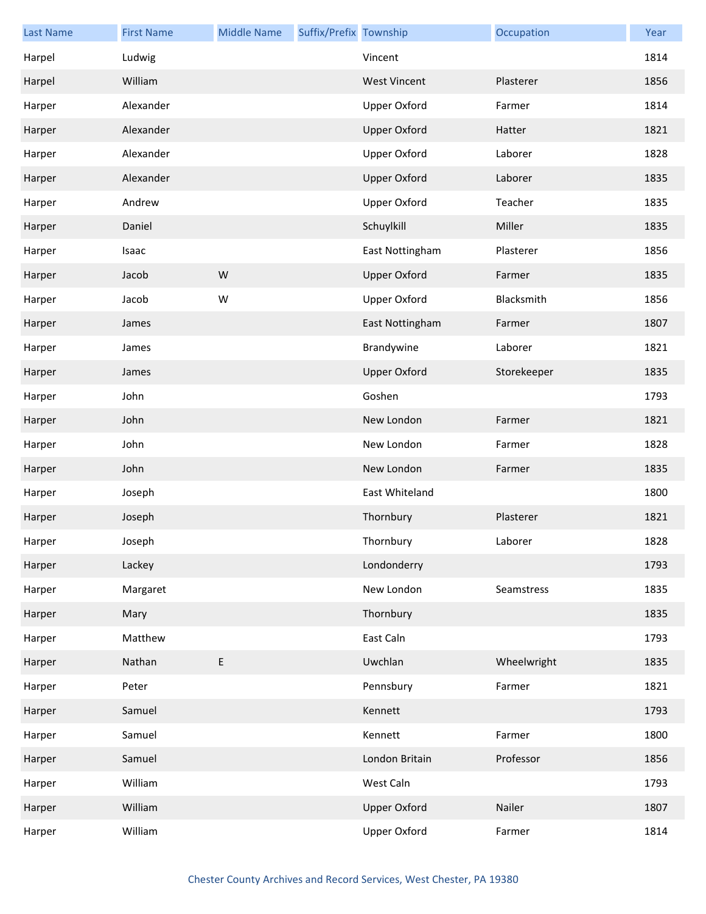| <b>Last Name</b> | <b>First Name</b> | <b>Middle Name</b> | Suffix/Prefix Township |                     | Occupation  | Year |
|------------------|-------------------|--------------------|------------------------|---------------------|-------------|------|
| Harpel           | Ludwig            |                    |                        | Vincent             |             | 1814 |
| Harpel           | William           |                    |                        | <b>West Vincent</b> | Plasterer   | 1856 |
| Harper           | Alexander         |                    |                        | <b>Upper Oxford</b> | Farmer      | 1814 |
| Harper           | Alexander         |                    |                        | <b>Upper Oxford</b> | Hatter      | 1821 |
| Harper           | Alexander         |                    |                        | <b>Upper Oxford</b> | Laborer     | 1828 |
| Harper           | Alexander         |                    |                        | <b>Upper Oxford</b> | Laborer     | 1835 |
| Harper           | Andrew            |                    |                        | Upper Oxford        | Teacher     | 1835 |
| Harper           | Daniel            |                    |                        | Schuylkill          | Miller      | 1835 |
| Harper           | Isaac             |                    |                        | East Nottingham     | Plasterer   | 1856 |
| Harper           | Jacob             | W                  |                        | <b>Upper Oxford</b> | Farmer      | 1835 |
| Harper           | Jacob             | W                  |                        | <b>Upper Oxford</b> | Blacksmith  | 1856 |
| Harper           | James             |                    |                        | East Nottingham     | Farmer      | 1807 |
| Harper           | James             |                    |                        | Brandywine          | Laborer     | 1821 |
| Harper           | James             |                    |                        | <b>Upper Oxford</b> | Storekeeper | 1835 |
| Harper           | John              |                    |                        | Goshen              |             | 1793 |
| Harper           | John              |                    |                        | New London          | Farmer      | 1821 |
| Harper           | John              |                    |                        | New London          | Farmer      | 1828 |
| Harper           | John              |                    |                        | New London          | Farmer      | 1835 |
| Harper           | Joseph            |                    |                        | East Whiteland      |             | 1800 |
| Harper           | Joseph            |                    |                        | Thornbury           | Plasterer   | 1821 |
| Harper           | Joseph            |                    |                        | Thornbury           | Laborer     | 1828 |
| Harper           | Lackey            |                    |                        | Londonderry         |             | 1793 |
| Harper           | Margaret          |                    |                        | New London          | Seamstress  | 1835 |
| Harper           | Mary              |                    |                        | Thornbury           |             | 1835 |
| Harper           | Matthew           |                    |                        | East Caln           |             | 1793 |
| Harper           | Nathan            | E                  |                        | Uwchlan             | Wheelwright | 1835 |
| Harper           | Peter             |                    |                        | Pennsbury           | Farmer      | 1821 |
| Harper           | Samuel            |                    |                        | Kennett             |             | 1793 |
| Harper           | Samuel            |                    |                        | Kennett             | Farmer      | 1800 |
| Harper           | Samuel            |                    |                        | London Britain      | Professor   | 1856 |
| Harper           | William           |                    |                        | West Caln           |             | 1793 |
| Harper           | William           |                    |                        | <b>Upper Oxford</b> | Nailer      | 1807 |
| Harper           | William           |                    |                        | Upper Oxford        | Farmer      | 1814 |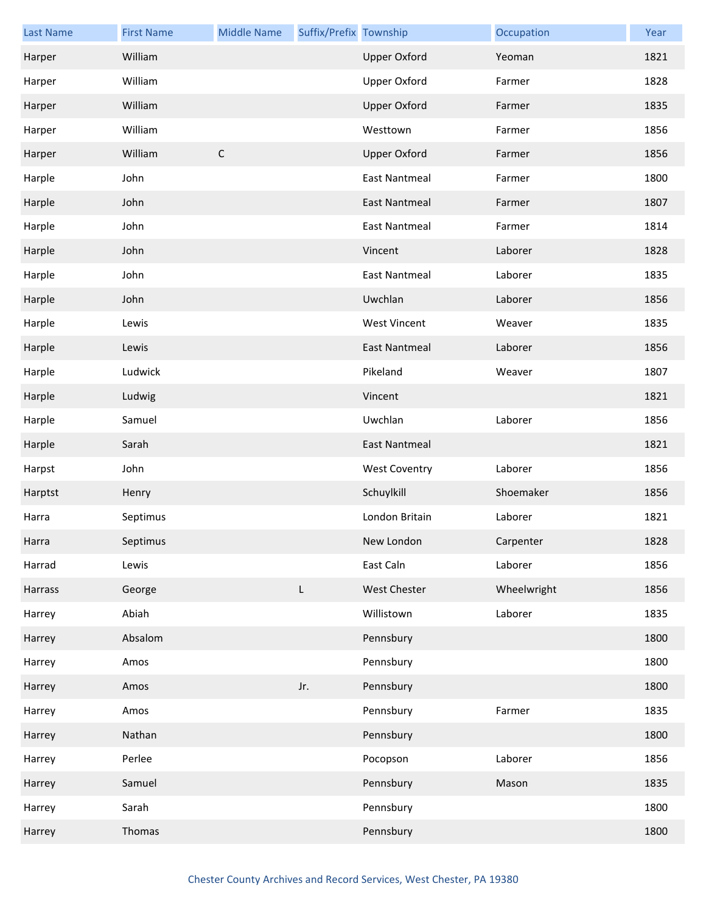| <b>Last Name</b> | <b>First Name</b> | <b>Middle Name</b> | Suffix/Prefix Township |                      | Occupation  | Year |
|------------------|-------------------|--------------------|------------------------|----------------------|-------------|------|
| Harper           | William           |                    |                        | <b>Upper Oxford</b>  | Yeoman      | 1821 |
| Harper           | William           |                    |                        | <b>Upper Oxford</b>  | Farmer      | 1828 |
| Harper           | William           |                    |                        | <b>Upper Oxford</b>  | Farmer      | 1835 |
| Harper           | William           |                    |                        | Westtown             | Farmer      | 1856 |
| Harper           | William           | $\mathsf C$        |                        | <b>Upper Oxford</b>  | Farmer      | 1856 |
| Harple           | John              |                    |                        | <b>East Nantmeal</b> | Farmer      | 1800 |
| Harple           | John              |                    |                        | <b>East Nantmeal</b> | Farmer      | 1807 |
| Harple           | John              |                    |                        | <b>East Nantmeal</b> | Farmer      | 1814 |
| Harple           | John              |                    |                        | Vincent              | Laborer     | 1828 |
| Harple           | John              |                    |                        | <b>East Nantmeal</b> | Laborer     | 1835 |
| Harple           | John              |                    |                        | Uwchlan              | Laborer     | 1856 |
| Harple           | Lewis             |                    |                        | <b>West Vincent</b>  | Weaver      | 1835 |
| Harple           | Lewis             |                    |                        | <b>East Nantmeal</b> | Laborer     | 1856 |
| Harple           | Ludwick           |                    |                        | Pikeland             | Weaver      | 1807 |
| Harple           | Ludwig            |                    |                        | Vincent              |             | 1821 |
| Harple           | Samuel            |                    |                        | Uwchlan              | Laborer     | 1856 |
| Harple           | Sarah             |                    |                        | <b>East Nantmeal</b> |             | 1821 |
| Harpst           | John              |                    |                        | <b>West Coventry</b> | Laborer     | 1856 |
| Harptst          | Henry             |                    |                        | Schuylkill           | Shoemaker   | 1856 |
| Harra            | Septimus          |                    |                        | London Britain       | Laborer     | 1821 |
| Harra            | Septimus          |                    |                        | New London           | Carpenter   | 1828 |
| Harrad           | Lewis             |                    |                        | East Caln            | Laborer     | 1856 |
| Harrass          | George            |                    | L                      | West Chester         | Wheelwright | 1856 |
| Harrey           | Abiah             |                    |                        | Willistown           | Laborer     | 1835 |
| Harrey           | Absalom           |                    |                        | Pennsbury            |             | 1800 |
| Harrey           | Amos              |                    |                        | Pennsbury            |             | 1800 |
| Harrey           | Amos              |                    | Jr.                    | Pennsbury            |             | 1800 |
| Harrey           | Amos              |                    |                        | Pennsbury            | Farmer      | 1835 |
| Harrey           | Nathan            |                    |                        | Pennsbury            |             | 1800 |
| Harrey           | Perlee            |                    |                        | Pocopson             | Laborer     | 1856 |
| Harrey           | Samuel            |                    |                        | Pennsbury            | Mason       | 1835 |
| Harrey           | Sarah             |                    |                        | Pennsbury            |             | 1800 |
| Harrey           | Thomas            |                    |                        | Pennsbury            |             | 1800 |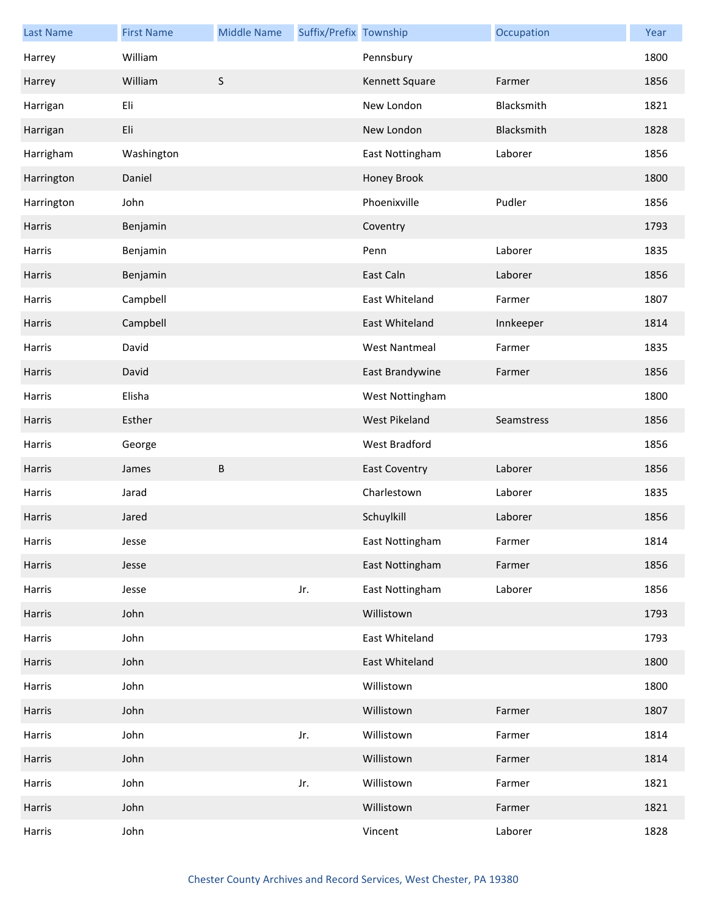| <b>Last Name</b> | <b>First Name</b> | <b>Middle Name</b> | Suffix/Prefix Township |                      | Occupation | Year |
|------------------|-------------------|--------------------|------------------------|----------------------|------------|------|
| Harrey           | William           |                    |                        | Pennsbury            |            | 1800 |
| Harrey           | William           | $\mathsf S$        |                        | Kennett Square       | Farmer     | 1856 |
| Harrigan         | Eli               |                    |                        | New London           | Blacksmith | 1821 |
| Harrigan         | Eli               |                    |                        | New London           | Blacksmith | 1828 |
| Harrigham        | Washington        |                    |                        | East Nottingham      | Laborer    | 1856 |
| Harrington       | Daniel            |                    |                        | Honey Brook          |            | 1800 |
| Harrington       | John              |                    |                        | Phoenixville         | Pudler     | 1856 |
| Harris           | Benjamin          |                    |                        | Coventry             |            | 1793 |
| Harris           | Benjamin          |                    |                        | Penn                 | Laborer    | 1835 |
| Harris           | Benjamin          |                    |                        | East Caln            | Laborer    | 1856 |
| Harris           | Campbell          |                    |                        | East Whiteland       | Farmer     | 1807 |
| Harris           | Campbell          |                    |                        | East Whiteland       | Innkeeper  | 1814 |
| Harris           | David             |                    |                        | <b>West Nantmeal</b> | Farmer     | 1835 |
| Harris           | David             |                    |                        | East Brandywine      | Farmer     | 1856 |
| Harris           | Elisha            |                    |                        | West Nottingham      |            | 1800 |
| Harris           | Esther            |                    |                        | West Pikeland        | Seamstress | 1856 |
| Harris           | George            |                    |                        | West Bradford        |            | 1856 |
| Harris           | James             | B                  |                        | <b>East Coventry</b> | Laborer    | 1856 |
| Harris           | Jarad             |                    |                        | Charlestown          | Laborer    | 1835 |
| Harris           | Jared             |                    |                        | Schuylkill           | Laborer    | 1856 |
| Harris           | Jesse             |                    |                        | East Nottingham      | Farmer     | 1814 |
| Harris           | Jesse             |                    |                        | East Nottingham      | Farmer     | 1856 |
| Harris           | Jesse             |                    | Jr.                    | East Nottingham      | Laborer    | 1856 |
| Harris           | John              |                    |                        | Willistown           |            | 1793 |
| Harris           | John              |                    |                        | East Whiteland       |            | 1793 |
| Harris           | John              |                    |                        | East Whiteland       |            | 1800 |
| Harris           | John              |                    |                        | Willistown           |            | 1800 |
| Harris           | John              |                    |                        | Willistown           | Farmer     | 1807 |
| Harris           | John              |                    | Jr.                    | Willistown           | Farmer     | 1814 |
| Harris           | John              |                    |                        | Willistown           | Farmer     | 1814 |
| Harris           | John              |                    | Jr.                    | Willistown           | Farmer     | 1821 |
| Harris           | John              |                    |                        | Willistown           | Farmer     | 1821 |
| Harris           | John              |                    |                        | Vincent              | Laborer    | 1828 |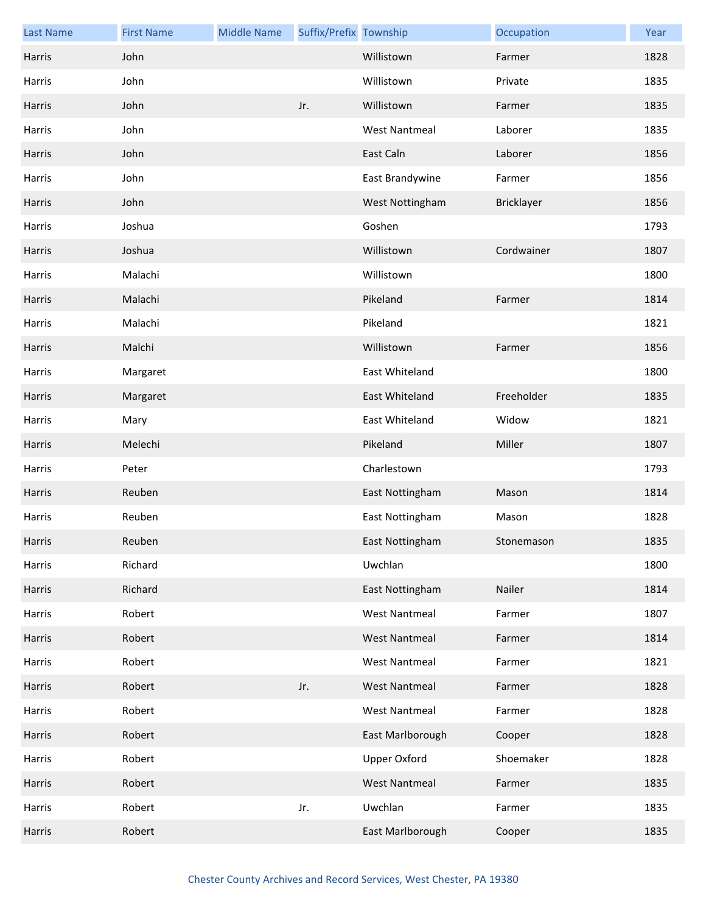| <b>Last Name</b> | <b>First Name</b> | <b>Middle Name</b> | Suffix/Prefix Township |                      | Occupation | Year |
|------------------|-------------------|--------------------|------------------------|----------------------|------------|------|
| Harris           | John              |                    |                        | Willistown           | Farmer     | 1828 |
| Harris           | John              |                    |                        | Willistown           | Private    | 1835 |
| Harris           | John              |                    | Jr.                    | Willistown           | Farmer     | 1835 |
| Harris           | John              |                    |                        | <b>West Nantmeal</b> | Laborer    | 1835 |
| Harris           | John              |                    |                        | East Caln            | Laborer    | 1856 |
| Harris           | John              |                    |                        | East Brandywine      | Farmer     | 1856 |
| Harris           | John              |                    |                        | West Nottingham      | Bricklayer | 1856 |
| Harris           | Joshua            |                    |                        | Goshen               |            | 1793 |
| Harris           | Joshua            |                    |                        | Willistown           | Cordwainer | 1807 |
| Harris           | Malachi           |                    |                        | Willistown           |            | 1800 |
| Harris           | Malachi           |                    |                        | Pikeland             | Farmer     | 1814 |
| Harris           | Malachi           |                    |                        | Pikeland             |            | 1821 |
| Harris           | Malchi            |                    |                        | Willistown           | Farmer     | 1856 |
| Harris           | Margaret          |                    |                        | East Whiteland       |            | 1800 |
| Harris           | Margaret          |                    |                        | East Whiteland       | Freeholder | 1835 |
| Harris           | Mary              |                    |                        | East Whiteland       | Widow      | 1821 |
| Harris           | Melechi           |                    |                        | Pikeland             | Miller     | 1807 |
| Harris           | Peter             |                    |                        | Charlestown          |            | 1793 |
| Harris           | Reuben            |                    |                        | East Nottingham      | Mason      | 1814 |
| Harris           | Reuben            |                    |                        | East Nottingham      | Mason      | 1828 |
| Harris           | Reuben            |                    |                        | East Nottingham      | Stonemason | 1835 |
| Harris           | Richard           |                    |                        | Uwchlan              |            | 1800 |
| Harris           | Richard           |                    |                        | East Nottingham      | Nailer     | 1814 |
| Harris           | Robert            |                    |                        | <b>West Nantmeal</b> | Farmer     | 1807 |
| Harris           | Robert            |                    |                        | <b>West Nantmeal</b> | Farmer     | 1814 |
| Harris           | Robert            |                    |                        | <b>West Nantmeal</b> | Farmer     | 1821 |
| Harris           | Robert            |                    | Jr.                    | <b>West Nantmeal</b> | Farmer     | 1828 |
| Harris           | Robert            |                    |                        | <b>West Nantmeal</b> | Farmer     | 1828 |
| Harris           | Robert            |                    |                        | East Marlborough     | Cooper     | 1828 |
| Harris           | Robert            |                    |                        | <b>Upper Oxford</b>  | Shoemaker  | 1828 |
| Harris           | Robert            |                    |                        | <b>West Nantmeal</b> | Farmer     | 1835 |
| Harris           | Robert            |                    | Jr.                    | Uwchlan              | Farmer     | 1835 |
| Harris           | Robert            |                    |                        | East Marlborough     | Cooper     | 1835 |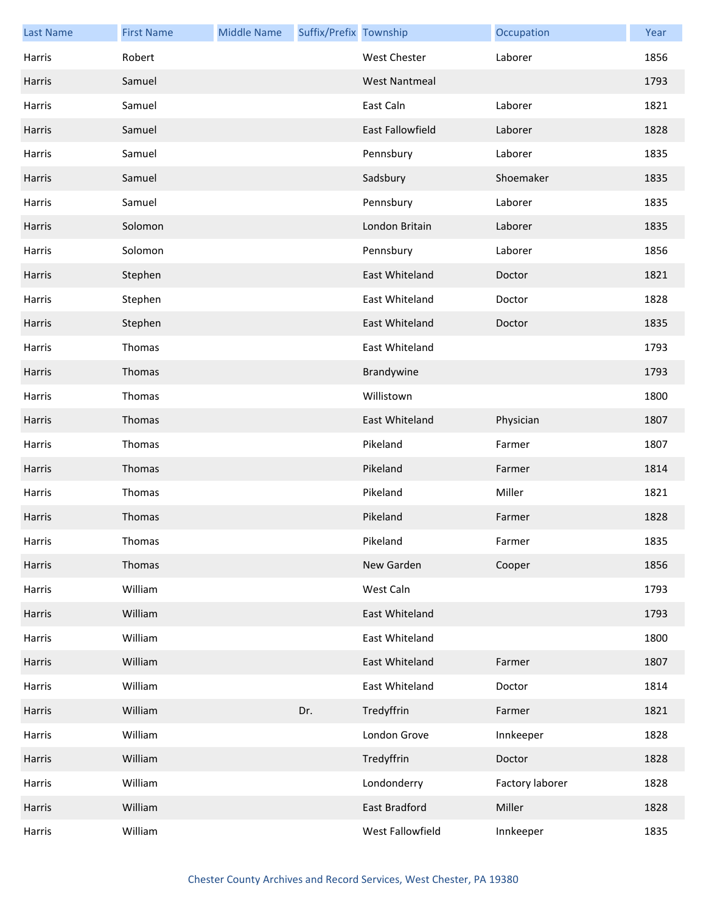| <b>Last Name</b> | <b>First Name</b> | <b>Middle Name</b> | Suffix/Prefix Township |                      | Occupation      | Year |
|------------------|-------------------|--------------------|------------------------|----------------------|-----------------|------|
| Harris           | Robert            |                    |                        | West Chester         | Laborer         | 1856 |
| Harris           | Samuel            |                    |                        | <b>West Nantmeal</b> |                 | 1793 |
| Harris           | Samuel            |                    |                        | East Caln            | Laborer         | 1821 |
| Harris           | Samuel            |                    |                        | East Fallowfield     | Laborer         | 1828 |
| Harris           | Samuel            |                    |                        | Pennsbury            | Laborer         | 1835 |
| Harris           | Samuel            |                    |                        | Sadsbury             | Shoemaker       | 1835 |
| Harris           | Samuel            |                    |                        | Pennsbury            | Laborer         | 1835 |
| Harris           | Solomon           |                    |                        | London Britain       | Laborer         | 1835 |
| Harris           | Solomon           |                    |                        | Pennsbury            | Laborer         | 1856 |
| Harris           | Stephen           |                    |                        | East Whiteland       | Doctor          | 1821 |
| Harris           | Stephen           |                    |                        | East Whiteland       | Doctor          | 1828 |
| Harris           | Stephen           |                    |                        | East Whiteland       | Doctor          | 1835 |
| Harris           | Thomas            |                    |                        | East Whiteland       |                 | 1793 |
| Harris           | Thomas            |                    |                        | Brandywine           |                 | 1793 |
| Harris           | Thomas            |                    |                        | Willistown           |                 | 1800 |
| Harris           | Thomas            |                    |                        | East Whiteland       | Physician       | 1807 |
| Harris           | Thomas            |                    |                        | Pikeland             | Farmer          | 1807 |
| Harris           | Thomas            |                    |                        | Pikeland             | Farmer          | 1814 |
| Harris           | Thomas            |                    |                        | Pikeland             | Miller          | 1821 |
| Harris           | Thomas            |                    |                        | Pikeland             | Farmer          | 1828 |
| Harris           | Thomas            |                    |                        | Pikeland             | Farmer          | 1835 |
| Harris           | Thomas            |                    |                        | New Garden           | Cooper          | 1856 |
| Harris           | William           |                    |                        | West Caln            |                 | 1793 |
| Harris           | William           |                    |                        | East Whiteland       |                 | 1793 |
| Harris           | William           |                    |                        | East Whiteland       |                 | 1800 |
| Harris           | William           |                    |                        | East Whiteland       | Farmer          | 1807 |
| Harris           | William           |                    |                        | East Whiteland       | Doctor          | 1814 |
| Harris           | William           |                    | Dr.                    | Tredyffrin           | Farmer          | 1821 |
| Harris           | William           |                    |                        | London Grove         | Innkeeper       | 1828 |
| Harris           | William           |                    |                        | Tredyffrin           | Doctor          | 1828 |
| Harris           | William           |                    |                        | Londonderry          | Factory laborer | 1828 |
| Harris           | William           |                    |                        | East Bradford        | Miller          | 1828 |
| Harris           | William           |                    |                        | West Fallowfield     | Innkeeper       | 1835 |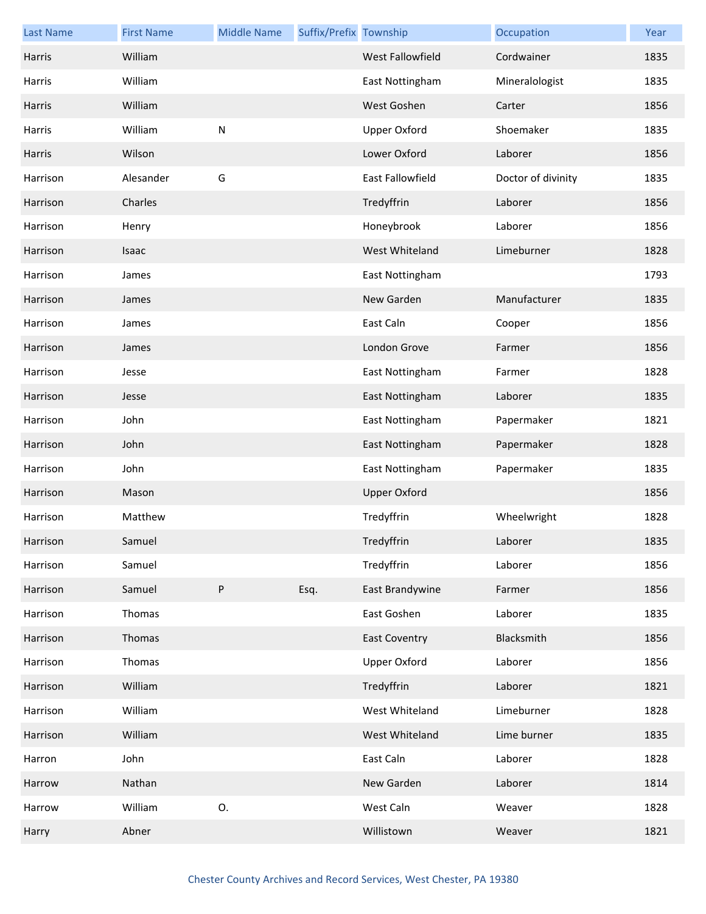| <b>Last Name</b> | <b>First Name</b> | <b>Middle Name</b> | Suffix/Prefix Township |                      | Occupation         | Year |
|------------------|-------------------|--------------------|------------------------|----------------------|--------------------|------|
| Harris           | William           |                    |                        | West Fallowfield     | Cordwainer         | 1835 |
| Harris           | William           |                    |                        | East Nottingham      | Mineralologist     | 1835 |
| Harris           | William           |                    |                        | West Goshen          | Carter             | 1856 |
| Harris           | William           | $\mathsf{N}$       |                        | <b>Upper Oxford</b>  | Shoemaker          | 1835 |
| Harris           | Wilson            |                    |                        | Lower Oxford         | Laborer            | 1856 |
| Harrison         | Alesander         | G                  |                        | East Fallowfield     | Doctor of divinity | 1835 |
| Harrison         | Charles           |                    |                        | Tredyffrin           | Laborer            | 1856 |
| Harrison         | Henry             |                    |                        | Honeybrook           | Laborer            | 1856 |
| Harrison         | Isaac             |                    |                        | West Whiteland       | Limeburner         | 1828 |
| Harrison         | James             |                    |                        | East Nottingham      |                    | 1793 |
| Harrison         | James             |                    |                        | New Garden           | Manufacturer       | 1835 |
| Harrison         | James             |                    |                        | East Caln            | Cooper             | 1856 |
| Harrison         | James             |                    |                        | London Grove         | Farmer             | 1856 |
| Harrison         | Jesse             |                    |                        | East Nottingham      | Farmer             | 1828 |
| Harrison         | Jesse             |                    |                        | East Nottingham      | Laborer            | 1835 |
| Harrison         | John              |                    |                        | East Nottingham      | Papermaker         | 1821 |
| Harrison         | John              |                    |                        | East Nottingham      | Papermaker         | 1828 |
| Harrison         | John              |                    |                        | East Nottingham      | Papermaker         | 1835 |
| Harrison         | Mason             |                    |                        | <b>Upper Oxford</b>  |                    | 1856 |
| Harrison         | Matthew           |                    |                        | Tredyffrin           | Wheelwright        | 1828 |
| Harrison         | Samuel            |                    |                        | Tredyffrin           | Laborer            | 1835 |
| Harrison         | Samuel            |                    |                        | Tredyffrin           | Laborer            | 1856 |
| Harrison         | Samuel            | ${\sf P}$          | Esq.                   | East Brandywine      | Farmer             | 1856 |
| Harrison         | Thomas            |                    |                        | East Goshen          | Laborer            | 1835 |
| Harrison         | Thomas            |                    |                        | <b>East Coventry</b> | Blacksmith         | 1856 |
| Harrison         | Thomas            |                    |                        | <b>Upper Oxford</b>  | Laborer            | 1856 |
| Harrison         | William           |                    |                        | Tredyffrin           | Laborer            | 1821 |
| Harrison         | William           |                    |                        | West Whiteland       | Limeburner         | 1828 |
| Harrison         | William           |                    |                        | West Whiteland       | Lime burner        | 1835 |
| Harron           | John              |                    |                        | East Caln            | Laborer            | 1828 |
| Harrow           | Nathan            |                    |                        | New Garden           | Laborer            | 1814 |
| Harrow           | William           | 0.                 |                        | West Caln            | Weaver             | 1828 |
| Harry            | Abner             |                    |                        | Willistown           | Weaver             | 1821 |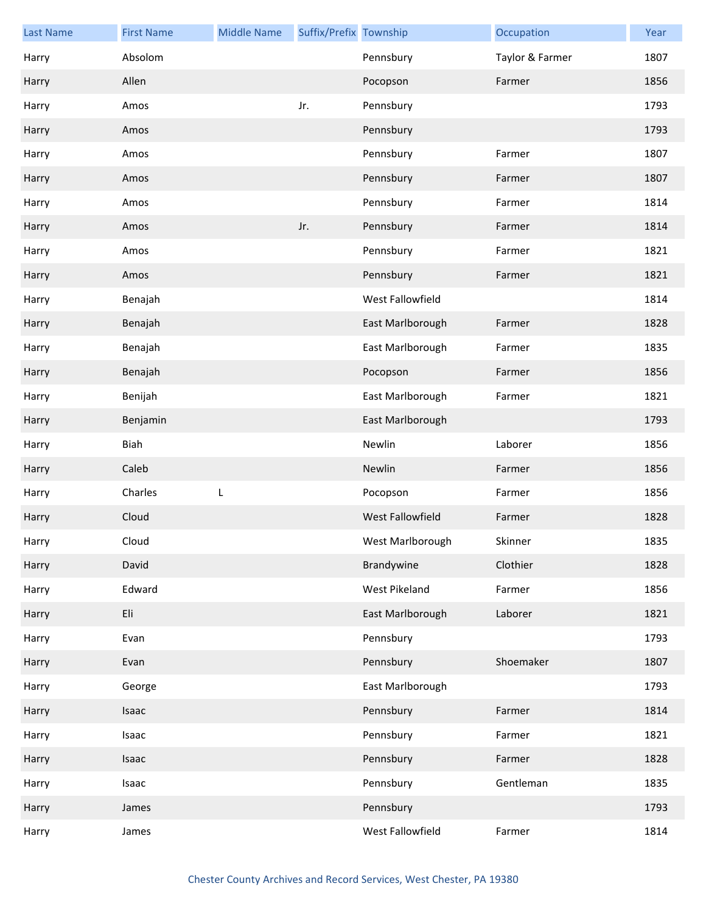| <b>Last Name</b> | <b>First Name</b> | <b>Middle Name</b> | Suffix/Prefix Township |                         | Occupation      | Year |
|------------------|-------------------|--------------------|------------------------|-------------------------|-----------------|------|
| Harry            | Absolom           |                    |                        | Pennsbury               | Taylor & Farmer | 1807 |
| Harry            | Allen             |                    |                        | Pocopson                | Farmer          | 1856 |
| Harry            | Amos              |                    | Jr.                    | Pennsbury               |                 | 1793 |
| Harry            | Amos              |                    |                        | Pennsbury               |                 | 1793 |
| Harry            | Amos              |                    |                        | Pennsbury               | Farmer          | 1807 |
| Harry            | Amos              |                    |                        | Pennsbury               | Farmer          | 1807 |
| Harry            | Amos              |                    |                        | Pennsbury               | Farmer          | 1814 |
| Harry            | Amos              |                    | Jr.                    | Pennsbury               | Farmer          | 1814 |
| Harry            | Amos              |                    |                        | Pennsbury               | Farmer          | 1821 |
| Harry            | Amos              |                    |                        | Pennsbury               | Farmer          | 1821 |
| Harry            | Benajah           |                    |                        | West Fallowfield        |                 | 1814 |
| Harry            | Benajah           |                    |                        | East Marlborough        | Farmer          | 1828 |
| Harry            | Benajah           |                    |                        | East Marlborough        | Farmer          | 1835 |
| Harry            | Benajah           |                    |                        | Pocopson                | Farmer          | 1856 |
| Harry            | Benijah           |                    |                        | East Marlborough        | Farmer          | 1821 |
| Harry            | Benjamin          |                    |                        | East Marlborough        |                 | 1793 |
| Harry            | Biah              |                    |                        | Newlin                  | Laborer         | 1856 |
| Harry            | Caleb             |                    |                        | Newlin                  | Farmer          | 1856 |
| Harry            | Charles           | L                  |                        | Pocopson                | Farmer          | 1856 |
| Harry            | Cloud             |                    |                        | <b>West Fallowfield</b> | Farmer          | 1828 |
| Harry            | Cloud             |                    |                        | West Marlborough        | Skinner         | 1835 |
| Harry            | David             |                    |                        | Brandywine              | Clothier        | 1828 |
| Harry            | Edward            |                    |                        | West Pikeland           | Farmer          | 1856 |
| Harry            | Eli               |                    |                        | East Marlborough        | Laborer         | 1821 |
| Harry            | Evan              |                    |                        | Pennsbury               |                 | 1793 |
| Harry            | Evan              |                    |                        | Pennsbury               | Shoemaker       | 1807 |
| Harry            | George            |                    |                        | East Marlborough        |                 | 1793 |
| Harry            | Isaac             |                    |                        | Pennsbury               | Farmer          | 1814 |
| Harry            | Isaac             |                    |                        | Pennsbury               | Farmer          | 1821 |
| Harry            | Isaac             |                    |                        | Pennsbury               | Farmer          | 1828 |
| Harry            | Isaac             |                    |                        | Pennsbury               | Gentleman       | 1835 |
| Harry            | James             |                    |                        | Pennsbury               |                 | 1793 |
| Harry            | James             |                    |                        | West Fallowfield        | Farmer          | 1814 |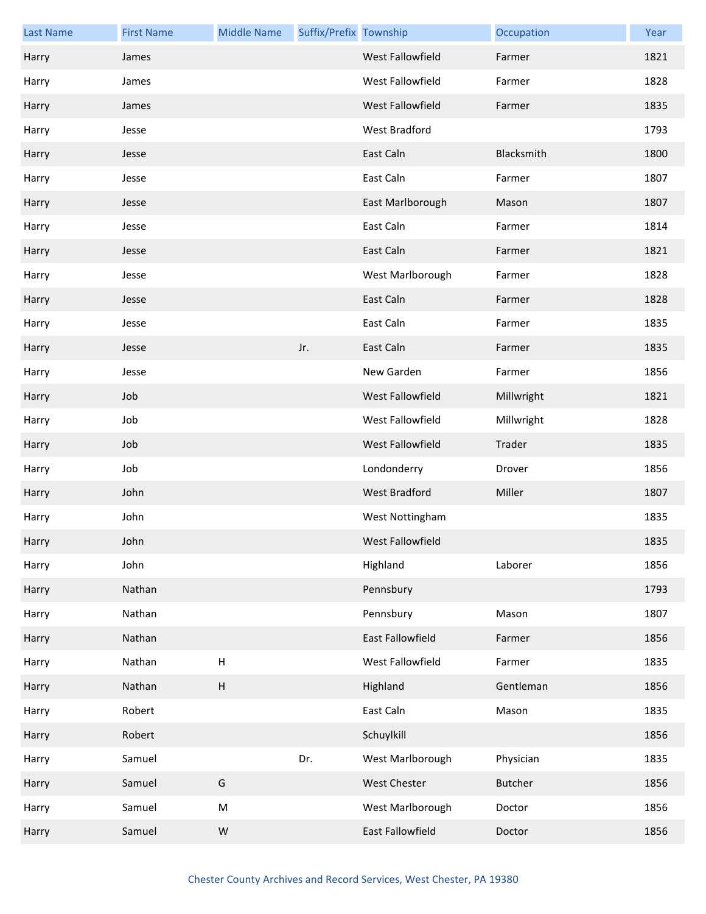| <b>Last Name</b> | <b>First Name</b> | <b>Middle Name</b>        | Suffix/Prefix Township |                         | Occupation     | Year |
|------------------|-------------------|---------------------------|------------------------|-------------------------|----------------|------|
| Harry            | James             |                           |                        | <b>West Fallowfield</b> | Farmer         | 1821 |
| Harry            | James             |                           |                        | West Fallowfield        | Farmer         | 1828 |
| Harry            | James             |                           |                        | West Fallowfield        | Farmer         | 1835 |
| Harry            | Jesse             |                           |                        | West Bradford           |                | 1793 |
| Harry            | Jesse             |                           |                        | East Caln               | Blacksmith     | 1800 |
| Harry            | Jesse             |                           |                        | East Caln               | Farmer         | 1807 |
| Harry            | Jesse             |                           |                        | East Marlborough        | Mason          | 1807 |
| Harry            | Jesse             |                           |                        | East Caln               | Farmer         | 1814 |
| Harry            | Jesse             |                           |                        | East Caln               | Farmer         | 1821 |
| Harry            | Jesse             |                           |                        | West Marlborough        | Farmer         | 1828 |
| Harry            | Jesse             |                           |                        | East Caln               | Farmer         | 1828 |
| Harry            | Jesse             |                           |                        | East Caln               | Farmer         | 1835 |
| Harry            | Jesse             |                           | Jr.                    | East Caln               | Farmer         | 1835 |
| Harry            | Jesse             |                           |                        | New Garden              | Farmer         | 1856 |
| Harry            | Job               |                           |                        | West Fallowfield        | Millwright     | 1821 |
| Harry            | Job               |                           |                        | West Fallowfield        | Millwright     | 1828 |
| Harry            | Job               |                           |                        | West Fallowfield        | Trader         | 1835 |
| Harry            | Job               |                           |                        | Londonderry             | Drover         | 1856 |
| Harry            | John              |                           |                        | West Bradford           | Miller         | 1807 |
| Harry            | John              |                           |                        | West Nottingham         |                | 1835 |
| Harry            | John              |                           |                        | West Fallowfield        |                | 1835 |
| Harry            | John              |                           |                        | Highland                | Laborer        | 1856 |
| Harry            | Nathan            |                           |                        | Pennsbury               |                | 1793 |
| Harry            | Nathan            |                           |                        | Pennsbury               | Mason          | 1807 |
| Harry            | Nathan            |                           |                        | East Fallowfield        | Farmer         | 1856 |
| Harry            | Nathan            | H                         |                        | West Fallowfield        | Farmer         | 1835 |
| Harry            | Nathan            | $\boldsymbol{\mathsf{H}}$ |                        | Highland                | Gentleman      | 1856 |
| Harry            | Robert            |                           |                        | East Caln               | Mason          | 1835 |
| Harry            | Robert            |                           |                        | Schuylkill              |                | 1856 |
| Harry            | Samuel            |                           | Dr.                    | West Marlborough        | Physician      | 1835 |
| Harry            | Samuel            | G                         |                        | West Chester            | <b>Butcher</b> | 1856 |
| Harry            | Samuel            | M                         |                        | West Marlborough        | Doctor         | 1856 |
| Harry            | Samuel            | ${\sf W}$                 |                        | East Fallowfield        | Doctor         | 1856 |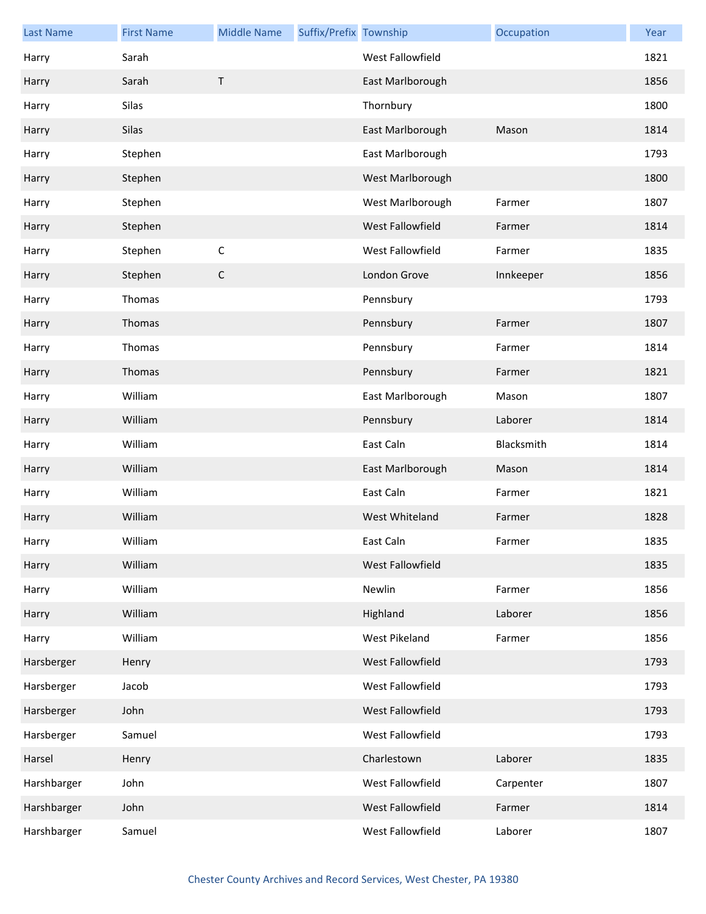| <b>Last Name</b> | <b>First Name</b> | <b>Middle Name</b> | Suffix/Prefix Township |                      | Occupation | Year |
|------------------|-------------------|--------------------|------------------------|----------------------|------------|------|
| Harry            | Sarah             |                    |                        | West Fallowfield     |            | 1821 |
| Harry            | Sarah             | $\mathsf T$        |                        | East Marlborough     |            | 1856 |
| Harry            | Silas             |                    |                        | Thornbury            |            | 1800 |
| Harry            | Silas             |                    |                        | East Marlborough     | Mason      | 1814 |
| Harry            | Stephen           |                    |                        | East Marlborough     |            | 1793 |
| Harry            | Stephen           |                    |                        | West Marlborough     |            | 1800 |
| Harry            | Stephen           |                    |                        | West Marlborough     | Farmer     | 1807 |
| Harry            | Stephen           |                    |                        | West Fallowfield     | Farmer     | 1814 |
| Harry            | Stephen           | $\mathsf C$        |                        | West Fallowfield     | Farmer     | 1835 |
| Harry            | Stephen           | $\mathsf C$        |                        | London Grove         | Innkeeper  | 1856 |
| Harry            | Thomas            |                    |                        | Pennsbury            |            | 1793 |
| Harry            | Thomas            |                    |                        | Pennsbury            | Farmer     | 1807 |
| Harry            | Thomas            |                    |                        | Pennsbury            | Farmer     | 1814 |
| Harry            | Thomas            |                    |                        | Pennsbury            | Farmer     | 1821 |
| Harry            | William           |                    |                        | East Marlborough     | Mason      | 1807 |
| Harry            | William           |                    |                        | Pennsbury            | Laborer    | 1814 |
| Harry            | William           |                    |                        | East Caln            | Blacksmith | 1814 |
| Harry            | William           |                    |                        | East Marlborough     | Mason      | 1814 |
| Harry            | William           |                    |                        | East Caln            | Farmer     | 1821 |
| Harry            | William           |                    |                        | West Whiteland       | Farmer     | 1828 |
| Harry            | William           |                    |                        | East Caln            | Farmer     | 1835 |
| Harry            | William           |                    |                        | West Fallowfield     |            | 1835 |
| Harry            | William           |                    |                        | Newlin               | Farmer     | 1856 |
| Harry            | William           |                    |                        | Highland             | Laborer    | 1856 |
| Harry            | William           |                    |                        | <b>West Pikeland</b> | Farmer     | 1856 |
| Harsberger       | Henry             |                    |                        | West Fallowfield     |            | 1793 |
| Harsberger       | Jacob             |                    |                        | West Fallowfield     |            | 1793 |
| Harsberger       | John              |                    |                        | West Fallowfield     |            | 1793 |
| Harsberger       | Samuel            |                    |                        | West Fallowfield     |            | 1793 |
| Harsel           | Henry             |                    |                        | Charlestown          | Laborer    | 1835 |
| Harshbarger      | John              |                    |                        | West Fallowfield     | Carpenter  | 1807 |
| Harshbarger      | John              |                    |                        | West Fallowfield     | Farmer     | 1814 |
| Harshbarger      | Samuel            |                    |                        | West Fallowfield     | Laborer    | 1807 |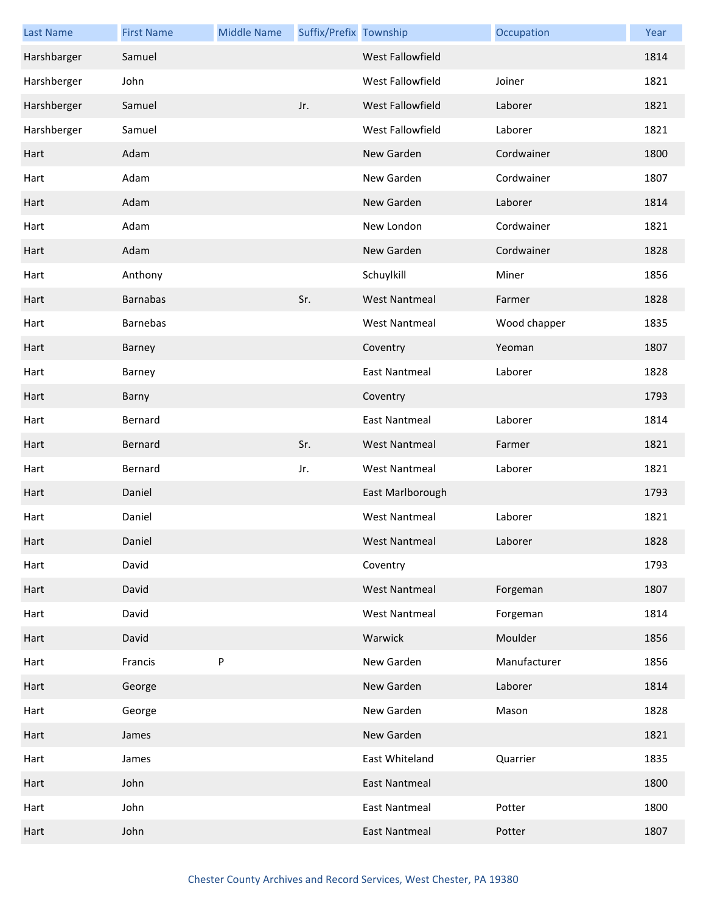| <b>Last Name</b> | <b>First Name</b> | <b>Middle Name</b> | Suffix/Prefix Township |                         | Occupation   | Year |
|------------------|-------------------|--------------------|------------------------|-------------------------|--------------|------|
| Harshbarger      | Samuel            |                    |                        | <b>West Fallowfield</b> |              | 1814 |
| Harshberger      | John              |                    |                        | West Fallowfield        | Joiner       | 1821 |
| Harshberger      | Samuel            |                    | Jr.                    | West Fallowfield        | Laborer      | 1821 |
| Harshberger      | Samuel            |                    |                        | West Fallowfield        | Laborer      | 1821 |
| Hart             | Adam              |                    |                        | New Garden              | Cordwainer   | 1800 |
| Hart             | Adam              |                    |                        | New Garden              | Cordwainer   | 1807 |
| Hart             | Adam              |                    |                        | New Garden              | Laborer      | 1814 |
| Hart             | Adam              |                    |                        | New London              | Cordwainer   | 1821 |
| Hart             | Adam              |                    |                        | New Garden              | Cordwainer   | 1828 |
| Hart             | Anthony           |                    |                        | Schuylkill              | Miner        | 1856 |
| Hart             | <b>Barnabas</b>   |                    | Sr.                    | <b>West Nantmeal</b>    | Farmer       | 1828 |
| Hart             | <b>Barnebas</b>   |                    |                        | <b>West Nantmeal</b>    | Wood chapper | 1835 |
| Hart             | Barney            |                    |                        | Coventry                | Yeoman       | 1807 |
| Hart             | Barney            |                    |                        | <b>East Nantmeal</b>    | Laborer      | 1828 |
| Hart             | Barny             |                    |                        | Coventry                |              | 1793 |
| Hart             | Bernard           |                    |                        | <b>East Nantmeal</b>    | Laborer      | 1814 |
| Hart             | Bernard           |                    | Sr.                    | <b>West Nantmeal</b>    | Farmer       | 1821 |
| Hart             | Bernard           |                    | Jr.                    | <b>West Nantmeal</b>    | Laborer      | 1821 |
| Hart             | Daniel            |                    |                        | East Marlborough        |              | 1793 |
| Hart             | Daniel            |                    |                        | <b>West Nantmeal</b>    | Laborer      | 1821 |
| Hart             | Daniel            |                    |                        | <b>West Nantmeal</b>    | Laborer      | 1828 |
| Hart             | David             |                    |                        | Coventry                |              | 1793 |
| Hart             | David             |                    |                        | <b>West Nantmeal</b>    | Forgeman     | 1807 |
| Hart             | David             |                    |                        | <b>West Nantmeal</b>    | Forgeman     | 1814 |
| Hart             | David             |                    |                        | Warwick                 | Moulder      | 1856 |
| Hart             | Francis           | $\sf P$            |                        | New Garden              | Manufacturer | 1856 |
| Hart             | George            |                    |                        | New Garden              | Laborer      | 1814 |
| Hart             | George            |                    |                        | New Garden              | Mason        | 1828 |
| Hart             | James             |                    |                        | New Garden              |              | 1821 |
| Hart             | James             |                    |                        | East Whiteland          | Quarrier     | 1835 |
| Hart             | John              |                    |                        | <b>East Nantmeal</b>    |              | 1800 |
| Hart             | John              |                    |                        | <b>East Nantmeal</b>    | Potter       | 1800 |
| Hart             | John              |                    |                        | <b>East Nantmeal</b>    | Potter       | 1807 |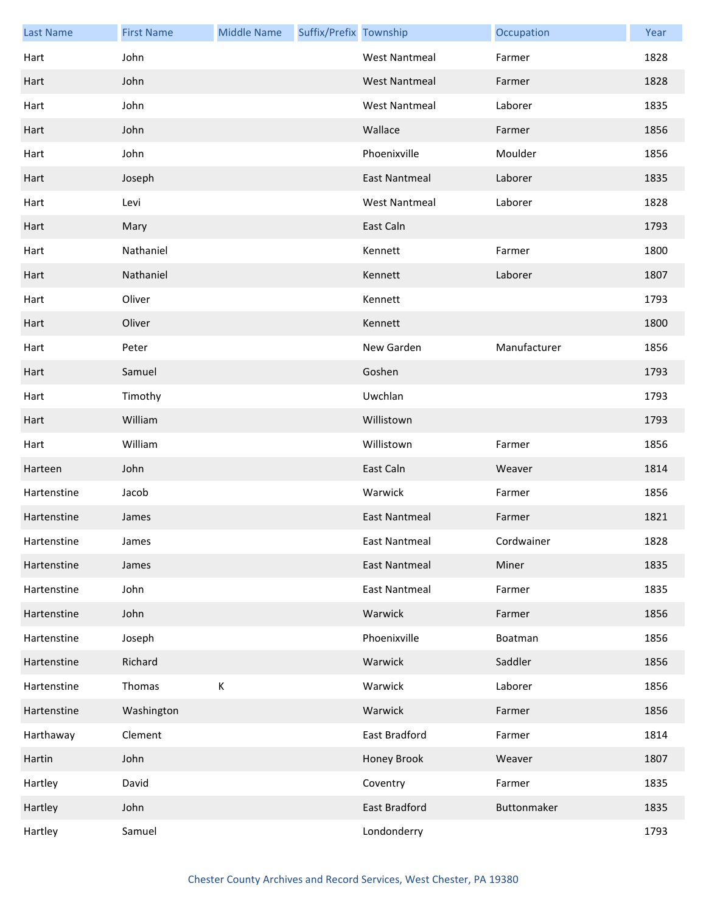| <b>Last Name</b> | <b>First Name</b> | <b>Middle Name</b> | Suffix/Prefix Township |                      | Occupation   | Year |
|------------------|-------------------|--------------------|------------------------|----------------------|--------------|------|
| Hart             | John              |                    |                        | <b>West Nantmeal</b> | Farmer       | 1828 |
| Hart             | John              |                    |                        | <b>West Nantmeal</b> | Farmer       | 1828 |
| Hart             | John              |                    |                        | <b>West Nantmeal</b> | Laborer      | 1835 |
| Hart             | John              |                    |                        | Wallace              | Farmer       | 1856 |
| Hart             | John              |                    |                        | Phoenixville         | Moulder      | 1856 |
| Hart             | Joseph            |                    |                        | <b>East Nantmeal</b> | Laborer      | 1835 |
| Hart             | Levi              |                    |                        | <b>West Nantmeal</b> | Laborer      | 1828 |
| Hart             | Mary              |                    |                        | East Caln            |              | 1793 |
| Hart             | Nathaniel         |                    |                        | Kennett              | Farmer       | 1800 |
| Hart             | Nathaniel         |                    |                        | Kennett              | Laborer      | 1807 |
| Hart             | Oliver            |                    |                        | Kennett              |              | 1793 |
| Hart             | Oliver            |                    |                        | Kennett              |              | 1800 |
| Hart             | Peter             |                    |                        | New Garden           | Manufacturer | 1856 |
| Hart             | Samuel            |                    |                        | Goshen               |              | 1793 |
| Hart             | Timothy           |                    |                        | Uwchlan              |              | 1793 |
| Hart             | William           |                    |                        | Willistown           |              | 1793 |
| Hart             | William           |                    |                        | Willistown           | Farmer       | 1856 |
| Harteen          | John              |                    |                        | East Caln            | Weaver       | 1814 |
| Hartenstine      | Jacob             |                    |                        | Warwick              | Farmer       | 1856 |
| Hartenstine      | James             |                    |                        | <b>East Nantmeal</b> | Farmer       | 1821 |
| Hartenstine      | James             |                    |                        | East Nantmeal        | Cordwainer   | 1828 |
| Hartenstine      | James             |                    |                        | <b>East Nantmeal</b> | Miner        | 1835 |
| Hartenstine      | John              |                    |                        | <b>East Nantmeal</b> | Farmer       | 1835 |
| Hartenstine      | John              |                    |                        | Warwick              | Farmer       | 1856 |
| Hartenstine      | Joseph            |                    |                        | Phoenixville         | Boatman      | 1856 |
| Hartenstine      | Richard           |                    |                        | Warwick              | Saddler      | 1856 |
| Hartenstine      | Thomas            | К                  |                        | Warwick              | Laborer      | 1856 |
| Hartenstine      | Washington        |                    |                        | Warwick              | Farmer       | 1856 |
| Harthaway        | Clement           |                    |                        | East Bradford        | Farmer       | 1814 |
| Hartin           | John              |                    |                        | Honey Brook          | Weaver       | 1807 |
| Hartley          | David             |                    |                        | Coventry             | Farmer       | 1835 |
| Hartley          | John              |                    |                        | East Bradford        | Buttonmaker  | 1835 |
| Hartley          | Samuel            |                    |                        | Londonderry          |              | 1793 |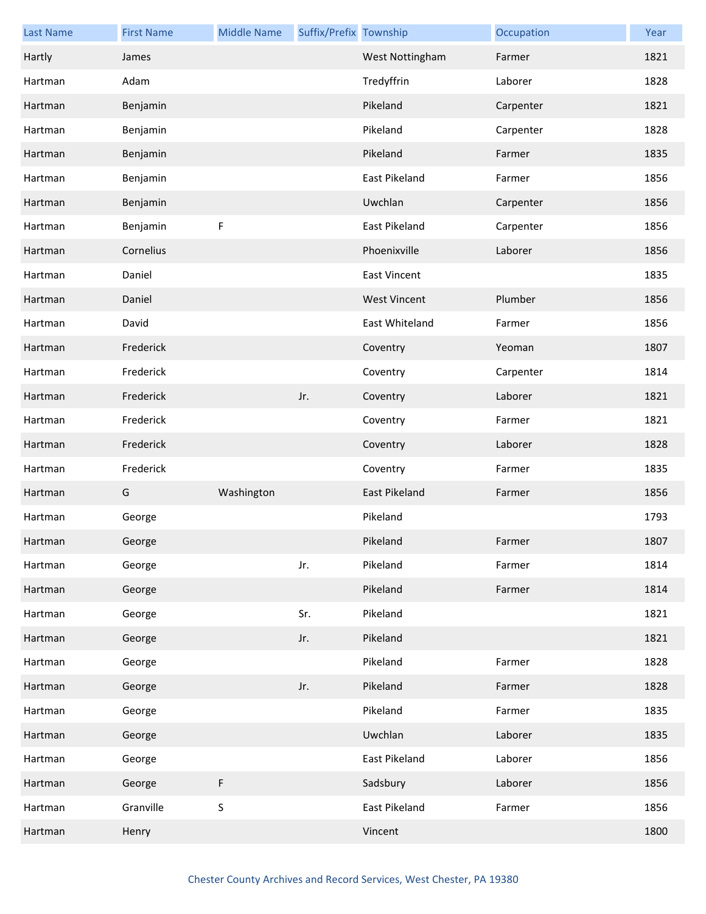| <b>Last Name</b> | <b>First Name</b> | <b>Middle Name</b> | Suffix/Prefix Township |                      | Occupation | Year |
|------------------|-------------------|--------------------|------------------------|----------------------|------------|------|
| Hartly           | James             |                    |                        | West Nottingham      | Farmer     | 1821 |
| Hartman          | Adam              |                    |                        | Tredyffrin           | Laborer    | 1828 |
| Hartman          | Benjamin          |                    |                        | Pikeland             | Carpenter  | 1821 |
| Hartman          | Benjamin          |                    |                        | Pikeland             | Carpenter  | 1828 |
| Hartman          | Benjamin          |                    |                        | Pikeland             | Farmer     | 1835 |
| Hartman          | Benjamin          |                    |                        | <b>East Pikeland</b> | Farmer     | 1856 |
| Hartman          | Benjamin          |                    |                        | Uwchlan              | Carpenter  | 1856 |
| Hartman          | Benjamin          | F                  |                        | East Pikeland        | Carpenter  | 1856 |
| Hartman          | Cornelius         |                    |                        | Phoenixville         | Laborer    | 1856 |
| Hartman          | Daniel            |                    |                        | <b>East Vincent</b>  |            | 1835 |
| Hartman          | Daniel            |                    |                        | <b>West Vincent</b>  | Plumber    | 1856 |
| Hartman          | David             |                    |                        | East Whiteland       | Farmer     | 1856 |
| Hartman          | Frederick         |                    |                        | Coventry             | Yeoman     | 1807 |
| Hartman          | Frederick         |                    |                        | Coventry             | Carpenter  | 1814 |
| Hartman          | Frederick         |                    | Jr.                    | Coventry             | Laborer    | 1821 |
| Hartman          | Frederick         |                    |                        | Coventry             | Farmer     | 1821 |
| Hartman          | Frederick         |                    |                        | Coventry             | Laborer    | 1828 |
| Hartman          | Frederick         |                    |                        | Coventry             | Farmer     | 1835 |
| Hartman          | G                 | Washington         |                        | East Pikeland        | Farmer     | 1856 |
| Hartman          | George            |                    |                        | Pikeland             |            | 1793 |
| Hartman          | George            |                    |                        | Pikeland             | Farmer     | 1807 |
| Hartman          | George            |                    | Jr.                    | Pikeland             | Farmer     | 1814 |
| Hartman          | George            |                    |                        | Pikeland             | Farmer     | 1814 |
| Hartman          | George            |                    | Sr.                    | Pikeland             |            | 1821 |
| Hartman          | George            |                    | Jr.                    | Pikeland             |            | 1821 |
| Hartman          | George            |                    |                        | Pikeland             | Farmer     | 1828 |
| Hartman          | George            |                    | Jr.                    | Pikeland             | Farmer     | 1828 |
| Hartman          | George            |                    |                        | Pikeland             | Farmer     | 1835 |
| Hartman          | George            |                    |                        | Uwchlan              | Laborer    | 1835 |
| Hartman          | George            |                    |                        | East Pikeland        | Laborer    | 1856 |
| Hartman          | George            | F                  |                        | Sadsbury             | Laborer    | 1856 |
| Hartman          | Granville         | $\sf S$            |                        | East Pikeland        | Farmer     | 1856 |
| Hartman          | Henry             |                    |                        | Vincent              |            | 1800 |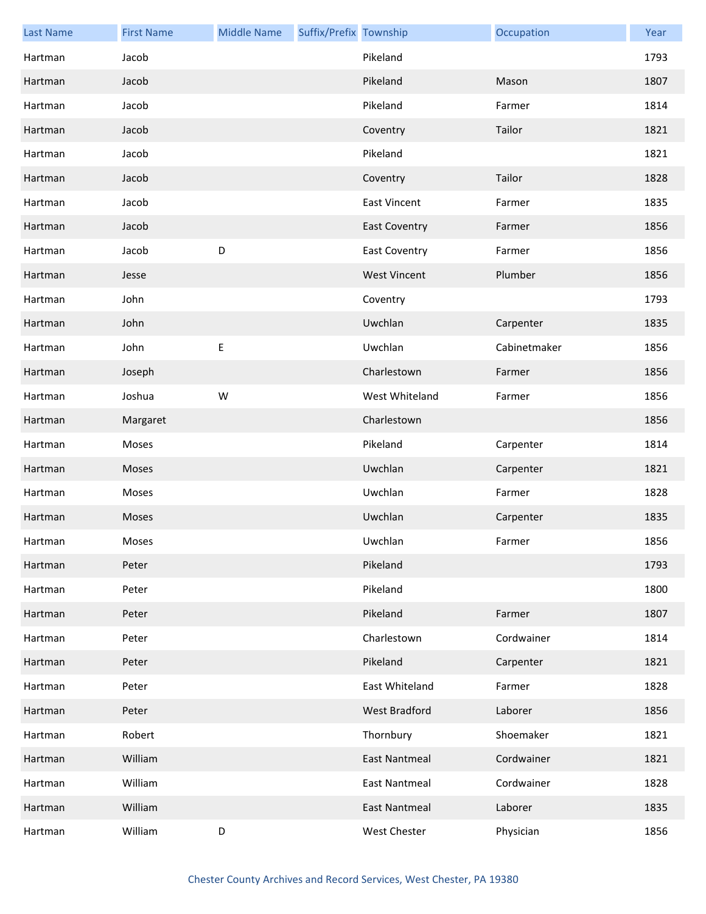| <b>Last Name</b> | <b>First Name</b> | <b>Middle Name</b> | Suffix/Prefix Township |                      | Occupation   | Year |
|------------------|-------------------|--------------------|------------------------|----------------------|--------------|------|
| Hartman          | Jacob             |                    |                        | Pikeland             |              | 1793 |
| Hartman          | Jacob             |                    |                        | Pikeland             | Mason        | 1807 |
| Hartman          | Jacob             |                    |                        | Pikeland             | Farmer       | 1814 |
| Hartman          | Jacob             |                    |                        | Coventry             | Tailor       | 1821 |
| Hartman          | Jacob             |                    |                        | Pikeland             |              | 1821 |
| Hartman          | Jacob             |                    |                        | Coventry             | Tailor       | 1828 |
| Hartman          | Jacob             |                    |                        | <b>East Vincent</b>  | Farmer       | 1835 |
| Hartman          | Jacob             |                    |                        | <b>East Coventry</b> | Farmer       | 1856 |
| Hartman          | Jacob             | D                  |                        | <b>East Coventry</b> | Farmer       | 1856 |
| Hartman          | Jesse             |                    |                        | <b>West Vincent</b>  | Plumber      | 1856 |
| Hartman          | John              |                    |                        | Coventry             |              | 1793 |
| Hartman          | John              |                    |                        | Uwchlan              | Carpenter    | 1835 |
| Hartman          | John              | E                  |                        | Uwchlan              | Cabinetmaker | 1856 |
| Hartman          | Joseph            |                    |                        | Charlestown          | Farmer       | 1856 |
| Hartman          | Joshua            | W                  |                        | West Whiteland       | Farmer       | 1856 |
| Hartman          | Margaret          |                    |                        | Charlestown          |              | 1856 |
| Hartman          | Moses             |                    |                        | Pikeland             | Carpenter    | 1814 |
| Hartman          | Moses             |                    |                        | Uwchlan              | Carpenter    | 1821 |
| Hartman          | Moses             |                    |                        | Uwchlan              | Farmer       | 1828 |
| Hartman          | Moses             |                    |                        | Uwchlan              | Carpenter    | 1835 |
| Hartman          | Moses             |                    |                        | Uwchlan              | Farmer       | 1856 |
| Hartman          | Peter             |                    |                        | Pikeland             |              | 1793 |
| Hartman          | Peter             |                    |                        | Pikeland             |              | 1800 |
| Hartman          | Peter             |                    |                        | Pikeland             | Farmer       | 1807 |
| Hartman          | Peter             |                    |                        | Charlestown          | Cordwainer   | 1814 |
| Hartman          | Peter             |                    |                        | Pikeland             | Carpenter    | 1821 |
| Hartman          | Peter             |                    |                        | East Whiteland       | Farmer       | 1828 |
| Hartman          | Peter             |                    |                        | West Bradford        | Laborer      | 1856 |
| Hartman          | Robert            |                    |                        | Thornbury            | Shoemaker    | 1821 |
| Hartman          | William           |                    |                        | <b>East Nantmeal</b> | Cordwainer   | 1821 |
| Hartman          | William           |                    |                        | East Nantmeal        | Cordwainer   | 1828 |
| Hartman          | William           |                    |                        | East Nantmeal        | Laborer      | 1835 |
| Hartman          | William           | D                  |                        | West Chester         | Physician    | 1856 |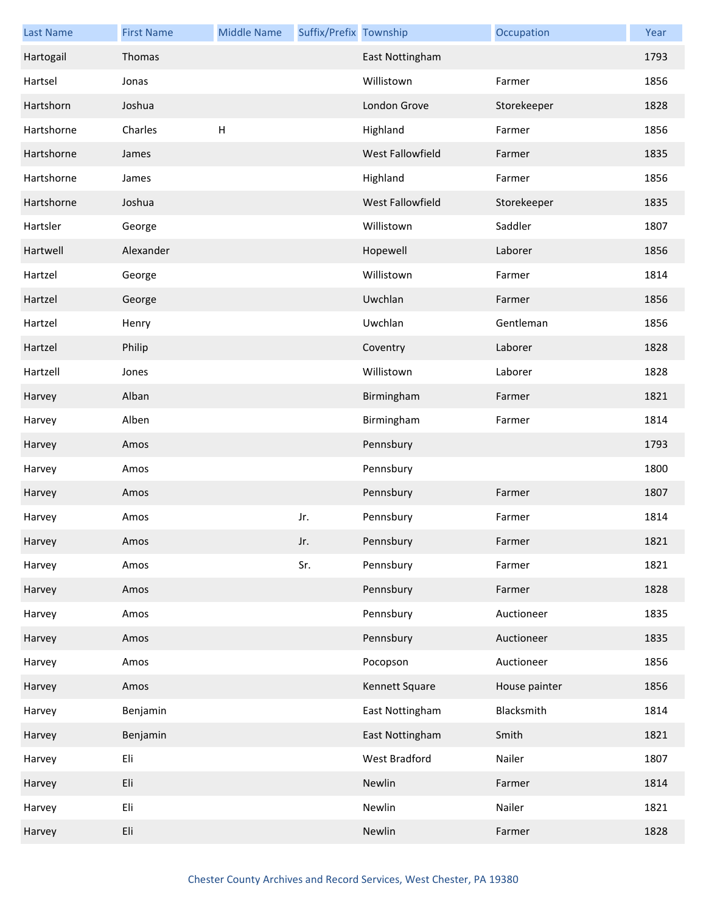| <b>Last Name</b> | <b>First Name</b> | <b>Middle Name</b>        | Suffix/Prefix Township |                         | Occupation    | Year |
|------------------|-------------------|---------------------------|------------------------|-------------------------|---------------|------|
| Hartogail        | Thomas            |                           |                        | East Nottingham         |               | 1793 |
| Hartsel          | Jonas             |                           |                        | Willistown              | Farmer        | 1856 |
| Hartshorn        | Joshua            |                           |                        | London Grove            | Storekeeper   | 1828 |
| Hartshorne       | Charles           | $\boldsymbol{\mathsf{H}}$ |                        | Highland                | Farmer        | 1856 |
| Hartshorne       | James             |                           |                        | <b>West Fallowfield</b> | Farmer        | 1835 |
| Hartshorne       | James             |                           |                        | Highland                | Farmer        | 1856 |
| Hartshorne       | Joshua            |                           |                        | West Fallowfield        | Storekeeper   | 1835 |
| Hartsler         | George            |                           |                        | Willistown              | Saddler       | 1807 |
| Hartwell         | Alexander         |                           |                        | Hopewell                | Laborer       | 1856 |
| Hartzel          | George            |                           |                        | Willistown              | Farmer        | 1814 |
| Hartzel          | George            |                           |                        | Uwchlan                 | Farmer        | 1856 |
| Hartzel          | Henry             |                           |                        | Uwchlan                 | Gentleman     | 1856 |
| Hartzel          | Philip            |                           |                        | Coventry                | Laborer       | 1828 |
| Hartzell         | Jones             |                           |                        | Willistown              | Laborer       | 1828 |
| Harvey           | Alban             |                           |                        | Birmingham              | Farmer        | 1821 |
| Harvey           | Alben             |                           |                        | Birmingham              | Farmer        | 1814 |
| Harvey           | Amos              |                           |                        | Pennsbury               |               | 1793 |
| Harvey           | Amos              |                           |                        | Pennsbury               |               | 1800 |
| Harvey           | Amos              |                           |                        | Pennsbury               | Farmer        | 1807 |
| Harvey           | Amos              |                           | Jr.                    | Pennsbury               | Farmer        | 1814 |
| Harvey           | Amos              |                           | Jr.                    | Pennsbury               | Farmer        | 1821 |
| Harvey           | Amos              |                           | Sr.                    | Pennsbury               | Farmer        | 1821 |
| Harvey           | Amos              |                           |                        | Pennsbury               | Farmer        | 1828 |
| Harvey           | Amos              |                           |                        | Pennsbury               | Auctioneer    | 1835 |
| Harvey           | Amos              |                           |                        | Pennsbury               | Auctioneer    | 1835 |
| Harvey           | Amos              |                           |                        | Pocopson                | Auctioneer    | 1856 |
| Harvey           | Amos              |                           |                        | Kennett Square          | House painter | 1856 |
| Harvey           | Benjamin          |                           |                        | East Nottingham         | Blacksmith    | 1814 |
| Harvey           | Benjamin          |                           |                        | East Nottingham         | Smith         | 1821 |
| Harvey           | Eli               |                           |                        | West Bradford           | Nailer        | 1807 |
| Harvey           | Eli               |                           |                        | Newlin                  | Farmer        | 1814 |
| Harvey           | Eli               |                           |                        | Newlin                  | Nailer        | 1821 |
| Harvey           | Eli               |                           |                        | Newlin                  | Farmer        | 1828 |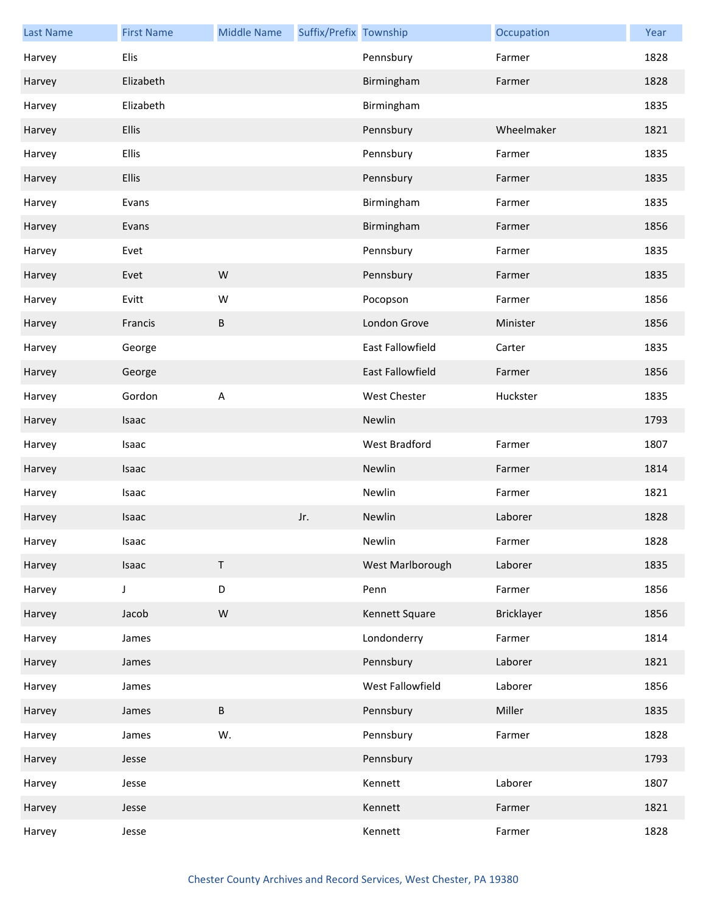| <b>Last Name</b> | <b>First Name</b> | <b>Middle Name</b> | Suffix/Prefix Township |                  | Occupation        | Year |
|------------------|-------------------|--------------------|------------------------|------------------|-------------------|------|
| Harvey           | Elis              |                    |                        | Pennsbury        | Farmer            | 1828 |
| Harvey           | Elizabeth         |                    |                        | Birmingham       | Farmer            | 1828 |
| Harvey           | Elizabeth         |                    |                        | Birmingham       |                   | 1835 |
| Harvey           | Ellis             |                    |                        | Pennsbury        | Wheelmaker        | 1821 |
| Harvey           | <b>Ellis</b>      |                    |                        | Pennsbury        | Farmer            | 1835 |
| Harvey           | <b>Ellis</b>      |                    |                        | Pennsbury        | Farmer            | 1835 |
| Harvey           | Evans             |                    |                        | Birmingham       | Farmer            | 1835 |
| Harvey           | Evans             |                    |                        | Birmingham       | Farmer            | 1856 |
| Harvey           | Evet              |                    |                        | Pennsbury        | Farmer            | 1835 |
| Harvey           | Evet              | W                  |                        | Pennsbury        | Farmer            | 1835 |
| Harvey           | Evitt             | W                  |                        | Pocopson         | Farmer            | 1856 |
| Harvey           | Francis           | В                  |                        | London Grove     | Minister          | 1856 |
| Harvey           | George            |                    |                        | East Fallowfield | Carter            | 1835 |
| Harvey           | George            |                    |                        | East Fallowfield | Farmer            | 1856 |
| Harvey           | Gordon            | A                  |                        | West Chester     | Huckster          | 1835 |
| Harvey           | Isaac             |                    |                        | Newlin           |                   | 1793 |
| Harvey           | Isaac             |                    |                        | West Bradford    | Farmer            | 1807 |
| Harvey           | Isaac             |                    |                        | Newlin           | Farmer            | 1814 |
| Harvey           | Isaac             |                    |                        | Newlin           | Farmer            | 1821 |
| Harvey           | Isaac             |                    | Jr.                    | Newlin           | Laborer           | 1828 |
| Harvey           | Isaac             |                    |                        | Newlin           | Farmer            | 1828 |
| Harvey           | Isaac             | $\sf T$            |                        | West Marlborough | Laborer           | 1835 |
| Harvey           | J                 | D                  |                        | Penn             | Farmer            | 1856 |
| Harvey           | Jacob             | ${\sf W}$          |                        | Kennett Square   | <b>Bricklayer</b> | 1856 |
| Harvey           | James             |                    |                        | Londonderry      | Farmer            | 1814 |
| Harvey           | James             |                    |                        | Pennsbury        | Laborer           | 1821 |
| Harvey           | James             |                    |                        | West Fallowfield | Laborer           | 1856 |
| Harvey           | James             | B                  |                        | Pennsbury        | Miller            | 1835 |
| Harvey           | James             | W.                 |                        | Pennsbury        | Farmer            | 1828 |
| Harvey           | Jesse             |                    |                        | Pennsbury        |                   | 1793 |
| Harvey           | Jesse             |                    |                        | Kennett          | Laborer           | 1807 |
| Harvey           | Jesse             |                    |                        | Kennett          | Farmer            | 1821 |
| Harvey           | Jesse             |                    |                        | Kennett          | Farmer            | 1828 |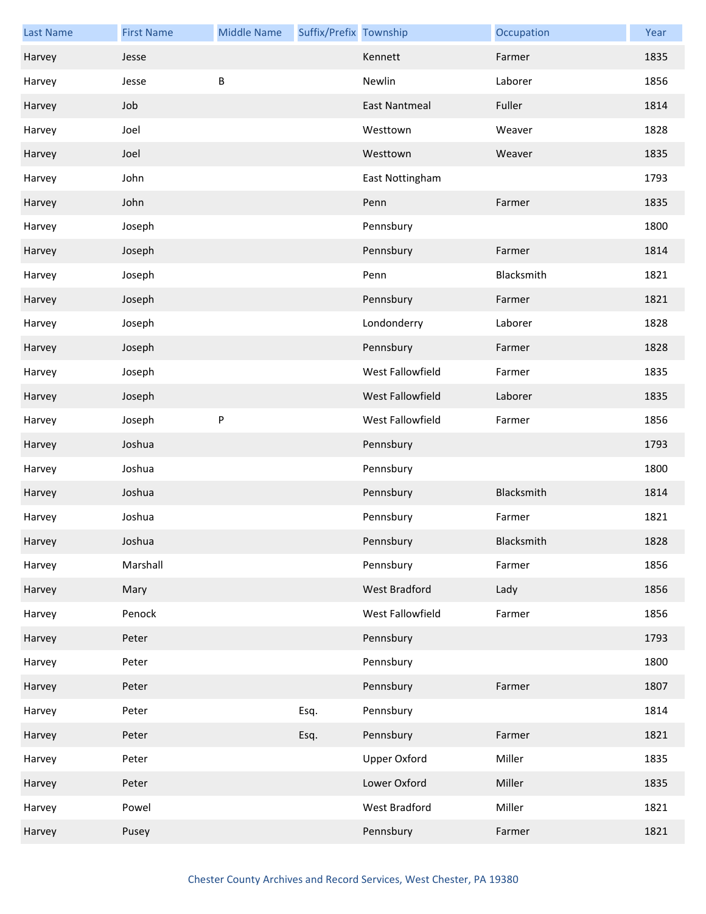| <b>Last Name</b> | <b>First Name</b> | <b>Middle Name</b> | Suffix/Prefix Township |                      | Occupation | Year |
|------------------|-------------------|--------------------|------------------------|----------------------|------------|------|
| Harvey           | Jesse             |                    |                        | Kennett              | Farmer     | 1835 |
| Harvey           | Jesse             | B                  |                        | Newlin               | Laborer    | 1856 |
| Harvey           | Job               |                    |                        | <b>East Nantmeal</b> | Fuller     | 1814 |
| Harvey           | Joel              |                    |                        | Westtown             | Weaver     | 1828 |
| Harvey           | Joel              |                    |                        | Westtown             | Weaver     | 1835 |
| Harvey           | John              |                    |                        | East Nottingham      |            | 1793 |
| Harvey           | John              |                    |                        | Penn                 | Farmer     | 1835 |
| Harvey           | Joseph            |                    |                        | Pennsbury            |            | 1800 |
| Harvey           | Joseph            |                    |                        | Pennsbury            | Farmer     | 1814 |
| Harvey           | Joseph            |                    |                        | Penn                 | Blacksmith | 1821 |
| Harvey           | Joseph            |                    |                        | Pennsbury            | Farmer     | 1821 |
| Harvey           | Joseph            |                    |                        | Londonderry          | Laborer    | 1828 |
| Harvey           | Joseph            |                    |                        | Pennsbury            | Farmer     | 1828 |
| Harvey           | Joseph            |                    |                        | West Fallowfield     | Farmer     | 1835 |
| Harvey           | Joseph            |                    |                        | West Fallowfield     | Laborer    | 1835 |
| Harvey           | Joseph            | ${\sf P}$          |                        | West Fallowfield     | Farmer     | 1856 |
| Harvey           | Joshua            |                    |                        | Pennsbury            |            | 1793 |
| Harvey           | Joshua            |                    |                        | Pennsbury            |            | 1800 |
| Harvey           | Joshua            |                    |                        | Pennsbury            | Blacksmith | 1814 |
| Harvey           | Joshua            |                    |                        | Pennsbury            | Farmer     | 1821 |
| Harvey           | Joshua            |                    |                        | Pennsbury            | Blacksmith | 1828 |
| Harvey           | Marshall          |                    |                        | Pennsbury            | Farmer     | 1856 |
| Harvey           | Mary              |                    |                        | West Bradford        | Lady       | 1856 |
| Harvey           | Penock            |                    |                        | West Fallowfield     | Farmer     | 1856 |
| Harvey           | Peter             |                    |                        | Pennsbury            |            | 1793 |
| Harvey           | Peter             |                    |                        | Pennsbury            |            | 1800 |
| Harvey           | Peter             |                    |                        | Pennsbury            | Farmer     | 1807 |
| Harvey           | Peter             |                    | Esq.                   | Pennsbury            |            | 1814 |
| Harvey           | Peter             |                    | Esq.                   | Pennsbury            | Farmer     | 1821 |
| Harvey           | Peter             |                    |                        | <b>Upper Oxford</b>  | Miller     | 1835 |
| Harvey           | Peter             |                    |                        | Lower Oxford         | Miller     | 1835 |
| Harvey           | Powel             |                    |                        | West Bradford        | Miller     | 1821 |
| Harvey           | Pusey             |                    |                        | Pennsbury            | Farmer     | 1821 |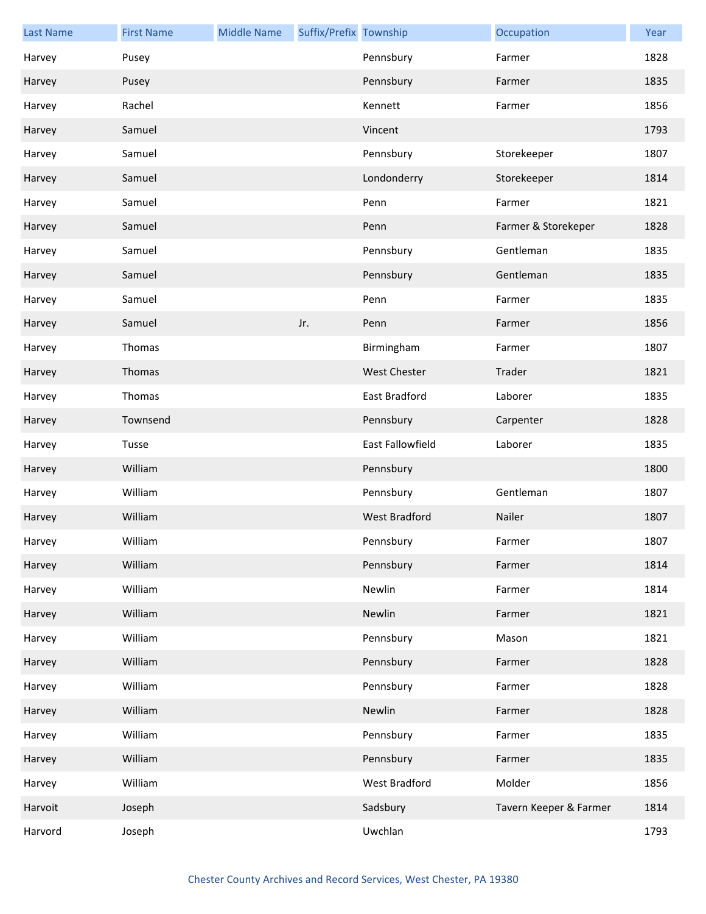| <b>Last Name</b> | <b>First Name</b> | <b>Middle Name</b> | Suffix/Prefix Township |                      | Occupation             | Year |
|------------------|-------------------|--------------------|------------------------|----------------------|------------------------|------|
| Harvey           | Pusey             |                    |                        | Pennsbury            | Farmer                 | 1828 |
| Harvey           | Pusey             |                    |                        | Pennsbury            | Farmer                 | 1835 |
| Harvey           | Rachel            |                    |                        | Kennett              | Farmer                 | 1856 |
| Harvey           | Samuel            |                    |                        | Vincent              |                        | 1793 |
| Harvey           | Samuel            |                    |                        | Pennsbury            | Storekeeper            | 1807 |
| Harvey           | Samuel            |                    |                        | Londonderry          | Storekeeper            | 1814 |
| Harvey           | Samuel            |                    |                        | Penn                 | Farmer                 | 1821 |
| Harvey           | Samuel            |                    |                        | Penn                 | Farmer & Storekeper    | 1828 |
| Harvey           | Samuel            |                    |                        | Pennsbury            | Gentleman              | 1835 |
| Harvey           | Samuel            |                    |                        | Pennsbury            | Gentleman              | 1835 |
| Harvey           | Samuel            |                    |                        | Penn                 | Farmer                 | 1835 |
| Harvey           | Samuel            |                    | Jr.                    | Penn                 | Farmer                 | 1856 |
| Harvey           | Thomas            |                    |                        | Birmingham           | Farmer                 | 1807 |
| Harvey           | Thomas            |                    |                        | <b>West Chester</b>  | Trader                 | 1821 |
| Harvey           | Thomas            |                    |                        | East Bradford        | Laborer                | 1835 |
| Harvey           | Townsend          |                    |                        | Pennsbury            | Carpenter              | 1828 |
| Harvey           | Tusse             |                    |                        | East Fallowfield     | Laborer                | 1835 |
| Harvey           | William           |                    |                        | Pennsbury            |                        | 1800 |
| Harvey           | William           |                    |                        | Pennsbury            | Gentleman              | 1807 |
| Harvey           | William           |                    |                        | <b>West Bradford</b> | Nailer                 | 1807 |
| Harvey           | William           |                    |                        | Pennsbury            | Farmer                 | 1807 |
| Harvey           | William           |                    |                        | Pennsbury            | Farmer                 | 1814 |
| Harvey           | William           |                    |                        | Newlin               | Farmer                 | 1814 |
| Harvey           | William           |                    |                        | Newlin               | Farmer                 | 1821 |
| Harvey           | William           |                    |                        | Pennsbury            | Mason                  | 1821 |
| Harvey           | William           |                    |                        | Pennsbury            | Farmer                 | 1828 |
| Harvey           | William           |                    |                        | Pennsbury            | Farmer                 | 1828 |
| Harvey           | William           |                    |                        | Newlin               | Farmer                 | 1828 |
| Harvey           | William           |                    |                        | Pennsbury            | Farmer                 | 1835 |
| Harvey           | William           |                    |                        | Pennsbury            | Farmer                 | 1835 |
| Harvey           | William           |                    |                        | West Bradford        | Molder                 | 1856 |
| Harvoit          | Joseph            |                    |                        | Sadsbury             | Tavern Keeper & Farmer | 1814 |
| Harvord          | Joseph            |                    |                        | Uwchlan              |                        | 1793 |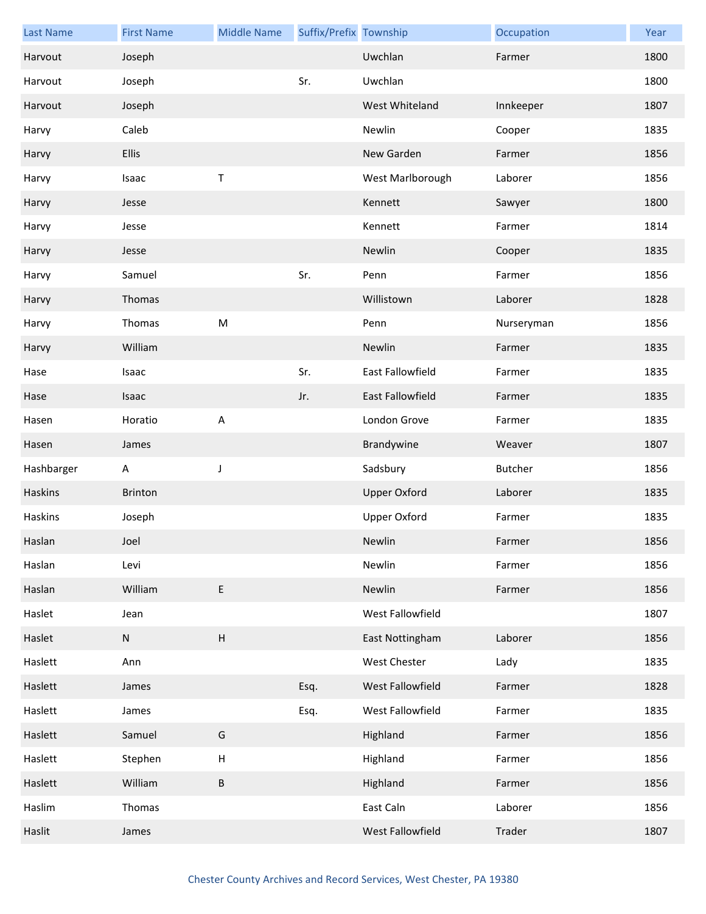| <b>Last Name</b> | <b>First Name</b> | <b>Middle Name</b>        | Suffix/Prefix Township |                     | Occupation | Year |
|------------------|-------------------|---------------------------|------------------------|---------------------|------------|------|
| Harvout          | Joseph            |                           |                        | Uwchlan             | Farmer     | 1800 |
| Harvout          | Joseph            |                           | Sr.                    | Uwchlan             |            | 1800 |
| Harvout          | Joseph            |                           |                        | West Whiteland      | Innkeeper  | 1807 |
| Harvy            | Caleb             |                           |                        | Newlin              | Cooper     | 1835 |
| Harvy            | <b>Ellis</b>      |                           |                        | New Garden          | Farmer     | 1856 |
| Harvy            | Isaac             | $\sf T$                   |                        | West Marlborough    | Laborer    | 1856 |
| Harvy            | Jesse             |                           |                        | Kennett             | Sawyer     | 1800 |
| Harvy            | Jesse             |                           |                        | Kennett             | Farmer     | 1814 |
| Harvy            | Jesse             |                           |                        | Newlin              | Cooper     | 1835 |
| Harvy            | Samuel            |                           | Sr.                    | Penn                | Farmer     | 1856 |
| Harvy            | Thomas            |                           |                        | Willistown          | Laborer    | 1828 |
| Harvy            | Thomas            | M                         |                        | Penn                | Nurseryman | 1856 |
| Harvy            | William           |                           |                        | Newlin              | Farmer     | 1835 |
| Hase             | Isaac             |                           | Sr.                    | East Fallowfield    | Farmer     | 1835 |
| Hase             | Isaac             |                           | Jr.                    | East Fallowfield    | Farmer     | 1835 |
| Hasen            | Horatio           | $\overline{\mathsf{A}}$   |                        | London Grove        | Farmer     | 1835 |
| Hasen            | James             |                           |                        | Brandywine          | Weaver     | 1807 |
|                  |                   |                           |                        |                     |            |      |
| Hashbarger       | Α                 | J                         |                        | Sadsbury            | Butcher    | 1856 |
| Haskins          | Brinton           |                           |                        | <b>Upper Oxford</b> | Laborer    | 1835 |
| Haskins          | Joseph            |                           |                        | <b>Upper Oxford</b> | Farmer     | 1835 |
| Haslan           | Joel              |                           |                        | Newlin              | Farmer     | 1856 |
| Haslan           | Levi              |                           |                        | Newlin              | Farmer     | 1856 |
| Haslan           | William           | $\mathsf E$               |                        | Newlin              | Farmer     | 1856 |
| Haslet           | Jean              |                           |                        | West Fallowfield    |            | 1807 |
| Haslet           | N                 | $\boldsymbol{\mathsf{H}}$ |                        | East Nottingham     | Laborer    | 1856 |
| Haslett          | Ann               |                           |                        | West Chester        | Lady       | 1835 |
| Haslett          | James             |                           | Esq.                   | West Fallowfield    | Farmer     | 1828 |
| Haslett          | James             |                           | Esq.                   | West Fallowfield    | Farmer     | 1835 |
| Haslett          | Samuel            | G                         |                        | Highland            | Farmer     | 1856 |
| Haslett          | Stephen           | H                         |                        | Highland            | Farmer     | 1856 |
| Haslett          | William           | $\sf B$                   |                        | Highland            | Farmer     | 1856 |
| Haslim           | Thomas            |                           |                        | East Caln           | Laborer    | 1856 |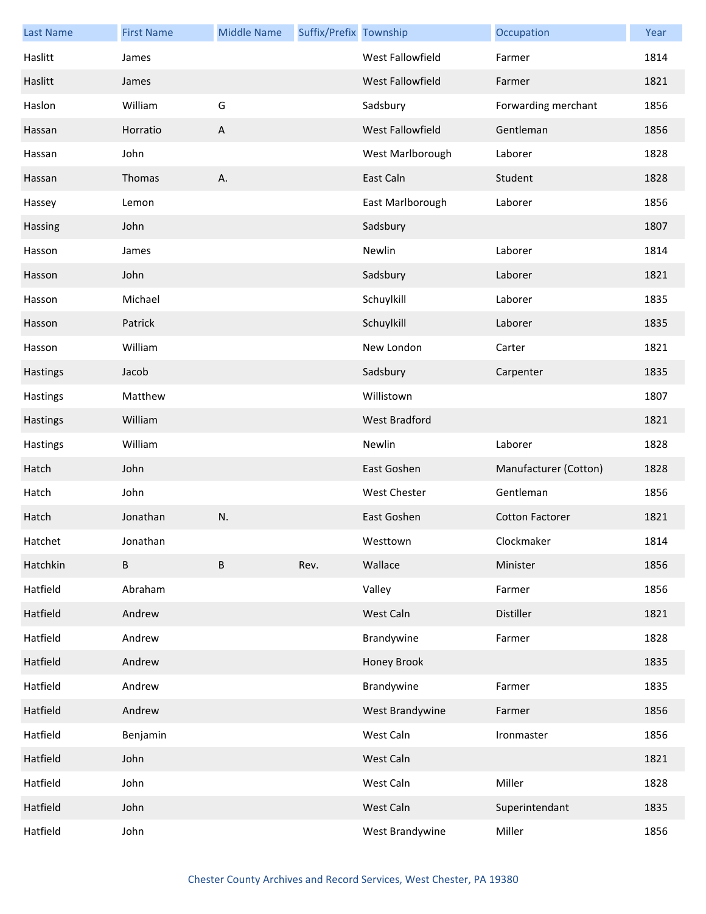| <b>Last Name</b> | <b>First Name</b> | <b>Middle Name</b> | Suffix/Prefix Township |                      | Occupation             | Year |
|------------------|-------------------|--------------------|------------------------|----------------------|------------------------|------|
| Haslitt          | James             |                    |                        | West Fallowfield     | Farmer                 | 1814 |
| Haslitt          | James             |                    |                        | West Fallowfield     | Farmer                 | 1821 |
| Haslon           | William           | G                  |                        | Sadsbury             | Forwarding merchant    | 1856 |
| Hassan           | Horratio          | A                  |                        | West Fallowfield     | Gentleman              | 1856 |
| Hassan           | John              |                    |                        | West Marlborough     | Laborer                | 1828 |
| Hassan           | Thomas            | Α.                 |                        | East Caln            | Student                | 1828 |
| Hassey           | Lemon             |                    |                        | East Marlborough     | Laborer                | 1856 |
| Hassing          | John              |                    |                        | Sadsbury             |                        | 1807 |
| Hasson           | James             |                    |                        | Newlin               | Laborer                | 1814 |
| Hasson           | John              |                    |                        | Sadsbury             | Laborer                | 1821 |
| Hasson           | Michael           |                    |                        | Schuylkill           | Laborer                | 1835 |
| Hasson           | Patrick           |                    |                        | Schuylkill           | Laborer                | 1835 |
| Hasson           | William           |                    |                        | New London           | Carter                 | 1821 |
| Hastings         | Jacob             |                    |                        | Sadsbury             | Carpenter              | 1835 |
| Hastings         | Matthew           |                    |                        | Willistown           |                        | 1807 |
| Hastings         | William           |                    |                        | <b>West Bradford</b> |                        | 1821 |
| Hastings         | William           |                    |                        | Newlin               | Laborer                | 1828 |
| Hatch            | John              |                    |                        | East Goshen          | Manufacturer (Cotton)  | 1828 |
| Hatch            | John              |                    |                        | <b>West Chester</b>  | Gentleman              | 1856 |
| Hatch            | Jonathan          | N.                 |                        | East Goshen          | <b>Cotton Factorer</b> | 1821 |
| Hatchet          | Jonathan          |                    |                        | Westtown             | Clockmaker             | 1814 |
| Hatchkin         | B                 | B                  | Rev.                   | Wallace              | Minister               | 1856 |
| Hatfield         | Abraham           |                    |                        | Valley               | Farmer                 | 1856 |
| Hatfield         | Andrew            |                    |                        | West Caln            | Distiller              | 1821 |
| Hatfield         | Andrew            |                    |                        | Brandywine           | Farmer                 | 1828 |
| Hatfield         | Andrew            |                    |                        | Honey Brook          |                        | 1835 |
| Hatfield         | Andrew            |                    |                        | Brandywine           | Farmer                 | 1835 |
| Hatfield         | Andrew            |                    |                        | West Brandywine      | Farmer                 | 1856 |
| Hatfield         | Benjamin          |                    |                        | West Caln            | Ironmaster             | 1856 |
| Hatfield         | John              |                    |                        | West Caln            |                        | 1821 |
| Hatfield         | John              |                    |                        | West Caln            | Miller                 | 1828 |
| Hatfield         | John              |                    |                        | West Caln            | Superintendant         | 1835 |
| Hatfield         | John              |                    |                        | West Brandywine      | Miller                 | 1856 |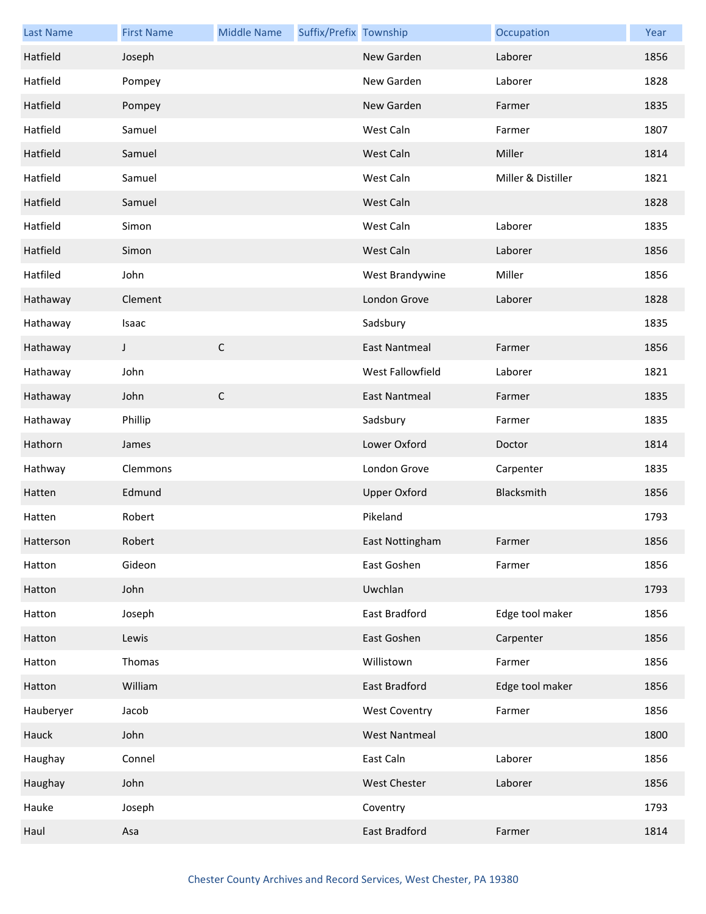| <b>Last Name</b> | <b>First Name</b> | <b>Middle Name</b> | Suffix/Prefix Township |                      | Occupation         | Year |
|------------------|-------------------|--------------------|------------------------|----------------------|--------------------|------|
| Hatfield         | Joseph            |                    |                        | New Garden           | Laborer            | 1856 |
| Hatfield         | Pompey            |                    |                        | New Garden           | Laborer            | 1828 |
| Hatfield         | Pompey            |                    |                        | New Garden           | Farmer             | 1835 |
| Hatfield         | Samuel            |                    |                        | West Caln            | Farmer             | 1807 |
| Hatfield         | Samuel            |                    |                        | West Caln            | Miller             | 1814 |
| Hatfield         | Samuel            |                    |                        | West Caln            | Miller & Distiller | 1821 |
| Hatfield         | Samuel            |                    |                        | West Caln            |                    | 1828 |
| Hatfield         | Simon             |                    |                        | West Caln            | Laborer            | 1835 |
| Hatfield         | Simon             |                    |                        | West Caln            | Laborer            | 1856 |
| Hatfiled         | John              |                    |                        | West Brandywine      | Miller             | 1856 |
| Hathaway         | Clement           |                    |                        | London Grove         | Laborer            | 1828 |
| Hathaway         | Isaac             |                    |                        | Sadsbury             |                    | 1835 |
| Hathaway         | J                 | $\mathsf C$        |                        | <b>East Nantmeal</b> | Farmer             | 1856 |
| Hathaway         | John              |                    |                        | West Fallowfield     | Laborer            | 1821 |
| Hathaway         | John              | $\mathsf C$        |                        | <b>East Nantmeal</b> | Farmer             | 1835 |
| Hathaway         | Phillip           |                    |                        | Sadsbury             | Farmer             | 1835 |
| Hathorn          | James             |                    |                        | Lower Oxford         | Doctor             | 1814 |
| Hathway          | Clemmons          |                    |                        | London Grove         | Carpenter          | 1835 |
| Hatten           | Edmund            |                    |                        | <b>Upper Oxford</b>  | Blacksmith         | 1856 |
| Hatten           | Robert            |                    |                        | Pikeland             |                    | 1793 |
| Hatterson        | Robert            |                    |                        | East Nottingham      | Farmer             | 1856 |
| Hatton           | Gideon            |                    |                        | East Goshen          | Farmer             | 1856 |
| Hatton           | John              |                    |                        | Uwchlan              |                    | 1793 |
| Hatton           | Joseph            |                    |                        | East Bradford        | Edge tool maker    | 1856 |
| Hatton           | Lewis             |                    |                        | East Goshen          | Carpenter          | 1856 |
| Hatton           | Thomas            |                    |                        | Willistown           | Farmer             | 1856 |
| Hatton           | William           |                    |                        | <b>East Bradford</b> | Edge tool maker    | 1856 |
| Hauberyer        | Jacob             |                    |                        | <b>West Coventry</b> | Farmer             | 1856 |
| Hauck            | John              |                    |                        | <b>West Nantmeal</b> |                    | 1800 |
| Haughay          | Connel            |                    |                        | East Caln            | Laborer            | 1856 |
| Haughay          | John              |                    |                        | <b>West Chester</b>  | Laborer            | 1856 |
| Hauke            | Joseph            |                    |                        | Coventry             |                    | 1793 |
| Haul             | Asa               |                    |                        | East Bradford        | Farmer             | 1814 |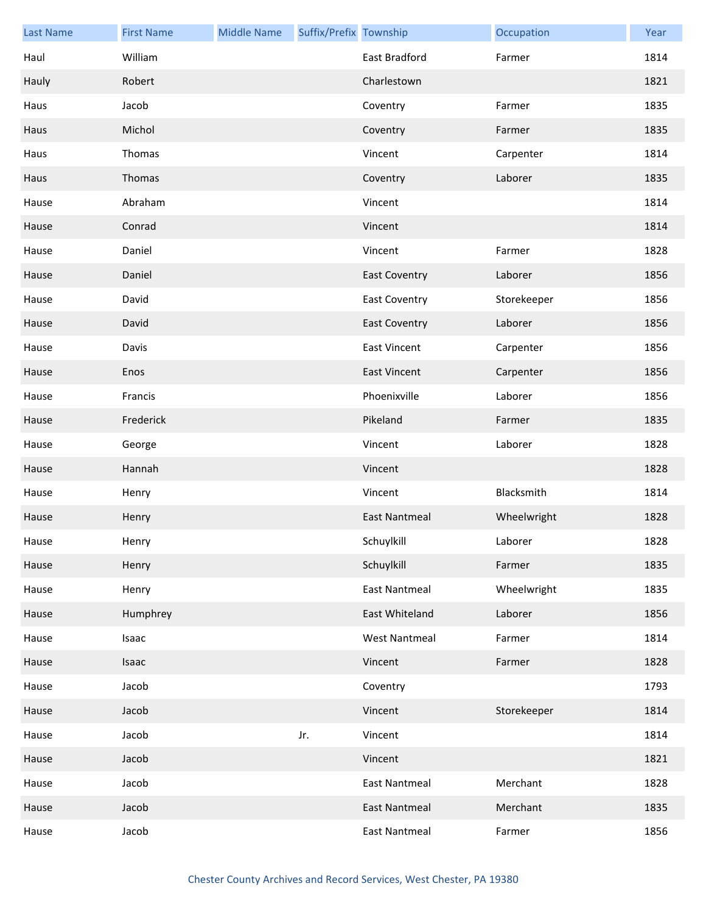| <b>Last Name</b> | <b>First Name</b> | <b>Middle Name</b> | Suffix/Prefix Township |                      | Occupation  | Year |
|------------------|-------------------|--------------------|------------------------|----------------------|-------------|------|
| Haul             | William           |                    |                        | <b>East Bradford</b> | Farmer      | 1814 |
| Hauly            | Robert            |                    |                        | Charlestown          |             | 1821 |
| Haus             | Jacob             |                    |                        | Coventry             | Farmer      | 1835 |
| Haus             | Michol            |                    |                        | Coventry             | Farmer      | 1835 |
| Haus             | Thomas            |                    |                        | Vincent              | Carpenter   | 1814 |
| Haus             | Thomas            |                    |                        | Coventry             | Laborer     | 1835 |
| Hause            | Abraham           |                    |                        | Vincent              |             | 1814 |
| Hause            | Conrad            |                    |                        | Vincent              |             | 1814 |
| Hause            | Daniel            |                    |                        | Vincent              | Farmer      | 1828 |
| Hause            | Daniel            |                    |                        | <b>East Coventry</b> | Laborer     | 1856 |
| Hause            | David             |                    |                        | <b>East Coventry</b> | Storekeeper | 1856 |
| Hause            | David             |                    |                        | <b>East Coventry</b> | Laborer     | 1856 |
| Hause            | Davis             |                    |                        | <b>East Vincent</b>  | Carpenter   | 1856 |
| Hause            | Enos              |                    |                        | <b>East Vincent</b>  | Carpenter   | 1856 |
| Hause            | Francis           |                    |                        | Phoenixville         | Laborer     | 1856 |
| Hause            | Frederick         |                    |                        | Pikeland             | Farmer      | 1835 |
| Hause            | George            |                    |                        | Vincent              | Laborer     | 1828 |
| Hause            | Hannah            |                    |                        | Vincent              |             | 1828 |
| Hause            | Henry             |                    |                        | Vincent              | Blacksmith  | 1814 |
| Hause            | Henry             |                    |                        | <b>East Nantmeal</b> | Wheelwright | 1828 |
| Hause            | Henry             |                    |                        | Schuylkill           | Laborer     | 1828 |
| Hause            | Henry             |                    |                        | Schuylkill           | Farmer      | 1835 |
| Hause            | Henry             |                    |                        | <b>East Nantmeal</b> | Wheelwright | 1835 |
| Hause            | Humphrey          |                    |                        | East Whiteland       | Laborer     | 1856 |
| Hause            | Isaac             |                    |                        | <b>West Nantmeal</b> | Farmer      | 1814 |
| Hause            | Isaac             |                    |                        | Vincent              | Farmer      | 1828 |
| Hause            | Jacob             |                    |                        | Coventry             |             | 1793 |
| Hause            | Jacob             |                    |                        | Vincent              | Storekeeper | 1814 |
| Hause            | Jacob             |                    | Jr.                    | Vincent              |             | 1814 |
| Hause            | Jacob             |                    |                        | Vincent              |             | 1821 |
| Hause            | Jacob             |                    |                        | <b>East Nantmeal</b> | Merchant    | 1828 |
| Hause            | Jacob             |                    |                        | <b>East Nantmeal</b> | Merchant    | 1835 |
| Hause            | Jacob             |                    |                        | <b>East Nantmeal</b> | Farmer      | 1856 |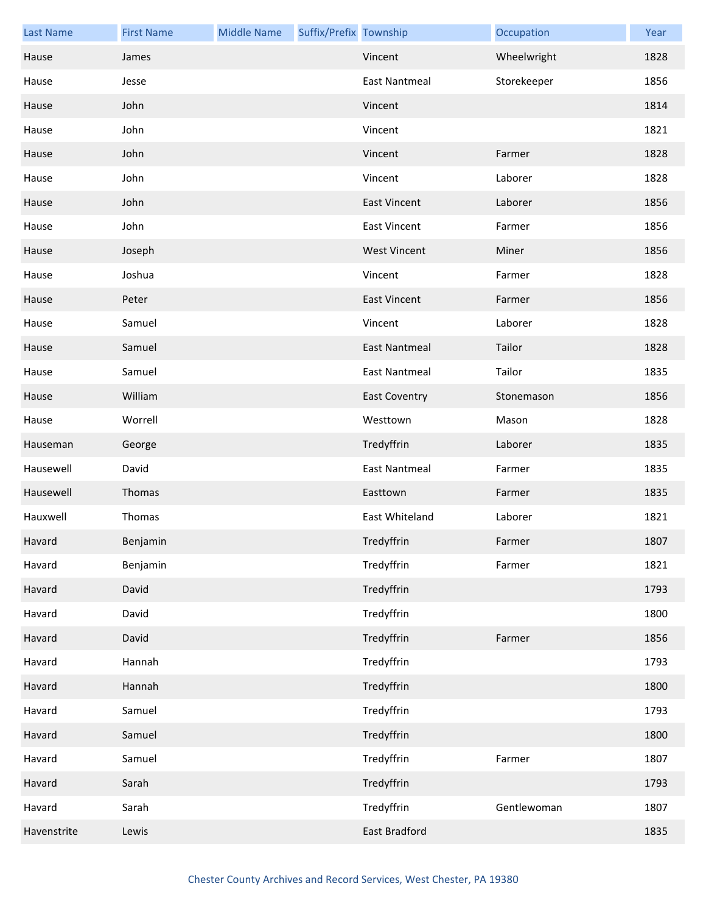| <b>Last Name</b> | <b>First Name</b> | <b>Middle Name</b> | Suffix/Prefix Township |                      | Occupation  | Year |
|------------------|-------------------|--------------------|------------------------|----------------------|-------------|------|
| Hause            | James             |                    |                        | Vincent              | Wheelwright | 1828 |
| Hause            | Jesse             |                    |                        | <b>East Nantmeal</b> | Storekeeper | 1856 |
| Hause            | John              |                    |                        | Vincent              |             | 1814 |
| Hause            | John              |                    |                        | Vincent              |             | 1821 |
| Hause            | John              |                    |                        | Vincent              | Farmer      | 1828 |
| Hause            | John              |                    |                        | Vincent              | Laborer     | 1828 |
| Hause            | John              |                    |                        | <b>East Vincent</b>  | Laborer     | 1856 |
| Hause            | John              |                    |                        | <b>East Vincent</b>  | Farmer      | 1856 |
| Hause            | Joseph            |                    |                        | <b>West Vincent</b>  | Miner       | 1856 |
| Hause            | Joshua            |                    |                        | Vincent              | Farmer      | 1828 |
| Hause            | Peter             |                    |                        | <b>East Vincent</b>  | Farmer      | 1856 |
| Hause            | Samuel            |                    |                        | Vincent              | Laborer     | 1828 |
| Hause            | Samuel            |                    |                        | <b>East Nantmeal</b> | Tailor      | 1828 |
| Hause            | Samuel            |                    |                        | <b>East Nantmeal</b> | Tailor      | 1835 |
| Hause            | William           |                    |                        | <b>East Coventry</b> | Stonemason  | 1856 |
| Hause            | Worrell           |                    |                        | Westtown             | Mason       | 1828 |
| Hauseman         | George            |                    |                        | Tredyffrin           | Laborer     | 1835 |
| Hausewell        | David             |                    |                        | <b>East Nantmeal</b> | Farmer      | 1835 |
| Hausewell        | Thomas            |                    |                        | Easttown             | Farmer      | 1835 |
| Hauxwell         | Thomas            |                    |                        | East Whiteland       | Laborer     | 1821 |
| Havard           | Benjamin          |                    |                        | Tredyffrin           | Farmer      | 1807 |
| Havard           | Benjamin          |                    |                        | Tredyffrin           | Farmer      | 1821 |
| Havard           | David             |                    |                        | Tredyffrin           |             | 1793 |
| Havard           | David             |                    |                        | Tredyffrin           |             | 1800 |
| Havard           | David             |                    |                        | Tredyffrin           | Farmer      | 1856 |
| Havard           | Hannah            |                    |                        | Tredyffrin           |             | 1793 |
| Havard           | Hannah            |                    |                        | Tredyffrin           |             | 1800 |
| Havard           | Samuel            |                    |                        | Tredyffrin           |             | 1793 |
| Havard           | Samuel            |                    |                        | Tredyffrin           |             | 1800 |
| Havard           | Samuel            |                    |                        | Tredyffrin           | Farmer      | 1807 |
| Havard           | Sarah             |                    |                        | Tredyffrin           |             | 1793 |
| Havard           | Sarah             |                    |                        | Tredyffrin           | Gentlewoman | 1807 |
| Havenstrite      | Lewis             |                    |                        | East Bradford        |             | 1835 |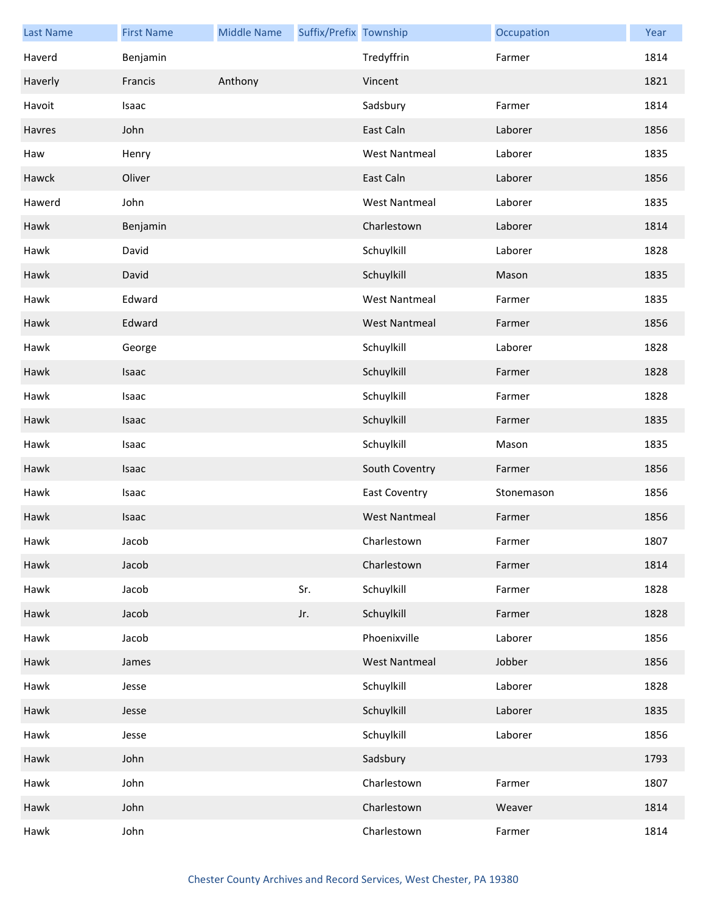| <b>Last Name</b> | <b>First Name</b> | <b>Middle Name</b> | Suffix/Prefix Township |                      | Occupation | Year |
|------------------|-------------------|--------------------|------------------------|----------------------|------------|------|
| Haverd           | Benjamin          |                    |                        | Tredyffrin           | Farmer     | 1814 |
| Haverly          | Francis           | Anthony            |                        | Vincent              |            | 1821 |
| Havoit           | Isaac             |                    |                        | Sadsbury             | Farmer     | 1814 |
| Havres           | John              |                    |                        | East Caln            | Laborer    | 1856 |
| Haw              | Henry             |                    |                        | <b>West Nantmeal</b> | Laborer    | 1835 |
| Hawck            | Oliver            |                    |                        | East Caln            | Laborer    | 1856 |
| Hawerd           | John              |                    |                        | <b>West Nantmeal</b> | Laborer    | 1835 |
| Hawk             | Benjamin          |                    |                        | Charlestown          | Laborer    | 1814 |
| Hawk             | David             |                    |                        | Schuylkill           | Laborer    | 1828 |
| Hawk             | David             |                    |                        | Schuylkill           | Mason      | 1835 |
| Hawk             | Edward            |                    |                        | <b>West Nantmeal</b> | Farmer     | 1835 |
| Hawk             | Edward            |                    |                        | <b>West Nantmeal</b> | Farmer     | 1856 |
| Hawk             | George            |                    |                        | Schuylkill           | Laborer    | 1828 |
| Hawk             | Isaac             |                    |                        | Schuylkill           | Farmer     | 1828 |
| Hawk             | Isaac             |                    |                        | Schuylkill           | Farmer     | 1828 |
| Hawk             | Isaac             |                    |                        | Schuylkill           | Farmer     | 1835 |
| Hawk             | Isaac             |                    |                        | Schuylkill           | Mason      | 1835 |
| Hawk             | Isaac             |                    |                        | South Coventry       | Farmer     | 1856 |
| Hawk             | Isaac             |                    |                        | <b>East Coventry</b> | Stonemason | 1856 |
| Hawk             | Isaac             |                    |                        | <b>West Nantmeal</b> | Farmer     | 1856 |
| Hawk             | Jacob             |                    |                        | Charlestown          | Farmer     | 1807 |
| Hawk             | Jacob             |                    |                        | Charlestown          | Farmer     | 1814 |
| Hawk             | Jacob             |                    | Sr.                    | Schuylkill           | Farmer     | 1828 |
| Hawk             | Jacob             |                    | Jr.                    | Schuylkill           | Farmer     | 1828 |
| Hawk             | Jacob             |                    |                        | Phoenixville         | Laborer    | 1856 |
| Hawk             | James             |                    |                        | <b>West Nantmeal</b> | Jobber     | 1856 |
| Hawk             | Jesse             |                    |                        | Schuylkill           | Laborer    | 1828 |
| Hawk             | Jesse             |                    |                        | Schuylkill           | Laborer    | 1835 |
| Hawk             | Jesse             |                    |                        | Schuylkill           | Laborer    | 1856 |
| Hawk             | John              |                    |                        | Sadsbury             |            | 1793 |
| Hawk             | John              |                    |                        | Charlestown          | Farmer     | 1807 |
| Hawk             | John              |                    |                        | Charlestown          | Weaver     | 1814 |
| Hawk             | John              |                    |                        | Charlestown          | Farmer     | 1814 |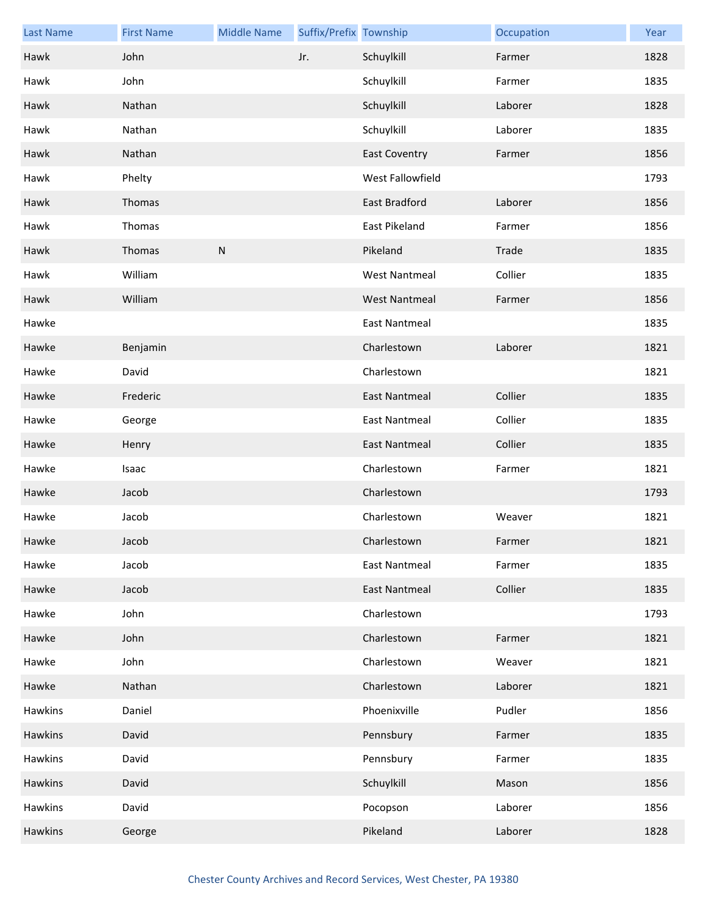| <b>Last Name</b> | <b>First Name</b> | <b>Middle Name</b> | Suffix/Prefix Township |                      | Occupation | Year |
|------------------|-------------------|--------------------|------------------------|----------------------|------------|------|
| Hawk             | John              |                    | Jr.                    | Schuylkill           | Farmer     | 1828 |
| Hawk             | John              |                    |                        | Schuylkill           | Farmer     | 1835 |
| Hawk             | Nathan            |                    |                        | Schuylkill           | Laborer    | 1828 |
| Hawk             | Nathan            |                    |                        | Schuylkill           | Laborer    | 1835 |
| Hawk             | Nathan            |                    |                        | <b>East Coventry</b> | Farmer     | 1856 |
| Hawk             | Phelty            |                    |                        | West Fallowfield     |            | 1793 |
| Hawk             | Thomas            |                    |                        | East Bradford        | Laborer    | 1856 |
| Hawk             | Thomas            |                    |                        | East Pikeland        | Farmer     | 1856 |
| Hawk             | Thomas            | ${\sf N}$          |                        | Pikeland             | Trade      | 1835 |
| Hawk             | William           |                    |                        | <b>West Nantmeal</b> | Collier    | 1835 |
| Hawk             | William           |                    |                        | <b>West Nantmeal</b> | Farmer     | 1856 |
| Hawke            |                   |                    |                        | <b>East Nantmeal</b> |            | 1835 |
| Hawke            | Benjamin          |                    |                        | Charlestown          | Laborer    | 1821 |
| Hawke            | David             |                    |                        | Charlestown          |            | 1821 |
| Hawke            | Frederic          |                    |                        | <b>East Nantmeal</b> | Collier    | 1835 |
| Hawke            | George            |                    |                        | <b>East Nantmeal</b> | Collier    | 1835 |
| Hawke            | Henry             |                    |                        | East Nantmeal        | Collier    | 1835 |
| Hawke            | Isaac             |                    |                        | Charlestown          | Farmer     | 1821 |
| Hawke            | Jacob             |                    |                        | Charlestown          |            | 1793 |
| Hawke            | Jacob             |                    |                        | Charlestown          | Weaver     | 1821 |
| Hawke            | Jacob             |                    |                        | Charlestown          | Farmer     | 1821 |
| Hawke            | Jacob             |                    |                        | <b>East Nantmeal</b> | Farmer     | 1835 |
| Hawke            | Jacob             |                    |                        | <b>East Nantmeal</b> | Collier    | 1835 |
| Hawke            | John              |                    |                        | Charlestown          |            | 1793 |
| Hawke            | John              |                    |                        | Charlestown          | Farmer     | 1821 |
| Hawke            | John              |                    |                        | Charlestown          | Weaver     | 1821 |
| Hawke            | Nathan            |                    |                        | Charlestown          | Laborer    | 1821 |
| Hawkins          | Daniel            |                    |                        | Phoenixville         | Pudler     | 1856 |
| Hawkins          | David             |                    |                        | Pennsbury            | Farmer     | 1835 |
| Hawkins          | David             |                    |                        | Pennsbury            | Farmer     | 1835 |
| Hawkins          | David             |                    |                        | Schuylkill           | Mason      | 1856 |
| Hawkins          | David             |                    |                        | Pocopson             | Laborer    | 1856 |
| <b>Hawkins</b>   | George            |                    |                        | Pikeland             | Laborer    | 1828 |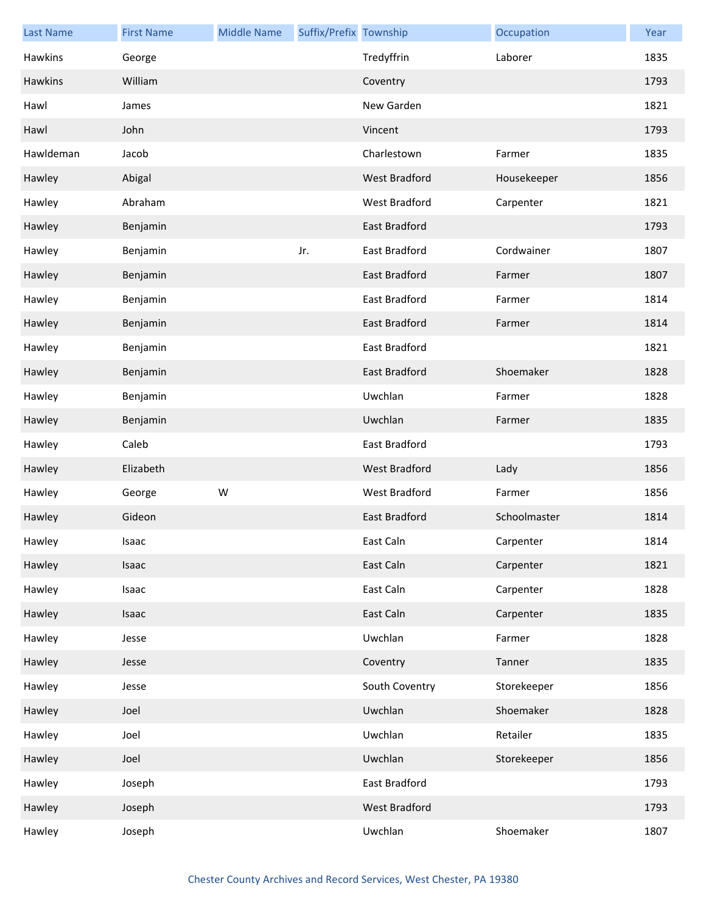| <b>Last Name</b> | <b>First Name</b> | <b>Middle Name</b> | Suffix/Prefix Township |                      | Occupation   | Year |
|------------------|-------------------|--------------------|------------------------|----------------------|--------------|------|
| Hawkins          | George            |                    |                        | Tredyffrin           | Laborer      | 1835 |
| Hawkins          | William           |                    |                        | Coventry             |              | 1793 |
| Hawl             | James             |                    |                        | New Garden           |              | 1821 |
| Hawl             | John              |                    |                        | Vincent              |              | 1793 |
| Hawldeman        | Jacob             |                    |                        | Charlestown          | Farmer       | 1835 |
| Hawley           | Abigal            |                    |                        | West Bradford        | Housekeeper  | 1856 |
| Hawley           | Abraham           |                    |                        | West Bradford        | Carpenter    | 1821 |
| Hawley           | Benjamin          |                    |                        | East Bradford        |              | 1793 |
| Hawley           | Benjamin          |                    | Jr.                    | East Bradford        | Cordwainer   | 1807 |
| Hawley           | Benjamin          |                    |                        | East Bradford        | Farmer       | 1807 |
| Hawley           | Benjamin          |                    |                        | East Bradford        | Farmer       | 1814 |
| Hawley           | Benjamin          |                    |                        | <b>East Bradford</b> | Farmer       | 1814 |
| Hawley           | Benjamin          |                    |                        | East Bradford        |              | 1821 |
| Hawley           | Benjamin          |                    |                        | East Bradford        | Shoemaker    | 1828 |
| Hawley           | Benjamin          |                    |                        | Uwchlan              | Farmer       | 1828 |
| Hawley           | Benjamin          |                    |                        | Uwchlan              | Farmer       | 1835 |
| Hawley           | Caleb             |                    |                        | East Bradford        |              | 1793 |
| Hawley           | Elizabeth         |                    |                        | <b>West Bradford</b> | Lady         | 1856 |
| Hawley           | George            | W                  |                        | West Bradford        | Farmer       | 1856 |
| Hawley           | Gideon            |                    |                        | East Bradford        | Schoolmaster | 1814 |
| Hawley           | Isaac             |                    |                        | East Caln            | Carpenter    | 1814 |
| Hawley           | Isaac             |                    |                        | East Caln            | Carpenter    | 1821 |
| Hawley           | Isaac             |                    |                        | East Caln            | Carpenter    | 1828 |
| Hawley           | Isaac             |                    |                        | East Caln            | Carpenter    | 1835 |
| Hawley           | Jesse             |                    |                        | Uwchlan              | Farmer       | 1828 |
| Hawley           | Jesse             |                    |                        | Coventry             | Tanner       | 1835 |
| Hawley           | Jesse             |                    |                        | South Coventry       | Storekeeper  | 1856 |
| Hawley           | Joel              |                    |                        | Uwchlan              | Shoemaker    | 1828 |
| Hawley           | Joel              |                    |                        | Uwchlan              | Retailer     | 1835 |
| Hawley           | Joel              |                    |                        | Uwchlan              | Storekeeper  | 1856 |
| Hawley           | Joseph            |                    |                        | East Bradford        |              | 1793 |
| Hawley           | Joseph            |                    |                        | West Bradford        |              | 1793 |
| Hawley           | Joseph            |                    |                        | Uwchlan              | Shoemaker    | 1807 |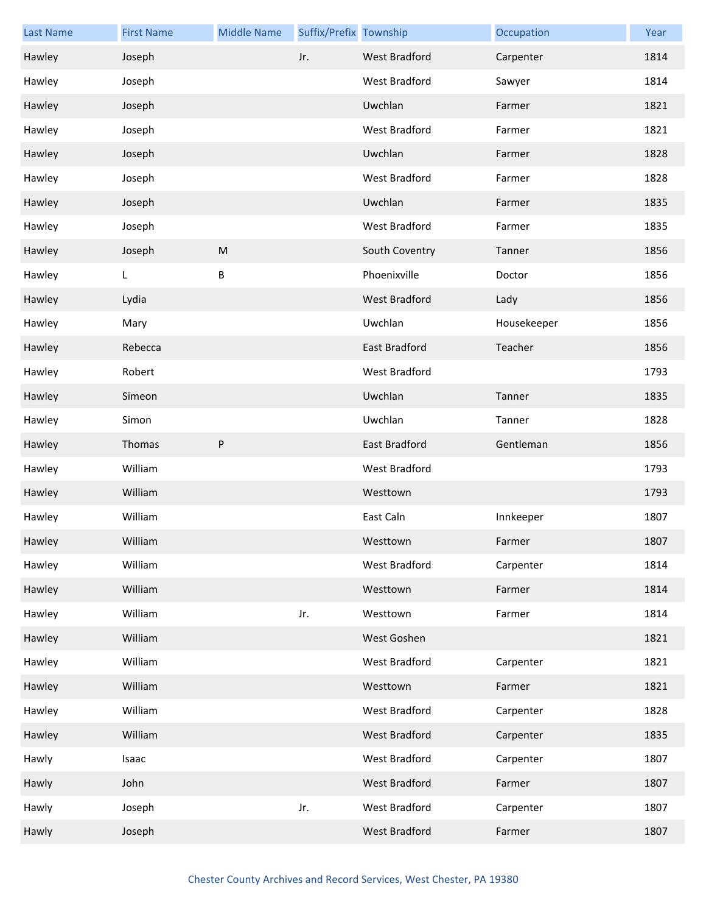| <b>Last Name</b> | <b>First Name</b> | <b>Middle Name</b> | Suffix/Prefix Township |                      | Occupation  | Year |
|------------------|-------------------|--------------------|------------------------|----------------------|-------------|------|
| Hawley           | Joseph            |                    | Jr.                    | West Bradford        | Carpenter   | 1814 |
| Hawley           | Joseph            |                    |                        | West Bradford        | Sawyer      | 1814 |
| Hawley           | Joseph            |                    |                        | Uwchlan              | Farmer      | 1821 |
| Hawley           | Joseph            |                    |                        | West Bradford        | Farmer      | 1821 |
| Hawley           | Joseph            |                    |                        | Uwchlan              | Farmer      | 1828 |
| Hawley           | Joseph            |                    |                        | West Bradford        | Farmer      | 1828 |
| Hawley           | Joseph            |                    |                        | Uwchlan              | Farmer      | 1835 |
| Hawley           | Joseph            |                    |                        | West Bradford        | Farmer      | 1835 |
| Hawley           | Joseph            | ${\sf M}$          |                        | South Coventry       | Tanner      | 1856 |
| Hawley           | L                 | B                  |                        | Phoenixville         | Doctor      | 1856 |
| Hawley           | Lydia             |                    |                        | West Bradford        | Lady        | 1856 |
| Hawley           | Mary              |                    |                        | Uwchlan              | Housekeeper | 1856 |
| Hawley           | Rebecca           |                    |                        | <b>East Bradford</b> | Teacher     | 1856 |
| Hawley           | Robert            |                    |                        | West Bradford        |             | 1793 |
| Hawley           | Simeon            |                    |                        | Uwchlan              | Tanner      | 1835 |
| Hawley           | Simon             |                    |                        | Uwchlan              | Tanner      | 1828 |
| Hawley           | Thomas            | P                  |                        | East Bradford        | Gentleman   | 1856 |
| Hawley           | William           |                    |                        | West Bradford        |             | 1793 |
| Hawley           | William           |                    |                        | Westtown             |             | 1793 |
| Hawley           | William           |                    |                        | East Caln            | Innkeeper   | 1807 |
| Hawley           | William           |                    |                        | Westtown             | Farmer      | 1807 |
| Hawley           | William           |                    |                        | West Bradford        | Carpenter   | 1814 |
| Hawley           | William           |                    |                        | Westtown             | Farmer      | 1814 |
| Hawley           | William           |                    | Jr.                    | Westtown             | Farmer      | 1814 |
| Hawley           | William           |                    |                        | West Goshen          |             | 1821 |
| Hawley           | William           |                    |                        | West Bradford        | Carpenter   | 1821 |
| Hawley           | William           |                    |                        | Westtown             | Farmer      | 1821 |
| Hawley           | William           |                    |                        | West Bradford        | Carpenter   | 1828 |
| Hawley           | William           |                    |                        | West Bradford        | Carpenter   | 1835 |
| Hawly            | Isaac             |                    |                        | West Bradford        | Carpenter   | 1807 |
| Hawly            | John              |                    |                        | West Bradford        | Farmer      | 1807 |
| Hawly            | Joseph            |                    | Jr.                    | West Bradford        | Carpenter   | 1807 |
| Hawly            | Joseph            |                    |                        | West Bradford        | Farmer      | 1807 |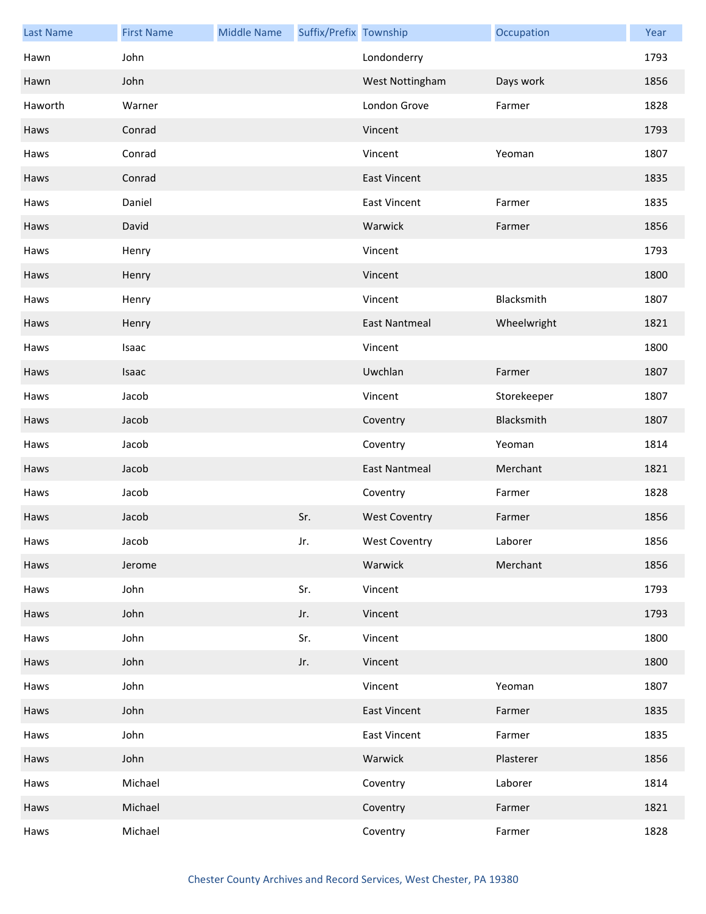| <b>Last Name</b> | <b>First Name</b> | <b>Middle Name</b> | Suffix/Prefix Township |                      | Occupation  | Year |
|------------------|-------------------|--------------------|------------------------|----------------------|-------------|------|
| Hawn             | John              |                    |                        | Londonderry          |             | 1793 |
| Hawn             | John              |                    |                        | West Nottingham      | Days work   | 1856 |
| Haworth          | Warner            |                    |                        | London Grove         | Farmer      | 1828 |
| Haws             | Conrad            |                    |                        | Vincent              |             | 1793 |
| Haws             | Conrad            |                    |                        | Vincent              | Yeoman      | 1807 |
| Haws             | Conrad            |                    |                        | <b>East Vincent</b>  |             | 1835 |
| Haws             | Daniel            |                    |                        | <b>East Vincent</b>  | Farmer      | 1835 |
| Haws             | David             |                    |                        | Warwick              | Farmer      | 1856 |
| Haws             | Henry             |                    |                        | Vincent              |             | 1793 |
| Haws             | Henry             |                    |                        | Vincent              |             | 1800 |
| Haws             | Henry             |                    |                        | Vincent              | Blacksmith  | 1807 |
| Haws             | Henry             |                    |                        | <b>East Nantmeal</b> | Wheelwright | 1821 |
| Haws             | Isaac             |                    |                        | Vincent              |             | 1800 |
| Haws             | Isaac             |                    |                        | Uwchlan              | Farmer      | 1807 |
| Haws             | Jacob             |                    |                        | Vincent              | Storekeeper | 1807 |
| Haws             | Jacob             |                    |                        | Coventry             | Blacksmith  | 1807 |
| Haws             | Jacob             |                    |                        | Coventry             | Yeoman      | 1814 |
| Haws             | Jacob             |                    |                        | <b>East Nantmeal</b> | Merchant    | 1821 |
| Haws             | Jacob             |                    |                        | Coventry             | Farmer      | 1828 |
| Haws             | Jacob             |                    | Sr.                    | <b>West Coventry</b> | Farmer      | 1856 |
| Haws             | Jacob             |                    | Jr.                    | West Coventry        | Laborer     | 1856 |
| Haws             | Jerome            |                    |                        | Warwick              | Merchant    | 1856 |
| Haws             | John              |                    | Sr.                    | Vincent              |             | 1793 |
| Haws             | John              |                    | Jr.                    | Vincent              |             | 1793 |
| Haws             | John              |                    | Sr.                    | Vincent              |             | 1800 |
| Haws             | John              |                    | Jr.                    | Vincent              |             | 1800 |
| Haws             | John              |                    |                        | Vincent              | Yeoman      | 1807 |
| Haws             | John              |                    |                        | <b>East Vincent</b>  | Farmer      | 1835 |
| Haws             | John              |                    |                        | <b>East Vincent</b>  | Farmer      | 1835 |
| Haws             | John              |                    |                        | Warwick              | Plasterer   | 1856 |
| Haws             | Michael           |                    |                        | Coventry             | Laborer     | 1814 |
| Haws             | Michael           |                    |                        | Coventry             | Farmer      | 1821 |
| Haws             | Michael           |                    |                        | Coventry             | Farmer      | 1828 |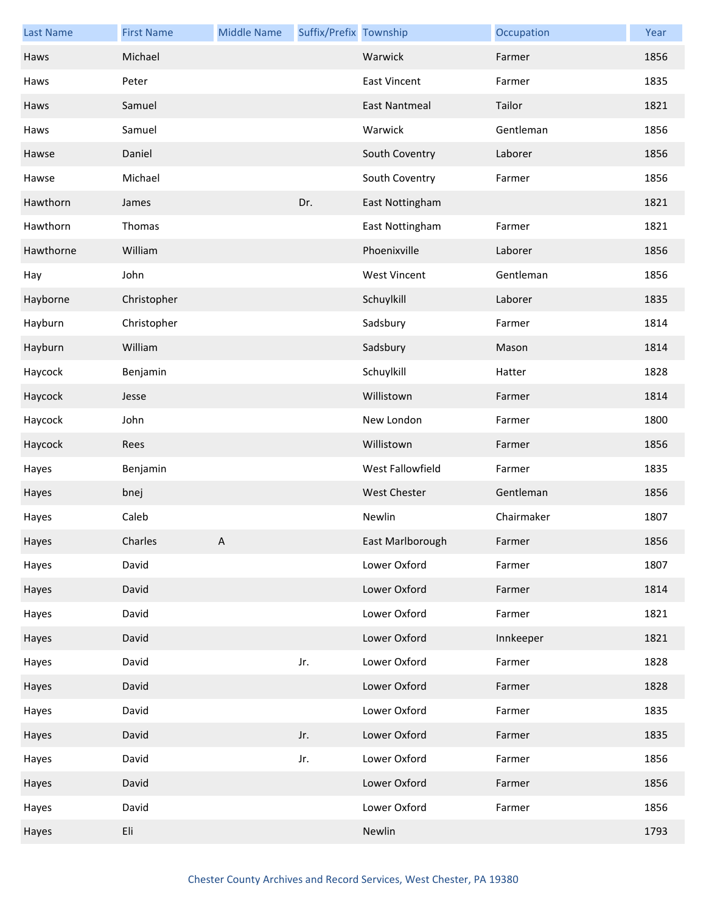| <b>Last Name</b> | <b>First Name</b> | <b>Middle Name</b> | Suffix/Prefix Township |                      | Occupation | Year |
|------------------|-------------------|--------------------|------------------------|----------------------|------------|------|
| Haws             | Michael           |                    |                        | Warwick              | Farmer     | 1856 |
| Haws             | Peter             |                    |                        | <b>East Vincent</b>  | Farmer     | 1835 |
| Haws             | Samuel            |                    |                        | <b>East Nantmeal</b> | Tailor     | 1821 |
| Haws             | Samuel            |                    |                        | Warwick              | Gentleman  | 1856 |
| Hawse            | Daniel            |                    |                        | South Coventry       | Laborer    | 1856 |
| Hawse            | Michael           |                    |                        | South Coventry       | Farmer     | 1856 |
| Hawthorn         | James             |                    | Dr.                    | East Nottingham      |            | 1821 |
| Hawthorn         | Thomas            |                    |                        | East Nottingham      | Farmer     | 1821 |
| Hawthorne        | William           |                    |                        | Phoenixville         | Laborer    | 1856 |
| Hay              | John              |                    |                        | <b>West Vincent</b>  | Gentleman  | 1856 |
| Hayborne         | Christopher       |                    |                        | Schuylkill           | Laborer    | 1835 |
| Hayburn          | Christopher       |                    |                        | Sadsbury             | Farmer     | 1814 |
| Hayburn          | William           |                    |                        | Sadsbury             | Mason      | 1814 |
| Haycock          | Benjamin          |                    |                        | Schuylkill           | Hatter     | 1828 |
| Haycock          | Jesse             |                    |                        | Willistown           | Farmer     | 1814 |
| Haycock          | John              |                    |                        | New London           | Farmer     | 1800 |
| Haycock          | Rees              |                    |                        | Willistown           | Farmer     | 1856 |
| Hayes            | Benjamin          |                    |                        | West Fallowfield     | Farmer     | 1835 |
| Hayes            | bnej              |                    |                        | <b>West Chester</b>  | Gentleman  | 1856 |
| Hayes            | Caleb             |                    |                        | Newlin               | Chairmaker | 1807 |
| Hayes            | Charles           | A                  |                        | East Marlborough     | Farmer     | 1856 |
| Hayes            | David             |                    |                        | Lower Oxford         | Farmer     | 1807 |
| Hayes            | David             |                    |                        | Lower Oxford         | Farmer     | 1814 |
| Hayes            | David             |                    |                        | Lower Oxford         | Farmer     | 1821 |
| Hayes            | David             |                    |                        | Lower Oxford         | Innkeeper  | 1821 |
| Hayes            | David             |                    | Jr.                    | Lower Oxford         | Farmer     | 1828 |
| Hayes            | David             |                    |                        | Lower Oxford         | Farmer     | 1828 |
| Hayes            | David             |                    |                        | Lower Oxford         | Farmer     | 1835 |
| Hayes            | David             |                    | Jr.                    | Lower Oxford         | Farmer     | 1835 |
| Hayes            | David             |                    | Jr.                    | Lower Oxford         | Farmer     | 1856 |
| Hayes            | David             |                    |                        | Lower Oxford         | Farmer     | 1856 |
| Hayes            | David             |                    |                        | Lower Oxford         | Farmer     | 1856 |
| Hayes            | Eli               |                    |                        | Newlin               |            | 1793 |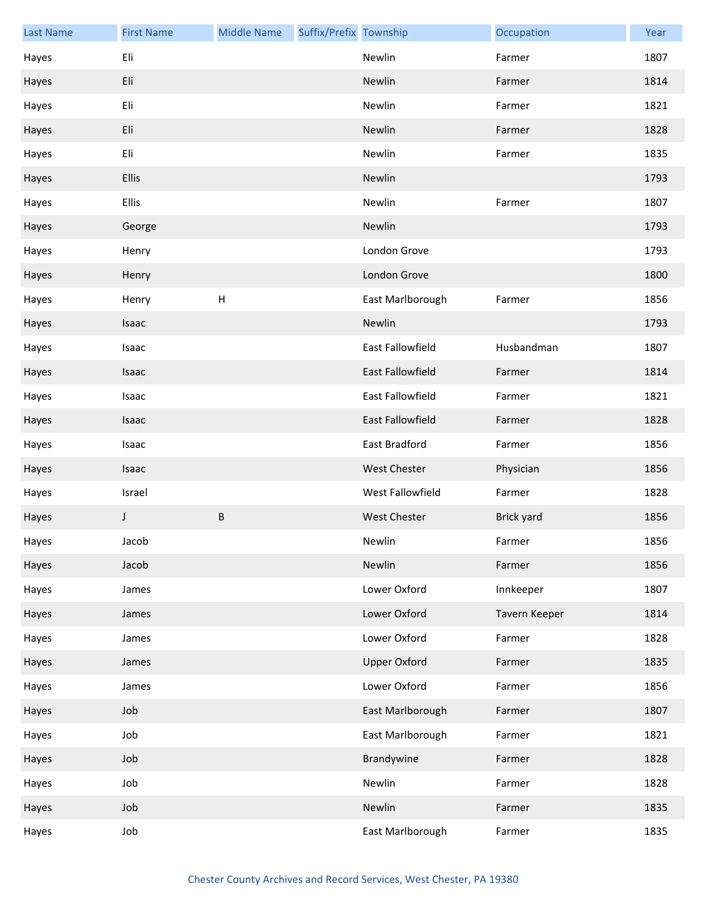| <b>Last Name</b> | <b>First Name</b> | <b>Middle Name</b> | Suffix/Prefix Township |                     | Occupation    | Year |
|------------------|-------------------|--------------------|------------------------|---------------------|---------------|------|
| Hayes            | Eli               |                    |                        | Newlin              | Farmer        | 1807 |
| Hayes            | Eli               |                    |                        | Newlin              | Farmer        | 1814 |
| Hayes            | Eli               |                    |                        | Newlin              | Farmer        | 1821 |
| Hayes            | Eli               |                    |                        | Newlin              | Farmer        | 1828 |
| Hayes            | Eli               |                    |                        | Newlin              | Farmer        | 1835 |
| Hayes            | Ellis             |                    |                        | Newlin              |               | 1793 |
| Hayes            | Ellis             |                    |                        | Newlin              | Farmer        | 1807 |
| Hayes            | George            |                    |                        | Newlin              |               | 1793 |
| Hayes            | Henry             |                    |                        | London Grove        |               | 1793 |
| Hayes            | Henry             |                    |                        | London Grove        |               | 1800 |
| Hayes            | Henry             | H                  |                        | East Marlborough    | Farmer        | 1856 |
| Hayes            | Isaac             |                    |                        | Newlin              |               | 1793 |
| Hayes            | Isaac             |                    |                        | East Fallowfield    | Husbandman    | 1807 |
| Hayes            | Isaac             |                    |                        | East Fallowfield    | Farmer        | 1814 |
| Hayes            | Isaac             |                    |                        | East Fallowfield    | Farmer        | 1821 |
| Hayes            | Isaac             |                    |                        | East Fallowfield    | Farmer        | 1828 |
| Hayes            | Isaac             |                    |                        | East Bradford       | Farmer        | 1856 |
| Hayes            | Isaac             |                    |                        | <b>West Chester</b> | Physician     | 1856 |
| Hayes            | Israel            |                    |                        | West Fallowfield    | Farmer        | 1828 |
| Hayes            | J                 | $\sf B$            |                        | <b>West Chester</b> | Brick yard    | 1856 |
| Hayes            | Jacob             |                    |                        | Newlin              | Farmer        | 1856 |
| Hayes            | Jacob             |                    |                        | Newlin              | Farmer        | 1856 |
| Hayes            | James             |                    |                        | Lower Oxford        | Innkeeper     | 1807 |
| Hayes            | James             |                    |                        | Lower Oxford        | Tavern Keeper | 1814 |
| Hayes            | James             |                    |                        | Lower Oxford        | Farmer        | 1828 |
| Hayes            | James             |                    |                        | <b>Upper Oxford</b> | Farmer        | 1835 |
| Hayes            | James             |                    |                        | Lower Oxford        | Farmer        | 1856 |
| Hayes            | Job               |                    |                        | East Marlborough    | Farmer        | 1807 |
| Hayes            | Job               |                    |                        | East Marlborough    | Farmer        | 1821 |
| Hayes            | Job               |                    |                        | Brandywine          | Farmer        | 1828 |
| Hayes            | Job               |                    |                        | Newlin              | Farmer        | 1828 |
| Hayes            | Job               |                    |                        | Newlin              | Farmer        | 1835 |
| Hayes            | Job               |                    |                        | East Marlborough    | Farmer        | 1835 |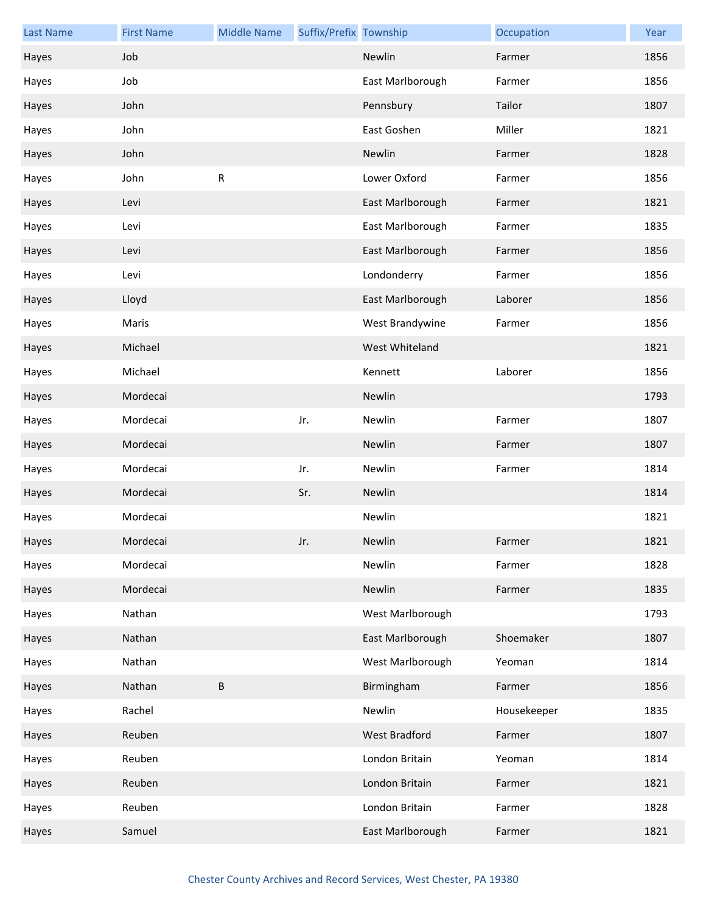| <b>Last Name</b> | <b>First Name</b> | <b>Middle Name</b> | Suffix/Prefix Township |                  | Occupation  | Year |
|------------------|-------------------|--------------------|------------------------|------------------|-------------|------|
| Hayes            | Job               |                    |                        | Newlin           | Farmer      | 1856 |
| Hayes            | Job               |                    |                        | East Marlborough | Farmer      | 1856 |
| Hayes            | John              |                    |                        | Pennsbury        | Tailor      | 1807 |
| Hayes            | John              |                    |                        | East Goshen      | Miller      | 1821 |
| Hayes            | John              |                    |                        | Newlin           | Farmer      | 1828 |
| Hayes            | John              | ${\sf R}$          |                        | Lower Oxford     | Farmer      | 1856 |
| Hayes            | Levi              |                    |                        | East Marlborough | Farmer      | 1821 |
| Hayes            | Levi              |                    |                        | East Marlborough | Farmer      | 1835 |
| Hayes            | Levi              |                    |                        | East Marlborough | Farmer      | 1856 |
| Hayes            | Levi              |                    |                        | Londonderry      | Farmer      | 1856 |
| Hayes            | Lloyd             |                    |                        | East Marlborough | Laborer     | 1856 |
| Hayes            | Maris             |                    |                        | West Brandywine  | Farmer      | 1856 |
| Hayes            | Michael           |                    |                        | West Whiteland   |             | 1821 |
| Hayes            | Michael           |                    |                        | Kennett          | Laborer     | 1856 |
| Hayes            | Mordecai          |                    |                        | Newlin           |             | 1793 |
| Hayes            | Mordecai          |                    | Jr.                    | Newlin           | Farmer      | 1807 |
| Hayes            | Mordecai          |                    |                        | Newlin           | Farmer      | 1807 |
| Hayes            | Mordecai          |                    | Jr.                    | Newlin           | Farmer      | 1814 |
| Hayes            | Mordecai          |                    | Sr.                    | Newlin           |             | 1814 |
| Hayes            | Mordecai          |                    |                        | Newlin           |             | 1821 |
| Hayes            | Mordecai          |                    | Jr.                    | Newlin           | Farmer      | 1821 |
| Hayes            | Mordecai          |                    |                        | Newlin           | Farmer      | 1828 |
| Hayes            | Mordecai          |                    |                        | Newlin           | Farmer      | 1835 |
| Hayes            | Nathan            |                    |                        | West Marlborough |             | 1793 |
| Hayes            | Nathan            |                    |                        | East Marlborough | Shoemaker   | 1807 |
| Hayes            | Nathan            |                    |                        | West Marlborough | Yeoman      | 1814 |
| Hayes            | Nathan            | $\sf B$            |                        | Birmingham       | Farmer      | 1856 |
| Hayes            | Rachel            |                    |                        | Newlin           | Housekeeper | 1835 |
| Hayes            | Reuben            |                    |                        | West Bradford    | Farmer      | 1807 |
| Hayes            | Reuben            |                    |                        | London Britain   | Yeoman      | 1814 |
| Hayes            | Reuben            |                    |                        | London Britain   | Farmer      | 1821 |
| Hayes            | Reuben            |                    |                        | London Britain   | Farmer      | 1828 |
| Hayes            | Samuel            |                    |                        | East Marlborough | Farmer      | 1821 |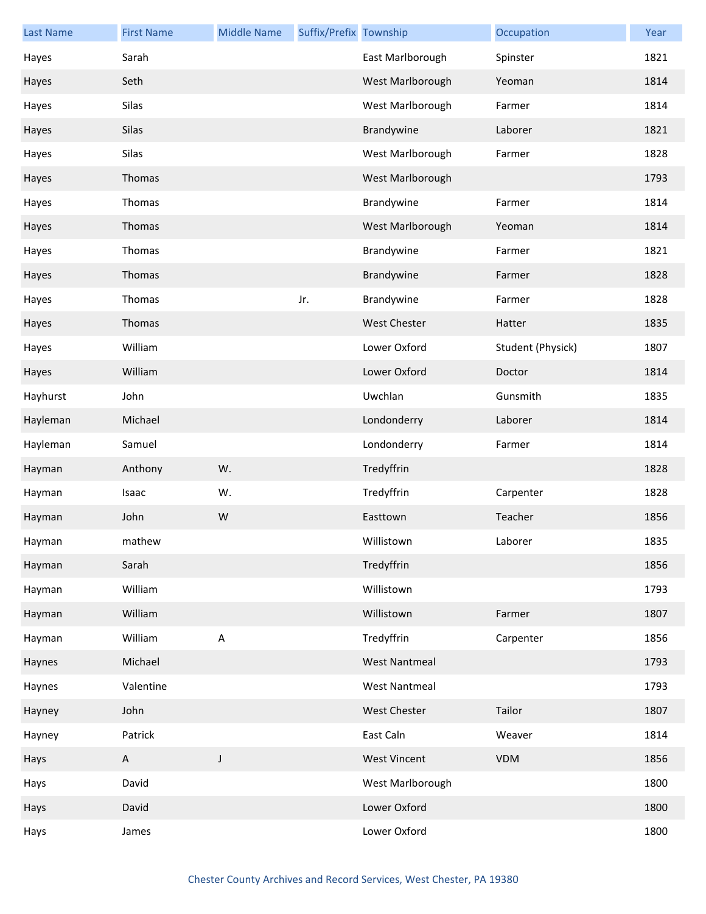| <b>Last Name</b> | <b>First Name</b> | <b>Middle Name</b> | Suffix/Prefix Township |                      | Occupation        | Year |
|------------------|-------------------|--------------------|------------------------|----------------------|-------------------|------|
| Hayes            | Sarah             |                    |                        | East Marlborough     | Spinster          | 1821 |
| Hayes            | Seth              |                    |                        | West Marlborough     | Yeoman            | 1814 |
| Hayes            | Silas             |                    |                        | West Marlborough     | Farmer            | 1814 |
| Hayes            | Silas             |                    |                        | Brandywine           | Laborer           | 1821 |
| Hayes            | Silas             |                    |                        | West Marlborough     | Farmer            | 1828 |
| Hayes            | Thomas            |                    |                        | West Marlborough     |                   | 1793 |
| Hayes            | Thomas            |                    |                        | Brandywine           | Farmer            | 1814 |
| Hayes            | Thomas            |                    |                        | West Marlborough     | Yeoman            | 1814 |
| Hayes            | Thomas            |                    |                        | Brandywine           | Farmer            | 1821 |
| Hayes            | Thomas            |                    |                        | Brandywine           | Farmer            | 1828 |
| Hayes            | Thomas            |                    | Jr.                    | Brandywine           | Farmer            | 1828 |
| Hayes            | Thomas            |                    |                        | <b>West Chester</b>  | Hatter            | 1835 |
| Hayes            | William           |                    |                        | Lower Oxford         | Student (Physick) | 1807 |
| Hayes            | William           |                    |                        | Lower Oxford         | Doctor            | 1814 |
| Hayhurst         | John              |                    |                        | Uwchlan              | Gunsmith          | 1835 |
| Hayleman         | Michael           |                    |                        | Londonderry          | Laborer           | 1814 |
| Hayleman         | Samuel            |                    |                        | Londonderry          | Farmer            | 1814 |
| Hayman           | Anthony           | W.                 |                        | Tredyffrin           |                   | 1828 |
| Hayman           | Isaac             | W.                 |                        | Tredyffrin           | Carpenter         | 1828 |
| Hayman           | John              | W                  |                        | Easttown             | Teacher           | 1856 |
| Hayman           | mathew            |                    |                        | Willistown           | Laborer           | 1835 |
| Hayman           | Sarah             |                    |                        | Tredyffrin           |                   | 1856 |
| Hayman           | William           |                    |                        | Willistown           |                   | 1793 |
| Hayman           | William           |                    |                        | Willistown           | Farmer            | 1807 |
| Hayman           | William           | $\sf A$            |                        | Tredyffrin           | Carpenter         | 1856 |
| Haynes           | Michael           |                    |                        | <b>West Nantmeal</b> |                   | 1793 |
| Haynes           | Valentine         |                    |                        | <b>West Nantmeal</b> |                   | 1793 |
| Hayney           | John              |                    |                        | <b>West Chester</b>  | Tailor            | 1807 |
| Hayney           | Patrick           |                    |                        | East Caln            | Weaver            | 1814 |
| Hays             | A                 | J                  |                        | <b>West Vincent</b>  | VDM               | 1856 |
| Hays             | David             |                    |                        | West Marlborough     |                   | 1800 |
| Hays             | David             |                    |                        | Lower Oxford         |                   | 1800 |
| Hays             | James             |                    |                        | Lower Oxford         |                   | 1800 |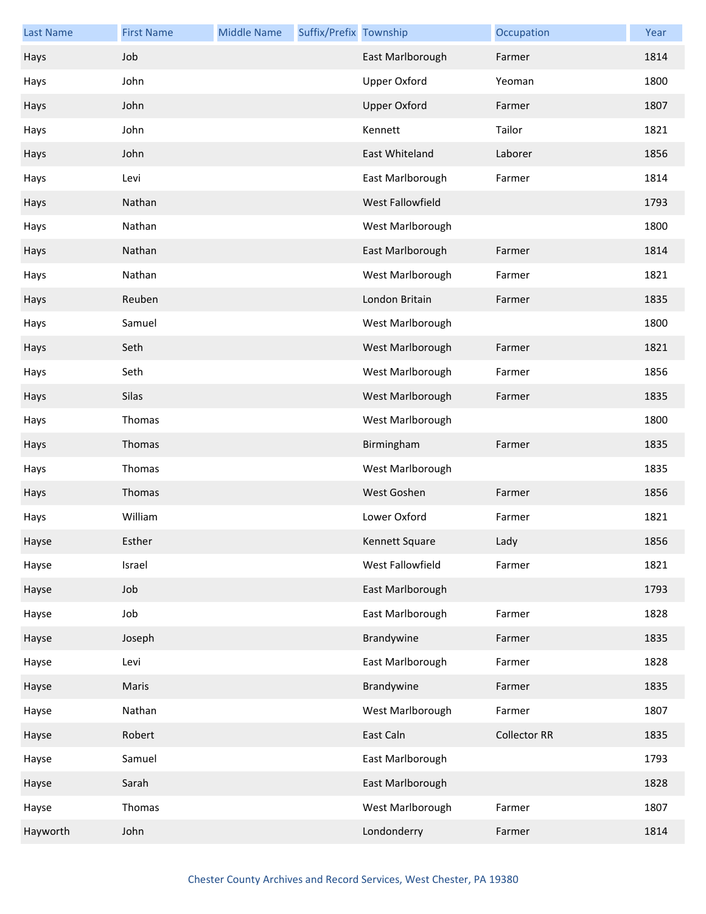| <b>Last Name</b> | <b>First Name</b> | <b>Middle Name</b> | Suffix/Prefix Township |                     | Occupation          | Year |
|------------------|-------------------|--------------------|------------------------|---------------------|---------------------|------|
| Hays             | Job               |                    |                        | East Marlborough    | Farmer              | 1814 |
| Hays             | John              |                    |                        | <b>Upper Oxford</b> | Yeoman              | 1800 |
| Hays             | John              |                    |                        | <b>Upper Oxford</b> | Farmer              | 1807 |
| Hays             | John              |                    |                        | Kennett             | Tailor              | 1821 |
| Hays             | John              |                    |                        | East Whiteland      | Laborer             | 1856 |
| Hays             | Levi              |                    |                        | East Marlborough    | Farmer              | 1814 |
| Hays             | Nathan            |                    |                        | West Fallowfield    |                     | 1793 |
| Hays             | Nathan            |                    |                        | West Marlborough    |                     | 1800 |
| Hays             | Nathan            |                    |                        | East Marlborough    | Farmer              | 1814 |
| Hays             | Nathan            |                    |                        | West Marlborough    | Farmer              | 1821 |
| Hays             | Reuben            |                    |                        | London Britain      | Farmer              | 1835 |
| Hays             | Samuel            |                    |                        | West Marlborough    |                     | 1800 |
| Hays             | Seth              |                    |                        | West Marlborough    | Farmer              | 1821 |
| Hays             | Seth              |                    |                        | West Marlborough    | Farmer              | 1856 |
| Hays             | Silas             |                    |                        | West Marlborough    | Farmer              | 1835 |
| Hays             | Thomas            |                    |                        | West Marlborough    |                     | 1800 |
| Hays             | Thomas            |                    |                        | Birmingham          | Farmer              | 1835 |
| Hays             | Thomas            |                    |                        | West Marlborough    |                     | 1835 |
| Hays             | Thomas            |                    |                        | West Goshen         | Farmer              | 1856 |
| Hays             | William           |                    |                        | Lower Oxford        | Farmer              | 1821 |
| Hayse            | Esther            |                    |                        | Kennett Square      | Lady                | 1856 |
| Hayse            | Israel            |                    |                        | West Fallowfield    | Farmer              | 1821 |
| Hayse            | Job               |                    |                        | East Marlborough    |                     | 1793 |
| Hayse            | Job               |                    |                        | East Marlborough    | Farmer              | 1828 |
| Hayse            | Joseph            |                    |                        | Brandywine          | Farmer              | 1835 |
| Hayse            | Levi              |                    |                        | East Marlborough    | Farmer              | 1828 |
| Hayse            | Maris             |                    |                        | Brandywine          | Farmer              | 1835 |
| Hayse            | Nathan            |                    |                        | West Marlborough    | Farmer              | 1807 |
| Hayse            | Robert            |                    |                        | East Caln           | <b>Collector RR</b> | 1835 |
| Hayse            | Samuel            |                    |                        | East Marlborough    |                     | 1793 |
| Hayse            | Sarah             |                    |                        | East Marlborough    |                     | 1828 |
| Hayse            | Thomas            |                    |                        | West Marlborough    | Farmer              | 1807 |
| Hayworth         | John              |                    |                        | Londonderry         | Farmer              | 1814 |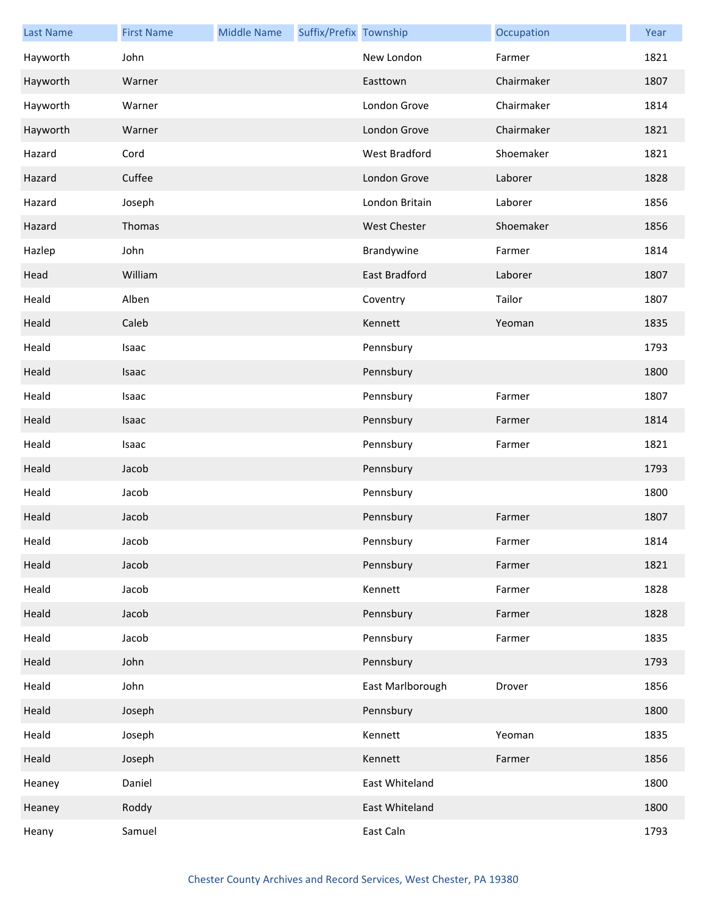| <b>Last Name</b> | <b>First Name</b> | <b>Middle Name</b> | Suffix/Prefix Township |                     | Occupation | Year |
|------------------|-------------------|--------------------|------------------------|---------------------|------------|------|
| Hayworth         | John              |                    |                        | New London          | Farmer     | 1821 |
| Hayworth         | Warner            |                    |                        | Easttown            | Chairmaker | 1807 |
| Hayworth         | Warner            |                    |                        | London Grove        | Chairmaker | 1814 |
| Hayworth         | Warner            |                    |                        | London Grove        | Chairmaker | 1821 |
| Hazard           | Cord              |                    |                        | West Bradford       | Shoemaker  | 1821 |
| Hazard           | Cuffee            |                    |                        | London Grove        | Laborer    | 1828 |
| Hazard           | Joseph            |                    |                        | London Britain      | Laborer    | 1856 |
| Hazard           | Thomas            |                    |                        | <b>West Chester</b> | Shoemaker  | 1856 |
| Hazlep           | John              |                    |                        | Brandywine          | Farmer     | 1814 |
| Head             | William           |                    |                        | East Bradford       | Laborer    | 1807 |
| Heald            | Alben             |                    |                        | Coventry            | Tailor     | 1807 |
| Heald            | Caleb             |                    |                        | Kennett             | Yeoman     | 1835 |
| Heald            | Isaac             |                    |                        | Pennsbury           |            | 1793 |
| Heald            | Isaac             |                    |                        | Pennsbury           |            | 1800 |
| Heald            | Isaac             |                    |                        | Pennsbury           | Farmer     | 1807 |
| Heald            | Isaac             |                    |                        | Pennsbury           | Farmer     | 1814 |
| Heald            | Isaac             |                    |                        | Pennsbury           | Farmer     | 1821 |
| Heald            | Jacob             |                    |                        | Pennsbury           |            | 1793 |
| Heald            | Jacob             |                    |                        | Pennsbury           |            | 1800 |
| Heald            | Jacob             |                    |                        | Pennsbury           | Farmer     | 1807 |
| Heald            | Jacob             |                    |                        | Pennsbury           | Farmer     | 1814 |
| Heald            | Jacob             |                    |                        | Pennsbury           | Farmer     | 1821 |
| Heald            | Jacob             |                    |                        | Kennett             | Farmer     | 1828 |
| Heald            | Jacob             |                    |                        | Pennsbury           | Farmer     | 1828 |
| Heald            | Jacob             |                    |                        | Pennsbury           | Farmer     | 1835 |
| Heald            | John              |                    |                        | Pennsbury           |            | 1793 |
| Heald            | John              |                    |                        | East Marlborough    | Drover     | 1856 |
| Heald            | Joseph            |                    |                        | Pennsbury           |            | 1800 |
| Heald            | Joseph            |                    |                        | Kennett             | Yeoman     | 1835 |
| Heald            | Joseph            |                    |                        | Kennett             | Farmer     | 1856 |
| Heaney           | Daniel            |                    |                        | East Whiteland      |            | 1800 |
| Heaney           | Roddy             |                    |                        | East Whiteland      |            | 1800 |
| Heany            | Samuel            |                    |                        | East Caln           |            | 1793 |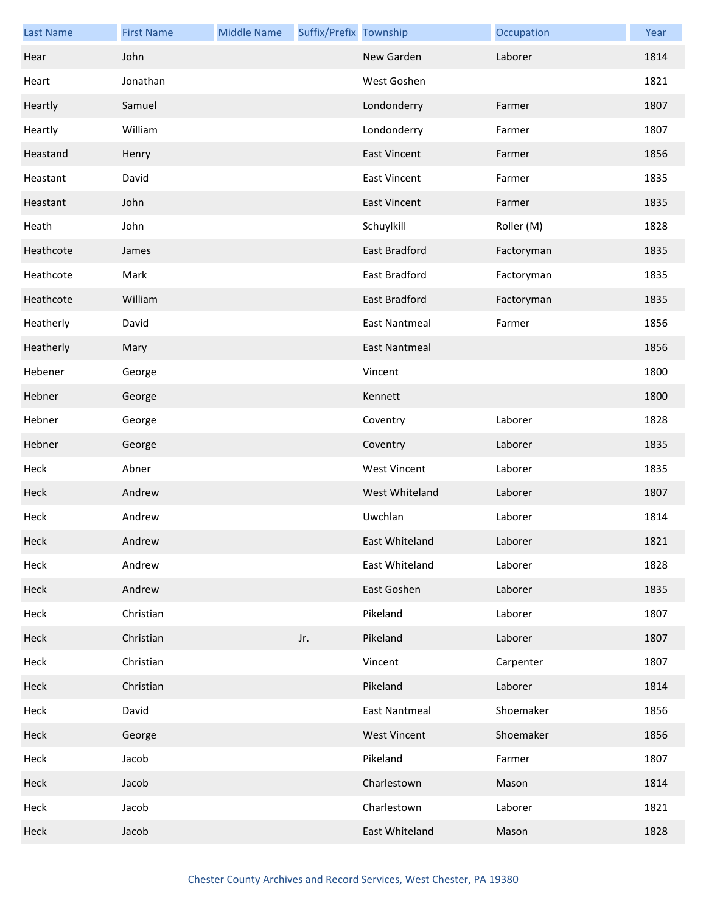| <b>Last Name</b> | <b>First Name</b> | <b>Middle Name</b> | Suffix/Prefix Township |                      | Occupation | Year |
|------------------|-------------------|--------------------|------------------------|----------------------|------------|------|
| Hear             | John              |                    |                        | New Garden           | Laborer    | 1814 |
| Heart            | Jonathan          |                    |                        | West Goshen          |            | 1821 |
| Heartly          | Samuel            |                    |                        | Londonderry          | Farmer     | 1807 |
| Heartly          | William           |                    |                        | Londonderry          | Farmer     | 1807 |
| Heastand         | Henry             |                    |                        | <b>East Vincent</b>  | Farmer     | 1856 |
| Heastant         | David             |                    |                        | <b>East Vincent</b>  | Farmer     | 1835 |
| Heastant         | John              |                    |                        | <b>East Vincent</b>  | Farmer     | 1835 |
| Heath            | John              |                    |                        | Schuylkill           | Roller (M) | 1828 |
| Heathcote        | James             |                    |                        | East Bradford        | Factoryman | 1835 |
| Heathcote        | Mark              |                    |                        | East Bradford        | Factoryman | 1835 |
| Heathcote        | William           |                    |                        | East Bradford        | Factoryman | 1835 |
| Heatherly        | David             |                    |                        | <b>East Nantmeal</b> | Farmer     | 1856 |
| Heatherly        | Mary              |                    |                        | <b>East Nantmeal</b> |            | 1856 |
| Hebener          | George            |                    |                        | Vincent              |            | 1800 |
| Hebner           | George            |                    |                        | Kennett              |            | 1800 |
| Hebner           | George            |                    |                        | Coventry             | Laborer    | 1828 |
| Hebner           | George            |                    |                        | Coventry             | Laborer    | 1835 |
| Heck             | Abner             |                    |                        | <b>West Vincent</b>  | Laborer    | 1835 |
| Heck             | Andrew            |                    |                        | West Whiteland       | Laborer    | 1807 |
| Heck             | Andrew            |                    |                        | Uwchlan              | Laborer    | 1814 |
| Heck             | Andrew            |                    |                        | East Whiteland       | Laborer    | 1821 |
| Heck             | Andrew            |                    |                        | East Whiteland       | Laborer    | 1828 |
| Heck             | Andrew            |                    |                        | East Goshen          | Laborer    | 1835 |
| Heck             | Christian         |                    |                        | Pikeland             | Laborer    | 1807 |
| Heck             | Christian         |                    | Jr.                    | Pikeland             | Laborer    | 1807 |
| Heck             | Christian         |                    |                        | Vincent              | Carpenter  | 1807 |
| Heck             | Christian         |                    |                        | Pikeland             | Laborer    | 1814 |
| Heck             | David             |                    |                        | <b>East Nantmeal</b> | Shoemaker  | 1856 |
| Heck             | George            |                    |                        | <b>West Vincent</b>  | Shoemaker  | 1856 |
| Heck             | Jacob             |                    |                        | Pikeland             | Farmer     | 1807 |
| Heck             | Jacob             |                    |                        | Charlestown          | Mason      | 1814 |
| Heck             | Jacob             |                    |                        | Charlestown          | Laborer    | 1821 |
| Heck             | Jacob             |                    |                        | East Whiteland       | Mason      | 1828 |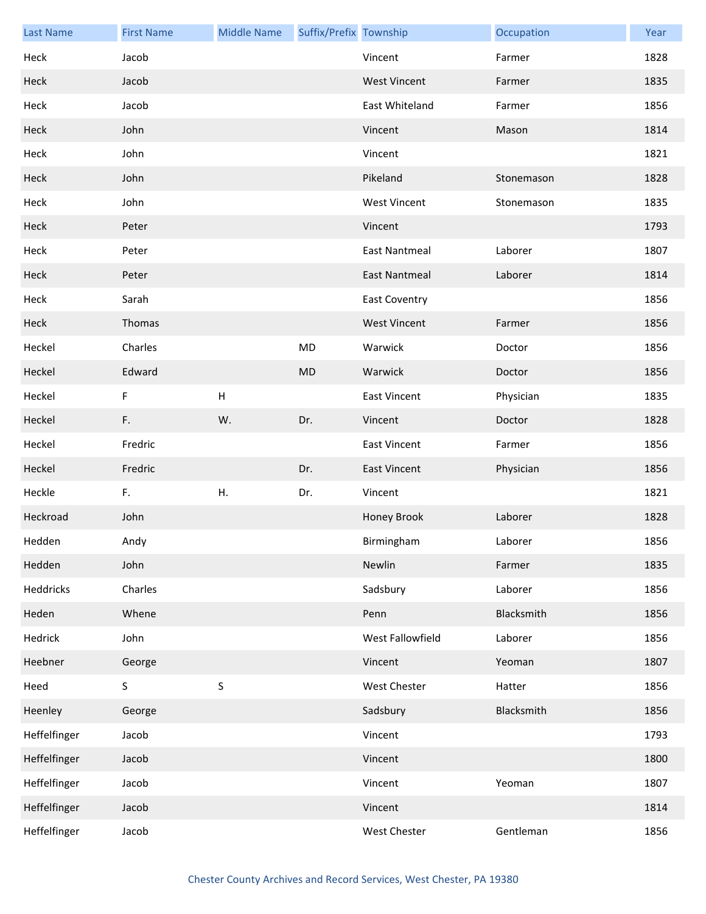| <b>Last Name</b> | <b>First Name</b> | <b>Middle Name</b> | Suffix/Prefix Township |                      | Occupation | Year |
|------------------|-------------------|--------------------|------------------------|----------------------|------------|------|
| Heck             | Jacob             |                    |                        | Vincent              | Farmer     | 1828 |
| Heck             | Jacob             |                    |                        | <b>West Vincent</b>  | Farmer     | 1835 |
| Heck             | Jacob             |                    |                        | East Whiteland       | Farmer     | 1856 |
| Heck             | John              |                    |                        | Vincent              | Mason      | 1814 |
| Heck             | John              |                    |                        | Vincent              |            | 1821 |
| Heck             | John              |                    |                        | Pikeland             | Stonemason | 1828 |
| Heck             | John              |                    |                        | <b>West Vincent</b>  | Stonemason | 1835 |
| Heck             | Peter             |                    |                        | Vincent              |            | 1793 |
| Heck             | Peter             |                    |                        | <b>East Nantmeal</b> | Laborer    | 1807 |
| Heck             | Peter             |                    |                        | <b>East Nantmeal</b> | Laborer    | 1814 |
| Heck             | Sarah             |                    |                        | <b>East Coventry</b> |            | 1856 |
| Heck             | Thomas            |                    |                        | <b>West Vincent</b>  | Farmer     | 1856 |
| Heckel           | Charles           |                    | MD                     | Warwick              | Doctor     | 1856 |
| Heckel           | Edward            |                    | <b>MD</b>              | Warwick              | Doctor     | 1856 |
| Heckel           | F                 | H                  |                        | <b>East Vincent</b>  | Physician  | 1835 |
| Heckel           | F.                | W.                 | Dr.                    | Vincent              | Doctor     | 1828 |
| Heckel           | Fredric           |                    |                        | <b>East Vincent</b>  | Farmer     | 1856 |
| Heckel           | Fredric           |                    | Dr.                    | <b>East Vincent</b>  | Physician  | 1856 |
| Heckle           | F.                | Η.                 | Dr.                    | Vincent              |            | 1821 |
| Heckroad         | John              |                    |                        | Honey Brook          | Laborer    | 1828 |
| Hedden           | Andy              |                    |                        | Birmingham           | Laborer    | 1856 |
| Hedden           | John              |                    |                        | Newlin               | Farmer     | 1835 |
| Heddricks        | Charles           |                    |                        | Sadsbury             | Laborer    | 1856 |
| Heden            | Whene             |                    |                        | Penn                 | Blacksmith | 1856 |
| Hedrick          | John              |                    |                        | West Fallowfield     | Laborer    | 1856 |
| Heebner          | George            |                    |                        | Vincent              | Yeoman     | 1807 |
| Heed             | S                 | $\mathsf S$        |                        | <b>West Chester</b>  | Hatter     | 1856 |
| Heenley          | George            |                    |                        | Sadsbury             | Blacksmith | 1856 |
| Heffelfinger     | Jacob             |                    |                        | Vincent              |            | 1793 |
| Heffelfinger     | Jacob             |                    |                        | Vincent              |            | 1800 |
| Heffelfinger     | Jacob             |                    |                        | Vincent              | Yeoman     | 1807 |
| Heffelfinger     | Jacob             |                    |                        | Vincent              |            | 1814 |
| Heffelfinger     | Jacob             |                    |                        | West Chester         | Gentleman  | 1856 |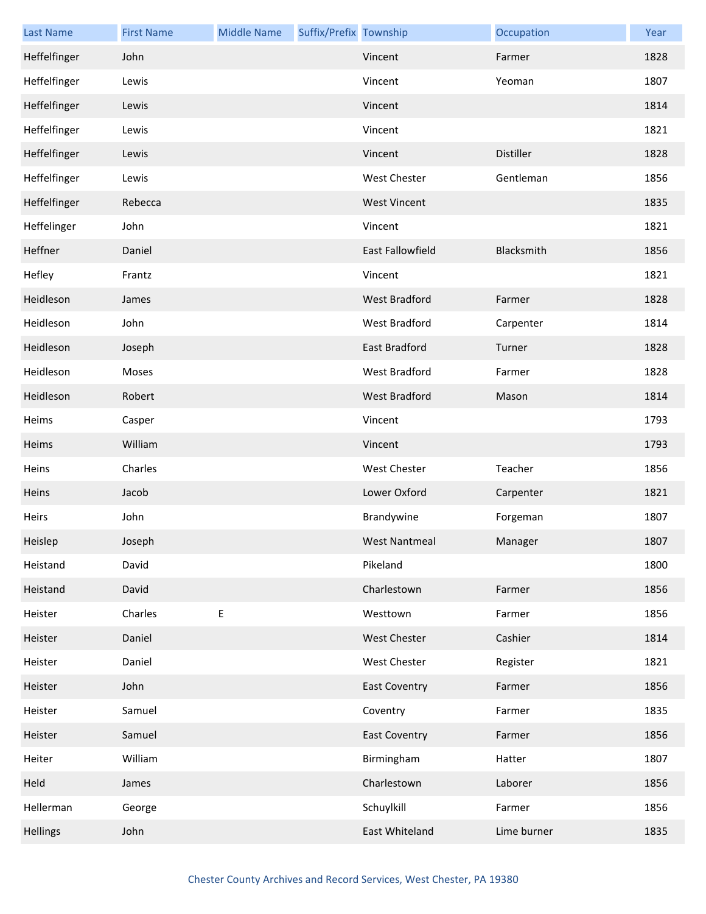| <b>Last Name</b> | <b>First Name</b> | <b>Middle Name</b> | Suffix/Prefix Township |                      | Occupation       | Year |
|------------------|-------------------|--------------------|------------------------|----------------------|------------------|------|
| Heffelfinger     | John              |                    |                        | Vincent              | Farmer           | 1828 |
| Heffelfinger     | Lewis             |                    |                        | Vincent              | Yeoman           | 1807 |
| Heffelfinger     | Lewis             |                    |                        | Vincent              |                  | 1814 |
| Heffelfinger     | Lewis             |                    |                        | Vincent              |                  | 1821 |
| Heffelfinger     | Lewis             |                    |                        | Vincent              | <b>Distiller</b> | 1828 |
| Heffelfinger     | Lewis             |                    |                        | <b>West Chester</b>  | Gentleman        | 1856 |
| Heffelfinger     | Rebecca           |                    |                        | <b>West Vincent</b>  |                  | 1835 |
| Heffelinger      | John              |                    |                        | Vincent              |                  | 1821 |
| Heffner          | Daniel            |                    |                        | East Fallowfield     | Blacksmith       | 1856 |
| Hefley           | Frantz            |                    |                        | Vincent              |                  | 1821 |
| Heidleson        | James             |                    |                        | <b>West Bradford</b> | Farmer           | 1828 |
| Heidleson        | John              |                    |                        | <b>West Bradford</b> | Carpenter        | 1814 |
| Heidleson        | Joseph            |                    |                        | East Bradford        | Turner           | 1828 |
| Heidleson        | Moses             |                    |                        | West Bradford        | Farmer           | 1828 |
| Heidleson        | Robert            |                    |                        | <b>West Bradford</b> | Mason            | 1814 |
| Heims            | Casper            |                    |                        | Vincent              |                  | 1793 |
| Heims            | William           |                    |                        | Vincent              |                  | 1793 |
| Heins            | Charles           |                    |                        | <b>West Chester</b>  | Teacher          | 1856 |
| Heins            | Jacob             |                    |                        | Lower Oxford         | Carpenter        | 1821 |
| Heirs            | John              |                    |                        | Brandywine           | Forgeman         | 1807 |
| Heislep          | Joseph            |                    |                        | <b>West Nantmeal</b> | Manager          | 1807 |
| Heistand         | David             |                    |                        | Pikeland             |                  | 1800 |
| Heistand         | David             |                    |                        | Charlestown          | Farmer           | 1856 |
| Heister          | Charles           | E                  |                        | Westtown             | Farmer           | 1856 |
| Heister          | Daniel            |                    |                        | <b>West Chester</b>  | Cashier          | 1814 |
| Heister          | Daniel            |                    |                        | <b>West Chester</b>  | Register         | 1821 |
| Heister          | John              |                    |                        | <b>East Coventry</b> | Farmer           | 1856 |
| Heister          | Samuel            |                    |                        | Coventry             | Farmer           | 1835 |
| Heister          | Samuel            |                    |                        | <b>East Coventry</b> | Farmer           | 1856 |
| Heiter           | William           |                    |                        | Birmingham           | Hatter           | 1807 |
| Held             | James             |                    |                        | Charlestown          | Laborer          | 1856 |
| Hellerman        | George            |                    |                        | Schuylkill           | Farmer           | 1856 |
| <b>Hellings</b>  | John              |                    |                        | East Whiteland       | Lime burner      | 1835 |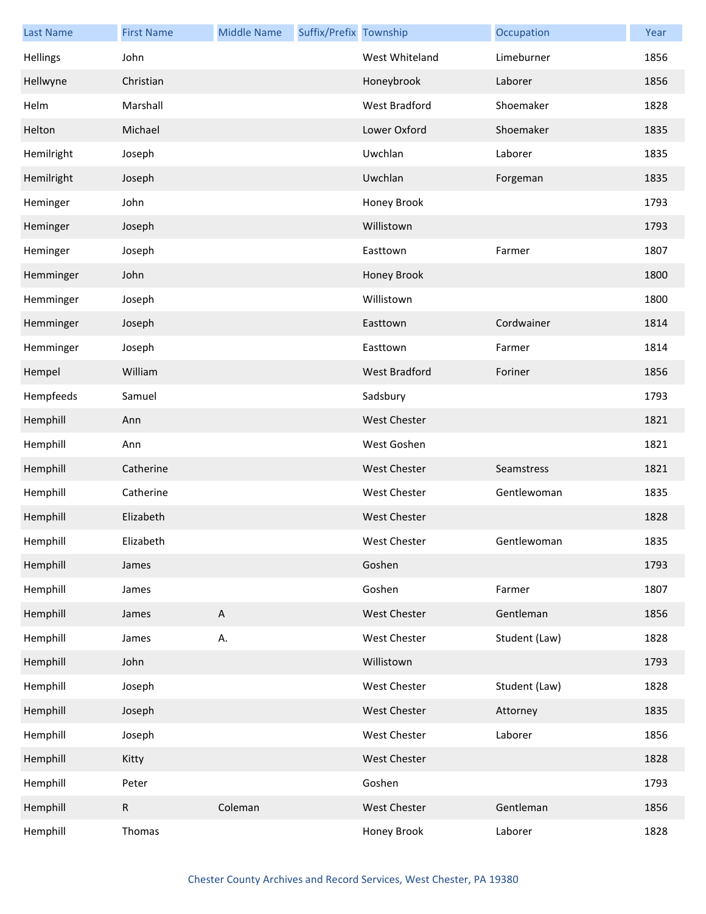| <b>Last Name</b> | <b>First Name</b> | <b>Middle Name</b> | Suffix/Prefix Township |                      | Occupation    | Year |
|------------------|-------------------|--------------------|------------------------|----------------------|---------------|------|
| Hellings         | John              |                    |                        | West Whiteland       | Limeburner    | 1856 |
| Hellwyne         | Christian         |                    |                        | Honeybrook           | Laborer       | 1856 |
| Helm             | Marshall          |                    |                        | <b>West Bradford</b> | Shoemaker     | 1828 |
| Helton           | Michael           |                    |                        | Lower Oxford         | Shoemaker     | 1835 |
| Hemilright       | Joseph            |                    |                        | Uwchlan              | Laborer       | 1835 |
| Hemilright       | Joseph            |                    |                        | Uwchlan              | Forgeman      | 1835 |
| Heminger         | John              |                    |                        | Honey Brook          |               | 1793 |
| Heminger         | Joseph            |                    |                        | Willistown           |               | 1793 |
| Heminger         | Joseph            |                    |                        | Easttown             | Farmer        | 1807 |
| Hemminger        | John              |                    |                        | Honey Brook          |               | 1800 |
| Hemminger        | Joseph            |                    |                        | Willistown           |               | 1800 |
| Hemminger        | Joseph            |                    |                        | Easttown             | Cordwainer    | 1814 |
| Hemminger        | Joseph            |                    |                        | Easttown             | Farmer        | 1814 |
| Hempel           | William           |                    |                        | West Bradford        | Foriner       | 1856 |
| Hempfeeds        | Samuel            |                    |                        | Sadsbury             |               | 1793 |
| Hemphill         | Ann               |                    |                        | <b>West Chester</b>  |               | 1821 |
| Hemphill         | Ann               |                    |                        | West Goshen          |               | 1821 |
| Hemphill         | Catherine         |                    |                        | <b>West Chester</b>  | Seamstress    | 1821 |
| Hemphill         | Catherine         |                    |                        | West Chester         | Gentlewoman   | 1835 |
| Hemphill         | Elizabeth         |                    |                        | <b>West Chester</b>  |               | 1828 |
| Hemphill         | Elizabeth         |                    |                        | West Chester         | Gentlewoman   | 1835 |
| Hemphill         | James             |                    |                        | Goshen               |               | 1793 |
| Hemphill         | James             |                    |                        | Goshen               | Farmer        | 1807 |
| Hemphill         | James             | $\mathsf{A}$       |                        | West Chester         | Gentleman     | 1856 |
| Hemphill         | James             | Α.                 |                        | West Chester         | Student (Law) | 1828 |
| Hemphill         | John              |                    |                        | Willistown           |               | 1793 |
| Hemphill         | Joseph            |                    |                        | West Chester         | Student (Law) | 1828 |
| Hemphill         | Joseph            |                    |                        | West Chester         | Attorney      | 1835 |
| Hemphill         | Joseph            |                    |                        | West Chester         | Laborer       | 1856 |
| Hemphill         | Kitty             |                    |                        | West Chester         |               | 1828 |
| Hemphill         | Peter             |                    |                        | Goshen               |               | 1793 |
| Hemphill         | ${\sf R}$         | Coleman            |                        | West Chester         | Gentleman     | 1856 |
| Hemphill         | Thomas            |                    |                        | Honey Brook          | Laborer       | 1828 |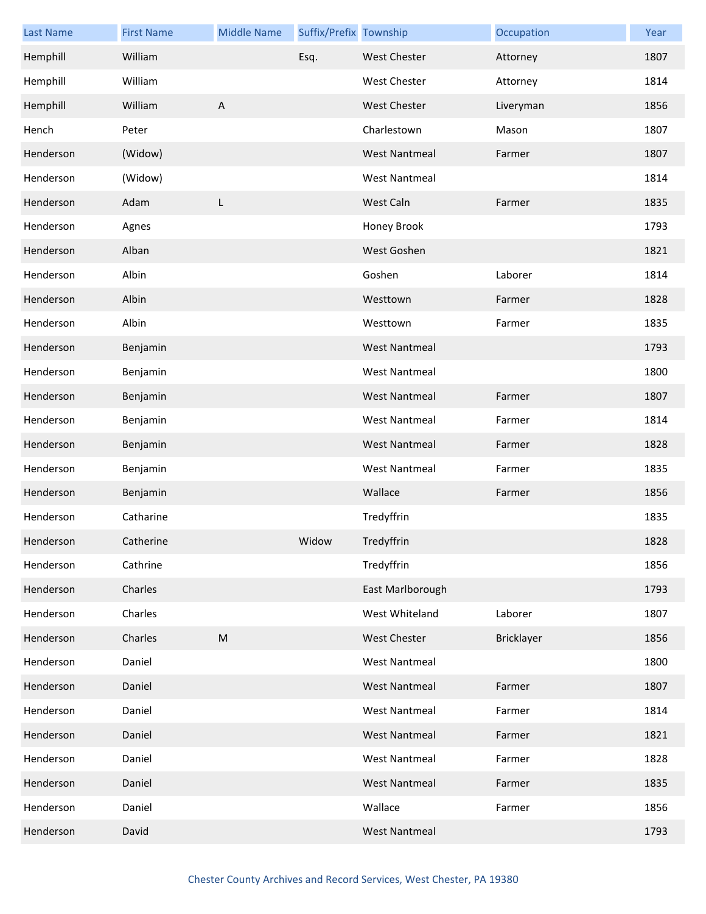| <b>Last Name</b> | <b>First Name</b> | <b>Middle Name</b> | Suffix/Prefix Township |                      | Occupation | Year |
|------------------|-------------------|--------------------|------------------------|----------------------|------------|------|
| Hemphill         | William           |                    | Esq.                   | <b>West Chester</b>  | Attorney   | 1807 |
| Hemphill         | William           |                    |                        | <b>West Chester</b>  | Attorney   | 1814 |
| Hemphill         | William           | $\overline{A}$     |                        | West Chester         | Liveryman  | 1856 |
| Hench            | Peter             |                    |                        | Charlestown          | Mason      | 1807 |
| Henderson        | (Widow)           |                    |                        | <b>West Nantmeal</b> | Farmer     | 1807 |
| Henderson        | (Widow)           |                    |                        | <b>West Nantmeal</b> |            | 1814 |
| Henderson        | Adam              | L                  |                        | West Caln            | Farmer     | 1835 |
| Henderson        | Agnes             |                    |                        | Honey Brook          |            | 1793 |
| Henderson        | Alban             |                    |                        | West Goshen          |            | 1821 |
| Henderson        | Albin             |                    |                        | Goshen               | Laborer    | 1814 |
| Henderson        | Albin             |                    |                        | Westtown             | Farmer     | 1828 |
| Henderson        | Albin             |                    |                        | Westtown             | Farmer     | 1835 |
| Henderson        | Benjamin          |                    |                        | <b>West Nantmeal</b> |            | 1793 |
| Henderson        | Benjamin          |                    |                        | <b>West Nantmeal</b> |            | 1800 |
| Henderson        | Benjamin          |                    |                        | <b>West Nantmeal</b> | Farmer     | 1807 |
| Henderson        | Benjamin          |                    |                        | <b>West Nantmeal</b> | Farmer     | 1814 |
| Henderson        | Benjamin          |                    |                        | <b>West Nantmeal</b> | Farmer     | 1828 |
| Henderson        | Benjamin          |                    |                        | <b>West Nantmeal</b> | Farmer     | 1835 |
| Henderson        | Benjamin          |                    |                        | Wallace              | Farmer     | 1856 |
| Henderson        | Catharine         |                    |                        | Tredyffrin           |            | 1835 |
| Henderson        | Catherine         |                    | Widow                  | Tredyffrin           |            | 1828 |
| Henderson        | Cathrine          |                    |                        | Tredyffrin           |            | 1856 |
| Henderson        | Charles           |                    |                        | East Marlborough     |            | 1793 |
| Henderson        | Charles           |                    |                        | West Whiteland       | Laborer    | 1807 |
| Henderson        | Charles           | ${\sf M}$          |                        | <b>West Chester</b>  | Bricklayer | 1856 |
| Henderson        | Daniel            |                    |                        | <b>West Nantmeal</b> |            | 1800 |
| Henderson        | Daniel            |                    |                        | <b>West Nantmeal</b> | Farmer     | 1807 |
| Henderson        | Daniel            |                    |                        | <b>West Nantmeal</b> | Farmer     | 1814 |
| Henderson        | Daniel            |                    |                        | <b>West Nantmeal</b> | Farmer     | 1821 |
| Henderson        | Daniel            |                    |                        | <b>West Nantmeal</b> | Farmer     | 1828 |
| Henderson        | Daniel            |                    |                        | <b>West Nantmeal</b> | Farmer     | 1835 |
| Henderson        | Daniel            |                    |                        | Wallace              | Farmer     | 1856 |
| Henderson        | David             |                    |                        | <b>West Nantmeal</b> |            | 1793 |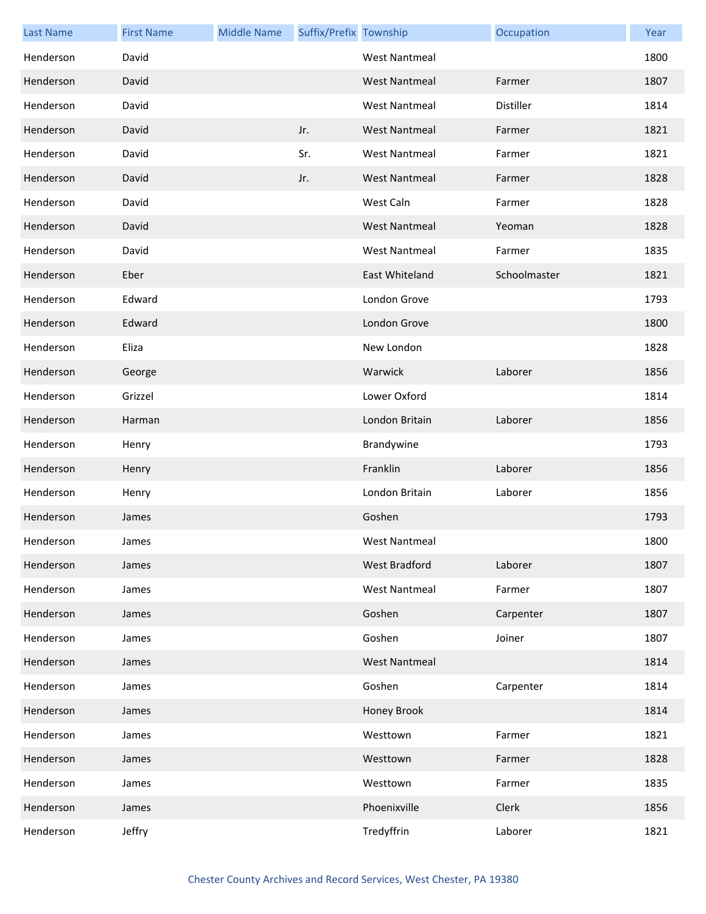| <b>Last Name</b> | <b>First Name</b> | <b>Middle Name</b> | Suffix/Prefix Township |                      | Occupation   | Year |
|------------------|-------------------|--------------------|------------------------|----------------------|--------------|------|
| Henderson        | David             |                    |                        | <b>West Nantmeal</b> |              | 1800 |
| Henderson        | David             |                    |                        | <b>West Nantmeal</b> | Farmer       | 1807 |
| Henderson        | David             |                    |                        | <b>West Nantmeal</b> | Distiller    | 1814 |
| Henderson        | David             |                    | Jr.                    | <b>West Nantmeal</b> | Farmer       | 1821 |
| Henderson        | David             |                    | Sr.                    | <b>West Nantmeal</b> | Farmer       | 1821 |
| Henderson        | David             |                    | Jr.                    | <b>West Nantmeal</b> | Farmer       | 1828 |
| Henderson        | David             |                    |                        | West Caln            | Farmer       | 1828 |
| Henderson        | David             |                    |                        | <b>West Nantmeal</b> | Yeoman       | 1828 |
| Henderson        | David             |                    |                        | <b>West Nantmeal</b> | Farmer       | 1835 |
| Henderson        | Eber              |                    |                        | East Whiteland       | Schoolmaster | 1821 |
| Henderson        | Edward            |                    |                        | London Grove         |              | 1793 |
| Henderson        | Edward            |                    |                        | London Grove         |              | 1800 |
| Henderson        | Eliza             |                    |                        | New London           |              | 1828 |
| Henderson        | George            |                    |                        | Warwick              | Laborer      | 1856 |
| Henderson        | Grizzel           |                    |                        | Lower Oxford         |              | 1814 |
| Henderson        | Harman            |                    |                        | London Britain       | Laborer      | 1856 |
| Henderson        | Henry             |                    |                        | Brandywine           |              | 1793 |
| Henderson        | Henry             |                    |                        | Franklin             | Laborer      | 1856 |
| Henderson        | Henry             |                    |                        | London Britain       | Laborer      | 1856 |
| Henderson        | James             |                    |                        | Goshen               |              | 1793 |
| Henderson        | James             |                    |                        | West Nantmeal        |              | 1800 |
| Henderson        | James             |                    |                        | West Bradford        | Laborer      | 1807 |
| Henderson        | James             |                    |                        | <b>West Nantmeal</b> | Farmer       | 1807 |
| Henderson        | James             |                    |                        | Goshen               | Carpenter    | 1807 |
| Henderson        | James             |                    |                        | Goshen               | Joiner       | 1807 |
| Henderson        | James             |                    |                        | <b>West Nantmeal</b> |              | 1814 |
| Henderson        | James             |                    |                        | Goshen               | Carpenter    | 1814 |
| Henderson        | James             |                    |                        | Honey Brook          |              | 1814 |
| Henderson        | James             |                    |                        | Westtown             | Farmer       | 1821 |
| Henderson        | James             |                    |                        | Westtown             | Farmer       | 1828 |
| Henderson        | James             |                    |                        | Westtown             | Farmer       | 1835 |
| Henderson        | James             |                    |                        | Phoenixville         | Clerk        | 1856 |
| Henderson        | Jeffry            |                    |                        | Tredyffrin           | Laborer      | 1821 |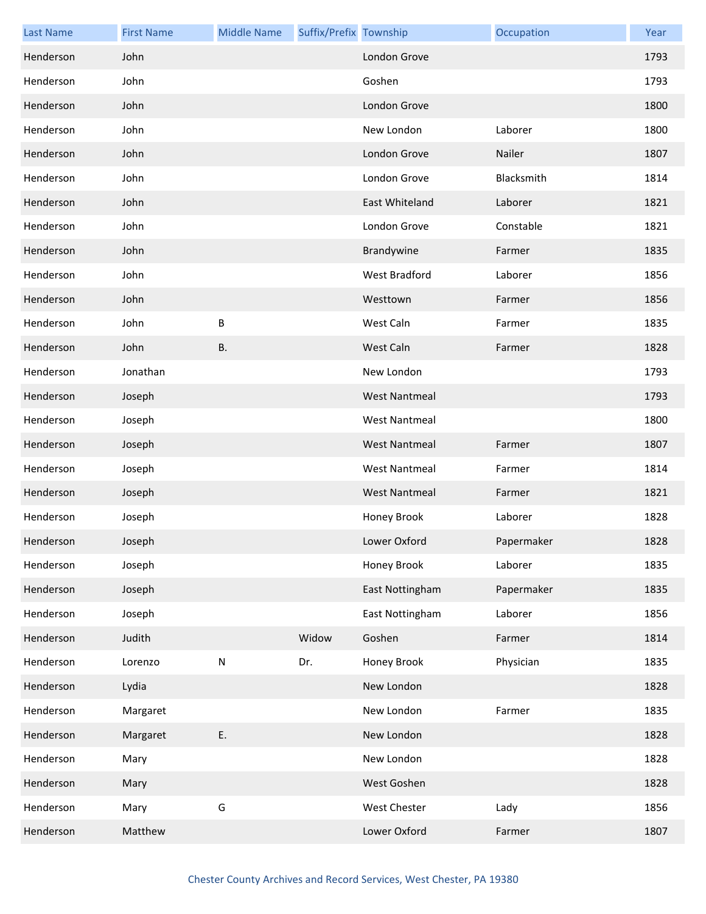| <b>Last Name</b> | <b>First Name</b> | <b>Middle Name</b> | Suffix/Prefix Township |                      | Occupation | Year |
|------------------|-------------------|--------------------|------------------------|----------------------|------------|------|
| Henderson        | John              |                    |                        | London Grove         |            | 1793 |
| Henderson        | John              |                    |                        | Goshen               |            | 1793 |
| Henderson        | John              |                    |                        | London Grove         |            | 1800 |
| Henderson        | John              |                    |                        | New London           | Laborer    | 1800 |
| Henderson        | John              |                    |                        | London Grove         | Nailer     | 1807 |
| Henderson        | John              |                    |                        | London Grove         | Blacksmith | 1814 |
| Henderson        | John              |                    |                        | East Whiteland       | Laborer    | 1821 |
| Henderson        | John              |                    |                        | London Grove         | Constable  | 1821 |
| Henderson        | John              |                    |                        | Brandywine           | Farmer     | 1835 |
| Henderson        | John              |                    |                        | West Bradford        | Laborer    | 1856 |
| Henderson        | John              |                    |                        | Westtown             | Farmer     | 1856 |
| Henderson        | John              | B                  |                        | West Caln            | Farmer     | 1835 |
| Henderson        | John              | <b>B.</b>          |                        | West Caln            | Farmer     | 1828 |
| Henderson        | Jonathan          |                    |                        | New London           |            | 1793 |
| Henderson        | Joseph            |                    |                        | <b>West Nantmeal</b> |            | 1793 |
| Henderson        | Joseph            |                    |                        | <b>West Nantmeal</b> |            | 1800 |
| Henderson        | Joseph            |                    |                        | <b>West Nantmeal</b> | Farmer     | 1807 |
| Henderson        | Joseph            |                    |                        | <b>West Nantmeal</b> | Farmer     | 1814 |
| Henderson        | Joseph            |                    |                        | <b>West Nantmeal</b> | Farmer     | 1821 |
| Henderson        | Joseph            |                    |                        | Honey Brook          | Laborer    | 1828 |
| Henderson        | Joseph            |                    |                        | Lower Oxford         | Papermaker | 1828 |
| Henderson        | Joseph            |                    |                        | Honey Brook          | Laborer    | 1835 |
| Henderson        | Joseph            |                    |                        | East Nottingham      | Papermaker | 1835 |
| Henderson        | Joseph            |                    |                        | East Nottingham      | Laborer    | 1856 |
| Henderson        | Judith            |                    | Widow                  | Goshen               | Farmer     | 1814 |
| Henderson        | Lorenzo           | ${\sf N}$          | Dr.                    | Honey Brook          | Physician  | 1835 |
| Henderson        | Lydia             |                    |                        | New London           |            | 1828 |
| Henderson        | Margaret          |                    |                        | New London           | Farmer     | 1835 |
| Henderson        | Margaret          | Ε.                 |                        | New London           |            | 1828 |
| Henderson        | Mary              |                    |                        | New London           |            | 1828 |
| Henderson        | Mary              |                    |                        | West Goshen          |            | 1828 |
| Henderson        | Mary              | G                  |                        | West Chester         | Lady       | 1856 |
| Henderson        | Matthew           |                    |                        | Lower Oxford         | Farmer     | 1807 |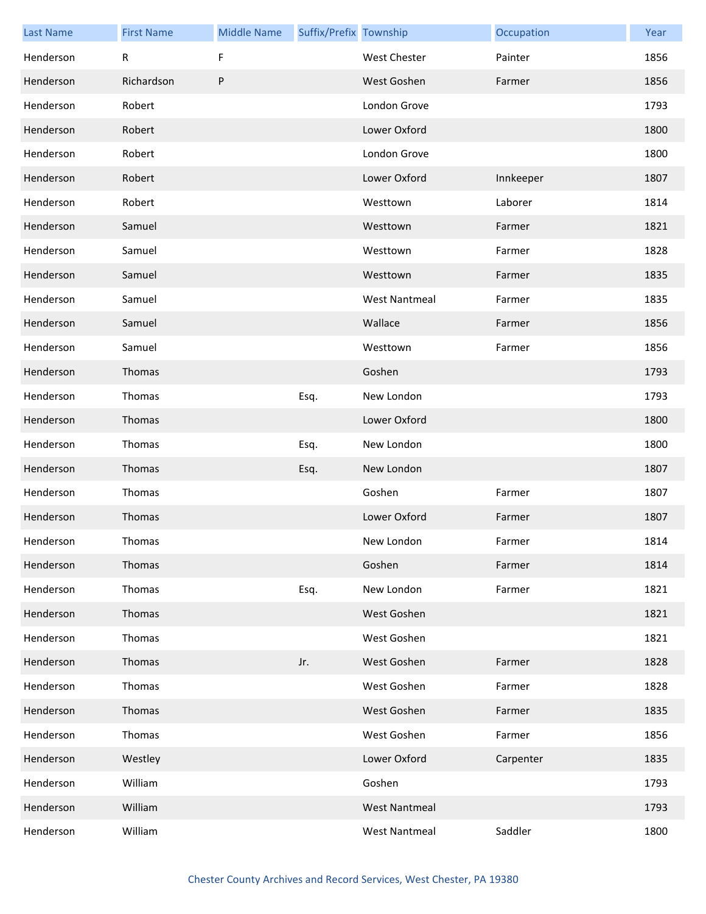| <b>Last Name</b> | <b>First Name</b> | <b>Middle Name</b> | Suffix/Prefix Township |                      | Occupation | Year |
|------------------|-------------------|--------------------|------------------------|----------------------|------------|------|
| Henderson        | R                 | F                  |                        | <b>West Chester</b>  | Painter    | 1856 |
| Henderson        | Richardson        | P                  |                        | West Goshen          | Farmer     | 1856 |
| Henderson        | Robert            |                    |                        | London Grove         |            | 1793 |
| Henderson        | Robert            |                    |                        | Lower Oxford         |            | 1800 |
| Henderson        | Robert            |                    |                        | London Grove         |            | 1800 |
| Henderson        | Robert            |                    |                        | Lower Oxford         | Innkeeper  | 1807 |
| Henderson        | Robert            |                    |                        | Westtown             | Laborer    | 1814 |
| Henderson        | Samuel            |                    |                        | Westtown             | Farmer     | 1821 |
| Henderson        | Samuel            |                    |                        | Westtown             | Farmer     | 1828 |
| Henderson        | Samuel            |                    |                        | Westtown             | Farmer     | 1835 |
| Henderson        | Samuel            |                    |                        | <b>West Nantmeal</b> | Farmer     | 1835 |
| Henderson        | Samuel            |                    |                        | Wallace              | Farmer     | 1856 |
| Henderson        | Samuel            |                    |                        | Westtown             | Farmer     | 1856 |
| Henderson        | Thomas            |                    |                        | Goshen               |            | 1793 |
| Henderson        | Thomas            |                    | Esq.                   | New London           |            | 1793 |
| Henderson        | Thomas            |                    |                        | Lower Oxford         |            | 1800 |
| Henderson        | Thomas            |                    | Esq.                   | New London           |            | 1800 |
| Henderson        | Thomas            |                    | Esq.                   | New London           |            | 1807 |
| Henderson        | Thomas            |                    |                        | Goshen               | Farmer     | 1807 |
| Henderson        | Thomas            |                    |                        | Lower Oxford         | Farmer     | 1807 |
| Henderson        | Thomas            |                    |                        | New London           | Farmer     | 1814 |
| Henderson        | Thomas            |                    |                        | Goshen               | Farmer     | 1814 |
| Henderson        | Thomas            |                    | Esq.                   | New London           | Farmer     | 1821 |
| Henderson        | Thomas            |                    |                        | West Goshen          |            | 1821 |
| Henderson        | Thomas            |                    |                        | West Goshen          |            | 1821 |
| Henderson        | Thomas            |                    | Jr.                    | West Goshen          | Farmer     | 1828 |
| Henderson        | Thomas            |                    |                        | West Goshen          | Farmer     | 1828 |
| Henderson        | Thomas            |                    |                        | West Goshen          | Farmer     | 1835 |
| Henderson        | Thomas            |                    |                        | West Goshen          | Farmer     | 1856 |
| Henderson        | Westley           |                    |                        | Lower Oxford         | Carpenter  | 1835 |
| Henderson        | William           |                    |                        | Goshen               |            | 1793 |
| Henderson        | William           |                    |                        | <b>West Nantmeal</b> |            | 1793 |
| Henderson        | William           |                    |                        | <b>West Nantmeal</b> | Saddler    | 1800 |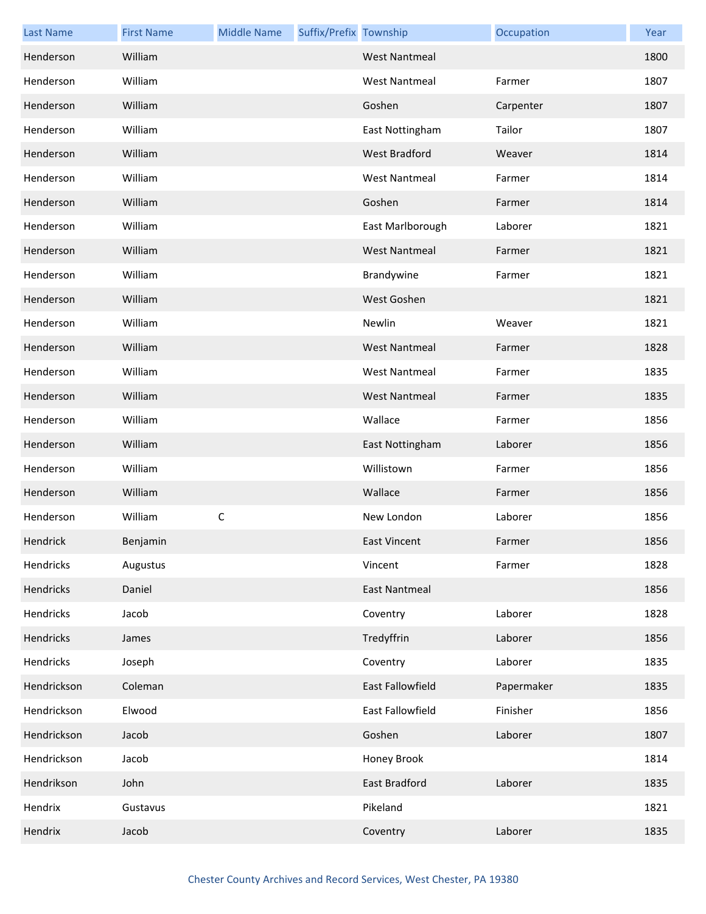| <b>Last Name</b> | <b>First Name</b> | <b>Middle Name</b> | Suffix/Prefix Township |                         | Occupation | Year |
|------------------|-------------------|--------------------|------------------------|-------------------------|------------|------|
| Henderson        | William           |                    |                        | <b>West Nantmeal</b>    |            | 1800 |
| Henderson        | William           |                    |                        | <b>West Nantmeal</b>    | Farmer     | 1807 |
| Henderson        | William           |                    |                        | Goshen                  | Carpenter  | 1807 |
| Henderson        | William           |                    |                        | East Nottingham         | Tailor     | 1807 |
| Henderson        | William           |                    |                        | <b>West Bradford</b>    | Weaver     | 1814 |
| Henderson        | William           |                    |                        | <b>West Nantmeal</b>    | Farmer     | 1814 |
| Henderson        | William           |                    |                        | Goshen                  | Farmer     | 1814 |
| Henderson        | William           |                    |                        | East Marlborough        | Laborer    | 1821 |
| Henderson        | William           |                    |                        | <b>West Nantmeal</b>    | Farmer     | 1821 |
| Henderson        | William           |                    |                        | Brandywine              | Farmer     | 1821 |
| Henderson        | William           |                    |                        | West Goshen             |            | 1821 |
| Henderson        | William           |                    |                        | Newlin                  | Weaver     | 1821 |
| Henderson        | William           |                    |                        | <b>West Nantmeal</b>    | Farmer     | 1828 |
| Henderson        | William           |                    |                        | <b>West Nantmeal</b>    | Farmer     | 1835 |
| Henderson        | William           |                    |                        | <b>West Nantmeal</b>    | Farmer     | 1835 |
| Henderson        | William           |                    |                        | Wallace                 | Farmer     | 1856 |
| Henderson        | William           |                    |                        | East Nottingham         | Laborer    | 1856 |
| Henderson        | William           |                    |                        | Willistown              | Farmer     | 1856 |
| Henderson        | William           |                    |                        | Wallace                 | Farmer     | 1856 |
| Henderson        | William           | $\mathsf C$        |                        | New London              | Laborer    | 1856 |
| Hendrick         | Benjamin          |                    |                        | <b>East Vincent</b>     | Farmer     | 1856 |
| Hendricks        | Augustus          |                    |                        | Vincent                 | Farmer     | 1828 |
| Hendricks        | Daniel            |                    |                        | <b>East Nantmeal</b>    |            | 1856 |
| Hendricks        | Jacob             |                    |                        | Coventry                | Laborer    | 1828 |
| Hendricks        | James             |                    |                        | Tredyffrin              | Laborer    | 1856 |
| Hendricks        | Joseph            |                    |                        | Coventry                | Laborer    | 1835 |
| Hendrickson      | Coleman           |                    |                        | <b>East Fallowfield</b> | Papermaker | 1835 |
| Hendrickson      | Elwood            |                    |                        | East Fallowfield        | Finisher   | 1856 |
| Hendrickson      | Jacob             |                    |                        | Goshen                  | Laborer    | 1807 |
| Hendrickson      | Jacob             |                    |                        | Honey Brook             |            | 1814 |
| Hendrikson       | John              |                    |                        | East Bradford           | Laborer    | 1835 |
| Hendrix          | Gustavus          |                    |                        | Pikeland                |            | 1821 |
| Hendrix          | Jacob             |                    |                        | Coventry                | Laborer    | 1835 |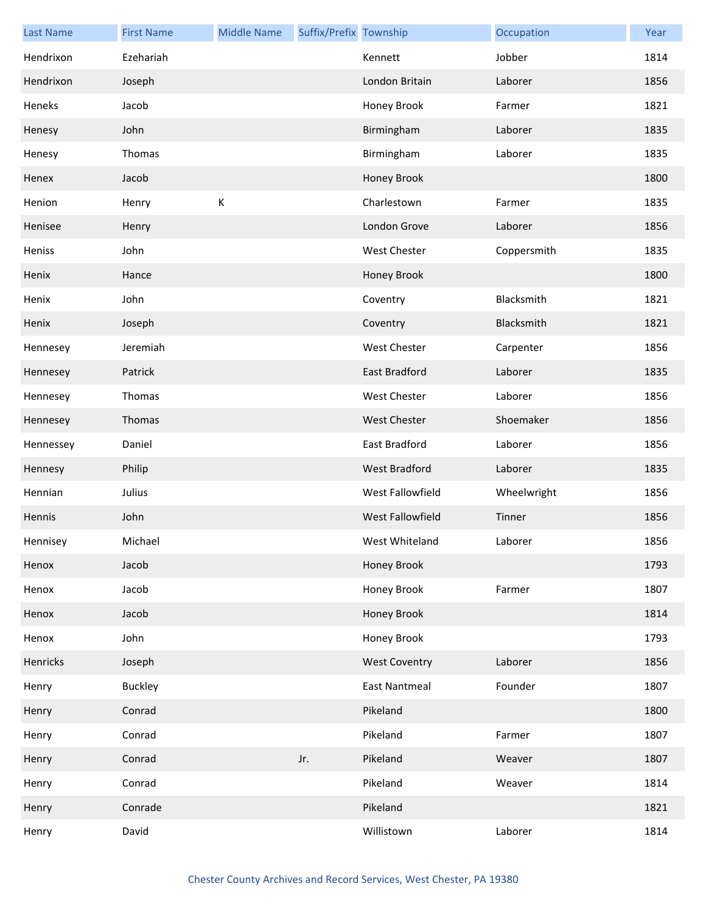| <b>Last Name</b> | <b>First Name</b> | <b>Middle Name</b> | Suffix/Prefix Township |                         | Occupation  | Year |
|------------------|-------------------|--------------------|------------------------|-------------------------|-------------|------|
| Hendrixon        | Ezehariah         |                    |                        | Kennett                 | Jobber      | 1814 |
| Hendrixon        | Joseph            |                    |                        | London Britain          | Laborer     | 1856 |
| Heneks           | Jacob             |                    |                        | Honey Brook             | Farmer      | 1821 |
| Henesy           | John              |                    |                        | Birmingham              | Laborer     | 1835 |
| Henesy           | Thomas            |                    |                        | Birmingham              | Laborer     | 1835 |
| Henex            | Jacob             |                    |                        | Honey Brook             |             | 1800 |
| Henion           | Henry             | К                  |                        | Charlestown             | Farmer      | 1835 |
| Henisee          | Henry             |                    |                        | London Grove            | Laborer     | 1856 |
| Heniss           | John              |                    |                        | West Chester            | Coppersmith | 1835 |
| Henix            | Hance             |                    |                        | Honey Brook             |             | 1800 |
| Henix            | John              |                    |                        | Coventry                | Blacksmith  | 1821 |
| Henix            | Joseph            |                    |                        | Coventry                | Blacksmith  | 1821 |
| Hennesey         | Jeremiah          |                    |                        | West Chester            | Carpenter   | 1856 |
| Hennesey         | Patrick           |                    |                        | East Bradford           | Laborer     | 1835 |
| Hennesey         | Thomas            |                    |                        | West Chester            | Laborer     | 1856 |
| Hennesey         | Thomas            |                    |                        | <b>West Chester</b>     | Shoemaker   | 1856 |
| Hennessey        | Daniel            |                    |                        | East Bradford           | Laborer     | 1856 |
| Hennesy          | Philip            |                    |                        | <b>West Bradford</b>    | Laborer     | 1835 |
| Hennian          | Julius            |                    |                        | West Fallowfield        | Wheelwright | 1856 |
| Hennis           | John              |                    |                        | <b>West Fallowfield</b> | Tinner      | 1856 |
| Hennisey         | Michael           |                    |                        | West Whiteland          | Laborer     | 1856 |
| Henox            | Jacob             |                    |                        | Honey Brook             |             | 1793 |
| Henox            | Jacob             |                    |                        | Honey Brook             | Farmer      | 1807 |
| Henox            | Jacob             |                    |                        | Honey Brook             |             | 1814 |
| Henox            | John              |                    |                        | Honey Brook             |             | 1793 |
| Henricks         | Joseph            |                    |                        | <b>West Coventry</b>    | Laborer     | 1856 |
| Henry            | <b>Buckley</b>    |                    |                        | East Nantmeal           | Founder     | 1807 |
| Henry            | Conrad            |                    |                        | Pikeland                |             | 1800 |
| Henry            | Conrad            |                    |                        | Pikeland                | Farmer      | 1807 |
| Henry            | Conrad            |                    | Jr.                    | Pikeland                | Weaver      | 1807 |
| Henry            | Conrad            |                    |                        | Pikeland                | Weaver      | 1814 |
| Henry            | Conrade           |                    |                        | Pikeland                |             | 1821 |
| Henry            | David             |                    |                        | Willistown              | Laborer     | 1814 |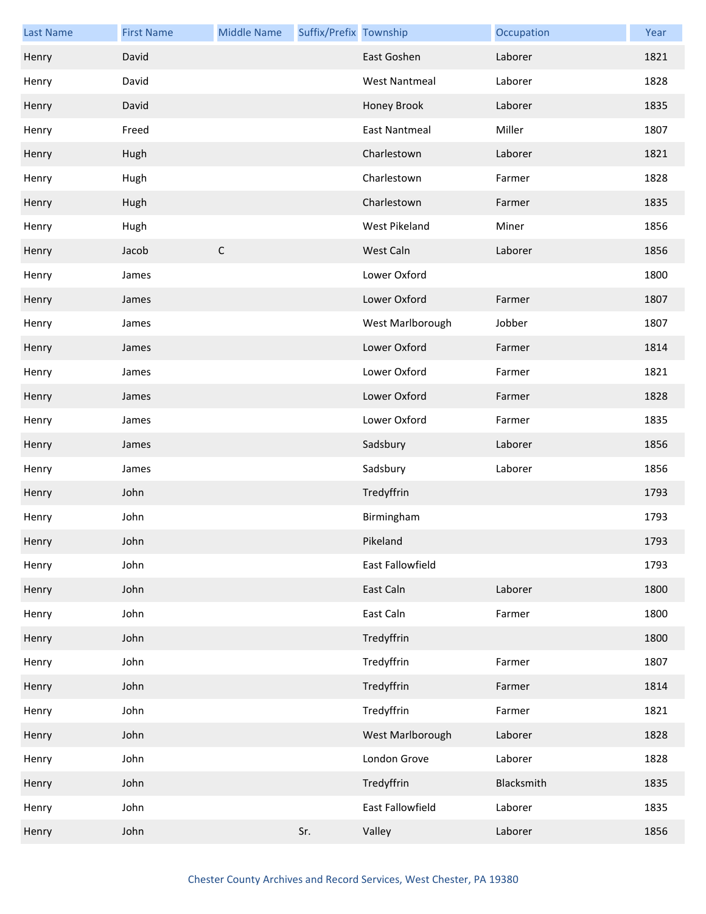| <b>Last Name</b> | <b>First Name</b> | <b>Middle Name</b> | Suffix/Prefix Township |                      | Occupation | Year |
|------------------|-------------------|--------------------|------------------------|----------------------|------------|------|
| Henry            | David             |                    |                        | East Goshen          | Laborer    | 1821 |
| Henry            | David             |                    |                        | <b>West Nantmeal</b> | Laborer    | 1828 |
| Henry            | David             |                    |                        | Honey Brook          | Laborer    | 1835 |
| Henry            | Freed             |                    |                        | <b>East Nantmeal</b> | Miller     | 1807 |
| Henry            | Hugh              |                    |                        | Charlestown          | Laborer    | 1821 |
| Henry            | Hugh              |                    |                        | Charlestown          | Farmer     | 1828 |
| Henry            | Hugh              |                    |                        | Charlestown          | Farmer     | 1835 |
| Henry            | Hugh              |                    |                        | West Pikeland        | Miner      | 1856 |
| Henry            | Jacob             | $\mathsf C$        |                        | West Caln            | Laborer    | 1856 |
| Henry            | James             |                    |                        | Lower Oxford         |            | 1800 |
| Henry            | James             |                    |                        | Lower Oxford         | Farmer     | 1807 |
| Henry            | James             |                    |                        | West Marlborough     | Jobber     | 1807 |
| Henry            | James             |                    |                        | Lower Oxford         | Farmer     | 1814 |
| Henry            | James             |                    |                        | Lower Oxford         | Farmer     | 1821 |
| Henry            | James             |                    |                        | Lower Oxford         | Farmer     | 1828 |
| Henry            | James             |                    |                        | Lower Oxford         | Farmer     | 1835 |
| Henry            | James             |                    |                        | Sadsbury             | Laborer    | 1856 |
| Henry            | James             |                    |                        | Sadsbury             | Laborer    | 1856 |
| Henry            | John              |                    |                        | Tredyffrin           |            | 1793 |
| Henry            | John              |                    |                        | Birmingham           |            | 1793 |
| Henry            | John              |                    |                        | Pikeland             |            | 1793 |
| Henry            | John              |                    |                        | East Fallowfield     |            | 1793 |
| Henry            | John              |                    |                        | East Caln            | Laborer    | 1800 |
| Henry            | John              |                    |                        | East Caln            | Farmer     | 1800 |
| Henry            | John              |                    |                        | Tredyffrin           |            | 1800 |
| Henry            | John              |                    |                        | Tredyffrin           | Farmer     | 1807 |
| Henry            | John              |                    |                        | Tredyffrin           | Farmer     | 1814 |
| Henry            | John              |                    |                        | Tredyffrin           | Farmer     | 1821 |
| Henry            | John              |                    |                        | West Marlborough     | Laborer    | 1828 |
| Henry            | John              |                    |                        | London Grove         | Laborer    | 1828 |
| Henry            | John              |                    |                        | Tredyffrin           | Blacksmith | 1835 |
| Henry            | John              |                    |                        | East Fallowfield     | Laborer    | 1835 |
| Henry            | John              |                    | Sr.                    | Valley               | Laborer    | 1856 |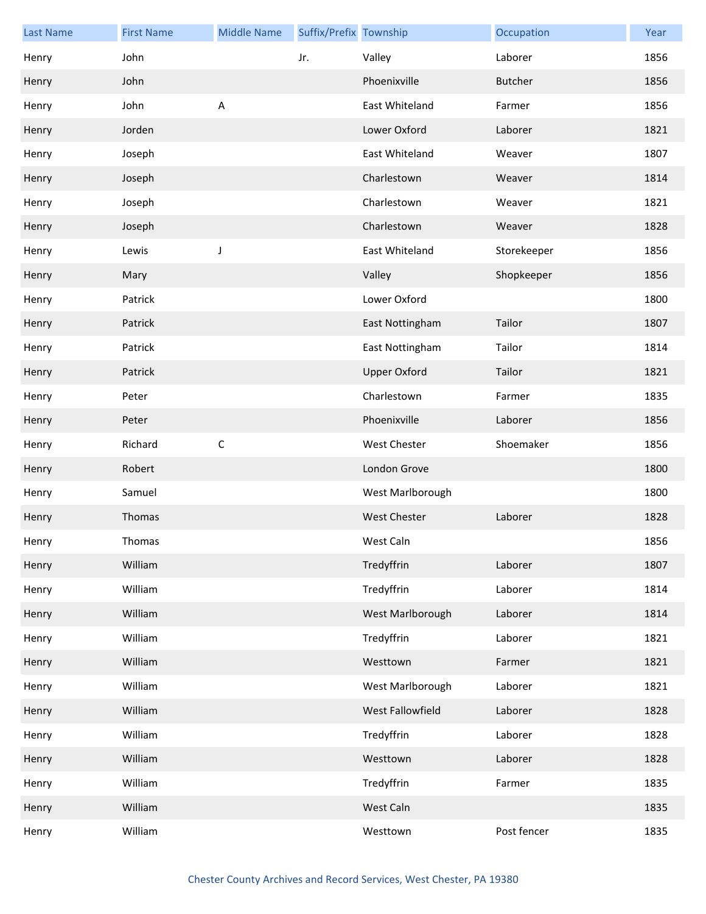| <b>Last Name</b> | <b>First Name</b> | <b>Middle Name</b> | Suffix/Prefix Township |                     | Occupation     | Year |
|------------------|-------------------|--------------------|------------------------|---------------------|----------------|------|
| Henry            | John              |                    | Jr.                    | Valley              | Laborer        | 1856 |
| Henry            | John              |                    |                        | Phoenixville        | <b>Butcher</b> | 1856 |
| Henry            | John              | $\sf A$            |                        | East Whiteland      | Farmer         | 1856 |
| Henry            | Jorden            |                    |                        | Lower Oxford        | Laborer        | 1821 |
| Henry            | Joseph            |                    |                        | East Whiteland      | Weaver         | 1807 |
| Henry            | Joseph            |                    |                        | Charlestown         | Weaver         | 1814 |
| Henry            | Joseph            |                    |                        | Charlestown         | Weaver         | 1821 |
| Henry            | Joseph            |                    |                        | Charlestown         | Weaver         | 1828 |
| Henry            | Lewis             | J                  |                        | East Whiteland      | Storekeeper    | 1856 |
| Henry            | Mary              |                    |                        | Valley              | Shopkeeper     | 1856 |
| Henry            | Patrick           |                    |                        | Lower Oxford        |                | 1800 |
| Henry            | Patrick           |                    |                        | East Nottingham     | Tailor         | 1807 |
| Henry            | Patrick           |                    |                        | East Nottingham     | Tailor         | 1814 |
| Henry            | Patrick           |                    |                        | <b>Upper Oxford</b> | Tailor         | 1821 |
| Henry            | Peter             |                    |                        | Charlestown         | Farmer         | 1835 |
| Henry            | Peter             |                    |                        | Phoenixville        | Laborer        | 1856 |
| Henry            | Richard           | $\mathsf C$        |                        | West Chester        | Shoemaker      | 1856 |
| Henry            | Robert            |                    |                        | London Grove        |                | 1800 |
| Henry            | Samuel            |                    |                        | West Marlborough    |                | 1800 |
| Henry            | Thomas            |                    |                        | <b>West Chester</b> | Laborer        | 1828 |
| Henry            | Thomas            |                    |                        | West Caln           |                | 1856 |
| Henry            | William           |                    |                        | Tredyffrin          | Laborer        | 1807 |
| Henry            | William           |                    |                        | Tredyffrin          | Laborer        | 1814 |
| Henry            | William           |                    |                        | West Marlborough    | Laborer        | 1814 |
| Henry            | William           |                    |                        | Tredyffrin          | Laborer        | 1821 |
| Henry            | William           |                    |                        | Westtown            | Farmer         | 1821 |
| Henry            | William           |                    |                        | West Marlborough    | Laborer        | 1821 |
| Henry            | William           |                    |                        | West Fallowfield    | Laborer        | 1828 |
| Henry            | William           |                    |                        | Tredyffrin          | Laborer        | 1828 |
| Henry            | William           |                    |                        | Westtown            | Laborer        | 1828 |
| Henry            | William           |                    |                        | Tredyffrin          | Farmer         | 1835 |
| Henry            | William           |                    |                        | West Caln           |                | 1835 |
| Henry            | William           |                    |                        | Westtown            | Post fencer    | 1835 |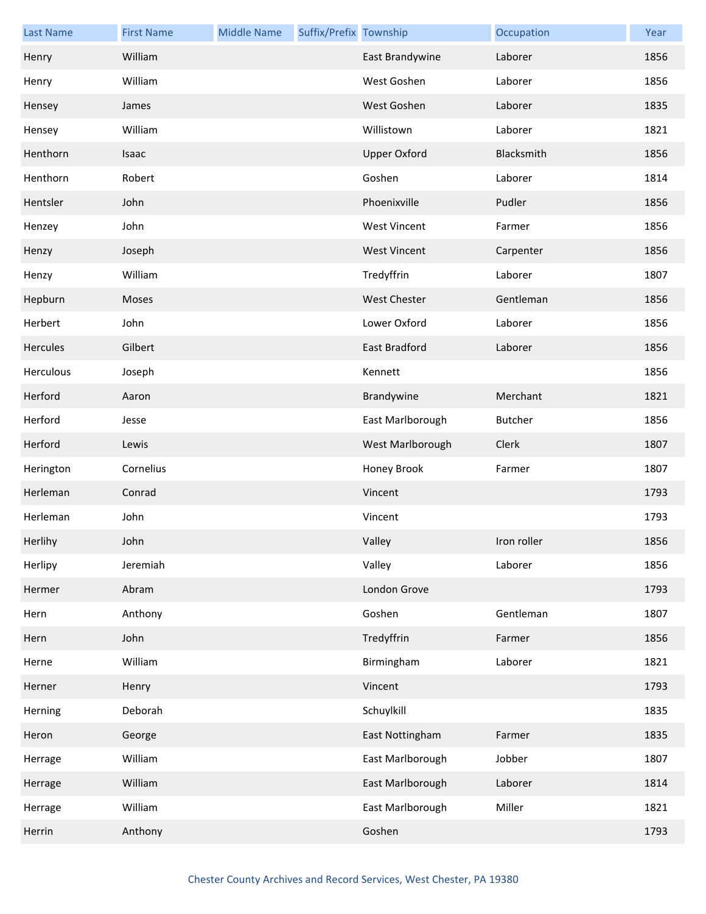| <b>Last Name</b> | <b>First Name</b> | <b>Middle Name</b> | Suffix/Prefix Township |                      | Occupation     | Year |
|------------------|-------------------|--------------------|------------------------|----------------------|----------------|------|
| Henry            | William           |                    |                        | East Brandywine      | Laborer        | 1856 |
| Henry            | William           |                    |                        | West Goshen          | Laborer        | 1856 |
| Hensey           | James             |                    |                        | West Goshen          | Laborer        | 1835 |
| Hensey           | William           |                    |                        | Willistown           | Laborer        | 1821 |
| Henthorn         | Isaac             |                    |                        | <b>Upper Oxford</b>  | Blacksmith     | 1856 |
| Henthorn         | Robert            |                    |                        | Goshen               | Laborer        | 1814 |
| Hentsler         | John              |                    |                        | Phoenixville         | Pudler         | 1856 |
| Henzey           | John              |                    |                        | <b>West Vincent</b>  | Farmer         | 1856 |
| Henzy            | Joseph            |                    |                        | <b>West Vincent</b>  | Carpenter      | 1856 |
| Henzy            | William           |                    |                        | Tredyffrin           | Laborer        | 1807 |
| Hepburn          | Moses             |                    |                        | <b>West Chester</b>  | Gentleman      | 1856 |
| Herbert          | John              |                    |                        | Lower Oxford         | Laborer        | 1856 |
| Hercules         | Gilbert           |                    |                        | <b>East Bradford</b> | Laborer        | 1856 |
| Herculous        | Joseph            |                    |                        | Kennett              |                | 1856 |
| Herford          | Aaron             |                    |                        | Brandywine           | Merchant       | 1821 |
| Herford          | Jesse             |                    |                        | East Marlborough     | <b>Butcher</b> | 1856 |
| Herford          | Lewis             |                    |                        | West Marlborough     | Clerk          | 1807 |
| Herington        | Cornelius         |                    |                        | Honey Brook          | Farmer         | 1807 |
| Herleman         | Conrad            |                    |                        | Vincent              |                | 1793 |
| Herleman         | John              |                    |                        | Vincent              |                | 1793 |
| Herlihy          | John              |                    |                        | Valley               | Iron roller    | 1856 |
| Herlipy          | Jeremiah          |                    |                        | Valley               | Laborer        | 1856 |
| Hermer           | Abram             |                    |                        | London Grove         |                | 1793 |
| Hern             | Anthony           |                    |                        | Goshen               | Gentleman      | 1807 |
| Hern             | John              |                    |                        | Tredyffrin           | Farmer         | 1856 |
| Herne            | William           |                    |                        | Birmingham           | Laborer        | 1821 |
| Herner           | Henry             |                    |                        | Vincent              |                | 1793 |
| Herning          | Deborah           |                    |                        | Schuylkill           |                | 1835 |
| Heron            | George            |                    |                        | East Nottingham      | Farmer         | 1835 |
| Herrage          | William           |                    |                        | East Marlborough     | Jobber         | 1807 |
| Herrage          | William           |                    |                        | East Marlborough     | Laborer        | 1814 |
| Herrage          | William           |                    |                        | East Marlborough     | Miller         | 1821 |
| Herrin           | Anthony           |                    |                        | Goshen               |                | 1793 |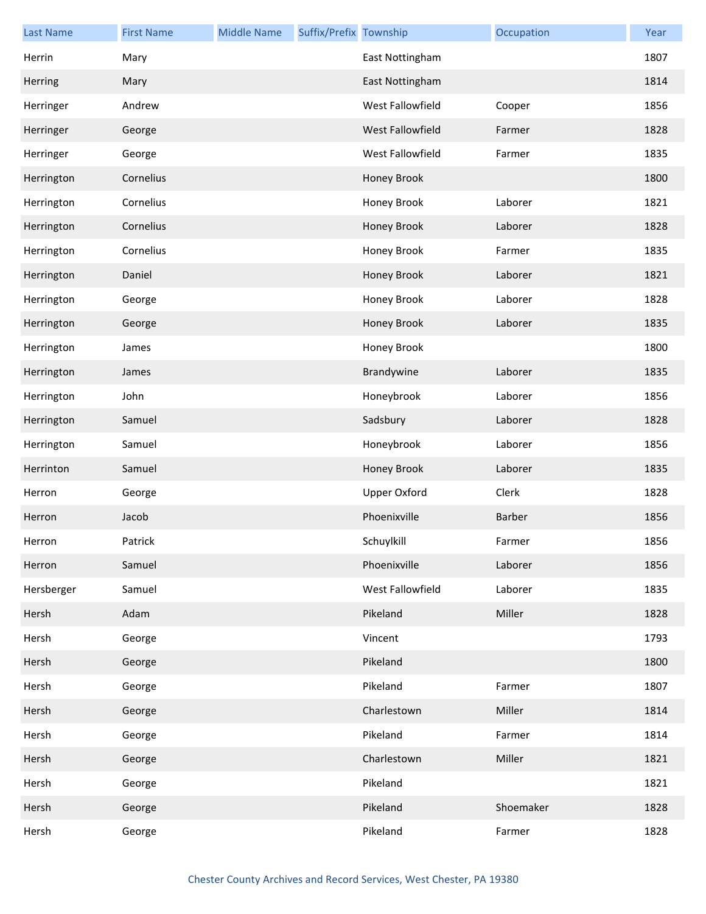| <b>Last Name</b> | <b>First Name</b> | <b>Middle Name</b> | Suffix/Prefix Township |                     | Occupation | Year |
|------------------|-------------------|--------------------|------------------------|---------------------|------------|------|
| Herrin           | Mary              |                    |                        | East Nottingham     |            | 1807 |
| Herring          | Mary              |                    |                        | East Nottingham     |            | 1814 |
| Herringer        | Andrew            |                    |                        | West Fallowfield    | Cooper     | 1856 |
| Herringer        | George            |                    |                        | West Fallowfield    | Farmer     | 1828 |
| Herringer        | George            |                    |                        | West Fallowfield    | Farmer     | 1835 |
| Herrington       | Cornelius         |                    |                        | Honey Brook         |            | 1800 |
| Herrington       | Cornelius         |                    |                        | Honey Brook         | Laborer    | 1821 |
| Herrington       | Cornelius         |                    |                        | Honey Brook         | Laborer    | 1828 |
| Herrington       | Cornelius         |                    |                        | Honey Brook         | Farmer     | 1835 |
| Herrington       | Daniel            |                    |                        | Honey Brook         | Laborer    | 1821 |
| Herrington       | George            |                    |                        | Honey Brook         | Laborer    | 1828 |
| Herrington       | George            |                    |                        | Honey Brook         | Laborer    | 1835 |
| Herrington       | James             |                    |                        | Honey Brook         |            | 1800 |
| Herrington       | James             |                    |                        | Brandywine          | Laborer    | 1835 |
| Herrington       | John              |                    |                        | Honeybrook          | Laborer    | 1856 |
| Herrington       | Samuel            |                    |                        | Sadsbury            | Laborer    | 1828 |
| Herrington       | Samuel            |                    |                        | Honeybrook          | Laborer    | 1856 |
| Herrinton        | Samuel            |                    |                        | Honey Brook         | Laborer    | 1835 |
| Herron           | George            |                    |                        | <b>Upper Oxford</b> | Clerk      | 1828 |
| Herron           | Jacob             |                    |                        | Phoenixville        | Barber     | 1856 |
| Herron           | Patrick           |                    |                        | Schuylkill          | Farmer     | 1856 |
| Herron           | Samuel            |                    |                        | Phoenixville        | Laborer    | 1856 |
| Hersberger       | Samuel            |                    |                        | West Fallowfield    | Laborer    | 1835 |
| Hersh            | Adam              |                    |                        | Pikeland            | Miller     | 1828 |
| Hersh            | George            |                    |                        | Vincent             |            | 1793 |
| Hersh            | George            |                    |                        | Pikeland            |            | 1800 |
| Hersh            | George            |                    |                        | Pikeland            | Farmer     | 1807 |
| Hersh            | George            |                    |                        | Charlestown         | Miller     | 1814 |
| Hersh            | George            |                    |                        | Pikeland            | Farmer     | 1814 |
| Hersh            | George            |                    |                        | Charlestown         | Miller     | 1821 |
| Hersh            | George            |                    |                        | Pikeland            |            | 1821 |
| Hersh            | George            |                    |                        | Pikeland            | Shoemaker  | 1828 |
| Hersh            | George            |                    |                        | Pikeland            | Farmer     | 1828 |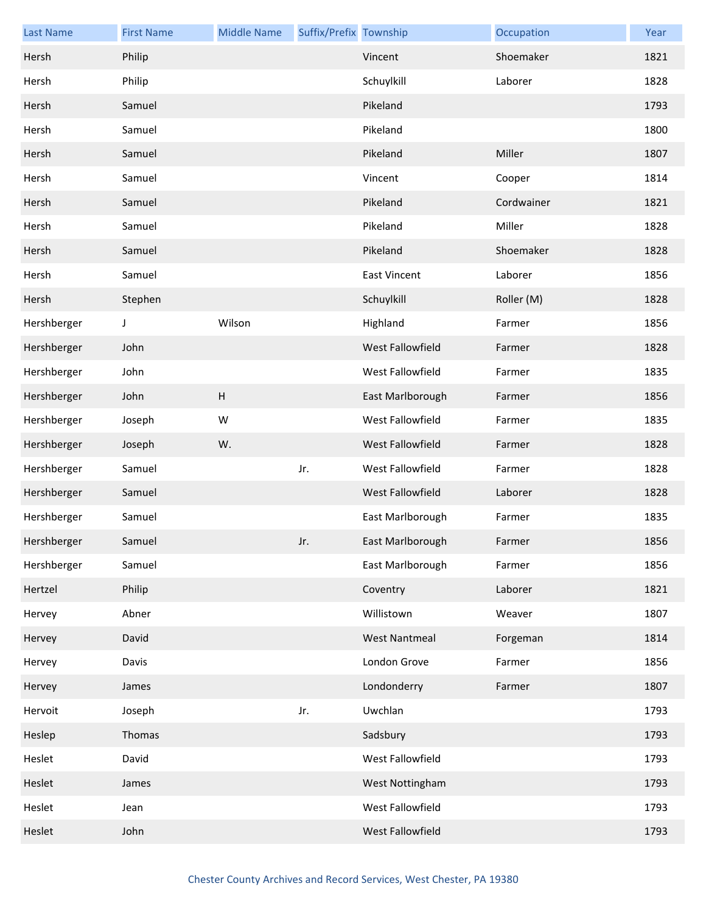| <b>Last Name</b> | <b>First Name</b> | <b>Middle Name</b> | Suffix/Prefix Township |                      | Occupation | Year |
|------------------|-------------------|--------------------|------------------------|----------------------|------------|------|
| Hersh            | Philip            |                    |                        | Vincent              | Shoemaker  | 1821 |
| Hersh            | Philip            |                    |                        | Schuylkill           | Laborer    | 1828 |
| Hersh            | Samuel            |                    |                        | Pikeland             |            | 1793 |
| Hersh            | Samuel            |                    |                        | Pikeland             |            | 1800 |
| Hersh            | Samuel            |                    |                        | Pikeland             | Miller     | 1807 |
| Hersh            | Samuel            |                    |                        | Vincent              | Cooper     | 1814 |
| Hersh            | Samuel            |                    |                        | Pikeland             | Cordwainer | 1821 |
| Hersh            | Samuel            |                    |                        | Pikeland             | Miller     | 1828 |
| Hersh            | Samuel            |                    |                        | Pikeland             | Shoemaker  | 1828 |
| Hersh            | Samuel            |                    |                        | <b>East Vincent</b>  | Laborer    | 1856 |
| Hersh            | Stephen           |                    |                        | Schuylkill           | Roller (M) | 1828 |
| Hershberger      | J                 | Wilson             |                        | Highland             | Farmer     | 1856 |
| Hershberger      | John              |                    |                        | West Fallowfield     | Farmer     | 1828 |
| Hershberger      | John              |                    |                        | West Fallowfield     | Farmer     | 1835 |
| Hershberger      | John              | H                  |                        | East Marlborough     | Farmer     | 1856 |
| Hershberger      | Joseph            | W                  |                        | West Fallowfield     | Farmer     | 1835 |
| Hershberger      | Joseph            | W.                 |                        | West Fallowfield     | Farmer     | 1828 |
| Hershberger      | Samuel            |                    | Jr.                    | West Fallowfield     | Farmer     | 1828 |
| Hershberger      | Samuel            |                    |                        | West Fallowfield     | Laborer    | 1828 |
| Hershberger      | Samuel            |                    |                        | East Marlborough     | Farmer     | 1835 |
| Hershberger      | Samuel            |                    | Jr.                    | East Marlborough     | Farmer     | 1856 |
| Hershberger      | Samuel            |                    |                        | East Marlborough     | Farmer     | 1856 |
| Hertzel          | Philip            |                    |                        | Coventry             | Laborer    | 1821 |
| Hervey           | Abner             |                    |                        | Willistown           | Weaver     | 1807 |
| Hervey           | David             |                    |                        | <b>West Nantmeal</b> | Forgeman   | 1814 |
| Hervey           | Davis             |                    |                        | London Grove         | Farmer     | 1856 |
| Hervey           | James             |                    |                        | Londonderry          | Farmer     | 1807 |
| Hervoit          | Joseph            |                    | Jr.                    | Uwchlan              |            | 1793 |
| Heslep           | Thomas            |                    |                        | Sadsbury             |            | 1793 |
| Heslet           | David             |                    |                        | West Fallowfield     |            | 1793 |
| Heslet           | James             |                    |                        | West Nottingham      |            | 1793 |
| Heslet           | Jean              |                    |                        | West Fallowfield     |            | 1793 |
| Heslet           | John              |                    |                        | West Fallowfield     |            | 1793 |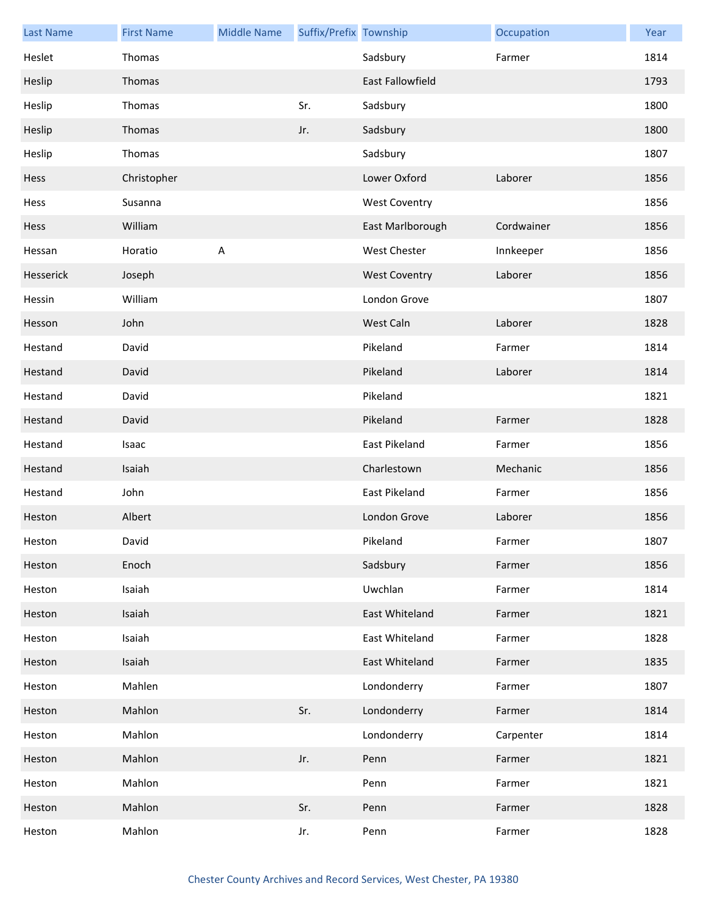| <b>Last Name</b> | <b>First Name</b> | <b>Middle Name</b> | Suffix/Prefix Township |                         | Occupation | Year |
|------------------|-------------------|--------------------|------------------------|-------------------------|------------|------|
| Heslet           | Thomas            |                    |                        | Sadsbury                | Farmer     | 1814 |
| Heslip           | Thomas            |                    |                        | <b>East Fallowfield</b> |            | 1793 |
| Heslip           | Thomas            |                    | Sr.                    | Sadsbury                |            | 1800 |
| Heslip           | Thomas            |                    | Jr.                    | Sadsbury                |            | 1800 |
| Heslip           | Thomas            |                    |                        | Sadsbury                |            | 1807 |
| Hess             | Christopher       |                    |                        | Lower Oxford            | Laborer    | 1856 |
| Hess             | Susanna           |                    |                        | <b>West Coventry</b>    |            | 1856 |
| Hess             | William           |                    |                        | East Marlborough        | Cordwainer | 1856 |
| Hessan           | Horatio           | $\sf A$            |                        | <b>West Chester</b>     | Innkeeper  | 1856 |
| Hesserick        | Joseph            |                    |                        | <b>West Coventry</b>    | Laborer    | 1856 |
| Hessin           | William           |                    |                        | London Grove            |            | 1807 |
| Hesson           | John              |                    |                        | West Caln               | Laborer    | 1828 |
| Hestand          | David             |                    |                        | Pikeland                | Farmer     | 1814 |
| Hestand          | David             |                    |                        | Pikeland                | Laborer    | 1814 |
| Hestand          | David             |                    |                        | Pikeland                |            | 1821 |
| Hestand          | David             |                    |                        | Pikeland                | Farmer     | 1828 |
| Hestand          | Isaac             |                    |                        | East Pikeland           | Farmer     | 1856 |
| Hestand          | Isaiah            |                    |                        | Charlestown             | Mechanic   | 1856 |
| Hestand          | John              |                    |                        | East Pikeland           | Farmer     | 1856 |
| Heston           | Albert            |                    |                        | London Grove            | Laborer    | 1856 |
| Heston           | David             |                    |                        | Pikeland                | Farmer     | 1807 |
| Heston           | Enoch             |                    |                        | Sadsbury                | Farmer     | 1856 |
| Heston           | Isaiah            |                    |                        | Uwchlan                 | Farmer     | 1814 |
| Heston           | Isaiah            |                    |                        | East Whiteland          | Farmer     | 1821 |
| Heston           | Isaiah            |                    |                        | East Whiteland          | Farmer     | 1828 |
| Heston           | Isaiah            |                    |                        | East Whiteland          | Farmer     | 1835 |
| Heston           | Mahlen            |                    |                        | Londonderry             | Farmer     | 1807 |
| Heston           | Mahlon            |                    | Sr.                    | Londonderry             | Farmer     | 1814 |
| Heston           | Mahlon            |                    |                        | Londonderry             | Carpenter  | 1814 |
| Heston           | Mahlon            |                    | Jr.                    | Penn                    | Farmer     | 1821 |
| Heston           | Mahlon            |                    |                        | Penn                    | Farmer     | 1821 |
| Heston           | Mahlon            |                    | Sr.                    | Penn                    | Farmer     | 1828 |
| Heston           | Mahlon            |                    | Jr.                    | Penn                    | Farmer     | 1828 |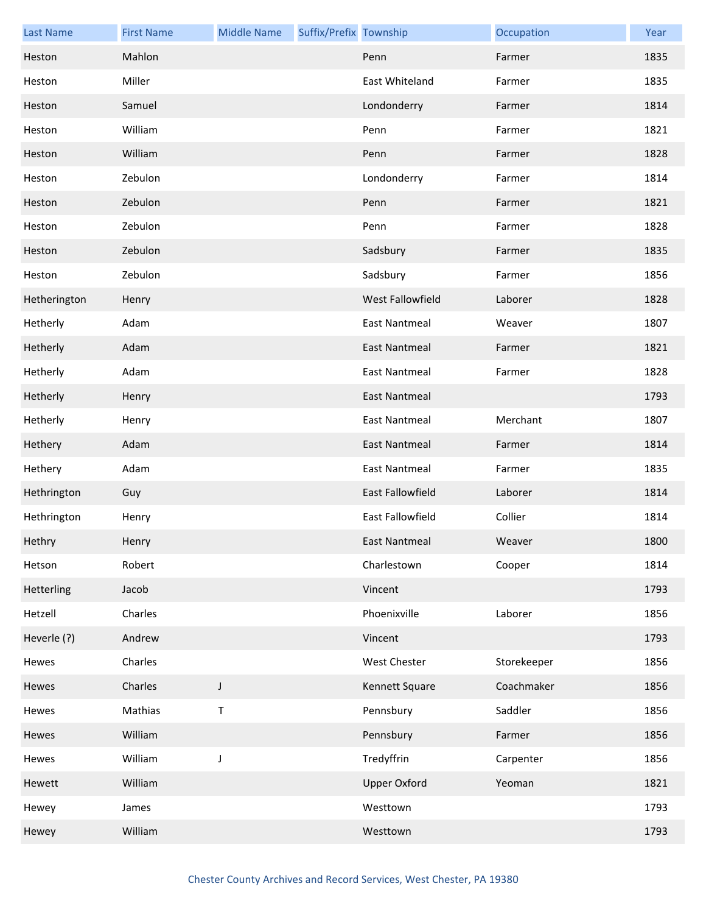| <b>Last Name</b> | <b>First Name</b> | <b>Middle Name</b> | Suffix/Prefix Township |                      | Occupation  | Year |
|------------------|-------------------|--------------------|------------------------|----------------------|-------------|------|
| Heston           | Mahlon            |                    |                        | Penn                 | Farmer      | 1835 |
| Heston           | Miller            |                    |                        | East Whiteland       | Farmer      | 1835 |
| Heston           | Samuel            |                    |                        | Londonderry          | Farmer      | 1814 |
| Heston           | William           |                    |                        | Penn                 | Farmer      | 1821 |
| Heston           | William           |                    |                        | Penn                 | Farmer      | 1828 |
| Heston           | Zebulon           |                    |                        | Londonderry          | Farmer      | 1814 |
| Heston           | Zebulon           |                    |                        | Penn                 | Farmer      | 1821 |
| Heston           | Zebulon           |                    |                        | Penn                 | Farmer      | 1828 |
| Heston           | Zebulon           |                    |                        | Sadsbury             | Farmer      | 1835 |
| Heston           | Zebulon           |                    |                        | Sadsbury             | Farmer      | 1856 |
| Hetherington     | Henry             |                    |                        | West Fallowfield     | Laborer     | 1828 |
| Hetherly         | Adam              |                    |                        | <b>East Nantmeal</b> | Weaver      | 1807 |
| Hetherly         | Adam              |                    |                        | East Nantmeal        | Farmer      | 1821 |
| Hetherly         | Adam              |                    |                        | <b>East Nantmeal</b> | Farmer      | 1828 |
| Hetherly         | Henry             |                    |                        | <b>East Nantmeal</b> |             | 1793 |
| Hetherly         | Henry             |                    |                        | <b>East Nantmeal</b> | Merchant    | 1807 |
| Hethery          | Adam              |                    |                        | East Nantmeal        | Farmer      | 1814 |
| Hethery          | Adam              |                    |                        | <b>East Nantmeal</b> | Farmer      | 1835 |
| Hethrington      | Guy               |                    |                        | East Fallowfield     | Laborer     | 1814 |
| Hethrington      | Henry             |                    |                        | East Fallowfield     | Collier     | 1814 |
| Hethry           | Henry             |                    |                        | East Nantmeal        | Weaver      | 1800 |
| Hetson           | Robert            |                    |                        | Charlestown          | Cooper      | 1814 |
| Hetterling       | Jacob             |                    |                        | Vincent              |             | 1793 |
| Hetzell          | Charles           |                    |                        | Phoenixville         | Laborer     | 1856 |
| Heverle (?)      | Andrew            |                    |                        | Vincent              |             | 1793 |
| Hewes            | Charles           |                    |                        | <b>West Chester</b>  | Storekeeper | 1856 |
| Hewes            | Charles           | $\mathsf J$        |                        | Kennett Square       | Coachmaker  | 1856 |
| Hewes            | Mathias           | $\sf T$            |                        | Pennsbury            | Saddler     | 1856 |
| Hewes            | William           |                    |                        | Pennsbury            | Farmer      | 1856 |
| Hewes            | William           | $\mathsf J$        |                        | Tredyffrin           | Carpenter   | 1856 |
| Hewett           | William           |                    |                        | <b>Upper Oxford</b>  | Yeoman      | 1821 |
| Hewey            | James             |                    |                        | Westtown             |             | 1793 |
| Hewey            | William           |                    |                        | Westtown             |             | 1793 |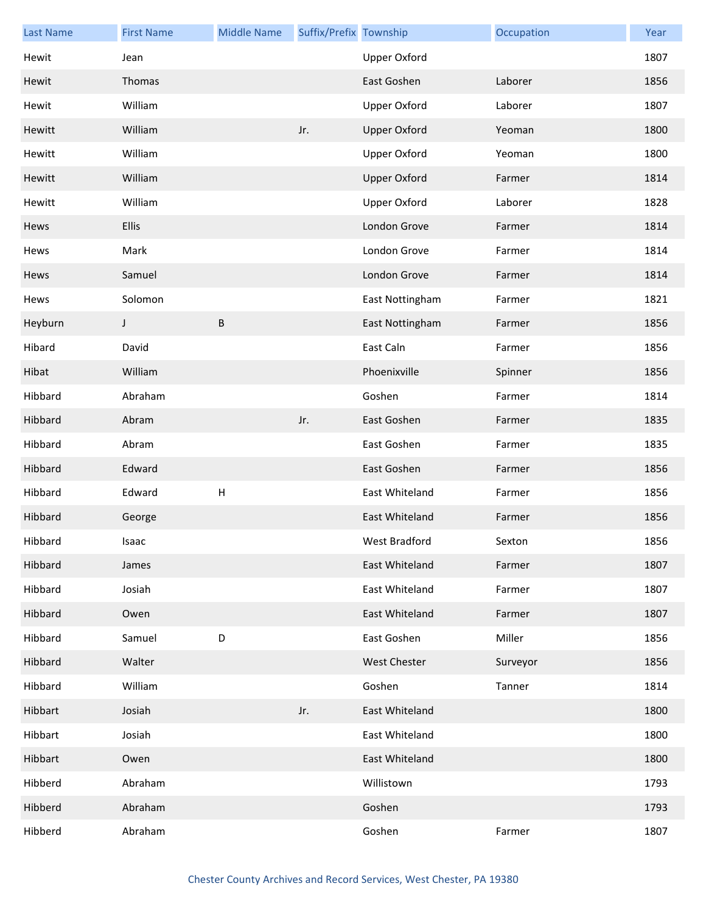| <b>Last Name</b> | <b>First Name</b> | <b>Middle Name</b> | Suffix/Prefix Township |                     | Occupation | Year |
|------------------|-------------------|--------------------|------------------------|---------------------|------------|------|
| Hewit            | Jean              |                    |                        | <b>Upper Oxford</b> |            | 1807 |
| Hewit            | Thomas            |                    |                        | East Goshen         | Laborer    | 1856 |
| Hewit            | William           |                    |                        | <b>Upper Oxford</b> | Laborer    | 1807 |
| Hewitt           | William           |                    | Jr.                    | <b>Upper Oxford</b> | Yeoman     | 1800 |
| Hewitt           | William           |                    |                        | <b>Upper Oxford</b> | Yeoman     | 1800 |
| Hewitt           | William           |                    |                        | <b>Upper Oxford</b> | Farmer     | 1814 |
| Hewitt           | William           |                    |                        | <b>Upper Oxford</b> | Laborer    | 1828 |
| Hews             | Ellis             |                    |                        | London Grove        | Farmer     | 1814 |
| Hews             | Mark              |                    |                        | London Grove        | Farmer     | 1814 |
| Hews             | Samuel            |                    |                        | London Grove        | Farmer     | 1814 |
| Hews             | Solomon           |                    |                        | East Nottingham     | Farmer     | 1821 |
| Heyburn          | J                 | B                  |                        | East Nottingham     | Farmer     | 1856 |
| Hibard           | David             |                    |                        | East Caln           | Farmer     | 1856 |
| Hibat            | William           |                    |                        | Phoenixville        | Spinner    | 1856 |
| Hibbard          | Abraham           |                    |                        | Goshen              | Farmer     | 1814 |
| Hibbard          | Abram             |                    | Jr.                    | East Goshen         | Farmer     | 1835 |
| Hibbard          | Abram             |                    |                        | East Goshen         | Farmer     | 1835 |
| Hibbard          | Edward            |                    |                        | East Goshen         | Farmer     | 1856 |
| Hibbard          | Edward            | $\sf H$            |                        | East Whiteland      | Farmer     | 1856 |
| Hibbard          | George            |                    |                        | East Whiteland      | Farmer     | 1856 |
| Hibbard          | Isaac             |                    |                        | West Bradford       | Sexton     | 1856 |
| Hibbard          | James             |                    |                        | East Whiteland      | Farmer     | 1807 |
| Hibbard          | Josiah            |                    |                        | East Whiteland      | Farmer     | 1807 |
| Hibbard          | Owen              |                    |                        | East Whiteland      | Farmer     | 1807 |
| Hibbard          | Samuel            | D                  |                        | East Goshen         | Miller     | 1856 |
| Hibbard          | Walter            |                    |                        | <b>West Chester</b> | Surveyor   | 1856 |
| Hibbard          | William           |                    |                        | Goshen              | Tanner     | 1814 |
| Hibbart          | Josiah            |                    | Jr.                    | East Whiteland      |            | 1800 |
| Hibbart          | Josiah            |                    |                        | East Whiteland      |            | 1800 |
| Hibbart          | Owen              |                    |                        | East Whiteland      |            | 1800 |
| Hibberd          | Abraham           |                    |                        | Willistown          |            | 1793 |
| Hibberd          | Abraham           |                    |                        | Goshen              |            | 1793 |
| Hibberd          | Abraham           |                    |                        | Goshen              | Farmer     | 1807 |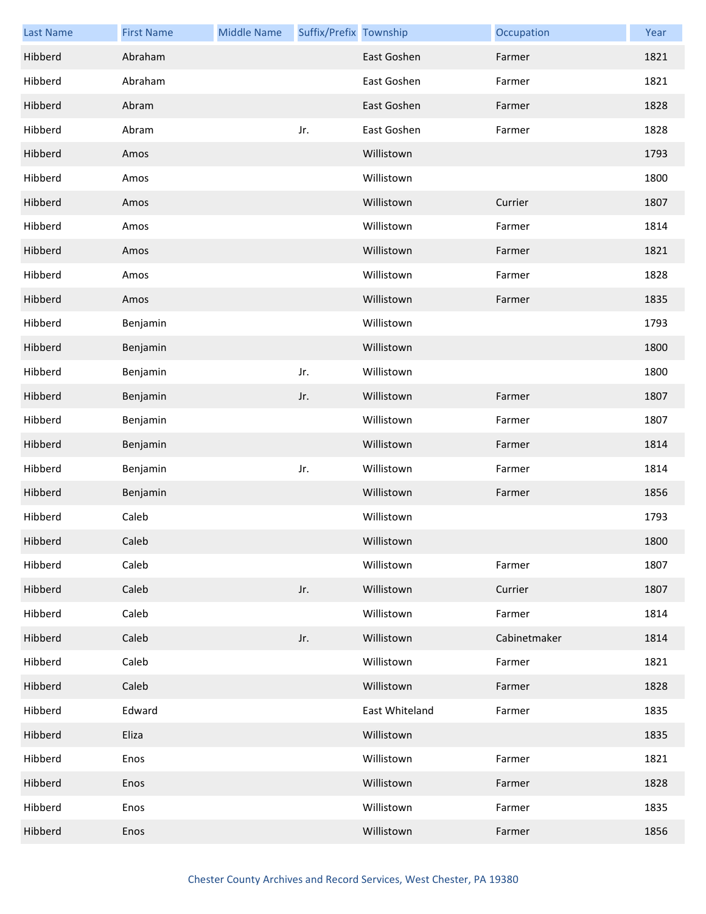| <b>Last Name</b> | <b>First Name</b> | <b>Middle Name</b> | Suffix/Prefix Township |                | Occupation   | Year |
|------------------|-------------------|--------------------|------------------------|----------------|--------------|------|
| Hibberd          | Abraham           |                    |                        | East Goshen    | Farmer       | 1821 |
| Hibberd          | Abraham           |                    |                        | East Goshen    | Farmer       | 1821 |
| Hibberd          | Abram             |                    |                        | East Goshen    | Farmer       | 1828 |
| Hibberd          | Abram             |                    | Jr.                    | East Goshen    | Farmer       | 1828 |
| Hibberd          | Amos              |                    |                        | Willistown     |              | 1793 |
| Hibberd          | Amos              |                    |                        | Willistown     |              | 1800 |
| Hibberd          | Amos              |                    |                        | Willistown     | Currier      | 1807 |
| Hibberd          | Amos              |                    |                        | Willistown     | Farmer       | 1814 |
| Hibberd          | Amos              |                    |                        | Willistown     | Farmer       | 1821 |
| Hibberd          | Amos              |                    |                        | Willistown     | Farmer       | 1828 |
| Hibberd          | Amos              |                    |                        | Willistown     | Farmer       | 1835 |
| Hibberd          | Benjamin          |                    |                        | Willistown     |              | 1793 |
| Hibberd          | Benjamin          |                    |                        | Willistown     |              | 1800 |
| Hibberd          | Benjamin          |                    | Jr.                    | Willistown     |              | 1800 |
| Hibberd          | Benjamin          |                    | Jr.                    | Willistown     | Farmer       | 1807 |
| Hibberd          | Benjamin          |                    |                        | Willistown     | Farmer       | 1807 |
| Hibberd          | Benjamin          |                    |                        | Willistown     | Farmer       | 1814 |
| Hibberd          | Benjamin          |                    | Jr.                    | Willistown     | Farmer       | 1814 |
| Hibberd          | Benjamin          |                    |                        | Willistown     | Farmer       | 1856 |
| Hibberd          | Caleb             |                    |                        | Willistown     |              | 1793 |
| Hibberd          | Caleb             |                    |                        | Willistown     |              | 1800 |
| Hibberd          | Caleb             |                    |                        | Willistown     | Farmer       | 1807 |
| Hibberd          | Caleb             |                    | Jr.                    | Willistown     | Currier      | 1807 |
| Hibberd          | Caleb             |                    |                        | Willistown     | Farmer       | 1814 |
| Hibberd          | Caleb             |                    | Jr.                    | Willistown     | Cabinetmaker | 1814 |
| Hibberd          | Caleb             |                    |                        | Willistown     | Farmer       | 1821 |
| Hibberd          | Caleb             |                    |                        | Willistown     | Farmer       | 1828 |
| Hibberd          | Edward            |                    |                        | East Whiteland | Farmer       | 1835 |
| Hibberd          | Eliza             |                    |                        | Willistown     |              | 1835 |
| Hibberd          | Enos              |                    |                        | Willistown     | Farmer       | 1821 |
| Hibberd          | Enos              |                    |                        | Willistown     | Farmer       | 1828 |
| Hibberd          | Enos              |                    |                        | Willistown     | Farmer       | 1835 |
| Hibberd          | Enos              |                    |                        | Willistown     | Farmer       | 1856 |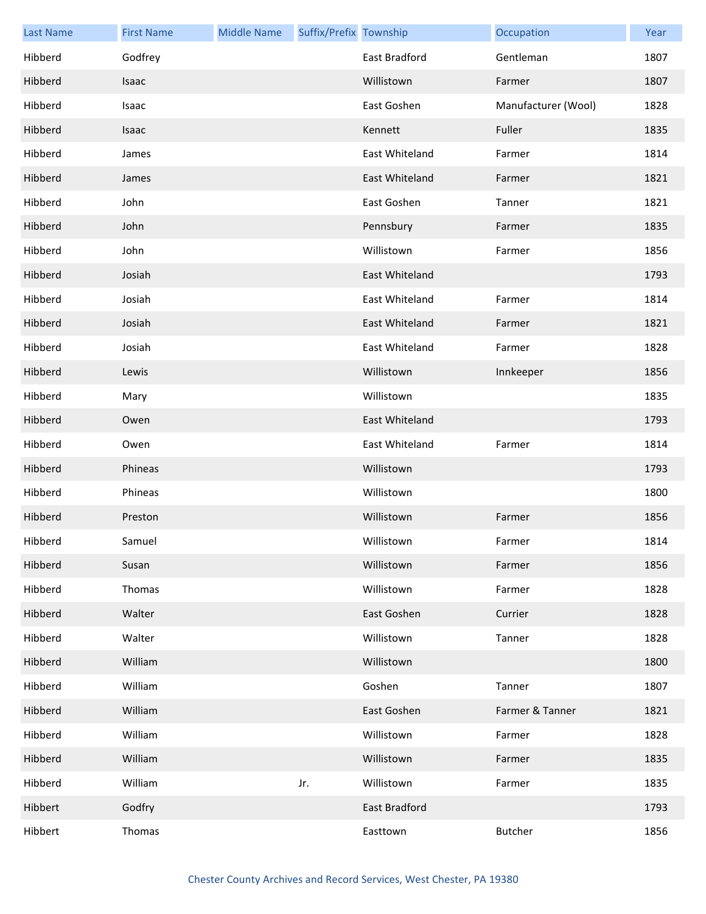| <b>Last Name</b> | <b>First Name</b> | <b>Middle Name</b> | Suffix/Prefix Township |                | Occupation          | Year |
|------------------|-------------------|--------------------|------------------------|----------------|---------------------|------|
| Hibberd          | Godfrey           |                    |                        | East Bradford  | Gentleman           | 1807 |
| Hibberd          | Isaac             |                    |                        | Willistown     | Farmer              | 1807 |
| Hibberd          | Isaac             |                    |                        | East Goshen    | Manufacturer (Wool) | 1828 |
| Hibberd          | Isaac             |                    |                        | Kennett        | Fuller              | 1835 |
| Hibberd          | James             |                    |                        | East Whiteland | Farmer              | 1814 |
| Hibberd          | James             |                    |                        | East Whiteland | Farmer              | 1821 |
| Hibberd          | John              |                    |                        | East Goshen    | Tanner              | 1821 |
| Hibberd          | John              |                    |                        | Pennsbury      | Farmer              | 1835 |
| Hibberd          | John              |                    |                        | Willistown     | Farmer              | 1856 |
| Hibberd          | Josiah            |                    |                        | East Whiteland |                     | 1793 |
| Hibberd          | Josiah            |                    |                        | East Whiteland | Farmer              | 1814 |
| Hibberd          | Josiah            |                    |                        | East Whiteland | Farmer              | 1821 |
| Hibberd          | Josiah            |                    |                        | East Whiteland | Farmer              | 1828 |
| Hibberd          | Lewis             |                    |                        | Willistown     | Innkeeper           | 1856 |
| Hibberd          | Mary              |                    |                        | Willistown     |                     | 1835 |
| Hibberd          | Owen              |                    |                        | East Whiteland |                     | 1793 |
| Hibberd          | Owen              |                    |                        | East Whiteland | Farmer              | 1814 |
| Hibberd          | Phineas           |                    |                        | Willistown     |                     | 1793 |
| Hibberd          | Phineas           |                    |                        | Willistown     |                     | 1800 |
| Hibberd          | Preston           |                    |                        | Willistown     | Farmer              | 1856 |
| Hibberd          | Samuel            |                    |                        | Willistown     | Farmer              | 1814 |
| Hibberd          | Susan             |                    |                        | Willistown     | Farmer              | 1856 |
| Hibberd          | Thomas            |                    |                        | Willistown     | Farmer              | 1828 |
| Hibberd          | Walter            |                    |                        | East Goshen    | Currier             | 1828 |
| Hibberd          | Walter            |                    |                        | Willistown     | Tanner              | 1828 |
| Hibberd          | William           |                    |                        | Willistown     |                     | 1800 |
| Hibberd          | William           |                    |                        | Goshen         | Tanner              | 1807 |
| Hibberd          | William           |                    |                        | East Goshen    | Farmer & Tanner     | 1821 |
| Hibberd          | William           |                    |                        | Willistown     | Farmer              | 1828 |
| Hibberd          | William           |                    |                        | Willistown     | Farmer              | 1835 |
| Hibberd          | William           |                    | Jr.                    | Willistown     | Farmer              | 1835 |
| Hibbert          | Godfry            |                    |                        | East Bradford  |                     | 1793 |
| Hibbert          | Thomas            |                    |                        | Easttown       | <b>Butcher</b>      | 1856 |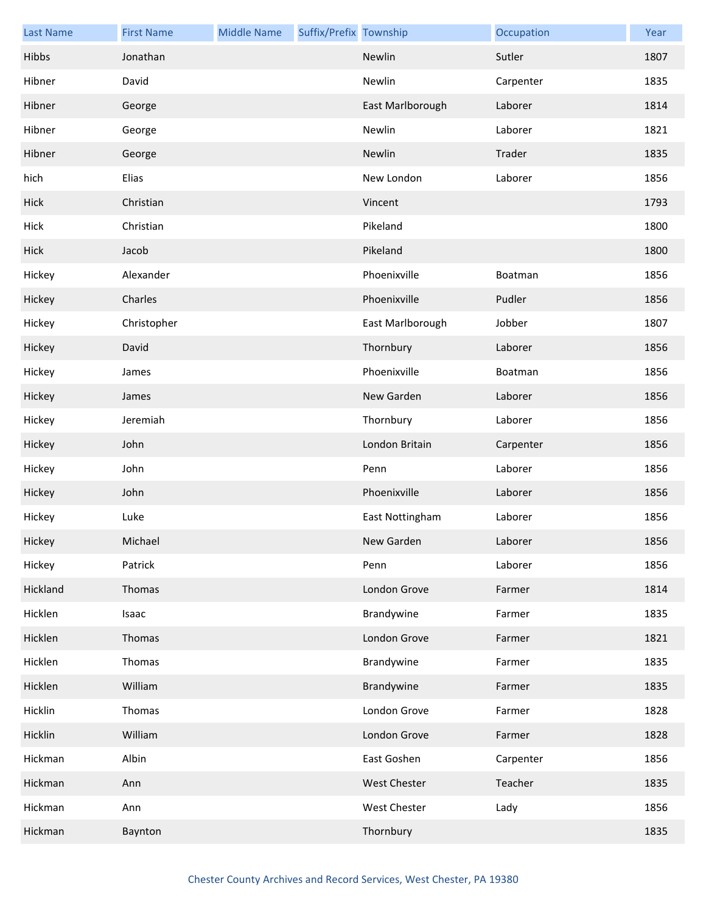| <b>Last Name</b> | <b>First Name</b> | <b>Middle Name</b> | Suffix/Prefix Township |                     | Occupation | Year |
|------------------|-------------------|--------------------|------------------------|---------------------|------------|------|
| Hibbs            | Jonathan          |                    |                        | Newlin              | Sutler     | 1807 |
| Hibner           | David             |                    |                        | Newlin              | Carpenter  | 1835 |
| Hibner           | George            |                    |                        | East Marlborough    | Laborer    | 1814 |
| Hibner           | George            |                    |                        | Newlin              | Laborer    | 1821 |
| Hibner           | George            |                    |                        | Newlin              | Trader     | 1835 |
| hich             | Elias             |                    |                        | New London          | Laborer    | 1856 |
| Hick             | Christian         |                    |                        | Vincent             |            | 1793 |
| Hick             | Christian         |                    |                        | Pikeland            |            | 1800 |
| Hick             | Jacob             |                    |                        | Pikeland            |            | 1800 |
| Hickey           | Alexander         |                    |                        | Phoenixville        | Boatman    | 1856 |
| Hickey           | Charles           |                    |                        | Phoenixville        | Pudler     | 1856 |
| Hickey           | Christopher       |                    |                        | East Marlborough    | Jobber     | 1807 |
| Hickey           | David             |                    |                        | Thornbury           | Laborer    | 1856 |
| Hickey           | James             |                    |                        | Phoenixville        | Boatman    | 1856 |
| Hickey           | James             |                    |                        | New Garden          | Laborer    | 1856 |
| Hickey           | Jeremiah          |                    |                        | Thornbury           | Laborer    | 1856 |
| Hickey           | John              |                    |                        | London Britain      | Carpenter  | 1856 |
| Hickey           | John              |                    |                        | Penn                | Laborer    | 1856 |
| Hickey           | John              |                    |                        | Phoenixville        | Laborer    | 1856 |
| Hickey           | Luke              |                    |                        | East Nottingham     | Laborer    | 1856 |
| Hickey           | Michael           |                    |                        | New Garden          | Laborer    | 1856 |
| Hickey           | Patrick           |                    |                        | Penn                | Laborer    | 1856 |
| Hickland         | Thomas            |                    |                        | London Grove        | Farmer     | 1814 |
| Hicklen          | Isaac             |                    |                        | Brandywine          | Farmer     | 1835 |
| Hicklen          | Thomas            |                    |                        | London Grove        | Farmer     | 1821 |
| Hicklen          | Thomas            |                    |                        | Brandywine          | Farmer     | 1835 |
| Hicklen          | William           |                    |                        | Brandywine          | Farmer     | 1835 |
| Hicklin          | Thomas            |                    |                        | London Grove        | Farmer     | 1828 |
| Hicklin          | William           |                    |                        | London Grove        | Farmer     | 1828 |
| Hickman          | Albin             |                    |                        | East Goshen         | Carpenter  | 1856 |
| Hickman          | Ann               |                    |                        | West Chester        | Teacher    | 1835 |
| Hickman          | Ann               |                    |                        | <b>West Chester</b> | Lady       | 1856 |
| Hickman          | Baynton           |                    |                        | Thornbury           |            | 1835 |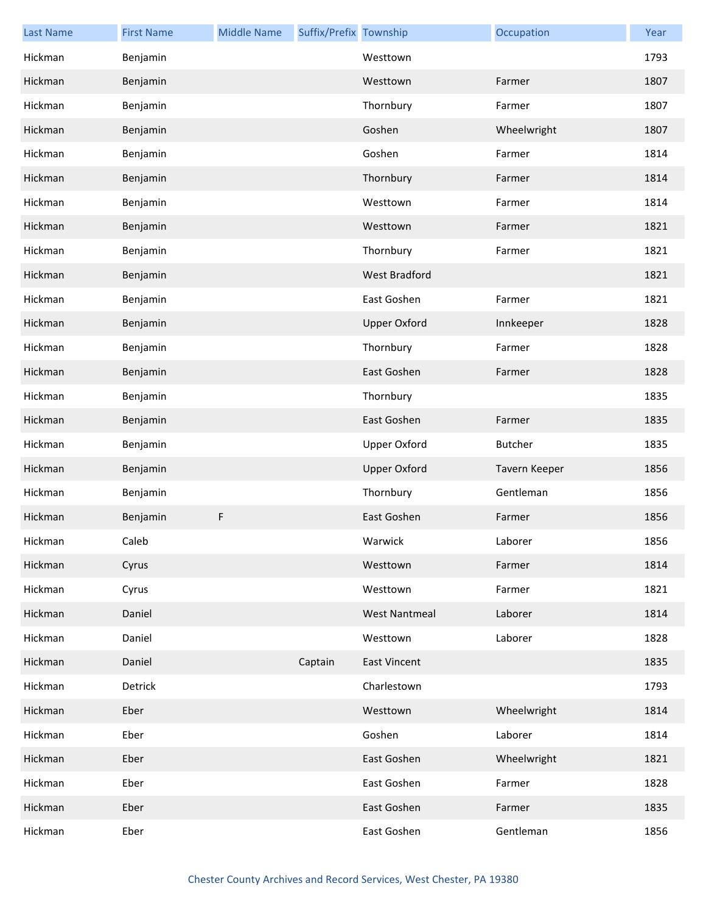| <b>Last Name</b> | <b>First Name</b> | <b>Middle Name</b> | Suffix/Prefix Township |                      | Occupation     | Year |
|------------------|-------------------|--------------------|------------------------|----------------------|----------------|------|
| Hickman          | Benjamin          |                    |                        | Westtown             |                | 1793 |
| Hickman          | Benjamin          |                    |                        | Westtown             | Farmer         | 1807 |
| Hickman          | Benjamin          |                    |                        | Thornbury            | Farmer         | 1807 |
| Hickman          | Benjamin          |                    |                        | Goshen               | Wheelwright    | 1807 |
| Hickman          | Benjamin          |                    |                        | Goshen               | Farmer         | 1814 |
| Hickman          | Benjamin          |                    |                        | Thornbury            | Farmer         | 1814 |
| Hickman          | Benjamin          |                    |                        | Westtown             | Farmer         | 1814 |
| Hickman          | Benjamin          |                    |                        | Westtown             | Farmer         | 1821 |
| Hickman          | Benjamin          |                    |                        | Thornbury            | Farmer         | 1821 |
| Hickman          | Benjamin          |                    |                        | <b>West Bradford</b> |                | 1821 |
| Hickman          | Benjamin          |                    |                        | East Goshen          | Farmer         | 1821 |
| Hickman          | Benjamin          |                    |                        | <b>Upper Oxford</b>  | Innkeeper      | 1828 |
| Hickman          | Benjamin          |                    |                        | Thornbury            | Farmer         | 1828 |
| Hickman          | Benjamin          |                    |                        | East Goshen          | Farmer         | 1828 |
| Hickman          | Benjamin          |                    |                        | Thornbury            |                | 1835 |
| Hickman          | Benjamin          |                    |                        | East Goshen          | Farmer         | 1835 |
| Hickman          | Benjamin          |                    |                        | <b>Upper Oxford</b>  | <b>Butcher</b> | 1835 |
| Hickman          | Benjamin          |                    |                        | <b>Upper Oxford</b>  | Tavern Keeper  | 1856 |
| Hickman          | Benjamin          |                    |                        | Thornbury            | Gentleman      | 1856 |
| Hickman          | Benjamin          | F                  |                        | East Goshen          | Farmer         | 1856 |
| Hickman          | Caleb             |                    |                        | Warwick              | Laborer        | 1856 |
| Hickman          | Cyrus             |                    |                        | Westtown             | Farmer         | 1814 |
| Hickman          | Cyrus             |                    |                        | Westtown             | Farmer         | 1821 |
| Hickman          | Daniel            |                    |                        | <b>West Nantmeal</b> | Laborer        | 1814 |
| Hickman          | Daniel            |                    |                        | Westtown             | Laborer        | 1828 |
| Hickman          | Daniel            |                    | Captain                | <b>East Vincent</b>  |                | 1835 |
| Hickman          | Detrick           |                    |                        | Charlestown          |                | 1793 |
| Hickman          | Eber              |                    |                        | Westtown             | Wheelwright    | 1814 |
| Hickman          | Eber              |                    |                        | Goshen               | Laborer        | 1814 |
| Hickman          | Eber              |                    |                        | East Goshen          | Wheelwright    | 1821 |
| Hickman          | Eber              |                    |                        | East Goshen          | Farmer         | 1828 |
| Hickman          | Eber              |                    |                        | East Goshen          | Farmer         | 1835 |
| Hickman          | Eber              |                    |                        | East Goshen          | Gentleman      | 1856 |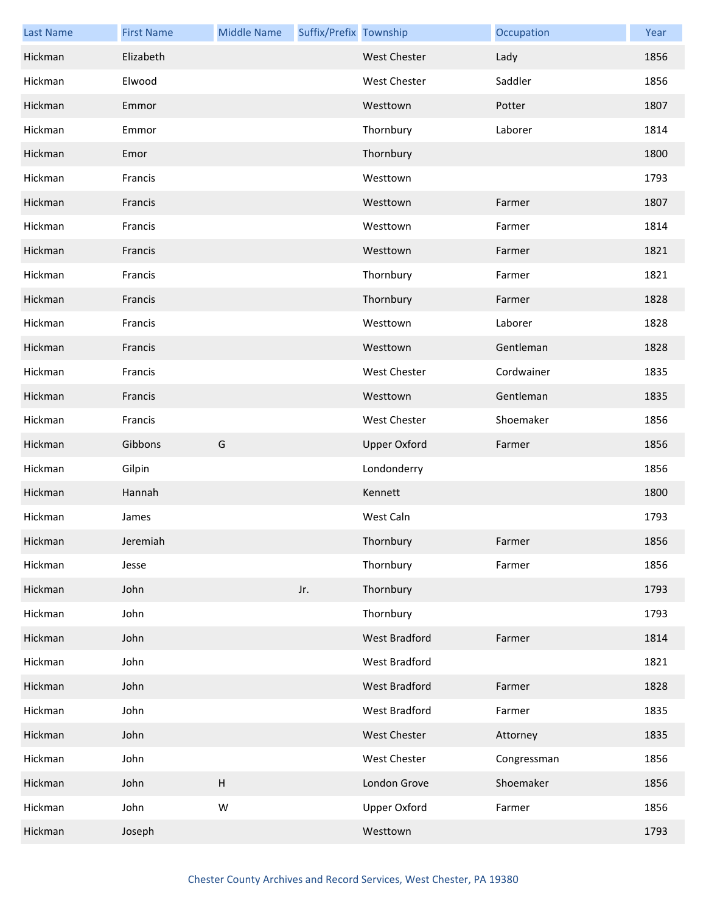| <b>Last Name</b> | <b>First Name</b> | <b>Middle Name</b>        | Suffix/Prefix Township |                     | Occupation  | Year |
|------------------|-------------------|---------------------------|------------------------|---------------------|-------------|------|
| Hickman          | Elizabeth         |                           |                        | <b>West Chester</b> | Lady        | 1856 |
| Hickman          | Elwood            |                           |                        | <b>West Chester</b> | Saddler     | 1856 |
| Hickman          | Emmor             |                           |                        | Westtown            | Potter      | 1807 |
| Hickman          | Emmor             |                           |                        | Thornbury           | Laborer     | 1814 |
| Hickman          | Emor              |                           |                        | Thornbury           |             | 1800 |
| Hickman          | Francis           |                           |                        | Westtown            |             | 1793 |
| Hickman          | Francis           |                           |                        | Westtown            | Farmer      | 1807 |
| Hickman          | Francis           |                           |                        | Westtown            | Farmer      | 1814 |
| Hickman          | Francis           |                           |                        | Westtown            | Farmer      | 1821 |
| Hickman          | Francis           |                           |                        | Thornbury           | Farmer      | 1821 |
| Hickman          | Francis           |                           |                        | Thornbury           | Farmer      | 1828 |
| Hickman          | Francis           |                           |                        | Westtown            | Laborer     | 1828 |
| Hickman          | Francis           |                           |                        | Westtown            | Gentleman   | 1828 |
| Hickman          | Francis           |                           |                        | <b>West Chester</b> | Cordwainer  | 1835 |
| Hickman          | Francis           |                           |                        | Westtown            | Gentleman   | 1835 |
| Hickman          | Francis           |                           |                        | <b>West Chester</b> | Shoemaker   | 1856 |
| Hickman          | Gibbons           | G                         |                        | <b>Upper Oxford</b> | Farmer      | 1856 |
| Hickman          | Gilpin            |                           |                        | Londonderry         |             | 1856 |
| Hickman          | Hannah            |                           |                        | Kennett             |             | 1800 |
| Hickman          | James             |                           |                        | West Caln           |             | 1793 |
| Hickman          | Jeremiah          |                           |                        | Thornbury           | Farmer      | 1856 |
| Hickman          | Jesse             |                           |                        | Thornbury           | Farmer      | 1856 |
| Hickman          | John              |                           | Jr.                    | Thornbury           |             | 1793 |
| Hickman          | John              |                           |                        | Thornbury           |             | 1793 |
| Hickman          | John              |                           |                        | West Bradford       | Farmer      | 1814 |
| Hickman          | John              |                           |                        | West Bradford       |             | 1821 |
| Hickman          | John              |                           |                        | West Bradford       | Farmer      | 1828 |
| Hickman          | John              |                           |                        | West Bradford       | Farmer      | 1835 |
| Hickman          | John              |                           |                        | West Chester        | Attorney    | 1835 |
| Hickman          | John              |                           |                        | West Chester        | Congressman | 1856 |
| Hickman          | John              | $\boldsymbol{\mathsf{H}}$ |                        | London Grove        | Shoemaker   | 1856 |
| Hickman          | John              | W                         |                        | Upper Oxford        | Farmer      | 1856 |
| Hickman          | Joseph            |                           |                        | Westtown            |             | 1793 |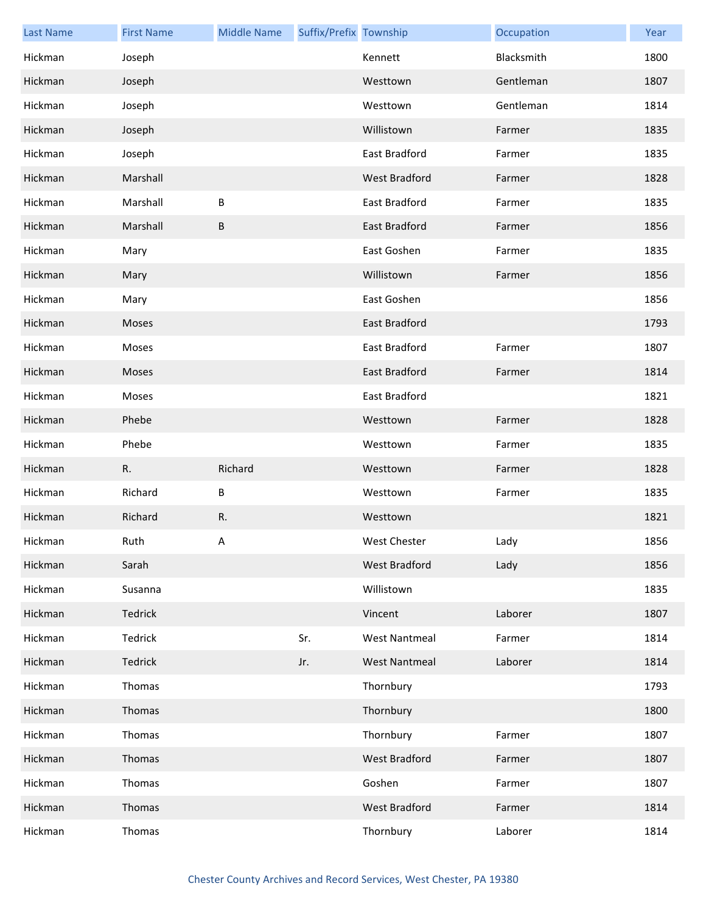| <b>Last Name</b> | <b>First Name</b> | <b>Middle Name</b> | Suffix/Prefix Township |                      | Occupation | Year |
|------------------|-------------------|--------------------|------------------------|----------------------|------------|------|
| Hickman          | Joseph            |                    |                        | Kennett              | Blacksmith | 1800 |
| Hickman          | Joseph            |                    |                        | Westtown             | Gentleman  | 1807 |
| Hickman          | Joseph            |                    |                        | Westtown             | Gentleman  | 1814 |
| Hickman          | Joseph            |                    |                        | Willistown           | Farmer     | 1835 |
| Hickman          | Joseph            |                    |                        | East Bradford        | Farmer     | 1835 |
| Hickman          | Marshall          |                    |                        | <b>West Bradford</b> | Farmer     | 1828 |
| Hickman          | Marshall          | B                  |                        | East Bradford        | Farmer     | 1835 |
| Hickman          | Marshall          | $\sf B$            |                        | East Bradford        | Farmer     | 1856 |
| Hickman          | Mary              |                    |                        | East Goshen          | Farmer     | 1835 |
| Hickman          | Mary              |                    |                        | Willistown           | Farmer     | 1856 |
| Hickman          | Mary              |                    |                        | East Goshen          |            | 1856 |
| Hickman          | Moses             |                    |                        | East Bradford        |            | 1793 |
| Hickman          | Moses             |                    |                        | East Bradford        | Farmer     | 1807 |
| Hickman          | Moses             |                    |                        | East Bradford        | Farmer     | 1814 |
| Hickman          | Moses             |                    |                        | East Bradford        |            | 1821 |
| Hickman          | Phebe             |                    |                        | Westtown             | Farmer     | 1828 |
| Hickman          | Phebe             |                    |                        | Westtown             | Farmer     | 1835 |
| Hickman          | R.                | Richard            |                        | Westtown             | Farmer     | 1828 |
| Hickman          | Richard           | В                  |                        | Westtown             | Farmer     | 1835 |
| Hickman          | Richard           | R.                 |                        | Westtown             |            | 1821 |
| Hickman          | Ruth              | Α                  |                        | West Chester         | Lady       | 1856 |
| Hickman          | Sarah             |                    |                        | West Bradford        | Lady       | 1856 |
| Hickman          | Susanna           |                    |                        | Willistown           |            | 1835 |
| Hickman          | Tedrick           |                    |                        | Vincent              | Laborer    | 1807 |
| Hickman          | Tedrick           |                    | Sr.                    | <b>West Nantmeal</b> | Farmer     | 1814 |
| Hickman          | Tedrick           |                    | Jr.                    | <b>West Nantmeal</b> | Laborer    | 1814 |
| Hickman          | Thomas            |                    |                        | Thornbury            |            | 1793 |
| Hickman          | Thomas            |                    |                        | Thornbury            |            | 1800 |
| Hickman          | Thomas            |                    |                        | Thornbury            | Farmer     | 1807 |
| Hickman          | Thomas            |                    |                        | West Bradford        | Farmer     | 1807 |
| Hickman          | Thomas            |                    |                        | Goshen               | Farmer     | 1807 |
| Hickman          | Thomas            |                    |                        | West Bradford        | Farmer     | 1814 |
| Hickman          | Thomas            |                    |                        | Thornbury            | Laborer    | 1814 |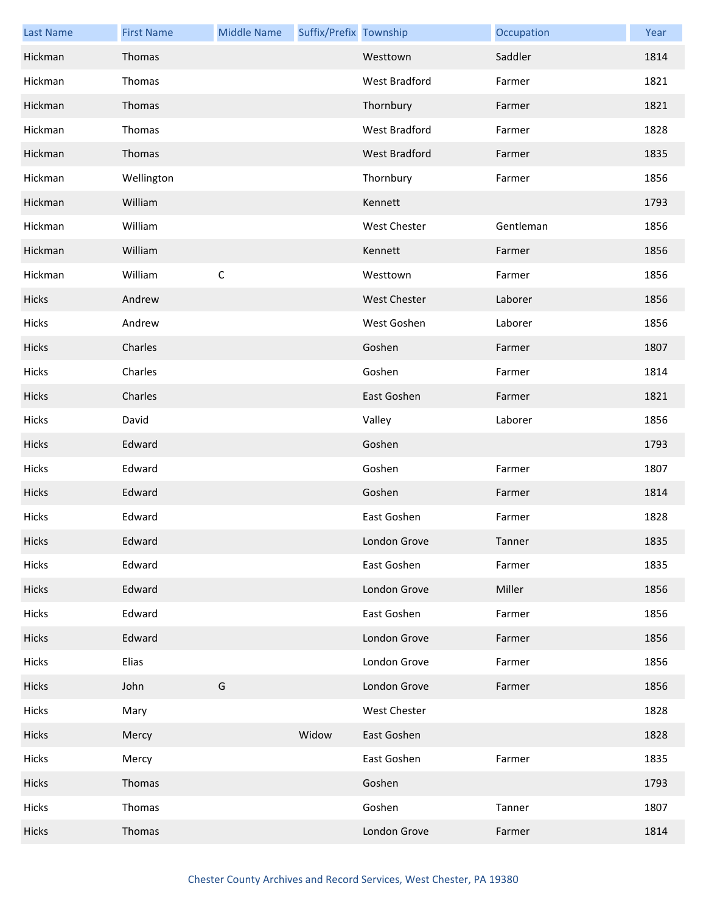| <b>Last Name</b> | <b>First Name</b> | <b>Middle Name</b> | Suffix/Prefix Township |                     | Occupation | Year |
|------------------|-------------------|--------------------|------------------------|---------------------|------------|------|
| Hickman          | Thomas            |                    |                        | Westtown            | Saddler    | 1814 |
| Hickman          | Thomas            |                    |                        | West Bradford       | Farmer     | 1821 |
| Hickman          | Thomas            |                    |                        | Thornbury           | Farmer     | 1821 |
| Hickman          | Thomas            |                    |                        | West Bradford       | Farmer     | 1828 |
| Hickman          | Thomas            |                    |                        | West Bradford       | Farmer     | 1835 |
| Hickman          | Wellington        |                    |                        | Thornbury           | Farmer     | 1856 |
| Hickman          | William           |                    |                        | Kennett             |            | 1793 |
| Hickman          | William           |                    |                        | <b>West Chester</b> | Gentleman  | 1856 |
| Hickman          | William           |                    |                        | Kennett             | Farmer     | 1856 |
| Hickman          | William           | $\mathsf C$        |                        | Westtown            | Farmer     | 1856 |
| Hicks            | Andrew            |                    |                        | <b>West Chester</b> | Laborer    | 1856 |
| Hicks            | Andrew            |                    |                        | West Goshen         | Laborer    | 1856 |
| Hicks            | Charles           |                    |                        | Goshen              | Farmer     | 1807 |
| Hicks            | Charles           |                    |                        | Goshen              | Farmer     | 1814 |
| Hicks            | Charles           |                    |                        | East Goshen         | Farmer     | 1821 |
| Hicks            | David             |                    |                        | Valley              | Laborer    | 1856 |
| Hicks            | Edward            |                    |                        | Goshen              |            | 1793 |
| Hicks            | Edward            |                    |                        | Goshen              | Farmer     | 1807 |
| Hicks            | Edward            |                    |                        | Goshen              | Farmer     | 1814 |
| Hicks            | Edward            |                    |                        | East Goshen         | Farmer     | 1828 |
| Hicks            | Edward            |                    |                        | London Grove        | Tanner     | 1835 |
| Hicks            | Edward            |                    |                        | East Goshen         | Farmer     | 1835 |
| Hicks            | Edward            |                    |                        | London Grove        | Miller     | 1856 |
| Hicks            | Edward            |                    |                        | East Goshen         | Farmer     | 1856 |
| Hicks            | Edward            |                    |                        | London Grove        | Farmer     | 1856 |
| Hicks            | Elias             |                    |                        | London Grove        | Farmer     | 1856 |
| Hicks            | John              | G                  |                        | London Grove        | Farmer     | 1856 |
| Hicks            | Mary              |                    |                        | West Chester        |            | 1828 |
| Hicks            | Mercy             |                    | Widow                  | East Goshen         |            | 1828 |
| Hicks            | Mercy             |                    |                        | East Goshen         | Farmer     | 1835 |
| Hicks            | Thomas            |                    |                        | Goshen              |            | 1793 |
| Hicks            | Thomas            |                    |                        | Goshen              | Tanner     | 1807 |
| Hicks            | Thomas            |                    |                        | London Grove        | Farmer     | 1814 |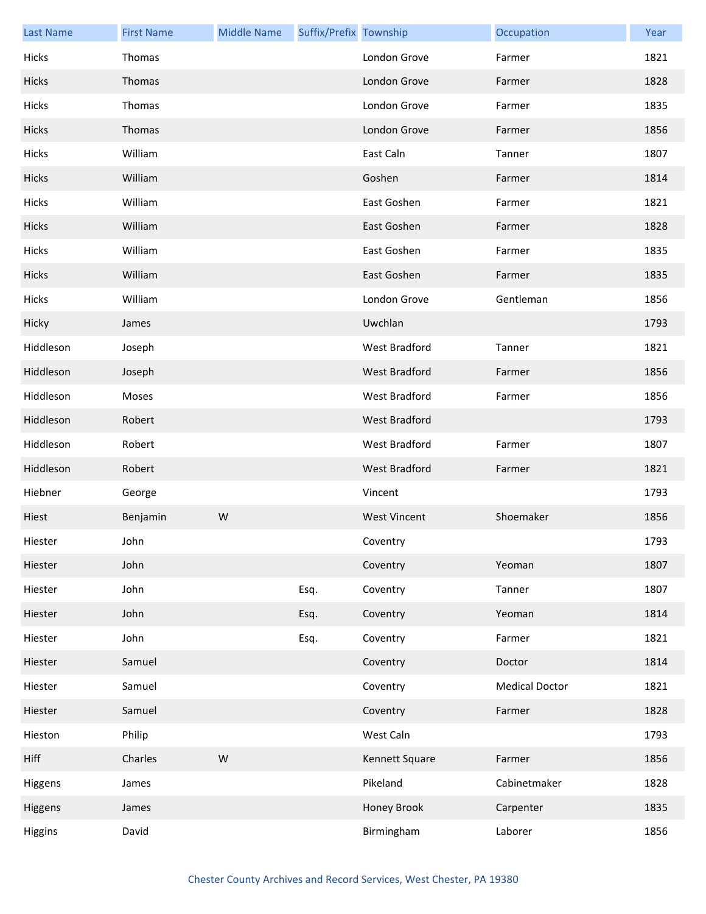| <b>Last Name</b> | <b>First Name</b> | <b>Middle Name</b> | Suffix/Prefix Township |                     | Occupation            | Year |
|------------------|-------------------|--------------------|------------------------|---------------------|-----------------------|------|
| Hicks            | Thomas            |                    |                        | London Grove        | Farmer                | 1821 |
| Hicks            | Thomas            |                    |                        | London Grove        | Farmer                | 1828 |
| Hicks            | Thomas            |                    |                        | London Grove        | Farmer                | 1835 |
| Hicks            | Thomas            |                    |                        | London Grove        | Farmer                | 1856 |
| Hicks            | William           |                    |                        | East Caln           | Tanner                | 1807 |
| Hicks            | William           |                    |                        | Goshen              | Farmer                | 1814 |
| Hicks            | William           |                    |                        | East Goshen         | Farmer                | 1821 |
| Hicks            | William           |                    |                        | East Goshen         | Farmer                | 1828 |
| Hicks            | William           |                    |                        | East Goshen         | Farmer                | 1835 |
| Hicks            | William           |                    |                        | East Goshen         | Farmer                | 1835 |
| Hicks            | William           |                    |                        | London Grove        | Gentleman             | 1856 |
| Hicky            | James             |                    |                        | Uwchlan             |                       | 1793 |
| Hiddleson        | Joseph            |                    |                        | West Bradford       | Tanner                | 1821 |
| Hiddleson        | Joseph            |                    |                        | West Bradford       | Farmer                | 1856 |
| Hiddleson        | Moses             |                    |                        | West Bradford       | Farmer                | 1856 |
| Hiddleson        | Robert            |                    |                        | West Bradford       |                       | 1793 |
| Hiddleson        | Robert            |                    |                        | West Bradford       | Farmer                | 1807 |
| Hiddleson        | Robert            |                    |                        | West Bradford       | Farmer                | 1821 |
| Hiebner          | George            |                    |                        | Vincent             |                       | 1793 |
| Hiest            | Benjamin          | W                  |                        | <b>West Vincent</b> | Shoemaker             | 1856 |
| Hiester          | John              |                    |                        | Coventry            |                       | 1793 |
| Hiester          | John              |                    |                        | Coventry            | Yeoman                | 1807 |
| Hiester          | John              |                    | Esq.                   | Coventry            | Tanner                | 1807 |
| Hiester          | John              |                    | Esq.                   | Coventry            | Yeoman                | 1814 |
| Hiester          | John              |                    | Esq.                   | Coventry            | Farmer                | 1821 |
| Hiester          | Samuel            |                    |                        | Coventry            | Doctor                | 1814 |
| Hiester          | Samuel            |                    |                        | Coventry            | <b>Medical Doctor</b> | 1821 |
| Hiester          | Samuel            |                    |                        | Coventry            | Farmer                | 1828 |
| Hieston          | Philip            |                    |                        | West Caln           |                       | 1793 |
| Hiff             | Charles           | W                  |                        | Kennett Square      | Farmer                | 1856 |
| Higgens          | James             |                    |                        | Pikeland            | Cabinetmaker          | 1828 |
| Higgens          | James             |                    |                        | Honey Brook         | Carpenter             | 1835 |
| Higgins          | David             |                    |                        | Birmingham          | Laborer               | 1856 |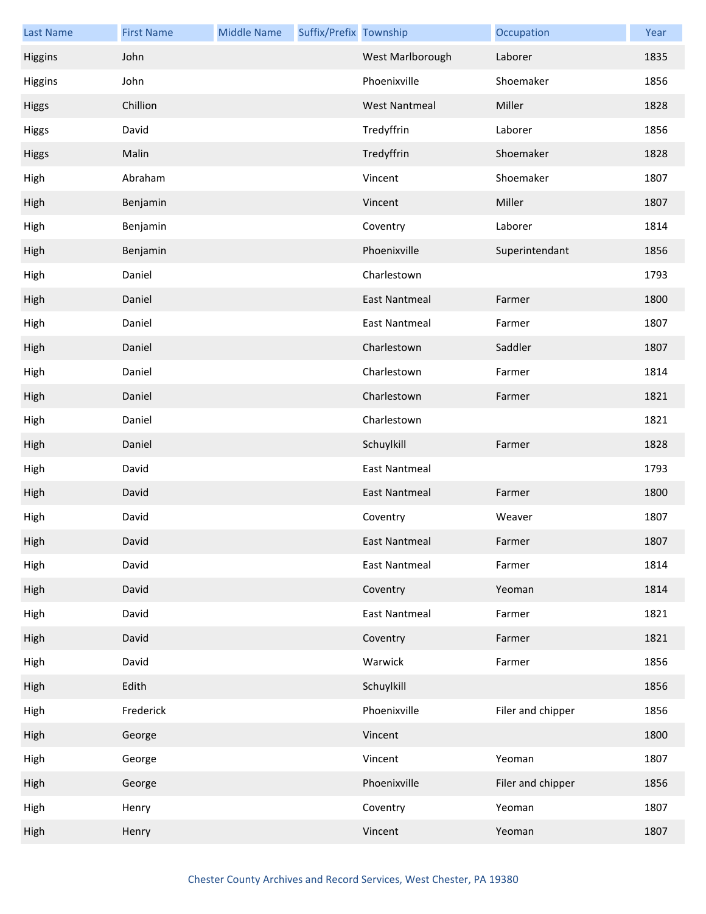| <b>Last Name</b> | <b>First Name</b> | <b>Middle Name</b> | Suffix/Prefix Township |                      | Occupation        | Year |
|------------------|-------------------|--------------------|------------------------|----------------------|-------------------|------|
| Higgins          | John              |                    |                        | West Marlborough     | Laborer           | 1835 |
| Higgins          | John              |                    |                        | Phoenixville         | Shoemaker         | 1856 |
| <b>Higgs</b>     | Chillion          |                    |                        | <b>West Nantmeal</b> | Miller            | 1828 |
| <b>Higgs</b>     | David             |                    |                        | Tredyffrin           | Laborer           | 1856 |
| <b>Higgs</b>     | Malin             |                    |                        | Tredyffrin           | Shoemaker         | 1828 |
| High             | Abraham           |                    |                        | Vincent              | Shoemaker         | 1807 |
| High             | Benjamin          |                    |                        | Vincent              | Miller            | 1807 |
| High             | Benjamin          |                    |                        | Coventry             | Laborer           | 1814 |
| High             | Benjamin          |                    |                        | Phoenixville         | Superintendant    | 1856 |
| High             | Daniel            |                    |                        | Charlestown          |                   | 1793 |
| High             | Daniel            |                    |                        | <b>East Nantmeal</b> | Farmer            | 1800 |
| High             | Daniel            |                    |                        | <b>East Nantmeal</b> | Farmer            | 1807 |
| High             | Daniel            |                    |                        | Charlestown          | Saddler           | 1807 |
| High             | Daniel            |                    |                        | Charlestown          | Farmer            | 1814 |
| High             | Daniel            |                    |                        | Charlestown          | Farmer            | 1821 |
| High             | Daniel            |                    |                        | Charlestown          |                   | 1821 |
| High             | Daniel            |                    |                        | Schuylkill           | Farmer            | 1828 |
| High             | David             |                    |                        | <b>East Nantmeal</b> |                   | 1793 |
| High             | David             |                    |                        | <b>East Nantmeal</b> | Farmer            | 1800 |
| High             | David             |                    |                        | Coventry             | Weaver            | 1807 |
| High             | David             |                    |                        | East Nantmeal        | Farmer            | 1807 |
| High             | David             |                    |                        | East Nantmeal        | Farmer            | 1814 |
| High             | David             |                    |                        | Coventry             | Yeoman            | 1814 |
| High             | David             |                    |                        | <b>East Nantmeal</b> | Farmer            | 1821 |
| High             | David             |                    |                        | Coventry             | Farmer            | 1821 |
| High             | David             |                    |                        | Warwick              | Farmer            | 1856 |
| High             | Edith             |                    |                        | Schuylkill           |                   | 1856 |
| High             | Frederick         |                    |                        | Phoenixville         | Filer and chipper | 1856 |
| High             | George            |                    |                        | Vincent              |                   | 1800 |
| High             | George            |                    |                        | Vincent              | Yeoman            | 1807 |
| High             | George            |                    |                        | Phoenixville         | Filer and chipper | 1856 |
| High             | Henry             |                    |                        | Coventry             | Yeoman            | 1807 |
| High             | Henry             |                    |                        | Vincent              | Yeoman            | 1807 |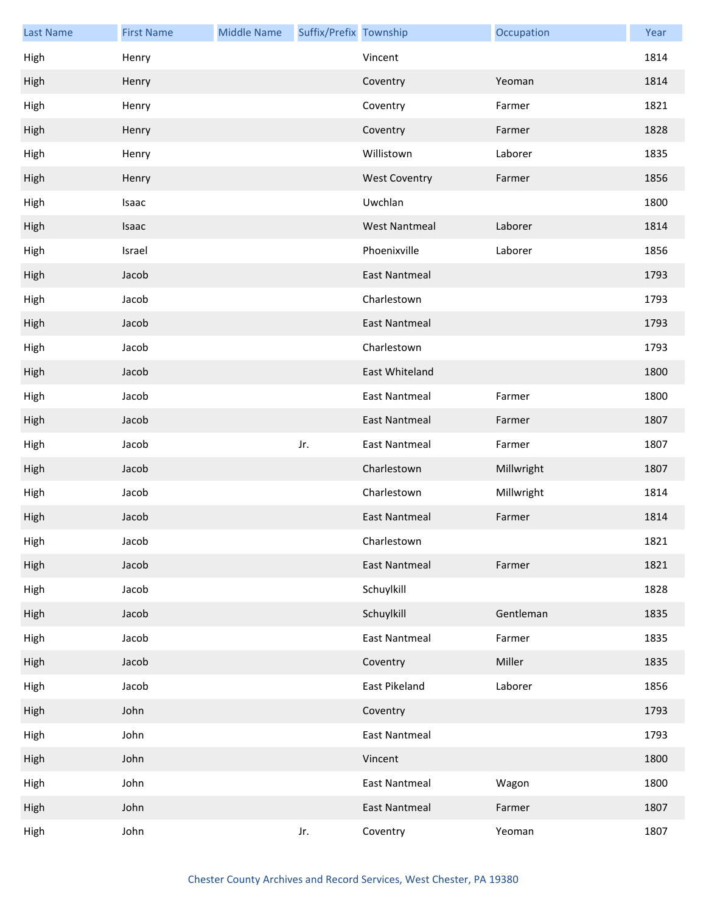| <b>Last Name</b> | <b>First Name</b> | <b>Middle Name</b> | Suffix/Prefix Township |                      | Occupation | Year |
|------------------|-------------------|--------------------|------------------------|----------------------|------------|------|
| High             | Henry             |                    |                        | Vincent              |            | 1814 |
| High             | Henry             |                    |                        | Coventry             | Yeoman     | 1814 |
| High             | Henry             |                    |                        | Coventry             | Farmer     | 1821 |
| High             | Henry             |                    |                        | Coventry             | Farmer     | 1828 |
| High             | Henry             |                    |                        | Willistown           | Laborer    | 1835 |
| High             | Henry             |                    |                        | <b>West Coventry</b> | Farmer     | 1856 |
| High             | Isaac             |                    |                        | Uwchlan              |            | 1800 |
| High             | Isaac             |                    |                        | <b>West Nantmeal</b> | Laborer    | 1814 |
| High             | Israel            |                    |                        | Phoenixville         | Laborer    | 1856 |
| High             | Jacob             |                    |                        | <b>East Nantmeal</b> |            | 1793 |
| High             | Jacob             |                    |                        | Charlestown          |            | 1793 |
| High             | Jacob             |                    |                        | <b>East Nantmeal</b> |            | 1793 |
| High             | Jacob             |                    |                        | Charlestown          |            | 1793 |
| High             | Jacob             |                    |                        | East Whiteland       |            | 1800 |
| High             | Jacob             |                    |                        | <b>East Nantmeal</b> | Farmer     | 1800 |
| High             | Jacob             |                    |                        | <b>East Nantmeal</b> | Farmer     | 1807 |
| High             | Jacob             |                    | Jr.                    | <b>East Nantmeal</b> | Farmer     | 1807 |
| High             | Jacob             |                    |                        | Charlestown          | Millwright | 1807 |
| High             | Jacob             |                    |                        | Charlestown          | Millwright | 1814 |
| High             | Jacob             |                    |                        | <b>East Nantmeal</b> | Farmer     | 1814 |
| High             | Jacob             |                    |                        | Charlestown          |            | 1821 |
| High             | Jacob             |                    |                        | <b>East Nantmeal</b> | Farmer     | 1821 |
| High             | Jacob             |                    |                        | Schuylkill           |            | 1828 |
| High             | Jacob             |                    |                        | Schuylkill           | Gentleman  | 1835 |
| High             | Jacob             |                    |                        | <b>East Nantmeal</b> | Farmer     | 1835 |
| High             | Jacob             |                    |                        | Coventry             | Miller     | 1835 |
| High             | Jacob             |                    |                        | East Pikeland        | Laborer    | 1856 |
| High             | John              |                    |                        | Coventry             |            | 1793 |
| High             | John              |                    |                        | <b>East Nantmeal</b> |            | 1793 |
| High             | John              |                    |                        | Vincent              |            | 1800 |
| High             | John              |                    |                        | East Nantmeal        | Wagon      | 1800 |
| High             | John              |                    |                        | East Nantmeal        | Farmer     | 1807 |
| High             | John              |                    | Jr.                    | Coventry             | Yeoman     | 1807 |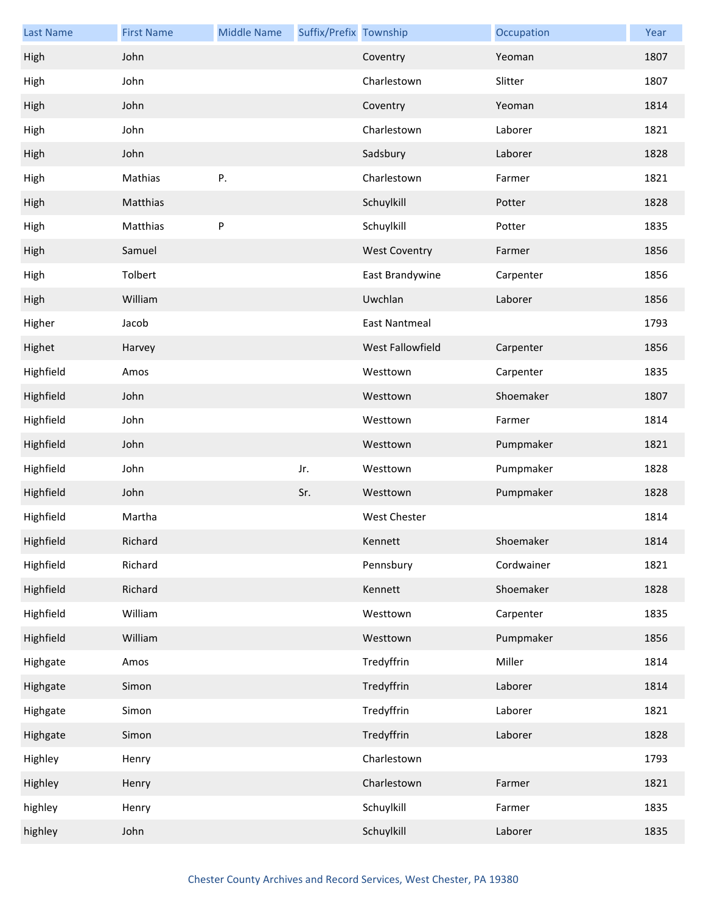| <b>Last Name</b> | <b>First Name</b> | <b>Middle Name</b> | Suffix/Prefix Township |                      | Occupation | Year |
|------------------|-------------------|--------------------|------------------------|----------------------|------------|------|
| High             | John              |                    |                        | Coventry             | Yeoman     | 1807 |
| High             | John              |                    |                        | Charlestown          | Slitter    | 1807 |
| High             | John              |                    |                        | Coventry             | Yeoman     | 1814 |
| High             | John              |                    |                        | Charlestown          | Laborer    | 1821 |
| High             | John              |                    |                        | Sadsbury             | Laborer    | 1828 |
| High             | Mathias           | Ρ.                 |                        | Charlestown          | Farmer     | 1821 |
| High             | Matthias          |                    |                        | Schuylkill           | Potter     | 1828 |
| High             | Matthias          | P                  |                        | Schuylkill           | Potter     | 1835 |
| High             | Samuel            |                    |                        | <b>West Coventry</b> | Farmer     | 1856 |
| High             | Tolbert           |                    |                        | East Brandywine      | Carpenter  | 1856 |
| High             | William           |                    |                        | Uwchlan              | Laborer    | 1856 |
| Higher           | Jacob             |                    |                        | <b>East Nantmeal</b> |            | 1793 |
| Highet           | Harvey            |                    |                        | West Fallowfield     | Carpenter  | 1856 |
| Highfield        | Amos              |                    |                        | Westtown             | Carpenter  | 1835 |
| Highfield        | John              |                    |                        | Westtown             | Shoemaker  | 1807 |
| Highfield        | John              |                    |                        | Westtown             | Farmer     | 1814 |
| Highfield        | John              |                    |                        | Westtown             | Pumpmaker  | 1821 |
| Highfield        | John              |                    | Jr.                    | Westtown             | Pumpmaker  | 1828 |
| Highfield        | John              |                    | Sr.                    | Westtown             | Pumpmaker  | 1828 |
| Highfield        | Martha            |                    |                        | <b>West Chester</b>  |            | 1814 |
| Highfield        | Richard           |                    |                        | Kennett              | Shoemaker  | 1814 |
| Highfield        | Richard           |                    |                        | Pennsbury            | Cordwainer | 1821 |
| Highfield        | Richard           |                    |                        | Kennett              | Shoemaker  | 1828 |
| Highfield        | William           |                    |                        | Westtown             | Carpenter  | 1835 |
| Highfield        | William           |                    |                        | Westtown             | Pumpmaker  | 1856 |
| Highgate         | Amos              |                    |                        | Tredyffrin           | Miller     | 1814 |
| Highgate         | Simon             |                    |                        | Tredyffrin           | Laborer    | 1814 |
| Highgate         | Simon             |                    |                        | Tredyffrin           | Laborer    | 1821 |
| Highgate         | Simon             |                    |                        | Tredyffrin           | Laborer    | 1828 |
| Highley          | Henry             |                    |                        | Charlestown          |            | 1793 |
| Highley          | Henry             |                    |                        | Charlestown          | Farmer     | 1821 |
| highley          | Henry             |                    |                        | Schuylkill           | Farmer     | 1835 |
| highley          | John              |                    |                        | Schuylkill           | Laborer    | 1835 |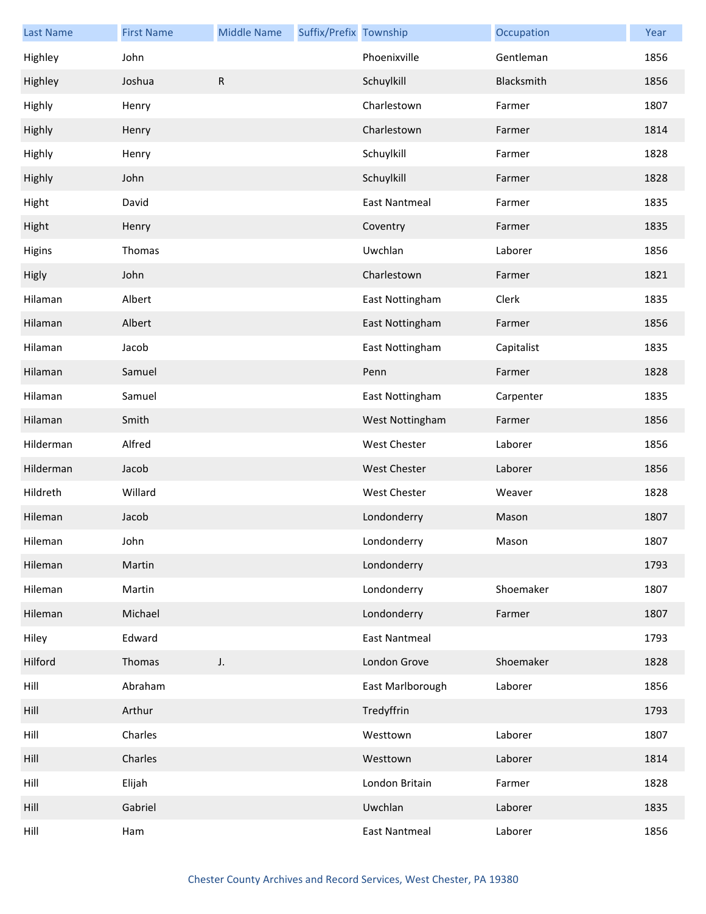| <b>Last Name</b> | <b>First Name</b> | <b>Middle Name</b> | Suffix/Prefix Township |                      | Occupation | Year |
|------------------|-------------------|--------------------|------------------------|----------------------|------------|------|
| Highley          | John              |                    |                        | Phoenixville         | Gentleman  | 1856 |
| Highley          | Joshua            | ${\sf R}$          |                        | Schuylkill           | Blacksmith | 1856 |
| Highly           | Henry             |                    |                        | Charlestown          | Farmer     | 1807 |
| Highly           | Henry             |                    |                        | Charlestown          | Farmer     | 1814 |
| Highly           | Henry             |                    |                        | Schuylkill           | Farmer     | 1828 |
| Highly           | John              |                    |                        | Schuylkill           | Farmer     | 1828 |
| Hight            | David             |                    |                        | <b>East Nantmeal</b> | Farmer     | 1835 |
| Hight            | Henry             |                    |                        | Coventry             | Farmer     | 1835 |
| Higins           | Thomas            |                    |                        | Uwchlan              | Laborer    | 1856 |
| Higly            | John              |                    |                        | Charlestown          | Farmer     | 1821 |
| Hilaman          | Albert            |                    |                        | East Nottingham      | Clerk      | 1835 |
| Hilaman          | Albert            |                    |                        | East Nottingham      | Farmer     | 1856 |
| Hilaman          | Jacob             |                    |                        | East Nottingham      | Capitalist | 1835 |
| Hilaman          | Samuel            |                    |                        | Penn                 | Farmer     | 1828 |
| Hilaman          | Samuel            |                    |                        | East Nottingham      | Carpenter  | 1835 |
| Hilaman          | Smith             |                    |                        | West Nottingham      | Farmer     | 1856 |
| Hilderman        | Alfred            |                    |                        | West Chester         | Laborer    | 1856 |
| Hilderman        | Jacob             |                    |                        | <b>West Chester</b>  | Laborer    | 1856 |
| Hildreth         | Willard           |                    |                        | West Chester         | Weaver     | 1828 |
| Hileman          | Jacob             |                    |                        | Londonderry          | Mason      | 1807 |
| Hileman          | John              |                    |                        | Londonderry          | Mason      | 1807 |
| Hileman          | Martin            |                    |                        | Londonderry          |            | 1793 |
| Hileman          | Martin            |                    |                        | Londonderry          | Shoemaker  | 1807 |
| Hileman          | Michael           |                    |                        | Londonderry          | Farmer     | 1807 |
| Hiley            | Edward            |                    |                        | <b>East Nantmeal</b> |            | 1793 |
| Hilford          | Thomas            | J.                 |                        | London Grove         | Shoemaker  | 1828 |
| Hill             | Abraham           |                    |                        | East Marlborough     | Laborer    | 1856 |
| Hill             | Arthur            |                    |                        | Tredyffrin           |            | 1793 |
| Hill             | Charles           |                    |                        | Westtown             | Laborer    | 1807 |
| Hill             | Charles           |                    |                        | Westtown             | Laborer    | 1814 |
| Hill             | Elijah            |                    |                        | London Britain       | Farmer     | 1828 |
| Hill             | Gabriel           |                    |                        | Uwchlan              | Laborer    | 1835 |
| Hill             | Ham               |                    |                        | <b>East Nantmeal</b> | Laborer    | 1856 |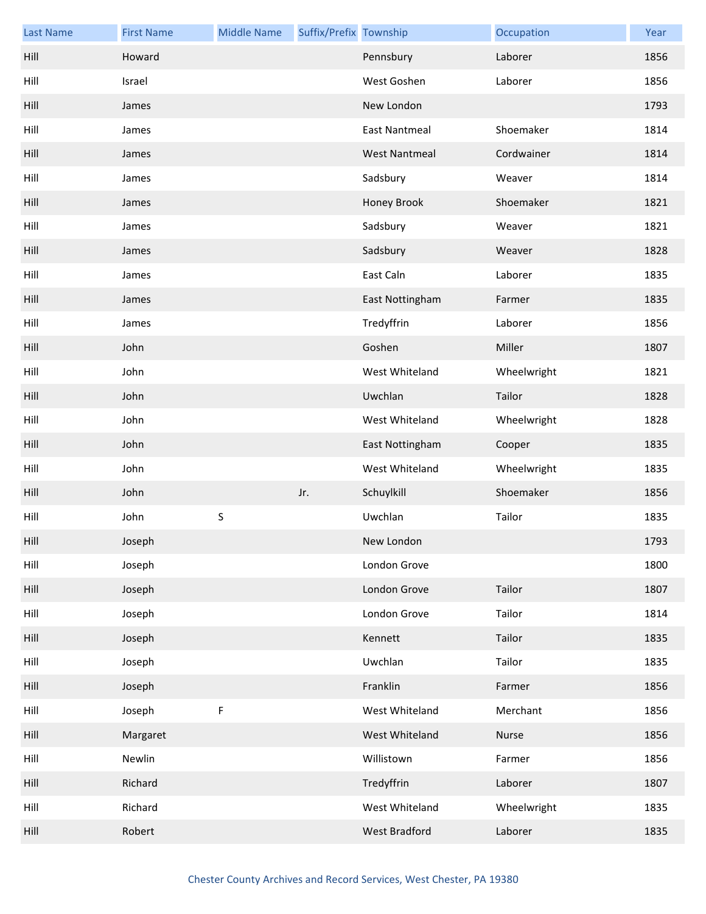| <b>Last Name</b> | <b>First Name</b> | <b>Middle Name</b> | Suffix/Prefix Township |                      | Occupation  | Year |
|------------------|-------------------|--------------------|------------------------|----------------------|-------------|------|
| Hill             | Howard            |                    |                        | Pennsbury            | Laborer     | 1856 |
| Hill             | Israel            |                    |                        | West Goshen          | Laborer     | 1856 |
| Hill             | James             |                    |                        | New London           |             | 1793 |
| Hill             | James             |                    |                        | <b>East Nantmeal</b> | Shoemaker   | 1814 |
| Hill             | James             |                    |                        | <b>West Nantmeal</b> | Cordwainer  | 1814 |
| Hill             | James             |                    |                        | Sadsbury             | Weaver      | 1814 |
| Hill             | James             |                    |                        | Honey Brook          | Shoemaker   | 1821 |
| Hill             | James             |                    |                        | Sadsbury             | Weaver      | 1821 |
| Hill             | James             |                    |                        | Sadsbury             | Weaver      | 1828 |
| Hill             | James             |                    |                        | East Caln            | Laborer     | 1835 |
| Hill             | James             |                    |                        | East Nottingham      | Farmer      | 1835 |
| Hill             | James             |                    |                        | Tredyffrin           | Laborer     | 1856 |
| Hill             | John              |                    |                        | Goshen               | Miller      | 1807 |
| Hill             | John              |                    |                        | West Whiteland       | Wheelwright | 1821 |
| Hill             | John              |                    |                        | Uwchlan              | Tailor      | 1828 |
| Hill             | John              |                    |                        | West Whiteland       | Wheelwright | 1828 |
| Hill             | John              |                    |                        | East Nottingham      | Cooper      | 1835 |
| Hill             | John              |                    |                        | West Whiteland       | Wheelwright | 1835 |
| Hill             | John              |                    | Jr.                    | Schuylkill           | Shoemaker   | 1856 |
| Hill             | John              | $\sf S$            |                        | Uwchlan              | Tailor      | 1835 |
| Hill             | Joseph            |                    |                        | New London           |             | 1793 |
| Hill             | Joseph            |                    |                        | London Grove         |             | 1800 |
| Hill             | Joseph            |                    |                        | London Grove         | Tailor      | 1807 |
| Hill             | Joseph            |                    |                        | London Grove         | Tailor      | 1814 |
| Hill             | Joseph            |                    |                        | Kennett              | Tailor      | 1835 |
| Hill             | Joseph            |                    |                        | Uwchlan              | Tailor      | 1835 |
| Hill             | Joseph            |                    |                        | Franklin             | Farmer      | 1856 |
| Hill             | Joseph            | F                  |                        | West Whiteland       | Merchant    | 1856 |
| Hill             | Margaret          |                    |                        | West Whiteland       | Nurse       | 1856 |
| Hill             | Newlin            |                    |                        | Willistown           | Farmer      | 1856 |
| Hill             | Richard           |                    |                        | Tredyffrin           | Laborer     | 1807 |
| Hill             | Richard           |                    |                        | West Whiteland       | Wheelwright | 1835 |
| Hill             | Robert            |                    |                        | <b>West Bradford</b> | Laborer     | 1835 |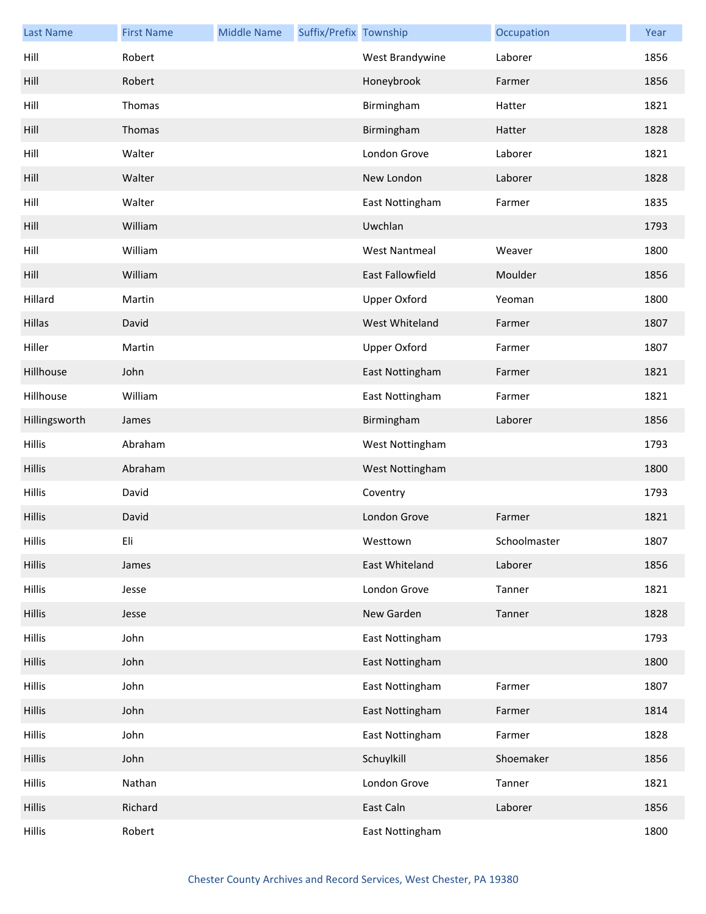| <b>Last Name</b> | <b>First Name</b> | <b>Middle Name</b> | Suffix/Prefix Township |                         | Occupation   | Year |
|------------------|-------------------|--------------------|------------------------|-------------------------|--------------|------|
| Hill             | Robert            |                    |                        | West Brandywine         | Laborer      | 1856 |
| Hill             | Robert            |                    |                        | Honeybrook              | Farmer       | 1856 |
| Hill             | Thomas            |                    |                        | Birmingham              | Hatter       | 1821 |
| Hill             | Thomas            |                    |                        | Birmingham              | Hatter       | 1828 |
| Hill             | Walter            |                    |                        | London Grove            | Laborer      | 1821 |
| Hill             | Walter            |                    |                        | New London              | Laborer      | 1828 |
| Hill             | Walter            |                    |                        | East Nottingham         | Farmer       | 1835 |
| Hill             | William           |                    |                        | Uwchlan                 |              | 1793 |
| Hill             | William           |                    |                        | <b>West Nantmeal</b>    | Weaver       | 1800 |
| Hill             | William           |                    |                        | <b>East Fallowfield</b> | Moulder      | 1856 |
| Hillard          | Martin            |                    |                        | <b>Upper Oxford</b>     | Yeoman       | 1800 |
| Hillas           | David             |                    |                        | West Whiteland          | Farmer       | 1807 |
| Hiller           | Martin            |                    |                        | <b>Upper Oxford</b>     | Farmer       | 1807 |
| Hillhouse        | John              |                    |                        | East Nottingham         | Farmer       | 1821 |
| Hillhouse        | William           |                    |                        | East Nottingham         | Farmer       | 1821 |
| Hillingsworth    | James             |                    |                        | Birmingham              | Laborer      | 1856 |
| <b>Hillis</b>    | Abraham           |                    |                        | West Nottingham         |              | 1793 |
| <b>Hillis</b>    | Abraham           |                    |                        | West Nottingham         |              | 1800 |
| <b>Hillis</b>    | David             |                    |                        | Coventry                |              | 1793 |
| <b>Hillis</b>    | David             |                    |                        | London Grove            | Farmer       | 1821 |
| <b>Hillis</b>    | Eli               |                    |                        | Westtown                | Schoolmaster | 1807 |
| <b>Hillis</b>    | James             |                    |                        | East Whiteland          | Laborer      | 1856 |
| <b>Hillis</b>    | Jesse             |                    |                        | London Grove            | Tanner       | 1821 |
| <b>Hillis</b>    | Jesse             |                    |                        | New Garden              | Tanner       | 1828 |
| <b>Hillis</b>    | John              |                    |                        | East Nottingham         |              | 1793 |
| <b>Hillis</b>    | John              |                    |                        | East Nottingham         |              | 1800 |
| <b>Hillis</b>    | John              |                    |                        | East Nottingham         | Farmer       | 1807 |
| <b>Hillis</b>    | John              |                    |                        | East Nottingham         | Farmer       | 1814 |
| <b>Hillis</b>    | John              |                    |                        | East Nottingham         | Farmer       | 1828 |
| <b>Hillis</b>    | John              |                    |                        | Schuylkill              | Shoemaker    | 1856 |
| <b>Hillis</b>    | Nathan            |                    |                        | London Grove            | Tanner       | 1821 |
| <b>Hillis</b>    | Richard           |                    |                        | East Caln               | Laborer      | 1856 |
| <b>Hillis</b>    | Robert            |                    |                        | East Nottingham         |              | 1800 |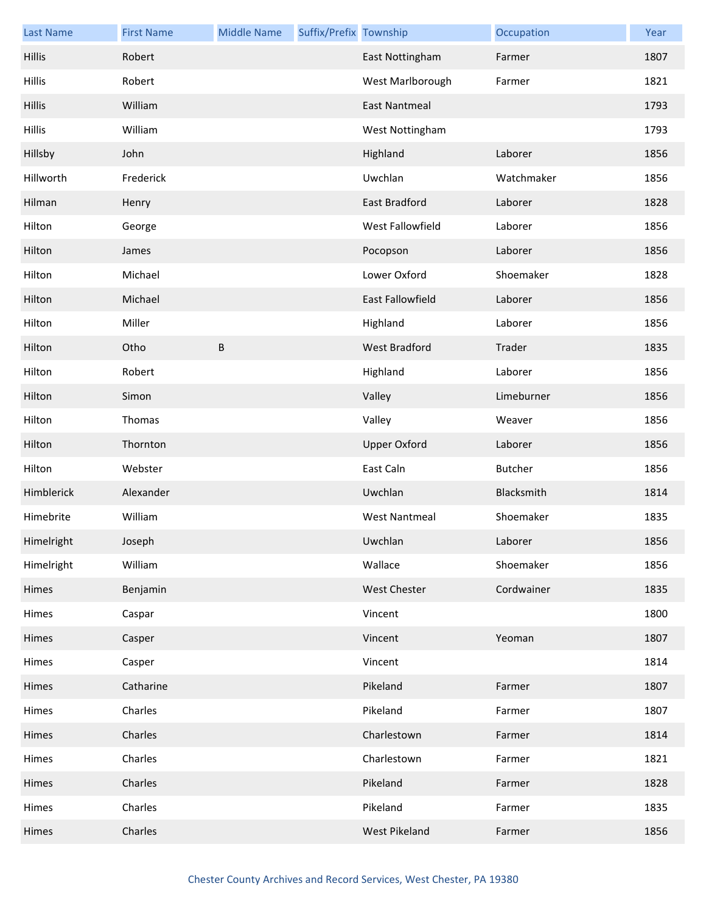| <b>Last Name</b> | <b>First Name</b> | <b>Middle Name</b> | Suffix/Prefix Township |                         | Occupation | Year |
|------------------|-------------------|--------------------|------------------------|-------------------------|------------|------|
| <b>Hillis</b>    | Robert            |                    |                        | East Nottingham         | Farmer     | 1807 |
| <b>Hillis</b>    | Robert            |                    |                        | West Marlborough        | Farmer     | 1821 |
| <b>Hillis</b>    | William           |                    |                        | <b>East Nantmeal</b>    |            | 1793 |
| <b>Hillis</b>    | William           |                    |                        | West Nottingham         |            | 1793 |
| Hillsby          | John              |                    |                        | Highland                | Laborer    | 1856 |
| Hillworth        | Frederick         |                    |                        | Uwchlan                 | Watchmaker | 1856 |
| Hilman           | Henry             |                    |                        | East Bradford           | Laborer    | 1828 |
| Hilton           | George            |                    |                        | West Fallowfield        | Laborer    | 1856 |
| Hilton           | James             |                    |                        | Pocopson                | Laborer    | 1856 |
| Hilton           | Michael           |                    |                        | Lower Oxford            | Shoemaker  | 1828 |
| Hilton           | Michael           |                    |                        | <b>East Fallowfield</b> | Laborer    | 1856 |
| Hilton           | Miller            |                    |                        | Highland                | Laborer    | 1856 |
| Hilton           | Otho              | $\sf B$            |                        | <b>West Bradford</b>    | Trader     | 1835 |
| Hilton           | Robert            |                    |                        | Highland                | Laborer    | 1856 |
| Hilton           | Simon             |                    |                        | Valley                  | Limeburner | 1856 |
| Hilton           | Thomas            |                    |                        | Valley                  | Weaver     | 1856 |
| Hilton           | Thornton          |                    |                        | <b>Upper Oxford</b>     | Laborer    | 1856 |
| Hilton           | Webster           |                    |                        | East Caln               | Butcher    | 1856 |
| Himblerick       | Alexander         |                    |                        | Uwchlan                 | Blacksmith | 1814 |
| Himebrite        | William           |                    |                        | <b>West Nantmeal</b>    | Shoemaker  | 1835 |
| Himelright       | Joseph            |                    |                        | Uwchlan                 | Laborer    | 1856 |
| Himelright       | William           |                    |                        | Wallace                 | Shoemaker  | 1856 |
| Himes            | Benjamin          |                    |                        | <b>West Chester</b>     | Cordwainer | 1835 |
| Himes            | Caspar            |                    |                        | Vincent                 |            | 1800 |
| Himes            | Casper            |                    |                        | Vincent                 | Yeoman     | 1807 |
| Himes            | Casper            |                    |                        | Vincent                 |            | 1814 |
| Himes            | Catharine         |                    |                        | Pikeland                | Farmer     | 1807 |
| Himes            | Charles           |                    |                        | Pikeland                | Farmer     | 1807 |
| Himes            | Charles           |                    |                        | Charlestown             | Farmer     | 1814 |
| Himes            | Charles           |                    |                        | Charlestown             | Farmer     | 1821 |
| Himes            | Charles           |                    |                        | Pikeland                | Farmer     | 1828 |
| Himes            | Charles           |                    |                        | Pikeland                | Farmer     | 1835 |
| Himes            | Charles           |                    |                        | West Pikeland           | Farmer     | 1856 |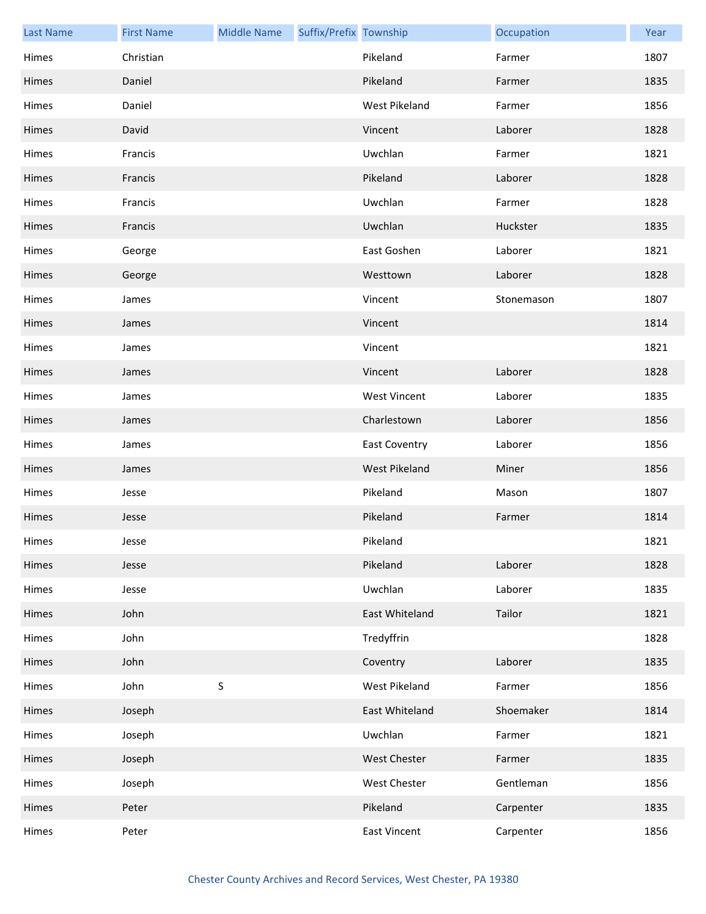| <b>Last Name</b> | <b>First Name</b> | <b>Middle Name</b> | Suffix/Prefix Township |                      | Occupation | Year |
|------------------|-------------------|--------------------|------------------------|----------------------|------------|------|
| Himes            | Christian         |                    |                        | Pikeland             | Farmer     | 1807 |
| Himes            | Daniel            |                    |                        | Pikeland             | Farmer     | 1835 |
| Himes            | Daniel            |                    |                        | West Pikeland        | Farmer     | 1856 |
| Himes            | David             |                    |                        | Vincent              | Laborer    | 1828 |
| Himes            | Francis           |                    |                        | Uwchlan              | Farmer     | 1821 |
| Himes            | Francis           |                    |                        | Pikeland             | Laborer    | 1828 |
| Himes            | Francis           |                    |                        | Uwchlan              | Farmer     | 1828 |
| Himes            | Francis           |                    |                        | Uwchlan              | Huckster   | 1835 |
| Himes            | George            |                    |                        | East Goshen          | Laborer    | 1821 |
| Himes            | George            |                    |                        | Westtown             | Laborer    | 1828 |
| Himes            | James             |                    |                        | Vincent              | Stonemason | 1807 |
| Himes            | James             |                    |                        | Vincent              |            | 1814 |
| Himes            | James             |                    |                        | Vincent              |            | 1821 |
| Himes            | James             |                    |                        | Vincent              | Laborer    | 1828 |
| Himes            | James             |                    |                        | <b>West Vincent</b>  | Laborer    | 1835 |
| Himes            | James             |                    |                        | Charlestown          | Laborer    | 1856 |
| Himes            | James             |                    |                        | <b>East Coventry</b> | Laborer    | 1856 |
| Himes            | James             |                    |                        | West Pikeland        | Miner      | 1856 |
| Himes            | Jesse             |                    |                        | Pikeland             | Mason      | 1807 |
| Himes            | Jesse             |                    |                        | Pikeland             | Farmer     | 1814 |
| Himes            | Jesse             |                    |                        | Pikeland             |            | 1821 |
| Himes            | Jesse             |                    |                        | Pikeland             | Laborer    | 1828 |
| Himes            | Jesse             |                    |                        | Uwchlan              | Laborer    | 1835 |
| Himes            | John              |                    |                        | East Whiteland       | Tailor     | 1821 |
| Himes            | John              |                    |                        | Tredyffrin           |            | 1828 |
| Himes            | John              |                    |                        | Coventry             | Laborer    | 1835 |
| Himes            | John              | $\sf S$            |                        | West Pikeland        | Farmer     | 1856 |
| Himes            | Joseph            |                    |                        | East Whiteland       | Shoemaker  | 1814 |
| Himes            | Joseph            |                    |                        | Uwchlan              | Farmer     | 1821 |
| Himes            | Joseph            |                    |                        | <b>West Chester</b>  | Farmer     | 1835 |
| Himes            | Joseph            |                    |                        | West Chester         | Gentleman  | 1856 |
| Himes            | Peter             |                    |                        | Pikeland             | Carpenter  | 1835 |
| Himes            | Peter             |                    |                        | <b>East Vincent</b>  | Carpenter  | 1856 |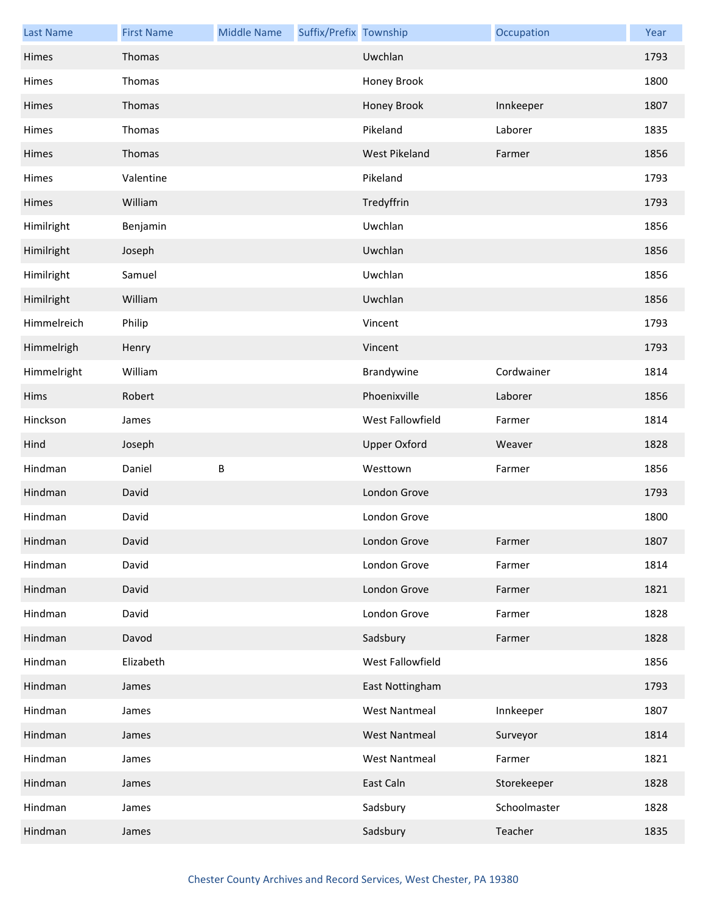| <b>Last Name</b> | <b>First Name</b> | <b>Middle Name</b> | Suffix/Prefix Township |                      | Occupation   | Year |
|------------------|-------------------|--------------------|------------------------|----------------------|--------------|------|
| Himes            | Thomas            |                    |                        | Uwchlan              |              | 1793 |
| Himes            | Thomas            |                    |                        | Honey Brook          |              | 1800 |
| Himes            | Thomas            |                    |                        | Honey Brook          | Innkeeper    | 1807 |
| Himes            | Thomas            |                    |                        | Pikeland             | Laborer      | 1835 |
| Himes            | Thomas            |                    |                        | <b>West Pikeland</b> | Farmer       | 1856 |
| Himes            | Valentine         |                    |                        | Pikeland             |              | 1793 |
| Himes            | William           |                    |                        | Tredyffrin           |              | 1793 |
| Himilright       | Benjamin          |                    |                        | Uwchlan              |              | 1856 |
| Himilright       | Joseph            |                    |                        | Uwchlan              |              | 1856 |
| Himilright       | Samuel            |                    |                        | Uwchlan              |              | 1856 |
| Himilright       | William           |                    |                        | Uwchlan              |              | 1856 |
| Himmelreich      | Philip            |                    |                        | Vincent              |              | 1793 |
| Himmelrigh       | Henry             |                    |                        | Vincent              |              | 1793 |
| Himmelright      | William           |                    |                        | Brandywine           | Cordwainer   | 1814 |
| Hims             | Robert            |                    |                        | Phoenixville         | Laborer      | 1856 |
| Hinckson         | James             |                    |                        | West Fallowfield     | Farmer       | 1814 |
| Hind             | Joseph            |                    |                        | <b>Upper Oxford</b>  | Weaver       | 1828 |
| Hindman          | Daniel            | B                  |                        | Westtown             | Farmer       | 1856 |
| Hindman          | David             |                    |                        | London Grove         |              | 1793 |
| Hindman          | David             |                    |                        | London Grove         |              | 1800 |
| Hindman          | David             |                    |                        | London Grove         | Farmer       | 1807 |
| Hindman          | David             |                    |                        | London Grove         | Farmer       | 1814 |
| Hindman          | David             |                    |                        | London Grove         | Farmer       | 1821 |
| Hindman          | David             |                    |                        | London Grove         | Farmer       | 1828 |
| Hindman          | Davod             |                    |                        | Sadsbury             | Farmer       | 1828 |
| Hindman          | Elizabeth         |                    |                        | West Fallowfield     |              | 1856 |
| Hindman          | James             |                    |                        | East Nottingham      |              | 1793 |
| Hindman          | James             |                    |                        | <b>West Nantmeal</b> | Innkeeper    | 1807 |
| Hindman          | James             |                    |                        | <b>West Nantmeal</b> | Surveyor     | 1814 |
| Hindman          | James             |                    |                        | <b>West Nantmeal</b> | Farmer       | 1821 |
| Hindman          | James             |                    |                        | East Caln            | Storekeeper  | 1828 |
| Hindman          | James             |                    |                        | Sadsbury             | Schoolmaster | 1828 |
| Hindman          | James             |                    |                        | Sadsbury             | Teacher      | 1835 |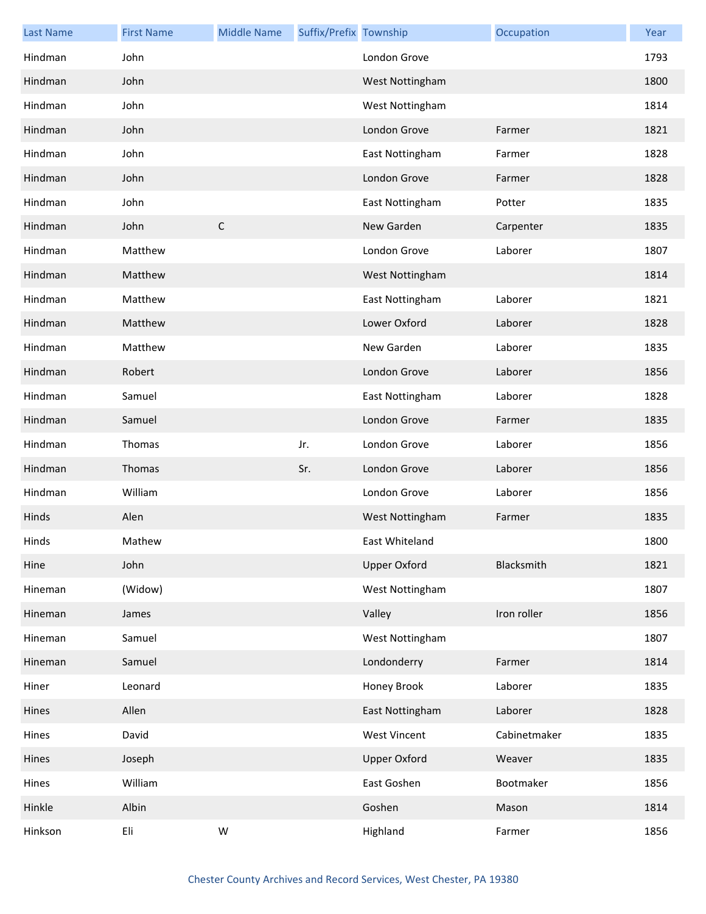| <b>Last Name</b> | <b>First Name</b> | <b>Middle Name</b> | Suffix/Prefix Township |                     | Occupation   | Year |
|------------------|-------------------|--------------------|------------------------|---------------------|--------------|------|
| Hindman          | John              |                    |                        | London Grove        |              | 1793 |
| Hindman          | John              |                    |                        | West Nottingham     |              | 1800 |
| Hindman          | John              |                    |                        | West Nottingham     |              | 1814 |
| Hindman          | John              |                    |                        | London Grove        | Farmer       | 1821 |
| Hindman          | John              |                    |                        | East Nottingham     | Farmer       | 1828 |
| Hindman          | John              |                    |                        | London Grove        | Farmer       | 1828 |
| Hindman          | John              |                    |                        | East Nottingham     | Potter       | 1835 |
| Hindman          | John              | $\mathsf C$        |                        | New Garden          | Carpenter    | 1835 |
| Hindman          | Matthew           |                    |                        | London Grove        | Laborer      | 1807 |
| Hindman          | Matthew           |                    |                        | West Nottingham     |              | 1814 |
| Hindman          | Matthew           |                    |                        | East Nottingham     | Laborer      | 1821 |
| Hindman          | Matthew           |                    |                        | Lower Oxford        | Laborer      | 1828 |
| Hindman          | Matthew           |                    |                        | New Garden          | Laborer      | 1835 |
| Hindman          | Robert            |                    |                        | London Grove        | Laborer      | 1856 |
| Hindman          | Samuel            |                    |                        | East Nottingham     | Laborer      | 1828 |
| Hindman          | Samuel            |                    |                        | London Grove        | Farmer       | 1835 |
| Hindman          | Thomas            |                    | Jr.                    | London Grove        | Laborer      | 1856 |
| Hindman          | Thomas            |                    | Sr.                    | London Grove        | Laborer      | 1856 |
| Hindman          | William           |                    |                        | London Grove        | Laborer      | 1856 |
| Hinds            | Alen              |                    |                        | West Nottingham     | Farmer       | 1835 |
| Hinds            | Mathew            |                    |                        | East Whiteland      |              | 1800 |
| Hine             | John              |                    |                        | <b>Upper Oxford</b> | Blacksmith   | 1821 |
| Hineman          | (Widow)           |                    |                        | West Nottingham     |              | 1807 |
| Hineman          | James             |                    |                        | Valley              | Iron roller  | 1856 |
| Hineman          | Samuel            |                    |                        | West Nottingham     |              | 1807 |
| Hineman          | Samuel            |                    |                        | Londonderry         | Farmer       | 1814 |
| Hiner            | Leonard           |                    |                        | Honey Brook         | Laborer      | 1835 |
| Hines            | Allen             |                    |                        | East Nottingham     | Laborer      | 1828 |
| Hines            | David             |                    |                        | <b>West Vincent</b> | Cabinetmaker | 1835 |
| Hines            | Joseph            |                    |                        | <b>Upper Oxford</b> | Weaver       | 1835 |
| Hines            | William           |                    |                        | East Goshen         | Bootmaker    | 1856 |
| Hinkle           | Albin             |                    |                        | Goshen              | Mason        | 1814 |
| Hinkson          | Eli               | ${\sf W}$          |                        | Highland            | Farmer       | 1856 |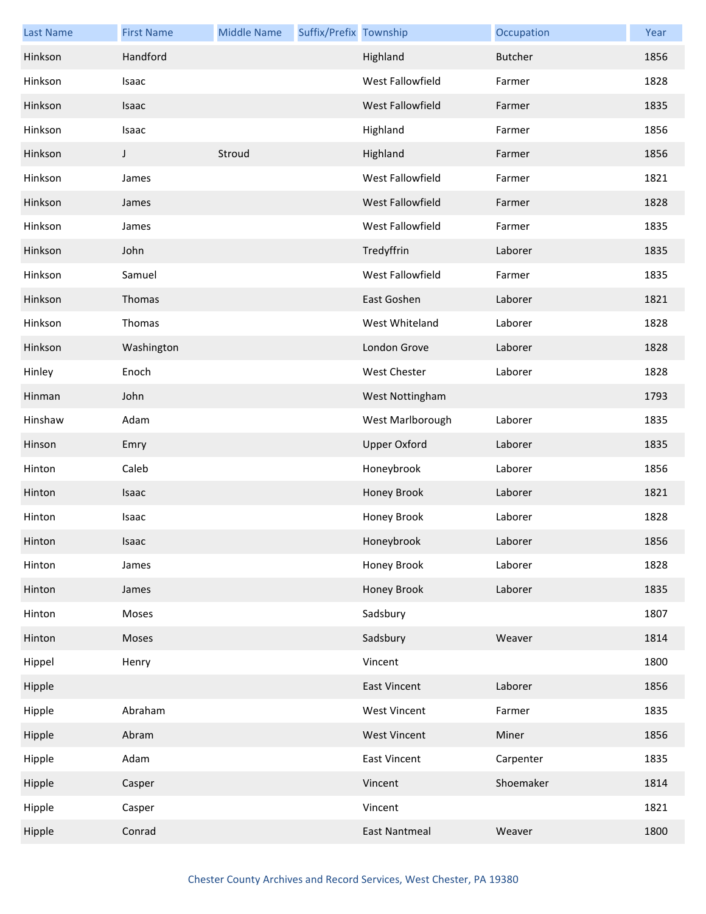| <b>Last Name</b> | <b>First Name</b> | <b>Middle Name</b> | Suffix/Prefix Township |                         | Occupation     | Year |
|------------------|-------------------|--------------------|------------------------|-------------------------|----------------|------|
| Hinkson          | Handford          |                    |                        | Highland                | <b>Butcher</b> | 1856 |
| Hinkson          | Isaac             |                    |                        | West Fallowfield        | Farmer         | 1828 |
| Hinkson          | Isaac             |                    |                        | <b>West Fallowfield</b> | Farmer         | 1835 |
| Hinkson          | Isaac             |                    |                        | Highland                | Farmer         | 1856 |
| Hinkson          | J                 | Stroud             |                        | Highland                | Farmer         | 1856 |
| Hinkson          | James             |                    |                        | West Fallowfield        | Farmer         | 1821 |
| Hinkson          | James             |                    |                        | West Fallowfield        | Farmer         | 1828 |
| Hinkson          | James             |                    |                        | West Fallowfield        | Farmer         | 1835 |
| Hinkson          | John              |                    |                        | Tredyffrin              | Laborer        | 1835 |
| Hinkson          | Samuel            |                    |                        | West Fallowfield        | Farmer         | 1835 |
| Hinkson          | Thomas            |                    |                        | East Goshen             | Laborer        | 1821 |
| Hinkson          | Thomas            |                    |                        | West Whiteland          | Laborer        | 1828 |
| Hinkson          | Washington        |                    |                        | London Grove            | Laborer        | 1828 |
| Hinley           | Enoch             |                    |                        | <b>West Chester</b>     | Laborer        | 1828 |
| Hinman           | John              |                    |                        | West Nottingham         |                | 1793 |
| Hinshaw          | Adam              |                    |                        | West Marlborough        | Laborer        | 1835 |
| Hinson           | Emry              |                    |                        | <b>Upper Oxford</b>     | Laborer        | 1835 |
| Hinton           | Caleb             |                    |                        | Honeybrook              | Laborer        | 1856 |
| Hinton           | Isaac             |                    |                        | Honey Brook             | Laborer        | 1821 |
| Hinton           | Isaac             |                    |                        | Honey Brook             | Laborer        | 1828 |
| Hinton           | Isaac             |                    |                        | Honeybrook              | Laborer        | 1856 |
| Hinton           | James             |                    |                        | Honey Brook             | Laborer        | 1828 |
| Hinton           | James             |                    |                        | Honey Brook             | Laborer        | 1835 |
| Hinton           | Moses             |                    |                        | Sadsbury                |                | 1807 |
| Hinton           | Moses             |                    |                        | Sadsbury                | Weaver         | 1814 |
| Hippel           | Henry             |                    |                        | Vincent                 |                | 1800 |
| Hipple           |                   |                    |                        | <b>East Vincent</b>     | Laborer        | 1856 |
| Hipple           | Abraham           |                    |                        | <b>West Vincent</b>     | Farmer         | 1835 |
| Hipple           | Abram             |                    |                        | <b>West Vincent</b>     | Miner          | 1856 |
| Hipple           | Adam              |                    |                        | <b>East Vincent</b>     | Carpenter      | 1835 |
| Hipple           | Casper            |                    |                        | Vincent                 | Shoemaker      | 1814 |
| Hipple           | Casper            |                    |                        | Vincent                 |                | 1821 |
| Hipple           | Conrad            |                    |                        | <b>East Nantmeal</b>    | Weaver         | 1800 |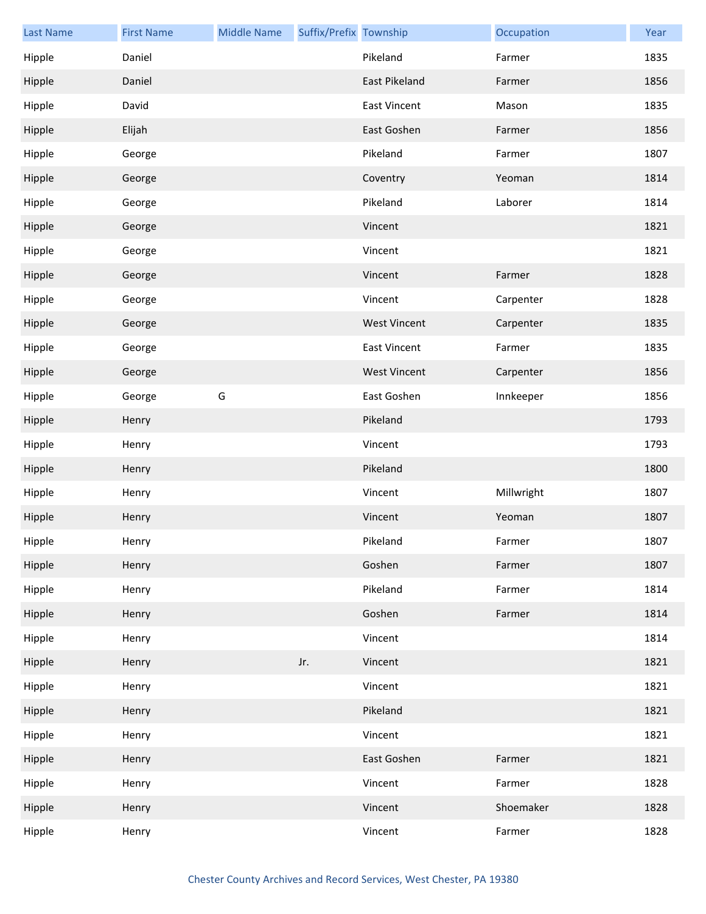| <b>Last Name</b> | <b>First Name</b> | <b>Middle Name</b> | Suffix/Prefix Township |                     | Occupation | Year |
|------------------|-------------------|--------------------|------------------------|---------------------|------------|------|
| Hipple           | Daniel            |                    |                        | Pikeland            | Farmer     | 1835 |
| Hipple           | Daniel            |                    |                        | East Pikeland       | Farmer     | 1856 |
| Hipple           | David             |                    |                        | <b>East Vincent</b> | Mason      | 1835 |
| Hipple           | Elijah            |                    |                        | East Goshen         | Farmer     | 1856 |
| Hipple           | George            |                    |                        | Pikeland            | Farmer     | 1807 |
| Hipple           | George            |                    |                        | Coventry            | Yeoman     | 1814 |
| Hipple           | George            |                    |                        | Pikeland            | Laborer    | 1814 |
| Hipple           | George            |                    |                        | Vincent             |            | 1821 |
| Hipple           | George            |                    |                        | Vincent             |            | 1821 |
| Hipple           | George            |                    |                        | Vincent             | Farmer     | 1828 |
| Hipple           | George            |                    |                        | Vincent             | Carpenter  | 1828 |
| Hipple           | George            |                    |                        | <b>West Vincent</b> | Carpenter  | 1835 |
| Hipple           | George            |                    |                        | <b>East Vincent</b> | Farmer     | 1835 |
| Hipple           | George            |                    |                        | <b>West Vincent</b> | Carpenter  | 1856 |
| Hipple           | George            | G                  |                        | East Goshen         | Innkeeper  | 1856 |
| Hipple           | Henry             |                    |                        | Pikeland            |            | 1793 |
| Hipple           | Henry             |                    |                        | Vincent             |            | 1793 |
| Hipple           | Henry             |                    |                        | Pikeland            |            | 1800 |
| Hipple           | Henry             |                    |                        | Vincent             | Millwright | 1807 |
| Hipple           | Henry             |                    |                        | Vincent             | Yeoman     | 1807 |
| Hipple           | Henry             |                    |                        | Pikeland            | Farmer     | 1807 |
| Hipple           | Henry             |                    |                        | Goshen              | Farmer     | 1807 |
| Hipple           | Henry             |                    |                        | Pikeland            | Farmer     | 1814 |
| Hipple           | Henry             |                    |                        | Goshen              | Farmer     | 1814 |
| Hipple           | Henry             |                    |                        | Vincent             |            | 1814 |
| Hipple           | Henry             |                    | Jr.                    | Vincent             |            | 1821 |
| Hipple           | Henry             |                    |                        | Vincent             |            | 1821 |
| Hipple           | Henry             |                    |                        | Pikeland            |            | 1821 |
| Hipple           | Henry             |                    |                        | Vincent             |            | 1821 |
| Hipple           | Henry             |                    |                        | East Goshen         | Farmer     | 1821 |
| Hipple           | Henry             |                    |                        | Vincent             | Farmer     | 1828 |
| Hipple           | Henry             |                    |                        | Vincent             | Shoemaker  | 1828 |
| Hipple           | Henry             |                    |                        | Vincent             | Farmer     | 1828 |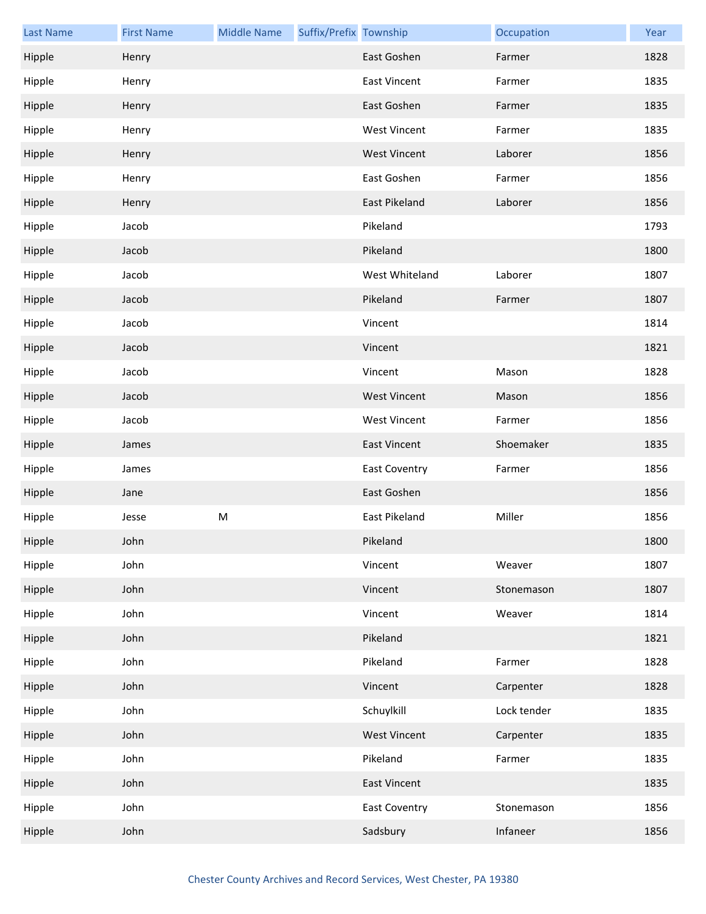| <b>Last Name</b> | <b>First Name</b> | <b>Middle Name</b> | Suffix/Prefix Township |                      | Occupation  | Year |
|------------------|-------------------|--------------------|------------------------|----------------------|-------------|------|
| Hipple           | Henry             |                    |                        | East Goshen          | Farmer      | 1828 |
| Hipple           | Henry             |                    |                        | <b>East Vincent</b>  | Farmer      | 1835 |
| Hipple           | Henry             |                    |                        | East Goshen          | Farmer      | 1835 |
| Hipple           | Henry             |                    |                        | <b>West Vincent</b>  | Farmer      | 1835 |
| Hipple           | Henry             |                    |                        | <b>West Vincent</b>  | Laborer     | 1856 |
| Hipple           | Henry             |                    |                        | East Goshen          | Farmer      | 1856 |
| Hipple           | Henry             |                    |                        | East Pikeland        | Laborer     | 1856 |
| Hipple           | Jacob             |                    |                        | Pikeland             |             | 1793 |
| Hipple           | Jacob             |                    |                        | Pikeland             |             | 1800 |
| Hipple           | Jacob             |                    |                        | West Whiteland       | Laborer     | 1807 |
| Hipple           | Jacob             |                    |                        | Pikeland             | Farmer      | 1807 |
| Hipple           | Jacob             |                    |                        | Vincent              |             | 1814 |
| Hipple           | Jacob             |                    |                        | Vincent              |             | 1821 |
| Hipple           | Jacob             |                    |                        | Vincent              | Mason       | 1828 |
| Hipple           | Jacob             |                    |                        | <b>West Vincent</b>  | Mason       | 1856 |
| Hipple           | Jacob             |                    |                        | <b>West Vincent</b>  | Farmer      | 1856 |
| Hipple           | James             |                    |                        | <b>East Vincent</b>  | Shoemaker   | 1835 |
| Hipple           | James             |                    |                        | East Coventry        | Farmer      | 1856 |
| Hipple           | Jane              |                    |                        | East Goshen          |             | 1856 |
| Hipple           | Jesse             | ${\sf M}$          |                        | East Pikeland        | Miller      | 1856 |
| Hipple           | John              |                    |                        | Pikeland             |             | 1800 |
| Hipple           | John              |                    |                        | Vincent              | Weaver      | 1807 |
| Hipple           | John              |                    |                        | Vincent              | Stonemason  | 1807 |
| Hipple           | John              |                    |                        | Vincent              | Weaver      | 1814 |
| Hipple           | John              |                    |                        | Pikeland             |             | 1821 |
| Hipple           | John              |                    |                        | Pikeland             | Farmer      | 1828 |
| Hipple           | John              |                    |                        | Vincent              | Carpenter   | 1828 |
| Hipple           | John              |                    |                        | Schuylkill           | Lock tender | 1835 |
| Hipple           | John              |                    |                        | <b>West Vincent</b>  | Carpenter   | 1835 |
| Hipple           | John              |                    |                        | Pikeland             | Farmer      | 1835 |
| Hipple           | John              |                    |                        | <b>East Vincent</b>  |             | 1835 |
| Hipple           | John              |                    |                        | <b>East Coventry</b> | Stonemason  | 1856 |
| Hipple           | John              |                    |                        | Sadsbury             | Infaneer    | 1856 |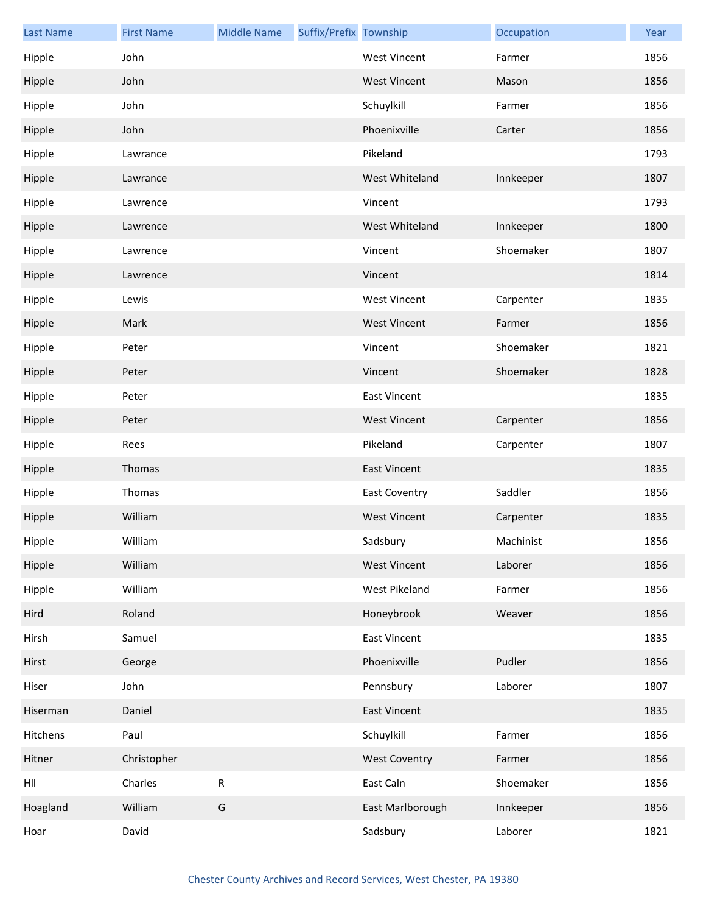| <b>Last Name</b> | <b>First Name</b> | <b>Middle Name</b> | Suffix/Prefix Township |                      | Occupation | Year |
|------------------|-------------------|--------------------|------------------------|----------------------|------------|------|
| Hipple           | John              |                    |                        | <b>West Vincent</b>  | Farmer     | 1856 |
| Hipple           | John              |                    |                        | <b>West Vincent</b>  | Mason      | 1856 |
| Hipple           | John              |                    |                        | Schuylkill           | Farmer     | 1856 |
| Hipple           | John              |                    |                        | Phoenixville         | Carter     | 1856 |
| Hipple           | Lawrance          |                    |                        | Pikeland             |            | 1793 |
| Hipple           | Lawrance          |                    |                        | West Whiteland       | Innkeeper  | 1807 |
| Hipple           | Lawrence          |                    |                        | Vincent              |            | 1793 |
| Hipple           | Lawrence          |                    |                        | West Whiteland       | Innkeeper  | 1800 |
| Hipple           | Lawrence          |                    |                        | Vincent              | Shoemaker  | 1807 |
| Hipple           | Lawrence          |                    |                        | Vincent              |            | 1814 |
| Hipple           | Lewis             |                    |                        | <b>West Vincent</b>  | Carpenter  | 1835 |
| Hipple           | Mark              |                    |                        | <b>West Vincent</b>  | Farmer     | 1856 |
| Hipple           | Peter             |                    |                        | Vincent              | Shoemaker  | 1821 |
| Hipple           | Peter             |                    |                        | Vincent              | Shoemaker  | 1828 |
| Hipple           | Peter             |                    |                        | <b>East Vincent</b>  |            | 1835 |
| Hipple           | Peter             |                    |                        | <b>West Vincent</b>  | Carpenter  | 1856 |
| Hipple           | Rees              |                    |                        | Pikeland             | Carpenter  | 1807 |
| Hipple           | Thomas            |                    |                        | <b>East Vincent</b>  |            | 1835 |
| Hipple           | Thomas            |                    |                        | East Coventry        | Saddler    | 1856 |
| Hipple           | William           |                    |                        | <b>West Vincent</b>  | Carpenter  | 1835 |
| Hipple           | William           |                    |                        | Sadsbury             | Machinist  | 1856 |
| Hipple           | William           |                    |                        | <b>West Vincent</b>  | Laborer    | 1856 |
| Hipple           | William           |                    |                        | West Pikeland        | Farmer     | 1856 |
| Hird             | Roland            |                    |                        | Honeybrook           | Weaver     | 1856 |
| Hirsh            | Samuel            |                    |                        | <b>East Vincent</b>  |            | 1835 |
| Hirst            | George            |                    |                        | Phoenixville         | Pudler     | 1856 |
| Hiser            | John              |                    |                        | Pennsbury            | Laborer    | 1807 |
| Hiserman         | Daniel            |                    |                        | <b>East Vincent</b>  |            | 1835 |
| Hitchens         | Paul              |                    |                        | Schuylkill           | Farmer     | 1856 |
| Hitner           | Christopher       |                    |                        | <b>West Coventry</b> | Farmer     | 1856 |
| HII              | Charles           | ${\sf R}$          |                        | East Caln            | Shoemaker  | 1856 |
| Hoagland         | William           | G                  |                        | East Marlborough     | Innkeeper  | 1856 |
| Hoar             | David             |                    |                        | Sadsbury             | Laborer    | 1821 |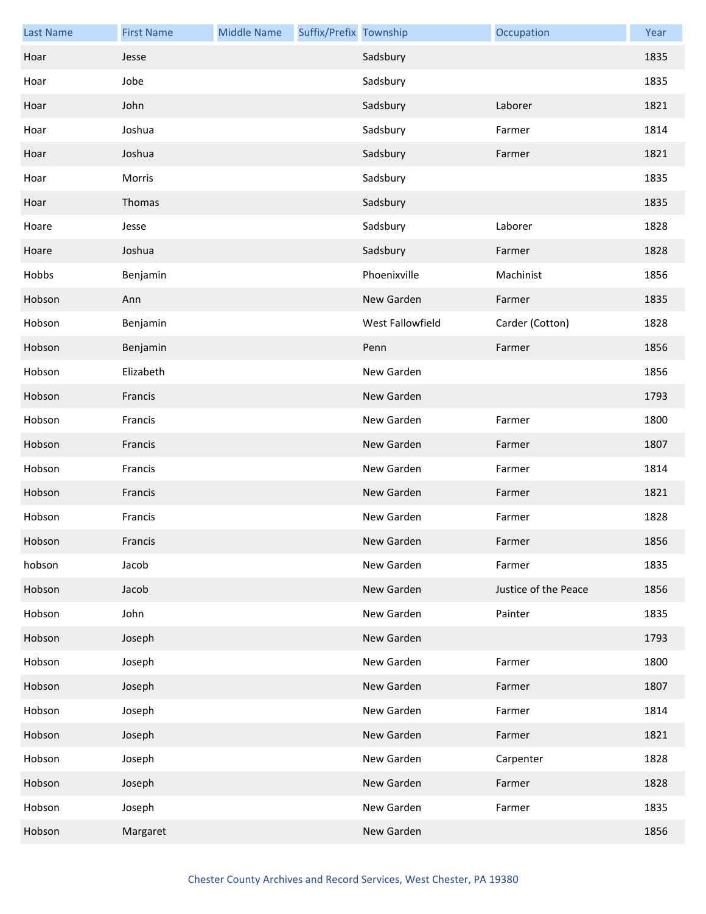| <b>Last Name</b> | <b>First Name</b> | <b>Middle Name</b> | Suffix/Prefix Township |                  | Occupation           | Year |
|------------------|-------------------|--------------------|------------------------|------------------|----------------------|------|
| Hoar             | Jesse             |                    |                        | Sadsbury         |                      | 1835 |
| Hoar             | Jobe              |                    |                        | Sadsbury         |                      | 1835 |
| Hoar             | John              |                    |                        | Sadsbury         | Laborer              | 1821 |
| Hoar             | Joshua            |                    |                        | Sadsbury         | Farmer               | 1814 |
| Hoar             | Joshua            |                    |                        | Sadsbury         | Farmer               | 1821 |
| Hoar             | Morris            |                    |                        | Sadsbury         |                      | 1835 |
| Hoar             | Thomas            |                    |                        | Sadsbury         |                      | 1835 |
| Hoare            | Jesse             |                    |                        | Sadsbury         | Laborer              | 1828 |
| Hoare            | Joshua            |                    |                        | Sadsbury         | Farmer               | 1828 |
| Hobbs            | Benjamin          |                    |                        | Phoenixville     | Machinist            | 1856 |
| Hobson           | Ann               |                    |                        | New Garden       | Farmer               | 1835 |
| Hobson           | Benjamin          |                    |                        | West Fallowfield | Carder (Cotton)      | 1828 |
| Hobson           | Benjamin          |                    |                        | Penn             | Farmer               | 1856 |
| Hobson           | Elizabeth         |                    |                        | New Garden       |                      | 1856 |
| Hobson           | Francis           |                    |                        | New Garden       |                      | 1793 |
| Hobson           | Francis           |                    |                        | New Garden       | Farmer               | 1800 |
| Hobson           | Francis           |                    |                        | New Garden       | Farmer               | 1807 |
| Hobson           | Francis           |                    |                        | New Garden       | Farmer               | 1814 |
| Hobson           | Francis           |                    |                        | New Garden       | Farmer               | 1821 |
| Hobson           | Francis           |                    |                        | New Garden       | Farmer               | 1828 |
| Hobson           | Francis           |                    |                        | New Garden       | Farmer               | 1856 |
| hobson           | Jacob             |                    |                        | New Garden       | Farmer               | 1835 |
| Hobson           | Jacob             |                    |                        | New Garden       | Justice of the Peace | 1856 |
| Hobson           | John              |                    |                        | New Garden       | Painter              | 1835 |
| Hobson           | Joseph            |                    |                        | New Garden       |                      | 1793 |
| Hobson           | Joseph            |                    |                        | New Garden       | Farmer               | 1800 |
| Hobson           | Joseph            |                    |                        | New Garden       | Farmer               | 1807 |
| Hobson           | Joseph            |                    |                        | New Garden       | Farmer               | 1814 |
| Hobson           | Joseph            |                    |                        | New Garden       | Farmer               | 1821 |
| Hobson           | Joseph            |                    |                        | New Garden       | Carpenter            | 1828 |
| Hobson           | Joseph            |                    |                        | New Garden       | Farmer               | 1828 |
| Hobson           | Joseph            |                    |                        | New Garden       | Farmer               | 1835 |
| Hobson           | Margaret          |                    |                        | New Garden       |                      | 1856 |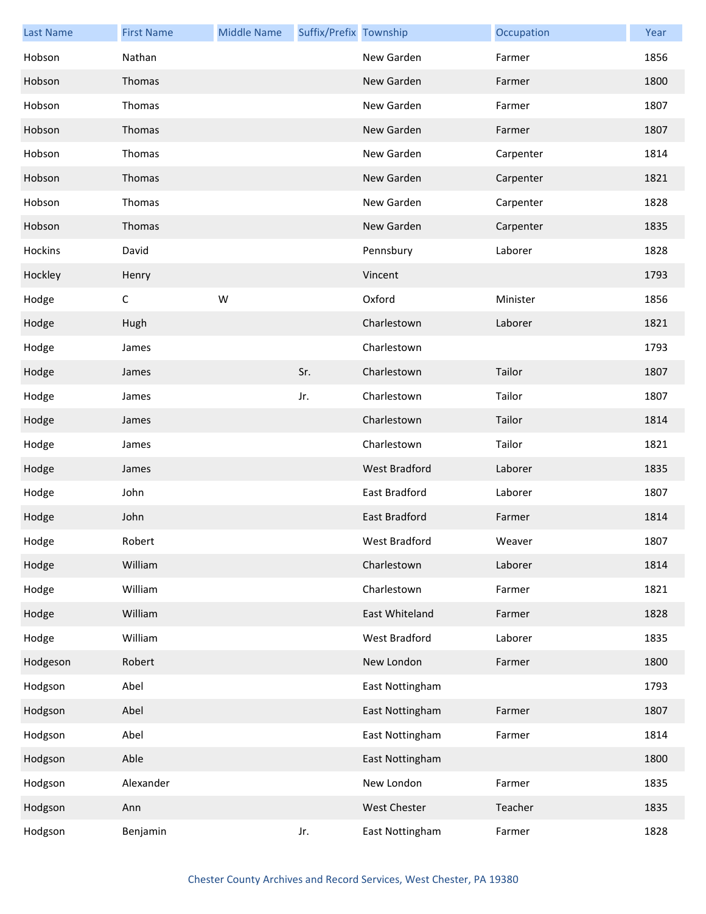| <b>Last Name</b> | <b>First Name</b> | <b>Middle Name</b> | Suffix/Prefix Township |                 | Occupation | Year |
|------------------|-------------------|--------------------|------------------------|-----------------|------------|------|
| Hobson           | Nathan            |                    |                        | New Garden      | Farmer     | 1856 |
| Hobson           | Thomas            |                    |                        | New Garden      | Farmer     | 1800 |
| Hobson           | Thomas            |                    |                        | New Garden      | Farmer     | 1807 |
| Hobson           | Thomas            |                    |                        | New Garden      | Farmer     | 1807 |
| Hobson           | Thomas            |                    |                        | New Garden      | Carpenter  | 1814 |
| Hobson           | Thomas            |                    |                        | New Garden      | Carpenter  | 1821 |
| Hobson           | Thomas            |                    |                        | New Garden      | Carpenter  | 1828 |
| Hobson           | Thomas            |                    |                        | New Garden      | Carpenter  | 1835 |
| Hockins          | David             |                    |                        | Pennsbury       | Laborer    | 1828 |
| Hockley          | Henry             |                    |                        | Vincent         |            | 1793 |
| Hodge            | $\mathsf C$       | W                  |                        | Oxford          | Minister   | 1856 |
| Hodge            | Hugh              |                    |                        | Charlestown     | Laborer    | 1821 |
| Hodge            | James             |                    |                        | Charlestown     |            | 1793 |
| Hodge            | James             |                    | Sr.                    | Charlestown     | Tailor     | 1807 |
| Hodge            | James             |                    | Jr.                    | Charlestown     | Tailor     | 1807 |
| Hodge            | James             |                    |                        | Charlestown     | Tailor     | 1814 |
| Hodge            | James             |                    |                        | Charlestown     | Tailor     | 1821 |
| Hodge            | James             |                    |                        | West Bradford   | Laborer    | 1835 |
| Hodge            | John              |                    |                        | East Bradford   | Laborer    | 1807 |
| Hodge            | John              |                    |                        | East Bradford   | Farmer     | 1814 |
| Hodge            | Robert            |                    |                        | West Bradford   | Weaver     | 1807 |
| Hodge            | William           |                    |                        | Charlestown     | Laborer    | 1814 |
| Hodge            | William           |                    |                        | Charlestown     | Farmer     | 1821 |
| Hodge            | William           |                    |                        | East Whiteland  | Farmer     | 1828 |
| Hodge            | William           |                    |                        | West Bradford   | Laborer    | 1835 |
| Hodgeson         | Robert            |                    |                        | New London      | Farmer     | 1800 |
| Hodgson          | Abel              |                    |                        | East Nottingham |            | 1793 |
| Hodgson          | Abel              |                    |                        | East Nottingham | Farmer     | 1807 |
| Hodgson          | Abel              |                    |                        | East Nottingham | Farmer     | 1814 |
| Hodgson          | Able              |                    |                        | East Nottingham |            | 1800 |
| Hodgson          | Alexander         |                    |                        | New London      | Farmer     | 1835 |
| Hodgson          | Ann               |                    |                        | West Chester    | Teacher    | 1835 |
| Hodgson          | Benjamin          |                    | Jr.                    | East Nottingham | Farmer     | 1828 |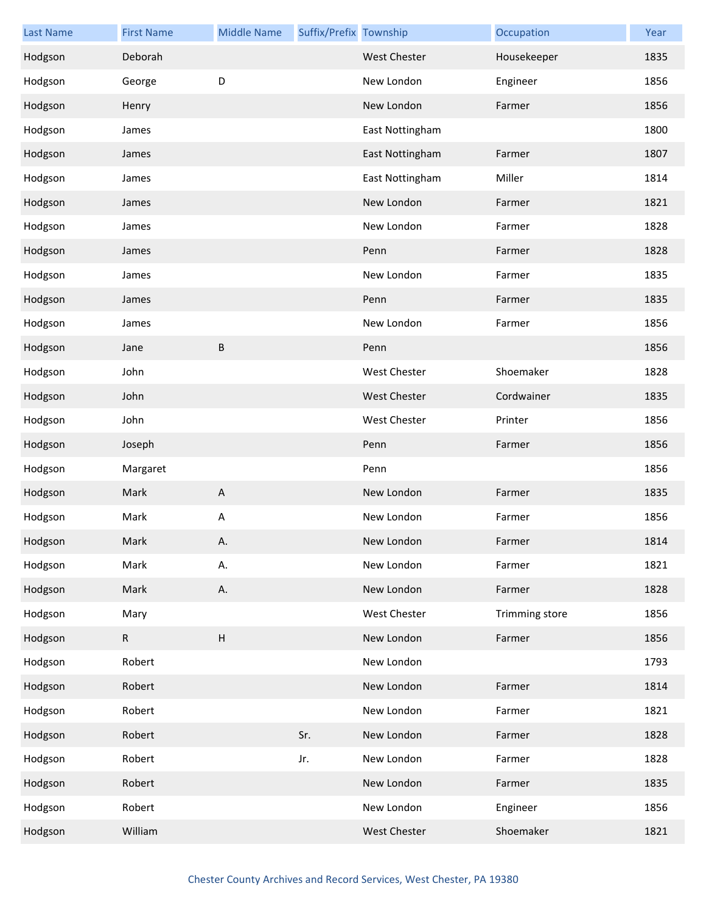| <b>Last Name</b> | <b>First Name</b> | <b>Middle Name</b>        | Suffix/Prefix Township |                     | Occupation     | Year |
|------------------|-------------------|---------------------------|------------------------|---------------------|----------------|------|
| Hodgson          | Deborah           |                           |                        | <b>West Chester</b> | Housekeeper    | 1835 |
| Hodgson          | George            | D                         |                        | New London          | Engineer       | 1856 |
| Hodgson          | Henry             |                           |                        | New London          | Farmer         | 1856 |
| Hodgson          | James             |                           |                        | East Nottingham     |                | 1800 |
| Hodgson          | James             |                           |                        | East Nottingham     | Farmer         | 1807 |
| Hodgson          | James             |                           |                        | East Nottingham     | Miller         | 1814 |
| Hodgson          | James             |                           |                        | New London          | Farmer         | 1821 |
| Hodgson          | James             |                           |                        | New London          | Farmer         | 1828 |
| Hodgson          | James             |                           |                        | Penn                | Farmer         | 1828 |
| Hodgson          | James             |                           |                        | New London          | Farmer         | 1835 |
| Hodgson          | James             |                           |                        | Penn                | Farmer         | 1835 |
| Hodgson          | James             |                           |                        | New London          | Farmer         | 1856 |
| Hodgson          | Jane              | B                         |                        | Penn                |                | 1856 |
| Hodgson          | John              |                           |                        | West Chester        | Shoemaker      | 1828 |
| Hodgson          | John              |                           |                        | West Chester        | Cordwainer     | 1835 |
| Hodgson          | John              |                           |                        | West Chester        | Printer        | 1856 |
| Hodgson          | Joseph            |                           |                        | Penn                | Farmer         | 1856 |
| Hodgson          | Margaret          |                           |                        | Penn                |                | 1856 |
| Hodgson          | Mark              | A                         |                        | New London          | Farmer         | 1835 |
| Hodgson          | Mark              | $\boldsymbol{\mathsf{A}}$ |                        | New London          | Farmer         | 1856 |
| Hodgson          | Mark              | А.                        |                        | New London          | Farmer         | 1814 |
| Hodgson          | Mark              | А.                        |                        | New London          | Farmer         | 1821 |
| Hodgson          | Mark              | Α.                        |                        | New London          | Farmer         | 1828 |
| Hodgson          | Mary              |                           |                        | West Chester        | Trimming store | 1856 |
| Hodgson          | $\mathsf{R}$      | $\boldsymbol{\mathsf{H}}$ |                        | New London          | Farmer         | 1856 |
| Hodgson          | Robert            |                           |                        | New London          |                | 1793 |
| Hodgson          | Robert            |                           |                        | New London          | Farmer         | 1814 |
| Hodgson          | Robert            |                           |                        | New London          | Farmer         | 1821 |
| Hodgson          | Robert            |                           | Sr.                    | New London          | Farmer         | 1828 |
| Hodgson          | Robert            |                           | Jr.                    | New London          | Farmer         | 1828 |
| Hodgson          | Robert            |                           |                        | New London          | Farmer         | 1835 |
| Hodgson          | Robert            |                           |                        | New London          | Engineer       | 1856 |
| Hodgson          | William           |                           |                        | West Chester        | Shoemaker      | 1821 |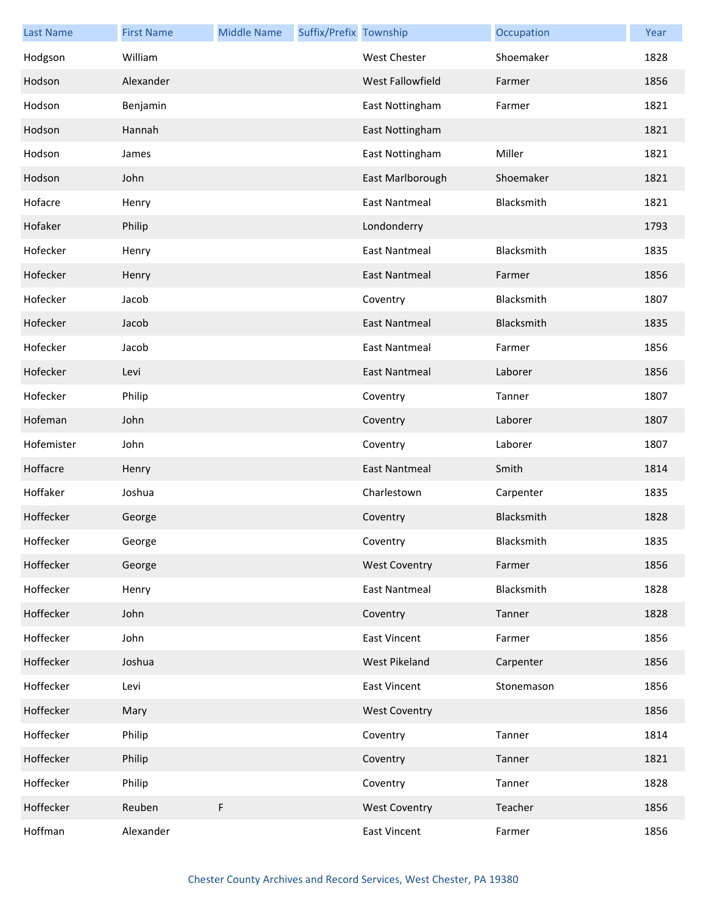| <b>Last Name</b> | <b>First Name</b> | <b>Middle Name</b> | Suffix/Prefix Township |                      | Occupation | Year |
|------------------|-------------------|--------------------|------------------------|----------------------|------------|------|
| Hodgson          | William           |                    |                        | <b>West Chester</b>  | Shoemaker  | 1828 |
| Hodson           | Alexander         |                    |                        | West Fallowfield     | Farmer     | 1856 |
| Hodson           | Benjamin          |                    |                        | East Nottingham      | Farmer     | 1821 |
| Hodson           | Hannah            |                    |                        | East Nottingham      |            | 1821 |
| Hodson           | James             |                    |                        | East Nottingham      | Miller     | 1821 |
| Hodson           | John              |                    |                        | East Marlborough     | Shoemaker  | 1821 |
| Hofacre          | Henry             |                    |                        | <b>East Nantmeal</b> | Blacksmith | 1821 |
| Hofaker          | Philip            |                    |                        | Londonderry          |            | 1793 |
| Hofecker         | Henry             |                    |                        | <b>East Nantmeal</b> | Blacksmith | 1835 |
| Hofecker         | Henry             |                    |                        | <b>East Nantmeal</b> | Farmer     | 1856 |
| Hofecker         | Jacob             |                    |                        | Coventry             | Blacksmith | 1807 |
| Hofecker         | Jacob             |                    |                        | <b>East Nantmeal</b> | Blacksmith | 1835 |
| Hofecker         | Jacob             |                    |                        | <b>East Nantmeal</b> | Farmer     | 1856 |
| Hofecker         | Levi              |                    |                        | <b>East Nantmeal</b> | Laborer    | 1856 |
| Hofecker         | Philip            |                    |                        | Coventry             | Tanner     | 1807 |
| Hofeman          | John              |                    |                        | Coventry             | Laborer    | 1807 |
| Hofemister       | John              |                    |                        | Coventry             | Laborer    | 1807 |
| Hoffacre         | Henry             |                    |                        | <b>East Nantmeal</b> | Smith      | 1814 |
| Hoffaker         | Joshua            |                    |                        | Charlestown          | Carpenter  | 1835 |
| Hoffecker        | George            |                    |                        | Coventry             | Blacksmith | 1828 |
| Hoffecker        | George            |                    |                        | Coventry             | Blacksmith | 1835 |
| Hoffecker        | George            |                    |                        | <b>West Coventry</b> | Farmer     | 1856 |
| Hoffecker        | Henry             |                    |                        | <b>East Nantmeal</b> | Blacksmith | 1828 |
| Hoffecker        | John              |                    |                        | Coventry             | Tanner     | 1828 |
| Hoffecker        | John              |                    |                        | <b>East Vincent</b>  | Farmer     | 1856 |
| Hoffecker        | Joshua            |                    |                        | West Pikeland        | Carpenter  | 1856 |
| Hoffecker        | Levi              |                    |                        | East Vincent         | Stonemason | 1856 |
| Hoffecker        | Mary              |                    |                        | <b>West Coventry</b> |            | 1856 |
| Hoffecker        | Philip            |                    |                        | Coventry             | Tanner     | 1814 |
| Hoffecker        | Philip            |                    |                        | Coventry             | Tanner     | 1821 |
| Hoffecker        | Philip            |                    |                        | Coventry             | Tanner     | 1828 |
| Hoffecker        | Reuben            | F                  |                        | <b>West Coventry</b> | Teacher    | 1856 |
| Hoffman          | Alexander         |                    |                        | <b>East Vincent</b>  | Farmer     | 1856 |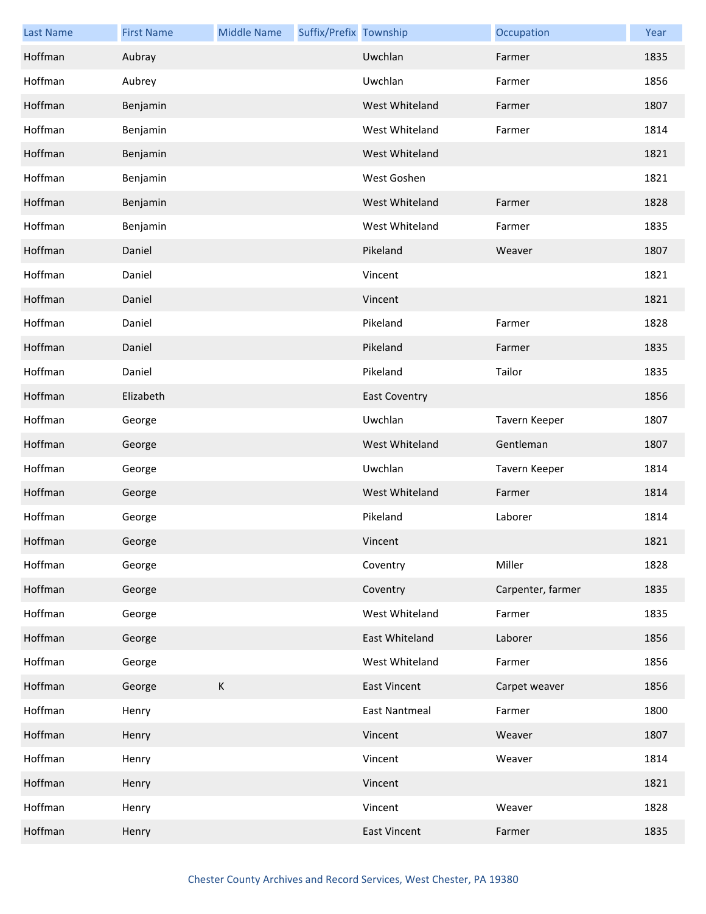| <b>Last Name</b> | <b>First Name</b> | <b>Middle Name</b> | Suffix/Prefix Township |                      | Occupation        | Year |
|------------------|-------------------|--------------------|------------------------|----------------------|-------------------|------|
| Hoffman          | Aubray            |                    |                        | Uwchlan              | Farmer            | 1835 |
| Hoffman          | Aubrey            |                    |                        | Uwchlan              | Farmer            | 1856 |
| Hoffman          | Benjamin          |                    |                        | West Whiteland       | Farmer            | 1807 |
| Hoffman          | Benjamin          |                    |                        | West Whiteland       | Farmer            | 1814 |
| Hoffman          | Benjamin          |                    |                        | West Whiteland       |                   | 1821 |
| Hoffman          | Benjamin          |                    |                        | West Goshen          |                   | 1821 |
| Hoffman          | Benjamin          |                    |                        | West Whiteland       | Farmer            | 1828 |
| Hoffman          | Benjamin          |                    |                        | West Whiteland       | Farmer            | 1835 |
| Hoffman          | Daniel            |                    |                        | Pikeland             | Weaver            | 1807 |
| Hoffman          | Daniel            |                    |                        | Vincent              |                   | 1821 |
| Hoffman          | Daniel            |                    |                        | Vincent              |                   | 1821 |
| Hoffman          | Daniel            |                    |                        | Pikeland             | Farmer            | 1828 |
| Hoffman          | Daniel            |                    |                        | Pikeland             | Farmer            | 1835 |
| Hoffman          | Daniel            |                    |                        | Pikeland             | Tailor            | 1835 |
| Hoffman          | Elizabeth         |                    |                        | <b>East Coventry</b> |                   | 1856 |
| Hoffman          | George            |                    |                        | Uwchlan              | Tavern Keeper     | 1807 |
| Hoffman          | George            |                    |                        | West Whiteland       | Gentleman         | 1807 |
| Hoffman          | George            |                    |                        | Uwchlan              | Tavern Keeper     | 1814 |
| Hoffman          | George            |                    |                        | West Whiteland       | Farmer            | 1814 |
| Hoffman          | George            |                    |                        | Pikeland             | Laborer           | 1814 |
| Hoffman          | George            |                    |                        | Vincent              |                   | 1821 |
| Hoffman          | George            |                    |                        | Coventry             | Miller            | 1828 |
| Hoffman          | George            |                    |                        | Coventry             | Carpenter, farmer | 1835 |
| Hoffman          | George            |                    |                        | West Whiteland       | Farmer            | 1835 |
| Hoffman          | George            |                    |                        | East Whiteland       | Laborer           | 1856 |
| Hoffman          | George            |                    |                        | West Whiteland       | Farmer            | 1856 |
| Hoffman          | George            | $\sf K$            |                        | <b>East Vincent</b>  | Carpet weaver     | 1856 |
| Hoffman          | Henry             |                    |                        | <b>East Nantmeal</b> | Farmer            | 1800 |
| Hoffman          | Henry             |                    |                        | Vincent              | Weaver            | 1807 |
| Hoffman          | Henry             |                    |                        | Vincent              | Weaver            | 1814 |
| Hoffman          | Henry             |                    |                        | Vincent              |                   | 1821 |
| Hoffman          | Henry             |                    |                        | Vincent              | Weaver            | 1828 |
| Hoffman          | Henry             |                    |                        | <b>East Vincent</b>  | Farmer            | 1835 |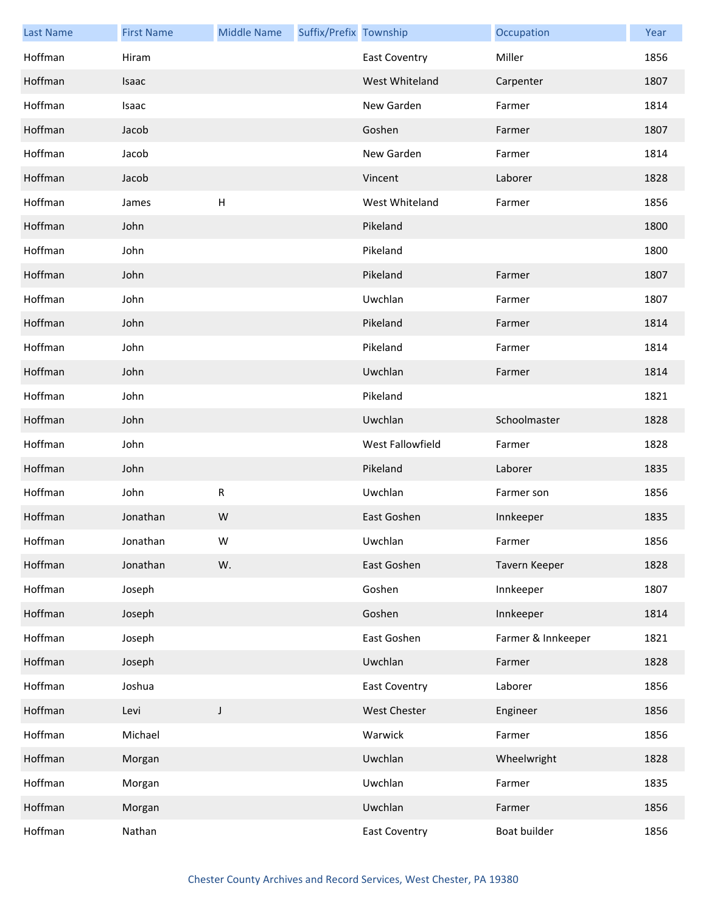| <b>Last Name</b> | <b>First Name</b> | <b>Middle Name</b> | Suffix/Prefix Township |                      | Occupation         | Year |
|------------------|-------------------|--------------------|------------------------|----------------------|--------------------|------|
| Hoffman          | Hiram             |                    |                        | <b>East Coventry</b> | Miller             | 1856 |
| Hoffman          | Isaac             |                    |                        | West Whiteland       | Carpenter          | 1807 |
| Hoffman          | Isaac             |                    |                        | New Garden           | Farmer             | 1814 |
| Hoffman          | Jacob             |                    |                        | Goshen               | Farmer             | 1807 |
| Hoffman          | Jacob             |                    |                        | New Garden           | Farmer             | 1814 |
| Hoffman          | Jacob             |                    |                        | Vincent              | Laborer            | 1828 |
| Hoffman          | James             | н                  |                        | West Whiteland       | Farmer             | 1856 |
| Hoffman          | John              |                    |                        | Pikeland             |                    | 1800 |
| Hoffman          | John              |                    |                        | Pikeland             |                    | 1800 |
| Hoffman          | John              |                    |                        | Pikeland             | Farmer             | 1807 |
| Hoffman          | John              |                    |                        | Uwchlan              | Farmer             | 1807 |
| Hoffman          | John              |                    |                        | Pikeland             | Farmer             | 1814 |
| Hoffman          | John              |                    |                        | Pikeland             | Farmer             | 1814 |
| Hoffman          | John              |                    |                        | Uwchlan              | Farmer             | 1814 |
| Hoffman          | John              |                    |                        | Pikeland             |                    | 1821 |
| Hoffman          | John              |                    |                        | Uwchlan              | Schoolmaster       | 1828 |
| Hoffman          | John              |                    |                        | West Fallowfield     | Farmer             | 1828 |
| Hoffman          | John              |                    |                        | Pikeland             | Laborer            | 1835 |
| Hoffman          | John              | R                  |                        | Uwchlan              | Farmer son         | 1856 |
| Hoffman          | Jonathan          | W                  |                        | East Goshen          | Innkeeper          | 1835 |
| Hoffman          | Jonathan          | W                  |                        | Uwchlan              | Farmer             | 1856 |
| Hoffman          | Jonathan          | W.                 |                        | East Goshen          | Tavern Keeper      | 1828 |
| Hoffman          | Joseph            |                    |                        | Goshen               | Innkeeper          | 1807 |
| Hoffman          | Joseph            |                    |                        | Goshen               | Innkeeper          | 1814 |
| Hoffman          | Joseph            |                    |                        | East Goshen          | Farmer & Innkeeper | 1821 |
| Hoffman          | Joseph            |                    |                        | Uwchlan              | Farmer             | 1828 |
| Hoffman          | Joshua            |                    |                        | <b>East Coventry</b> | Laborer            | 1856 |
| Hoffman          | Levi              | J                  |                        | West Chester         | Engineer           | 1856 |
| Hoffman          | Michael           |                    |                        | Warwick              | Farmer             | 1856 |
| Hoffman          | Morgan            |                    |                        | Uwchlan              | Wheelwright        | 1828 |
| Hoffman          | Morgan            |                    |                        | Uwchlan              | Farmer             | 1835 |
| Hoffman          | Morgan            |                    |                        | Uwchlan              | Farmer             | 1856 |
| Hoffman          | Nathan            |                    |                        | <b>East Coventry</b> | Boat builder       | 1856 |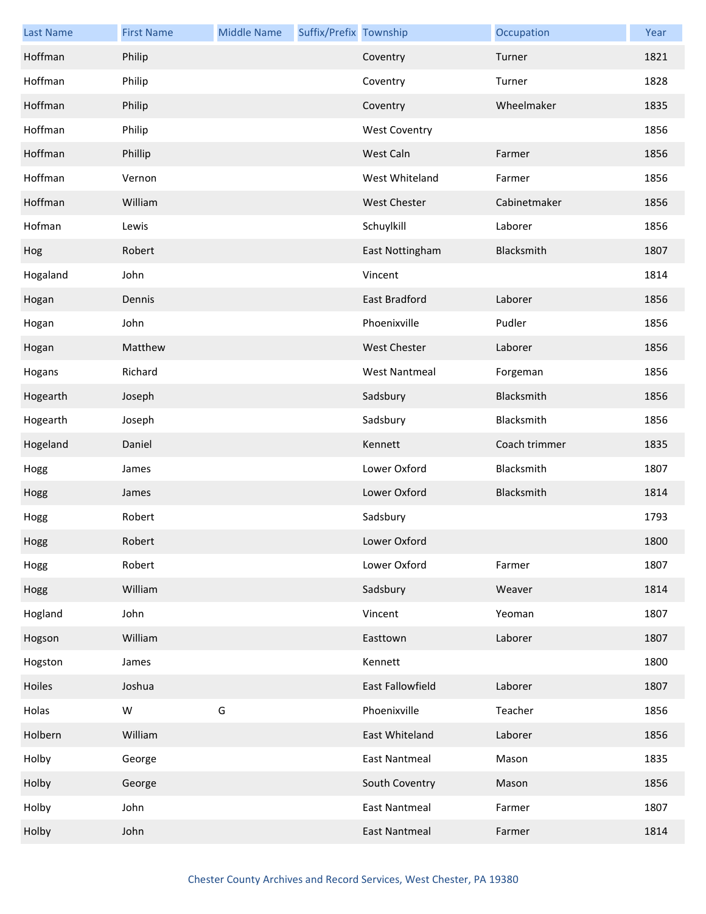| <b>Last Name</b> | <b>First Name</b> | <b>Middle Name</b> | Suffix/Prefix Township |                      | Occupation    | Year |
|------------------|-------------------|--------------------|------------------------|----------------------|---------------|------|
| Hoffman          | Philip            |                    |                        | Coventry             | Turner        | 1821 |
| Hoffman          | Philip            |                    |                        | Coventry             | Turner        | 1828 |
| Hoffman          | Philip            |                    |                        | Coventry             | Wheelmaker    | 1835 |
| Hoffman          | Philip            |                    |                        | <b>West Coventry</b> |               | 1856 |
| Hoffman          | Phillip           |                    |                        | West Caln            | Farmer        | 1856 |
| Hoffman          | Vernon            |                    |                        | West Whiteland       | Farmer        | 1856 |
| Hoffman          | William           |                    |                        | West Chester         | Cabinetmaker  | 1856 |
| Hofman           | Lewis             |                    |                        | Schuylkill           | Laborer       | 1856 |
| Hog              | Robert            |                    |                        | East Nottingham      | Blacksmith    | 1807 |
| Hogaland         | John              |                    |                        | Vincent              |               | 1814 |
| Hogan            | Dennis            |                    |                        | <b>East Bradford</b> | Laborer       | 1856 |
| Hogan            | John              |                    |                        | Phoenixville         | Pudler        | 1856 |
| Hogan            | Matthew           |                    |                        | <b>West Chester</b>  | Laborer       | 1856 |
| Hogans           | Richard           |                    |                        | <b>West Nantmeal</b> | Forgeman      | 1856 |
| Hogearth         | Joseph            |                    |                        | Sadsbury             | Blacksmith    | 1856 |
| Hogearth         | Joseph            |                    |                        | Sadsbury             | Blacksmith    | 1856 |
| Hogeland         | Daniel            |                    |                        | Kennett              | Coach trimmer | 1835 |
| Hogg             | James             |                    |                        | Lower Oxford         | Blacksmith    | 1807 |
| Hogg             | James             |                    |                        | Lower Oxford         | Blacksmith    | 1814 |
| Hogg             | Robert            |                    |                        | Sadsbury             |               | 1793 |
| Hogg             | Robert            |                    |                        | Lower Oxford         |               | 1800 |
| Hogg             | Robert            |                    |                        | Lower Oxford         | Farmer        | 1807 |
| Hogg             | William           |                    |                        | Sadsbury             | Weaver        | 1814 |
| Hogland          | John              |                    |                        | Vincent              | Yeoman        | 1807 |
| Hogson           | William           |                    |                        | Easttown             | Laborer       | 1807 |
| Hogston          | James             |                    |                        | Kennett              |               | 1800 |
| Hoiles           | Joshua            |                    |                        | East Fallowfield     | Laborer       | 1807 |
| Holas            | W                 | G                  |                        | Phoenixville         | Teacher       | 1856 |
| Holbern          | William           |                    |                        | East Whiteland       | Laborer       | 1856 |
| Holby            | George            |                    |                        | <b>East Nantmeal</b> | Mason         | 1835 |
| Holby            | George            |                    |                        | South Coventry       | Mason         | 1856 |
| Holby            | John              |                    |                        | <b>East Nantmeal</b> | Farmer        | 1807 |
| Holby            | John              |                    |                        | <b>East Nantmeal</b> | Farmer        | 1814 |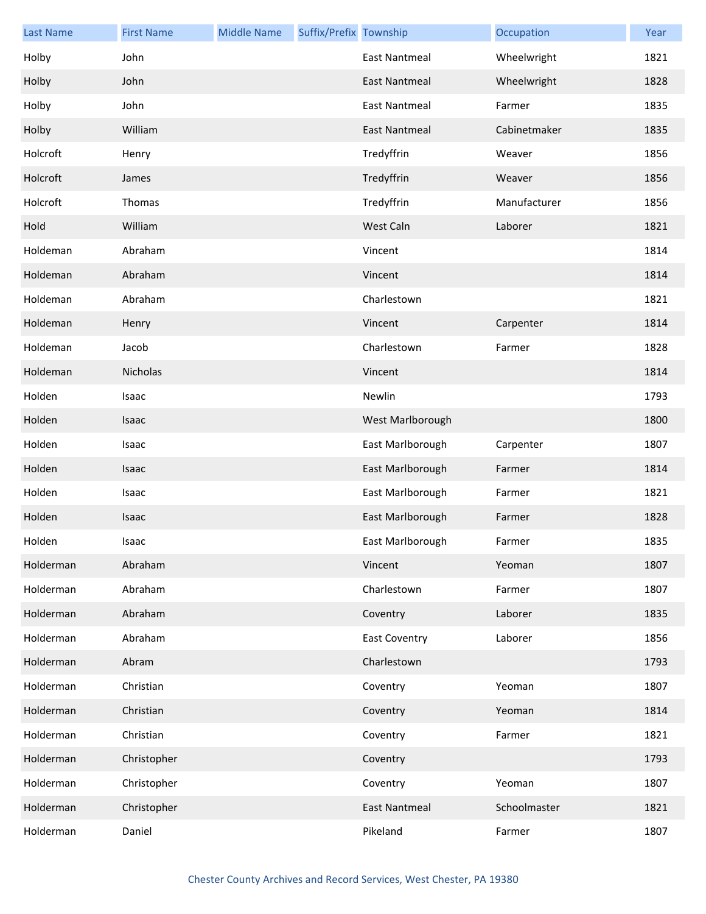| <b>Last Name</b> | <b>First Name</b> | <b>Middle Name</b> | Suffix/Prefix Township |                      | Occupation   | Year |
|------------------|-------------------|--------------------|------------------------|----------------------|--------------|------|
| Holby            | John              |                    |                        | <b>East Nantmeal</b> | Wheelwright  | 1821 |
| Holby            | John              |                    |                        | East Nantmeal        | Wheelwright  | 1828 |
| Holby            | John              |                    |                        | <b>East Nantmeal</b> | Farmer       | 1835 |
| Holby            | William           |                    |                        | <b>East Nantmeal</b> | Cabinetmaker | 1835 |
| Holcroft         | Henry             |                    |                        | Tredyffrin           | Weaver       | 1856 |
| Holcroft         | James             |                    |                        | Tredyffrin           | Weaver       | 1856 |
| Holcroft         | Thomas            |                    |                        | Tredyffrin           | Manufacturer | 1856 |
| Hold             | William           |                    |                        | West Caln            | Laborer      | 1821 |
| Holdeman         | Abraham           |                    |                        | Vincent              |              | 1814 |
| Holdeman         | Abraham           |                    |                        | Vincent              |              | 1814 |
| Holdeman         | Abraham           |                    |                        | Charlestown          |              | 1821 |
| Holdeman         | Henry             |                    |                        | Vincent              | Carpenter    | 1814 |
| Holdeman         | Jacob             |                    |                        | Charlestown          | Farmer       | 1828 |
| Holdeman         | Nicholas          |                    |                        | Vincent              |              | 1814 |
| Holden           | Isaac             |                    |                        | Newlin               |              | 1793 |
| Holden           | Isaac             |                    |                        | West Marlborough     |              | 1800 |
| Holden           | Isaac             |                    |                        | East Marlborough     | Carpenter    | 1807 |
| Holden           | Isaac             |                    |                        | East Marlborough     | Farmer       | 1814 |
| Holden           | Isaac             |                    |                        | East Marlborough     | Farmer       | 1821 |
| Holden           | Isaac             |                    |                        | East Marlborough     | Farmer       | 1828 |
| Holden           | Isaac             |                    |                        | East Marlborough     | Farmer       | 1835 |
| Holderman        | Abraham           |                    |                        | Vincent              | Yeoman       | 1807 |
| Holderman        | Abraham           |                    |                        | Charlestown          | Farmer       | 1807 |
| Holderman        | Abraham           |                    |                        | Coventry             | Laborer      | 1835 |
| Holderman        | Abraham           |                    |                        | <b>East Coventry</b> | Laborer      | 1856 |
| Holderman        | Abram             |                    |                        | Charlestown          |              | 1793 |
| Holderman        | Christian         |                    |                        | Coventry             | Yeoman       | 1807 |
| Holderman        | Christian         |                    |                        | Coventry             | Yeoman       | 1814 |
| Holderman        | Christian         |                    |                        | Coventry             | Farmer       | 1821 |
| Holderman        | Christopher       |                    |                        | Coventry             |              | 1793 |
| Holderman        | Christopher       |                    |                        | Coventry             | Yeoman       | 1807 |
| Holderman        | Christopher       |                    |                        | <b>East Nantmeal</b> | Schoolmaster | 1821 |
| Holderman        | Daniel            |                    |                        | Pikeland             | Farmer       | 1807 |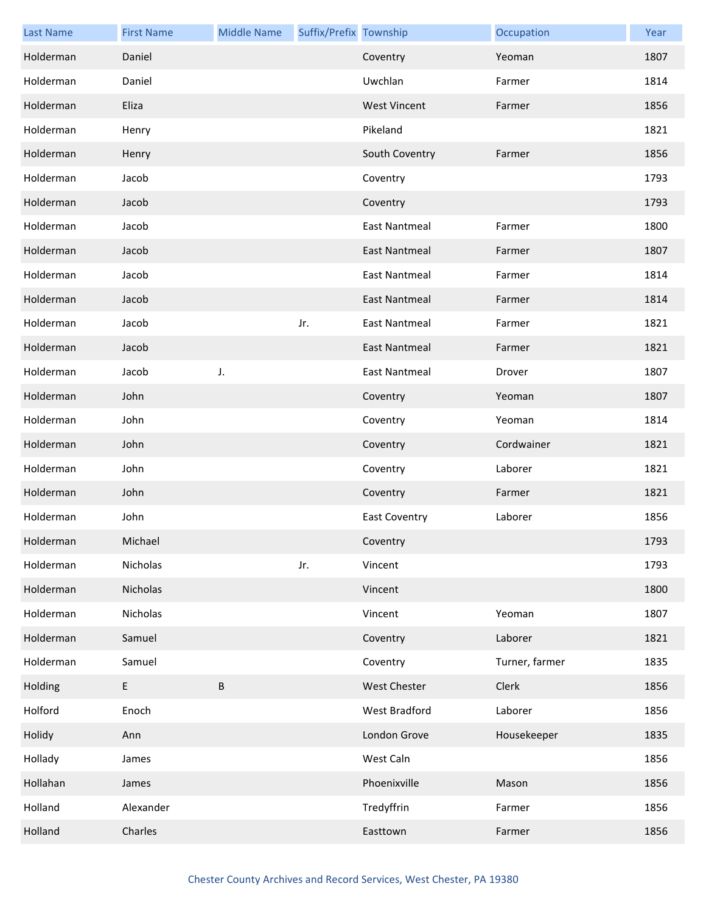| <b>Last Name</b> | <b>First Name</b> | <b>Middle Name</b> | Suffix/Prefix Township |                      | Occupation     | Year |
|------------------|-------------------|--------------------|------------------------|----------------------|----------------|------|
| Holderman        | Daniel            |                    |                        | Coventry             | Yeoman         | 1807 |
| Holderman        | Daniel            |                    |                        | Uwchlan              | Farmer         | 1814 |
| Holderman        | Eliza             |                    |                        | <b>West Vincent</b>  | Farmer         | 1856 |
| Holderman        | Henry             |                    |                        | Pikeland             |                | 1821 |
| Holderman        | Henry             |                    |                        | South Coventry       | Farmer         | 1856 |
| Holderman        | Jacob             |                    |                        | Coventry             |                | 1793 |
| Holderman        | Jacob             |                    |                        | Coventry             |                | 1793 |
| Holderman        | Jacob             |                    |                        | East Nantmeal        | Farmer         | 1800 |
| Holderman        | Jacob             |                    |                        | <b>East Nantmeal</b> | Farmer         | 1807 |
| Holderman        | Jacob             |                    |                        | <b>East Nantmeal</b> | Farmer         | 1814 |
| Holderman        | Jacob             |                    |                        | <b>East Nantmeal</b> | Farmer         | 1814 |
| Holderman        | Jacob             |                    | Jr.                    | <b>East Nantmeal</b> | Farmer         | 1821 |
| Holderman        | Jacob             |                    |                        | <b>East Nantmeal</b> | Farmer         | 1821 |
| Holderman        | Jacob             | J.                 |                        | <b>East Nantmeal</b> | Drover         | 1807 |
| Holderman        | John              |                    |                        | Coventry             | Yeoman         | 1807 |
| Holderman        | John              |                    |                        | Coventry             | Yeoman         | 1814 |
| Holderman        | John              |                    |                        | Coventry             | Cordwainer     | 1821 |
| Holderman        | John              |                    |                        | Coventry             | Laborer        | 1821 |
| Holderman        | John              |                    |                        | Coventry             | Farmer         | 1821 |
| Holderman        | John              |                    |                        | <b>East Coventry</b> | Laborer        | 1856 |
| Holderman        | Michael           |                    |                        | Coventry             |                | 1793 |
| Holderman        | Nicholas          |                    | Jr.                    | Vincent              |                | 1793 |
| Holderman        | Nicholas          |                    |                        | Vincent              |                | 1800 |
| Holderman        | Nicholas          |                    |                        | Vincent              | Yeoman         | 1807 |
| Holderman        | Samuel            |                    |                        | Coventry             | Laborer        | 1821 |
| Holderman        | Samuel            |                    |                        | Coventry             | Turner, farmer | 1835 |
| Holding          | $\sf E$           | B                  |                        | West Chester         | Clerk          | 1856 |
| Holford          | Enoch             |                    |                        | West Bradford        | Laborer        | 1856 |
| Holidy           | Ann               |                    |                        | London Grove         | Housekeeper    | 1835 |
| Hollady          | James             |                    |                        | West Caln            |                | 1856 |
| Hollahan         | James             |                    |                        | Phoenixville         | Mason          | 1856 |
| Holland          | Alexander         |                    |                        | Tredyffrin           | Farmer         | 1856 |
| Holland          | Charles           |                    |                        | Easttown             | Farmer         | 1856 |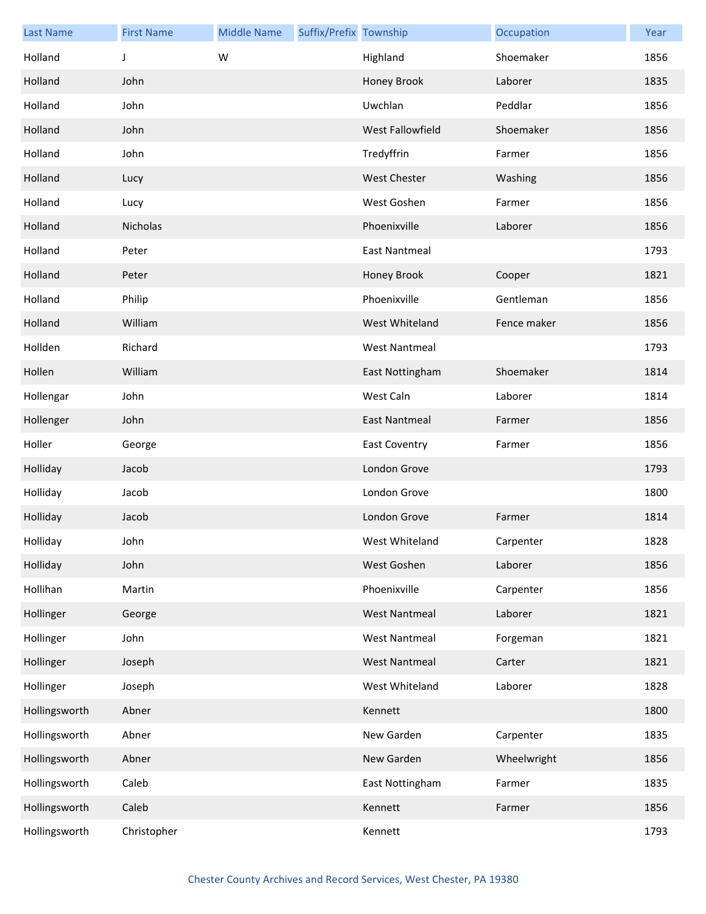| <b>Last Name</b> | <b>First Name</b> | <b>Middle Name</b> | Suffix/Prefix Township |                      | Occupation  | Year |
|------------------|-------------------|--------------------|------------------------|----------------------|-------------|------|
| Holland          | J                 | W                  |                        | Highland             | Shoemaker   | 1856 |
| Holland          | John              |                    |                        | Honey Brook          | Laborer     | 1835 |
| Holland          | John              |                    |                        | Uwchlan              | Peddlar     | 1856 |
| Holland          | John              |                    |                        | West Fallowfield     | Shoemaker   | 1856 |
| Holland          | John              |                    |                        | Tredyffrin           | Farmer      | 1856 |
| Holland          | Lucy              |                    |                        | <b>West Chester</b>  | Washing     | 1856 |
| Holland          | Lucy              |                    |                        | West Goshen          | Farmer      | 1856 |
| Holland          | Nicholas          |                    |                        | Phoenixville         | Laborer     | 1856 |
| Holland          | Peter             |                    |                        | <b>East Nantmeal</b> |             | 1793 |
| Holland          | Peter             |                    |                        | Honey Brook          | Cooper      | 1821 |
| Holland          | Philip            |                    |                        | Phoenixville         | Gentleman   | 1856 |
| Holland          | William           |                    |                        | West Whiteland       | Fence maker | 1856 |
| Hollden          | Richard           |                    |                        | <b>West Nantmeal</b> |             | 1793 |
| Hollen           | William           |                    |                        | East Nottingham      | Shoemaker   | 1814 |
| Hollengar        | John              |                    |                        | West Caln            | Laborer     | 1814 |
| Hollenger        | John              |                    |                        | <b>East Nantmeal</b> | Farmer      | 1856 |
| Holler           | George            |                    |                        | <b>East Coventry</b> | Farmer      | 1856 |
| Holliday         | Jacob             |                    |                        | London Grove         |             | 1793 |
| Holliday         | Jacob             |                    |                        | London Grove         |             | 1800 |
| Holliday         | Jacob             |                    |                        | London Grove         | Farmer      | 1814 |
| Holliday         | John              |                    |                        | West Whiteland       | Carpenter   | 1828 |
| Holliday         | John              |                    |                        | West Goshen          | Laborer     | 1856 |
| Hollihan         | Martin            |                    |                        | Phoenixville         | Carpenter   | 1856 |
| Hollinger        | George            |                    |                        | <b>West Nantmeal</b> | Laborer     | 1821 |
| Hollinger        | John              |                    |                        | <b>West Nantmeal</b> | Forgeman    | 1821 |
| Hollinger        | Joseph            |                    |                        | <b>West Nantmeal</b> | Carter      | 1821 |
| Hollinger        | Joseph            |                    |                        | West Whiteland       | Laborer     | 1828 |
| Hollingsworth    | Abner             |                    |                        | Kennett              |             | 1800 |
| Hollingsworth    | Abner             |                    |                        | New Garden           | Carpenter   | 1835 |
| Hollingsworth    | Abner             |                    |                        | New Garden           | Wheelwright | 1856 |
| Hollingsworth    | Caleb             |                    |                        | East Nottingham      | Farmer      | 1835 |
| Hollingsworth    | Caleb             |                    |                        | Kennett              | Farmer      | 1856 |
| Hollingsworth    | Christopher       |                    |                        | Kennett              |             | 1793 |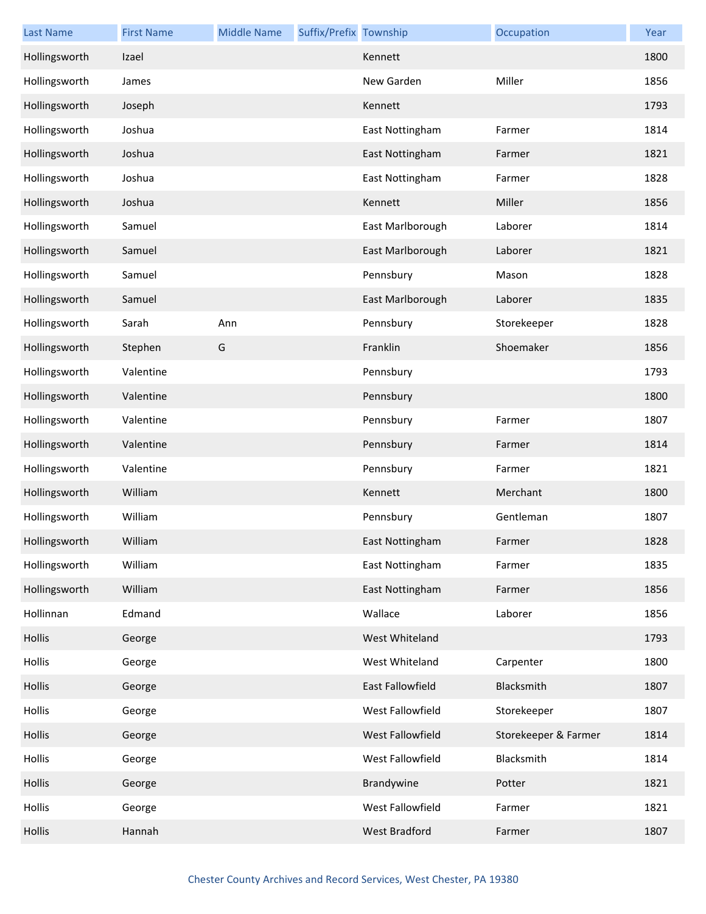| <b>Last Name</b> | <b>First Name</b> | <b>Middle Name</b> | Suffix/Prefix Township |                  | Occupation           | Year |
|------------------|-------------------|--------------------|------------------------|------------------|----------------------|------|
| Hollingsworth    | Izael             |                    |                        | Kennett          |                      | 1800 |
| Hollingsworth    | James             |                    |                        | New Garden       | Miller               | 1856 |
| Hollingsworth    | Joseph            |                    |                        | Kennett          |                      | 1793 |
| Hollingsworth    | Joshua            |                    |                        | East Nottingham  | Farmer               | 1814 |
| Hollingsworth    | Joshua            |                    |                        | East Nottingham  | Farmer               | 1821 |
| Hollingsworth    | Joshua            |                    |                        | East Nottingham  | Farmer               | 1828 |
| Hollingsworth    | Joshua            |                    |                        | Kennett          | Miller               | 1856 |
| Hollingsworth    | Samuel            |                    |                        | East Marlborough | Laborer              | 1814 |
| Hollingsworth    | Samuel            |                    |                        | East Marlborough | Laborer              | 1821 |
| Hollingsworth    | Samuel            |                    |                        | Pennsbury        | Mason                | 1828 |
| Hollingsworth    | Samuel            |                    |                        | East Marlborough | Laborer              | 1835 |
| Hollingsworth    | Sarah             | Ann                |                        | Pennsbury        | Storekeeper          | 1828 |
| Hollingsworth    | Stephen           | G                  |                        | Franklin         | Shoemaker            | 1856 |
| Hollingsworth    | Valentine         |                    |                        | Pennsbury        |                      | 1793 |
| Hollingsworth    | Valentine         |                    |                        | Pennsbury        |                      | 1800 |
| Hollingsworth    | Valentine         |                    |                        | Pennsbury        | Farmer               | 1807 |
| Hollingsworth    | Valentine         |                    |                        | Pennsbury        | Farmer               | 1814 |
| Hollingsworth    | Valentine         |                    |                        | Pennsbury        | Farmer               | 1821 |
| Hollingsworth    | William           |                    |                        | Kennett          | Merchant             | 1800 |
| Hollingsworth    | William           |                    |                        | Pennsbury        | Gentleman            | 1807 |
| Hollingsworth    | William           |                    |                        | East Nottingham  | Farmer               | 1828 |
| Hollingsworth    | William           |                    |                        | East Nottingham  | Farmer               | 1835 |
| Hollingsworth    | William           |                    |                        | East Nottingham  | Farmer               | 1856 |
| Hollinnan        | Edmand            |                    |                        | Wallace          | Laborer              | 1856 |
| Hollis           | George            |                    |                        | West Whiteland   |                      | 1793 |
| Hollis           | George            |                    |                        | West Whiteland   | Carpenter            | 1800 |
| Hollis           | George            |                    |                        | East Fallowfield | Blacksmith           | 1807 |
| Hollis           | George            |                    |                        | West Fallowfield | Storekeeper          | 1807 |
| Hollis           | George            |                    |                        | West Fallowfield | Storekeeper & Farmer | 1814 |
| Hollis           | George            |                    |                        | West Fallowfield | Blacksmith           | 1814 |
| Hollis           | George            |                    |                        | Brandywine       | Potter               | 1821 |
| Hollis           | George            |                    |                        | West Fallowfield | Farmer               | 1821 |
| Hollis           | Hannah            |                    |                        | West Bradford    | Farmer               | 1807 |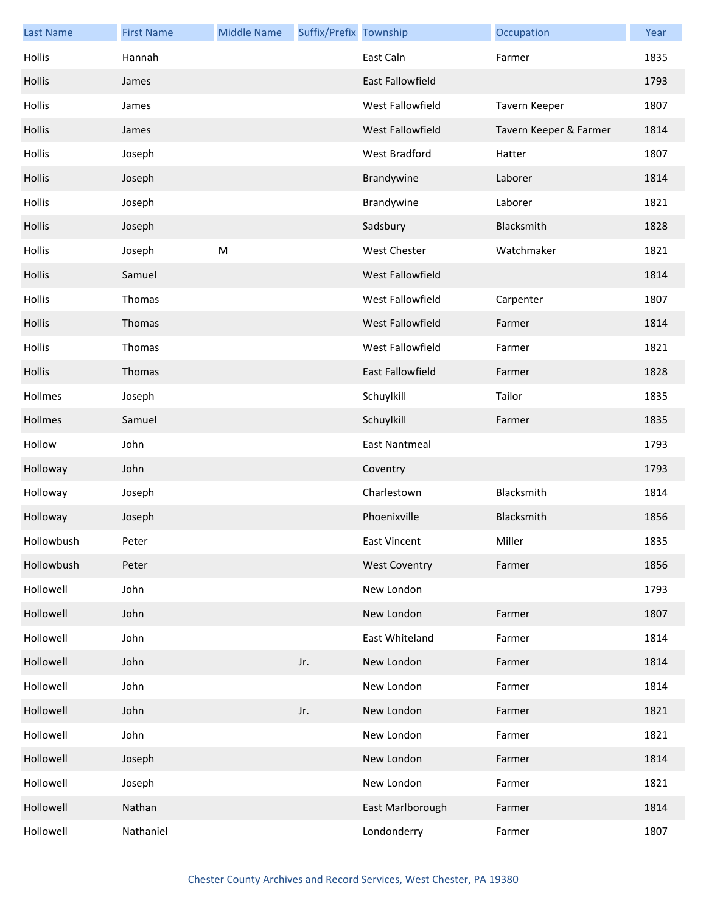| <b>Last Name</b> | <b>First Name</b> | <b>Middle Name</b> | Suffix/Prefix Township |                         | Occupation             | Year |
|------------------|-------------------|--------------------|------------------------|-------------------------|------------------------|------|
| Hollis           | Hannah            |                    |                        | East Caln               | Farmer                 | 1835 |
| Hollis           | James             |                    |                        | <b>East Fallowfield</b> |                        | 1793 |
| Hollis           | James             |                    |                        | West Fallowfield        | Tavern Keeper          | 1807 |
| Hollis           | James             |                    |                        | West Fallowfield        | Tavern Keeper & Farmer | 1814 |
| Hollis           | Joseph            |                    |                        | West Bradford           | Hatter                 | 1807 |
| Hollis           | Joseph            |                    |                        | Brandywine              | Laborer                | 1814 |
| Hollis           | Joseph            |                    |                        | Brandywine              | Laborer                | 1821 |
| Hollis           | Joseph            |                    |                        | Sadsbury                | Blacksmith             | 1828 |
| Hollis           | Joseph            | M                  |                        | West Chester            | Watchmaker             | 1821 |
| Hollis           | Samuel            |                    |                        | West Fallowfield        |                        | 1814 |
| Hollis           | Thomas            |                    |                        | West Fallowfield        | Carpenter              | 1807 |
| Hollis           | Thomas            |                    |                        | West Fallowfield        | Farmer                 | 1814 |
| Hollis           | Thomas            |                    |                        | West Fallowfield        | Farmer                 | 1821 |
| Hollis           | Thomas            |                    |                        | East Fallowfield        | Farmer                 | 1828 |
| Hollmes          | Joseph            |                    |                        | Schuylkill              | Tailor                 | 1835 |
| Hollmes          | Samuel            |                    |                        | Schuylkill              | Farmer                 | 1835 |
| Hollow           | John              |                    |                        | <b>East Nantmeal</b>    |                        | 1793 |
| Holloway         | John              |                    |                        | Coventry                |                        | 1793 |
| Holloway         | Joseph            |                    |                        | Charlestown             | Blacksmith             | 1814 |
| Holloway         | Joseph            |                    |                        | Phoenixville            | Blacksmith             | 1856 |
| Hollowbush       | Peter             |                    |                        | East Vincent            | Miller                 | 1835 |
| Hollowbush       | Peter             |                    |                        | <b>West Coventry</b>    | Farmer                 | 1856 |
| Hollowell        | John              |                    |                        | New London              |                        | 1793 |
| Hollowell        | John              |                    |                        | New London              | Farmer                 | 1807 |
| Hollowell        | John              |                    |                        | East Whiteland          | Farmer                 | 1814 |
| Hollowell        | John              |                    | Jr.                    | New London              | Farmer                 | 1814 |
| Hollowell        | John              |                    |                        | New London              | Farmer                 | 1814 |
| Hollowell        | John              |                    | Jr.                    | New London              | Farmer                 | 1821 |
| Hollowell        | John              |                    |                        | New London              | Farmer                 | 1821 |
| Hollowell        | Joseph            |                    |                        | New London              | Farmer                 | 1814 |
| Hollowell        | Joseph            |                    |                        | New London              | Farmer                 | 1821 |
| Hollowell        | Nathan            |                    |                        | East Marlborough        | Farmer                 | 1814 |
| Hollowell        | Nathaniel         |                    |                        | Londonderry             | Farmer                 | 1807 |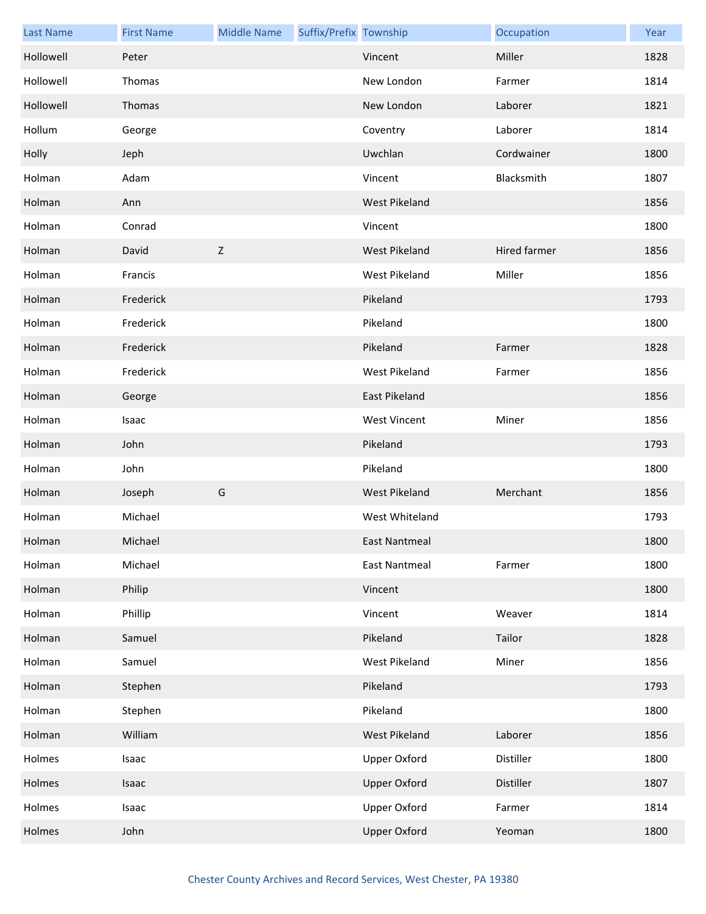| <b>Last Name</b> | <b>First Name</b> | <b>Middle Name</b> | Suffix/Prefix Township |                      | Occupation   | Year |
|------------------|-------------------|--------------------|------------------------|----------------------|--------------|------|
| Hollowell        | Peter             |                    |                        | Vincent              | Miller       | 1828 |
| Hollowell        | Thomas            |                    |                        | New London           | Farmer       | 1814 |
| Hollowell        | Thomas            |                    |                        | New London           | Laborer      | 1821 |
| Hollum           | George            |                    |                        | Coventry             | Laborer      | 1814 |
| Holly            | Jeph              |                    |                        | Uwchlan              | Cordwainer   | 1800 |
| Holman           | Adam              |                    |                        | Vincent              | Blacksmith   | 1807 |
| Holman           | Ann               |                    |                        | West Pikeland        |              | 1856 |
| Holman           | Conrad            |                    |                        | Vincent              |              | 1800 |
| Holman           | David             | $\mathsf{Z}$       |                        | West Pikeland        | Hired farmer | 1856 |
| Holman           | Francis           |                    |                        | West Pikeland        | Miller       | 1856 |
| Holman           | Frederick         |                    |                        | Pikeland             |              | 1793 |
| Holman           | Frederick         |                    |                        | Pikeland             |              | 1800 |
| Holman           | Frederick         |                    |                        | Pikeland             | Farmer       | 1828 |
| Holman           | Frederick         |                    |                        | <b>West Pikeland</b> | Farmer       | 1856 |
| Holman           | George            |                    |                        | East Pikeland        |              | 1856 |
| Holman           | Isaac             |                    |                        | <b>West Vincent</b>  | Miner        | 1856 |
| Holman           | John              |                    |                        | Pikeland             |              | 1793 |
| Holman           | John              |                    |                        | Pikeland             |              | 1800 |
| Holman           | Joseph            | G                  |                        | <b>West Pikeland</b> | Merchant     | 1856 |
| Holman           | Michael           |                    |                        | West Whiteland       |              | 1793 |
| Holman           | Michael           |                    |                        | East Nantmeal        |              | 1800 |
| Holman           | Michael           |                    |                        | <b>East Nantmeal</b> | Farmer       | 1800 |
| Holman           | Philip            |                    |                        | Vincent              |              | 1800 |
| Holman           | Phillip           |                    |                        | Vincent              | Weaver       | 1814 |
| Holman           | Samuel            |                    |                        | Pikeland             | Tailor       | 1828 |
| Holman           | Samuel            |                    |                        | West Pikeland        | Miner        | 1856 |
| Holman           | Stephen           |                    |                        | Pikeland             |              | 1793 |
| Holman           | Stephen           |                    |                        | Pikeland             |              | 1800 |
| Holman           | William           |                    |                        | West Pikeland        | Laborer      | 1856 |
| Holmes           | Isaac             |                    |                        | <b>Upper Oxford</b>  | Distiller    | 1800 |
| Holmes           | Isaac             |                    |                        | <b>Upper Oxford</b>  | Distiller    | 1807 |
| Holmes           | Isaac             |                    |                        | <b>Upper Oxford</b>  | Farmer       | 1814 |
| Holmes           | John              |                    |                        | <b>Upper Oxford</b>  | Yeoman       | 1800 |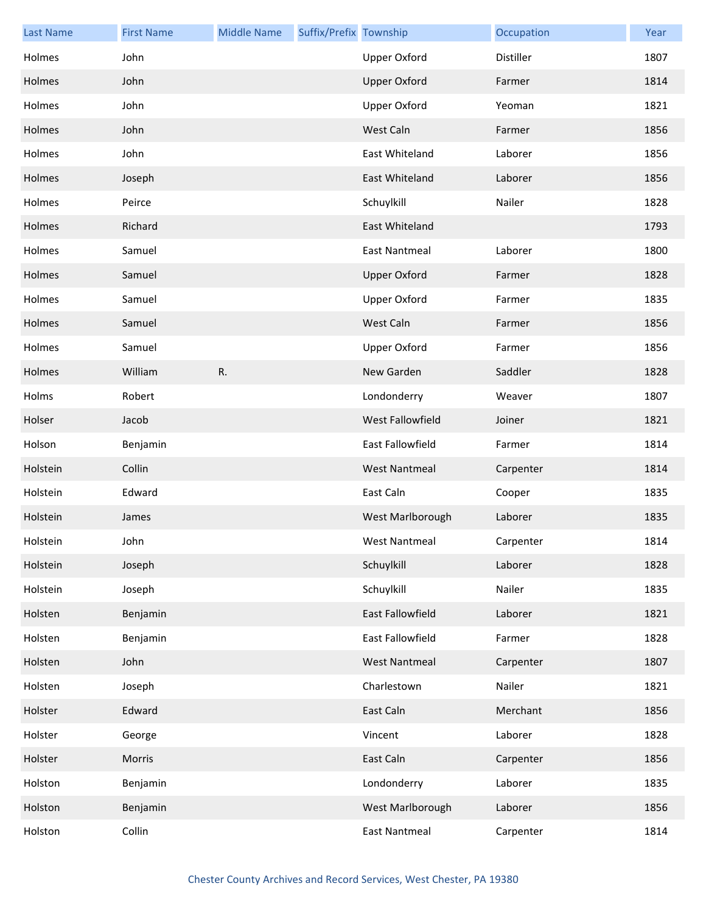| <b>Last Name</b> | <b>First Name</b> | <b>Middle Name</b> | Suffix/Prefix Township |                      | Occupation | Year |
|------------------|-------------------|--------------------|------------------------|----------------------|------------|------|
| Holmes           | John              |                    |                        | <b>Upper Oxford</b>  | Distiller  | 1807 |
| Holmes           | John              |                    |                        | <b>Upper Oxford</b>  | Farmer     | 1814 |
| Holmes           | John              |                    |                        | <b>Upper Oxford</b>  | Yeoman     | 1821 |
| Holmes           | John              |                    |                        | West Caln            | Farmer     | 1856 |
| Holmes           | John              |                    |                        | East Whiteland       | Laborer    | 1856 |
| Holmes           | Joseph            |                    |                        | East Whiteland       | Laborer    | 1856 |
| Holmes           | Peirce            |                    |                        | Schuylkill           | Nailer     | 1828 |
| Holmes           | Richard           |                    |                        | East Whiteland       |            | 1793 |
| Holmes           | Samuel            |                    |                        | <b>East Nantmeal</b> | Laborer    | 1800 |
| Holmes           | Samuel            |                    |                        | <b>Upper Oxford</b>  | Farmer     | 1828 |
| Holmes           | Samuel            |                    |                        | <b>Upper Oxford</b>  | Farmer     | 1835 |
| Holmes           | Samuel            |                    |                        | West Caln            | Farmer     | 1856 |
| Holmes           | Samuel            |                    |                        | <b>Upper Oxford</b>  | Farmer     | 1856 |
| Holmes           | William           | R.                 |                        | New Garden           | Saddler    | 1828 |
| Holms            | Robert            |                    |                        | Londonderry          | Weaver     | 1807 |
| Holser           | Jacob             |                    |                        | West Fallowfield     | Joiner     | 1821 |
| Holson           | Benjamin          |                    |                        | East Fallowfield     | Farmer     | 1814 |
| Holstein         | Collin            |                    |                        | <b>West Nantmeal</b> | Carpenter  | 1814 |
| Holstein         | Edward            |                    |                        | East Caln            | Cooper     | 1835 |
| Holstein         | James             |                    |                        | West Marlborough     | Laborer    | 1835 |
| Holstein         | John              |                    |                        | West Nantmeal        | Carpenter  | 1814 |
| Holstein         | Joseph            |                    |                        | Schuylkill           | Laborer    | 1828 |
| Holstein         | Joseph            |                    |                        | Schuylkill           | Nailer     | 1835 |
| Holsten          | Benjamin          |                    |                        | East Fallowfield     | Laborer    | 1821 |
| Holsten          | Benjamin          |                    |                        | East Fallowfield     | Farmer     | 1828 |
| Holsten          | John              |                    |                        | <b>West Nantmeal</b> | Carpenter  | 1807 |
| Holsten          | Joseph            |                    |                        | Charlestown          | Nailer     | 1821 |
| Holster          | Edward            |                    |                        | East Caln            | Merchant   | 1856 |
| Holster          | George            |                    |                        | Vincent              | Laborer    | 1828 |
| Holster          | Morris            |                    |                        | East Caln            | Carpenter  | 1856 |
| Holston          | Benjamin          |                    |                        | Londonderry          | Laborer    | 1835 |
| Holston          | Benjamin          |                    |                        | West Marlborough     | Laborer    | 1856 |
| Holston          | Collin            |                    |                        | <b>East Nantmeal</b> | Carpenter  | 1814 |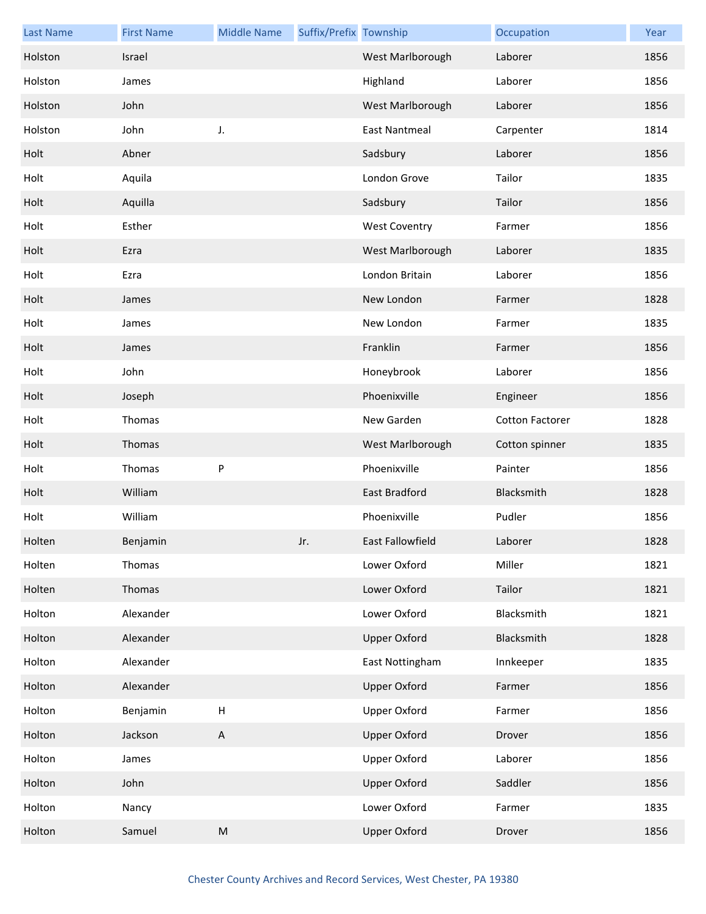| <b>Last Name</b> | <b>First Name</b> | <b>Middle Name</b> | Suffix/Prefix Township |                      | Occupation             | Year |
|------------------|-------------------|--------------------|------------------------|----------------------|------------------------|------|
| Holston          | Israel            |                    |                        | West Marlborough     | Laborer                | 1856 |
| Holston          | James             |                    |                        | Highland             | Laborer                | 1856 |
| Holston          | John              |                    |                        | West Marlborough     | Laborer                | 1856 |
| Holston          | John              | J.                 |                        | <b>East Nantmeal</b> | Carpenter              | 1814 |
| Holt             | Abner             |                    |                        | Sadsbury             | Laborer                | 1856 |
| Holt             | Aquila            |                    |                        | London Grove         | Tailor                 | 1835 |
| Holt             | Aquilla           |                    |                        | Sadsbury             | Tailor                 | 1856 |
| Holt             | Esther            |                    |                        | <b>West Coventry</b> | Farmer                 | 1856 |
| Holt             | Ezra              |                    |                        | West Marlborough     | Laborer                | 1835 |
| Holt             | Ezra              |                    |                        | London Britain       | Laborer                | 1856 |
| Holt             | James             |                    |                        | New London           | Farmer                 | 1828 |
| Holt             | James             |                    |                        | New London           | Farmer                 | 1835 |
| Holt             | James             |                    |                        | Franklin             | Farmer                 | 1856 |
| Holt             | John              |                    |                        | Honeybrook           | Laborer                | 1856 |
| Holt             | Joseph            |                    |                        | Phoenixville         | Engineer               | 1856 |
| Holt             | Thomas            |                    |                        | New Garden           | <b>Cotton Factorer</b> | 1828 |
| Holt             | Thomas            |                    |                        | West Marlborough     | Cotton spinner         | 1835 |
| Holt             | Thomas            | P                  |                        | Phoenixville         | Painter                | 1856 |
| Holt             | William           |                    |                        | East Bradford        | Blacksmith             | 1828 |
| Holt             | William           |                    |                        | Phoenixville         | Pudler                 | 1856 |
| Holten           | Benjamin          |                    | Jr.                    | East Fallowfield     | Laborer                | 1828 |
| Holten           | Thomas            |                    |                        | Lower Oxford         | Miller                 | 1821 |
| Holten           | Thomas            |                    |                        | Lower Oxford         | Tailor                 | 1821 |
| Holton           | Alexander         |                    |                        | Lower Oxford         | Blacksmith             | 1821 |
| Holton           | Alexander         |                    |                        | <b>Upper Oxford</b>  | Blacksmith             | 1828 |
| Holton           | Alexander         |                    |                        | East Nottingham      | Innkeeper              | 1835 |
| Holton           | Alexander         |                    |                        | <b>Upper Oxford</b>  | Farmer                 | 1856 |
| Holton           | Benjamin          | $\sf H$            |                        | <b>Upper Oxford</b>  | Farmer                 | 1856 |
| Holton           | Jackson           | A                  |                        | <b>Upper Oxford</b>  | Drover                 | 1856 |
| Holton           | James             |                    |                        | <b>Upper Oxford</b>  | Laborer                | 1856 |
| Holton           | John              |                    |                        | <b>Upper Oxford</b>  | Saddler                | 1856 |
| Holton           | Nancy             |                    |                        | Lower Oxford         | Farmer                 | 1835 |
| Holton           | Samuel            | ${\sf M}$          |                        | <b>Upper Oxford</b>  | Drover                 | 1856 |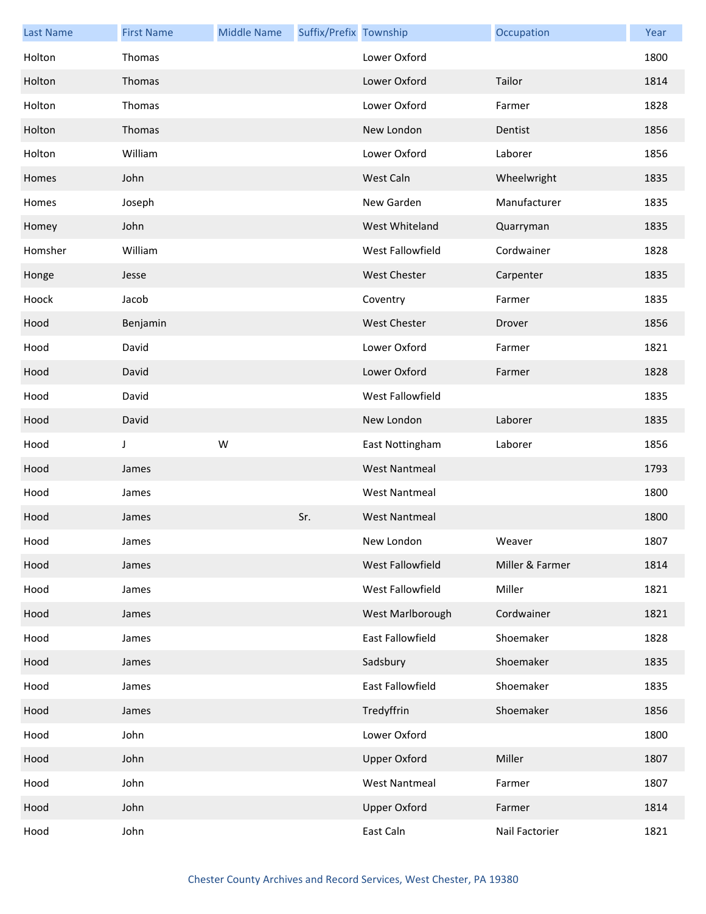| <b>Last Name</b> | <b>First Name</b> | <b>Middle Name</b> | Suffix/Prefix Township |                         | Occupation      | Year |
|------------------|-------------------|--------------------|------------------------|-------------------------|-----------------|------|
| Holton           | Thomas            |                    |                        | Lower Oxford            |                 | 1800 |
| Holton           | Thomas            |                    |                        | Lower Oxford            | Tailor          | 1814 |
| Holton           | Thomas            |                    |                        | Lower Oxford            | Farmer          | 1828 |
| Holton           | Thomas            |                    |                        | New London              | Dentist         | 1856 |
| Holton           | William           |                    |                        | Lower Oxford            | Laborer         | 1856 |
| Homes            | John              |                    |                        | West Caln               | Wheelwright     | 1835 |
| Homes            | Joseph            |                    |                        | New Garden              | Manufacturer    | 1835 |
| Homey            | John              |                    |                        | West Whiteland          | Quarryman       | 1835 |
| Homsher          | William           |                    |                        | West Fallowfield        | Cordwainer      | 1828 |
| Honge            | Jesse             |                    |                        | <b>West Chester</b>     | Carpenter       | 1835 |
| Hoock            | Jacob             |                    |                        | Coventry                | Farmer          | 1835 |
| Hood             | Benjamin          |                    |                        | <b>West Chester</b>     | Drover          | 1856 |
| Hood             | David             |                    |                        | Lower Oxford            | Farmer          | 1821 |
| Hood             | David             |                    |                        | Lower Oxford            | Farmer          | 1828 |
| Hood             | David             |                    |                        | West Fallowfield        |                 | 1835 |
| Hood             | David             |                    |                        | New London              | Laborer         | 1835 |
| Hood             | J                 | W                  |                        | East Nottingham         | Laborer         | 1856 |
| Hood             | James             |                    |                        | <b>West Nantmeal</b>    |                 | 1793 |
| Hood             | James             |                    |                        | <b>West Nantmeal</b>    |                 | 1800 |
| Hood             | James             |                    | Sr.                    | <b>West Nantmeal</b>    |                 | 1800 |
| Hood             | James             |                    |                        | New London              | Weaver          | 1807 |
| Hood             | James             |                    |                        | West Fallowfield        | Miller & Farmer | 1814 |
| Hood             | James             |                    |                        | West Fallowfield        | Miller          | 1821 |
| Hood             | James             |                    |                        | West Marlborough        | Cordwainer      | 1821 |
| Hood             | James             |                    |                        | East Fallowfield        | Shoemaker       | 1828 |
| Hood             | James             |                    |                        | Sadsbury                | Shoemaker       | 1835 |
| Hood             | James             |                    |                        | <b>East Fallowfield</b> | Shoemaker       | 1835 |
| Hood             | James             |                    |                        | Tredyffrin              | Shoemaker       | 1856 |
| Hood             | John              |                    |                        | Lower Oxford            |                 | 1800 |
| Hood             | John              |                    |                        | <b>Upper Oxford</b>     | Miller          | 1807 |
| Hood             | John              |                    |                        | <b>West Nantmeal</b>    | Farmer          | 1807 |
| Hood             | John              |                    |                        | <b>Upper Oxford</b>     | Farmer          | 1814 |
| Hood             | John              |                    |                        | East Caln               | Nail Factorier  | 1821 |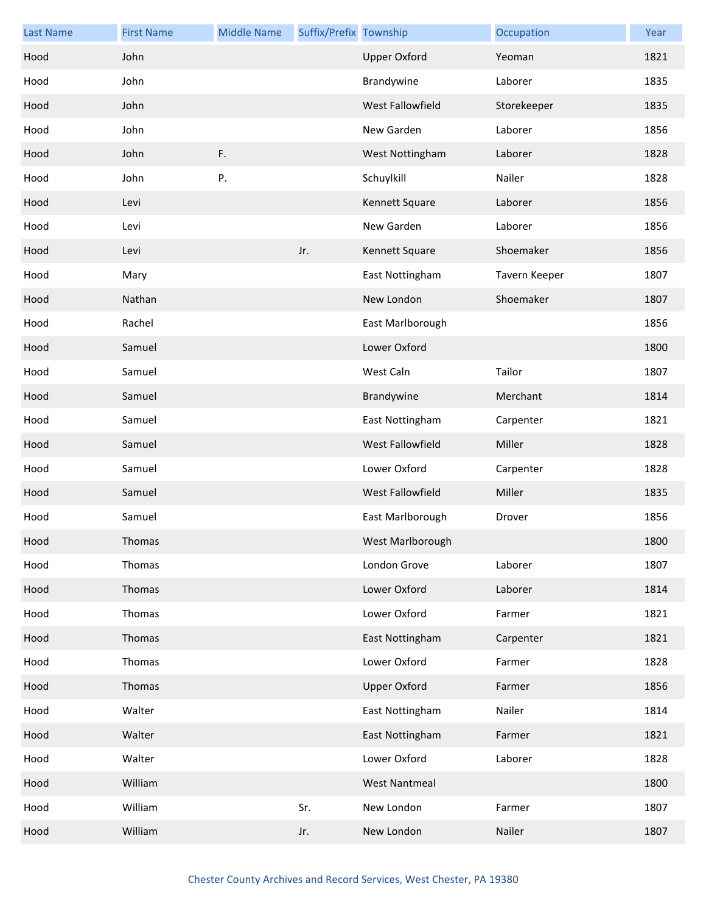| <b>Last Name</b> | <b>First Name</b> | <b>Middle Name</b> | Suffix/Prefix Township |                      | Occupation    | Year |
|------------------|-------------------|--------------------|------------------------|----------------------|---------------|------|
| Hood             | John              |                    |                        | <b>Upper Oxford</b>  | Yeoman        | 1821 |
| Hood             | John              |                    |                        | Brandywine           | Laborer       | 1835 |
| Hood             | John              |                    |                        | West Fallowfield     | Storekeeper   | 1835 |
| Hood             | John              |                    |                        | New Garden           | Laborer       | 1856 |
| Hood             | John              | F.                 |                        | West Nottingham      | Laborer       | 1828 |
| Hood             | John              | Ρ.                 |                        | Schuylkill           | Nailer        | 1828 |
| Hood             | Levi              |                    |                        | Kennett Square       | Laborer       | 1856 |
| Hood             | Levi              |                    |                        | New Garden           | Laborer       | 1856 |
| Hood             | Levi              |                    | Jr.                    | Kennett Square       | Shoemaker     | 1856 |
| Hood             | Mary              |                    |                        | East Nottingham      | Tavern Keeper | 1807 |
| Hood             | Nathan            |                    |                        | New London           | Shoemaker     | 1807 |
| Hood             | Rachel            |                    |                        | East Marlborough     |               | 1856 |
| Hood             | Samuel            |                    |                        | Lower Oxford         |               | 1800 |
| Hood             | Samuel            |                    |                        | West Caln            | Tailor        | 1807 |
| Hood             | Samuel            |                    |                        | Brandywine           | Merchant      | 1814 |
| Hood             | Samuel            |                    |                        | East Nottingham      | Carpenter     | 1821 |
| Hood             | Samuel            |                    |                        | West Fallowfield     | Miller        | 1828 |
| Hood             | Samuel            |                    |                        | Lower Oxford         | Carpenter     | 1828 |
| Hood             | Samuel            |                    |                        | West Fallowfield     | Miller        | 1835 |
| Hood             | Samuel            |                    |                        | East Marlborough     | Drover        | 1856 |
| Hood             | Thomas            |                    |                        | West Marlborough     |               | 1800 |
| Hood             | Thomas            |                    |                        | London Grove         | Laborer       | 1807 |
| Hood             | Thomas            |                    |                        | Lower Oxford         | Laborer       | 1814 |
| Hood             | Thomas            |                    |                        | Lower Oxford         | Farmer        | 1821 |
| Hood             | Thomas            |                    |                        | East Nottingham      | Carpenter     | 1821 |
| Hood             | Thomas            |                    |                        | Lower Oxford         | Farmer        | 1828 |
| Hood             | Thomas            |                    |                        | <b>Upper Oxford</b>  | Farmer        | 1856 |
| Hood             | Walter            |                    |                        | East Nottingham      | Nailer        | 1814 |
| Hood             | Walter            |                    |                        | East Nottingham      | Farmer        | 1821 |
| Hood             | Walter            |                    |                        | Lower Oxford         | Laborer       | 1828 |
| Hood             | William           |                    |                        | <b>West Nantmeal</b> |               | 1800 |
| Hood             | William           |                    | Sr.                    | New London           | Farmer        | 1807 |
| Hood             | William           |                    | Jr.                    | New London           | Nailer        | 1807 |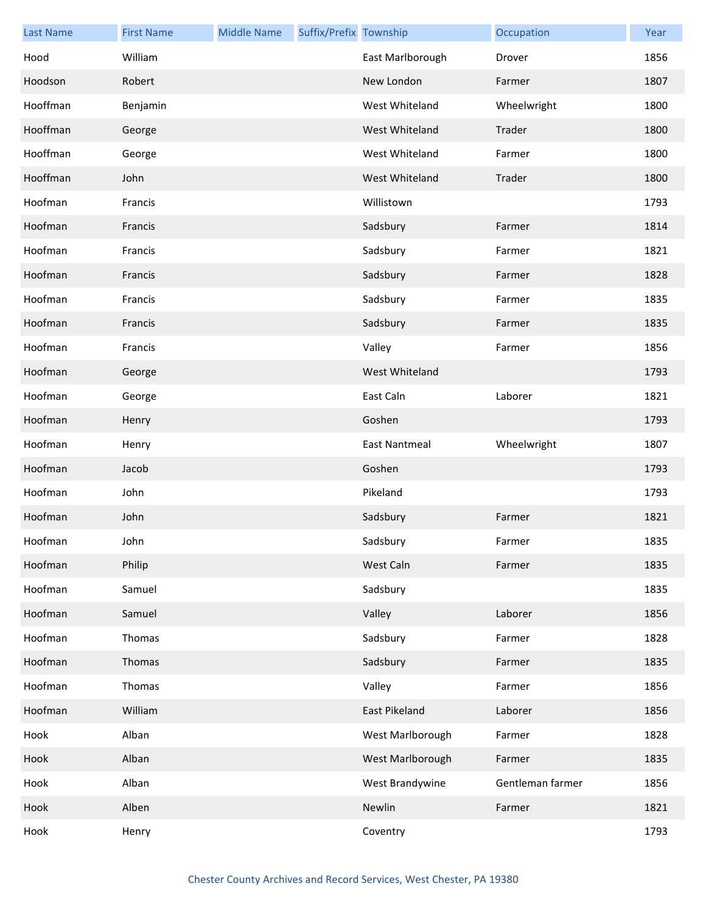| <b>Last Name</b> | <b>First Name</b> | <b>Middle Name</b> | Suffix/Prefix Township |                      | Occupation       | Year |
|------------------|-------------------|--------------------|------------------------|----------------------|------------------|------|
| Hood             | William           |                    |                        | East Marlborough     | Drover           | 1856 |
| Hoodson          | Robert            |                    |                        | New London           | Farmer           | 1807 |
| Hooffman         | Benjamin          |                    |                        | West Whiteland       | Wheelwright      | 1800 |
| Hooffman         | George            |                    |                        | West Whiteland       | Trader           | 1800 |
| Hooffman         | George            |                    |                        | West Whiteland       | Farmer           | 1800 |
| Hooffman         | John              |                    |                        | West Whiteland       | Trader           | 1800 |
| Hoofman          | Francis           |                    |                        | Willistown           |                  | 1793 |
| Hoofman          | Francis           |                    |                        | Sadsbury             | Farmer           | 1814 |
| Hoofman          | Francis           |                    |                        | Sadsbury             | Farmer           | 1821 |
| Hoofman          | Francis           |                    |                        | Sadsbury             | Farmer           | 1828 |
| Hoofman          | Francis           |                    |                        | Sadsbury             | Farmer           | 1835 |
| Hoofman          | Francis           |                    |                        | Sadsbury             | Farmer           | 1835 |
| Hoofman          | Francis           |                    |                        | Valley               | Farmer           | 1856 |
| Hoofman          | George            |                    |                        | West Whiteland       |                  | 1793 |
| Hoofman          | George            |                    |                        | East Caln            | Laborer          | 1821 |
| Hoofman          | Henry             |                    |                        | Goshen               |                  | 1793 |
| Hoofman          | Henry             |                    |                        | <b>East Nantmeal</b> | Wheelwright      | 1807 |
| Hoofman          | Jacob             |                    |                        | Goshen               |                  | 1793 |
| Hoofman          | John              |                    |                        | Pikeland             |                  | 1793 |
| Hoofman          | John              |                    |                        | Sadsbury             | Farmer           | 1821 |
| Hoofman          | John              |                    |                        | Sadsbury             | Farmer           | 1835 |
| Hoofman          | Philip            |                    |                        | West Caln            | Farmer           | 1835 |
| Hoofman          | Samuel            |                    |                        | Sadsbury             |                  | 1835 |
| Hoofman          | Samuel            |                    |                        | Valley               | Laborer          | 1856 |
| Hoofman          | Thomas            |                    |                        | Sadsbury             | Farmer           | 1828 |
| Hoofman          | Thomas            |                    |                        | Sadsbury             | Farmer           | 1835 |
| Hoofman          | Thomas            |                    |                        | Valley               | Farmer           | 1856 |
| Hoofman          | William           |                    |                        | East Pikeland        | Laborer          | 1856 |
| Hook             | Alban             |                    |                        | West Marlborough     | Farmer           | 1828 |
| Hook             | Alban             |                    |                        | West Marlborough     | Farmer           | 1835 |
| Hook             | Alban             |                    |                        | West Brandywine      | Gentleman farmer | 1856 |
| Hook             | Alben             |                    |                        | Newlin               | Farmer           | 1821 |
| Hook             | Henry             |                    |                        | Coventry             |                  | 1793 |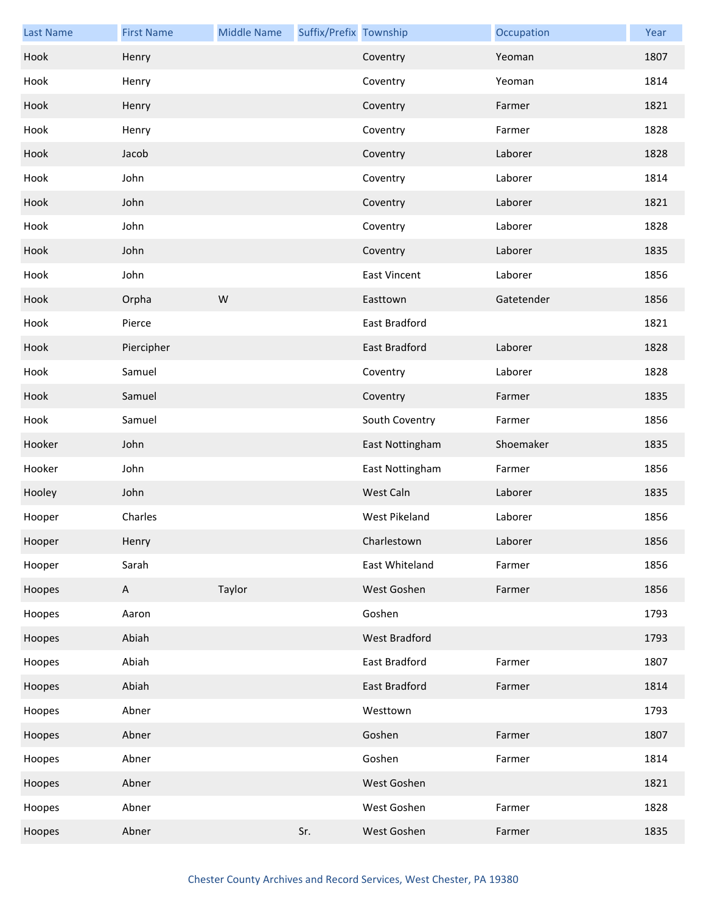| <b>Last Name</b> | <b>First Name</b> | <b>Middle Name</b> | Suffix/Prefix Township |                      | Occupation | Year |
|------------------|-------------------|--------------------|------------------------|----------------------|------------|------|
| Hook             | Henry             |                    |                        | Coventry             | Yeoman     | 1807 |
| Hook             | Henry             |                    |                        | Coventry             | Yeoman     | 1814 |
| Hook             | Henry             |                    |                        | Coventry             | Farmer     | 1821 |
| Hook             | Henry             |                    |                        | Coventry             | Farmer     | 1828 |
| Hook             | Jacob             |                    |                        | Coventry             | Laborer    | 1828 |
| Hook             | John              |                    |                        | Coventry             | Laborer    | 1814 |
| Hook             | John              |                    |                        | Coventry             | Laborer    | 1821 |
| Hook             | John              |                    |                        | Coventry             | Laborer    | 1828 |
| Hook             | John              |                    |                        | Coventry             | Laborer    | 1835 |
| Hook             | John              |                    |                        | <b>East Vincent</b>  | Laborer    | 1856 |
| Hook             | Orpha             | W                  |                        | Easttown             | Gatetender | 1856 |
| Hook             | Pierce            |                    |                        | East Bradford        |            | 1821 |
| Hook             | Piercipher        |                    |                        | East Bradford        | Laborer    | 1828 |
| Hook             | Samuel            |                    |                        | Coventry             | Laborer    | 1828 |
| Hook             | Samuel            |                    |                        | Coventry             | Farmer     | 1835 |
| Hook             | Samuel            |                    |                        | South Coventry       | Farmer     | 1856 |
| Hooker           | John              |                    |                        | East Nottingham      | Shoemaker  | 1835 |
| Hooker           | John              |                    |                        | East Nottingham      | Farmer     | 1856 |
| Hooley           | John              |                    |                        | West Caln            | Laborer    | 1835 |
| Hooper           | Charles           |                    |                        | <b>West Pikeland</b> | Laborer    | 1856 |
| Hooper           | Henry             |                    |                        | Charlestown          | Laborer    | 1856 |
| Hooper           | Sarah             |                    |                        | East Whiteland       | Farmer     | 1856 |
| Hoopes           | A                 | Taylor             |                        | West Goshen          | Farmer     | 1856 |
| Hoopes           | Aaron             |                    |                        | Goshen               |            | 1793 |
| Hoopes           | Abiah             |                    |                        | West Bradford        |            | 1793 |
| Hoopes           | Abiah             |                    |                        | East Bradford        | Farmer     | 1807 |
| Hoopes           | Abiah             |                    |                        | East Bradford        | Farmer     | 1814 |
| Hoopes           | Abner             |                    |                        | Westtown             |            | 1793 |
| Hoopes           | Abner             |                    |                        | Goshen               | Farmer     | 1807 |
| Hoopes           | Abner             |                    |                        | Goshen               | Farmer     | 1814 |
| Hoopes           | Abner             |                    |                        | West Goshen          |            | 1821 |
| Hoopes           | Abner             |                    |                        | West Goshen          | Farmer     | 1828 |
| Hoopes           | Abner             |                    | Sr.                    | West Goshen          | Farmer     | 1835 |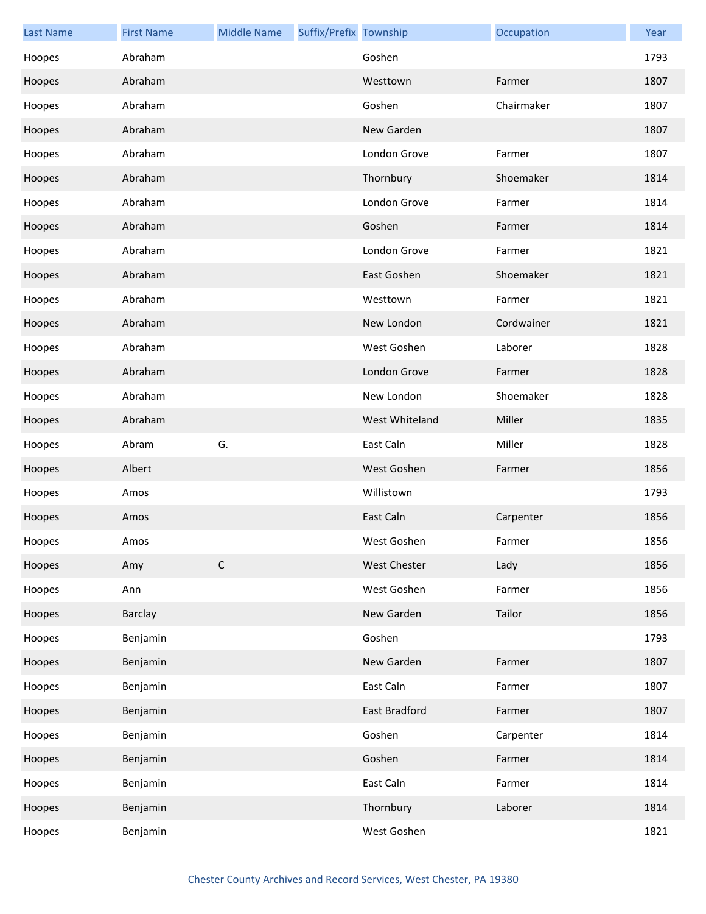| <b>Last Name</b> | <b>First Name</b> | <b>Middle Name</b> | Suffix/Prefix Township |                | Occupation | Year |
|------------------|-------------------|--------------------|------------------------|----------------|------------|------|
| Hoopes           | Abraham           |                    |                        | Goshen         |            | 1793 |
| Hoopes           | Abraham           |                    |                        | Westtown       | Farmer     | 1807 |
| Hoopes           | Abraham           |                    |                        | Goshen         | Chairmaker | 1807 |
| Hoopes           | Abraham           |                    |                        | New Garden     |            | 1807 |
| Hoopes           | Abraham           |                    |                        | London Grove   | Farmer     | 1807 |
| Hoopes           | Abraham           |                    |                        | Thornbury      | Shoemaker  | 1814 |
| Hoopes           | Abraham           |                    |                        | London Grove   | Farmer     | 1814 |
| Hoopes           | Abraham           |                    |                        | Goshen         | Farmer     | 1814 |
| Hoopes           | Abraham           |                    |                        | London Grove   | Farmer     | 1821 |
| Hoopes           | Abraham           |                    |                        | East Goshen    | Shoemaker  | 1821 |
| Hoopes           | Abraham           |                    |                        | Westtown       | Farmer     | 1821 |
| Hoopes           | Abraham           |                    |                        | New London     | Cordwainer | 1821 |
| Hoopes           | Abraham           |                    |                        | West Goshen    | Laborer    | 1828 |
| Hoopes           | Abraham           |                    |                        | London Grove   | Farmer     | 1828 |
| Hoopes           | Abraham           |                    |                        | New London     | Shoemaker  | 1828 |
| Hoopes           | Abraham           |                    |                        | West Whiteland | Miller     | 1835 |
| Hoopes           | Abram             | G.                 |                        | East Caln      | Miller     | 1828 |
| Hoopes           | Albert            |                    |                        | West Goshen    | Farmer     | 1856 |
| Hoopes           | Amos              |                    |                        | Willistown     |            | 1793 |
| Hoopes           | Amos              |                    |                        | East Caln      | Carpenter  | 1856 |
| Hoopes           | Amos              |                    |                        | West Goshen    | Farmer     | 1856 |
| Hoopes           | Amy               | $\mathsf C$        |                        | West Chester   | Lady       | 1856 |
| Hoopes           | Ann               |                    |                        | West Goshen    | Farmer     | 1856 |
| Hoopes           | <b>Barclay</b>    |                    |                        | New Garden     | Tailor     | 1856 |
| Hoopes           | Benjamin          |                    |                        | Goshen         |            | 1793 |
| Hoopes           | Benjamin          |                    |                        | New Garden     | Farmer     | 1807 |
| Hoopes           | Benjamin          |                    |                        | East Caln      | Farmer     | 1807 |
| Hoopes           | Benjamin          |                    |                        | East Bradford  | Farmer     | 1807 |
| Hoopes           | Benjamin          |                    |                        | Goshen         | Carpenter  | 1814 |
| Hoopes           | Benjamin          |                    |                        | Goshen         | Farmer     | 1814 |
| Hoopes           | Benjamin          |                    |                        | East Caln      | Farmer     | 1814 |
| Hoopes           | Benjamin          |                    |                        | Thornbury      | Laborer    | 1814 |
| Hoopes           | Benjamin          |                    |                        | West Goshen    |            | 1821 |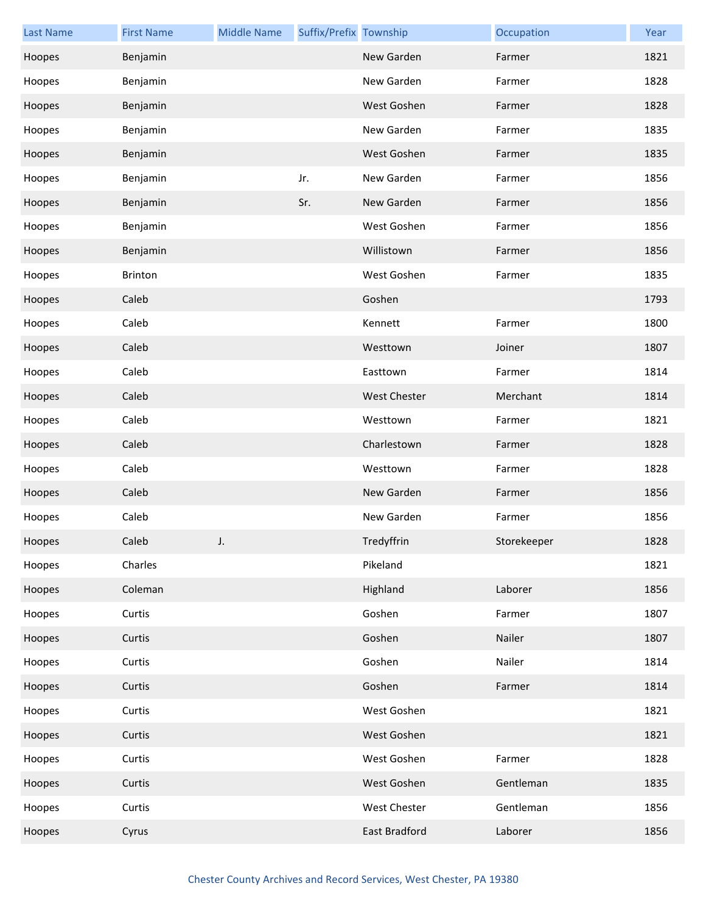| <b>Last Name</b> | <b>First Name</b> | <b>Middle Name</b> | Suffix/Prefix Township |                     | Occupation  | Year |
|------------------|-------------------|--------------------|------------------------|---------------------|-------------|------|
| Hoopes           | Benjamin          |                    |                        | New Garden          | Farmer      | 1821 |
| Hoopes           | Benjamin          |                    |                        | New Garden          | Farmer      | 1828 |
| Hoopes           | Benjamin          |                    |                        | West Goshen         | Farmer      | 1828 |
| Hoopes           | Benjamin          |                    |                        | New Garden          | Farmer      | 1835 |
| Hoopes           | Benjamin          |                    |                        | West Goshen         | Farmer      | 1835 |
| Hoopes           | Benjamin          |                    | Jr.                    | New Garden          | Farmer      | 1856 |
| Hoopes           | Benjamin          |                    | Sr.                    | New Garden          | Farmer      | 1856 |
| Hoopes           | Benjamin          |                    |                        | West Goshen         | Farmer      | 1856 |
| Hoopes           | Benjamin          |                    |                        | Willistown          | Farmer      | 1856 |
| Hoopes           | Brinton           |                    |                        | West Goshen         | Farmer      | 1835 |
| Hoopes           | Caleb             |                    |                        | Goshen              |             | 1793 |
| Hoopes           | Caleb             |                    |                        | Kennett             | Farmer      | 1800 |
| Hoopes           | Caleb             |                    |                        | Westtown            | Joiner      | 1807 |
| Hoopes           | Caleb             |                    |                        | Easttown            | Farmer      | 1814 |
| Hoopes           | Caleb             |                    |                        | <b>West Chester</b> | Merchant    | 1814 |
| Hoopes           | Caleb             |                    |                        | Westtown            | Farmer      | 1821 |
| Hoopes           | Caleb             |                    |                        | Charlestown         | Farmer      | 1828 |
| Hoopes           | Caleb             |                    |                        | Westtown            | Farmer      | 1828 |
| Hoopes           | Caleb             |                    |                        | New Garden          | Farmer      | 1856 |
| Hoopes           | Caleb             |                    |                        | New Garden          | Farmer      | 1856 |
| Hoopes           | Caleb             |                    |                        | Tredyffrin          | Storekeeper | 1828 |
| Hoopes           | Charles           |                    |                        | Pikeland            |             | 1821 |
| Hoopes           | Coleman           |                    |                        | Highland            | Laborer     | 1856 |
| Hoopes           | Curtis            |                    |                        | Goshen              | Farmer      | 1807 |
| Hoopes           | Curtis            |                    |                        | Goshen              | Nailer      | 1807 |
| Hoopes           | Curtis            |                    |                        | Goshen              | Nailer      | 1814 |
| Hoopes           | Curtis            |                    |                        | Goshen              | Farmer      | 1814 |
| Hoopes           | Curtis            |                    |                        | West Goshen         |             | 1821 |
| Hoopes           | Curtis            |                    |                        | West Goshen         |             | 1821 |
| Hoopes           | Curtis            |                    |                        | West Goshen         | Farmer      | 1828 |
| Hoopes           | Curtis            |                    |                        | West Goshen         | Gentleman   | 1835 |
| Hoopes           | Curtis            |                    |                        | West Chester        | Gentleman   | 1856 |
| Hoopes           | Cyrus             |                    |                        | East Bradford       | Laborer     | 1856 |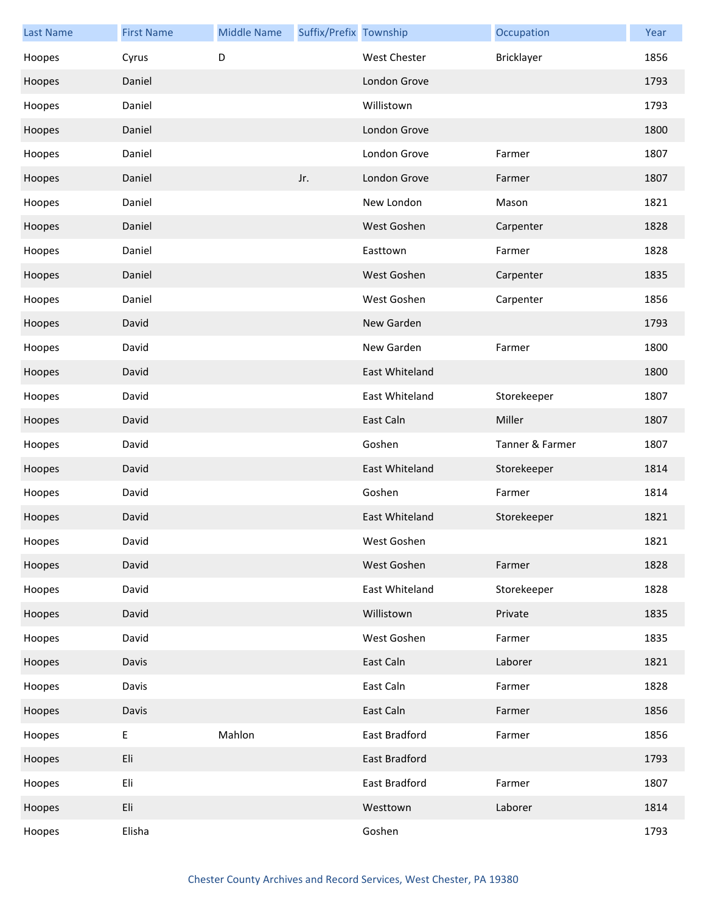| <b>Last Name</b> | <b>First Name</b> | <b>Middle Name</b> | Suffix/Prefix Township |                      | Occupation      | Year |
|------------------|-------------------|--------------------|------------------------|----------------------|-----------------|------|
| Hoopes           | Cyrus             | D                  |                        | West Chester         | Bricklayer      | 1856 |
| Hoopes           | Daniel            |                    |                        | London Grove         |                 | 1793 |
| Hoopes           | Daniel            |                    |                        | Willistown           |                 | 1793 |
| Hoopes           | Daniel            |                    |                        | London Grove         |                 | 1800 |
| Hoopes           | Daniel            |                    |                        | London Grove         | Farmer          | 1807 |
| Hoopes           | Daniel            |                    | Jr.                    | London Grove         | Farmer          | 1807 |
| Hoopes           | Daniel            |                    |                        | New London           | Mason           | 1821 |
| Hoopes           | Daniel            |                    |                        | West Goshen          | Carpenter       | 1828 |
| Hoopes           | Daniel            |                    |                        | Easttown             | Farmer          | 1828 |
| Hoopes           | Daniel            |                    |                        | West Goshen          | Carpenter       | 1835 |
| Hoopes           | Daniel            |                    |                        | West Goshen          | Carpenter       | 1856 |
| Hoopes           | David             |                    |                        | New Garden           |                 | 1793 |
| Hoopes           | David             |                    |                        | New Garden           | Farmer          | 1800 |
| Hoopes           | David             |                    |                        | East Whiteland       |                 | 1800 |
| Hoopes           | David             |                    |                        | East Whiteland       | Storekeeper     | 1807 |
| Hoopes           | David             |                    |                        | East Caln            | Miller          | 1807 |
| Hoopes           | David             |                    |                        | Goshen               | Tanner & Farmer | 1807 |
| Hoopes           | David             |                    |                        | East Whiteland       | Storekeeper     | 1814 |
| Hoopes           | David             |                    |                        | Goshen               | Farmer          | 1814 |
| Hoopes           | David             |                    |                        | East Whiteland       | Storekeeper     | 1821 |
| Hoopes           | David             |                    |                        | West Goshen          |                 | 1821 |
| Hoopes           | David             |                    |                        | West Goshen          | Farmer          | 1828 |
| Hoopes           | David             |                    |                        | East Whiteland       | Storekeeper     | 1828 |
| Hoopes           | David             |                    |                        | Willistown           | Private         | 1835 |
| Hoopes           | David             |                    |                        | West Goshen          | Farmer          | 1835 |
| Hoopes           | Davis             |                    |                        | East Caln            | Laborer         | 1821 |
| Hoopes           | Davis             |                    |                        | East Caln            | Farmer          | 1828 |
| Hoopes           | Davis             |                    |                        | East Caln            | Farmer          | 1856 |
| Hoopes           | Ε                 | Mahlon             |                        | East Bradford        | Farmer          | 1856 |
| Hoopes           | Eli               |                    |                        | <b>East Bradford</b> |                 | 1793 |
| Hoopes           | Eli               |                    |                        | East Bradford        | Farmer          | 1807 |
| Hoopes           | Eli               |                    |                        | Westtown             | Laborer         | 1814 |
| Hoopes           | Elisha            |                    |                        | Goshen               |                 | 1793 |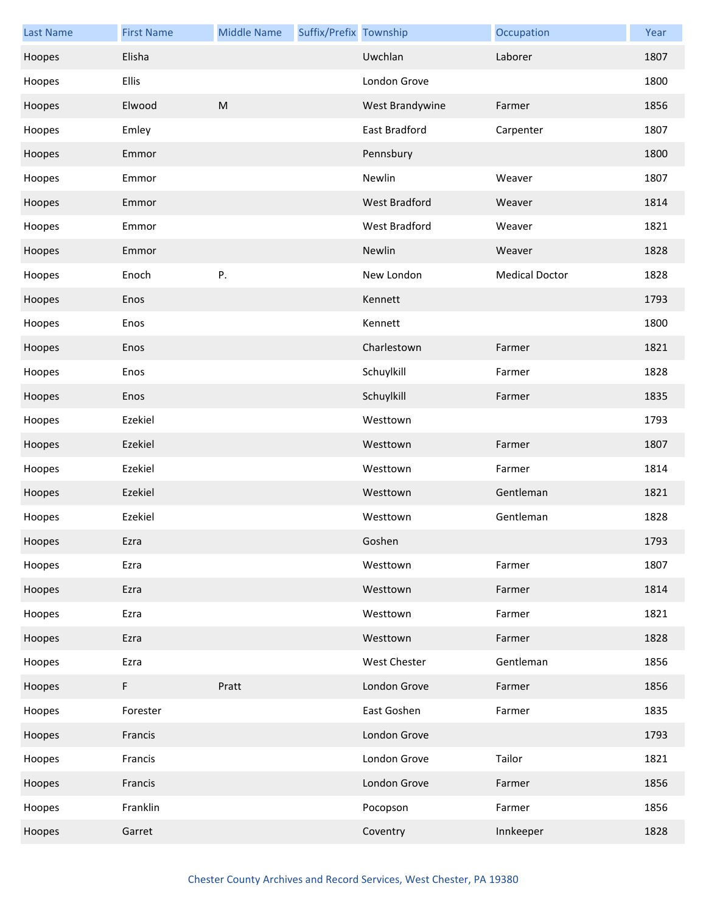| <b>Last Name</b> | <b>First Name</b> | <b>Middle Name</b> | Suffix/Prefix Township |                      | Occupation            | Year |
|------------------|-------------------|--------------------|------------------------|----------------------|-----------------------|------|
| Hoopes           | Elisha            |                    |                        | Uwchlan              | Laborer               | 1807 |
| Hoopes           | Ellis             |                    |                        | London Grove         |                       | 1800 |
| Hoopes           | Elwood            | M                  |                        | West Brandywine      | Farmer                | 1856 |
| Hoopes           | Emley             |                    |                        | East Bradford        | Carpenter             | 1807 |
| Hoopes           | Emmor             |                    |                        | Pennsbury            |                       | 1800 |
| Hoopes           | Emmor             |                    |                        | Newlin               | Weaver                | 1807 |
| Hoopes           | Emmor             |                    |                        | West Bradford        | Weaver                | 1814 |
| Hoopes           | Emmor             |                    |                        | <b>West Bradford</b> | Weaver                | 1821 |
| Hoopes           | Emmor             |                    |                        | Newlin               | Weaver                | 1828 |
| Hoopes           | Enoch             | P.                 |                        | New London           | <b>Medical Doctor</b> | 1828 |
| Hoopes           | Enos              |                    |                        | Kennett              |                       | 1793 |
| Hoopes           | Enos              |                    |                        | Kennett              |                       | 1800 |
| Hoopes           | Enos              |                    |                        | Charlestown          | Farmer                | 1821 |
| Hoopes           | Enos              |                    |                        | Schuylkill           | Farmer                | 1828 |
| Hoopes           | Enos              |                    |                        | Schuylkill           | Farmer                | 1835 |
| Hoopes           | Ezekiel           |                    |                        | Westtown             |                       | 1793 |
| Hoopes           | Ezekiel           |                    |                        | Westtown             | Farmer                | 1807 |
| Hoopes           | Ezekiel           |                    |                        | Westtown             | Farmer                | 1814 |
| Hoopes           | Ezekiel           |                    |                        | Westtown             | Gentleman             | 1821 |
| Hoopes           | Ezekiel           |                    |                        | Westtown             | Gentleman             | 1828 |
| Hoopes           | Ezra              |                    |                        | Goshen               |                       | 1793 |
| Hoopes           | Ezra              |                    |                        | Westtown             | Farmer                | 1807 |
| Hoopes           | Ezra              |                    |                        | Westtown             | Farmer                | 1814 |
| Hoopes           | Ezra              |                    |                        | Westtown             | Farmer                | 1821 |
| Hoopes           | Ezra              |                    |                        | Westtown             | Farmer                | 1828 |
| Hoopes           | Ezra              |                    |                        | West Chester         | Gentleman             | 1856 |
| Hoopes           | F                 | Pratt              |                        | London Grove         | Farmer                | 1856 |
| Hoopes           | Forester          |                    |                        | East Goshen          | Farmer                | 1835 |
| Hoopes           | Francis           |                    |                        | London Grove         |                       | 1793 |
| Hoopes           | Francis           |                    |                        | London Grove         | Tailor                | 1821 |
| Hoopes           | Francis           |                    |                        | London Grove         | Farmer                | 1856 |
| Hoopes           | Franklin          |                    |                        | Pocopson             | Farmer                | 1856 |
| Hoopes           | Garret            |                    |                        | Coventry             | Innkeeper             | 1828 |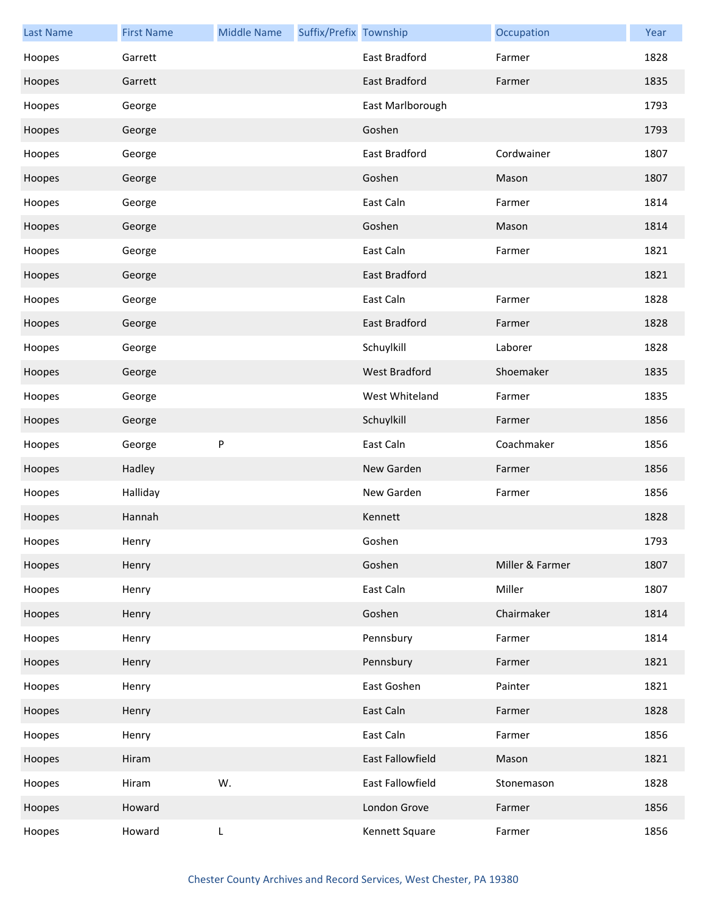| <b>Last Name</b> | <b>First Name</b> | <b>Middle Name</b> | Suffix/Prefix Township |                      | Occupation      | Year |
|------------------|-------------------|--------------------|------------------------|----------------------|-----------------|------|
| Hoopes           | Garrett           |                    |                        | East Bradford        | Farmer          | 1828 |
| Hoopes           | Garrett           |                    |                        | East Bradford        | Farmer          | 1835 |
| Hoopes           | George            |                    |                        | East Marlborough     |                 | 1793 |
| Hoopes           | George            |                    |                        | Goshen               |                 | 1793 |
| Hoopes           | George            |                    |                        | East Bradford        | Cordwainer      | 1807 |
| Hoopes           | George            |                    |                        | Goshen               | Mason           | 1807 |
| Hoopes           | George            |                    |                        | East Caln            | Farmer          | 1814 |
| Hoopes           | George            |                    |                        | Goshen               | Mason           | 1814 |
| Hoopes           | George            |                    |                        | East Caln            | Farmer          | 1821 |
| Hoopes           | George            |                    |                        | <b>East Bradford</b> |                 | 1821 |
| Hoopes           | George            |                    |                        | East Caln            | Farmer          | 1828 |
| Hoopes           | George            |                    |                        | East Bradford        | Farmer          | 1828 |
| Hoopes           | George            |                    |                        | Schuylkill           | Laborer         | 1828 |
| Hoopes           | George            |                    |                        | West Bradford        | Shoemaker       | 1835 |
| Hoopes           | George            |                    |                        | West Whiteland       | Farmer          | 1835 |
| Hoopes           | George            |                    |                        | Schuylkill           | Farmer          | 1856 |
| Hoopes           | George            | P                  |                        | East Caln            | Coachmaker      | 1856 |
| Hoopes           | Hadley            |                    |                        | New Garden           | Farmer          | 1856 |
| Hoopes           | Halliday          |                    |                        | New Garden           | Farmer          | 1856 |
| Hoopes           | Hannah            |                    |                        | Kennett              |                 | 1828 |
| Hoopes           | Henry             |                    |                        | Goshen               |                 | 1793 |
| Hoopes           | Henry             |                    |                        | Goshen               | Miller & Farmer | 1807 |
| Hoopes           | Henry             |                    |                        | East Caln            | Miller          | 1807 |
| Hoopes           | Henry             |                    |                        | Goshen               | Chairmaker      | 1814 |
| Hoopes           | Henry             |                    |                        | Pennsbury            | Farmer          | 1814 |
| Hoopes           | Henry             |                    |                        | Pennsbury            | Farmer          | 1821 |
| Hoopes           | Henry             |                    |                        | East Goshen          | Painter         | 1821 |
| Hoopes           | Henry             |                    |                        | East Caln            | Farmer          | 1828 |
| Hoopes           | Henry             |                    |                        | East Caln            | Farmer          | 1856 |
| Hoopes           | Hiram             |                    |                        | East Fallowfield     | Mason           | 1821 |
| Hoopes           | Hiram             | W.                 |                        | East Fallowfield     | Stonemason      | 1828 |
| Hoopes           | Howard            |                    |                        | London Grove         | Farmer          | 1856 |
| Hoopes           | Howard            | L                  |                        | Kennett Square       | Farmer          | 1856 |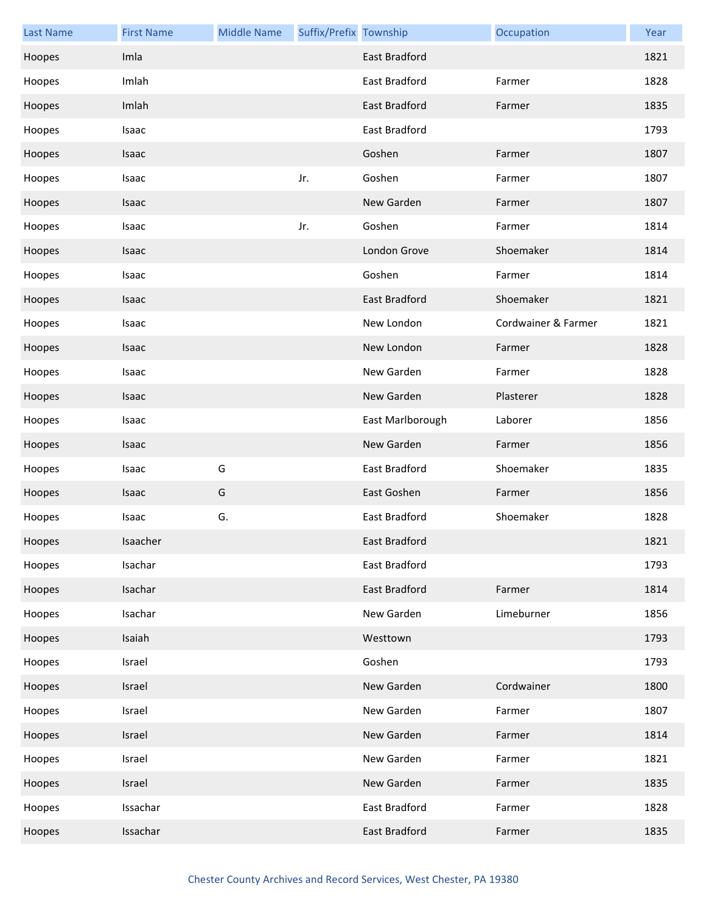| <b>Last Name</b> | <b>First Name</b> | <b>Middle Name</b> | Suffix/Prefix Township |                      | Occupation          | Year |
|------------------|-------------------|--------------------|------------------------|----------------------|---------------------|------|
| Hoopes           | Imla              |                    |                        | <b>East Bradford</b> |                     | 1821 |
| Hoopes           | Imlah             |                    |                        | East Bradford        | Farmer              | 1828 |
| Hoopes           | Imlah             |                    |                        | East Bradford        | Farmer              | 1835 |
| Hoopes           | Isaac             |                    |                        | East Bradford        |                     | 1793 |
| Hoopes           | Isaac             |                    |                        | Goshen               | Farmer              | 1807 |
| Hoopes           | Isaac             |                    | Jr.                    | Goshen               | Farmer              | 1807 |
| Hoopes           | Isaac             |                    |                        | New Garden           | Farmer              | 1807 |
| Hoopes           | Isaac             |                    | Jr.                    | Goshen               | Farmer              | 1814 |
| Hoopes           | Isaac             |                    |                        | London Grove         | Shoemaker           | 1814 |
| Hoopes           | Isaac             |                    |                        | Goshen               | Farmer              | 1814 |
| Hoopes           | Isaac             |                    |                        | <b>East Bradford</b> | Shoemaker           | 1821 |
| Hoopes           | Isaac             |                    |                        | New London           | Cordwainer & Farmer | 1821 |
| Hoopes           | Isaac             |                    |                        | New London           | Farmer              | 1828 |
| Hoopes           | Isaac             |                    |                        | New Garden           | Farmer              | 1828 |
| Hoopes           | Isaac             |                    |                        | New Garden           | Plasterer           | 1828 |
| Hoopes           | Isaac             |                    |                        | East Marlborough     | Laborer             | 1856 |
| Hoopes           | Isaac             |                    |                        | New Garden           | Farmer              | 1856 |
| Hoopes           | Isaac             | G                  |                        | East Bradford        | Shoemaker           | 1835 |
| Hoopes           | Isaac             | G                  |                        | East Goshen          | Farmer              | 1856 |
| Hoopes           | Isaac             | G.                 |                        | East Bradford        | Shoemaker           | 1828 |
| Hoopes           | Isaacher          |                    |                        | East Bradford        |                     | 1821 |
| Hoopes           | Isachar           |                    |                        | East Bradford        |                     | 1793 |
| Hoopes           | Isachar           |                    |                        | East Bradford        | Farmer              | 1814 |
| Hoopes           | Isachar           |                    |                        | New Garden           | Limeburner          | 1856 |
| Hoopes           | Isaiah            |                    |                        | Westtown             |                     | 1793 |
| Hoopes           | Israel            |                    |                        | Goshen               |                     | 1793 |
| Hoopes           | Israel            |                    |                        | New Garden           | Cordwainer          | 1800 |
| Hoopes           | Israel            |                    |                        | New Garden           | Farmer              | 1807 |
| Hoopes           | Israel            |                    |                        | New Garden           | Farmer              | 1814 |
| Hoopes           | Israel            |                    |                        | New Garden           | Farmer              | 1821 |
| Hoopes           | Israel            |                    |                        | New Garden           | Farmer              | 1835 |
| Hoopes           | Issachar          |                    |                        | East Bradford        | Farmer              | 1828 |
| Hoopes           | Issachar          |                    |                        | East Bradford        | Farmer              | 1835 |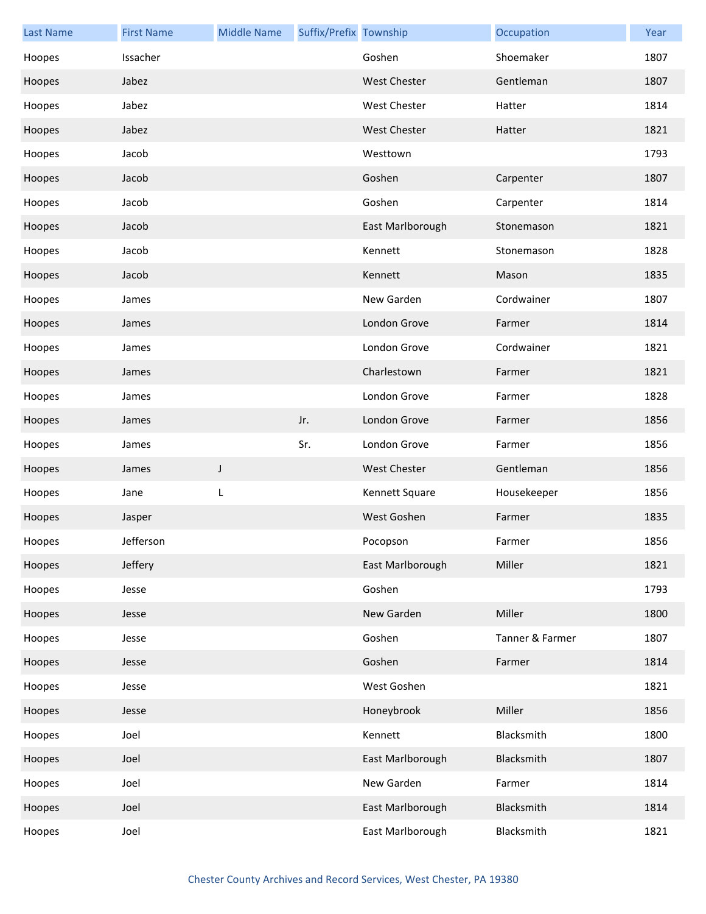| <b>Last Name</b> | <b>First Name</b> | <b>Middle Name</b> | Suffix/Prefix Township |                     | Occupation      | Year |
|------------------|-------------------|--------------------|------------------------|---------------------|-----------------|------|
| Hoopes           | Issacher          |                    |                        | Goshen              | Shoemaker       | 1807 |
| Hoopes           | Jabez             |                    |                        | <b>West Chester</b> | Gentleman       | 1807 |
| Hoopes           | Jabez             |                    |                        | West Chester        | Hatter          | 1814 |
| Hoopes           | Jabez             |                    |                        | <b>West Chester</b> | Hatter          | 1821 |
| Hoopes           | Jacob             |                    |                        | Westtown            |                 | 1793 |
| Hoopes           | Jacob             |                    |                        | Goshen              | Carpenter       | 1807 |
| Hoopes           | Jacob             |                    |                        | Goshen              | Carpenter       | 1814 |
| Hoopes           | Jacob             |                    |                        | East Marlborough    | Stonemason      | 1821 |
| Hoopes           | Jacob             |                    |                        | Kennett             | Stonemason      | 1828 |
| Hoopes           | Jacob             |                    |                        | Kennett             | Mason           | 1835 |
| Hoopes           | James             |                    |                        | New Garden          | Cordwainer      | 1807 |
| Hoopes           | James             |                    |                        | London Grove        | Farmer          | 1814 |
| Hoopes           | James             |                    |                        | London Grove        | Cordwainer      | 1821 |
| Hoopes           | James             |                    |                        | Charlestown         | Farmer          | 1821 |
| Hoopes           | James             |                    |                        | London Grove        | Farmer          | 1828 |
| Hoopes           | James             |                    | Jr.                    | London Grove        | Farmer          | 1856 |
| Hoopes           | James             |                    | Sr.                    | London Grove        | Farmer          | 1856 |
| Hoopes           | James             | J                  |                        | <b>West Chester</b> | Gentleman       | 1856 |
| Hoopes           | Jane              | L                  |                        | Kennett Square      | Housekeeper     | 1856 |
| Hoopes           | Jasper            |                    |                        | West Goshen         | Farmer          | 1835 |
| Hoopes           | Jefferson         |                    |                        | Pocopson            | Farmer          | 1856 |
| Hoopes           | Jeffery           |                    |                        | East Marlborough    | Miller          | 1821 |
| Hoopes           | Jesse             |                    |                        | Goshen              |                 | 1793 |
| Hoopes           | Jesse             |                    |                        | New Garden          | Miller          | 1800 |
| Hoopes           | Jesse             |                    |                        | Goshen              | Tanner & Farmer | 1807 |
| Hoopes           | Jesse             |                    |                        | Goshen              | Farmer          | 1814 |
| Hoopes           | Jesse             |                    |                        | West Goshen         |                 | 1821 |
| Hoopes           | Jesse             |                    |                        | Honeybrook          | Miller          | 1856 |
| Hoopes           | Joel              |                    |                        | Kennett             | Blacksmith      | 1800 |
| Hoopes           | Joel              |                    |                        | East Marlborough    | Blacksmith      | 1807 |
| Hoopes           | Joel              |                    |                        | New Garden          | Farmer          | 1814 |
| Hoopes           | Joel              |                    |                        | East Marlborough    | Blacksmith      | 1814 |
| Hoopes           | Joel              |                    |                        | East Marlborough    | Blacksmith      | 1821 |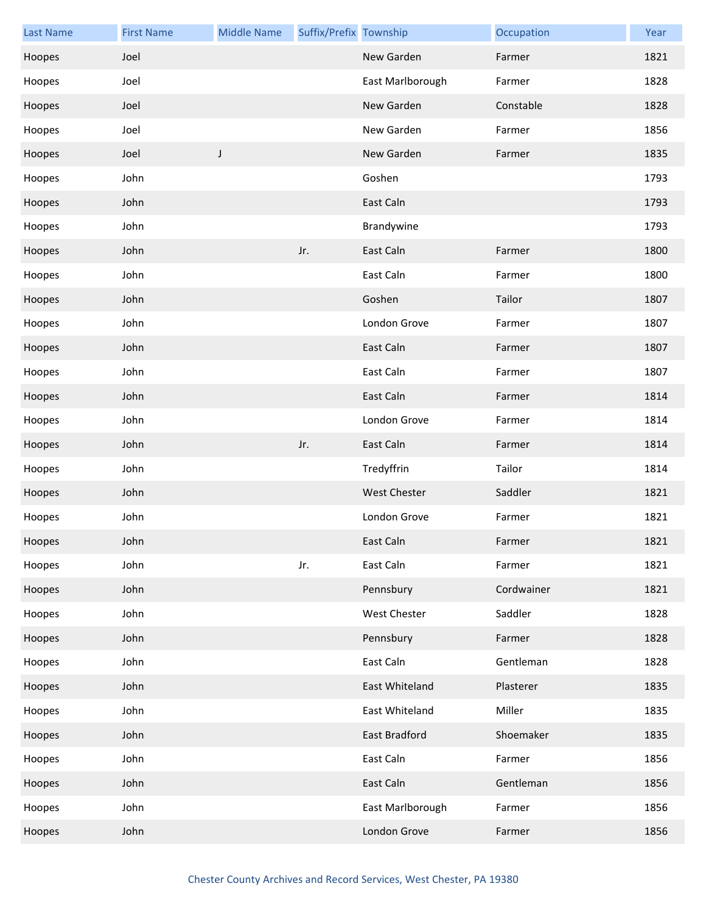| <b>Last Name</b> | <b>First Name</b> | <b>Middle Name</b> | Suffix/Prefix Township |                  | Occupation | Year |
|------------------|-------------------|--------------------|------------------------|------------------|------------|------|
| Hoopes           | Joel              |                    |                        | New Garden       | Farmer     | 1821 |
| Hoopes           | Joel              |                    |                        | East Marlborough | Farmer     | 1828 |
| Hoopes           | Joel              |                    |                        | New Garden       | Constable  | 1828 |
| Hoopes           | Joel              |                    |                        | New Garden       | Farmer     | 1856 |
| Hoopes           | Joel              | J                  |                        | New Garden       | Farmer     | 1835 |
| Hoopes           | John              |                    |                        | Goshen           |            | 1793 |
| Hoopes           | John              |                    |                        | East Caln        |            | 1793 |
| Hoopes           | John              |                    |                        | Brandywine       |            | 1793 |
| Hoopes           | John              |                    | Jr.                    | East Caln        | Farmer     | 1800 |
| Hoopes           | John              |                    |                        | East Caln        | Farmer     | 1800 |
| Hoopes           | John              |                    |                        | Goshen           | Tailor     | 1807 |
| Hoopes           | John              |                    |                        | London Grove     | Farmer     | 1807 |
| Hoopes           | John              |                    |                        | East Caln        | Farmer     | 1807 |
| Hoopes           | John              |                    |                        | East Caln        | Farmer     | 1807 |
| Hoopes           | John              |                    |                        | East Caln        | Farmer     | 1814 |
| Hoopes           | John              |                    |                        | London Grove     | Farmer     | 1814 |
| Hoopes           | John              |                    | Jr.                    | East Caln        | Farmer     | 1814 |
| Hoopes           | John              |                    |                        | Tredyffrin       | Tailor     | 1814 |
| Hoopes           | John              |                    |                        | West Chester     | Saddler    | 1821 |
| Hoopes           | John              |                    |                        | London Grove     | Farmer     | 1821 |
| Hoopes           | John              |                    |                        | East Caln        | Farmer     | 1821 |
| Hoopes           | John              |                    | Jr.                    | East Caln        | Farmer     | 1821 |
| Hoopes           | John              |                    |                        | Pennsbury        | Cordwainer | 1821 |
| Hoopes           | John              |                    |                        | West Chester     | Saddler    | 1828 |
| Hoopes           | John              |                    |                        | Pennsbury        | Farmer     | 1828 |
| Hoopes           | John              |                    |                        | East Caln        | Gentleman  | 1828 |
| Hoopes           | John              |                    |                        | East Whiteland   | Plasterer  | 1835 |
| Hoopes           | John              |                    |                        | East Whiteland   | Miller     | 1835 |
| Hoopes           | John              |                    |                        | East Bradford    | Shoemaker  | 1835 |
| Hoopes           | John              |                    |                        | East Caln        | Farmer     | 1856 |
| Hoopes           | John              |                    |                        | East Caln        | Gentleman  | 1856 |
| Hoopes           | John              |                    |                        | East Marlborough | Farmer     | 1856 |
| Hoopes           | John              |                    |                        | London Grove     | Farmer     | 1856 |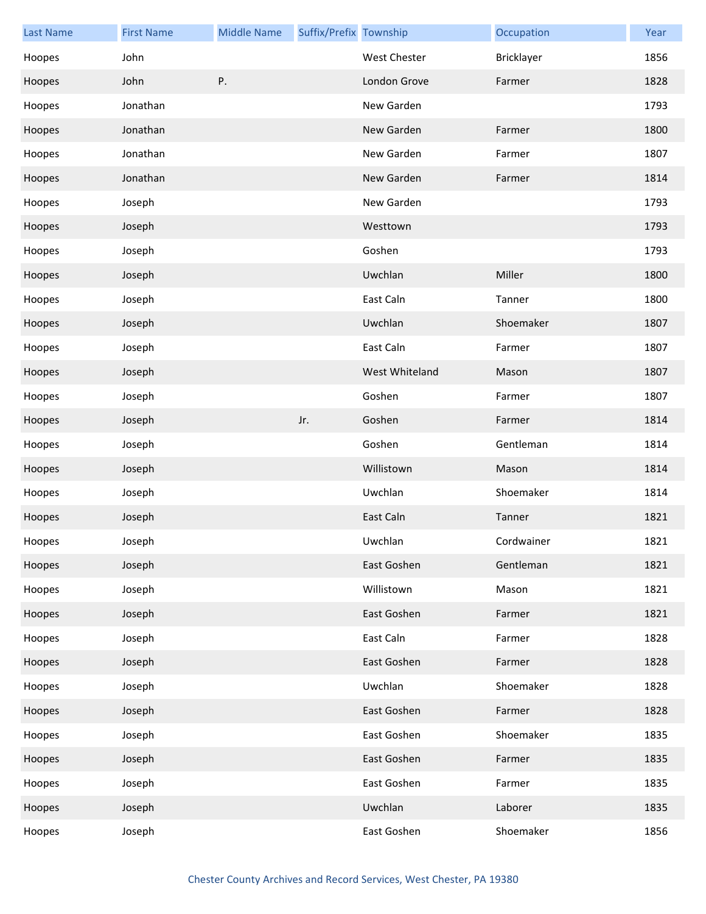| <b>Last Name</b> | <b>First Name</b> | <b>Middle Name</b> | Suffix/Prefix Township |                | Occupation | Year |
|------------------|-------------------|--------------------|------------------------|----------------|------------|------|
| Hoopes           | John              |                    |                        | West Chester   | Bricklayer | 1856 |
| Hoopes           | John              | Ρ.                 |                        | London Grove   | Farmer     | 1828 |
| Hoopes           | Jonathan          |                    |                        | New Garden     |            | 1793 |
| Hoopes           | Jonathan          |                    |                        | New Garden     | Farmer     | 1800 |
| Hoopes           | Jonathan          |                    |                        | New Garden     | Farmer     | 1807 |
| Hoopes           | Jonathan          |                    |                        | New Garden     | Farmer     | 1814 |
| Hoopes           | Joseph            |                    |                        | New Garden     |            | 1793 |
| Hoopes           | Joseph            |                    |                        | Westtown       |            | 1793 |
| Hoopes           | Joseph            |                    |                        | Goshen         |            | 1793 |
| Hoopes           | Joseph            |                    |                        | Uwchlan        | Miller     | 1800 |
| Hoopes           | Joseph            |                    |                        | East Caln      | Tanner     | 1800 |
| Hoopes           | Joseph            |                    |                        | Uwchlan        | Shoemaker  | 1807 |
| Hoopes           | Joseph            |                    |                        | East Caln      | Farmer     | 1807 |
| Hoopes           | Joseph            |                    |                        | West Whiteland | Mason      | 1807 |
| Hoopes           | Joseph            |                    |                        | Goshen         | Farmer     | 1807 |
| Hoopes           | Joseph            |                    | Jr.                    | Goshen         | Farmer     | 1814 |
| Hoopes           | Joseph            |                    |                        | Goshen         | Gentleman  | 1814 |
| Hoopes           | Joseph            |                    |                        | Willistown     | Mason      | 1814 |
| Hoopes           | Joseph            |                    |                        | Uwchlan        | Shoemaker  | 1814 |
| Hoopes           | Joseph            |                    |                        | East Caln      | Tanner     | 1821 |
| Hoopes           | Joseph            |                    |                        | Uwchlan        | Cordwainer | 1821 |
| Hoopes           | Joseph            |                    |                        | East Goshen    | Gentleman  | 1821 |
| Hoopes           | Joseph            |                    |                        | Willistown     | Mason      | 1821 |
| Hoopes           | Joseph            |                    |                        | East Goshen    | Farmer     | 1821 |
| Hoopes           | Joseph            |                    |                        | East Caln      | Farmer     | 1828 |
| Hoopes           | Joseph            |                    |                        | East Goshen    | Farmer     | 1828 |
| Hoopes           | Joseph            |                    |                        | Uwchlan        | Shoemaker  | 1828 |
| Hoopes           | Joseph            |                    |                        | East Goshen    | Farmer     | 1828 |
| Hoopes           | Joseph            |                    |                        | East Goshen    | Shoemaker  | 1835 |
| Hoopes           | Joseph            |                    |                        | East Goshen    | Farmer     | 1835 |
| Hoopes           | Joseph            |                    |                        | East Goshen    | Farmer     | 1835 |
| Hoopes           | Joseph            |                    |                        | Uwchlan        | Laborer    | 1835 |
| Hoopes           | Joseph            |                    |                        | East Goshen    | Shoemaker  | 1856 |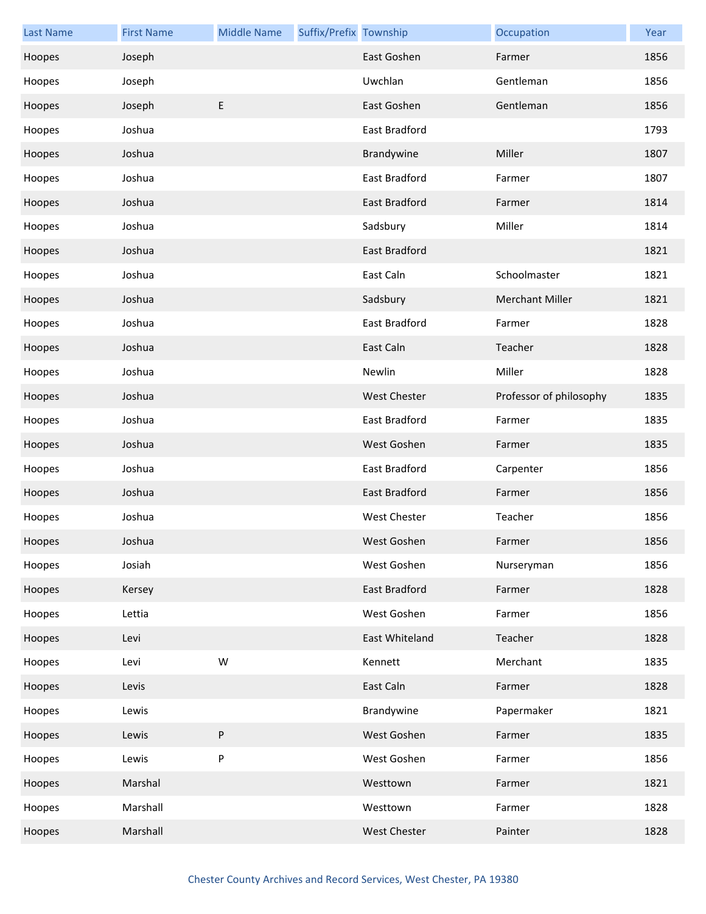| <b>Last Name</b> | <b>First Name</b> | <b>Middle Name</b> | Suffix/Prefix Township |                      | Occupation              | Year |
|------------------|-------------------|--------------------|------------------------|----------------------|-------------------------|------|
| Hoopes           | Joseph            |                    |                        | East Goshen          | Farmer                  | 1856 |
| Hoopes           | Joseph            |                    |                        | Uwchlan              | Gentleman               | 1856 |
| Hoopes           | Joseph            | E                  |                        | East Goshen          | Gentleman               | 1856 |
| Hoopes           | Joshua            |                    |                        | East Bradford        |                         | 1793 |
| Hoopes           | Joshua            |                    |                        | Brandywine           | Miller                  | 1807 |
| Hoopes           | Joshua            |                    |                        | East Bradford        | Farmer                  | 1807 |
| Hoopes           | Joshua            |                    |                        | East Bradford        | Farmer                  | 1814 |
| Hoopes           | Joshua            |                    |                        | Sadsbury             | Miller                  | 1814 |
| Hoopes           | Joshua            |                    |                        | <b>East Bradford</b> |                         | 1821 |
| Hoopes           | Joshua            |                    |                        | East Caln            | Schoolmaster            | 1821 |
| Hoopes           | Joshua            |                    |                        | Sadsbury             | <b>Merchant Miller</b>  | 1821 |
| Hoopes           | Joshua            |                    |                        | <b>East Bradford</b> | Farmer                  | 1828 |
| Hoopes           | Joshua            |                    |                        | East Caln            | Teacher                 | 1828 |
| Hoopes           | Joshua            |                    |                        | Newlin               | Miller                  | 1828 |
| Hoopes           | Joshua            |                    |                        | <b>West Chester</b>  | Professor of philosophy | 1835 |
| Hoopes           | Joshua            |                    |                        | East Bradford        | Farmer                  | 1835 |
| Hoopes           | Joshua            |                    |                        | West Goshen          | Farmer                  | 1835 |
| Hoopes           | Joshua            |                    |                        | East Bradford        | Carpenter               | 1856 |
| Hoopes           | Joshua            |                    |                        | <b>East Bradford</b> | Farmer                  | 1856 |
| Hoopes           | Joshua            |                    |                        | <b>West Chester</b>  | Teacher                 | 1856 |
| Hoopes           | Joshua            |                    |                        | West Goshen          | Farmer                  | 1856 |
| Hoopes           | Josiah            |                    |                        | West Goshen          | Nurseryman              | 1856 |
| Hoopes           | Kersey            |                    |                        | East Bradford        | Farmer                  | 1828 |
| Hoopes           | Lettia            |                    |                        | West Goshen          | Farmer                  | 1856 |
| Hoopes           | Levi              |                    |                        | East Whiteland       | Teacher                 | 1828 |
| Hoopes           | Levi              | W                  |                        | Kennett              | Merchant                | 1835 |
| Hoopes           | Levis             |                    |                        | East Caln            | Farmer                  | 1828 |
| Hoopes           | Lewis             |                    |                        | Brandywine           | Papermaker              | 1821 |
| Hoopes           | Lewis             | P                  |                        | West Goshen          | Farmer                  | 1835 |
| Hoopes           | Lewis             | ${\sf P}$          |                        | West Goshen          | Farmer                  | 1856 |
| Hoopes           | Marshal           |                    |                        | Westtown             | Farmer                  | 1821 |
| Hoopes           | Marshall          |                    |                        | Westtown             | Farmer                  | 1828 |
| Hoopes           | Marshall          |                    |                        | West Chester         | Painter                 | 1828 |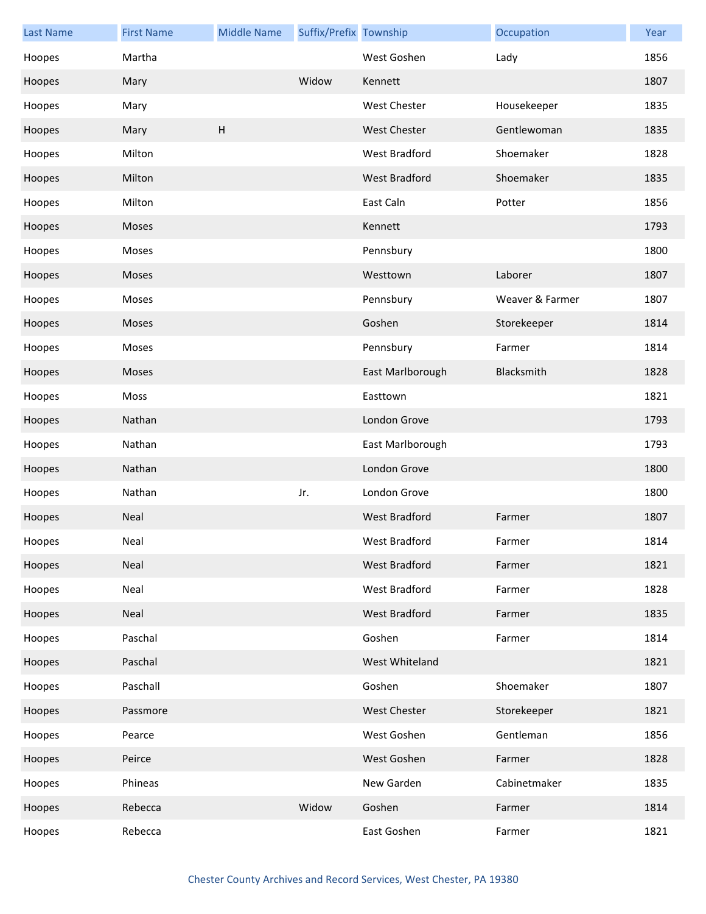| <b>Last Name</b> | <b>First Name</b> | <b>Middle Name</b>        | Suffix/Prefix Township |                      | Occupation      | Year |
|------------------|-------------------|---------------------------|------------------------|----------------------|-----------------|------|
| Hoopes           | Martha            |                           |                        | West Goshen          | Lady            | 1856 |
| Hoopes           | Mary              |                           | Widow                  | Kennett              |                 | 1807 |
| Hoopes           | Mary              |                           |                        | <b>West Chester</b>  | Housekeeper     | 1835 |
| Hoopes           | Mary              | $\boldsymbol{\mathsf{H}}$ |                        | <b>West Chester</b>  | Gentlewoman     | 1835 |
| Hoopes           | Milton            |                           |                        | West Bradford        | Shoemaker       | 1828 |
| Hoopes           | Milton            |                           |                        | <b>West Bradford</b> | Shoemaker       | 1835 |
| Hoopes           | Milton            |                           |                        | East Caln            | Potter          | 1856 |
| Hoopes           | Moses             |                           |                        | Kennett              |                 | 1793 |
| Hoopes           | Moses             |                           |                        | Pennsbury            |                 | 1800 |
| Hoopes           | Moses             |                           |                        | Westtown             | Laborer         | 1807 |
| Hoopes           | Moses             |                           |                        | Pennsbury            | Weaver & Farmer | 1807 |
| Hoopes           | Moses             |                           |                        | Goshen               | Storekeeper     | 1814 |
| Hoopes           | Moses             |                           |                        | Pennsbury            | Farmer          | 1814 |
| Hoopes           | Moses             |                           |                        | East Marlborough     | Blacksmith      | 1828 |
| Hoopes           | Moss              |                           |                        | Easttown             |                 | 1821 |
| Hoopes           | Nathan            |                           |                        | London Grove         |                 | 1793 |
| Hoopes           | Nathan            |                           |                        | East Marlborough     |                 | 1793 |
| Hoopes           | Nathan            |                           |                        | London Grove         |                 | 1800 |
| Hoopes           | Nathan            |                           | Jr.                    | London Grove         |                 | 1800 |
| Hoopes           | Neal              |                           |                        | West Bradford        | Farmer          | 1807 |
| Hoopes           | Neal              |                           |                        | West Bradford        | Farmer          | 1814 |
| Hoopes           | Neal              |                           |                        | West Bradford        | Farmer          | 1821 |
| Hoopes           | Neal              |                           |                        | West Bradford        | Farmer          | 1828 |
| Hoopes           | Neal              |                           |                        | West Bradford        | Farmer          | 1835 |
| Hoopes           | Paschal           |                           |                        | Goshen               | Farmer          | 1814 |
| Hoopes           | Paschal           |                           |                        | West Whiteland       |                 | 1821 |
| Hoopes           | Paschall          |                           |                        | Goshen               | Shoemaker       | 1807 |
| Hoopes           | Passmore          |                           |                        | West Chester         | Storekeeper     | 1821 |
| Hoopes           | Pearce            |                           |                        | West Goshen          | Gentleman       | 1856 |
| Hoopes           | Peirce            |                           |                        | West Goshen          | Farmer          | 1828 |
| Hoopes           | Phineas           |                           |                        | New Garden           | Cabinetmaker    | 1835 |
| Hoopes           | Rebecca           |                           | Widow                  | Goshen               | Farmer          | 1814 |
| Hoopes           | Rebecca           |                           |                        | East Goshen          | Farmer          | 1821 |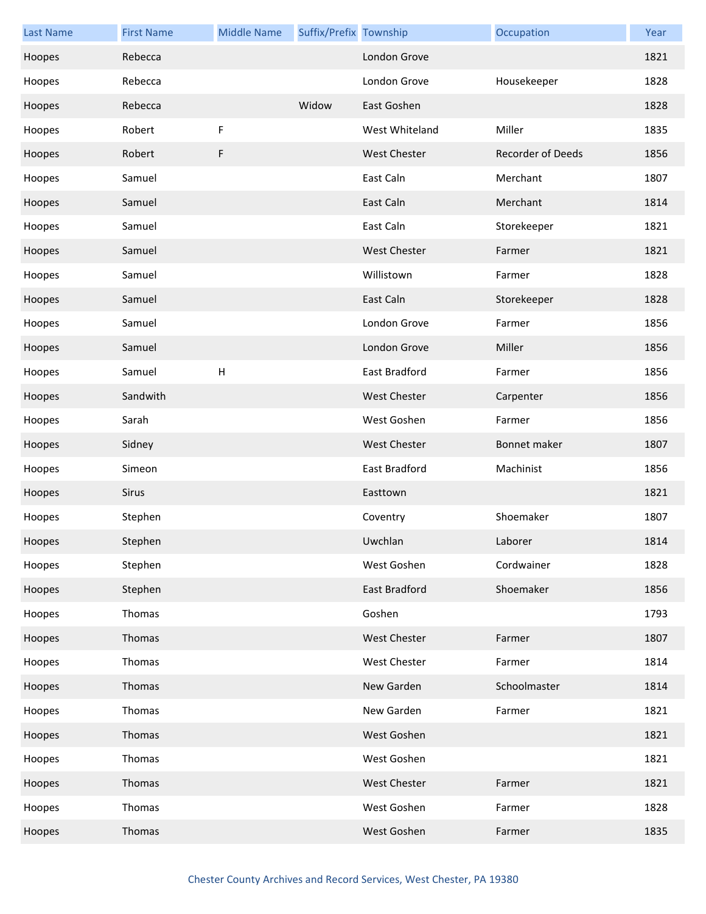| <b>Last Name</b> | <b>First Name</b> | <b>Middle Name</b> | Suffix/Prefix Township |                     | Occupation        | Year |
|------------------|-------------------|--------------------|------------------------|---------------------|-------------------|------|
| Hoopes           | Rebecca           |                    |                        | London Grove        |                   | 1821 |
| Hoopes           | Rebecca           |                    |                        | London Grove        | Housekeeper       | 1828 |
| Hoopes           | Rebecca           |                    | Widow                  | East Goshen         |                   | 1828 |
| Hoopes           | Robert            | F                  |                        | West Whiteland      | Miller            | 1835 |
| Hoopes           | Robert            | F                  |                        | <b>West Chester</b> | Recorder of Deeds | 1856 |
| Hoopes           | Samuel            |                    |                        | East Caln           | Merchant          | 1807 |
| Hoopes           | Samuel            |                    |                        | East Caln           | Merchant          | 1814 |
| Hoopes           | Samuel            |                    |                        | East Caln           | Storekeeper       | 1821 |
| Hoopes           | Samuel            |                    |                        | <b>West Chester</b> | Farmer            | 1821 |
| Hoopes           | Samuel            |                    |                        | Willistown          | Farmer            | 1828 |
| Hoopes           | Samuel            |                    |                        | East Caln           | Storekeeper       | 1828 |
| Hoopes           | Samuel            |                    |                        | London Grove        | Farmer            | 1856 |
| Hoopes           | Samuel            |                    |                        | London Grove        | Miller            | 1856 |
| Hoopes           | Samuel            | H                  |                        | East Bradford       | Farmer            | 1856 |
| Hoopes           | Sandwith          |                    |                        | <b>West Chester</b> | Carpenter         | 1856 |
| Hoopes           | Sarah             |                    |                        | West Goshen         | Farmer            | 1856 |
| Hoopes           | Sidney            |                    |                        | <b>West Chester</b> | Bonnet maker      | 1807 |
| Hoopes           | Simeon            |                    |                        | East Bradford       | Machinist         | 1856 |
| Hoopes           | Sirus             |                    |                        | Easttown            |                   | 1821 |
| Hoopes           | Stephen           |                    |                        | Coventry            | Shoemaker         | 1807 |
| Hoopes           | Stephen           |                    |                        | Uwchlan             | Laborer           | 1814 |
| Hoopes           | Stephen           |                    |                        | West Goshen         | Cordwainer        | 1828 |
| Hoopes           | Stephen           |                    |                        | East Bradford       | Shoemaker         | 1856 |
| Hoopes           | Thomas            |                    |                        | Goshen              |                   | 1793 |
| Hoopes           | Thomas            |                    |                        | <b>West Chester</b> | Farmer            | 1807 |
| Hoopes           | Thomas            |                    |                        | <b>West Chester</b> | Farmer            | 1814 |
| Hoopes           | Thomas            |                    |                        | New Garden          | Schoolmaster      | 1814 |
| Hoopes           | Thomas            |                    |                        | New Garden          | Farmer            | 1821 |
| Hoopes           | Thomas            |                    |                        | West Goshen         |                   | 1821 |
| Hoopes           | Thomas            |                    |                        | West Goshen         |                   | 1821 |
| Hoopes           | Thomas            |                    |                        | <b>West Chester</b> | Farmer            | 1821 |
| Hoopes           | Thomas            |                    |                        | West Goshen         | Farmer            | 1828 |
| Hoopes           | Thomas            |                    |                        | West Goshen         | Farmer            | 1835 |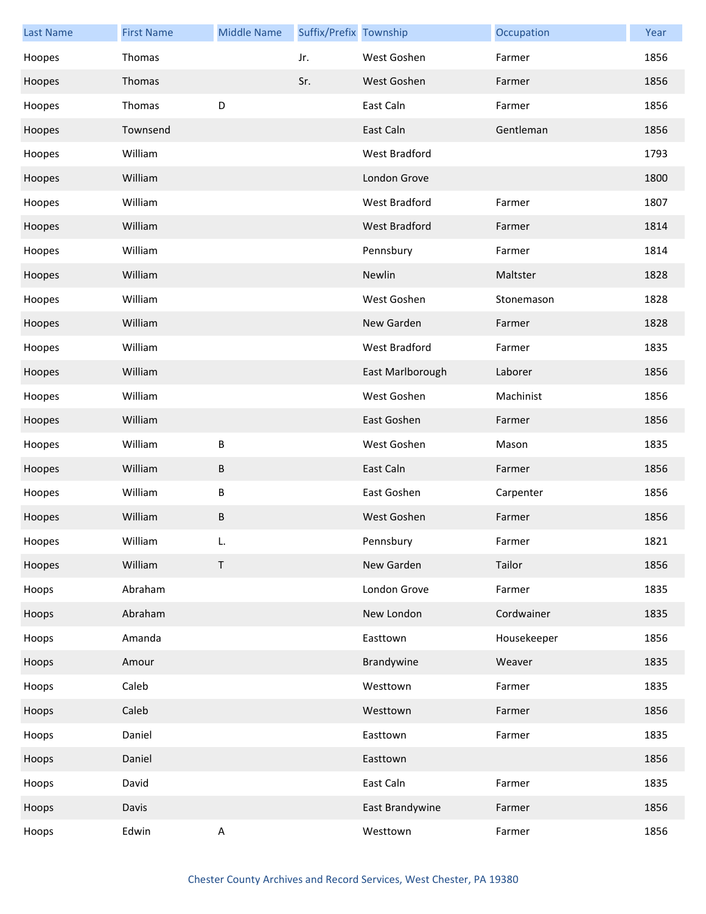| <b>Last Name</b> | <b>First Name</b> | <b>Middle Name</b>        | Suffix/Prefix Township |                  | Occupation  | Year |
|------------------|-------------------|---------------------------|------------------------|------------------|-------------|------|
| Hoopes           | Thomas            |                           | Jr.                    | West Goshen      | Farmer      | 1856 |
| Hoopes           | Thomas            |                           | Sr.                    | West Goshen      | Farmer      | 1856 |
| Hoopes           | Thomas            | D                         |                        | East Caln        | Farmer      | 1856 |
| Hoopes           | Townsend          |                           |                        | East Caln        | Gentleman   | 1856 |
| Hoopes           | William           |                           |                        | West Bradford    |             | 1793 |
| Hoopes           | William           |                           |                        | London Grove     |             | 1800 |
| Hoopes           | William           |                           |                        | West Bradford    | Farmer      | 1807 |
| Hoopes           | William           |                           |                        | West Bradford    | Farmer      | 1814 |
| Hoopes           | William           |                           |                        | Pennsbury        | Farmer      | 1814 |
| Hoopes           | William           |                           |                        | Newlin           | Maltster    | 1828 |
| Hoopes           | William           |                           |                        | West Goshen      | Stonemason  | 1828 |
| Hoopes           | William           |                           |                        | New Garden       | Farmer      | 1828 |
| Hoopes           | William           |                           |                        | West Bradford    | Farmer      | 1835 |
| Hoopes           | William           |                           |                        | East Marlborough | Laborer     | 1856 |
| Hoopes           | William           |                           |                        | West Goshen      | Machinist   | 1856 |
| Hoopes           | William           |                           |                        | East Goshen      | Farmer      | 1856 |
| Hoopes           | William           | B                         |                        | West Goshen      | Mason       | 1835 |
| Hoopes           | William           | B                         |                        | East Caln        | Farmer      | 1856 |
| Hoopes           | William           | B                         |                        | East Goshen      | Carpenter   | 1856 |
| Hoopes           | William           | $\sf B$                   |                        | West Goshen      | Farmer      | 1856 |
| Hoopes           | William           |                           |                        | Pennsbury        | Farmer      | 1821 |
| Hoopes           | William           | $\mathsf{T}$              |                        | New Garden       | Tailor      | 1856 |
| Hoops            | Abraham           |                           |                        | London Grove     | Farmer      | 1835 |
| Hoops            | Abraham           |                           |                        | New London       | Cordwainer  | 1835 |
| Hoops            | Amanda            |                           |                        | Easttown         | Housekeeper | 1856 |
| Hoops            | Amour             |                           |                        | Brandywine       | Weaver      | 1835 |
| Hoops            | Caleb             |                           |                        | Westtown         | Farmer      | 1835 |
| Hoops            | Caleb             |                           |                        | Westtown         | Farmer      | 1856 |
| Hoops            | Daniel            |                           |                        | Easttown         | Farmer      | 1835 |
| Hoops            | Daniel            |                           |                        | Easttown         |             | 1856 |
| Hoops            | David             |                           |                        | East Caln        | Farmer      | 1835 |
| Hoops            | Davis             |                           |                        | East Brandywine  | Farmer      | 1856 |
| Hoops            | Edwin             | $\boldsymbol{\mathsf{A}}$ |                        | Westtown         | Farmer      | 1856 |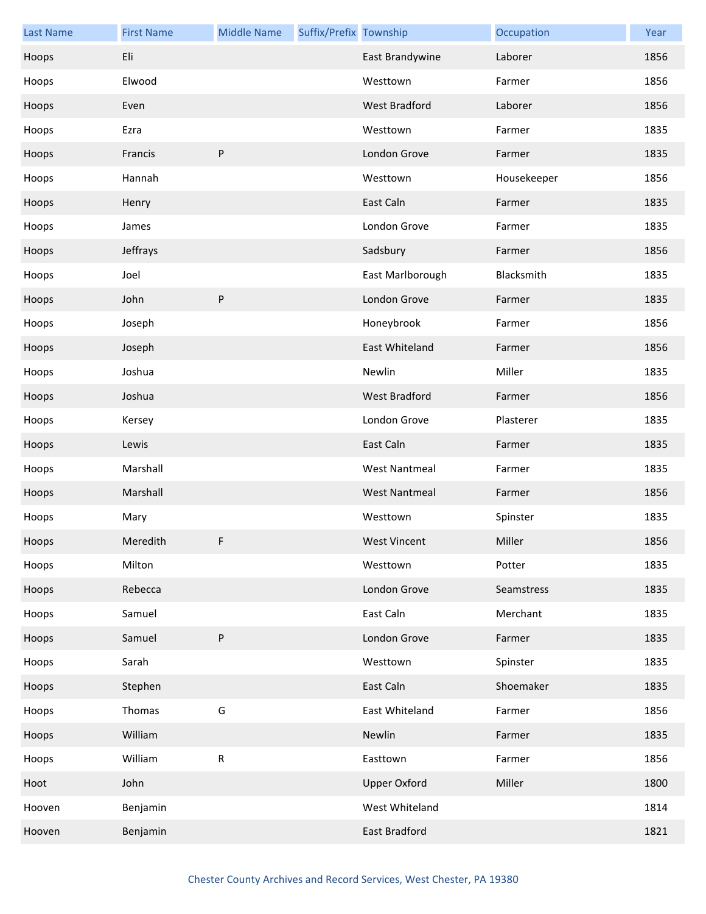| <b>Last Name</b> | <b>First Name</b> | <b>Middle Name</b> | Suffix/Prefix Township |                      | Occupation  | Year |
|------------------|-------------------|--------------------|------------------------|----------------------|-------------|------|
| Hoops            | Eli               |                    |                        | East Brandywine      | Laborer     | 1856 |
| Hoops            | Elwood            |                    |                        | Westtown             | Farmer      | 1856 |
| Hoops            | Even              |                    |                        | <b>West Bradford</b> | Laborer     | 1856 |
| Hoops            | Ezra              |                    |                        | Westtown             | Farmer      | 1835 |
| Hoops            | Francis           | ${\sf P}$          |                        | London Grove         | Farmer      | 1835 |
| Hoops            | Hannah            |                    |                        | Westtown             | Housekeeper | 1856 |
| Hoops            | Henry             |                    |                        | East Caln            | Farmer      | 1835 |
| Hoops            | James             |                    |                        | London Grove         | Farmer      | 1835 |
| Hoops            | Jeffrays          |                    |                        | Sadsbury             | Farmer      | 1856 |
| Hoops            | Joel              |                    |                        | East Marlborough     | Blacksmith  | 1835 |
| Hoops            | John              | ${\sf P}$          |                        | London Grove         | Farmer      | 1835 |
| Hoops            | Joseph            |                    |                        | Honeybrook           | Farmer      | 1856 |
| Hoops            | Joseph            |                    |                        | East Whiteland       | Farmer      | 1856 |
| Hoops            | Joshua            |                    |                        | Newlin               | Miller      | 1835 |
| Hoops            | Joshua            |                    |                        | West Bradford        | Farmer      | 1856 |
| Hoops            | Kersey            |                    |                        | London Grove         | Plasterer   | 1835 |
| Hoops            | Lewis             |                    |                        | East Caln            | Farmer      | 1835 |
| Hoops            | Marshall          |                    |                        | <b>West Nantmeal</b> | Farmer      | 1835 |
| Hoops            | Marshall          |                    |                        | <b>West Nantmeal</b> | Farmer      | 1856 |
| Hoops            | Mary              |                    |                        | Westtown             | Spinster    | 1835 |
| Hoops            | Meredith          | F.                 |                        | <b>West Vincent</b>  | Miller      | 1856 |
| Hoops            | Milton            |                    |                        | Westtown             | Potter      | 1835 |
| Hoops            | Rebecca           |                    |                        | London Grove         | Seamstress  | 1835 |
| Hoops            | Samuel            |                    |                        | East Caln            | Merchant    | 1835 |
| Hoops            | Samuel            | ${\sf P}$          |                        | London Grove         | Farmer      | 1835 |
| Hoops            | Sarah             |                    |                        | Westtown             | Spinster    | 1835 |
| Hoops            | Stephen           |                    |                        | East Caln            | Shoemaker   | 1835 |
| Hoops            | Thomas            | G                  |                        | East Whiteland       | Farmer      | 1856 |
| Hoops            | William           |                    |                        | Newlin               | Farmer      | 1835 |
| Hoops            | William           | ${\sf R}$          |                        | Easttown             | Farmer      | 1856 |
| Hoot             | John              |                    |                        | <b>Upper Oxford</b>  | Miller      | 1800 |
| Hooven           | Benjamin          |                    |                        | West Whiteland       |             | 1814 |
| Hooven           | Benjamin          |                    |                        | East Bradford        |             | 1821 |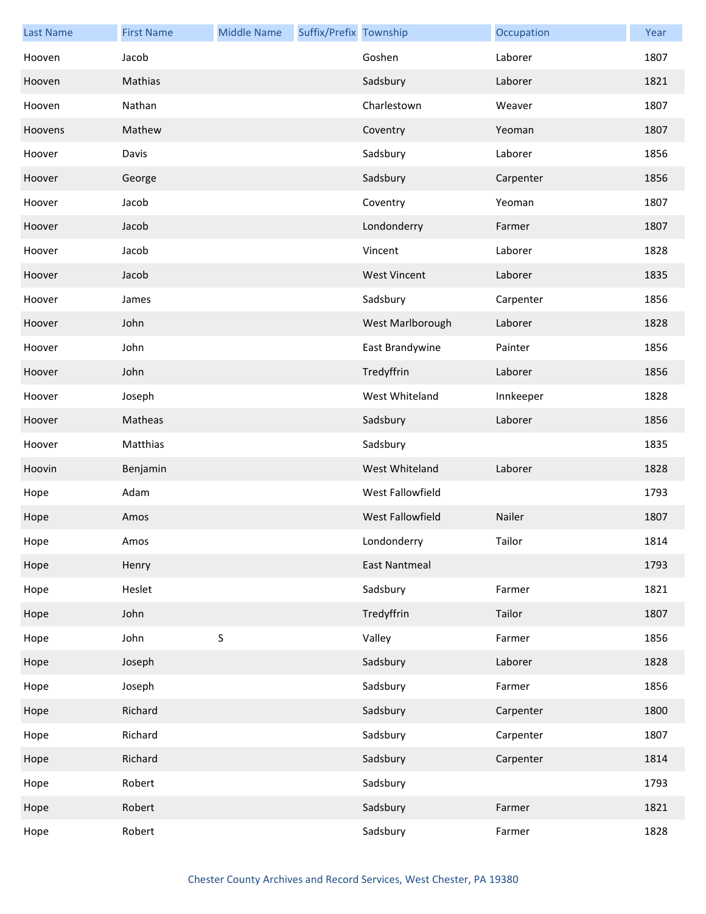| <b>Last Name</b> | <b>First Name</b> | <b>Middle Name</b> | Suffix/Prefix Township |                         | Occupation | Year |
|------------------|-------------------|--------------------|------------------------|-------------------------|------------|------|
| Hooven           | Jacob             |                    |                        | Goshen                  | Laborer    | 1807 |
| Hooven           | Mathias           |                    |                        | Sadsbury                | Laborer    | 1821 |
| Hooven           | Nathan            |                    |                        | Charlestown             | Weaver     | 1807 |
| Hoovens          | Mathew            |                    |                        | Coventry                | Yeoman     | 1807 |
| Hoover           | Davis             |                    |                        | Sadsbury                | Laborer    | 1856 |
| Hoover           | George            |                    |                        | Sadsbury                | Carpenter  | 1856 |
| Hoover           | Jacob             |                    |                        | Coventry                | Yeoman     | 1807 |
| Hoover           | Jacob             |                    |                        | Londonderry             | Farmer     | 1807 |
| Hoover           | Jacob             |                    |                        | Vincent                 | Laborer    | 1828 |
| Hoover           | Jacob             |                    |                        | <b>West Vincent</b>     | Laborer    | 1835 |
| Hoover           | James             |                    |                        | Sadsbury                | Carpenter  | 1856 |
| Hoover           | John              |                    |                        | West Marlborough        | Laborer    | 1828 |
| Hoover           | John              |                    |                        | East Brandywine         | Painter    | 1856 |
| Hoover           | John              |                    |                        | Tredyffrin              | Laborer    | 1856 |
| Hoover           | Joseph            |                    |                        | West Whiteland          | Innkeeper  | 1828 |
| Hoover           | Matheas           |                    |                        | Sadsbury                | Laborer    | 1856 |
| Hoover           | Matthias          |                    |                        | Sadsbury                |            | 1835 |
| Hoovin           | Benjamin          |                    |                        | West Whiteland          | Laborer    | 1828 |
| Hope             | Adam              |                    |                        | West Fallowfield        |            | 1793 |
| Hope             | Amos              |                    |                        | <b>West Fallowfield</b> | Nailer     | 1807 |
| Hope             | Amos              |                    |                        | Londonderry             | Tailor     | 1814 |
| Hope             | Henry             |                    |                        | <b>East Nantmeal</b>    |            | 1793 |
| Hope             | Heslet            |                    |                        | Sadsbury                | Farmer     | 1821 |
| Hope             | John              |                    |                        | Tredyffrin              | Tailor     | 1807 |
| Hope             | John              | $\sf S$            |                        | Valley                  | Farmer     | 1856 |
| Hope             | Joseph            |                    |                        | Sadsbury                | Laborer    | 1828 |
| Hope             | Joseph            |                    |                        | Sadsbury                | Farmer     | 1856 |
| Hope             | Richard           |                    |                        | Sadsbury                | Carpenter  | 1800 |
| Hope             | Richard           |                    |                        | Sadsbury                | Carpenter  | 1807 |
| Hope             | Richard           |                    |                        | Sadsbury                | Carpenter  | 1814 |
| Hope             | Robert            |                    |                        | Sadsbury                |            | 1793 |
| Hope             | Robert            |                    |                        | Sadsbury                | Farmer     | 1821 |
| Hope             | Robert            |                    |                        | Sadsbury                | Farmer     | 1828 |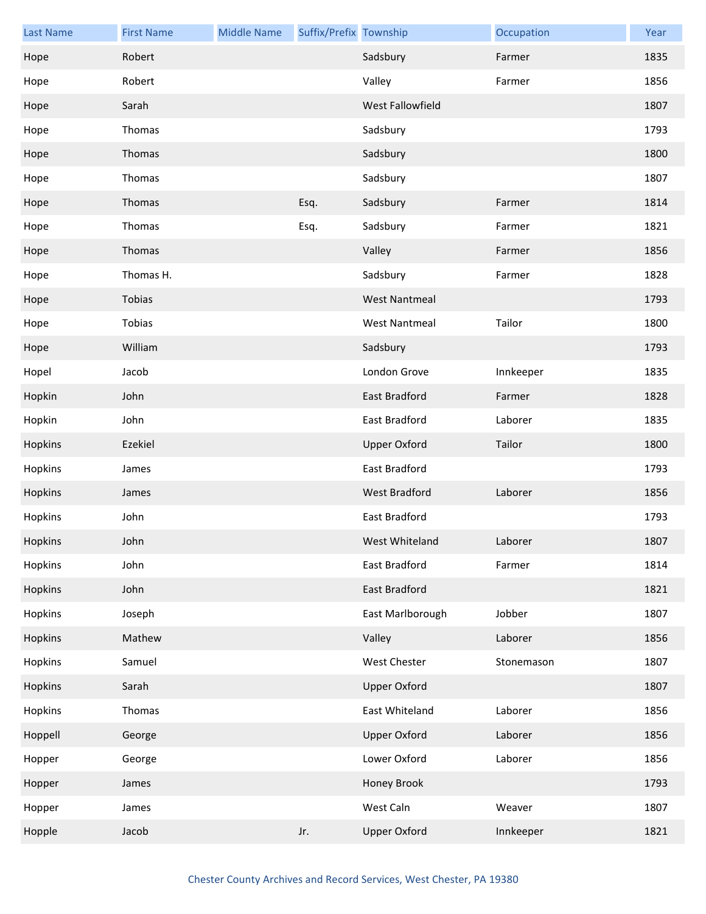| <b>Last Name</b> | <b>First Name</b> | <b>Middle Name</b> | Suffix/Prefix Township |                      | Occupation | Year |
|------------------|-------------------|--------------------|------------------------|----------------------|------------|------|
| Hope             | Robert            |                    |                        | Sadsbury             | Farmer     | 1835 |
| Hope             | Robert            |                    |                        | Valley               | Farmer     | 1856 |
| Hope             | Sarah             |                    |                        | West Fallowfield     |            | 1807 |
| Hope             | Thomas            |                    |                        | Sadsbury             |            | 1793 |
| Hope             | Thomas            |                    |                        | Sadsbury             |            | 1800 |
| Hope             | Thomas            |                    |                        | Sadsbury             |            | 1807 |
| Hope             | Thomas            |                    | Esq.                   | Sadsbury             | Farmer     | 1814 |
| Hope             | Thomas            |                    | Esq.                   | Sadsbury             | Farmer     | 1821 |
| Hope             | Thomas            |                    |                        | Valley               | Farmer     | 1856 |
| Hope             | Thomas H.         |                    |                        | Sadsbury             | Farmer     | 1828 |
| Hope             | Tobias            |                    |                        | <b>West Nantmeal</b> |            | 1793 |
| Hope             | Tobias            |                    |                        | <b>West Nantmeal</b> | Tailor     | 1800 |
| Hope             | William           |                    |                        | Sadsbury             |            | 1793 |
| Hopel            | Jacob             |                    |                        | London Grove         | Innkeeper  | 1835 |
| Hopkin           | John              |                    |                        | East Bradford        | Farmer     | 1828 |
| Hopkin           | John              |                    |                        | East Bradford        | Laborer    | 1835 |
| Hopkins          | Ezekiel           |                    |                        | <b>Upper Oxford</b>  | Tailor     | 1800 |
| Hopkins          | James             |                    |                        | East Bradford        |            | 1793 |
| Hopkins          | James             |                    |                        | West Bradford        | Laborer    | 1856 |
| Hopkins          | John              |                    |                        | East Bradford        |            | 1793 |
| Hopkins          | John              |                    |                        | West Whiteland       | Laborer    | 1807 |
| Hopkins          | John              |                    |                        | East Bradford        | Farmer     | 1814 |
| Hopkins          | John              |                    |                        | East Bradford        |            | 1821 |
| Hopkins          | Joseph            |                    |                        | East Marlborough     | Jobber     | 1807 |
| Hopkins          | Mathew            |                    |                        | Valley               | Laborer    | 1856 |
| Hopkins          | Samuel            |                    |                        | West Chester         | Stonemason | 1807 |
| Hopkins          | Sarah             |                    |                        | <b>Upper Oxford</b>  |            | 1807 |
| Hopkins          | Thomas            |                    |                        | East Whiteland       | Laborer    | 1856 |
| Hoppell          | George            |                    |                        | <b>Upper Oxford</b>  | Laborer    | 1856 |
| Hopper           | George            |                    |                        | Lower Oxford         | Laborer    | 1856 |
| Hopper           | James             |                    |                        | Honey Brook          |            | 1793 |
| Hopper           | James             |                    |                        | West Caln            | Weaver     | 1807 |
| Hopple           | Jacob             |                    | Jr.                    | <b>Upper Oxford</b>  | Innkeeper  | 1821 |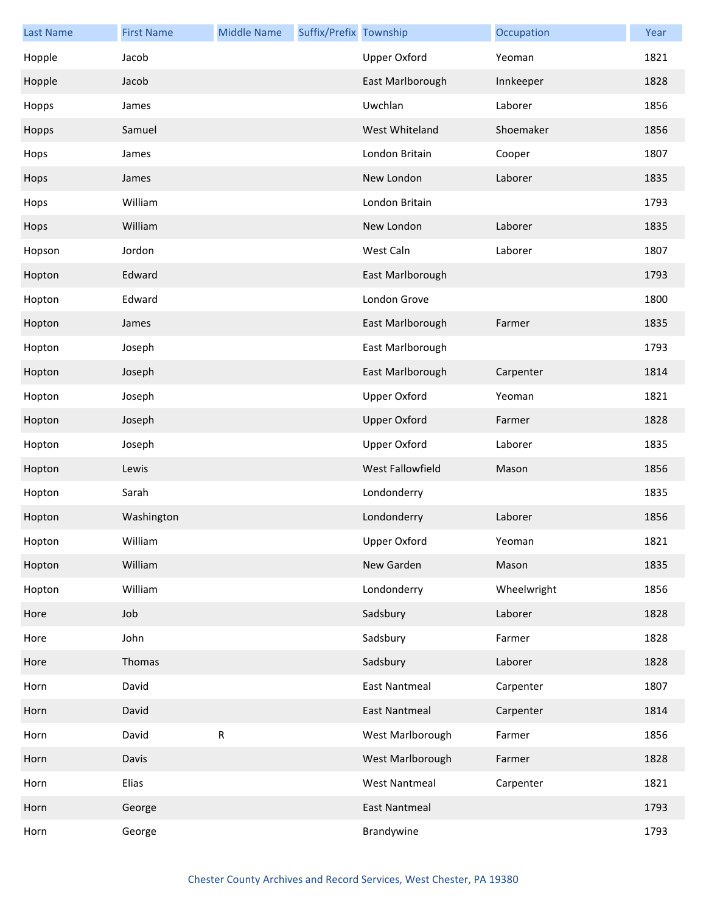| <b>Last Name</b> | <b>First Name</b> | <b>Middle Name</b> | Suffix/Prefix Township |                      | Occupation  | Year |
|------------------|-------------------|--------------------|------------------------|----------------------|-------------|------|
| Hopple           | Jacob             |                    |                        | <b>Upper Oxford</b>  | Yeoman      | 1821 |
| Hopple           | Jacob             |                    |                        | East Marlborough     | Innkeeper   | 1828 |
| Hopps            | James             |                    |                        | Uwchlan              | Laborer     | 1856 |
| Hopps            | Samuel            |                    |                        | West Whiteland       | Shoemaker   | 1856 |
| Hops             | James             |                    |                        | London Britain       | Cooper      | 1807 |
| Hops             | James             |                    |                        | New London           | Laborer     | 1835 |
| Hops             | William           |                    |                        | London Britain       |             | 1793 |
| Hops             | William           |                    |                        | New London           | Laborer     | 1835 |
| Hopson           | Jordon            |                    |                        | West Caln            | Laborer     | 1807 |
| Hopton           | Edward            |                    |                        | East Marlborough     |             | 1793 |
| Hopton           | Edward            |                    |                        | London Grove         |             | 1800 |
| Hopton           | James             |                    |                        | East Marlborough     | Farmer      | 1835 |
| Hopton           | Joseph            |                    |                        | East Marlborough     |             | 1793 |
| Hopton           | Joseph            |                    |                        | East Marlborough     | Carpenter   | 1814 |
| Hopton           | Joseph            |                    |                        | <b>Upper Oxford</b>  | Yeoman      | 1821 |
| Hopton           | Joseph            |                    |                        | <b>Upper Oxford</b>  | Farmer      | 1828 |
| Hopton           | Joseph            |                    |                        | <b>Upper Oxford</b>  | Laborer     | 1835 |
| Hopton           | Lewis             |                    |                        | West Fallowfield     | Mason       | 1856 |
| Hopton           | Sarah             |                    |                        | Londonderry          |             | 1835 |
| Hopton           | Washington        |                    |                        | Londonderry          | Laborer     | 1856 |
| Hopton           | William           |                    |                        | Upper Oxford         | Yeoman      | 1821 |
| Hopton           | William           |                    |                        | New Garden           | Mason       | 1835 |
| Hopton           | William           |                    |                        | Londonderry          | Wheelwright | 1856 |
| Hore             | Job               |                    |                        | Sadsbury             | Laborer     | 1828 |
| Hore             | John              |                    |                        | Sadsbury             | Farmer      | 1828 |
| Hore             | Thomas            |                    |                        | Sadsbury             | Laborer     | 1828 |
| Horn             | David             |                    |                        | <b>East Nantmeal</b> | Carpenter   | 1807 |
| Horn             | David             |                    |                        | <b>East Nantmeal</b> | Carpenter   | 1814 |
| Horn             | David             | ${\sf R}$          |                        | West Marlborough     | Farmer      | 1856 |
| Horn             | Davis             |                    |                        | West Marlborough     | Farmer      | 1828 |
| Horn             | Elias             |                    |                        | <b>West Nantmeal</b> | Carpenter   | 1821 |
| Horn             | George            |                    |                        | East Nantmeal        |             | 1793 |
| Horn             | George            |                    |                        | Brandywine           |             | 1793 |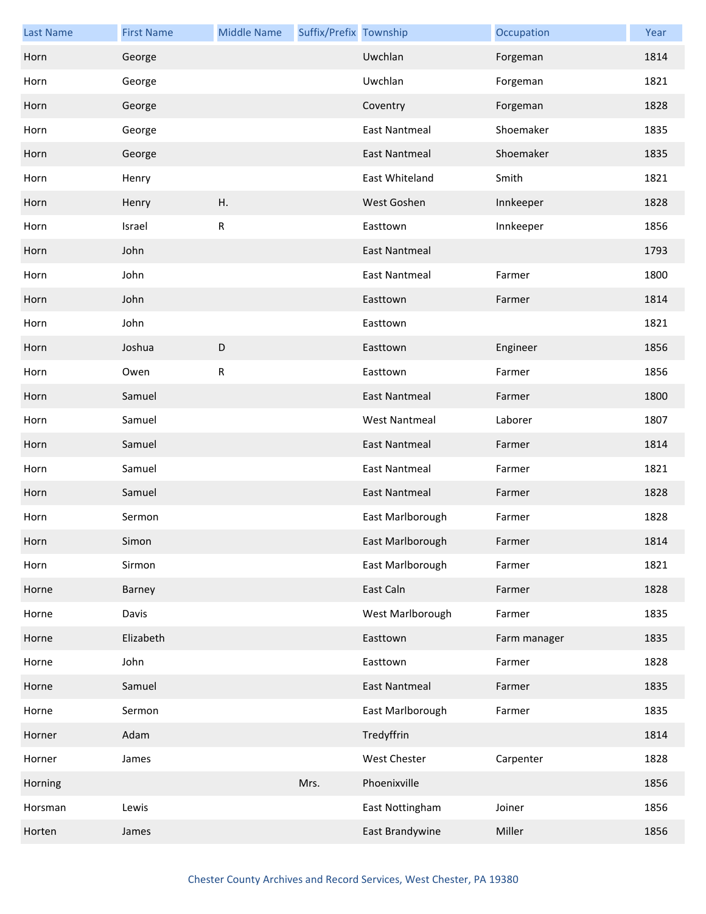| <b>Last Name</b> | <b>First Name</b> | <b>Middle Name</b> | Suffix/Prefix Township |                      | Occupation   | Year |
|------------------|-------------------|--------------------|------------------------|----------------------|--------------|------|
| Horn             | George            |                    |                        | Uwchlan              | Forgeman     | 1814 |
| Horn             | George            |                    |                        | Uwchlan              | Forgeman     | 1821 |
| Horn             | George            |                    |                        | Coventry             | Forgeman     | 1828 |
| Horn             | George            |                    |                        | <b>East Nantmeal</b> | Shoemaker    | 1835 |
| Horn             | George            |                    |                        | <b>East Nantmeal</b> | Shoemaker    | 1835 |
| Horn             | Henry             |                    |                        | East Whiteland       | Smith        | 1821 |
| Horn             | Henry             | Η.                 |                        | West Goshen          | Innkeeper    | 1828 |
| Horn             | Israel            | ${\sf R}$          |                        | Easttown             | Innkeeper    | 1856 |
| Horn             | John              |                    |                        | <b>East Nantmeal</b> |              | 1793 |
| Horn             | John              |                    |                        | <b>East Nantmeal</b> | Farmer       | 1800 |
| Horn             | John              |                    |                        | Easttown             | Farmer       | 1814 |
| Horn             | John              |                    |                        | Easttown             |              | 1821 |
| Horn             | Joshua            | D                  |                        | Easttown             | Engineer     | 1856 |
| Horn             | Owen              | ${\sf R}$          |                        | Easttown             | Farmer       | 1856 |
| Horn             | Samuel            |                    |                        | <b>East Nantmeal</b> | Farmer       | 1800 |
| Horn             | Samuel            |                    |                        | <b>West Nantmeal</b> | Laborer      | 1807 |
| Horn             | Samuel            |                    |                        | <b>East Nantmeal</b> | Farmer       | 1814 |
| Horn             | Samuel            |                    |                        | <b>East Nantmeal</b> | Farmer       | 1821 |
| Horn             | Samuel            |                    |                        | <b>East Nantmeal</b> | Farmer       | 1828 |
| Horn             | Sermon            |                    |                        | East Marlborough     | Farmer       | 1828 |
| Horn             | Simon             |                    |                        | East Marlborough     | Farmer       | 1814 |
| Horn             | Sirmon            |                    |                        | East Marlborough     | Farmer       | 1821 |
| Horne            | Barney            |                    |                        | East Caln            | Farmer       | 1828 |
| Horne            | Davis             |                    |                        | West Marlborough     | Farmer       | 1835 |
| Horne            | Elizabeth         |                    |                        | Easttown             | Farm manager | 1835 |
| Horne            | John              |                    |                        | Easttown             | Farmer       | 1828 |
| Horne            | Samuel            |                    |                        | East Nantmeal        | Farmer       | 1835 |
| Horne            | Sermon            |                    |                        | East Marlborough     | Farmer       | 1835 |
| Horner           | Adam              |                    |                        | Tredyffrin           |              | 1814 |
| Horner           | James             |                    |                        | <b>West Chester</b>  | Carpenter    | 1828 |
| Horning          |                   |                    | Mrs.                   | Phoenixville         |              | 1856 |
| Horsman          | Lewis             |                    |                        | East Nottingham      | Joiner       | 1856 |
| Horten           | James             |                    |                        | East Brandywine      | Miller       | 1856 |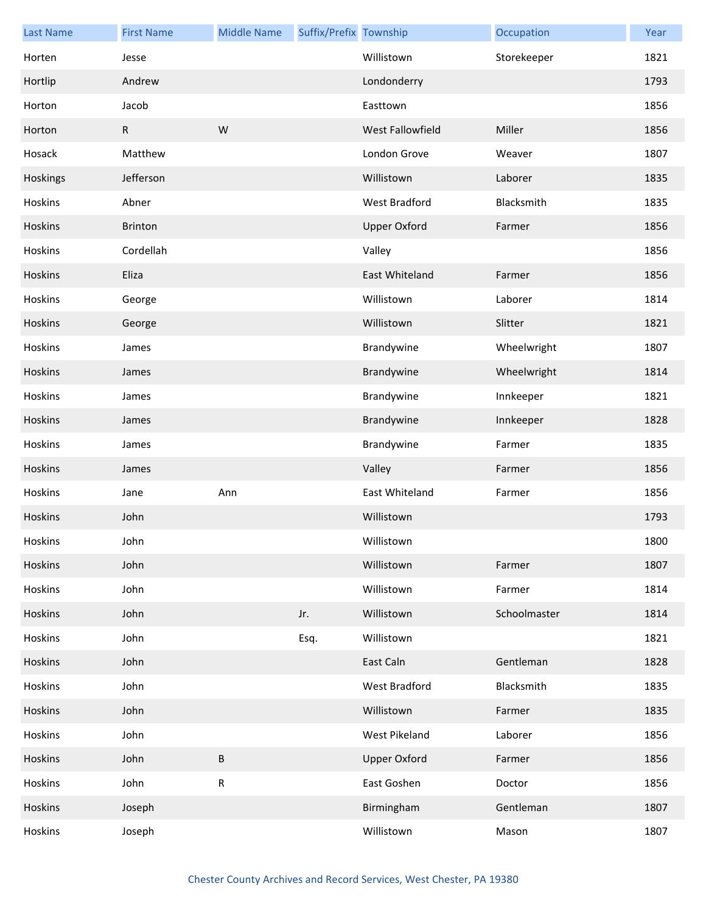| <b>Last Name</b> | <b>First Name</b> | <b>Middle Name</b> | Suffix/Prefix Township |                     | Occupation   | Year |
|------------------|-------------------|--------------------|------------------------|---------------------|--------------|------|
| Horten           | Jesse             |                    |                        | Willistown          | Storekeeper  | 1821 |
| Hortlip          | Andrew            |                    |                        | Londonderry         |              | 1793 |
| Horton           | Jacob             |                    |                        | Easttown            |              | 1856 |
| Horton           | $\mathsf{R}$      | W                  |                        | West Fallowfield    | Miller       | 1856 |
| Hosack           | Matthew           |                    |                        | London Grove        | Weaver       | 1807 |
| Hoskings         | Jefferson         |                    |                        | Willistown          | Laborer      | 1835 |
| Hoskins          | Abner             |                    |                        | West Bradford       | Blacksmith   | 1835 |
| Hoskins          | <b>Brinton</b>    |                    |                        | <b>Upper Oxford</b> | Farmer       | 1856 |
| Hoskins          | Cordellah         |                    |                        | Valley              |              | 1856 |
| Hoskins          | Eliza             |                    |                        | East Whiteland      | Farmer       | 1856 |
| Hoskins          | George            |                    |                        | Willistown          | Laborer      | 1814 |
| Hoskins          | George            |                    |                        | Willistown          | Slitter      | 1821 |
| Hoskins          | James             |                    |                        | Brandywine          | Wheelwright  | 1807 |
| Hoskins          | James             |                    |                        | Brandywine          | Wheelwright  | 1814 |
| Hoskins          | James             |                    |                        | Brandywine          | Innkeeper    | 1821 |
| Hoskins          | James             |                    |                        | Brandywine          | Innkeeper    | 1828 |
| Hoskins          | James             |                    |                        | Brandywine          | Farmer       | 1835 |
| Hoskins          | James             |                    |                        | Valley              | Farmer       | 1856 |
| Hoskins          | Jane              | Ann                |                        | East Whiteland      | Farmer       | 1856 |
| Hoskins          | John              |                    |                        | Willistown          |              | 1793 |
| Hoskins          | John              |                    |                        | Willistown          |              | 1800 |
| Hoskins          | John              |                    |                        | Willistown          | Farmer       | 1807 |
| Hoskins          | John              |                    |                        | Willistown          | Farmer       | 1814 |
| Hoskins          | John              |                    | Jr.                    | Willistown          | Schoolmaster | 1814 |
| Hoskins          | John              |                    | Esq.                   | Willistown          |              | 1821 |
| Hoskins          | John              |                    |                        | East Caln           | Gentleman    | 1828 |
| Hoskins          | John              |                    |                        | West Bradford       | Blacksmith   | 1835 |
| Hoskins          | John              |                    |                        | Willistown          | Farmer       | 1835 |
| Hoskins          | John              |                    |                        | West Pikeland       | Laborer      | 1856 |
| Hoskins          | John              | B                  |                        | <b>Upper Oxford</b> | Farmer       | 1856 |
| Hoskins          | John              | R                  |                        | East Goshen         | Doctor       | 1856 |
| Hoskins          | Joseph            |                    |                        | Birmingham          | Gentleman    | 1807 |
| Hoskins          | Joseph            |                    |                        | Willistown          | Mason        | 1807 |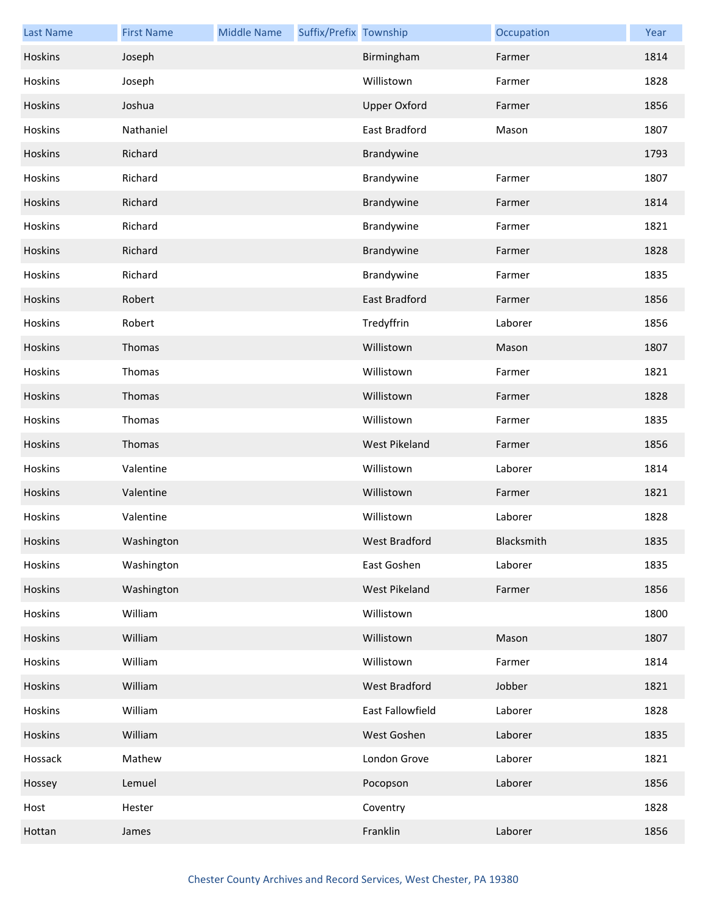| <b>Last Name</b> | <b>First Name</b> | <b>Middle Name</b> | Suffix/Prefix Township |                      | Occupation | Year |
|------------------|-------------------|--------------------|------------------------|----------------------|------------|------|
| Hoskins          | Joseph            |                    |                        | Birmingham           | Farmer     | 1814 |
| Hoskins          | Joseph            |                    |                        | Willistown           | Farmer     | 1828 |
| Hoskins          | Joshua            |                    |                        | <b>Upper Oxford</b>  | Farmer     | 1856 |
| Hoskins          | Nathaniel         |                    |                        | East Bradford        | Mason      | 1807 |
| Hoskins          | Richard           |                    |                        | Brandywine           |            | 1793 |
| Hoskins          | Richard           |                    |                        | Brandywine           | Farmer     | 1807 |
| Hoskins          | Richard           |                    |                        | Brandywine           | Farmer     | 1814 |
| Hoskins          | Richard           |                    |                        | Brandywine           | Farmer     | 1821 |
| Hoskins          | Richard           |                    |                        | Brandywine           | Farmer     | 1828 |
| Hoskins          | Richard           |                    |                        | Brandywine           | Farmer     | 1835 |
| Hoskins          | Robert            |                    |                        | <b>East Bradford</b> | Farmer     | 1856 |
| Hoskins          | Robert            |                    |                        | Tredyffrin           | Laborer    | 1856 |
| Hoskins          | Thomas            |                    |                        | Willistown           | Mason      | 1807 |
| Hoskins          | Thomas            |                    |                        | Willistown           | Farmer     | 1821 |
| Hoskins          | Thomas            |                    |                        | Willistown           | Farmer     | 1828 |
| Hoskins          | Thomas            |                    |                        | Willistown           | Farmer     | 1835 |
| Hoskins          | Thomas            |                    |                        | West Pikeland        | Farmer     | 1856 |
| Hoskins          | Valentine         |                    |                        | Willistown           | Laborer    | 1814 |
| Hoskins          | Valentine         |                    |                        | Willistown           | Farmer     | 1821 |
| Hoskins          | Valentine         |                    |                        | Willistown           | Laborer    | 1828 |
| Hoskins          | Washington        |                    |                        | West Bradford        | Blacksmith | 1835 |
| Hoskins          | Washington        |                    |                        | East Goshen          | Laborer    | 1835 |
| Hoskins          | Washington        |                    |                        | West Pikeland        | Farmer     | 1856 |
| Hoskins          | William           |                    |                        | Willistown           |            | 1800 |
| Hoskins          | William           |                    |                        | Willistown           | Mason      | 1807 |
| Hoskins          | William           |                    |                        | Willistown           | Farmer     | 1814 |
| Hoskins          | William           |                    |                        | West Bradford        | Jobber     | 1821 |
| Hoskins          | William           |                    |                        | East Fallowfield     | Laborer    | 1828 |
| Hoskins          | William           |                    |                        | West Goshen          | Laborer    | 1835 |
| Hossack          | Mathew            |                    |                        | London Grove         | Laborer    | 1821 |
| Hossey           | Lemuel            |                    |                        | Pocopson             | Laborer    | 1856 |
| Host             | Hester            |                    |                        | Coventry             |            | 1828 |
| Hottan           | James             |                    |                        | Franklin             | Laborer    | 1856 |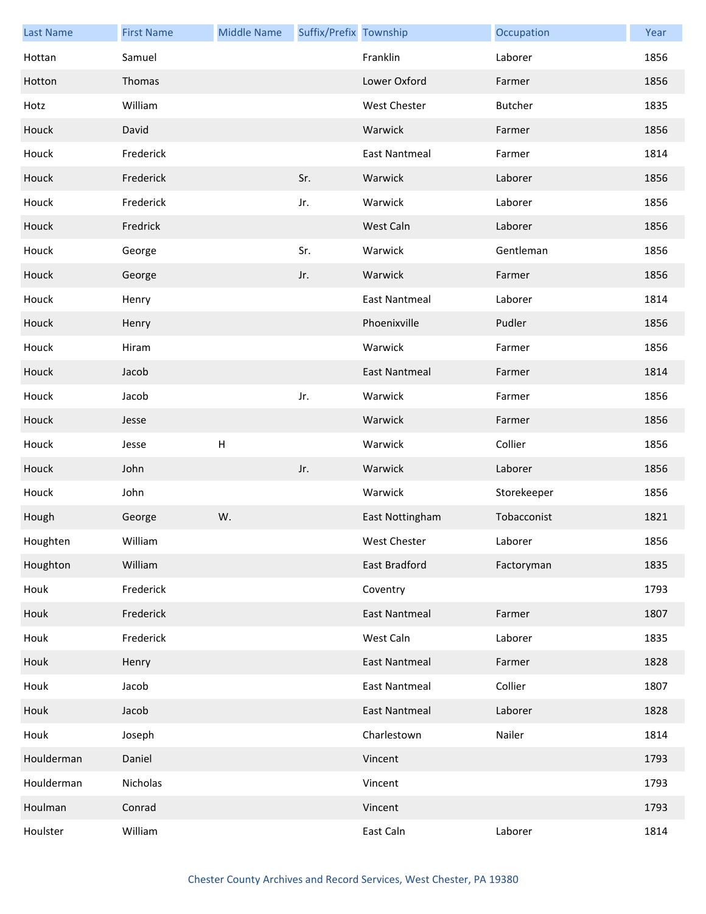| <b>Last Name</b> | <b>First Name</b> | <b>Middle Name</b>        | Suffix/Prefix Township |                      | Occupation     | Year |
|------------------|-------------------|---------------------------|------------------------|----------------------|----------------|------|
| Hottan           | Samuel            |                           |                        | Franklin             | Laborer        | 1856 |
| Hotton           | Thomas            |                           |                        | Lower Oxford         | Farmer         | 1856 |
| Hotz             | William           |                           |                        | West Chester         | <b>Butcher</b> | 1835 |
| Houck            | David             |                           |                        | Warwick              | Farmer         | 1856 |
| Houck            | Frederick         |                           |                        | <b>East Nantmeal</b> | Farmer         | 1814 |
| Houck            | Frederick         |                           | Sr.                    | Warwick              | Laborer        | 1856 |
| Houck            | Frederick         |                           | Jr.                    | Warwick              | Laborer        | 1856 |
| Houck            | Fredrick          |                           |                        | West Caln            | Laborer        | 1856 |
| Houck            | George            |                           | Sr.                    | Warwick              | Gentleman      | 1856 |
| Houck            | George            |                           | Jr.                    | Warwick              | Farmer         | 1856 |
| Houck            | Henry             |                           |                        | <b>East Nantmeal</b> | Laborer        | 1814 |
| Houck            | Henry             |                           |                        | Phoenixville         | Pudler         | 1856 |
| Houck            | Hiram             |                           |                        | Warwick              | Farmer         | 1856 |
| Houck            | Jacob             |                           |                        | <b>East Nantmeal</b> | Farmer         | 1814 |
| Houck            | Jacob             |                           | Jr.                    | Warwick              | Farmer         | 1856 |
| Houck            | Jesse             |                           |                        | Warwick              | Farmer         | 1856 |
| Houck            | Jesse             | $\boldsymbol{\mathsf{H}}$ |                        | Warwick              | Collier        | 1856 |
| Houck            | John              |                           | Jr.                    | Warwick              | Laborer        | 1856 |
| Houck            | John              |                           |                        | Warwick              | Storekeeper    | 1856 |
| Hough            | George            | W.                        |                        | East Nottingham      | Tobacconist    | 1821 |
| Houghten         | William           |                           |                        | West Chester         | Laborer        | 1856 |
| Houghton         | William           |                           |                        | East Bradford        | Factoryman     | 1835 |
| Houk             | Frederick         |                           |                        | Coventry             |                | 1793 |
| Houk             | Frederick         |                           |                        | <b>East Nantmeal</b> | Farmer         | 1807 |
| Houk             | Frederick         |                           |                        | West Caln            | Laborer        | 1835 |
| Houk             | Henry             |                           |                        | <b>East Nantmeal</b> | Farmer         | 1828 |
| Houk             | Jacob             |                           |                        | <b>East Nantmeal</b> | Collier        | 1807 |
| Houk             | Jacob             |                           |                        | <b>East Nantmeal</b> | Laborer        | 1828 |
| Houk             | Joseph            |                           |                        | Charlestown          | Nailer         | 1814 |
| Houlderman       | Daniel            |                           |                        | Vincent              |                | 1793 |
| Houlderman       | Nicholas          |                           |                        | Vincent              |                | 1793 |
| Houlman          | Conrad            |                           |                        | Vincent              |                | 1793 |
| Houlster         | William           |                           |                        | East Caln            | Laborer        | 1814 |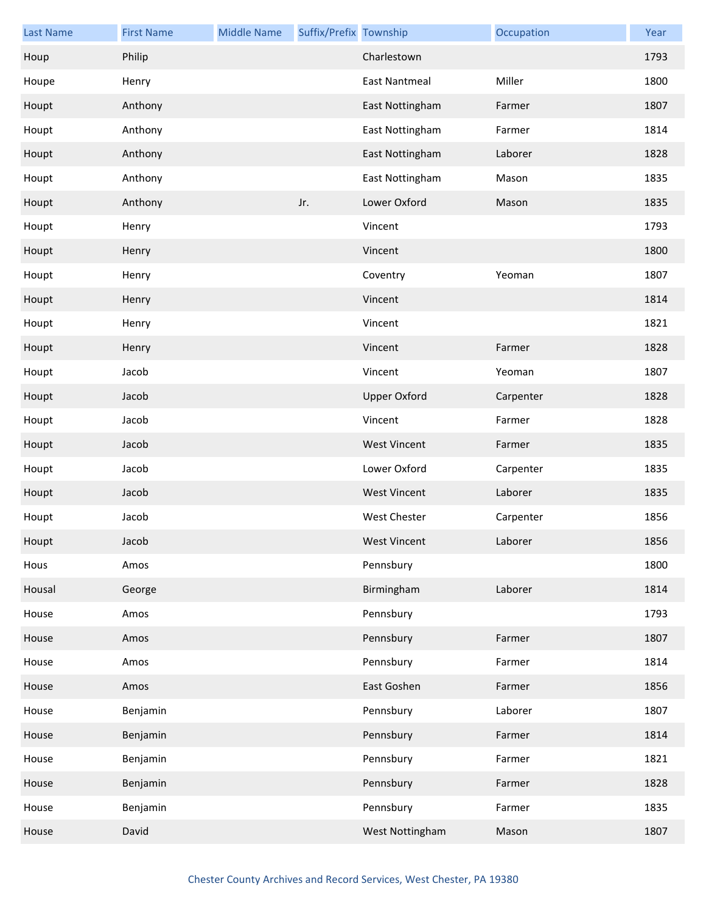| <b>Last Name</b> | <b>First Name</b> | <b>Middle Name</b> | Suffix/Prefix Township |                      | Occupation | Year |
|------------------|-------------------|--------------------|------------------------|----------------------|------------|------|
| Houp             | Philip            |                    |                        | Charlestown          |            | 1793 |
| Houpe            | Henry             |                    |                        | <b>East Nantmeal</b> | Miller     | 1800 |
| Houpt            | Anthony           |                    |                        | East Nottingham      | Farmer     | 1807 |
| Houpt            | Anthony           |                    |                        | East Nottingham      | Farmer     | 1814 |
| Houpt            | Anthony           |                    |                        | East Nottingham      | Laborer    | 1828 |
| Houpt            | Anthony           |                    |                        | East Nottingham      | Mason      | 1835 |
| Houpt            | Anthony           |                    | Jr.                    | Lower Oxford         | Mason      | 1835 |
| Houpt            | Henry             |                    |                        | Vincent              |            | 1793 |
| Houpt            | Henry             |                    |                        | Vincent              |            | 1800 |
| Houpt            | Henry             |                    |                        | Coventry             | Yeoman     | 1807 |
| Houpt            | Henry             |                    |                        | Vincent              |            | 1814 |
| Houpt            | Henry             |                    |                        | Vincent              |            | 1821 |
| Houpt            | Henry             |                    |                        | Vincent              | Farmer     | 1828 |
| Houpt            | Jacob             |                    |                        | Vincent              | Yeoman     | 1807 |
| Houpt            | Jacob             |                    |                        | <b>Upper Oxford</b>  | Carpenter  | 1828 |
| Houpt            | Jacob             |                    |                        | Vincent              | Farmer     | 1828 |
| Houpt            | Jacob             |                    |                        | <b>West Vincent</b>  | Farmer     | 1835 |
| Houpt            | Jacob             |                    |                        | Lower Oxford         | Carpenter  | 1835 |
| Houpt            | Jacob             |                    |                        | <b>West Vincent</b>  | Laborer    | 1835 |
| Houpt            | Jacob             |                    |                        | <b>West Chester</b>  | Carpenter  | 1856 |
| Houpt            | Jacob             |                    |                        | West Vincent         | Laborer    | 1856 |
| Hous             | Amos              |                    |                        | Pennsbury            |            | 1800 |
| Housal           | George            |                    |                        | Birmingham           | Laborer    | 1814 |
| House            | Amos              |                    |                        | Pennsbury            |            | 1793 |
| House            | Amos              |                    |                        | Pennsbury            | Farmer     | 1807 |
| House            | Amos              |                    |                        | Pennsbury            | Farmer     | 1814 |
| House            | Amos              |                    |                        | East Goshen          | Farmer     | 1856 |
| House            | Benjamin          |                    |                        | Pennsbury            | Laborer    | 1807 |
| House            | Benjamin          |                    |                        | Pennsbury            | Farmer     | 1814 |
| House            | Benjamin          |                    |                        | Pennsbury            | Farmer     | 1821 |
| House            | Benjamin          |                    |                        | Pennsbury            | Farmer     | 1828 |
| House            | Benjamin          |                    |                        | Pennsbury            | Farmer     | 1835 |
| House            | David             |                    |                        | West Nottingham      | Mason      | 1807 |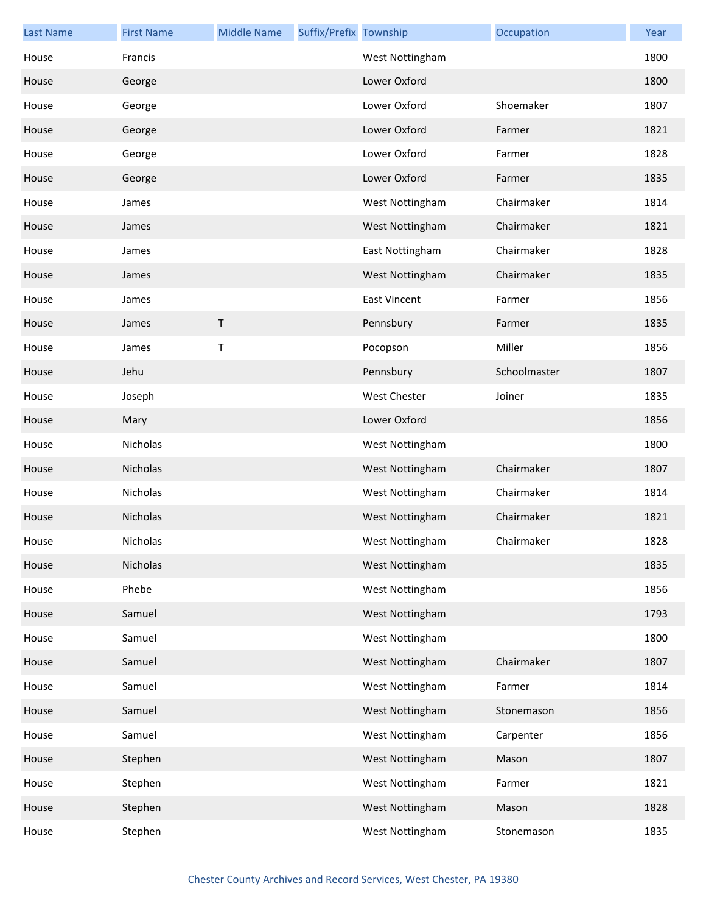| <b>Last Name</b> | <b>First Name</b> | <b>Middle Name</b> | Suffix/Prefix Township |                     | Occupation   | Year |
|------------------|-------------------|--------------------|------------------------|---------------------|--------------|------|
| House            | Francis           |                    |                        | West Nottingham     |              | 1800 |
| House            | George            |                    |                        | Lower Oxford        |              | 1800 |
| House            | George            |                    |                        | Lower Oxford        | Shoemaker    | 1807 |
| House            | George            |                    |                        | Lower Oxford        | Farmer       | 1821 |
| House            | George            |                    |                        | Lower Oxford        | Farmer       | 1828 |
| House            | George            |                    |                        | Lower Oxford        | Farmer       | 1835 |
| House            | James             |                    |                        | West Nottingham     | Chairmaker   | 1814 |
| House            | James             |                    |                        | West Nottingham     | Chairmaker   | 1821 |
| House            | James             |                    |                        | East Nottingham     | Chairmaker   | 1828 |
| House            | James             |                    |                        | West Nottingham     | Chairmaker   | 1835 |
| House            | James             |                    |                        | <b>East Vincent</b> | Farmer       | 1856 |
| House            | James             | $\sf T$            |                        | Pennsbury           | Farmer       | 1835 |
| House            | James             | Τ                  |                        | Pocopson            | Miller       | 1856 |
| House            | Jehu              |                    |                        | Pennsbury           | Schoolmaster | 1807 |
| House            | Joseph            |                    |                        | <b>West Chester</b> | Joiner       | 1835 |
| House            | Mary              |                    |                        | Lower Oxford        |              | 1856 |
| House            | Nicholas          |                    |                        | West Nottingham     |              | 1800 |
| House            | Nicholas          |                    |                        | West Nottingham     | Chairmaker   | 1807 |
| House            | Nicholas          |                    |                        | West Nottingham     | Chairmaker   | 1814 |
| House            | Nicholas          |                    |                        | West Nottingham     | Chairmaker   | 1821 |
| House            | Nicholas          |                    |                        | West Nottingham     | Chairmaker   | 1828 |
| House            | Nicholas          |                    |                        | West Nottingham     |              | 1835 |
| House            | Phebe             |                    |                        | West Nottingham     |              | 1856 |
| House            | Samuel            |                    |                        | West Nottingham     |              | 1793 |
| House            | Samuel            |                    |                        | West Nottingham     |              | 1800 |
| House            | Samuel            |                    |                        | West Nottingham     | Chairmaker   | 1807 |
| House            | Samuel            |                    |                        | West Nottingham     | Farmer       | 1814 |
| House            | Samuel            |                    |                        | West Nottingham     | Stonemason   | 1856 |
| House            | Samuel            |                    |                        | West Nottingham     | Carpenter    | 1856 |
| House            | Stephen           |                    |                        | West Nottingham     | Mason        | 1807 |
| House            | Stephen           |                    |                        | West Nottingham     | Farmer       | 1821 |
| House            | Stephen           |                    |                        | West Nottingham     | Mason        | 1828 |
| House            | Stephen           |                    |                        | West Nottingham     | Stonemason   | 1835 |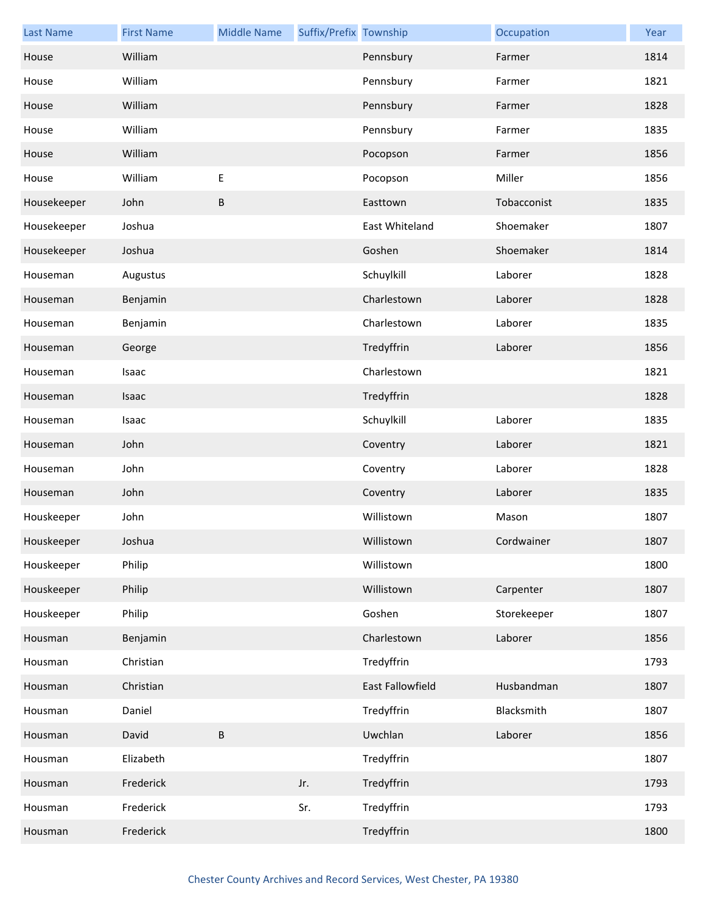| <b>Last Name</b> | <b>First Name</b> | <b>Middle Name</b> | Suffix/Prefix Township |                  | Occupation  | Year |
|------------------|-------------------|--------------------|------------------------|------------------|-------------|------|
| House            | William           |                    |                        | Pennsbury        | Farmer      | 1814 |
| House            | William           |                    |                        | Pennsbury        | Farmer      | 1821 |
| House            | William           |                    |                        | Pennsbury        | Farmer      | 1828 |
| House            | William           |                    |                        | Pennsbury        | Farmer      | 1835 |
| House            | William           |                    |                        | Pocopson         | Farmer      | 1856 |
| House            | William           | Ε                  |                        | Pocopson         | Miller      | 1856 |
| Housekeeper      | John              | B                  |                        | Easttown         | Tobacconist | 1835 |
| Housekeeper      | Joshua            |                    |                        | East Whiteland   | Shoemaker   | 1807 |
| Housekeeper      | Joshua            |                    |                        | Goshen           | Shoemaker   | 1814 |
| Houseman         | Augustus          |                    |                        | Schuylkill       | Laborer     | 1828 |
| Houseman         | Benjamin          |                    |                        | Charlestown      | Laborer     | 1828 |
| Houseman         | Benjamin          |                    |                        | Charlestown      | Laborer     | 1835 |
| Houseman         | George            |                    |                        | Tredyffrin       | Laborer     | 1856 |
| Houseman         | Isaac             |                    |                        | Charlestown      |             | 1821 |
| Houseman         | Isaac             |                    |                        | Tredyffrin       |             | 1828 |
| Houseman         | Isaac             |                    |                        | Schuylkill       | Laborer     | 1835 |
| Houseman         | John              |                    |                        | Coventry         | Laborer     | 1821 |
| Houseman         | John              |                    |                        | Coventry         | Laborer     | 1828 |
| Houseman         | John              |                    |                        | Coventry         | Laborer     | 1835 |
| Houskeeper       | John              |                    |                        | Willistown       | Mason       | 1807 |
| Houskeeper       | Joshua            |                    |                        | Willistown       | Cordwainer  | 1807 |
| Houskeeper       | Philip            |                    |                        | Willistown       |             | 1800 |
| Houskeeper       | Philip            |                    |                        | Willistown       | Carpenter   | 1807 |
| Houskeeper       | Philip            |                    |                        | Goshen           | Storekeeper | 1807 |
| Housman          | Benjamin          |                    |                        | Charlestown      | Laborer     | 1856 |
| Housman          | Christian         |                    |                        | Tredyffrin       |             | 1793 |
| Housman          | Christian         |                    |                        | East Fallowfield | Husbandman  | 1807 |
| Housman          | Daniel            |                    |                        | Tredyffrin       | Blacksmith  | 1807 |
| Housman          | David             | B                  |                        | Uwchlan          | Laborer     | 1856 |
| Housman          | Elizabeth         |                    |                        | Tredyffrin       |             | 1807 |
| Housman          | Frederick         |                    | Jr.                    | Tredyffrin       |             | 1793 |
| Housman          | Frederick         |                    | Sr.                    | Tredyffrin       |             | 1793 |
| Housman          | Frederick         |                    |                        | Tredyffrin       |             | 1800 |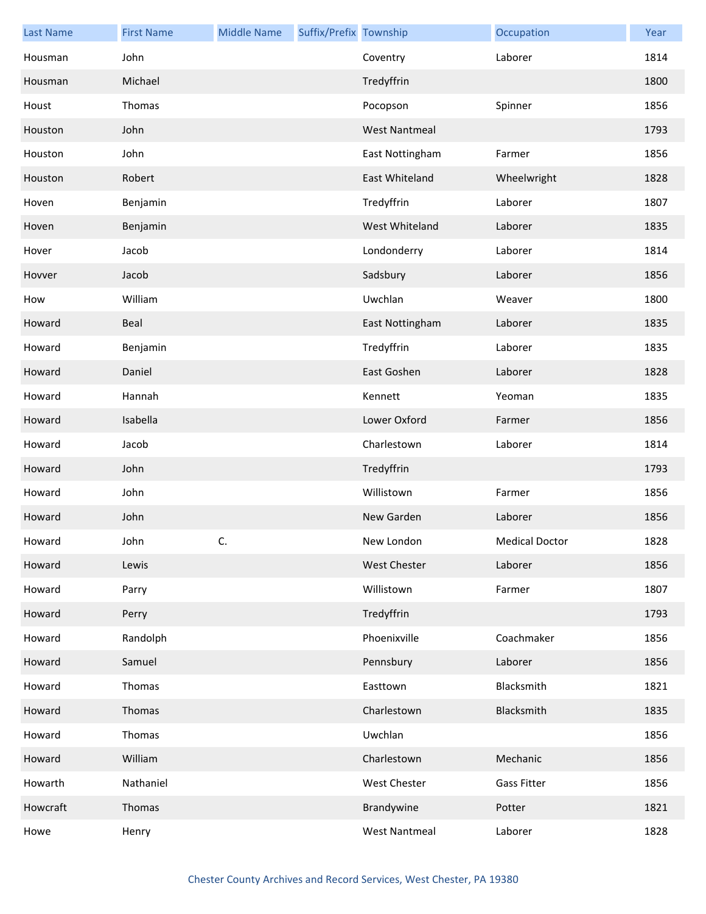| <b>Last Name</b> | <b>First Name</b> | <b>Middle Name</b> | Suffix/Prefix Township |                      | Occupation            | Year |
|------------------|-------------------|--------------------|------------------------|----------------------|-----------------------|------|
| Housman          | John              |                    |                        | Coventry             | Laborer               | 1814 |
| Housman          | Michael           |                    |                        | Tredyffrin           |                       | 1800 |
| Houst            | Thomas            |                    |                        | Pocopson             | Spinner               | 1856 |
| Houston          | John              |                    |                        | <b>West Nantmeal</b> |                       | 1793 |
| Houston          | John              |                    |                        | East Nottingham      | Farmer                | 1856 |
| Houston          | Robert            |                    |                        | East Whiteland       | Wheelwright           | 1828 |
| Hoven            | Benjamin          |                    |                        | Tredyffrin           | Laborer               | 1807 |
| Hoven            | Benjamin          |                    |                        | West Whiteland       | Laborer               | 1835 |
| Hover            | Jacob             |                    |                        | Londonderry          | Laborer               | 1814 |
| Hovver           | Jacob             |                    |                        | Sadsbury             | Laborer               | 1856 |
| How              | William           |                    |                        | Uwchlan              | Weaver                | 1800 |
| Howard           | Beal              |                    |                        | East Nottingham      | Laborer               | 1835 |
| Howard           | Benjamin          |                    |                        | Tredyffrin           | Laborer               | 1835 |
| Howard           | Daniel            |                    |                        | East Goshen          | Laborer               | 1828 |
| Howard           | Hannah            |                    |                        | Kennett              | Yeoman                | 1835 |
| Howard           | Isabella          |                    |                        | Lower Oxford         | Farmer                | 1856 |
| Howard           | Jacob             |                    |                        | Charlestown          | Laborer               | 1814 |
| Howard           | John              |                    |                        | Tredyffrin           |                       | 1793 |
| Howard           | John              |                    |                        | Willistown           | Farmer                | 1856 |
| Howard           | John              |                    |                        | New Garden           | Laborer               | 1856 |
| Howard           | John              | C.                 |                        | New London           | <b>Medical Doctor</b> | 1828 |
| Howard           | Lewis             |                    |                        | <b>West Chester</b>  | Laborer               | 1856 |
| Howard           | Parry             |                    |                        | Willistown           | Farmer                | 1807 |
| Howard           | Perry             |                    |                        | Tredyffrin           |                       | 1793 |
| Howard           | Randolph          |                    |                        | Phoenixville         | Coachmaker            | 1856 |
| Howard           | Samuel            |                    |                        | Pennsbury            | Laborer               | 1856 |
| Howard           | Thomas            |                    |                        | Easttown             | Blacksmith            | 1821 |
| Howard           | Thomas            |                    |                        | Charlestown          | Blacksmith            | 1835 |
| Howard           | Thomas            |                    |                        | Uwchlan              |                       | 1856 |
| Howard           | William           |                    |                        | Charlestown          | Mechanic              | 1856 |
| Howarth          | Nathaniel         |                    |                        | West Chester         | <b>Gass Fitter</b>    | 1856 |
| Howcraft         | Thomas            |                    |                        | Brandywine           | Potter                | 1821 |
| Howe             | Henry             |                    |                        | <b>West Nantmeal</b> | Laborer               | 1828 |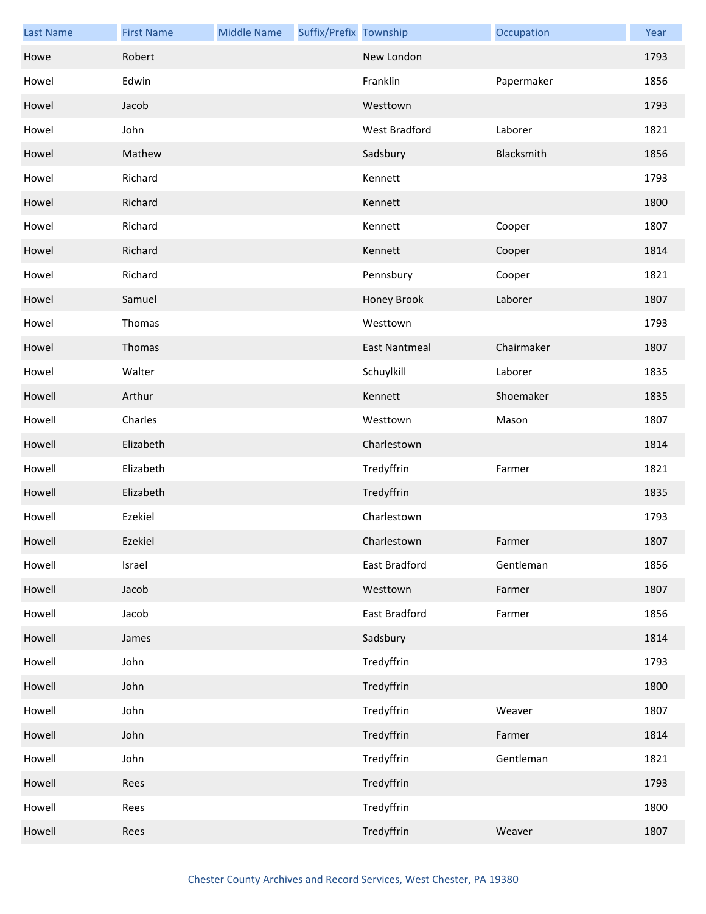| <b>Last Name</b> | <b>First Name</b> | <b>Middle Name</b> | Suffix/Prefix Township |                      | Occupation | Year |
|------------------|-------------------|--------------------|------------------------|----------------------|------------|------|
| Howe             | Robert            |                    |                        | New London           |            | 1793 |
| Howel            | Edwin             |                    |                        | Franklin             | Papermaker | 1856 |
| Howel            | Jacob             |                    |                        | Westtown             |            | 1793 |
| Howel            | John              |                    |                        | West Bradford        | Laborer    | 1821 |
| Howel            | Mathew            |                    |                        | Sadsbury             | Blacksmith | 1856 |
| Howel            | Richard           |                    |                        | Kennett              |            | 1793 |
| Howel            | Richard           |                    |                        | Kennett              |            | 1800 |
| Howel            | Richard           |                    |                        | Kennett              | Cooper     | 1807 |
| Howel            | Richard           |                    |                        | Kennett              | Cooper     | 1814 |
| Howel            | Richard           |                    |                        | Pennsbury            | Cooper     | 1821 |
| Howel            | Samuel            |                    |                        | Honey Brook          | Laborer    | 1807 |
| Howel            | Thomas            |                    |                        | Westtown             |            | 1793 |
| Howel            | Thomas            |                    |                        | <b>East Nantmeal</b> | Chairmaker | 1807 |
| Howel            | Walter            |                    |                        | Schuylkill           | Laborer    | 1835 |
| Howell           | Arthur            |                    |                        | Kennett              | Shoemaker  | 1835 |
| Howell           | Charles           |                    |                        | Westtown             | Mason      | 1807 |
| Howell           | Elizabeth         |                    |                        | Charlestown          |            | 1814 |
| Howell           | Elizabeth         |                    |                        | Tredyffrin           | Farmer     | 1821 |
| Howell           | Elizabeth         |                    |                        | Tredyffrin           |            | 1835 |
| Howell           | Ezekiel           |                    |                        | Charlestown          |            | 1793 |
| Howell           | Ezekiel           |                    |                        | Charlestown          | Farmer     | 1807 |
| Howell           | Israel            |                    |                        | East Bradford        | Gentleman  | 1856 |
| Howell           | Jacob             |                    |                        | Westtown             | Farmer     | 1807 |
| Howell           | Jacob             |                    |                        | East Bradford        | Farmer     | 1856 |
| Howell           | James             |                    |                        | Sadsbury             |            | 1814 |
| Howell           | John              |                    |                        | Tredyffrin           |            | 1793 |
| Howell           | John              |                    |                        | Tredyffrin           |            | 1800 |
| Howell           | John              |                    |                        | Tredyffrin           | Weaver     | 1807 |
| Howell           | John              |                    |                        | Tredyffrin           | Farmer     | 1814 |
| Howell           | John              |                    |                        | Tredyffrin           | Gentleman  | 1821 |
| Howell           | Rees              |                    |                        | Tredyffrin           |            | 1793 |
| Howell           | Rees              |                    |                        | Tredyffrin           |            | 1800 |
| Howell           | Rees              |                    |                        | Tredyffrin           | Weaver     | 1807 |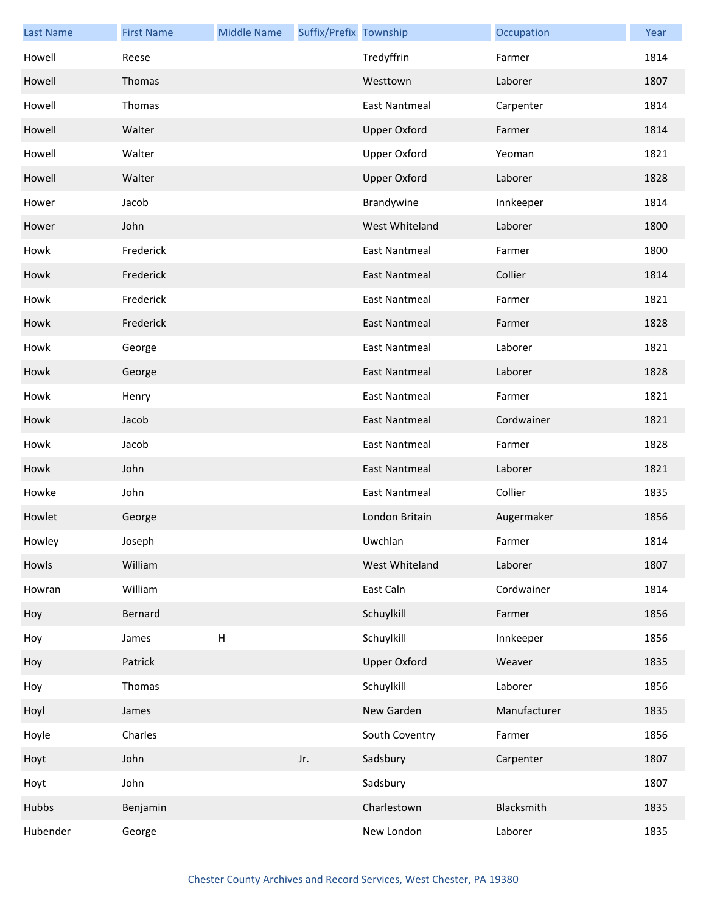| <b>Last Name</b> | <b>First Name</b> | <b>Middle Name</b> | Suffix/Prefix Township |                      | Occupation   | Year |
|------------------|-------------------|--------------------|------------------------|----------------------|--------------|------|
| Howell           | Reese             |                    |                        | Tredyffrin           | Farmer       | 1814 |
| Howell           | Thomas            |                    |                        | Westtown             | Laborer      | 1807 |
| Howell           | Thomas            |                    |                        | <b>East Nantmeal</b> | Carpenter    | 1814 |
| Howell           | Walter            |                    |                        | <b>Upper Oxford</b>  | Farmer       | 1814 |
| Howell           | Walter            |                    |                        | <b>Upper Oxford</b>  | Yeoman       | 1821 |
| Howell           | Walter            |                    |                        | <b>Upper Oxford</b>  | Laborer      | 1828 |
| Hower            | Jacob             |                    |                        | Brandywine           | Innkeeper    | 1814 |
| Hower            | John              |                    |                        | West Whiteland       | Laborer      | 1800 |
| Howk             | Frederick         |                    |                        | <b>East Nantmeal</b> | Farmer       | 1800 |
| Howk             | Frederick         |                    |                        | <b>East Nantmeal</b> | Collier      | 1814 |
| Howk             | Frederick         |                    |                        | <b>East Nantmeal</b> | Farmer       | 1821 |
| Howk             | Frederick         |                    |                        | East Nantmeal        | Farmer       | 1828 |
| Howk             | George            |                    |                        | <b>East Nantmeal</b> | Laborer      | 1821 |
| Howk             | George            |                    |                        | <b>East Nantmeal</b> | Laborer      | 1828 |
| Howk             | Henry             |                    |                        | <b>East Nantmeal</b> | Farmer       | 1821 |
| Howk             | Jacob             |                    |                        | East Nantmeal        | Cordwainer   | 1821 |
| Howk             | Jacob             |                    |                        | <b>East Nantmeal</b> | Farmer       | 1828 |
| Howk             | John              |                    |                        | <b>East Nantmeal</b> | Laborer      | 1821 |
| Howke            | John              |                    |                        | <b>East Nantmeal</b> | Collier      | 1835 |
| Howlet           | George            |                    |                        | London Britain       | Augermaker   | 1856 |
| Howley           | Joseph            |                    |                        | Uwchlan              | Farmer       | 1814 |
| Howls            | William           |                    |                        | West Whiteland       | Laborer      | 1807 |
| Howran           | William           |                    |                        | East Caln            | Cordwainer   | 1814 |
| Hoy              | Bernard           |                    |                        | Schuylkill           | Farmer       | 1856 |
| Hoy              | James             | H                  |                        | Schuylkill           | Innkeeper    | 1856 |
| Hoy              | Patrick           |                    |                        | <b>Upper Oxford</b>  | Weaver       | 1835 |
| Hoy              | Thomas            |                    |                        | Schuylkill           | Laborer      | 1856 |
| Hoyl             | James             |                    |                        | New Garden           | Manufacturer | 1835 |
| Hoyle            | Charles           |                    |                        | South Coventry       | Farmer       | 1856 |
| Hoyt             | John              |                    | Jr.                    | Sadsbury             | Carpenter    | 1807 |
| Hoyt             | John              |                    |                        | Sadsbury             |              | 1807 |
| Hubbs            | Benjamin          |                    |                        | Charlestown          | Blacksmith   | 1835 |
| Hubender         | George            |                    |                        | New London           | Laborer      | 1835 |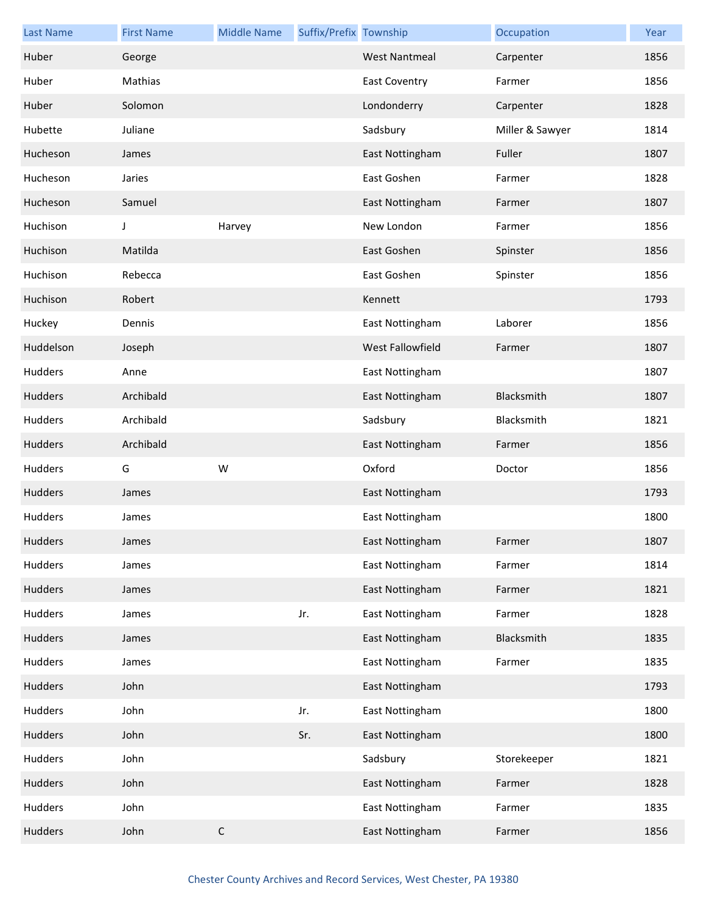| <b>Last Name</b> | <b>First Name</b> | <b>Middle Name</b> | Suffix/Prefix Township |                      | Occupation      | Year |
|------------------|-------------------|--------------------|------------------------|----------------------|-----------------|------|
| Huber            | George            |                    |                        | <b>West Nantmeal</b> | Carpenter       | 1856 |
| Huber            | Mathias           |                    |                        | <b>East Coventry</b> | Farmer          | 1856 |
| Huber            | Solomon           |                    |                        | Londonderry          | Carpenter       | 1828 |
| Hubette          | Juliane           |                    |                        | Sadsbury             | Miller & Sawyer | 1814 |
| Hucheson         | James             |                    |                        | East Nottingham      | Fuller          | 1807 |
| Hucheson         | Jaries            |                    |                        | East Goshen          | Farmer          | 1828 |
| Hucheson         | Samuel            |                    |                        | East Nottingham      | Farmer          | 1807 |
| Huchison         | J                 | Harvey             |                        | New London           | Farmer          | 1856 |
| Huchison         | Matilda           |                    |                        | East Goshen          | Spinster        | 1856 |
| Huchison         | Rebecca           |                    |                        | East Goshen          | Spinster        | 1856 |
| Huchison         | Robert            |                    |                        | Kennett              |                 | 1793 |
| Huckey           | Dennis            |                    |                        | East Nottingham      | Laborer         | 1856 |
| Huddelson        | Joseph            |                    |                        | West Fallowfield     | Farmer          | 1807 |
| Hudders          | Anne              |                    |                        | East Nottingham      |                 | 1807 |
| Hudders          | Archibald         |                    |                        | East Nottingham      | Blacksmith      | 1807 |
| Hudders          | Archibald         |                    |                        | Sadsbury             | Blacksmith      | 1821 |
| Hudders          | Archibald         |                    |                        | East Nottingham      | Farmer          | 1856 |
| Hudders          | G                 | W                  |                        | Oxford               | Doctor          | 1856 |
| Hudders          | James             |                    |                        | East Nottingham      |                 | 1793 |
| Hudders          | James             |                    |                        | East Nottingham      |                 | 1800 |
| Hudders          | James             |                    |                        | East Nottingham      | Farmer          | 1807 |
| Hudders          | James             |                    |                        | East Nottingham      | Farmer          | 1814 |
| Hudders          | James             |                    |                        | East Nottingham      | Farmer          | 1821 |
| Hudders          | James             |                    | Jr.                    | East Nottingham      | Farmer          | 1828 |
| Hudders          | James             |                    |                        | East Nottingham      | Blacksmith      | 1835 |
| Hudders          | James             |                    |                        | East Nottingham      | Farmer          | 1835 |
| Hudders          | John              |                    |                        | East Nottingham      |                 | 1793 |
| Hudders          | John              |                    | Jr.                    | East Nottingham      |                 | 1800 |
| Hudders          | John              |                    | Sr.                    | East Nottingham      |                 | 1800 |
| Hudders          | John              |                    |                        | Sadsbury             | Storekeeper     | 1821 |
| Hudders          | John              |                    |                        | East Nottingham      | Farmer          | 1828 |
| Hudders          | John              |                    |                        | East Nottingham      | Farmer          | 1835 |
| <b>Hudders</b>   | John              | $\mathsf C$        |                        | East Nottingham      | Farmer          | 1856 |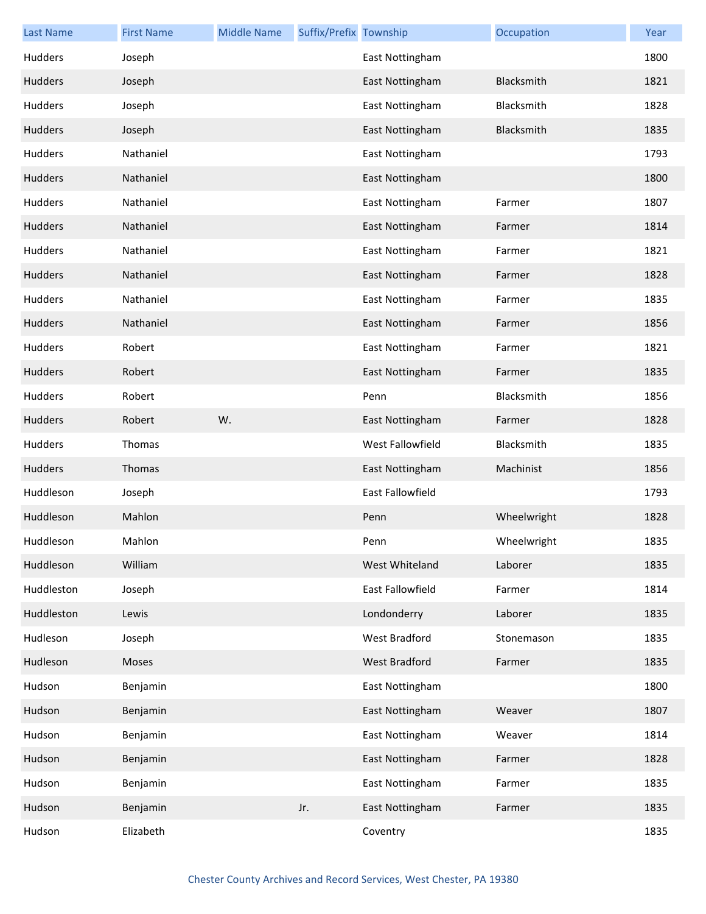| <b>Last Name</b> | <b>First Name</b> | <b>Middle Name</b> | Suffix/Prefix Township |                  | Occupation  | Year |
|------------------|-------------------|--------------------|------------------------|------------------|-------------|------|
| Hudders          | Joseph            |                    |                        | East Nottingham  |             | 1800 |
| Hudders          | Joseph            |                    |                        | East Nottingham  | Blacksmith  | 1821 |
| Hudders          | Joseph            |                    |                        | East Nottingham  | Blacksmith  | 1828 |
| Hudders          | Joseph            |                    |                        | East Nottingham  | Blacksmith  | 1835 |
| <b>Hudders</b>   | Nathaniel         |                    |                        | East Nottingham  |             | 1793 |
| Hudders          | Nathaniel         |                    |                        | East Nottingham  |             | 1800 |
| Hudders          | Nathaniel         |                    |                        | East Nottingham  | Farmer      | 1807 |
| Hudders          | Nathaniel         |                    |                        | East Nottingham  | Farmer      | 1814 |
| <b>Hudders</b>   | Nathaniel         |                    |                        | East Nottingham  | Farmer      | 1821 |
| Hudders          | Nathaniel         |                    |                        | East Nottingham  | Farmer      | 1828 |
| Hudders          | Nathaniel         |                    |                        | East Nottingham  | Farmer      | 1835 |
| Hudders          | Nathaniel         |                    |                        | East Nottingham  | Farmer      | 1856 |
| <b>Hudders</b>   | Robert            |                    |                        | East Nottingham  | Farmer      | 1821 |
| Hudders          | Robert            |                    |                        | East Nottingham  | Farmer      | 1835 |
| <b>Hudders</b>   | Robert            |                    |                        | Penn             | Blacksmith  | 1856 |
| Hudders          | Robert            | W.                 |                        | East Nottingham  | Farmer      | 1828 |
| Hudders          | Thomas            |                    |                        | West Fallowfield | Blacksmith  | 1835 |
| Hudders          | Thomas            |                    |                        | East Nottingham  | Machinist   | 1856 |
| Huddleson        | Joseph            |                    |                        | East Fallowfield |             | 1793 |
| Huddleson        | Mahlon            |                    |                        | Penn             | Wheelwright | 1828 |
| Huddleson        | Mahlon            |                    |                        | Penn             | Wheelwright | 1835 |
| Huddleson        | William           |                    |                        | West Whiteland   | Laborer     | 1835 |
| Huddleston       | Joseph            |                    |                        | East Fallowfield | Farmer      | 1814 |
| Huddleston       | Lewis             |                    |                        | Londonderry      | Laborer     | 1835 |
| Hudleson         | Joseph            |                    |                        | West Bradford    | Stonemason  | 1835 |
| Hudleson         | Moses             |                    |                        | West Bradford    | Farmer      | 1835 |
| Hudson           | Benjamin          |                    |                        | East Nottingham  |             | 1800 |
| Hudson           | Benjamin          |                    |                        | East Nottingham  | Weaver      | 1807 |
| Hudson           | Benjamin          |                    |                        | East Nottingham  | Weaver      | 1814 |
| Hudson           | Benjamin          |                    |                        | East Nottingham  | Farmer      | 1828 |
| Hudson           | Benjamin          |                    |                        | East Nottingham  | Farmer      | 1835 |
| Hudson           | Benjamin          |                    | Jr.                    | East Nottingham  | Farmer      | 1835 |
| Hudson           | Elizabeth         |                    |                        | Coventry         |             | 1835 |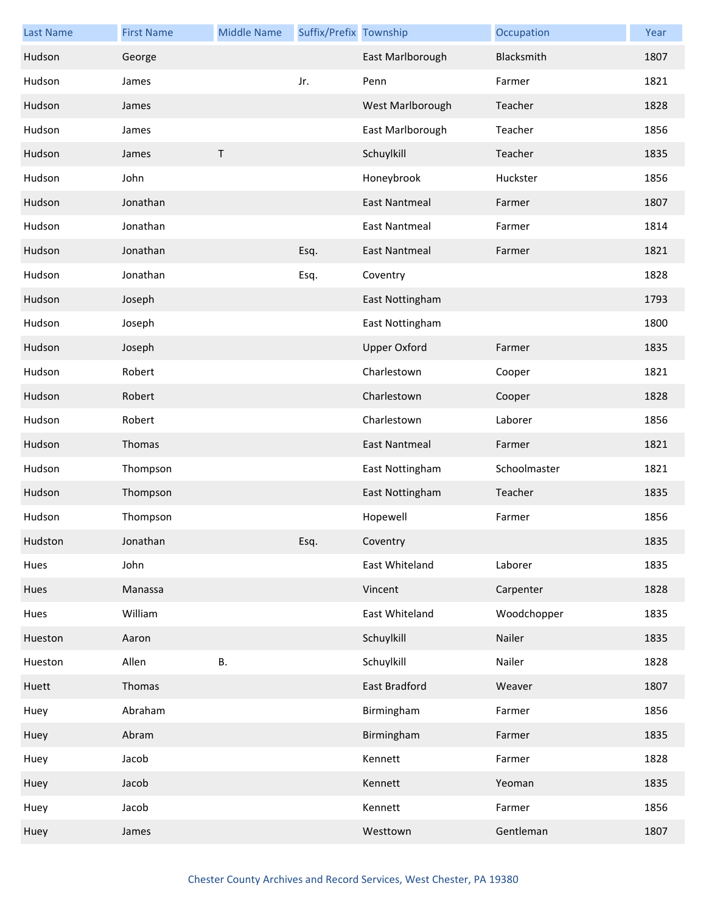| <b>Last Name</b> | <b>First Name</b> | <b>Middle Name</b> | Suffix/Prefix Township |                      | Occupation   | Year |
|------------------|-------------------|--------------------|------------------------|----------------------|--------------|------|
| Hudson           | George            |                    |                        | East Marlborough     | Blacksmith   | 1807 |
| Hudson           | James             |                    | Jr.                    | Penn                 | Farmer       | 1821 |
| Hudson           | James             |                    |                        | West Marlborough     | Teacher      | 1828 |
| Hudson           | James             |                    |                        | East Marlborough     | Teacher      | 1856 |
| Hudson           | James             | $\sf T$            |                        | Schuylkill           | Teacher      | 1835 |
| Hudson           | John              |                    |                        | Honeybrook           | Huckster     | 1856 |
| Hudson           | Jonathan          |                    |                        | <b>East Nantmeal</b> | Farmer       | 1807 |
| Hudson           | Jonathan          |                    |                        | <b>East Nantmeal</b> | Farmer       | 1814 |
| Hudson           | Jonathan          |                    | Esq.                   | East Nantmeal        | Farmer       | 1821 |
| Hudson           | Jonathan          |                    | Esq.                   | Coventry             |              | 1828 |
| Hudson           | Joseph            |                    |                        | East Nottingham      |              | 1793 |
| Hudson           | Joseph            |                    |                        | East Nottingham      |              | 1800 |
| Hudson           | Joseph            |                    |                        | <b>Upper Oxford</b>  | Farmer       | 1835 |
| Hudson           | Robert            |                    |                        | Charlestown          | Cooper       | 1821 |
| Hudson           | Robert            |                    |                        | Charlestown          | Cooper       | 1828 |
| Hudson           | Robert            |                    |                        | Charlestown          | Laborer      | 1856 |
| Hudson           | Thomas            |                    |                        | <b>East Nantmeal</b> | Farmer       | 1821 |
| Hudson           | Thompson          |                    |                        | East Nottingham      | Schoolmaster | 1821 |
| Hudson           | Thompson          |                    |                        | East Nottingham      | Teacher      | 1835 |
| Hudson           | Thompson          |                    |                        | Hopewell             | Farmer       | 1856 |
| Hudston          | Jonathan          |                    | Esq.                   | Coventry             |              | 1835 |
| Hues             | John              |                    |                        | East Whiteland       | Laborer      | 1835 |
| Hues             | Manassa           |                    |                        | Vincent              | Carpenter    | 1828 |
| Hues             | William           |                    |                        | East Whiteland       | Woodchopper  | 1835 |
| Hueston          | Aaron             |                    |                        | Schuylkill           | Nailer       | 1835 |
| Hueston          | Allen             | В.                 |                        | Schuylkill           | Nailer       | 1828 |
| Huett            | Thomas            |                    |                        | East Bradford        | Weaver       | 1807 |
| Huey             | Abraham           |                    |                        | Birmingham           | Farmer       | 1856 |
| Huey             | Abram             |                    |                        | Birmingham           | Farmer       | 1835 |
| Huey             | Jacob             |                    |                        | Kennett              | Farmer       | 1828 |
| Huey             | Jacob             |                    |                        | Kennett              | Yeoman       | 1835 |
| Huey             | Jacob             |                    |                        | Kennett              | Farmer       | 1856 |
| Huey             | James             |                    |                        | Westtown             | Gentleman    | 1807 |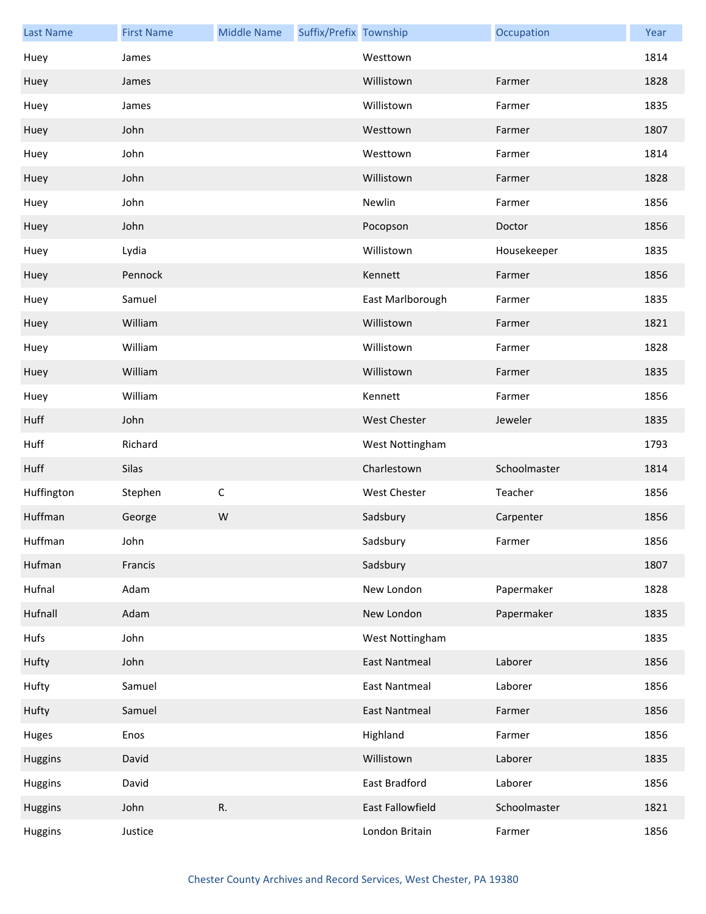| <b>Last Name</b> | <b>First Name</b> | <b>Middle Name</b> | Suffix/Prefix Township |                      | Occupation   | Year |
|------------------|-------------------|--------------------|------------------------|----------------------|--------------|------|
| Huey             | James             |                    |                        | Westtown             |              | 1814 |
| Huey             | James             |                    |                        | Willistown           | Farmer       | 1828 |
| Huey             | James             |                    |                        | Willistown           | Farmer       | 1835 |
| Huey             | John              |                    |                        | Westtown             | Farmer       | 1807 |
| Huey             | John              |                    |                        | Westtown             | Farmer       | 1814 |
| Huey             | John              |                    |                        | Willistown           | Farmer       | 1828 |
| Huey             | John              |                    |                        | Newlin               | Farmer       | 1856 |
| Huey             | John              |                    |                        | Pocopson             | Doctor       | 1856 |
| Huey             | Lydia             |                    |                        | Willistown           | Housekeeper  | 1835 |
| Huey             | Pennock           |                    |                        | Kennett              | Farmer       | 1856 |
| Huey             | Samuel            |                    |                        | East Marlborough     | Farmer       | 1835 |
| Huey             | William           |                    |                        | Willistown           | Farmer       | 1821 |
| Huey             | William           |                    |                        | Willistown           | Farmer       | 1828 |
| Huey             | William           |                    |                        | Willistown           | Farmer       | 1835 |
| Huey             | William           |                    |                        | Kennett              | Farmer       | 1856 |
| Huff             | John              |                    |                        | <b>West Chester</b>  | Jeweler      | 1835 |
| Huff             | Richard           |                    |                        | West Nottingham      |              | 1793 |
| Huff             | Silas             |                    |                        | Charlestown          | Schoolmaster | 1814 |
| Huffington       | Stephen           | $\mathsf C$        |                        | <b>West Chester</b>  | Teacher      | 1856 |
| Huffman          | George            | W                  |                        | Sadsbury             | Carpenter    | 1856 |
| Huffman          | John              |                    |                        | Sadsbury             | Farmer       | 1856 |
| Hufman           | Francis           |                    |                        | Sadsbury             |              | 1807 |
| Hufnal           | Adam              |                    |                        | New London           | Papermaker   | 1828 |
| Hufnall          | Adam              |                    |                        | New London           | Papermaker   | 1835 |
| Hufs             | John              |                    |                        | West Nottingham      |              | 1835 |
| Hufty            | John              |                    |                        | <b>East Nantmeal</b> | Laborer      | 1856 |
| Hufty            | Samuel            |                    |                        | East Nantmeal        | Laborer      | 1856 |
| Hufty            | Samuel            |                    |                        | <b>East Nantmeal</b> | Farmer       | 1856 |
| Huges            | Enos              |                    |                        | Highland             | Farmer       | 1856 |
| <b>Huggins</b>   | David             |                    |                        | Willistown           | Laborer      | 1835 |
| Huggins          | David             |                    |                        | East Bradford        | Laborer      | 1856 |
| <b>Huggins</b>   | John              | R.                 |                        | East Fallowfield     | Schoolmaster | 1821 |
| Huggins          | Justice           |                    |                        | London Britain       | Farmer       | 1856 |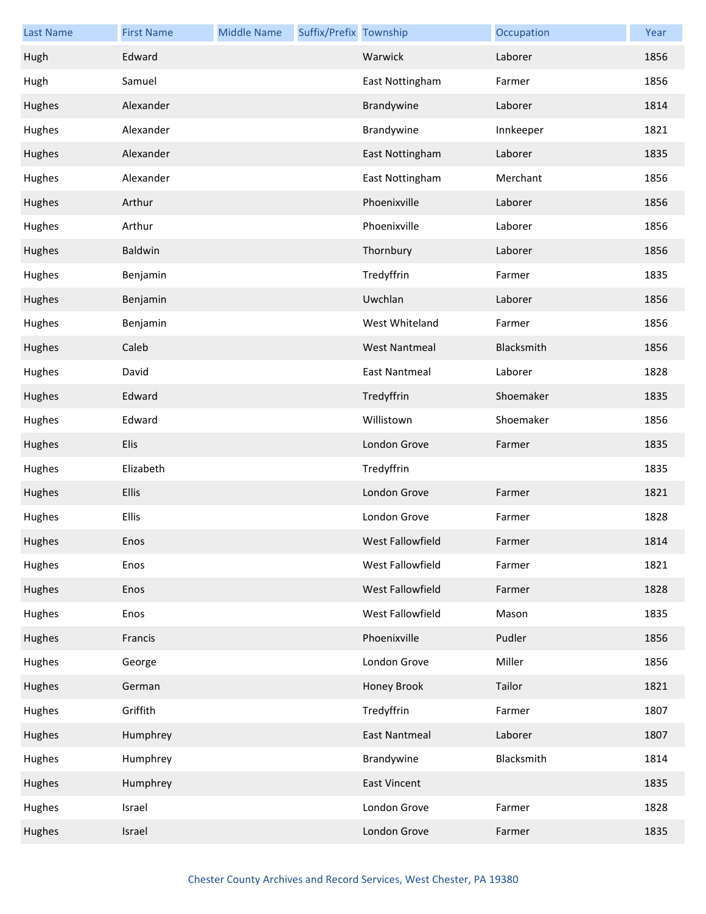| <b>Last Name</b> | <b>First Name</b> | <b>Middle Name</b> | Suffix/Prefix Township |                      | Occupation | Year |
|------------------|-------------------|--------------------|------------------------|----------------------|------------|------|
| Hugh             | Edward            |                    |                        | Warwick              | Laborer    | 1856 |
| Hugh             | Samuel            |                    |                        | East Nottingham      | Farmer     | 1856 |
| Hughes           | Alexander         |                    |                        | Brandywine           | Laborer    | 1814 |
| Hughes           | Alexander         |                    |                        | Brandywine           | Innkeeper  | 1821 |
| Hughes           | Alexander         |                    |                        | East Nottingham      | Laborer    | 1835 |
| Hughes           | Alexander         |                    |                        | East Nottingham      | Merchant   | 1856 |
| Hughes           | Arthur            |                    |                        | Phoenixville         | Laborer    | 1856 |
| Hughes           | Arthur            |                    |                        | Phoenixville         | Laborer    | 1856 |
| Hughes           | Baldwin           |                    |                        | Thornbury            | Laborer    | 1856 |
| Hughes           | Benjamin          |                    |                        | Tredyffrin           | Farmer     | 1835 |
| Hughes           | Benjamin          |                    |                        | Uwchlan              | Laborer    | 1856 |
| Hughes           | Benjamin          |                    |                        | West Whiteland       | Farmer     | 1856 |
| Hughes           | Caleb             |                    |                        | <b>West Nantmeal</b> | Blacksmith | 1856 |
| Hughes           | David             |                    |                        | East Nantmeal        | Laborer    | 1828 |
| Hughes           | Edward            |                    |                        | Tredyffrin           | Shoemaker  | 1835 |
| Hughes           | Edward            |                    |                        | Willistown           | Shoemaker  | 1856 |
| Hughes           | Elis              |                    |                        | London Grove         | Farmer     | 1835 |
| Hughes           | Elizabeth         |                    |                        | Tredyffrin           |            | 1835 |
| Hughes           | Ellis             |                    |                        | London Grove         | Farmer     | 1821 |
| Hughes           | Ellis             |                    |                        | London Grove         | Farmer     | 1828 |
| Hughes           | Enos              |                    |                        | West Fallowfield     | Farmer     | 1814 |
| Hughes           | Enos              |                    |                        | West Fallowfield     | Farmer     | 1821 |
| Hughes           | Enos              |                    |                        | West Fallowfield     | Farmer     | 1828 |
| Hughes           | Enos              |                    |                        | West Fallowfield     | Mason      | 1835 |
| Hughes           | Francis           |                    |                        | Phoenixville         | Pudler     | 1856 |
| Hughes           | George            |                    |                        | London Grove         | Miller     | 1856 |
| Hughes           | German            |                    |                        | Honey Brook          | Tailor     | 1821 |
| Hughes           | Griffith          |                    |                        | Tredyffrin           | Farmer     | 1807 |
| Hughes           | Humphrey          |                    |                        | <b>East Nantmeal</b> | Laborer    | 1807 |
| Hughes           | Humphrey          |                    |                        | Brandywine           | Blacksmith | 1814 |
| Hughes           | Humphrey          |                    |                        | <b>East Vincent</b>  |            | 1835 |
| Hughes           | Israel            |                    |                        | London Grove         | Farmer     | 1828 |
| Hughes           | Israel            |                    |                        | London Grove         | Farmer     | 1835 |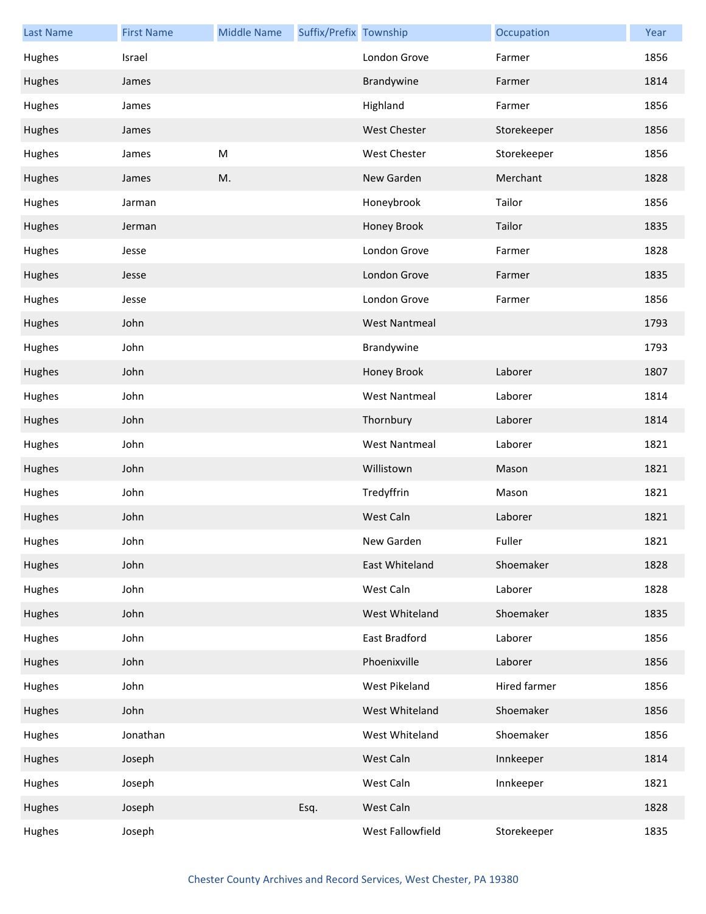| <b>Last Name</b> | <b>First Name</b> | <b>Middle Name</b> | Suffix/Prefix Township |                      | Occupation   | Year |
|------------------|-------------------|--------------------|------------------------|----------------------|--------------|------|
| Hughes           | Israel            |                    |                        | London Grove         | Farmer       | 1856 |
| Hughes           | James             |                    |                        | Brandywine           | Farmer       | 1814 |
| Hughes           | James             |                    |                        | Highland             | Farmer       | 1856 |
| Hughes           | James             |                    |                        | <b>West Chester</b>  | Storekeeper  | 1856 |
| Hughes           | James             | ${\sf M}$          |                        | West Chester         | Storekeeper  | 1856 |
| Hughes           | James             | M.                 |                        | New Garden           | Merchant     | 1828 |
| Hughes           | Jarman            |                    |                        | Honeybrook           | Tailor       | 1856 |
| Hughes           | Jerman            |                    |                        | Honey Brook          | Tailor       | 1835 |
| Hughes           | Jesse             |                    |                        | London Grove         | Farmer       | 1828 |
| Hughes           | Jesse             |                    |                        | London Grove         | Farmer       | 1835 |
| Hughes           | Jesse             |                    |                        | London Grove         | Farmer       | 1856 |
| Hughes           | John              |                    |                        | <b>West Nantmeal</b> |              | 1793 |
| Hughes           | John              |                    |                        | Brandywine           |              | 1793 |
| Hughes           | John              |                    |                        | Honey Brook          | Laborer      | 1807 |
| Hughes           | John              |                    |                        | <b>West Nantmeal</b> | Laborer      | 1814 |
| Hughes           | John              |                    |                        | Thornbury            | Laborer      | 1814 |
| Hughes           | John              |                    |                        | <b>West Nantmeal</b> | Laborer      | 1821 |
| Hughes           | John              |                    |                        | Willistown           | Mason        | 1821 |
| Hughes           | John              |                    |                        | Tredyffrin           | Mason        | 1821 |
| Hughes           | John              |                    |                        | West Caln            | Laborer      | 1821 |
| Hughes           | John              |                    |                        | New Garden           | Fuller       | 1821 |
| Hughes           | John              |                    |                        | East Whiteland       | Shoemaker    | 1828 |
| Hughes           | John              |                    |                        | West Caln            | Laborer      | 1828 |
| Hughes           | John              |                    |                        | West Whiteland       | Shoemaker    | 1835 |
| Hughes           | John              |                    |                        | East Bradford        | Laborer      | 1856 |
| Hughes           | John              |                    |                        | Phoenixville         | Laborer      | 1856 |
| Hughes           | John              |                    |                        | West Pikeland        | Hired farmer | 1856 |
| Hughes           | John              |                    |                        | West Whiteland       | Shoemaker    | 1856 |
| Hughes           | Jonathan          |                    |                        | West Whiteland       | Shoemaker    | 1856 |
| Hughes           | Joseph            |                    |                        | West Caln            | Innkeeper    | 1814 |
| Hughes           | Joseph            |                    |                        | West Caln            | Innkeeper    | 1821 |
| Hughes           | Joseph            |                    | Esq.                   | West Caln            |              | 1828 |
| Hughes           | Joseph            |                    |                        | West Fallowfield     | Storekeeper  | 1835 |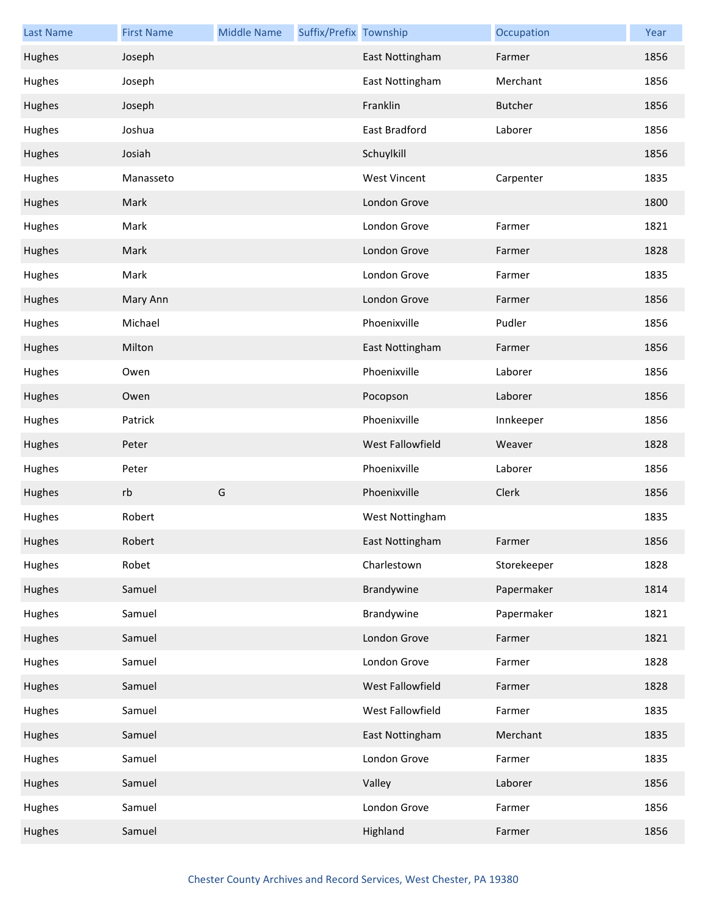| <b>Last Name</b> | <b>First Name</b> | <b>Middle Name</b> | Suffix/Prefix Township |                     | Occupation     | Year |
|------------------|-------------------|--------------------|------------------------|---------------------|----------------|------|
| Hughes           | Joseph            |                    |                        | East Nottingham     | Farmer         | 1856 |
| Hughes           | Joseph            |                    |                        | East Nottingham     | Merchant       | 1856 |
| Hughes           | Joseph            |                    |                        | Franklin            | <b>Butcher</b> | 1856 |
| Hughes           | Joshua            |                    |                        | East Bradford       | Laborer        | 1856 |
| Hughes           | Josiah            |                    |                        | Schuylkill          |                | 1856 |
| Hughes           | Manasseto         |                    |                        | <b>West Vincent</b> | Carpenter      | 1835 |
| Hughes           | Mark              |                    |                        | London Grove        |                | 1800 |
| Hughes           | Mark              |                    |                        | London Grove        | Farmer         | 1821 |
| Hughes           | Mark              |                    |                        | London Grove        | Farmer         | 1828 |
| Hughes           | Mark              |                    |                        | London Grove        | Farmer         | 1835 |
| Hughes           | Mary Ann          |                    |                        | London Grove        | Farmer         | 1856 |
| Hughes           | Michael           |                    |                        | Phoenixville        | Pudler         | 1856 |
| Hughes           | Milton            |                    |                        | East Nottingham     | Farmer         | 1856 |
| Hughes           | Owen              |                    |                        | Phoenixville        | Laborer        | 1856 |
| Hughes           | Owen              |                    |                        | Pocopson            | Laborer        | 1856 |
| Hughes           | Patrick           |                    |                        | Phoenixville        | Innkeeper      | 1856 |
| Hughes           | Peter             |                    |                        | West Fallowfield    | Weaver         | 1828 |
| Hughes           | Peter             |                    |                        | Phoenixville        | Laborer        | 1856 |
| Hughes           | rb                | G                  |                        | Phoenixville        | Clerk          | 1856 |
| Hughes           | Robert            |                    |                        | West Nottingham     |                | 1835 |
| Hughes           | Robert            |                    |                        | East Nottingham     | Farmer         | 1856 |
| Hughes           | Robet             |                    |                        | Charlestown         | Storekeeper    | 1828 |
| Hughes           | Samuel            |                    |                        | Brandywine          | Papermaker     | 1814 |
| Hughes           | Samuel            |                    |                        | Brandywine          | Papermaker     | 1821 |
| Hughes           | Samuel            |                    |                        | London Grove        | Farmer         | 1821 |
| Hughes           | Samuel            |                    |                        | London Grove        | Farmer         | 1828 |
| Hughes           | Samuel            |                    |                        | West Fallowfield    | Farmer         | 1828 |
| Hughes           | Samuel            |                    |                        | West Fallowfield    | Farmer         | 1835 |
| Hughes           | Samuel            |                    |                        | East Nottingham     | Merchant       | 1835 |
| Hughes           | Samuel            |                    |                        | London Grove        | Farmer         | 1835 |
| Hughes           | Samuel            |                    |                        | Valley              | Laborer        | 1856 |
| Hughes           | Samuel            |                    |                        | London Grove        | Farmer         | 1856 |
| Hughes           | Samuel            |                    |                        | Highland            | Farmer         | 1856 |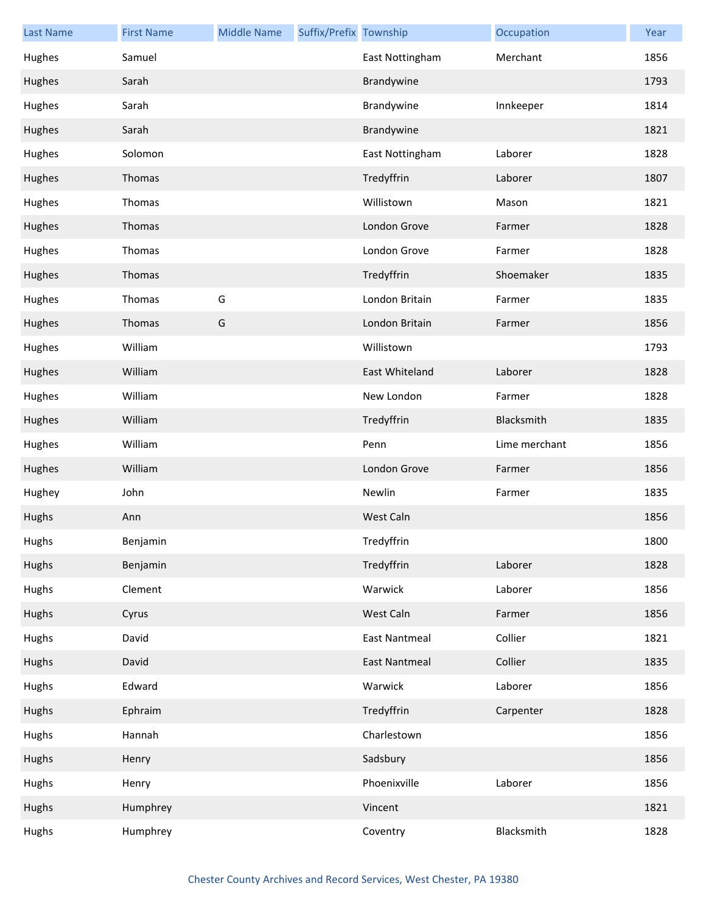| <b>Last Name</b> | <b>First Name</b> | <b>Middle Name</b> | Suffix/Prefix Township |                      | Occupation    | Year |
|------------------|-------------------|--------------------|------------------------|----------------------|---------------|------|
| Hughes           | Samuel            |                    |                        | East Nottingham      | Merchant      | 1856 |
| Hughes           | Sarah             |                    |                        | Brandywine           |               | 1793 |
| Hughes           | Sarah             |                    |                        | Brandywine           | Innkeeper     | 1814 |
| Hughes           | Sarah             |                    |                        | Brandywine           |               | 1821 |
| Hughes           | Solomon           |                    |                        | East Nottingham      | Laborer       | 1828 |
| Hughes           | Thomas            |                    |                        | Tredyffrin           | Laborer       | 1807 |
| Hughes           | Thomas            |                    |                        | Willistown           | Mason         | 1821 |
| Hughes           | Thomas            |                    |                        | London Grove         | Farmer        | 1828 |
| Hughes           | Thomas            |                    |                        | London Grove         | Farmer        | 1828 |
| Hughes           | Thomas            |                    |                        | Tredyffrin           | Shoemaker     | 1835 |
| Hughes           | Thomas            | G                  |                        | London Britain       | Farmer        | 1835 |
| Hughes           | Thomas            | G                  |                        | London Britain       | Farmer        | 1856 |
| Hughes           | William           |                    |                        | Willistown           |               | 1793 |
| Hughes           | William           |                    |                        | East Whiteland       | Laborer       | 1828 |
| Hughes           | William           |                    |                        | New London           | Farmer        | 1828 |
| Hughes           | William           |                    |                        | Tredyffrin           | Blacksmith    | 1835 |
| Hughes           | William           |                    |                        | Penn                 | Lime merchant | 1856 |
| Hughes           | William           |                    |                        | London Grove         | Farmer        | 1856 |
| Hughey           | John              |                    |                        | Newlin               | Farmer        | 1835 |
| Hughs            | Ann               |                    |                        | West Caln            |               | 1856 |
| Hughs            | Benjamin          |                    |                        | Tredyffrin           |               | 1800 |
| Hughs            | Benjamin          |                    |                        | Tredyffrin           | Laborer       | 1828 |
| Hughs            | Clement           |                    |                        | Warwick              | Laborer       | 1856 |
| Hughs            | Cyrus             |                    |                        | West Caln            | Farmer        | 1856 |
| Hughs            | David             |                    |                        | <b>East Nantmeal</b> | Collier       | 1821 |
| Hughs            | David             |                    |                        | <b>East Nantmeal</b> | Collier       | 1835 |
| Hughs            | Edward            |                    |                        | Warwick              | Laborer       | 1856 |
| Hughs            | Ephraim           |                    |                        | Tredyffrin           | Carpenter     | 1828 |
| Hughs            | Hannah            |                    |                        | Charlestown          |               | 1856 |
| Hughs            | Henry             |                    |                        | Sadsbury             |               | 1856 |
| Hughs            | Henry             |                    |                        | Phoenixville         | Laborer       | 1856 |
| Hughs            | Humphrey          |                    |                        | Vincent              |               | 1821 |
| Hughs            | Humphrey          |                    |                        | Coventry             | Blacksmith    | 1828 |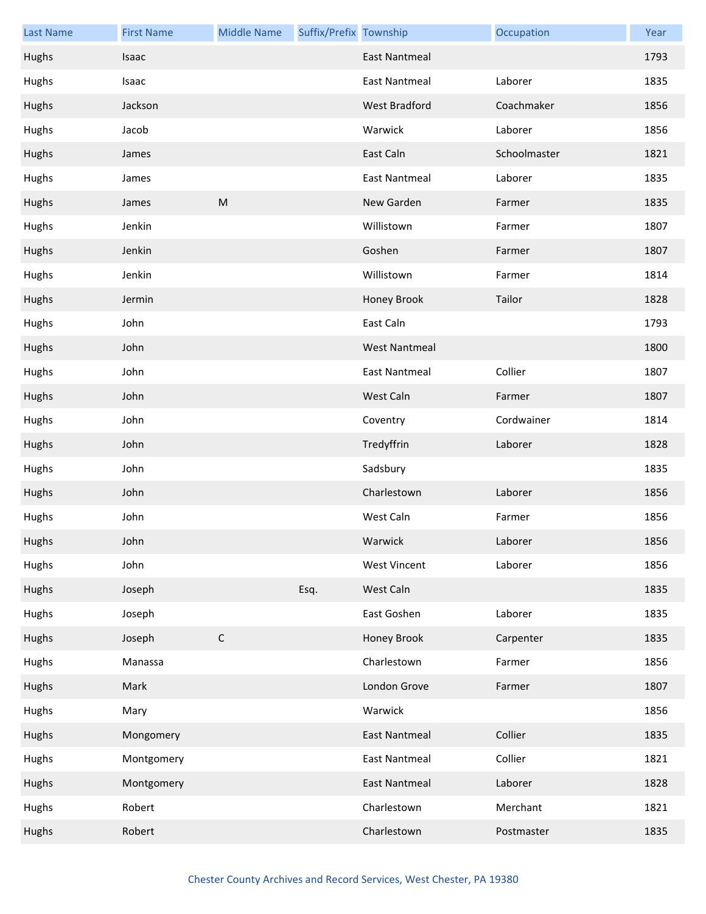| <b>Last Name</b> | <b>First Name</b> | <b>Middle Name</b> | Suffix/Prefix Township |                      | Occupation   | Year |
|------------------|-------------------|--------------------|------------------------|----------------------|--------------|------|
| Hughs            | Isaac             |                    |                        | <b>East Nantmeal</b> |              | 1793 |
| Hughs            | Isaac             |                    |                        | <b>East Nantmeal</b> | Laborer      | 1835 |
| Hughs            | Jackson           |                    |                        | West Bradford        | Coachmaker   | 1856 |
| Hughs            | Jacob             |                    |                        | Warwick              | Laborer      | 1856 |
| Hughs            | James             |                    |                        | East Caln            | Schoolmaster | 1821 |
| Hughs            | James             |                    |                        | <b>East Nantmeal</b> | Laborer      | 1835 |
| Hughs            | James             | ${\sf M}$          |                        | New Garden           | Farmer       | 1835 |
| Hughs            | Jenkin            |                    |                        | Willistown           | Farmer       | 1807 |
| Hughs            | Jenkin            |                    |                        | Goshen               | Farmer       | 1807 |
| Hughs            | Jenkin            |                    |                        | Willistown           | Farmer       | 1814 |
| Hughs            | Jermin            |                    |                        | Honey Brook          | Tailor       | 1828 |
| Hughs            | John              |                    |                        | East Caln            |              | 1793 |
| Hughs            | John              |                    |                        | <b>West Nantmeal</b> |              | 1800 |
| Hughs            | John              |                    |                        | <b>East Nantmeal</b> | Collier      | 1807 |
| Hughs            | John              |                    |                        | West Caln            | Farmer       | 1807 |
| Hughs            | John              |                    |                        | Coventry             | Cordwainer   | 1814 |
| Hughs            | John              |                    |                        | Tredyffrin           | Laborer      | 1828 |
| Hughs            | John              |                    |                        | Sadsbury             |              | 1835 |
| Hughs            | John              |                    |                        | Charlestown          | Laborer      | 1856 |
| Hughs            | John              |                    |                        | West Caln            | Farmer       | 1856 |
| Hughs            | John              |                    |                        | Warwick              | Laborer      | 1856 |
| Hughs            | John              |                    |                        | <b>West Vincent</b>  | Laborer      | 1856 |
| Hughs            | Joseph            |                    | Esq.                   | West Caln            |              | 1835 |
| Hughs            | Joseph            |                    |                        | East Goshen          | Laborer      | 1835 |
| Hughs            | Joseph            | $\mathsf C$        |                        | Honey Brook          | Carpenter    | 1835 |
| Hughs            | Manassa           |                    |                        | Charlestown          | Farmer       | 1856 |
| Hughs            | Mark              |                    |                        | London Grove         | Farmer       | 1807 |
| Hughs            | Mary              |                    |                        | Warwick              |              | 1856 |
| Hughs            | Mongomery         |                    |                        | <b>East Nantmeal</b> | Collier      | 1835 |
| Hughs            | Montgomery        |                    |                        | <b>East Nantmeal</b> | Collier      | 1821 |
| Hughs            | Montgomery        |                    |                        | <b>East Nantmeal</b> | Laborer      | 1828 |
| Hughs            | Robert            |                    |                        | Charlestown          | Merchant     | 1821 |
| Hughs            | Robert            |                    |                        | Charlestown          | Postmaster   | 1835 |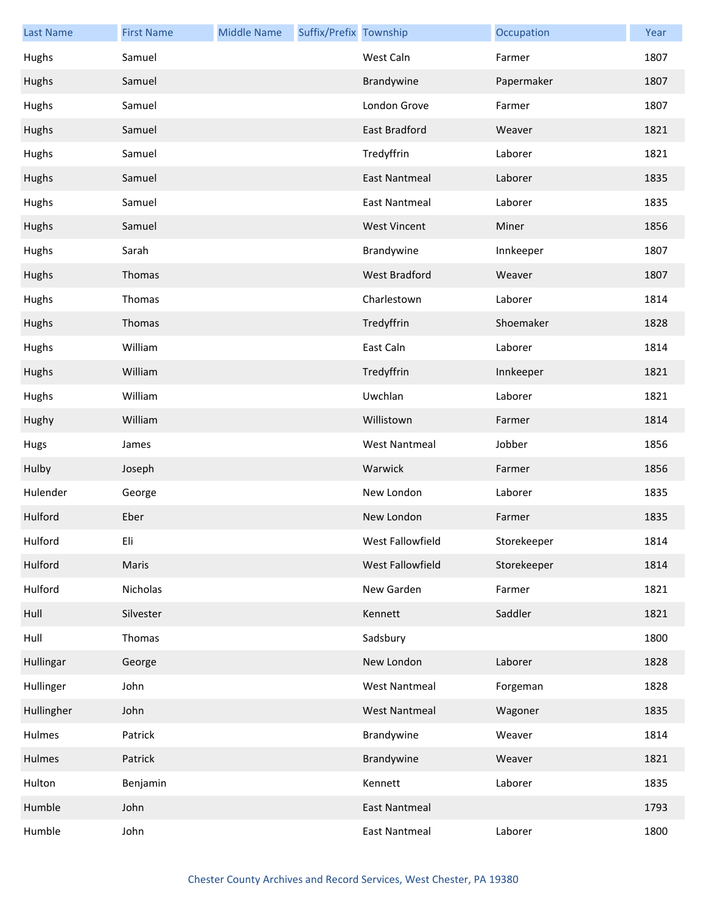| <b>Last Name</b> | <b>First Name</b> | <b>Middle Name</b> | Suffix/Prefix Township |                      | Occupation  | Year |
|------------------|-------------------|--------------------|------------------------|----------------------|-------------|------|
| Hughs            | Samuel            |                    |                        | West Caln            | Farmer      | 1807 |
| Hughs            | Samuel            |                    |                        | Brandywine           | Papermaker  | 1807 |
| Hughs            | Samuel            |                    |                        | London Grove         | Farmer      | 1807 |
| Hughs            | Samuel            |                    |                        | East Bradford        | Weaver      | 1821 |
| Hughs            | Samuel            |                    |                        | Tredyffrin           | Laborer     | 1821 |
| Hughs            | Samuel            |                    |                        | <b>East Nantmeal</b> | Laborer     | 1835 |
| Hughs            | Samuel            |                    |                        | <b>East Nantmeal</b> | Laborer     | 1835 |
| Hughs            | Samuel            |                    |                        | <b>West Vincent</b>  | Miner       | 1856 |
| Hughs            | Sarah             |                    |                        | Brandywine           | Innkeeper   | 1807 |
| Hughs            | Thomas            |                    |                        | <b>West Bradford</b> | Weaver      | 1807 |
| Hughs            | Thomas            |                    |                        | Charlestown          | Laborer     | 1814 |
| Hughs            | Thomas            |                    |                        | Tredyffrin           | Shoemaker   | 1828 |
| Hughs            | William           |                    |                        | East Caln            | Laborer     | 1814 |
| Hughs            | William           |                    |                        | Tredyffrin           | Innkeeper   | 1821 |
| Hughs            | William           |                    |                        | Uwchlan              | Laborer     | 1821 |
| Hughy            | William           |                    |                        | Willistown           | Farmer      | 1814 |
| Hugs             | James             |                    |                        | <b>West Nantmeal</b> | Jobber      | 1856 |
| Hulby            | Joseph            |                    |                        | Warwick              | Farmer      | 1856 |
| Hulender         | George            |                    |                        | New London           | Laborer     | 1835 |
| Hulford          | Eber              |                    |                        | New London           | Farmer      | 1835 |
| Hulford          | Eli               |                    |                        | West Fallowfield     | Storekeeper | 1814 |
| Hulford          | Maris             |                    |                        | West Fallowfield     | Storekeeper | 1814 |
| Hulford          | Nicholas          |                    |                        | New Garden           | Farmer      | 1821 |
| Hull             | Silvester         |                    |                        | Kennett              | Saddler     | 1821 |
| Hull             | Thomas            |                    |                        | Sadsbury             |             | 1800 |
| Hullingar        | George            |                    |                        | New London           | Laborer     | 1828 |
| Hullinger        | John              |                    |                        | <b>West Nantmeal</b> | Forgeman    | 1828 |
| Hullingher       | John              |                    |                        | <b>West Nantmeal</b> | Wagoner     | 1835 |
| Hulmes           | Patrick           |                    |                        | Brandywine           | Weaver      | 1814 |
| Hulmes           | Patrick           |                    |                        | Brandywine           | Weaver      | 1821 |
| Hulton           | Benjamin          |                    |                        | Kennett              | Laborer     | 1835 |
| Humble           | John              |                    |                        | <b>East Nantmeal</b> |             | 1793 |
| Humble           | John              |                    |                        | <b>East Nantmeal</b> | Laborer     | 1800 |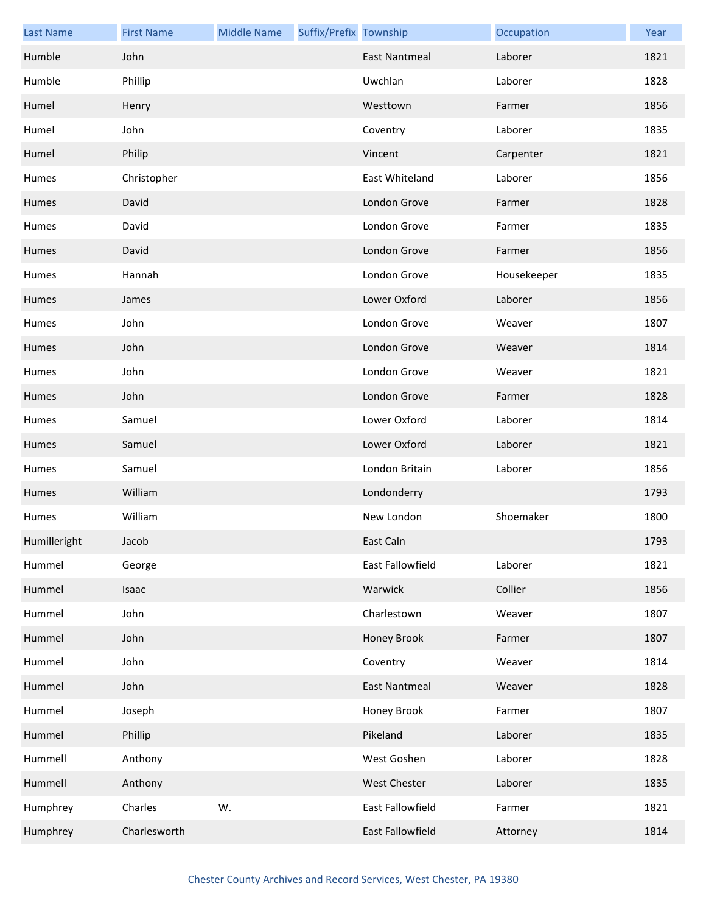| <b>Last Name</b> | <b>First Name</b> | <b>Middle Name</b> | Suffix/Prefix Township |                      | Occupation  | Year |
|------------------|-------------------|--------------------|------------------------|----------------------|-------------|------|
| Humble           | John              |                    |                        | <b>East Nantmeal</b> | Laborer     | 1821 |
| Humble           | Phillip           |                    |                        | Uwchlan              | Laborer     | 1828 |
| Humel            | Henry             |                    |                        | Westtown             | Farmer      | 1856 |
| Humel            | John              |                    |                        | Coventry             | Laborer     | 1835 |
| Humel            | Philip            |                    |                        | Vincent              | Carpenter   | 1821 |
| Humes            | Christopher       |                    |                        | East Whiteland       | Laborer     | 1856 |
| Humes            | David             |                    |                        | London Grove         | Farmer      | 1828 |
| Humes            | David             |                    |                        | London Grove         | Farmer      | 1835 |
| Humes            | David             |                    |                        | London Grove         | Farmer      | 1856 |
| Humes            | Hannah            |                    |                        | London Grove         | Housekeeper | 1835 |
| Humes            | James             |                    |                        | Lower Oxford         | Laborer     | 1856 |
| Humes            | John              |                    |                        | London Grove         | Weaver      | 1807 |
| Humes            | John              |                    |                        | London Grove         | Weaver      | 1814 |
| Humes            | John              |                    |                        | London Grove         | Weaver      | 1821 |
| Humes            | John              |                    |                        | London Grove         | Farmer      | 1828 |
| Humes            | Samuel            |                    |                        | Lower Oxford         | Laborer     | 1814 |
| Humes            | Samuel            |                    |                        | Lower Oxford         | Laborer     | 1821 |
| Humes            | Samuel            |                    |                        | London Britain       | Laborer     | 1856 |
| Humes            | William           |                    |                        | Londonderry          |             | 1793 |
| Humes            | William           |                    |                        | New London           | Shoemaker   | 1800 |
| Humilleright     | Jacob             |                    |                        | East Caln            |             | 1793 |
| Hummel           | George            |                    |                        | East Fallowfield     | Laborer     | 1821 |
| Hummel           | Isaac             |                    |                        | Warwick              | Collier     | 1856 |
| Hummel           | John              |                    |                        | Charlestown          | Weaver      | 1807 |
| Hummel           | John              |                    |                        | Honey Brook          | Farmer      | 1807 |
| Hummel           | John              |                    |                        | Coventry             | Weaver      | 1814 |
| Hummel           | John              |                    |                        | <b>East Nantmeal</b> | Weaver      | 1828 |
| Hummel           | Joseph            |                    |                        | Honey Brook          | Farmer      | 1807 |
| Hummel           | Phillip           |                    |                        | Pikeland             | Laborer     | 1835 |
| Hummell          | Anthony           |                    |                        | West Goshen          | Laborer     | 1828 |
| Hummell          | Anthony           |                    |                        | West Chester         | Laborer     | 1835 |
| Humphrey         | Charles           | W.                 |                        | East Fallowfield     | Farmer      | 1821 |
| Humphrey         | Charlesworth      |                    |                        | East Fallowfield     | Attorney    | 1814 |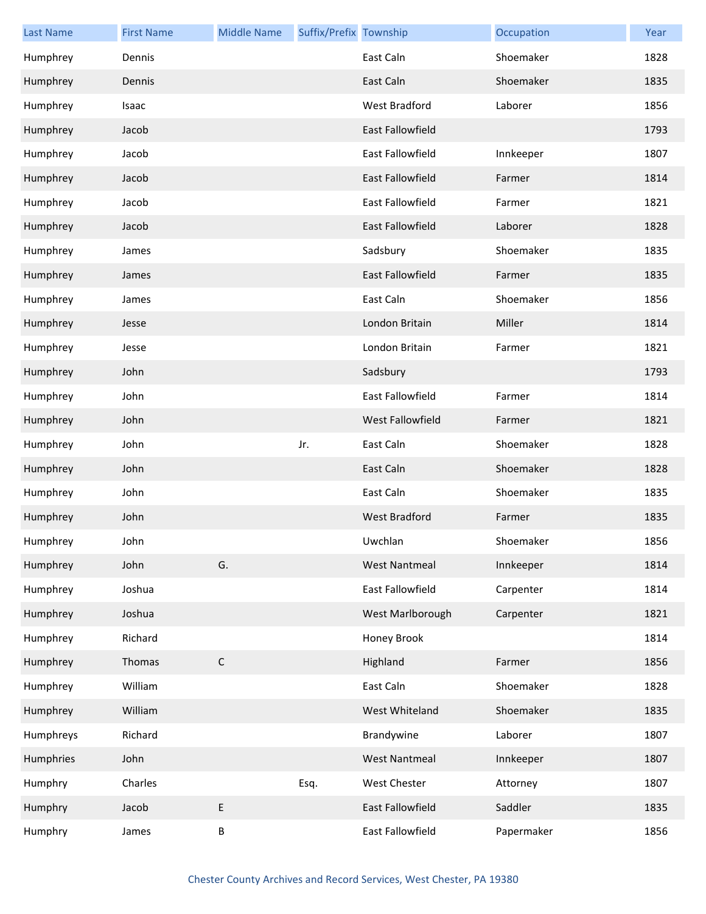| <b>Last Name</b> | <b>First Name</b> | <b>Middle Name</b> | Suffix/Prefix Township |                         | Occupation | Year |
|------------------|-------------------|--------------------|------------------------|-------------------------|------------|------|
| Humphrey         | Dennis            |                    |                        | East Caln               | Shoemaker  | 1828 |
| Humphrey         | Dennis            |                    |                        | East Caln               | Shoemaker  | 1835 |
| Humphrey         | Isaac             |                    |                        | <b>West Bradford</b>    | Laborer    | 1856 |
| Humphrey         | Jacob             |                    |                        | <b>East Fallowfield</b> |            | 1793 |
| Humphrey         | Jacob             |                    |                        | East Fallowfield        | Innkeeper  | 1807 |
| Humphrey         | Jacob             |                    |                        | <b>East Fallowfield</b> | Farmer     | 1814 |
| Humphrey         | Jacob             |                    |                        | East Fallowfield        | Farmer     | 1821 |
| Humphrey         | Jacob             |                    |                        | <b>East Fallowfield</b> | Laborer    | 1828 |
| Humphrey         | James             |                    |                        | Sadsbury                | Shoemaker  | 1835 |
| Humphrey         | James             |                    |                        | <b>East Fallowfield</b> | Farmer     | 1835 |
| Humphrey         | James             |                    |                        | East Caln               | Shoemaker  | 1856 |
| Humphrey         | Jesse             |                    |                        | London Britain          | Miller     | 1814 |
| Humphrey         | Jesse             |                    |                        | London Britain          | Farmer     | 1821 |
| Humphrey         | John              |                    |                        | Sadsbury                |            | 1793 |
| Humphrey         | John              |                    |                        | East Fallowfield        | Farmer     | 1814 |
| Humphrey         | John              |                    |                        | <b>West Fallowfield</b> | Farmer     | 1821 |
| Humphrey         | John              |                    | Jr.                    | East Caln               | Shoemaker  | 1828 |
| Humphrey         | John              |                    |                        | East Caln               | Shoemaker  | 1828 |
| Humphrey         | John              |                    |                        | East Caln               | Shoemaker  | 1835 |
| Humphrey         | John              |                    |                        | <b>West Bradford</b>    | Farmer     | 1835 |
| Humphrey         | John              |                    |                        | Uwchlan                 | Shoemaker  | 1856 |
| Humphrey         | John              | G.                 |                        | <b>West Nantmeal</b>    | Innkeeper  | 1814 |
| Humphrey         | Joshua            |                    |                        | East Fallowfield        | Carpenter  | 1814 |
| Humphrey         | Joshua            |                    |                        | West Marlborough        | Carpenter  | 1821 |
| Humphrey         | Richard           |                    |                        | Honey Brook             |            | 1814 |
| Humphrey         | Thomas            | $\mathsf C$        |                        | Highland                | Farmer     | 1856 |
| Humphrey         | William           |                    |                        | East Caln               | Shoemaker  | 1828 |
| Humphrey         | William           |                    |                        | West Whiteland          | Shoemaker  | 1835 |
| Humphreys        | Richard           |                    |                        | Brandywine              | Laborer    | 1807 |
| Humphries        | John              |                    |                        | <b>West Nantmeal</b>    | Innkeeper  | 1807 |
| Humphry          | Charles           |                    | Esq.                   | West Chester            | Attorney   | 1807 |
| Humphry          | Jacob             | E                  |                        | East Fallowfield        | Saddler    | 1835 |
| Humphry          | James             | Β                  |                        | East Fallowfield        | Papermaker | 1856 |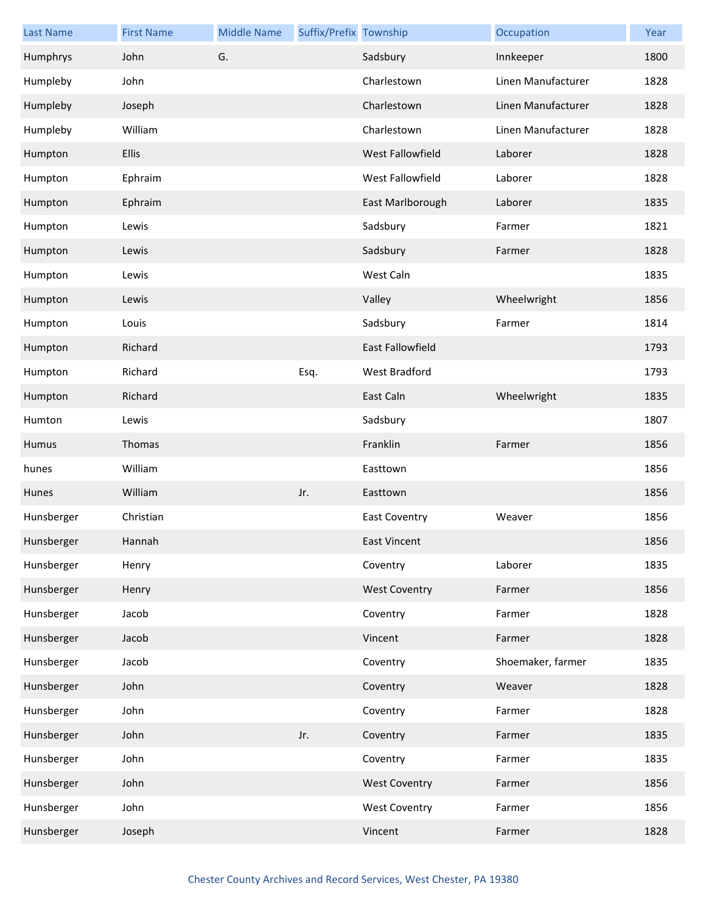| <b>Last Name</b> | <b>First Name</b> | <b>Middle Name</b> | Suffix/Prefix Township |                         | Occupation         | Year |
|------------------|-------------------|--------------------|------------------------|-------------------------|--------------------|------|
| Humphrys         | John              | G.                 |                        | Sadsbury                | Innkeeper          | 1800 |
| Humpleby         | John              |                    |                        | Charlestown             | Linen Manufacturer | 1828 |
| Humpleby         | Joseph            |                    |                        | Charlestown             | Linen Manufacturer | 1828 |
| Humpleby         | William           |                    |                        | Charlestown             | Linen Manufacturer | 1828 |
| Humpton          | Ellis             |                    |                        | West Fallowfield        | Laborer            | 1828 |
| Humpton          | Ephraim           |                    |                        | West Fallowfield        | Laborer            | 1828 |
| Humpton          | Ephraim           |                    |                        | East Marlborough        | Laborer            | 1835 |
| Humpton          | Lewis             |                    |                        | Sadsbury                | Farmer             | 1821 |
| Humpton          | Lewis             |                    |                        | Sadsbury                | Farmer             | 1828 |
| Humpton          | Lewis             |                    |                        | West Caln               |                    | 1835 |
| Humpton          | Lewis             |                    |                        | Valley                  | Wheelwright        | 1856 |
| Humpton          | Louis             |                    |                        | Sadsbury                | Farmer             | 1814 |
| Humpton          | Richard           |                    |                        | <b>East Fallowfield</b> |                    | 1793 |
| Humpton          | Richard           |                    | Esq.                   | West Bradford           |                    | 1793 |
| Humpton          | Richard           |                    |                        | East Caln               | Wheelwright        | 1835 |
| Humton           | Lewis             |                    |                        | Sadsbury                |                    | 1807 |
| Humus            | Thomas            |                    |                        | Franklin                | Farmer             | 1856 |
| hunes            | William           |                    |                        | Easttown                |                    | 1856 |
| Hunes            | William           |                    | Jr.                    | Easttown                |                    | 1856 |
| Hunsberger       | Christian         |                    |                        | <b>East Coventry</b>    | Weaver             | 1856 |
| Hunsberger       | Hannah            |                    |                        | East Vincent            |                    | 1856 |
| Hunsberger       | Henry             |                    |                        | Coventry                | Laborer            | 1835 |
| Hunsberger       | Henry             |                    |                        | <b>West Coventry</b>    | Farmer             | 1856 |
| Hunsberger       | Jacob             |                    |                        | Coventry                | Farmer             | 1828 |
| Hunsberger       | Jacob             |                    |                        | Vincent                 | Farmer             | 1828 |
| Hunsberger       | Jacob             |                    |                        | Coventry                | Shoemaker, farmer  | 1835 |
| Hunsberger       | John              |                    |                        | Coventry                | Weaver             | 1828 |
| Hunsberger       | John              |                    |                        | Coventry                | Farmer             | 1828 |
| Hunsberger       | John              |                    | Jr.                    | Coventry                | Farmer             | 1835 |
| Hunsberger       | John              |                    |                        | Coventry                | Farmer             | 1835 |
| Hunsberger       | John              |                    |                        | <b>West Coventry</b>    | Farmer             | 1856 |
| Hunsberger       | John              |                    |                        | <b>West Coventry</b>    | Farmer             | 1856 |
| Hunsberger       | Joseph            |                    |                        | Vincent                 | Farmer             | 1828 |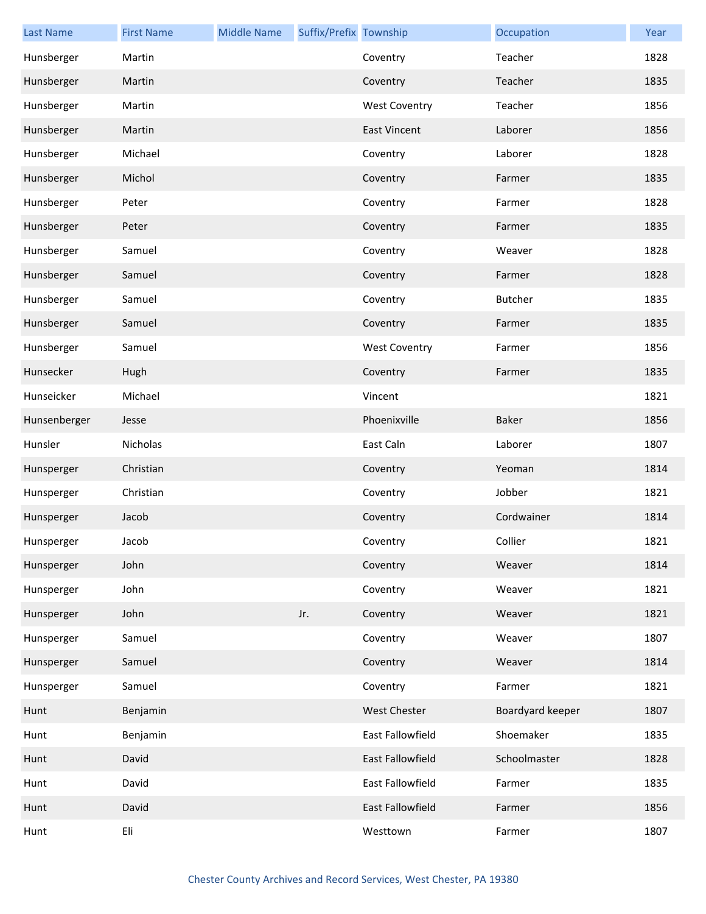| <b>Last Name</b> | <b>First Name</b> | <b>Middle Name</b> | Suffix/Prefix Township |                      | Occupation       | Year |
|------------------|-------------------|--------------------|------------------------|----------------------|------------------|------|
| Hunsberger       | Martin            |                    |                        | Coventry             | Teacher          | 1828 |
| Hunsberger       | Martin            |                    |                        | Coventry             | Teacher          | 1835 |
| Hunsberger       | Martin            |                    |                        | <b>West Coventry</b> | Teacher          | 1856 |
| Hunsberger       | Martin            |                    |                        | <b>East Vincent</b>  | Laborer          | 1856 |
| Hunsberger       | Michael           |                    |                        | Coventry             | Laborer          | 1828 |
| Hunsberger       | Michol            |                    |                        | Coventry             | Farmer           | 1835 |
| Hunsberger       | Peter             |                    |                        | Coventry             | Farmer           | 1828 |
| Hunsberger       | Peter             |                    |                        | Coventry             | Farmer           | 1835 |
| Hunsberger       | Samuel            |                    |                        | Coventry             | Weaver           | 1828 |
| Hunsberger       | Samuel            |                    |                        | Coventry             | Farmer           | 1828 |
| Hunsberger       | Samuel            |                    |                        | Coventry             | <b>Butcher</b>   | 1835 |
| Hunsberger       | Samuel            |                    |                        | Coventry             | Farmer           | 1835 |
| Hunsberger       | Samuel            |                    |                        | <b>West Coventry</b> | Farmer           | 1856 |
| Hunsecker        | Hugh              |                    |                        | Coventry             | Farmer           | 1835 |
| Hunseicker       | Michael           |                    |                        | Vincent              |                  | 1821 |
| Hunsenberger     | Jesse             |                    |                        | Phoenixville         | <b>Baker</b>     | 1856 |
| Hunsler          | Nicholas          |                    |                        | East Caln            | Laborer          | 1807 |
| Hunsperger       | Christian         |                    |                        | Coventry             | Yeoman           | 1814 |
| Hunsperger       | Christian         |                    |                        | Coventry             | Jobber           | 1821 |
| Hunsperger       | Jacob             |                    |                        | Coventry             | Cordwainer       | 1814 |
| Hunsperger       | Jacob             |                    |                        | Coventry             | Collier          | 1821 |
| Hunsperger       | John              |                    |                        | Coventry             | Weaver           | 1814 |
| Hunsperger       | John              |                    |                        | Coventry             | Weaver           | 1821 |
| Hunsperger       | John              |                    | Jr.                    | Coventry             | Weaver           | 1821 |
| Hunsperger       | Samuel            |                    |                        | Coventry             | Weaver           | 1807 |
| Hunsperger       | Samuel            |                    |                        | Coventry             | Weaver           | 1814 |
| Hunsperger       | Samuel            |                    |                        | Coventry             | Farmer           | 1821 |
| Hunt             | Benjamin          |                    |                        | West Chester         | Boardyard keeper | 1807 |
| Hunt             | Benjamin          |                    |                        | East Fallowfield     | Shoemaker        | 1835 |
| Hunt             | David             |                    |                        | East Fallowfield     | Schoolmaster     | 1828 |
| Hunt             | David             |                    |                        | East Fallowfield     | Farmer           | 1835 |
| Hunt             | David             |                    |                        | East Fallowfield     | Farmer           | 1856 |
| Hunt             | Eli               |                    |                        | Westtown             | Farmer           | 1807 |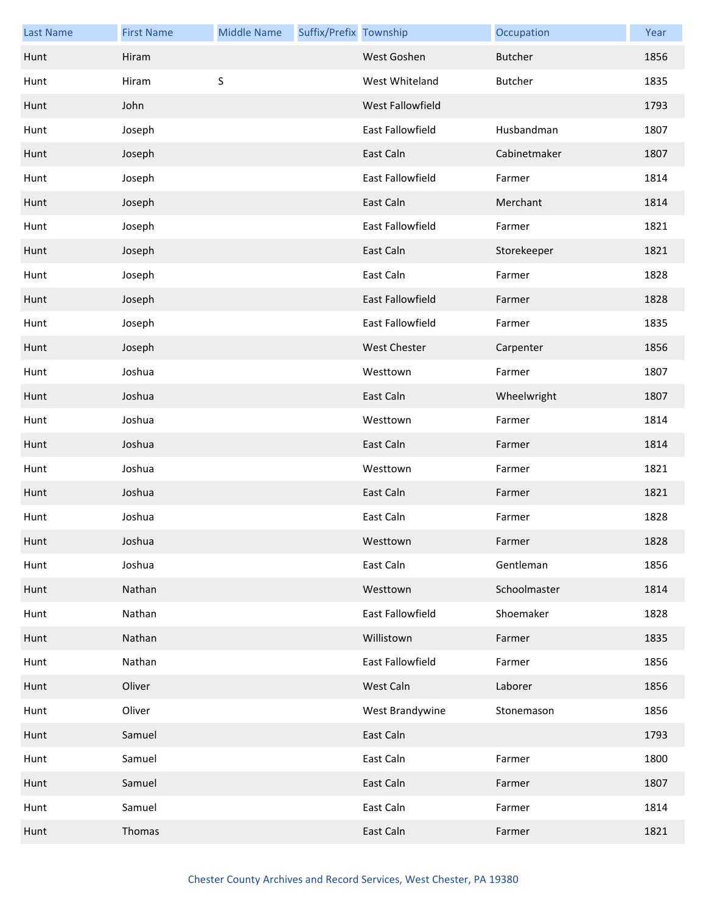| <b>Last Name</b> | <b>First Name</b> | <b>Middle Name</b> | Suffix/Prefix Township |                     | Occupation     | Year |
|------------------|-------------------|--------------------|------------------------|---------------------|----------------|------|
| Hunt             | Hiram             |                    |                        | West Goshen         | <b>Butcher</b> | 1856 |
| Hunt             | Hiram             | $\sf S$            |                        | West Whiteland      | <b>Butcher</b> | 1835 |
| Hunt             | John              |                    |                        | West Fallowfield    |                | 1793 |
| Hunt             | Joseph            |                    |                        | East Fallowfield    | Husbandman     | 1807 |
| Hunt             | Joseph            |                    |                        | East Caln           | Cabinetmaker   | 1807 |
| Hunt             | Joseph            |                    |                        | East Fallowfield    | Farmer         | 1814 |
| Hunt             | Joseph            |                    |                        | East Caln           | Merchant       | 1814 |
| Hunt             | Joseph            |                    |                        | East Fallowfield    | Farmer         | 1821 |
| Hunt             | Joseph            |                    |                        | East Caln           | Storekeeper    | 1821 |
| Hunt             | Joseph            |                    |                        | East Caln           | Farmer         | 1828 |
| Hunt             | Joseph            |                    |                        | East Fallowfield    | Farmer         | 1828 |
| Hunt             | Joseph            |                    |                        | East Fallowfield    | Farmer         | 1835 |
| Hunt             | Joseph            |                    |                        | <b>West Chester</b> | Carpenter      | 1856 |
| Hunt             | Joshua            |                    |                        | Westtown            | Farmer         | 1807 |
| Hunt             | Joshua            |                    |                        | East Caln           | Wheelwright    | 1807 |
| Hunt             | Joshua            |                    |                        | Westtown            | Farmer         | 1814 |
| Hunt             | Joshua            |                    |                        | East Caln           | Farmer         | 1814 |
| Hunt             | Joshua            |                    |                        | Westtown            | Farmer         | 1821 |
| Hunt             | Joshua            |                    |                        | East Caln           | Farmer         | 1821 |
| Hunt             | Joshua            |                    |                        | East Caln           | Farmer         | 1828 |
| Hunt             | Joshua            |                    |                        | Westtown            | Farmer         | 1828 |
| Hunt             | Joshua            |                    |                        | East Caln           | Gentleman      | 1856 |
| Hunt             | Nathan            |                    |                        | Westtown            | Schoolmaster   | 1814 |
| Hunt             | Nathan            |                    |                        | East Fallowfield    | Shoemaker      | 1828 |
| Hunt             | Nathan            |                    |                        | Willistown          | Farmer         | 1835 |
| Hunt             | Nathan            |                    |                        | East Fallowfield    | Farmer         | 1856 |
| Hunt             | Oliver            |                    |                        | West Caln           | Laborer        | 1856 |
| Hunt             | Oliver            |                    |                        | West Brandywine     | Stonemason     | 1856 |
| Hunt             | Samuel            |                    |                        | East Caln           |                | 1793 |
| Hunt             | Samuel            |                    |                        | East Caln           | Farmer         | 1800 |
| Hunt             | Samuel            |                    |                        | East Caln           | Farmer         | 1807 |
| Hunt             | Samuel            |                    |                        | East Caln           | Farmer         | 1814 |
| Hunt             | Thomas            |                    |                        | East Caln           | Farmer         | 1821 |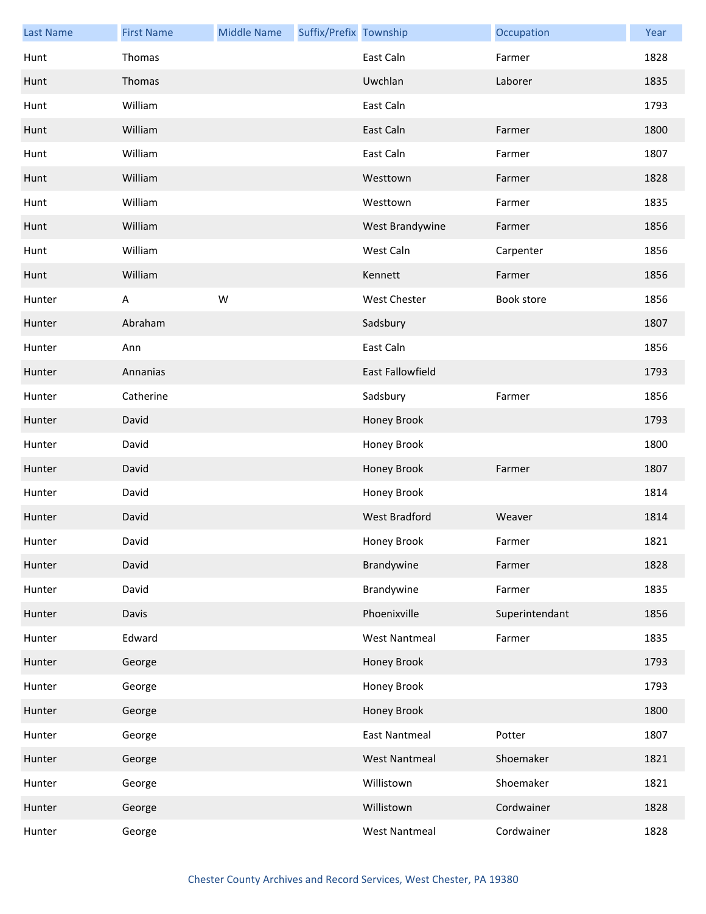| <b>Last Name</b> | <b>First Name</b> | <b>Middle Name</b> | Suffix/Prefix Township |                      | Occupation     | Year |
|------------------|-------------------|--------------------|------------------------|----------------------|----------------|------|
| Hunt             | Thomas            |                    |                        | East Caln            | Farmer         | 1828 |
| Hunt             | Thomas            |                    |                        | Uwchlan              | Laborer        | 1835 |
| Hunt             | William           |                    |                        | East Caln            |                | 1793 |
| Hunt             | William           |                    |                        | East Caln            | Farmer         | 1800 |
| Hunt             | William           |                    |                        | East Caln            | Farmer         | 1807 |
| Hunt             | William           |                    |                        | Westtown             | Farmer         | 1828 |
| Hunt             | William           |                    |                        | Westtown             | Farmer         | 1835 |
| Hunt             | William           |                    |                        | West Brandywine      | Farmer         | 1856 |
| Hunt             | William           |                    |                        | West Caln            | Carpenter      | 1856 |
| Hunt             | William           |                    |                        | Kennett              | Farmer         | 1856 |
| Hunter           | A                 | W                  |                        | West Chester         | Book store     | 1856 |
| Hunter           | Abraham           |                    |                        | Sadsbury             |                | 1807 |
| Hunter           | Ann               |                    |                        | East Caln            |                | 1856 |
| Hunter           | Annanias          |                    |                        | East Fallowfield     |                | 1793 |
| Hunter           | Catherine         |                    |                        | Sadsbury             | Farmer         | 1856 |
| Hunter           | David             |                    |                        | Honey Brook          |                | 1793 |
| Hunter           | David             |                    |                        | Honey Brook          |                | 1800 |
| Hunter           | David             |                    |                        | Honey Brook          | Farmer         | 1807 |
| Hunter           | David             |                    |                        | Honey Brook          |                | 1814 |
| Hunter           | David             |                    |                        | <b>West Bradford</b> | Weaver         | 1814 |
| Hunter           | David             |                    |                        | Honey Brook          | Farmer         | 1821 |
| Hunter           | David             |                    |                        | Brandywine           | Farmer         | 1828 |
| Hunter           | David             |                    |                        | Brandywine           | Farmer         | 1835 |
| Hunter           | Davis             |                    |                        | Phoenixville         | Superintendant | 1856 |
| Hunter           | Edward            |                    |                        | <b>West Nantmeal</b> | Farmer         | 1835 |
| Hunter           | George            |                    |                        | Honey Brook          |                | 1793 |
| Hunter           | George            |                    |                        | Honey Brook          |                | 1793 |
| Hunter           | George            |                    |                        | Honey Brook          |                | 1800 |
| Hunter           | George            |                    |                        | <b>East Nantmeal</b> | Potter         | 1807 |
| Hunter           | George            |                    |                        | <b>West Nantmeal</b> | Shoemaker      | 1821 |
| Hunter           | George            |                    |                        | Willistown           | Shoemaker      | 1821 |
| Hunter           | George            |                    |                        | Willistown           | Cordwainer     | 1828 |
| Hunter           | George            |                    |                        | <b>West Nantmeal</b> | Cordwainer     | 1828 |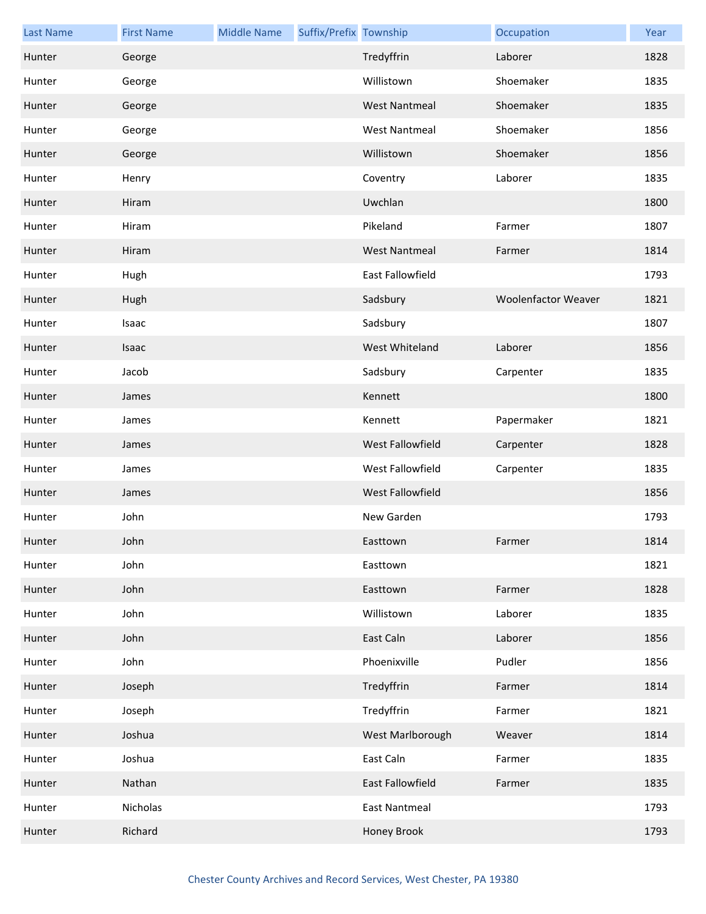| <b>Last Name</b> | <b>First Name</b> | <b>Middle Name</b> | Suffix/Prefix Township |                      | Occupation                 | Year |
|------------------|-------------------|--------------------|------------------------|----------------------|----------------------------|------|
| Hunter           | George            |                    |                        | Tredyffrin           | Laborer                    | 1828 |
| Hunter           | George            |                    |                        | Willistown           | Shoemaker                  | 1835 |
| Hunter           | George            |                    |                        | <b>West Nantmeal</b> | Shoemaker                  | 1835 |
| Hunter           | George            |                    |                        | <b>West Nantmeal</b> | Shoemaker                  | 1856 |
| Hunter           | George            |                    |                        | Willistown           | Shoemaker                  | 1856 |
| Hunter           | Henry             |                    |                        | Coventry             | Laborer                    | 1835 |
| Hunter           | Hiram             |                    |                        | Uwchlan              |                            | 1800 |
| Hunter           | Hiram             |                    |                        | Pikeland             | Farmer                     | 1807 |
| Hunter           | Hiram             |                    |                        | <b>West Nantmeal</b> | Farmer                     | 1814 |
| Hunter           | Hugh              |                    |                        | East Fallowfield     |                            | 1793 |
| Hunter           | Hugh              |                    |                        | Sadsbury             | <b>Woolenfactor Weaver</b> | 1821 |
| Hunter           | Isaac             |                    |                        | Sadsbury             |                            | 1807 |
| Hunter           | Isaac             |                    |                        | West Whiteland       | Laborer                    | 1856 |
| Hunter           | Jacob             |                    |                        | Sadsbury             | Carpenter                  | 1835 |
| Hunter           | James             |                    |                        | Kennett              |                            | 1800 |
| Hunter           | James             |                    |                        | Kennett              | Papermaker                 | 1821 |
| Hunter           | James             |                    |                        | West Fallowfield     | Carpenter                  | 1828 |
| Hunter           | James             |                    |                        | West Fallowfield     | Carpenter                  | 1835 |
| Hunter           | James             |                    |                        | West Fallowfield     |                            | 1856 |
| Hunter           | John              |                    |                        | New Garden           |                            | 1793 |
| Hunter           | John              |                    |                        | Easttown             | Farmer                     | 1814 |
| Hunter           | John              |                    |                        | Easttown             |                            | 1821 |
| Hunter           | John              |                    |                        | Easttown             | Farmer                     | 1828 |
| Hunter           | John              |                    |                        | Willistown           | Laborer                    | 1835 |
| Hunter           | John              |                    |                        | East Caln            | Laborer                    | 1856 |
| Hunter           | John              |                    |                        | Phoenixville         | Pudler                     | 1856 |
| Hunter           | Joseph            |                    |                        | Tredyffrin           | Farmer                     | 1814 |
| Hunter           | Joseph            |                    |                        | Tredyffrin           | Farmer                     | 1821 |
| Hunter           | Joshua            |                    |                        | West Marlborough     | Weaver                     | 1814 |
| Hunter           | Joshua            |                    |                        | East Caln            | Farmer                     | 1835 |
| Hunter           | Nathan            |                    |                        | East Fallowfield     | Farmer                     | 1835 |
| Hunter           | Nicholas          |                    |                        | <b>East Nantmeal</b> |                            | 1793 |
| Hunter           | Richard           |                    |                        | Honey Brook          |                            | 1793 |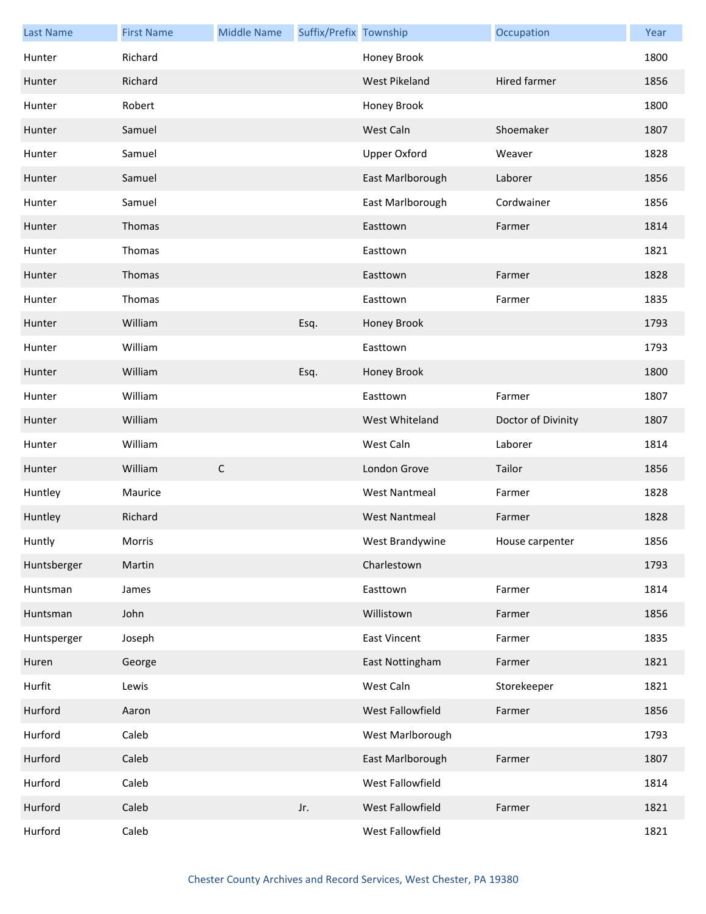| <b>Last Name</b> | <b>First Name</b> | <b>Middle Name</b> | Suffix/Prefix Township |                      | Occupation         | Year |
|------------------|-------------------|--------------------|------------------------|----------------------|--------------------|------|
| Hunter           | Richard           |                    |                        | Honey Brook          |                    | 1800 |
| Hunter           | Richard           |                    |                        | <b>West Pikeland</b> | Hired farmer       | 1856 |
| Hunter           | Robert            |                    |                        | Honey Brook          |                    | 1800 |
| Hunter           | Samuel            |                    |                        | West Caln            | Shoemaker          | 1807 |
| Hunter           | Samuel            |                    |                        | Upper Oxford         | Weaver             | 1828 |
| Hunter           | Samuel            |                    |                        | East Marlborough     | Laborer            | 1856 |
| Hunter           | Samuel            |                    |                        | East Marlborough     | Cordwainer         | 1856 |
| Hunter           | Thomas            |                    |                        | Easttown             | Farmer             | 1814 |
| Hunter           | Thomas            |                    |                        | Easttown             |                    | 1821 |
| Hunter           | Thomas            |                    |                        | Easttown             | Farmer             | 1828 |
| Hunter           | Thomas            |                    |                        | Easttown             | Farmer             | 1835 |
| Hunter           | William           |                    | Esq.                   | Honey Brook          |                    | 1793 |
| Hunter           | William           |                    |                        | Easttown             |                    | 1793 |
| Hunter           | William           |                    | Esq.                   | Honey Brook          |                    | 1800 |
| Hunter           | William           |                    |                        | Easttown             | Farmer             | 1807 |
| Hunter           | William           |                    |                        | West Whiteland       | Doctor of Divinity | 1807 |
| Hunter           | William           |                    |                        | West Caln            | Laborer            | 1814 |
| Hunter           | William           | $\mathsf C$        |                        | London Grove         | Tailor             | 1856 |
| Huntley          | Maurice           |                    |                        | <b>West Nantmeal</b> | Farmer             | 1828 |
| Huntley          | Richard           |                    |                        | <b>West Nantmeal</b> | Farmer             | 1828 |
| Huntly           | Morris            |                    |                        | West Brandywine      | House carpenter    | 1856 |
| Huntsberger      | Martin            |                    |                        | Charlestown          |                    | 1793 |
| Huntsman         | James             |                    |                        | Easttown             | Farmer             | 1814 |
| Huntsman         | John              |                    |                        | Willistown           | Farmer             | 1856 |
| Huntsperger      | Joseph            |                    |                        | <b>East Vincent</b>  | Farmer             | 1835 |
| Huren            | George            |                    |                        | East Nottingham      | Farmer             | 1821 |
| Hurfit           | Lewis             |                    |                        | West Caln            | Storekeeper        | 1821 |
| Hurford          | Aaron             |                    |                        | West Fallowfield     | Farmer             | 1856 |
| Hurford          | Caleb             |                    |                        | West Marlborough     |                    | 1793 |
| Hurford          | Caleb             |                    |                        | East Marlborough     | Farmer             | 1807 |
| Hurford          | Caleb             |                    |                        | West Fallowfield     |                    | 1814 |
| Hurford          | Caleb             |                    | Jr.                    | West Fallowfield     | Farmer             | 1821 |
| Hurford          | Caleb             |                    |                        | West Fallowfield     |                    | 1821 |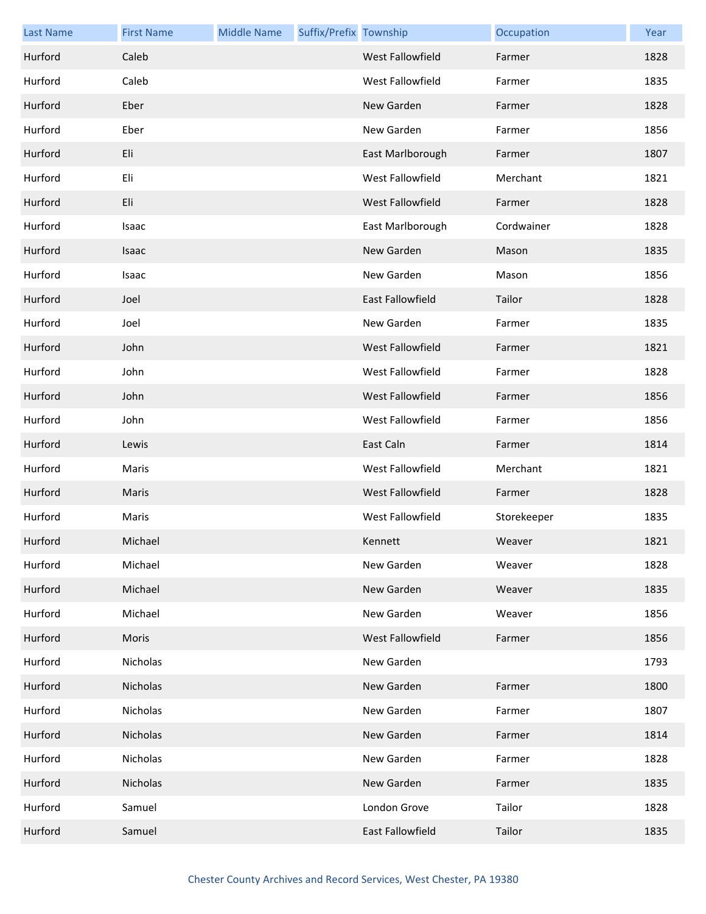| <b>Last Name</b> | <b>First Name</b> | <b>Middle Name</b> | Suffix/Prefix Township |                  | Occupation  | Year |
|------------------|-------------------|--------------------|------------------------|------------------|-------------|------|
| Hurford          | Caleb             |                    |                        | West Fallowfield | Farmer      | 1828 |
| Hurford          | Caleb             |                    |                        | West Fallowfield | Farmer      | 1835 |
| Hurford          | Eber              |                    |                        | New Garden       | Farmer      | 1828 |
| Hurford          | Eber              |                    |                        | New Garden       | Farmer      | 1856 |
| Hurford          | Eli               |                    |                        | East Marlborough | Farmer      | 1807 |
| Hurford          | Eli               |                    |                        | West Fallowfield | Merchant    | 1821 |
| Hurford          | Eli               |                    |                        | West Fallowfield | Farmer      | 1828 |
| Hurford          | Isaac             |                    |                        | East Marlborough | Cordwainer  | 1828 |
| Hurford          | Isaac             |                    |                        | New Garden       | Mason       | 1835 |
| Hurford          | Isaac             |                    |                        | New Garden       | Mason       | 1856 |
| Hurford          | Joel              |                    |                        | East Fallowfield | Tailor      | 1828 |
| Hurford          | Joel              |                    |                        | New Garden       | Farmer      | 1835 |
| Hurford          | John              |                    |                        | West Fallowfield | Farmer      | 1821 |
| Hurford          | John              |                    |                        | West Fallowfield | Farmer      | 1828 |
| Hurford          | John              |                    |                        | West Fallowfield | Farmer      | 1856 |
| Hurford          | John              |                    |                        | West Fallowfield | Farmer      | 1856 |
| Hurford          | Lewis             |                    |                        | East Caln        | Farmer      | 1814 |
| Hurford          | Maris             |                    |                        | West Fallowfield | Merchant    | 1821 |
| Hurford          | Maris             |                    |                        | West Fallowfield | Farmer      | 1828 |
| Hurford          | Maris             |                    |                        | West Fallowfield | Storekeeper | 1835 |
| Hurford          | Michael           |                    |                        | Kennett          | Weaver      | 1821 |
| Hurford          | Michael           |                    |                        | New Garden       | Weaver      | 1828 |
| Hurford          | Michael           |                    |                        | New Garden       | Weaver      | 1835 |
| Hurford          | Michael           |                    |                        | New Garden       | Weaver      | 1856 |
| Hurford          | Moris             |                    |                        | West Fallowfield | Farmer      | 1856 |
| Hurford          | Nicholas          |                    |                        | New Garden       |             | 1793 |
| Hurford          | Nicholas          |                    |                        | New Garden       | Farmer      | 1800 |
| Hurford          | Nicholas          |                    |                        | New Garden       | Farmer      | 1807 |
| Hurford          | Nicholas          |                    |                        | New Garden       | Farmer      | 1814 |
| Hurford          | Nicholas          |                    |                        | New Garden       | Farmer      | 1828 |
| Hurford          | Nicholas          |                    |                        | New Garden       | Farmer      | 1835 |
| Hurford          | Samuel            |                    |                        | London Grove     | Tailor      | 1828 |
| Hurford          | Samuel            |                    |                        | East Fallowfield | Tailor      | 1835 |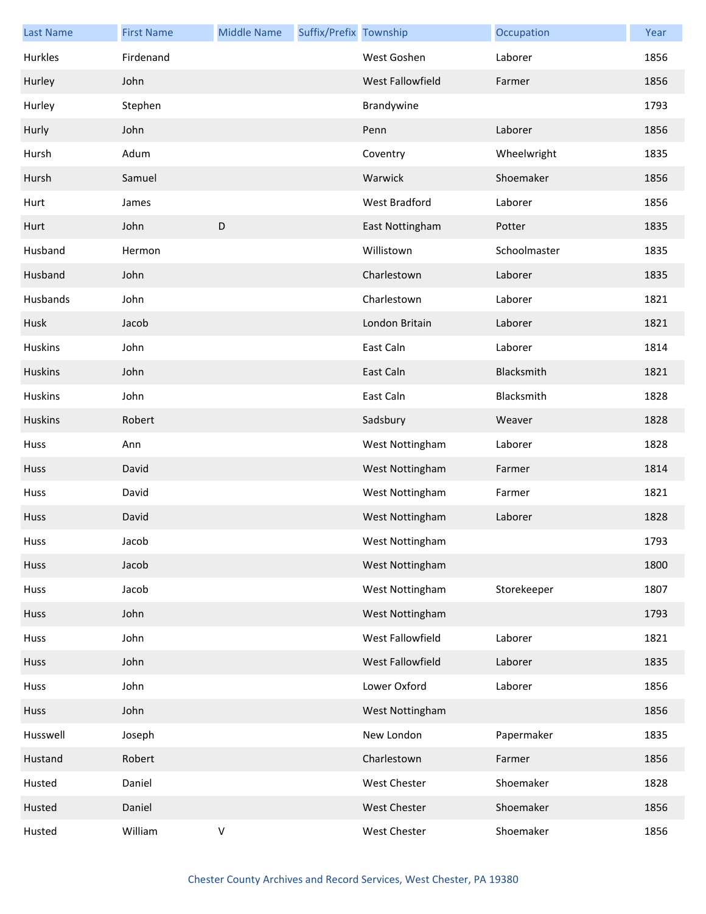| <b>Last Name</b> | <b>First Name</b> | <b>Middle Name</b> | Suffix/Prefix Township |                     | Occupation   | Year |
|------------------|-------------------|--------------------|------------------------|---------------------|--------------|------|
| Hurkles          | Firdenand         |                    |                        | West Goshen         | Laborer      | 1856 |
| Hurley           | John              |                    |                        | West Fallowfield    | Farmer       | 1856 |
| Hurley           | Stephen           |                    |                        | Brandywine          |              | 1793 |
| Hurly            | John              |                    |                        | Penn                | Laborer      | 1856 |
| Hursh            | Adum              |                    |                        | Coventry            | Wheelwright  | 1835 |
| Hursh            | Samuel            |                    |                        | Warwick             | Shoemaker    | 1856 |
| Hurt             | James             |                    |                        | West Bradford       | Laborer      | 1856 |
| Hurt             | John              | $\mathsf D$        |                        | East Nottingham     | Potter       | 1835 |
| Husband          | Hermon            |                    |                        | Willistown          | Schoolmaster | 1835 |
| Husband          | John              |                    |                        | Charlestown         | Laborer      | 1835 |
| Husbands         | John              |                    |                        | Charlestown         | Laborer      | 1821 |
| Husk             | Jacob             |                    |                        | London Britain      | Laborer      | 1821 |
| <b>Huskins</b>   | John              |                    |                        | East Caln           | Laborer      | 1814 |
| <b>Huskins</b>   | John              |                    |                        | East Caln           | Blacksmith   | 1821 |
| <b>Huskins</b>   | John              |                    |                        | East Caln           | Blacksmith   | 1828 |
| <b>Huskins</b>   | Robert            |                    |                        | Sadsbury            | Weaver       | 1828 |
| Huss             | Ann               |                    |                        | West Nottingham     | Laborer      | 1828 |
| Huss             | David             |                    |                        | West Nottingham     | Farmer       | 1814 |
| Huss             | David             |                    |                        | West Nottingham     | Farmer       | 1821 |
| Huss             | David             |                    |                        | West Nottingham     | Laborer      | 1828 |
| Huss             | Jacob             |                    |                        | West Nottingham     |              | 1793 |
| Huss             | Jacob             |                    |                        | West Nottingham     |              | 1800 |
| Huss             | Jacob             |                    |                        | West Nottingham     | Storekeeper  | 1807 |
| Huss             | John              |                    |                        | West Nottingham     |              | 1793 |
| Huss             | John              |                    |                        | West Fallowfield    | Laborer      | 1821 |
| Huss             | John              |                    |                        | West Fallowfield    | Laborer      | 1835 |
| Huss             | John              |                    |                        | Lower Oxford        | Laborer      | 1856 |
| Huss             | John              |                    |                        | West Nottingham     |              | 1856 |
| Husswell         | Joseph            |                    |                        | New London          | Papermaker   | 1835 |
| Hustand          | Robert            |                    |                        | Charlestown         | Farmer       | 1856 |
| Husted           | Daniel            |                    |                        | <b>West Chester</b> | Shoemaker    | 1828 |
| Husted           | Daniel            |                    |                        | <b>West Chester</b> | Shoemaker    | 1856 |
| Husted           | William           | $\sf V$            |                        | West Chester        | Shoemaker    | 1856 |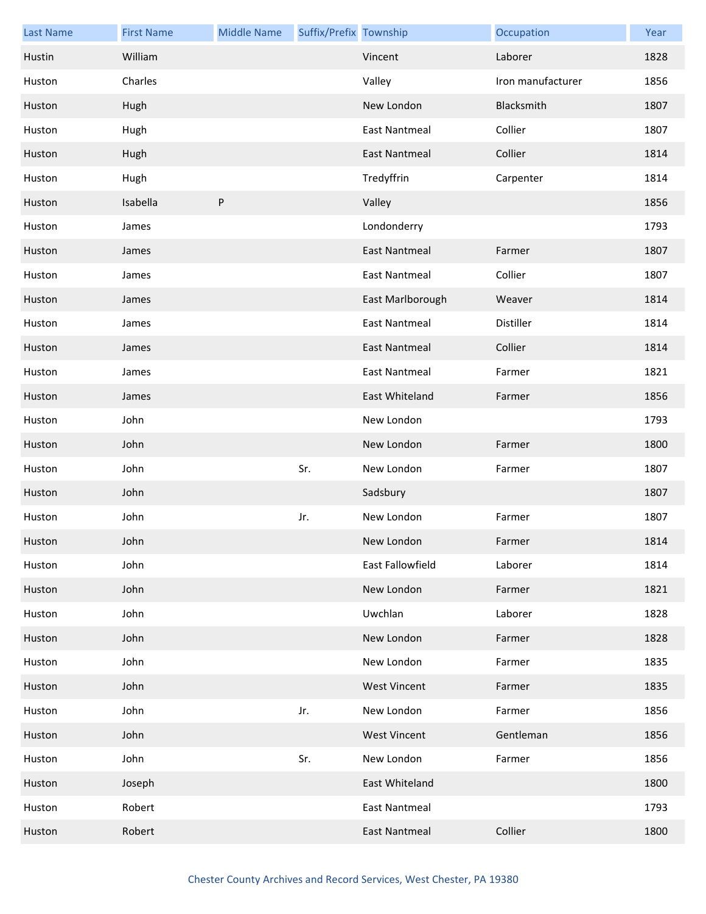| <b>Last Name</b> | <b>First Name</b> | <b>Middle Name</b> | Suffix/Prefix Township |                      | Occupation        | Year |
|------------------|-------------------|--------------------|------------------------|----------------------|-------------------|------|
| Hustin           | William           |                    |                        | Vincent              | Laborer           | 1828 |
| Huston           | Charles           |                    |                        | Valley               | Iron manufacturer | 1856 |
| Huston           | Hugh              |                    |                        | New London           | Blacksmith        | 1807 |
| Huston           | Hugh              |                    |                        | <b>East Nantmeal</b> | Collier           | 1807 |
| Huston           | Hugh              |                    |                        | East Nantmeal        | Collier           | 1814 |
| Huston           | Hugh              |                    |                        | Tredyffrin           | Carpenter         | 1814 |
| Huston           | Isabella          | P                  |                        | Valley               |                   | 1856 |
| Huston           | James             |                    |                        | Londonderry          |                   | 1793 |
| Huston           | James             |                    |                        | <b>East Nantmeal</b> | Farmer            | 1807 |
| Huston           | James             |                    |                        | <b>East Nantmeal</b> | Collier           | 1807 |
| Huston           | James             |                    |                        | East Marlborough     | Weaver            | 1814 |
| Huston           | James             |                    |                        | <b>East Nantmeal</b> | Distiller         | 1814 |
| Huston           | James             |                    |                        | East Nantmeal        | Collier           | 1814 |
| Huston           | James             |                    |                        | <b>East Nantmeal</b> | Farmer            | 1821 |
| Huston           | James             |                    |                        | East Whiteland       | Farmer            | 1856 |
| Huston           | John              |                    |                        | New London           |                   | 1793 |
| Huston           | John              |                    |                        | New London           | Farmer            | 1800 |
| Huston           | John              |                    | Sr.                    | New London           | Farmer            | 1807 |
| Huston           | John              |                    |                        | Sadsbury             |                   | 1807 |
| Huston           | John              |                    | Jr.                    | New London           | Farmer            | 1807 |
| Huston           | John              |                    |                        | New London           | Farmer            | 1814 |
| Huston           | John              |                    |                        | East Fallowfield     | Laborer           | 1814 |
| Huston           | John              |                    |                        | New London           | Farmer            | 1821 |
| Huston           | John              |                    |                        | Uwchlan              | Laborer           | 1828 |
| Huston           | John              |                    |                        | New London           | Farmer            | 1828 |
| Huston           | John              |                    |                        | New London           | Farmer            | 1835 |
| Huston           | John              |                    |                        | <b>West Vincent</b>  | Farmer            | 1835 |
| Huston           | John              |                    | Jr.                    | New London           | Farmer            | 1856 |
| Huston           | John              |                    |                        | <b>West Vincent</b>  | Gentleman         | 1856 |
| Huston           | John              |                    | Sr.                    | New London           | Farmer            | 1856 |
| Huston           | Joseph            |                    |                        | East Whiteland       |                   | 1800 |
| Huston           | Robert            |                    |                        | <b>East Nantmeal</b> |                   | 1793 |
| Huston           | Robert            |                    |                        | <b>East Nantmeal</b> | Collier           | 1800 |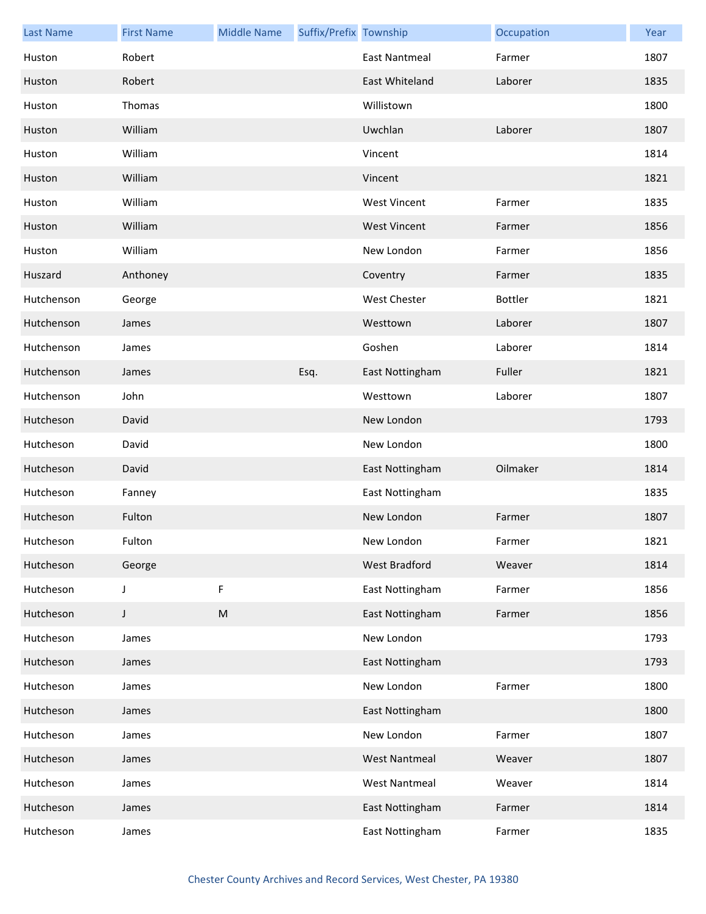| <b>Last Name</b> | <b>First Name</b> | <b>Middle Name</b> | Suffix/Prefix Township |                      | Occupation     | Year |
|------------------|-------------------|--------------------|------------------------|----------------------|----------------|------|
| Huston           | Robert            |                    |                        | <b>East Nantmeal</b> | Farmer         | 1807 |
| Huston           | Robert            |                    |                        | East Whiteland       | Laborer        | 1835 |
| Huston           | Thomas            |                    |                        | Willistown           |                | 1800 |
| Huston           | William           |                    |                        | Uwchlan              | Laborer        | 1807 |
| Huston           | William           |                    |                        | Vincent              |                | 1814 |
| Huston           | William           |                    |                        | Vincent              |                | 1821 |
| Huston           | William           |                    |                        | <b>West Vincent</b>  | Farmer         | 1835 |
| Huston           | William           |                    |                        | <b>West Vincent</b>  | Farmer         | 1856 |
| Huston           | William           |                    |                        | New London           | Farmer         | 1856 |
| Huszard          | Anthoney          |                    |                        | Coventry             | Farmer         | 1835 |
| Hutchenson       | George            |                    |                        | <b>West Chester</b>  | <b>Bottler</b> | 1821 |
| Hutchenson       | James             |                    |                        | Westtown             | Laborer        | 1807 |
| Hutchenson       | James             |                    |                        | Goshen               | Laborer        | 1814 |
| Hutchenson       | James             |                    | Esq.                   | East Nottingham      | Fuller         | 1821 |
| Hutchenson       | John              |                    |                        | Westtown             | Laborer        | 1807 |
| Hutcheson        | David             |                    |                        | New London           |                | 1793 |
| Hutcheson        | David             |                    |                        | New London           |                | 1800 |
| Hutcheson        | David             |                    |                        | East Nottingham      | Oilmaker       | 1814 |
| Hutcheson        | Fanney            |                    |                        | East Nottingham      |                | 1835 |
| Hutcheson        | Fulton            |                    |                        | New London           | Farmer         | 1807 |
| Hutcheson        | Fulton            |                    |                        | New London           | Farmer         | 1821 |
| Hutcheson        | George            |                    |                        | West Bradford        | Weaver         | 1814 |
| Hutcheson        | J                 | F                  |                        | East Nottingham      | Farmer         | 1856 |
| Hutcheson        | J                 | ${\sf M}$          |                        | East Nottingham      | Farmer         | 1856 |
| Hutcheson        | James             |                    |                        | New London           |                | 1793 |
| Hutcheson        | James             |                    |                        | East Nottingham      |                | 1793 |
| Hutcheson        | James             |                    |                        | New London           | Farmer         | 1800 |
| Hutcheson        | James             |                    |                        | East Nottingham      |                | 1800 |
| Hutcheson        | James             |                    |                        | New London           | Farmer         | 1807 |
| Hutcheson        | James             |                    |                        | <b>West Nantmeal</b> | Weaver         | 1807 |
| Hutcheson        | James             |                    |                        | <b>West Nantmeal</b> | Weaver         | 1814 |
| Hutcheson        | James             |                    |                        | East Nottingham      | Farmer         | 1814 |
| Hutcheson        | James             |                    |                        | East Nottingham      | Farmer         | 1835 |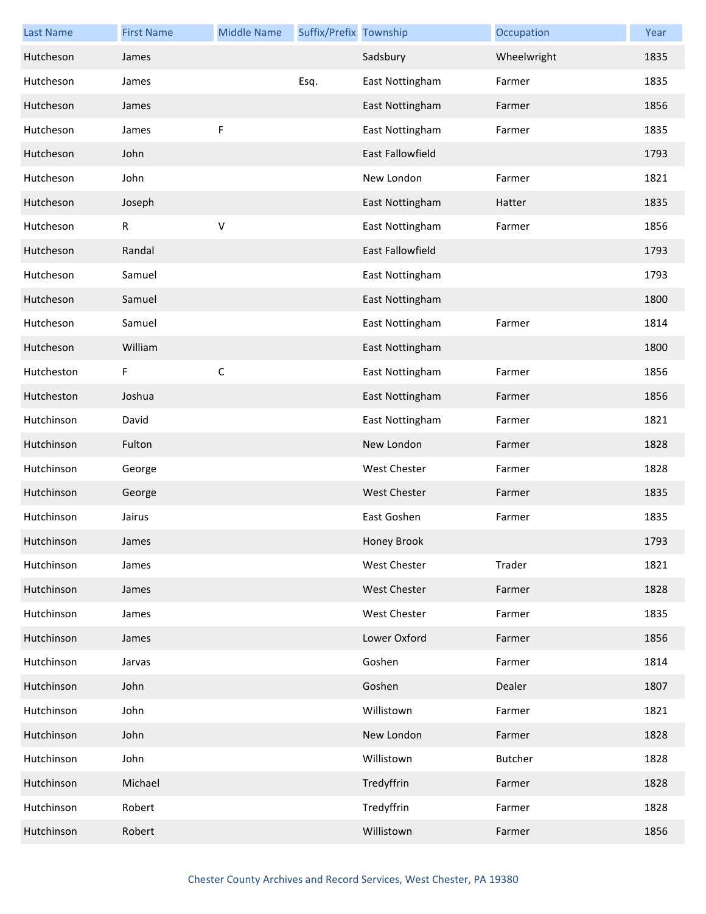| <b>Last Name</b> | <b>First Name</b> | <b>Middle Name</b> | Suffix/Prefix Township |                         | Occupation  | Year |
|------------------|-------------------|--------------------|------------------------|-------------------------|-------------|------|
| Hutcheson        | James             |                    |                        | Sadsbury                | Wheelwright | 1835 |
| Hutcheson        | James             |                    | Esq.                   | East Nottingham         | Farmer      | 1835 |
| Hutcheson        | James             |                    |                        | East Nottingham         | Farmer      | 1856 |
| Hutcheson        | James             | F                  |                        | East Nottingham         | Farmer      | 1835 |
| Hutcheson        | John              |                    |                        | <b>East Fallowfield</b> |             | 1793 |
| Hutcheson        | John              |                    |                        | New London              | Farmer      | 1821 |
| Hutcheson        | Joseph            |                    |                        | East Nottingham         | Hatter      | 1835 |
| Hutcheson        | ${\sf R}$         | $\vee$             |                        | East Nottingham         | Farmer      | 1856 |
| Hutcheson        | Randal            |                    |                        | <b>East Fallowfield</b> |             | 1793 |
| Hutcheson        | Samuel            |                    |                        | East Nottingham         |             | 1793 |
| Hutcheson        | Samuel            |                    |                        | East Nottingham         |             | 1800 |
| Hutcheson        | Samuel            |                    |                        | East Nottingham         | Farmer      | 1814 |
| Hutcheson        | William           |                    |                        | East Nottingham         |             | 1800 |
| Hutcheston       | F                 | $\mathsf C$        |                        | East Nottingham         | Farmer      | 1856 |
| Hutcheston       | Joshua            |                    |                        | East Nottingham         | Farmer      | 1856 |
| Hutchinson       | David             |                    |                        | East Nottingham         | Farmer      | 1821 |
| Hutchinson       | Fulton            |                    |                        | New London              | Farmer      | 1828 |
| Hutchinson       | George            |                    |                        | <b>West Chester</b>     | Farmer      | 1828 |
| Hutchinson       | George            |                    |                        | <b>West Chester</b>     | Farmer      | 1835 |
| Hutchinson       | Jairus            |                    |                        | East Goshen             | Farmer      | 1835 |
| Hutchinson       | James             |                    |                        | Honey Brook             |             | 1793 |
| Hutchinson       | James             |                    |                        | <b>West Chester</b>     | Trader      | 1821 |
| Hutchinson       | James             |                    |                        | <b>West Chester</b>     | Farmer      | 1828 |
| Hutchinson       | James             |                    |                        | West Chester            | Farmer      | 1835 |
| Hutchinson       | James             |                    |                        | Lower Oxford            | Farmer      | 1856 |
| Hutchinson       | Jarvas            |                    |                        | Goshen                  | Farmer      | 1814 |
| Hutchinson       | John              |                    |                        | Goshen                  | Dealer      | 1807 |
| Hutchinson       | John              |                    |                        | Willistown              | Farmer      | 1821 |
| Hutchinson       | John              |                    |                        | New London              | Farmer      | 1828 |
| Hutchinson       | John              |                    |                        | Willistown              | Butcher     | 1828 |
| Hutchinson       | Michael           |                    |                        | Tredyffrin              | Farmer      | 1828 |
| Hutchinson       | Robert            |                    |                        | Tredyffrin              | Farmer      | 1828 |
| Hutchinson       | Robert            |                    |                        | Willistown              | Farmer      | 1856 |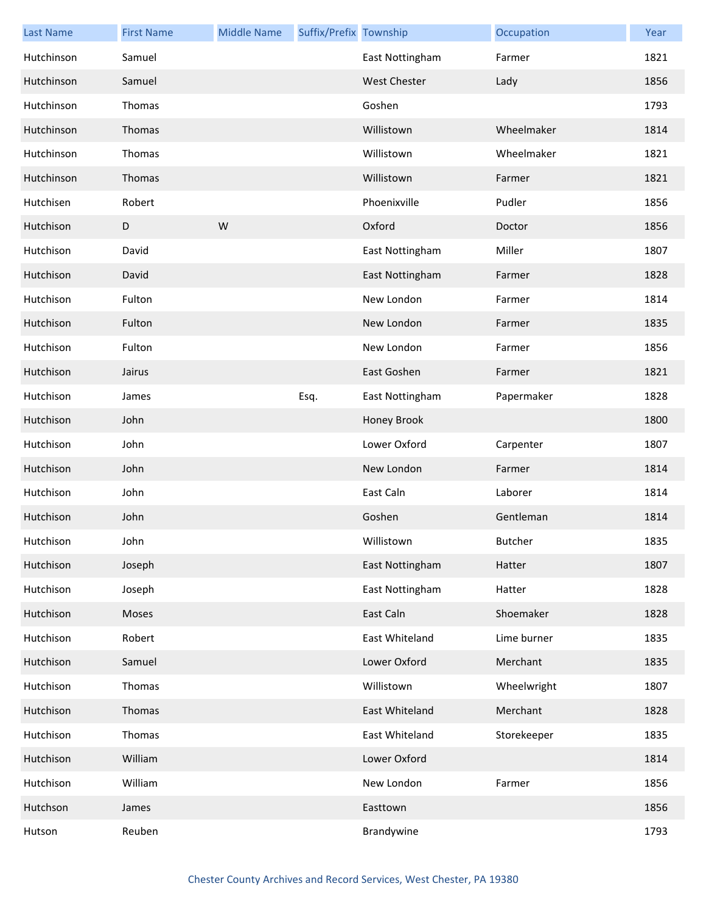| <b>Last Name</b> | <b>First Name</b> | <b>Middle Name</b> | Suffix/Prefix Township |                     | Occupation  | Year |
|------------------|-------------------|--------------------|------------------------|---------------------|-------------|------|
| Hutchinson       | Samuel            |                    |                        | East Nottingham     | Farmer      | 1821 |
| Hutchinson       | Samuel            |                    |                        | <b>West Chester</b> | Lady        | 1856 |
| Hutchinson       | Thomas            |                    |                        | Goshen              |             | 1793 |
| Hutchinson       | Thomas            |                    |                        | Willistown          | Wheelmaker  | 1814 |
| Hutchinson       | Thomas            |                    |                        | Willistown          | Wheelmaker  | 1821 |
| Hutchinson       | Thomas            |                    |                        | Willistown          | Farmer      | 1821 |
| Hutchisen        | Robert            |                    |                        | Phoenixville        | Pudler      | 1856 |
| Hutchison        | $\mathsf D$       | W                  |                        | Oxford              | Doctor      | 1856 |
| Hutchison        | David             |                    |                        | East Nottingham     | Miller      | 1807 |
| Hutchison        | David             |                    |                        | East Nottingham     | Farmer      | 1828 |
| Hutchison        | Fulton            |                    |                        | New London          | Farmer      | 1814 |
| Hutchison        | Fulton            |                    |                        | New London          | Farmer      | 1835 |
| Hutchison        | Fulton            |                    |                        | New London          | Farmer      | 1856 |
| Hutchison        | Jairus            |                    |                        | East Goshen         | Farmer      | 1821 |
| Hutchison        | James             |                    | Esq.                   | East Nottingham     | Papermaker  | 1828 |
| Hutchison        | John              |                    |                        | Honey Brook         |             | 1800 |
| Hutchison        | John              |                    |                        | Lower Oxford        | Carpenter   | 1807 |
| Hutchison        | John              |                    |                        | New London          | Farmer      | 1814 |
| Hutchison        | John              |                    |                        | East Caln           | Laborer     | 1814 |
| Hutchison        | John              |                    |                        | Goshen              | Gentleman   | 1814 |
| Hutchison        | John              |                    |                        | Willistown          | Butcher     | 1835 |
| Hutchison        | Joseph            |                    |                        | East Nottingham     | Hatter      | 1807 |
| Hutchison        | Joseph            |                    |                        | East Nottingham     | Hatter      | 1828 |
| Hutchison        | Moses             |                    |                        | East Caln           | Shoemaker   | 1828 |
| Hutchison        | Robert            |                    |                        | East Whiteland      | Lime burner | 1835 |
| Hutchison        | Samuel            |                    |                        | Lower Oxford        | Merchant    | 1835 |
| Hutchison        | Thomas            |                    |                        | Willistown          | Wheelwright | 1807 |
| Hutchison        | Thomas            |                    |                        | East Whiteland      | Merchant    | 1828 |
| Hutchison        | Thomas            |                    |                        | East Whiteland      | Storekeeper | 1835 |
| Hutchison        | William           |                    |                        | Lower Oxford        |             | 1814 |
| Hutchison        | William           |                    |                        | New London          | Farmer      | 1856 |
| Hutchson         | James             |                    |                        | Easttown            |             | 1856 |
| Hutson           | Reuben            |                    |                        | Brandywine          |             | 1793 |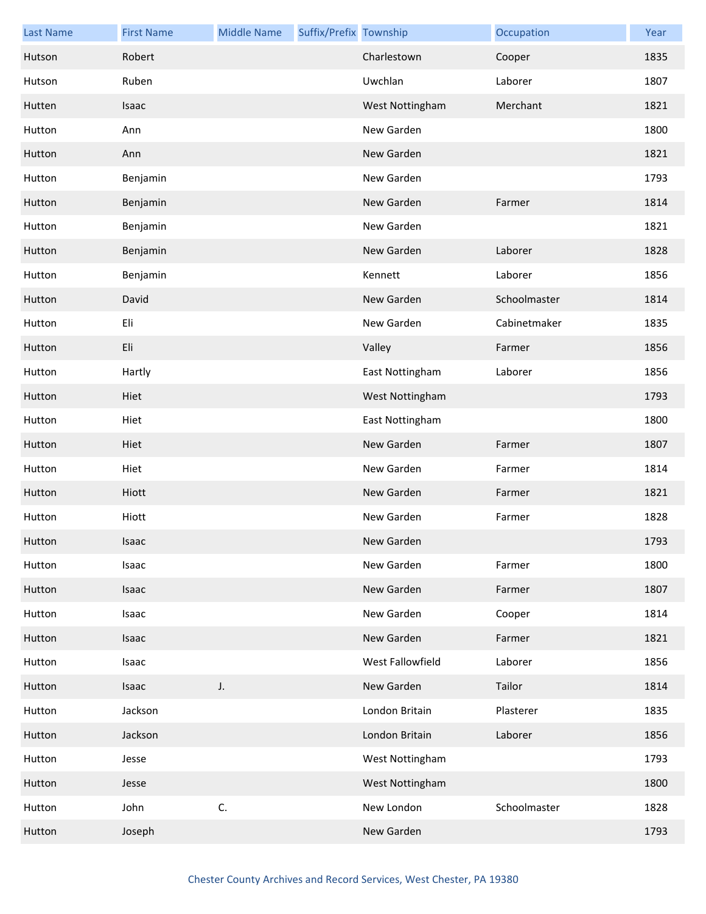| <b>Last Name</b> | <b>First Name</b> | <b>Middle Name</b> | Suffix/Prefix Township |                  | Occupation   | Year |
|------------------|-------------------|--------------------|------------------------|------------------|--------------|------|
| Hutson           | Robert            |                    |                        | Charlestown      | Cooper       | 1835 |
| Hutson           | Ruben             |                    |                        | Uwchlan          | Laborer      | 1807 |
| Hutten           | Isaac             |                    |                        | West Nottingham  | Merchant     | 1821 |
| Hutton           | Ann               |                    |                        | New Garden       |              | 1800 |
| Hutton           | Ann               |                    |                        | New Garden       |              | 1821 |
| Hutton           | Benjamin          |                    |                        | New Garden       |              | 1793 |
| Hutton           | Benjamin          |                    |                        | New Garden       | Farmer       | 1814 |
| Hutton           | Benjamin          |                    |                        | New Garden       |              | 1821 |
| Hutton           | Benjamin          |                    |                        | New Garden       | Laborer      | 1828 |
| Hutton           | Benjamin          |                    |                        | Kennett          | Laborer      | 1856 |
| Hutton           | David             |                    |                        | New Garden       | Schoolmaster | 1814 |
| Hutton           | Eli               |                    |                        | New Garden       | Cabinetmaker | 1835 |
| Hutton           | Eli               |                    |                        | Valley           | Farmer       | 1856 |
| Hutton           | Hartly            |                    |                        | East Nottingham  | Laborer      | 1856 |
| Hutton           | Hiet              |                    |                        | West Nottingham  |              | 1793 |
| Hutton           | Hiet              |                    |                        | East Nottingham  |              | 1800 |
| Hutton           | Hiet              |                    |                        | New Garden       | Farmer       | 1807 |
| Hutton           | Hiet              |                    |                        | New Garden       | Farmer       | 1814 |
| Hutton           | Hiott             |                    |                        | New Garden       | Farmer       | 1821 |
| Hutton           | Hiott             |                    |                        | New Garden       | Farmer       | 1828 |
| Hutton           | Isaac             |                    |                        | New Garden       |              | 1793 |
| Hutton           | Isaac             |                    |                        | New Garden       | Farmer       | 1800 |
| Hutton           | Isaac             |                    |                        | New Garden       | Farmer       | 1807 |
| Hutton           | Isaac             |                    |                        | New Garden       | Cooper       | 1814 |
| Hutton           | Isaac             |                    |                        | New Garden       | Farmer       | 1821 |
| Hutton           | Isaac             |                    |                        | West Fallowfield | Laborer      | 1856 |
| Hutton           | Isaac             | J.                 |                        | New Garden       | Tailor       | 1814 |
| Hutton           | Jackson           |                    |                        | London Britain   | Plasterer    | 1835 |
| Hutton           | Jackson           |                    |                        | London Britain   | Laborer      | 1856 |
| Hutton           | Jesse             |                    |                        | West Nottingham  |              | 1793 |
| Hutton           | Jesse             |                    |                        | West Nottingham  |              | 1800 |
| Hutton           | John              | C.                 |                        | New London       | Schoolmaster | 1828 |
| Hutton           | Joseph            |                    |                        | New Garden       |              | 1793 |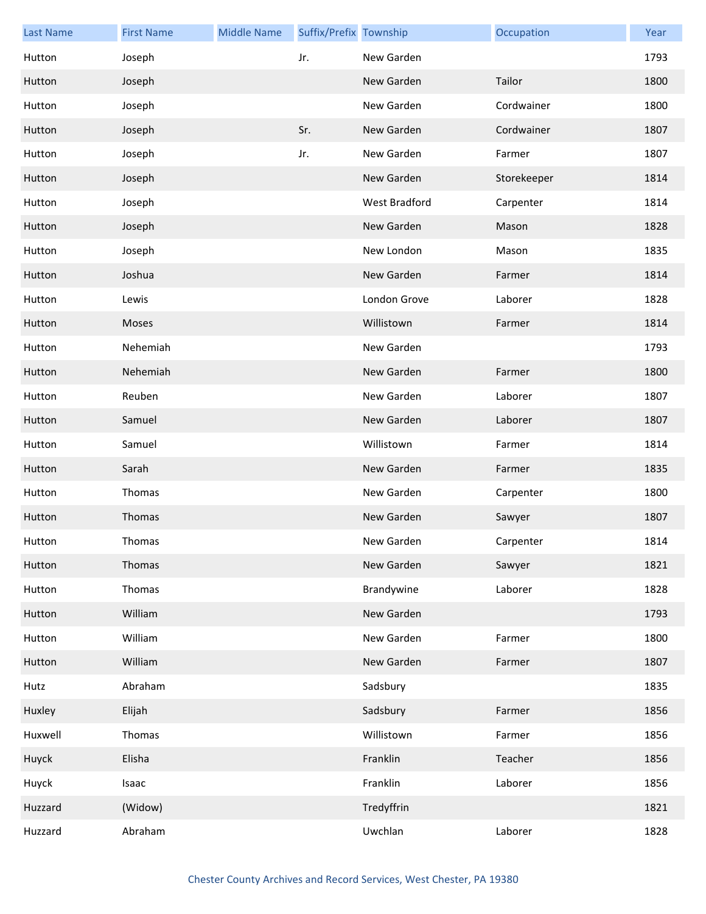| <b>Last Name</b> | <b>First Name</b> | <b>Middle Name</b> | Suffix/Prefix Township |               | Occupation  | Year |
|------------------|-------------------|--------------------|------------------------|---------------|-------------|------|
| Hutton           | Joseph            |                    | Jr.                    | New Garden    |             | 1793 |
| Hutton           | Joseph            |                    |                        | New Garden    | Tailor      | 1800 |
| Hutton           | Joseph            |                    |                        | New Garden    | Cordwainer  | 1800 |
| Hutton           | Joseph            |                    | Sr.                    | New Garden    | Cordwainer  | 1807 |
| Hutton           | Joseph            |                    | Jr.                    | New Garden    | Farmer      | 1807 |
| Hutton           | Joseph            |                    |                        | New Garden    | Storekeeper | 1814 |
| Hutton           | Joseph            |                    |                        | West Bradford | Carpenter   | 1814 |
| Hutton           | Joseph            |                    |                        | New Garden    | Mason       | 1828 |
| Hutton           | Joseph            |                    |                        | New London    | Mason       | 1835 |
| Hutton           | Joshua            |                    |                        | New Garden    | Farmer      | 1814 |
| Hutton           | Lewis             |                    |                        | London Grove  | Laborer     | 1828 |
| Hutton           | Moses             |                    |                        | Willistown    | Farmer      | 1814 |
| Hutton           | Nehemiah          |                    |                        | New Garden    |             | 1793 |
| Hutton           | Nehemiah          |                    |                        | New Garden    | Farmer      | 1800 |
| Hutton           | Reuben            |                    |                        | New Garden    | Laborer     | 1807 |
| Hutton           | Samuel            |                    |                        | New Garden    | Laborer     | 1807 |
| Hutton           | Samuel            |                    |                        | Willistown    | Farmer      | 1814 |
| Hutton           | Sarah             |                    |                        | New Garden    | Farmer      | 1835 |
| Hutton           | Thomas            |                    |                        | New Garden    | Carpenter   | 1800 |
| Hutton           | Thomas            |                    |                        | New Garden    | Sawyer      | 1807 |
| Hutton           | Thomas            |                    |                        | New Garden    | Carpenter   | 1814 |
| Hutton           | Thomas            |                    |                        | New Garden    | Sawyer      | 1821 |
| Hutton           | Thomas            |                    |                        | Brandywine    | Laborer     | 1828 |
| Hutton           | William           |                    |                        | New Garden    |             | 1793 |
| Hutton           | William           |                    |                        | New Garden    | Farmer      | 1800 |
| Hutton           | William           |                    |                        | New Garden    | Farmer      | 1807 |
| Hutz             | Abraham           |                    |                        | Sadsbury      |             | 1835 |
| Huxley           | Elijah            |                    |                        | Sadsbury      | Farmer      | 1856 |
| Huxwell          | Thomas            |                    |                        | Willistown    | Farmer      | 1856 |
| Huyck            | Elisha            |                    |                        | Franklin      | Teacher     | 1856 |
| Huyck            | Isaac             |                    |                        | Franklin      | Laborer     | 1856 |
| Huzzard          | (Widow)           |                    |                        | Tredyffrin    |             | 1821 |
| Huzzard          | Abraham           |                    |                        | Uwchlan       | Laborer     | 1828 |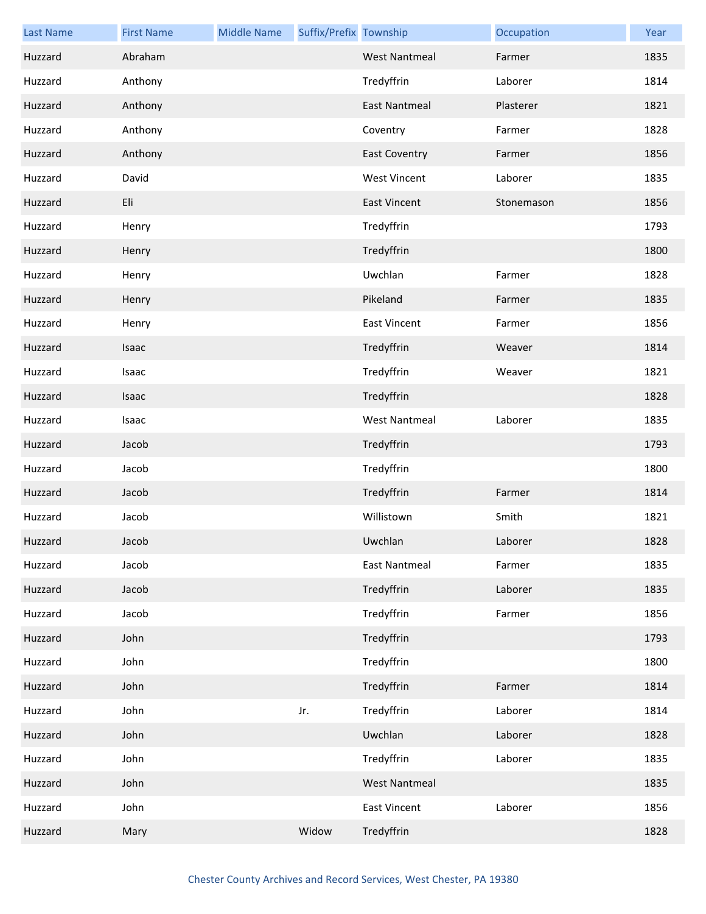| <b>Last Name</b> | <b>First Name</b> | <b>Middle Name</b> | Suffix/Prefix Township |                      | Occupation | Year |
|------------------|-------------------|--------------------|------------------------|----------------------|------------|------|
| Huzzard          | Abraham           |                    |                        | <b>West Nantmeal</b> | Farmer     | 1835 |
| Huzzard          | Anthony           |                    |                        | Tredyffrin           | Laborer    | 1814 |
| Huzzard          | Anthony           |                    |                        | <b>East Nantmeal</b> | Plasterer  | 1821 |
| Huzzard          | Anthony           |                    |                        | Coventry             | Farmer     | 1828 |
| Huzzard          | Anthony           |                    |                        | <b>East Coventry</b> | Farmer     | 1856 |
| Huzzard          | David             |                    |                        | <b>West Vincent</b>  | Laborer    | 1835 |
| Huzzard          | Eli               |                    |                        | <b>East Vincent</b>  | Stonemason | 1856 |
| Huzzard          | Henry             |                    |                        | Tredyffrin           |            | 1793 |
| Huzzard          | Henry             |                    |                        | Tredyffrin           |            | 1800 |
| Huzzard          | Henry             |                    |                        | Uwchlan              | Farmer     | 1828 |
| Huzzard          | Henry             |                    |                        | Pikeland             | Farmer     | 1835 |
| Huzzard          | Henry             |                    |                        | <b>East Vincent</b>  | Farmer     | 1856 |
| Huzzard          | Isaac             |                    |                        | Tredyffrin           | Weaver     | 1814 |
| Huzzard          | Isaac             |                    |                        | Tredyffrin           | Weaver     | 1821 |
| Huzzard          | Isaac             |                    |                        | Tredyffrin           |            | 1828 |
| Huzzard          | Isaac             |                    |                        | <b>West Nantmeal</b> | Laborer    | 1835 |
| Huzzard          | Jacob             |                    |                        | Tredyffrin           |            | 1793 |
| Huzzard          | Jacob             |                    |                        | Tredyffrin           |            | 1800 |
| Huzzard          | Jacob             |                    |                        | Tredyffrin           | Farmer     | 1814 |
| Huzzard          | Jacob             |                    |                        | Willistown           | Smith      | 1821 |
| Huzzard          | Jacob             |                    |                        | Uwchlan              | Laborer    | 1828 |
| Huzzard          | Jacob             |                    |                        | <b>East Nantmeal</b> | Farmer     | 1835 |
| Huzzard          | Jacob             |                    |                        | Tredyffrin           | Laborer    | 1835 |
| Huzzard          | Jacob             |                    |                        | Tredyffrin           | Farmer     | 1856 |
| Huzzard          | John              |                    |                        | Tredyffrin           |            | 1793 |
| Huzzard          | John              |                    |                        | Tredyffrin           |            | 1800 |
| Huzzard          | John              |                    |                        | Tredyffrin           | Farmer     | 1814 |
| Huzzard          | John              |                    | Jr.                    | Tredyffrin           | Laborer    | 1814 |
| Huzzard          | John              |                    |                        | Uwchlan              | Laborer    | 1828 |
| Huzzard          | John              |                    |                        | Tredyffrin           | Laborer    | 1835 |
| Huzzard          | John              |                    |                        | <b>West Nantmeal</b> |            | 1835 |
| Huzzard          | John              |                    |                        | <b>East Vincent</b>  | Laborer    | 1856 |
| Huzzard          | Mary              |                    | Widow                  | Tredyffrin           |            | 1828 |